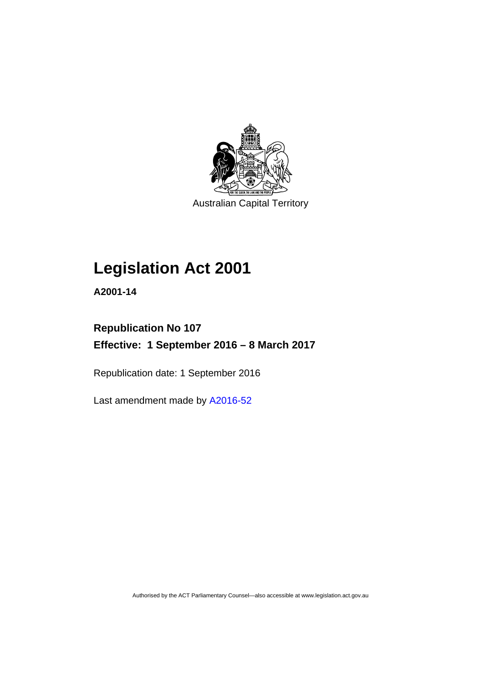

Australian Capital Territory

# **Legislation Act 2001**

**A2001-14** 

## **Republication No 107 Effective: 1 September 2016 – 8 March 2017**

Republication date: 1 September 2016

Last amendment made by [A2016-52](http://www.legislation.act.gov.au/a/2016-52)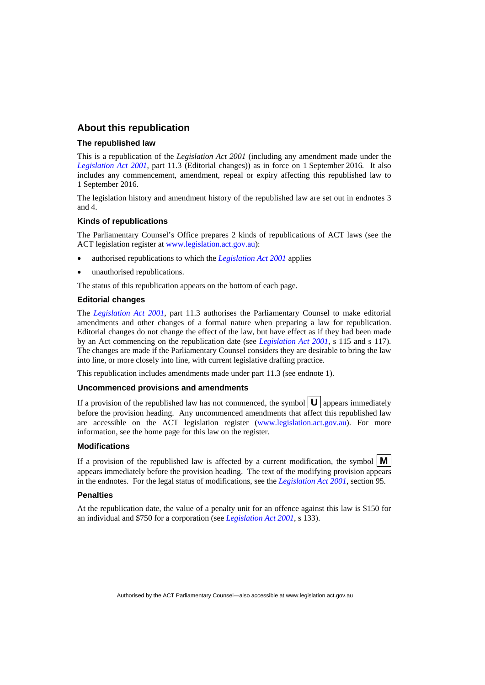### **About this republication**

#### **The republished law**

This is a republication of the *Legislation Act 2001* (including any amendment made under the *[Legislation Act 2001](http://www.legislation.act.gov.au/a/2001-14)*, part 11.3 (Editorial changes)) as in force on 1 September 2016*.* It also includes any commencement, amendment, repeal or expiry affecting this republished law to 1 September 2016.

The legislation history and amendment history of the republished law are set out in endnotes 3 and 4.

#### **Kinds of republications**

The Parliamentary Counsel's Office prepares 2 kinds of republications of ACT laws (see the ACT legislation register at [www.legislation.act.gov.au](http://www.legislation.act.gov.au/)):

- authorised republications to which the *[Legislation Act 2001](http://www.legislation.act.gov.au/a/2001-14)* applies
- unauthorised republications.

The status of this republication appears on the bottom of each page.

#### **Editorial changes**

The *[Legislation Act 2001](http://www.legislation.act.gov.au/a/2001-14)*, part 11.3 authorises the Parliamentary Counsel to make editorial amendments and other changes of a formal nature when preparing a law for republication. Editorial changes do not change the effect of the law, but have effect as if they had been made by an Act commencing on the republication date (see *[Legislation Act 2001](http://www.legislation.act.gov.au/a/2001-14)*, s 115 and s 117). The changes are made if the Parliamentary Counsel considers they are desirable to bring the law into line, or more closely into line, with current legislative drafting practice.

This republication includes amendments made under part 11.3 (see endnote 1).

#### **Uncommenced provisions and amendments**

If a provision of the republished law has not commenced, the symbol  $\mathbf{U}$  appears immediately before the provision heading. Any uncommenced amendments that affect this republished law are accessible on the ACT legislation register [\(www.legislation.act.gov.au](http://www.legislation.act.gov.au/)). For more information, see the home page for this law on the register.

#### **Modifications**

If a provision of the republished law is affected by a current modification, the symbol  $\mathbf{M}$ appears immediately before the provision heading. The text of the modifying provision appears in the endnotes. For the legal status of modifications, see the *[Legislation Act 2001](http://www.legislation.act.gov.au/a/2001-14)*, section 95.

#### **Penalties**

At the republication date, the value of a penalty unit for an offence against this law is \$150 for an individual and \$750 for a corporation (see *[Legislation Act 2001](http://www.legislation.act.gov.au/a/2001-14)*, s 133).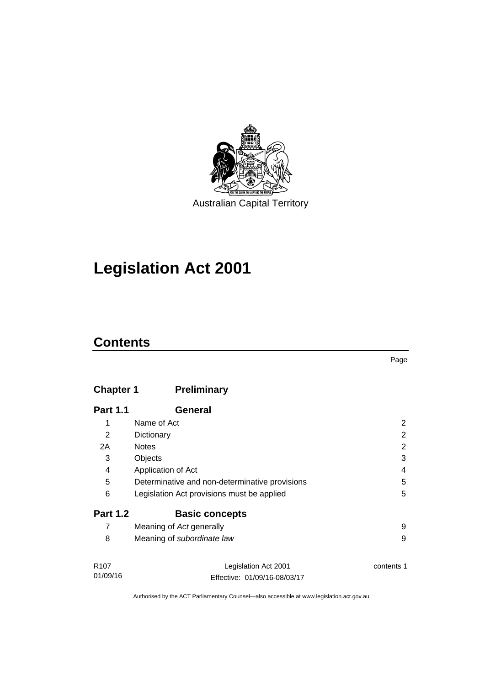

# **Legislation Act 2001**

## **Contents**

| × |
|---|

## **Chapter 1 [Preliminary](#page-17-0)**

| <b>Part 1.1</b>  | General                                        |            |
|------------------|------------------------------------------------|------------|
| 1                | Name of Act                                    | 2          |
| $\overline{2}$   | Dictionary                                     | 2          |
| 2A               | <b>Notes</b>                                   | 2          |
| 3                | Objects                                        | 3          |
| 4                | Application of Act                             | 4          |
| 5                | Determinative and non-determinative provisions | 5          |
| 6                | Legislation Act provisions must be applied     | 5          |
| <b>Part 1.2</b>  | <b>Basic concepts</b>                          |            |
| 7                | Meaning of Act generally                       | 9          |
| 8                | Meaning of subordinate law                     | 9          |
|                  |                                                |            |
| R <sub>107</sub> | Legislation Act 2001                           | contents 1 |

| <b>NUI</b> | Legislation ACL 2001         | <u>concen</u> |
|------------|------------------------------|---------------|
| 01/09/16   | Effective: 01/09/16-08/03/17 |               |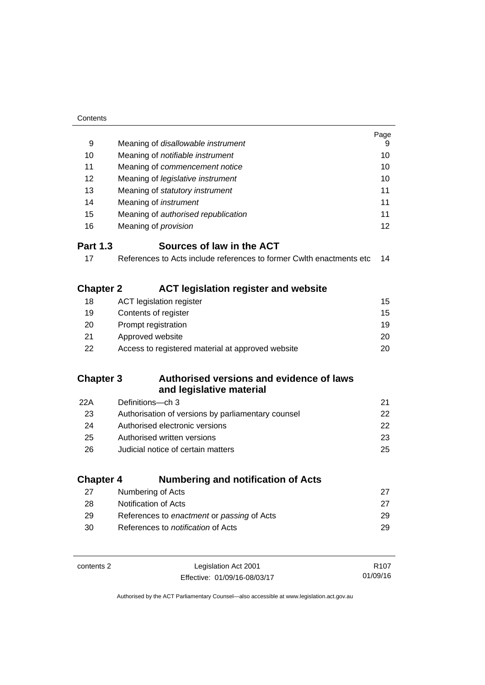| Contents         |                                                                      |                  |
|------------------|----------------------------------------------------------------------|------------------|
|                  |                                                                      | Page             |
| 9                | Meaning of disallowable instrument                                   | 9                |
| 10               | Meaning of notifiable instrument                                     | 10               |
| 11               | Meaning of commencement notice                                       | 10               |
| 12               | Meaning of legislative instrument                                    | 10               |
| 13               | Meaning of statutory instrument                                      | 11               |
| 14               | Meaning of instrument                                                | 11               |
| 15               | Meaning of authorised republication                                  | 11               |
| 16               | Meaning of <i>provision</i>                                          | 12               |
| <b>Part 1.3</b>  | Sources of law in the ACT                                            |                  |
| 17               | References to Acts include references to former Cwith enactments etc | 14               |
|                  |                                                                      |                  |
| <b>Chapter 2</b> | <b>ACT legislation register and website</b>                          |                  |
| 18               | <b>ACT legislation register</b>                                      | 15               |
| 19               | Contents of register                                                 | 15               |
| 20               | Prompt registration                                                  | 19               |
| 21               | Approved website                                                     | 20               |
| 22               | Access to registered material at approved website                    | 20               |
|                  |                                                                      |                  |
| <b>Chapter 3</b> | Authorised versions and evidence of laws                             |                  |
|                  | and legislative material                                             |                  |
| 22A              | Definitions-ch 3                                                     | 21               |
| 23               | Authorisation of versions by parliamentary counsel                   | 22               |
| 24               | Authorised electronic versions                                       | 22               |
| 25               | Authorised written versions                                          | 23               |
| 26               | Judicial notice of certain matters                                   | 25               |
|                  |                                                                      |                  |
| <b>Chapter 4</b> | <b>Numbering and notification of Acts</b>                            |                  |
| 27               | Numbering of Acts                                                    | 27               |
| 28               | Notification of Acts                                                 | 27               |
| 29               | References to enactment or passing of Acts                           | 29               |
| 30               | References to notification of Acts                                   | 29               |
|                  |                                                                      |                  |
| contents 2       | Legislation Act 2001                                                 | R <sub>107</sub> |
|                  | Effective: 01/09/16-08/03/17                                         | 01/09/16         |

Effective: 01/09/16-08/03/17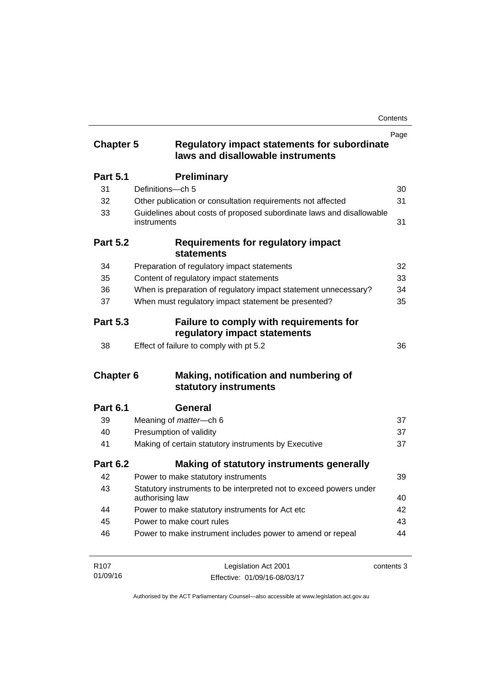| <b>Chapter 5</b> | <b>Regulatory impact statements for subordinate</b><br>laws and disallowable instruments | Page       |
|------------------|------------------------------------------------------------------------------------------|------------|
| <b>Part 5.1</b>  | <b>Preliminary</b>                                                                       |            |
| 31               | Definitions-ch 5                                                                         | 30         |
| 32               | Other publication or consultation requirements not affected                              | 31         |
| 33               | Guidelines about costs of proposed subordinate laws and disallowable<br>instruments      | 31         |
| <b>Part 5.2</b>  | Requirements for regulatory impact<br><b>statements</b>                                  |            |
| 34               | Preparation of regulatory impact statements                                              | 32         |
| 35               | Content of regulatory impact statements                                                  | 33         |
| 36               | When is preparation of regulatory impact statement unnecessary?                          | 34         |
| 37               | When must regulatory impact statement be presented?                                      | 35         |
| <b>Part 5.3</b>  | Failure to comply with requirements for<br>regulatory impact statements                  |            |
| 38               | Effect of failure to comply with pt 5.2                                                  | 36         |
| <b>Chapter 6</b> | Making, notification and numbering of<br>statutory instruments                           |            |
| <b>Part 6.1</b>  | General                                                                                  |            |
| 39               | Meaning of <i>matter</i> -ch 6                                                           | 37         |
| 40               | Presumption of validity                                                                  | 37         |
| 41               | Making of certain statutory instruments by Executive                                     | 37         |
| <b>Part 6.2</b>  | Making of statutory instruments generally                                                |            |
| 42               | Power to make statutory instruments                                                      | 39         |
| 43               | Statutory instruments to be interpreted not to exceed powers under<br>authorising law    | 40         |
| 44               | Power to make statutory instruments for Act etc                                          | 42         |
| 45               | Power to make court rules                                                                | 43         |
| 46               | Power to make instrument includes power to amend or repeal                               | 44         |
| R <sub>107</sub> | Legislation Act 2001                                                                     | contents 3 |

Effective: 01/09/16-08/03/17

01/09/16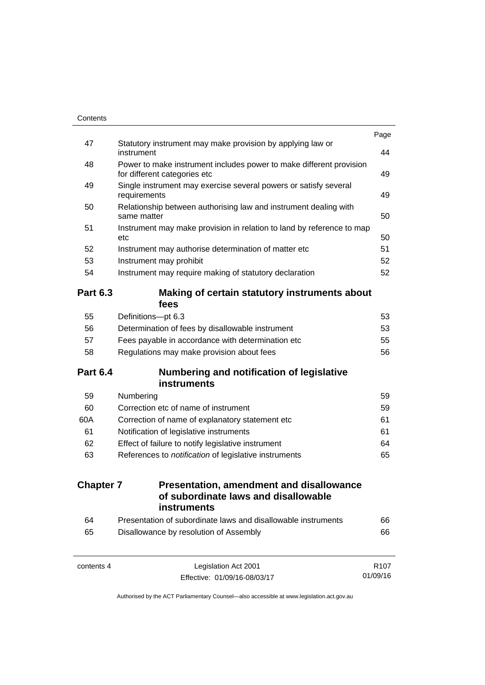|                  |                                                                                                     | Page             |
|------------------|-----------------------------------------------------------------------------------------------------|------------------|
| 47               | Statutory instrument may make provision by applying law or<br>instrument                            | 44               |
| 48               | Power to make instrument includes power to make different provision<br>for different categories etc | 49               |
| 49               | Single instrument may exercise several powers or satisfy several<br>requirements                    | 49               |
| 50               | Relationship between authorising law and instrument dealing with<br>same matter                     | 50               |
| 51               | Instrument may make provision in relation to land by reference to map<br>etc                        | 50               |
| 52               | Instrument may authorise determination of matter etc                                                | 51               |
| 53               | Instrument may prohibit                                                                             | 52               |
| 54               | Instrument may require making of statutory declaration                                              | 52               |
| <b>Part 6.3</b>  | Making of certain statutory instruments about<br>fees                                               |                  |
| 55               | Definitions-pt 6.3                                                                                  | 53               |
| 56               | Determination of fees by disallowable instrument                                                    | 53               |
| 57               | Fees payable in accordance with determination etc                                                   | 55               |
| 58               | Regulations may make provision about fees                                                           | 56               |
| <b>Part 6.4</b>  | Numbering and notification of legislative<br>instruments                                            |                  |
| 59               | Numbering                                                                                           | 59               |
| 60               | Correction etc of name of instrument                                                                | 59               |
| 60A              | Correction of name of explanatory statement etc                                                     | 61               |
| 61               | Notification of legislative instruments                                                             | 61               |
| 62               | Effect of failure to notify legislative instrument                                                  | 64               |
| 63               | References to notification of legislative instruments                                               | 65               |
| <b>Chapter 7</b> | <b>Presentation, amendment and disallowance</b><br>of subordinate laws and disallowable             |                  |
|                  | <b>instruments</b>                                                                                  |                  |
| 64               | Presentation of subordinate laws and disallowable instruments                                       | 66               |
| 65               | Disallowance by resolution of Assembly                                                              | 66               |
| contents 4       | Legislation Act 2001                                                                                | R <sub>107</sub> |

01/09/16

Effective: 01/09/16-08/03/17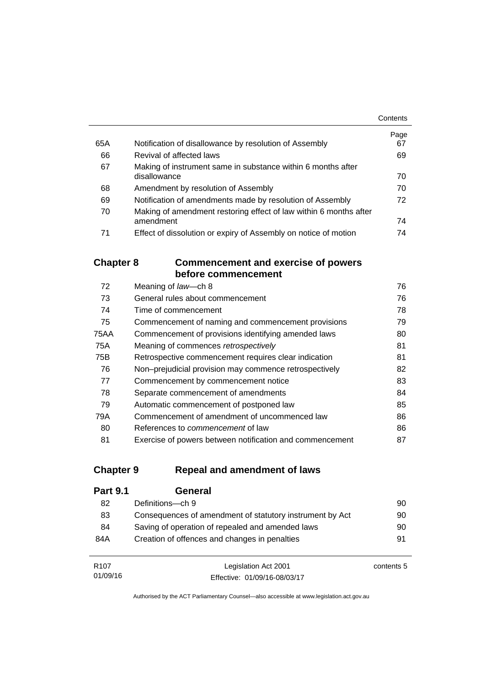|     |                                                                   | Contents   |
|-----|-------------------------------------------------------------------|------------|
| 65A | Notification of disallowance by resolution of Assembly            | Page<br>67 |
|     |                                                                   |            |
| 66  | Revival of affected laws                                          | 69         |
| 67  | Making of instrument same in substance within 6 months after      |            |
|     | disallowance                                                      | 70         |
| 68  | Amendment by resolution of Assembly                               | 70         |
| 69  | Notification of amendments made by resolution of Assembly         | 72         |
| 70  | Making of amendment restoring effect of law within 6 months after |            |
|     | amendment                                                         | 74         |
| 71  | Effect of dissolution or expiry of Assembly on notice of motion   | 74         |

### **Chapter 8 [Commencement and exercise of powers](#page-91-0)  [before commencement](#page-91-0)**

| 72   | Meaning of law-ch 8                                      | 76 |
|------|----------------------------------------------------------|----|
| 73   | General rules about commencement                         | 76 |
| 74   | Time of commencement                                     | 78 |
| 75   | Commencement of naming and commencement provisions       | 79 |
| 75AA | Commencement of provisions identifying amended laws      | 80 |
| 75A  | Meaning of commences retrospectively                     | 81 |
| 75B  | Retrospective commencement requires clear indication     | 81 |
| 76   | Non-prejudicial provision may commence retrospectively   | 82 |
| 77   | Commencement by commencement notice                      | 83 |
| 78   | Separate commencement of amendments                      | 84 |
| 79   | Automatic commencement of postponed law                  | 85 |
| 79A  | Commencement of amendment of uncommenced law             | 86 |
| 80   | References to <i>commencement</i> of law                 | 86 |
| 81   | Exercise of powers between notification and commencement | 87 |

## **Chapter 9 [Repeal and amendment of laws](#page-105-0)**

| <b>Part 9.1</b> | General                                                  |    |
|-----------------|----------------------------------------------------------|----|
| 82              | Definitions-ch 9                                         | 90 |
| 83              | Consequences of amendment of statutory instrument by Act | 90 |
| 84              | Saving of operation of repealed and amended laws         | 90 |
| 84A             | Creation of offences and changes in penalties            | 91 |
|                 |                                                          |    |
|                 |                                                          |    |

R107 01/09/16 Legislation Act 2001 Effective: 01/09/16-08/03/17 contents 5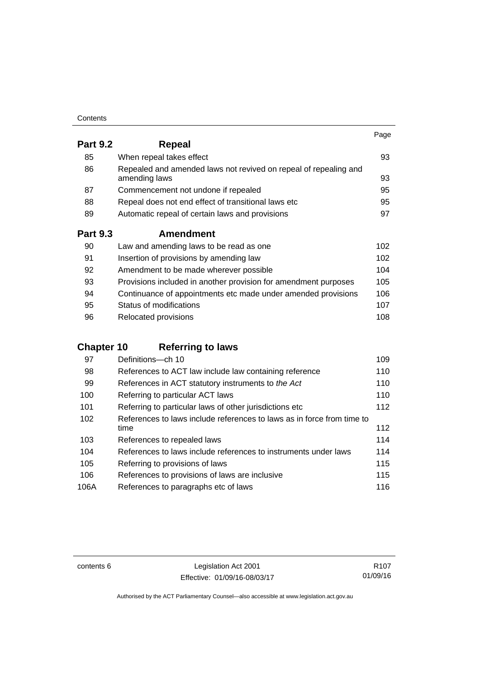| Contents |
|----------|
|----------|

|                 |                                                                                   | Page |
|-----------------|-----------------------------------------------------------------------------------|------|
| <b>Part 9.2</b> | <b>Repeal</b>                                                                     |      |
| 85              | When repeal takes effect                                                          | 93   |
| 86              | Repealed and amended laws not revived on repeal of repealing and<br>amending laws | 93   |
| 87              | Commencement not undone if repealed                                               | 95   |
| 88              | Repeal does not end effect of transitional laws etc                               | 95   |
| 89              | Automatic repeal of certain laws and provisions                                   | 97   |
| <b>Part 9.3</b> | <b>Amendment</b>                                                                  |      |
| 90              | Law and amending laws to be read as one                                           | 102  |
| 91              | Insertion of provisions by amending law                                           | 102  |
| 92              | Amendment to be made wherever possible                                            | 104  |
| 93              | Provisions included in another provision for amendment purposes                   | 105  |
| 94              | Continuance of appointments etc made under amended provisions                     | 106  |
| 95              | Status of modifications                                                           | 107  |

96 Relocated provisions **108** 

## **Chapter 10 [Referring to laws](#page-124-0)**

| 97   | Definitions-ch 10                                                      | 109 |
|------|------------------------------------------------------------------------|-----|
| 98   | References to ACT law include law containing reference                 | 110 |
| 99   | References in ACT statutory instruments to the Act                     | 110 |
| 100  | Referring to particular ACT laws                                       | 110 |
| 101  | Referring to particular laws of other jurisdictions etc                | 112 |
| 102  | References to laws include references to laws as in force from time to |     |
|      | time                                                                   | 112 |
| 103  | References to repealed laws                                            | 114 |
| 104  | References to laws include references to instruments under laws        | 114 |
| 105  | Referring to provisions of laws                                        | 115 |
| 106  | References to provisions of laws are inclusive                         | 115 |
| 106A | References to paragraphs etc of laws                                   | 116 |

contents 6 Legislation Act 2001 Effective: 01/09/16-08/03/17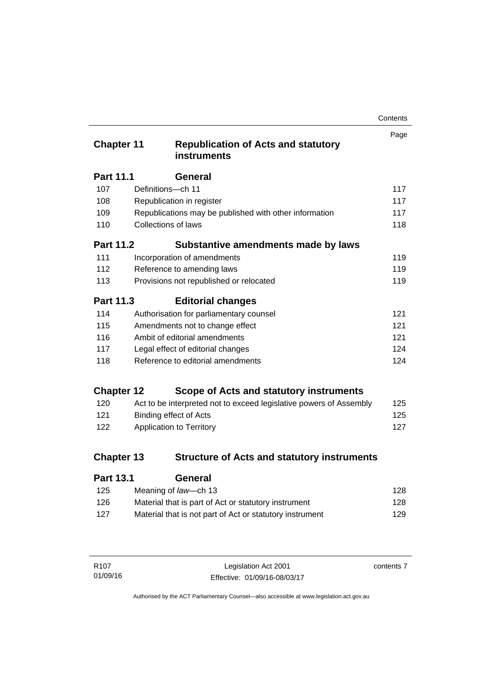| Contents |
|----------|
|----------|

| <b>Chapter 11</b> |                     | <b>Republication of Acts and statutory</b><br><b>instruments</b>   | Page |
|-------------------|---------------------|--------------------------------------------------------------------|------|
| <b>Part 11.1</b>  |                     | General                                                            |      |
| 107               | Definitions-ch 11   |                                                                    | 117  |
| 108               |                     | Republication in register                                          | 117  |
| 109               |                     | Republications may be published with other information             | 117  |
| 110               | Collections of laws |                                                                    | 118  |
| <b>Part 11.2</b>  |                     | Substantive amendments made by laws                                |      |
| 111               |                     | Incorporation of amendments                                        | 119  |
| 112               |                     | Reference to amending laws                                         | 119  |
| 113               |                     | Provisions not republished or relocated                            | 119  |
| Part 11.3         |                     | <b>Editorial changes</b>                                           |      |
| 114               |                     | Authorisation for parliamentary counsel                            | 121  |
| 115               |                     | Amendments not to change effect                                    | 121  |
| 116               |                     | Ambit of editorial amendments                                      | 121  |
| 117               |                     | Legal effect of editorial changes                                  | 124  |
| 118               |                     | Reference to editorial amendments                                  | 124  |
| <b>Chapter 12</b> |                     | Scope of Acts and statutory instruments                            |      |
| 120               |                     | Act to be interpreted not to exceed legislative powers of Assembly | 125  |
| 121               |                     | <b>Binding effect of Acts</b>                                      | 125  |
| 122               |                     | Application to Territory                                           | 127  |
| <b>Chapter 13</b> |                     | <b>Structure of Acts and statutory instruments</b>                 |      |
| <b>Part 13.1</b>  |                     | General                                                            |      |

| Meaning of law—ch 13                                     | 128 |
|----------------------------------------------------------|-----|
| Material that is part of Act or statutory instrument     | 128 |
| Material that is not part of Act or statutory instrument | 129 |
|                                                          |     |

| R107     | Legislation Act 2001         | contents 7 |
|----------|------------------------------|------------|
| 01/09/16 | Effective: 01/09/16-08/03/17 |            |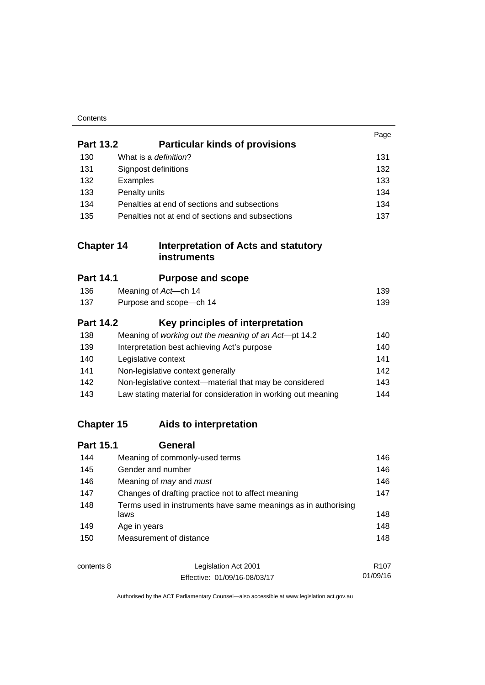| Contents |
|----------|
|----------|

|                   |                                                                        | Page |
|-------------------|------------------------------------------------------------------------|------|
| <b>Part 13.2</b>  | <b>Particular kinds of provisions</b>                                  |      |
| 130               | What is a definition?                                                  | 131  |
| 131               | Signpost definitions                                                   | 132  |
| 132               | Examples                                                               | 133  |
| 133               | Penalty units                                                          | 134  |
| 134               | Penalties at end of sections and subsections                           | 134  |
| 135               | Penalties not at end of sections and subsections                       | 137  |
| <b>Chapter 14</b> | <b>Interpretation of Acts and statutory</b><br><b>instruments</b>      |      |
| <b>Part 14.1</b>  | <b>Purpose and scope</b>                                               |      |
| 136               | Meaning of Act-ch 14                                                   | 139  |
| 137               | Purpose and scope-ch 14                                                | 139  |
| <b>Part 14.2</b>  | Key principles of interpretation                                       |      |
| 138               | Meaning of working out the meaning of an Act-pt 14.2                   | 140  |
| 139               | Interpretation best achieving Act's purpose                            | 140  |
| 140               | Legislative context                                                    | 141  |
| 141               | Non-legislative context generally                                      | 142  |
| 142               | Non-legislative context-material that may be considered                | 143  |
| 143               | Law stating material for consideration in working out meaning          | 144  |
| <b>Chapter 15</b> | Aids to interpretation                                                 |      |
| <b>Part 15.1</b>  | <b>General</b>                                                         |      |
| 144               | Meaning of commonly-used terms                                         | 146  |
| 145               | Gender and number                                                      | 146  |
| 146               | Meaning of may and must                                                | 146  |
| 147               | Changes of drafting practice not to affect meaning                     |      |
| 148               | Terms used in instruments have same meanings as in authorising<br>laws | 148  |
| 149               | Age in years                                                           | 148  |
| 150               | Measurement of distance                                                | 148  |
| contents 8        | Legislation Act 2001                                                   | R107 |

01/09/16

Effective: 01/09/16-08/03/17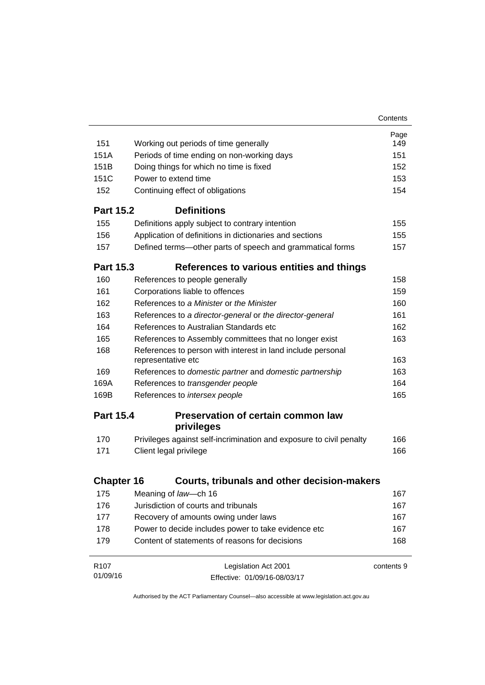|                                                                                          | Page       |
|------------------------------------------------------------------------------------------|------------|
|                                                                                          |            |
| 151<br>Working out periods of time generally                                             | 149        |
| 151A<br>Periods of time ending on non-working days                                       | 151        |
| 151B<br>Doing things for which no time is fixed                                          | 152        |
| 151C<br>Power to extend time                                                             | 153        |
| 152<br>Continuing effect of obligations                                                  | 154        |
| <b>Definitions</b><br><b>Part 15.2</b>                                                   |            |
| 155<br>Definitions apply subject to contrary intention                                   | 155        |
| 156<br>Application of definitions in dictionaries and sections                           | 155        |
| 157<br>Defined terms—other parts of speech and grammatical forms                         | 157        |
| <b>Part 15.3</b><br>References to various entities and things                            |            |
| 160<br>References to people generally                                                    | 158        |
| 161<br>Corporations liable to offences                                                   | 159        |
| 162<br>References to a Minister or the Minister                                          | 160        |
| 163<br>References to a director-general or the director-general                          | 161        |
| 164<br>References to Australian Standards etc.                                           | 162        |
| 165<br>References to Assembly committees that no longer exist                            | 163        |
| 168<br>References to person with interest in land include personal<br>representative etc | 163        |
| 169<br>References to domestic partner and domestic partnership                           | 163        |
| 169A<br>References to transgender people                                                 | 164        |
| 169B<br>References to intersex people                                                    | 165        |
| <b>Part 15.4</b><br><b>Preservation of certain common law</b><br>privileges              |            |
| Privileges against self-incrimination and exposure to civil penalty<br>170               | 166        |
| 171<br>Client legal privilege                                                            | 166        |
|                                                                                          |            |
| <b>Chapter 16</b><br><b>Courts, tribunals and other decision-makers</b>                  |            |
| 175<br>Meaning of law-ch 16                                                              | 167        |
| Jurisdiction of courts and tribunals<br>176                                              | 167        |
| Recovery of amounts owing under laws<br>177                                              | 167        |
| 178<br>Power to decide includes power to take evidence etc                               | 167        |
| Content of statements of reasons for decisions<br>179                                    | 168        |
| R <sub>107</sub><br>Legislation Act 2001                                                 | contents 9 |
| 01/09/16<br>Effective: 01/09/16-08/03/17                                                 |            |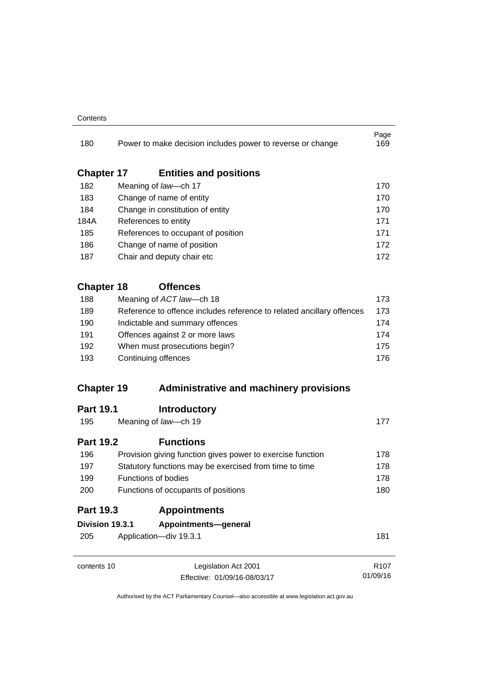#### **Contents**

| 180               | Power to make decision includes power to reverse or change                                          | Page<br>169      |  |
|-------------------|-----------------------------------------------------------------------------------------------------|------------------|--|
| <b>Chapter 17</b> | <b>Entities and positions</b>                                                                       |                  |  |
| 182               | Meaning of law-ch 17                                                                                | 170              |  |
| 183               | Change of name of entity                                                                            | 170              |  |
| 184               | Change in constitution of entity                                                                    | 170              |  |
| 184A              | References to entity<br>References to occupant of position                                          |                  |  |
| 185               |                                                                                                     |                  |  |
| 186               | Change of name of position                                                                          | 172              |  |
| 187               | Chair and deputy chair etc                                                                          | 172              |  |
| <b>Chapter 18</b> | <b>Offences</b>                                                                                     |                  |  |
| 188               | Meaning of ACT law-ch 18                                                                            | 173              |  |
| 189               | Reference to offence includes reference to related ancillary offences                               | 173              |  |
| 190<br>191<br>192 | Indictable and summary offences<br>Offences against 2 or more laws<br>When must prosecutions begin? | 174              |  |
|                   |                                                                                                     | 174              |  |
|                   |                                                                                                     | 175              |  |
| 193               | Continuing offences                                                                                 |                  |  |
| <b>Chapter 19</b> | <b>Administrative and machinery provisions</b>                                                      |                  |  |
| <b>Part 19.1</b>  | <b>Introductory</b>                                                                                 |                  |  |
| 195               | Meaning of law-ch 19                                                                                | 177              |  |
| <b>Part 19.2</b>  | <b>Functions</b>                                                                                    |                  |  |
| 196               | Provision giving function gives power to exercise function                                          | 178              |  |
| 197               | Statutory functions may be exercised from time to time<br><b>Functions of bodies</b>                | 178              |  |
| 199               |                                                                                                     | 178              |  |
| 200               | Functions of occupants of positions                                                                 |                  |  |
| <b>Part 19.3</b>  | <b>Appointments</b>                                                                                 |                  |  |
| Division 19.3.1   | Appointments-general                                                                                |                  |  |
| 205               | Application-div 19.3.1                                                                              | 181              |  |
| contents 10       | Legislation Act 2001                                                                                | R <sub>107</sub> |  |
|                   | Effective: 01/09/16-08/03/17                                                                        | 01/09/16         |  |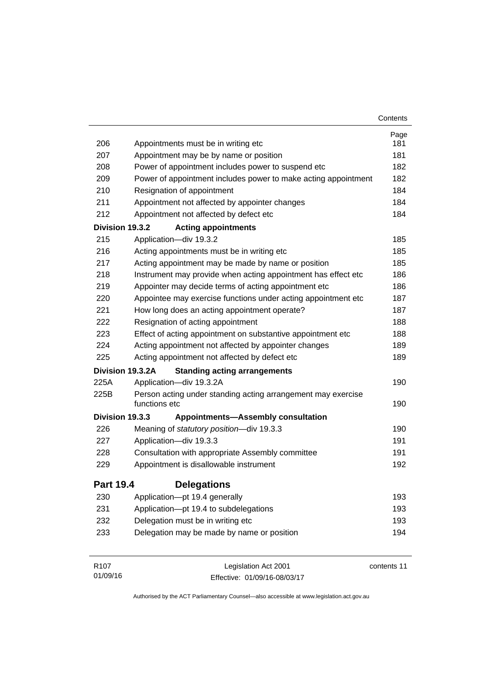|                  |                                                                               | Contents    |
|------------------|-------------------------------------------------------------------------------|-------------|
|                  |                                                                               | Page        |
| 206              | Appointments must be in writing etc                                           | 181         |
| 207              | Appointment may be by name or position                                        | 181         |
| 208              | Power of appointment includes power to suspend etc                            | 182         |
| 209              | Power of appointment includes power to make acting appointment                | 182         |
| 210              | Resignation of appointment                                                    | 184         |
| 211              | Appointment not affected by appointer changes                                 | 184         |
| 212              | Appointment not affected by defect etc                                        | 184         |
| Division 19.3.2  | <b>Acting appointments</b>                                                    |             |
| 215              | Application-div 19.3.2                                                        | 185         |
| 216              | Acting appointments must be in writing etc                                    | 185         |
| 217              | Acting appointment may be made by name or position                            | 185         |
| 218              | Instrument may provide when acting appointment has effect etc                 | 186         |
| 219              | Appointer may decide terms of acting appointment etc                          | 186         |
| 220              | Appointee may exercise functions under acting appointment etc                 | 187         |
| 221              | How long does an acting appointment operate?                                  | 187         |
| 222              | Resignation of acting appointment                                             | 188         |
| 223              | Effect of acting appointment on substantive appointment etc                   | 188         |
| 224              | Acting appointment not affected by appointer changes                          | 189         |
| 225              | Acting appointment not affected by defect etc                                 | 189         |
|                  | Division 19.3.2A<br><b>Standing acting arrangements</b>                       |             |
| 225A             | Application-div 19.3.2A                                                       | 190         |
| 225B             | Person acting under standing acting arrangement may exercise<br>functions etc | 190         |
| Division 19.3.3  | <b>Appointments-Assembly consultation</b>                                     |             |
| 226              | Meaning of statutory position-div 19.3.3                                      | 190         |
| 227              | Application-div 19.3.3                                                        | 191         |
| 228              | Consultation with appropriate Assembly committee                              | 191         |
| 229              | Appointment is disallowable instrument                                        | 192         |
| <b>Part 19.4</b> | <b>Delegations</b>                                                            |             |
| 230              | Application-pt 19.4 generally                                                 | 193         |
| 231              | Application-pt 19.4 to subdelegations                                         | 193         |
| 232              | Delegation must be in writing etc                                             | 193         |
| 233              | Delegation may be made by name or position                                    | 194         |
| R <sub>107</sub> | Legislation Act 2001                                                          | contents 11 |

Effective: 01/09/16-08/03/17

01/09/16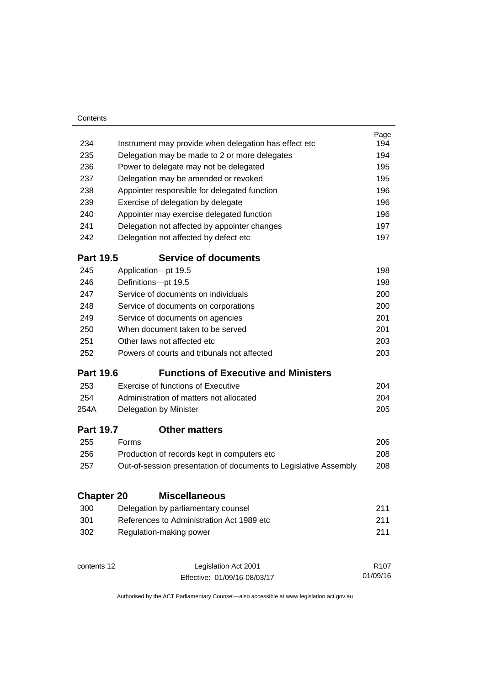| Contents          |                                  |                                                                  |                  |
|-------------------|----------------------------------|------------------------------------------------------------------|------------------|
|                   |                                  |                                                                  | Page             |
| 234               |                                  | Instrument may provide when delegation has effect etc            | 194              |
| 235               |                                  | Delegation may be made to 2 or more delegates                    | 194              |
| 236               |                                  | Power to delegate may not be delegated                           | 195              |
| 237               |                                  | Delegation may be amended or revoked                             | 195              |
| 238               |                                  | Appointer responsible for delegated function                     | 196              |
| 239               |                                  | Exercise of delegation by delegate                               | 196              |
| 240               |                                  | Appointer may exercise delegated function                        | 196              |
| 241               |                                  | Delegation not affected by appointer changes                     | 197              |
| 242               |                                  | Delegation not affected by defect etc                            | 197              |
| <b>Part 19.5</b>  |                                  | <b>Service of documents</b>                                      |                  |
| 245               |                                  | Application-pt 19.5                                              | 198              |
| 246               |                                  | Definitions-pt 19.5                                              | 198              |
| 247               |                                  | Service of documents on individuals                              | 200              |
| 248               |                                  | Service of documents on corporations                             | 200              |
| 249               |                                  | Service of documents on agencies                                 | 201              |
| 250               | When document taken to be served | 201                                                              |                  |
| 251               | Other laws not affected etc.     |                                                                  |                  |
| 252               |                                  | Powers of courts and tribunals not affected                      | 203              |
| <b>Part 19.6</b>  |                                  | <b>Functions of Executive and Ministers</b>                      |                  |
| 253               |                                  | Exercise of functions of Executive                               | 204              |
| 254               |                                  | Administration of matters not allocated                          | 204              |
| 254A              |                                  | Delegation by Minister                                           | 205              |
| <b>Part 19.7</b>  |                                  | <b>Other matters</b>                                             |                  |
| 255               | Forms                            |                                                                  | 206              |
| 256               |                                  | Production of records kept in computers etc                      | 208              |
| 257               |                                  | Out-of-session presentation of documents to Legislative Assembly | 208              |
|                   |                                  | <b>Miscellaneous</b>                                             |                  |
| <b>Chapter 20</b> |                                  |                                                                  |                  |
| 300               |                                  | Delegation by parliamentary counsel                              | 211              |
| 301               |                                  | References to Administration Act 1989 etc.                       | 211              |
| 302               |                                  | Regulation-making power                                          | 211              |
| contents 12       |                                  | Legislation Act 2001                                             | R <sub>107</sub> |
|                   |                                  | Effective: 01/09/16-08/03/17                                     | 01/09/16         |

Effective: 01/09/16-08/03/17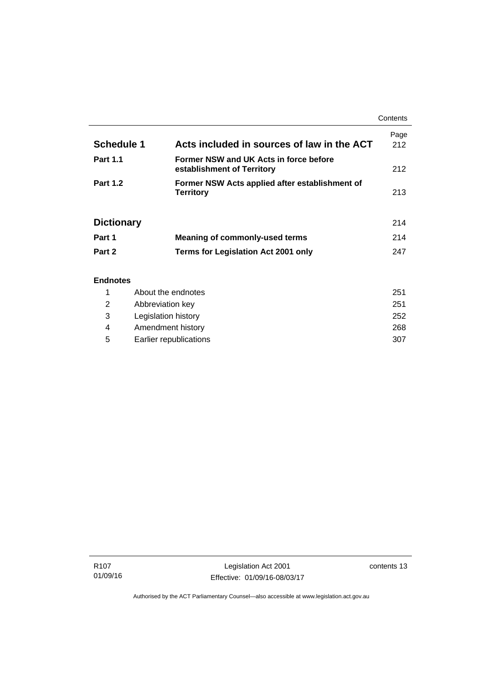|                   |                                                                      | Contents    |
|-------------------|----------------------------------------------------------------------|-------------|
| <b>Schedule 1</b> | Acts included in sources of law in the ACT                           | Page<br>212 |
| <b>Part 1.1</b>   | Former NSW and UK Acts in force before<br>establishment of Territory | 212         |
| <b>Part 1.2</b>   | Former NSW Acts applied after establishment of<br><b>Territory</b>   | 213         |
| <b>Dictionary</b> |                                                                      | 214         |
| Part 1            | <b>Meaning of commonly-used terms</b>                                | 214         |
| Part 2            | Terms for Legislation Act 2001 only                                  | 247         |
| <b>Endnotes</b>   | About the endnates                                                   | OE 4        |

### 1 [About the endnotes 251](#page-266-1) 2 [Abbreviation key 251](#page-266-2) 3 [Legislation history 252](#page-267-0) 4 [Amendment history 268](#page-283-0) 5 [Earlier republications 307](#page-322-0)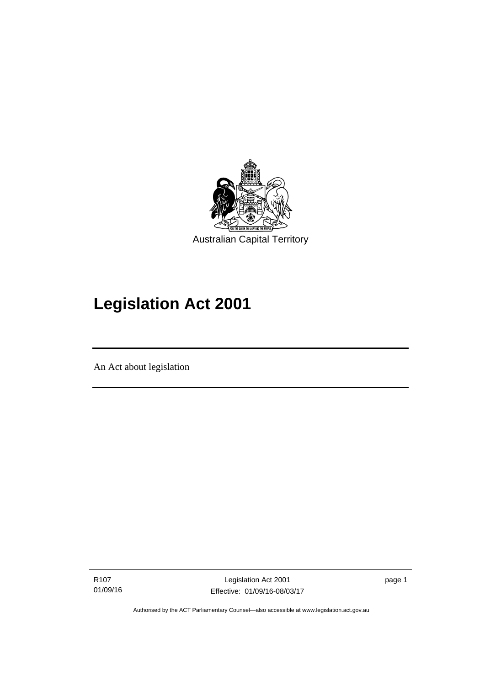

# **Legislation Act 2001**

An Act about legislation

l

R107 01/09/16 page 1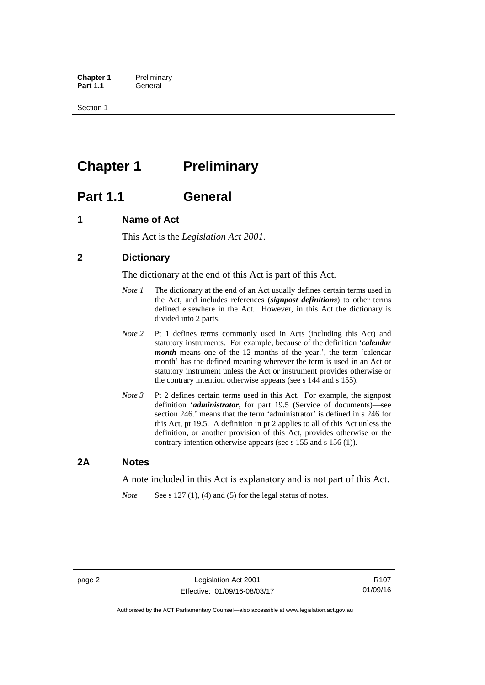**Chapter 1** Preliminary<br>**Part 1.1** General General

Section 1

## <span id="page-17-0"></span>**Chapter 1** Preliminary

## <span id="page-17-1"></span>**Part 1.1 General**

### <span id="page-17-2"></span>**1 Name of Act**

This Act is the *Legislation Act 2001.* 

### <span id="page-17-3"></span>**2 Dictionary**

The dictionary at the end of this Act is part of this Act.

- *Note 1* The dictionary at the end of an Act usually defines certain terms used in the Act, and includes references (*signpost definitions*) to other terms defined elsewhere in the Act. However, in this Act the dictionary is divided into 2 parts.
- *Note 2* Pt 1 defines terms commonly used in Acts (including this Act) and statutory instruments. For example, because of the definition '*calendar month* means one of the 12 months of the year.', the term 'calendar month' has the defined meaning wherever the term is used in an Act or statutory instrument unless the Act or instrument provides otherwise or the contrary intention otherwise appears (see s 144 and s 155).
- *Note 3* Pt 2 defines certain terms used in this Act. For example, the signpost definition '*administrator*, for part 19.5 (Service of documents)—see section 246.' means that the term 'administrator' is defined in s 246 for this Act, pt 19.5. A definition in pt 2 applies to all of this Act unless the definition, or another provision of this Act, provides otherwise or the contrary intention otherwise appears (see s 155 and s 156 (1)).

### <span id="page-17-4"></span>**2A Notes**

A note included in this Act is explanatory and is not part of this Act.

*Note* See s 127 (1), (4) and (5) for the legal status of notes.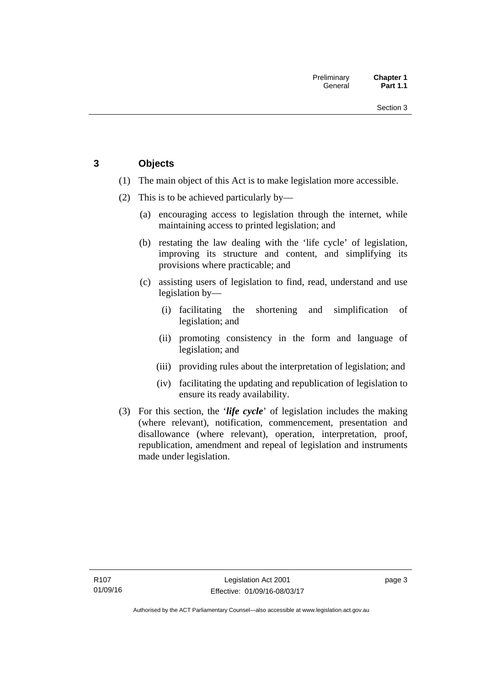### <span id="page-18-0"></span>**3 Objects**

- (1) The main object of this Act is to make legislation more accessible.
- (2) This is to be achieved particularly by—
	- (a) encouraging access to legislation through the internet, while maintaining access to printed legislation; and
	- (b) restating the law dealing with the 'life cycle' of legislation, improving its structure and content, and simplifying its provisions where practicable; and
	- (c) assisting users of legislation to find, read, understand and use legislation by—
		- (i) facilitating the shortening and simplification of legislation; and
		- (ii) promoting consistency in the form and language of legislation; and
		- (iii) providing rules about the interpretation of legislation; and
		- (iv) facilitating the updating and republication of legislation to ensure its ready availability.
- (3) For this section, the '*life cycle*' of legislation includes the making (where relevant), notification, commencement, presentation and disallowance (where relevant), operation, interpretation, proof, republication, amendment and repeal of legislation and instruments made under legislation.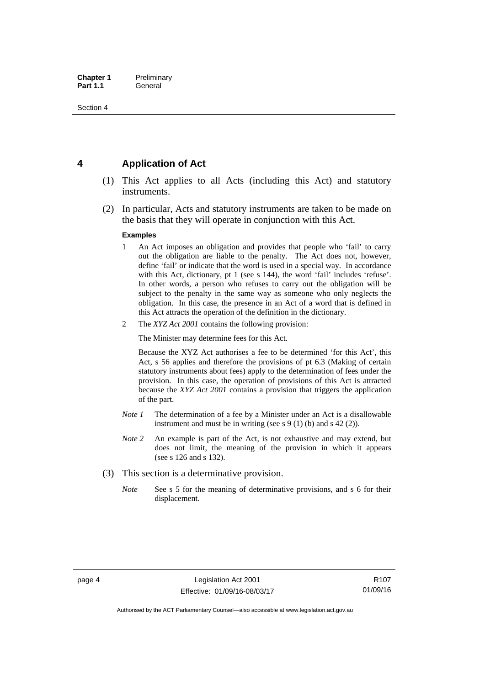### <span id="page-19-0"></span>**4 Application of Act**

- (1) This Act applies to all Acts (including this Act) and statutory instruments.
- (2) In particular, Acts and statutory instruments are taken to be made on the basis that they will operate in conjunction with this Act.

#### **Examples**

- 1 An Act imposes an obligation and provides that people who 'fail' to carry out the obligation are liable to the penalty. The Act does not, however, define 'fail' or indicate that the word is used in a special way. In accordance with this Act, dictionary, pt 1 (see s 144), the word 'fail' includes 'refuse'. In other words, a person who refuses to carry out the obligation will be subject to the penalty in the same way as someone who only neglects the obligation. In this case, the presence in an Act of a word that is defined in this Act attracts the operation of the definition in the dictionary.
- 2 The *XYZ Act 2001* contains the following provision:

The Minister may determine fees for this Act.

Because the XYZ Act authorises a fee to be determined 'for this Act', this Act, s 56 applies and therefore the provisions of pt 6.3 (Making of certain statutory instruments about fees) apply to the determination of fees under the provision. In this case, the operation of provisions of this Act is attracted because the *XYZ Act 2001* contains a provision that triggers the application of the part.

- *Note 1* The determination of a fee by a Minister under an Act is a disallowable instrument and must be in writing (see s 9 (1) (b) and s 42 (2)).
- *Note 2* An example is part of the Act, is not exhaustive and may extend, but does not limit, the meaning of the provision in which it appears (see s 126 and s 132).
- (3) This section is a determinative provision.
	- *Note* See s 5 for the meaning of determinative provisions, and s 6 for their displacement.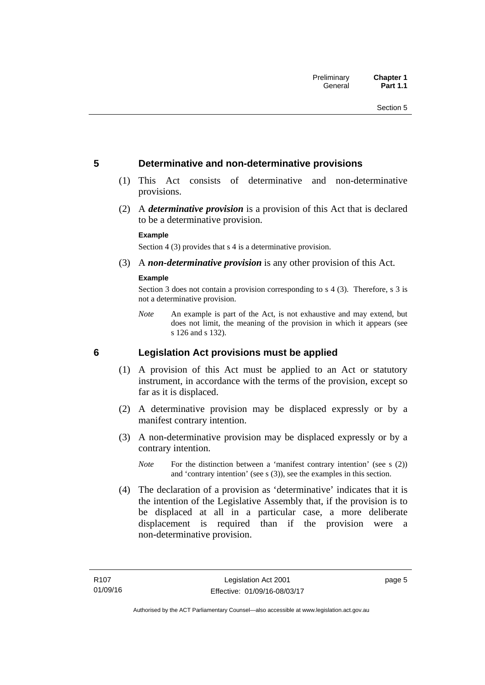### <span id="page-20-0"></span>**5 Determinative and non-determinative provisions**

- (1) This Act consists of determinative and non-determinative provisions.
- (2) A *determinative provision* is a provision of this Act that is declared to be a determinative provision.

#### **Example**

Section 4 (3) provides that s 4 is a determinative provision.

(3) A *non-determinative provision* is any other provision of this Act.

#### **Example**

Section 3 does not contain a provision corresponding to s 4 (3). Therefore, s 3 is not a determinative provision.

*Note* An example is part of the Act, is not exhaustive and may extend, but does not limit, the meaning of the provision in which it appears (see s 126 and s 132).

### <span id="page-20-1"></span>**6 Legislation Act provisions must be applied**

- (1) A provision of this Act must be applied to an Act or statutory instrument, in accordance with the terms of the provision, except so far as it is displaced.
- (2) A determinative provision may be displaced expressly or by a manifest contrary intention.
- (3) A non-determinative provision may be displaced expressly or by a contrary intention.
	- *Note* For the distinction between a 'manifest contrary intention' (see s (2)) and 'contrary intention' (see s (3)), see the examples in this section.
- (4) The declaration of a provision as 'determinative' indicates that it is the intention of the Legislative Assembly that, if the provision is to be displaced at all in a particular case, a more deliberate displacement is required than if the provision were a non-determinative provision.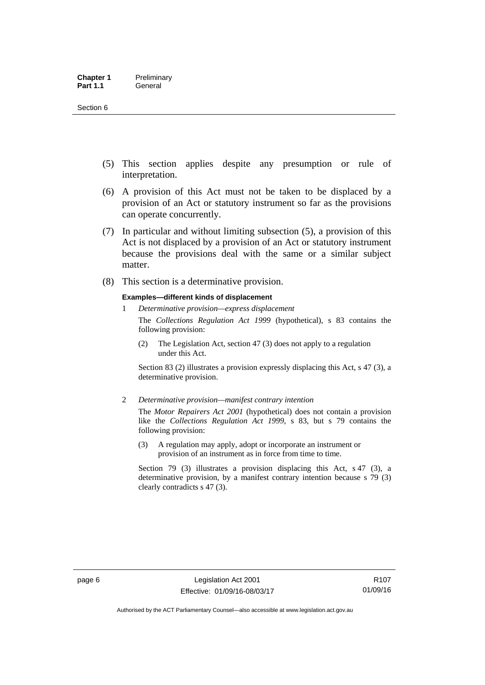- (5) This section applies despite any presumption or rule of interpretation.
- (6) A provision of this Act must not be taken to be displaced by a provision of an Act or statutory instrument so far as the provisions can operate concurrently.
- (7) In particular and without limiting subsection (5), a provision of this Act is not displaced by a provision of an Act or statutory instrument because the provisions deal with the same or a similar subject matter.
- (8) This section is a determinative provision.

#### **Examples—different kinds of displacement**

1 *Determinative provision—express displacement*

The *Collections Regulation Act 1999* (hypothetical), s 83 contains the following provision:

(2) The Legislation Act, section 47 (3) does not apply to a regulation under this Act.

Section 83 (2) illustrates a provision expressly displacing this Act, s 47 (3), a determinative provision.

2 *Determinative provision—manifest contrary intention*

The *Motor Repairers Act 2001* (hypothetical) does not contain a provision like the *Collections Regulation Act 1999*, s 83, but s 79 contains the following provision:

(3) A regulation may apply, adopt or incorporate an instrument or provision of an instrument as in force from time to time.

Section 79 (3) illustrates a provision displacing this Act, s 47 (3), a determinative provision, by a manifest contrary intention because s 79 (3) clearly contradicts s 47 (3).

R107 01/09/16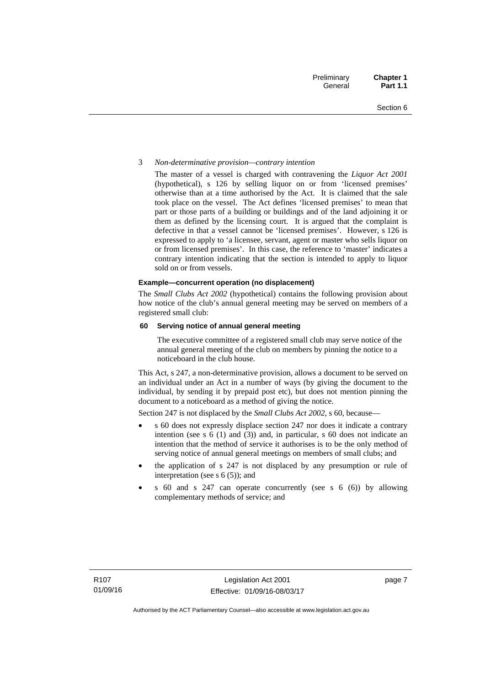#### 3 *Non-determinative provision—contrary intention*

The master of a vessel is charged with contravening the *Liquor Act 2001* (hypothetical), s 126 by selling liquor on or from 'licensed premises' otherwise than at a time authorised by the Act. It is claimed that the sale took place on the vessel. The Act defines 'licensed premises' to mean that part or those parts of a building or buildings and of the land adjoining it or them as defined by the licensing court. It is argued that the complaint is defective in that a vessel cannot be 'licensed premises'. However, s 126 is expressed to apply to 'a licensee, servant, agent or master who sells liquor on or from licensed premises'. In this case, the reference to 'master' indicates a contrary intention indicating that the section is intended to apply to liquor sold on or from vessels.

#### **Example—concurrent operation (no displacement)**

The *Small Clubs Act 2002* (hypothetical) contains the following provision about how notice of the club's annual general meeting may be served on members of a registered small club:

#### **60 Serving notice of annual general meeting**

The executive committee of a registered small club may serve notice of the annual general meeting of the club on members by pinning the notice to a noticeboard in the club house.

This Act, s 247, a non-determinative provision, allows a document to be served on an individual under an Act in a number of ways (by giving the document to the individual, by sending it by prepaid post etc), but does not mention pinning the document to a noticeboard as a method of giving the notice.

Section 247 is not displaced by the *Small Clubs Act 2002*, s 60, because—

- s 60 does not expressly displace section 247 nor does it indicate a contrary intention (see s 6 (1) and (3)) and, in particular, s 60 does not indicate an intention that the method of service it authorises is to be the only method of serving notice of annual general meetings on members of small clubs; and
- the application of s 247 is not displaced by any presumption or rule of interpretation (see s  $6(5)$ ); and
- s 60 and s 247 can operate concurrently (see s 6 (6)) by allowing complementary methods of service; and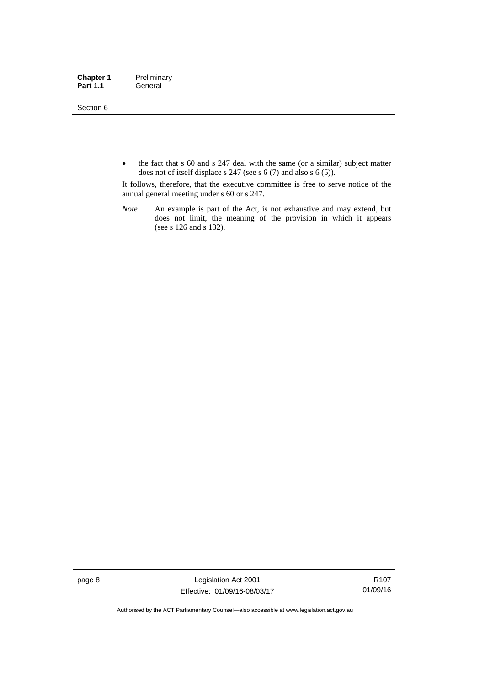Section 6

• the fact that s 60 and s 247 deal with the same (or a similar) subject matter does not of itself displace s 247 (see s 6 (7) and also s 6 (5)).

It follows, therefore, that the executive committee is free to serve notice of the annual general meeting under s 60 or s 247.

*Note* An example is part of the Act, is not exhaustive and may extend, but does not limit, the meaning of the provision in which it appears (see s 126 and s 132).

page 8 Legislation Act 2001 Effective: 01/09/16-08/03/17

R107 01/09/16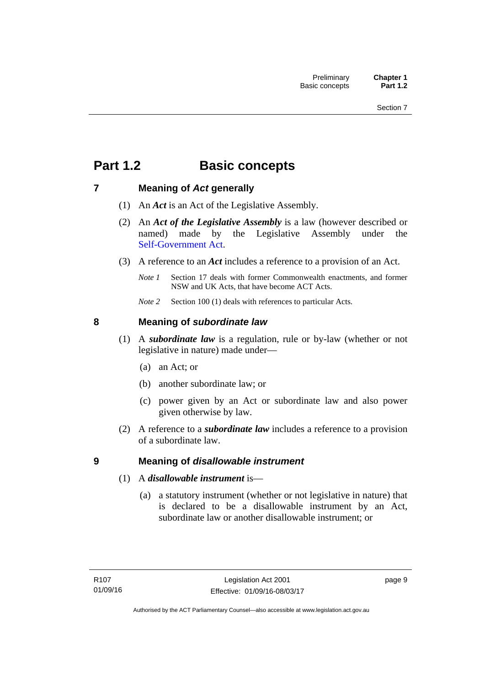## <span id="page-24-0"></span>**Part 1.2 Basic concepts**

### <span id="page-24-1"></span>**7 Meaning of** *Act* **generally**

- (1) An *Act* is an Act of the Legislative Assembly.
- (2) An *Act of the Legislative Assembly* is a law (however described or named) made by the Legislative Assembly under the [Self-Government Act.](http://www.comlaw.gov.au/Series/C2004A03699)
- (3) A reference to an *Act* includes a reference to a provision of an Act.
	- *Note 1* Section 17 deals with former Commonwealth enactments, and former NSW and UK Acts, that have become ACT Acts.
	- *Note 2* Section 100 (1) deals with references to particular Acts.

### <span id="page-24-2"></span>**8 Meaning of** *subordinate law*

- (1) A *subordinate law* is a regulation, rule or by-law (whether or not legislative in nature) made under—
	- (a) an Act; or
	- (b) another subordinate law; or
	- (c) power given by an Act or subordinate law and also power given otherwise by law.
- (2) A reference to a *subordinate law* includes a reference to a provision of a subordinate law.

### <span id="page-24-3"></span>**9 Meaning of** *disallowable instrument*

- (1) A *disallowable instrument* is—
	- (a) a statutory instrument (whether or not legislative in nature) that is declared to be a disallowable instrument by an Act, subordinate law or another disallowable instrument; or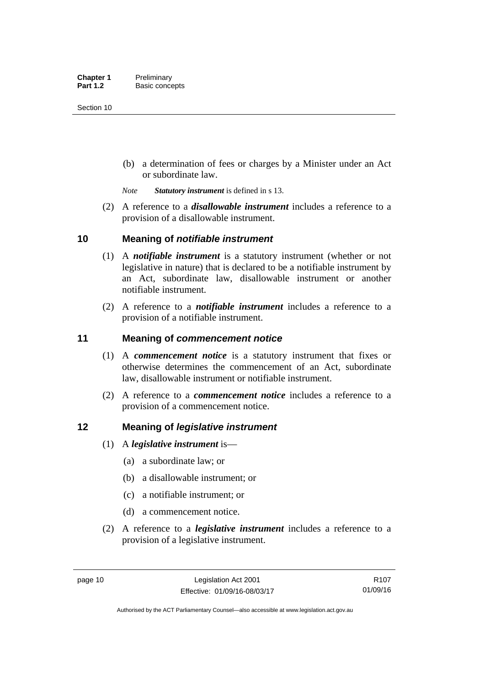(b) a determination of fees or charges by a Minister under an Act or subordinate law.

*Note Statutory instrument* is defined in s 13.

 (2) A reference to a *disallowable instrument* includes a reference to a provision of a disallowable instrument.

### <span id="page-25-0"></span>**10 Meaning of** *notifiable instrument*

- (1) A *notifiable instrument* is a statutory instrument (whether or not legislative in nature) that is declared to be a notifiable instrument by an Act, subordinate law, disallowable instrument or another notifiable instrument.
- (2) A reference to a *notifiable instrument* includes a reference to a provision of a notifiable instrument.

### <span id="page-25-1"></span>**11 Meaning of** *commencement notice*

- (1) A *commencement notice* is a statutory instrument that fixes or otherwise determines the commencement of an Act, subordinate law, disallowable instrument or notifiable instrument.
- (2) A reference to a *commencement notice* includes a reference to a provision of a commencement notice.

### <span id="page-25-2"></span>**12 Meaning of** *legislative instrument*

- (1) A *legislative instrument* is—
	- (a) a subordinate law; or
	- (b) a disallowable instrument; or
	- (c) a notifiable instrument; or
	- (d) a commencement notice.
- (2) A reference to a *legislative instrument* includes a reference to a provision of a legislative instrument.

R107 01/09/16

Authorised by the ACT Parliamentary Counsel—also accessible at www.legislation.act.gov.au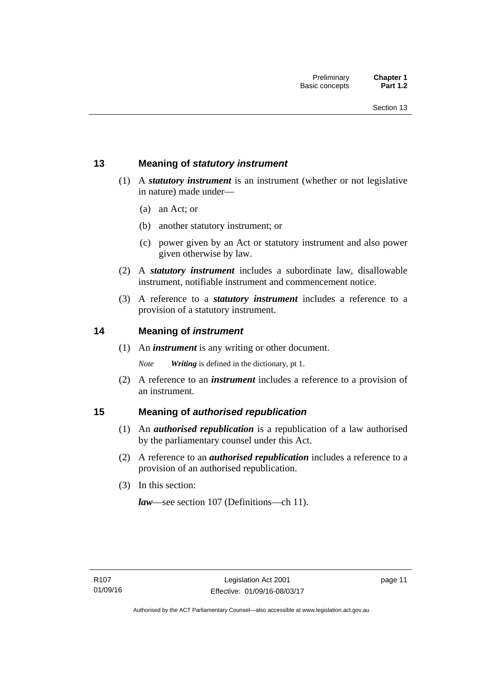### <span id="page-26-0"></span>**13 Meaning of** *statutory instrument*

- (1) A *statutory instrument* is an instrument (whether or not legislative in nature) made under—
	- (a) an Act; or
	- (b) another statutory instrument; or
	- (c) power given by an Act or statutory instrument and also power given otherwise by law.
- (2) A *statutory instrument* includes a subordinate law, disallowable instrument, notifiable instrument and commencement notice.
- (3) A reference to a *statutory instrument* includes a reference to a provision of a statutory instrument.

### <span id="page-26-1"></span>**14 Meaning of** *instrument*

(1) An *instrument* is any writing or other document.

*Note Writing* is defined in the dictionary, pt 1.

 (2) A reference to an *instrument* includes a reference to a provision of an instrument.

### <span id="page-26-2"></span>**15 Meaning of** *authorised republication*

- (1) An *authorised republication* is a republication of a law authorised by the parliamentary counsel under this Act.
- (2) A reference to an *authorised republication* includes a reference to a provision of an authorised republication.
- (3) In this section:

*law*—see section 107 (Definitions—ch 11).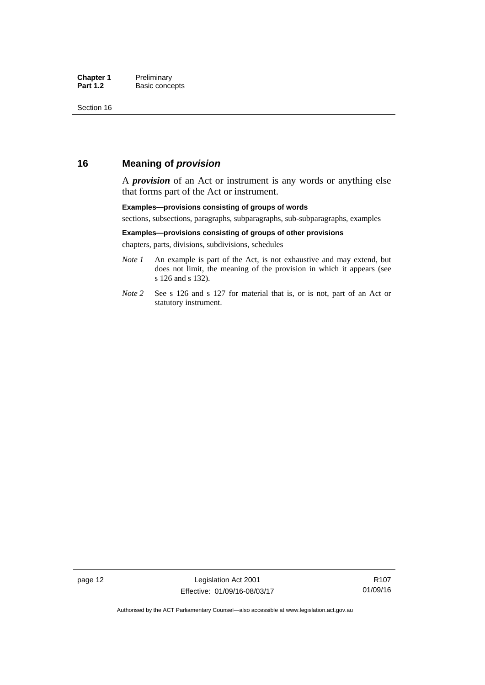### <span id="page-27-0"></span>**16 Meaning of** *provision*

A *provision* of an Act or instrument is any words or anything else that forms part of the Act or instrument.

#### **Examples—provisions consisting of groups of words**

sections, subsections, paragraphs, subparagraphs, sub-subparagraphs, examples

#### **Examples—provisions consisting of groups of other provisions**

chapters, parts, divisions, subdivisions, schedules

- *Note 1* An example is part of the Act, is not exhaustive and may extend, but does not limit, the meaning of the provision in which it appears (see s 126 and s 132).
- *Note 2* See s 126 and s 127 for material that is, or is not, part of an Act or statutory instrument.

page 12 Legislation Act 2001 Effective: 01/09/16-08/03/17

R107 01/09/16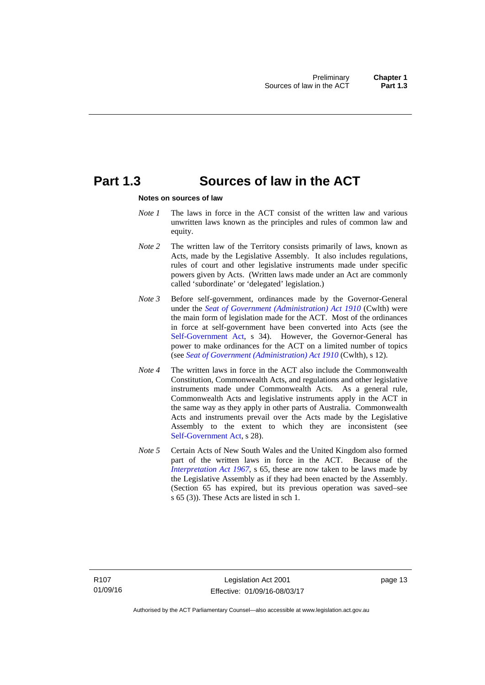## <span id="page-28-0"></span>**Part 1.3 Sources of law in the ACT**

#### **Notes on sources of law**

- *Note 1* The laws in force in the ACT consist of the written law and various unwritten laws known as the principles and rules of common law and equity.
- *Note* 2 The written law of the Territory consists primarily of laws, known as Acts, made by the Legislative Assembly. It also includes regulations, rules of court and other legislative instruments made under specific powers given by Acts. (Written laws made under an Act are commonly called 'subordinate' or 'delegated' legislation.)
- *Note 3* Before self-government, ordinances made by the Governor-General under the *[Seat of Government \(Administration\) Act 1910](http://www.comlaw.gov.au/Series/C2004A07446)* (Cwlth) were the main form of legislation made for the ACT. Most of the ordinances in force at self-government have been converted into Acts (see the [Self-Government Act,](http://www.comlaw.gov.au/Series/C2004A03699) s 34). However, the Governor-General has power to make ordinances for the ACT on a limited number of topics (see *[Seat of Government \(Administration\) Act 1910](http://www.comlaw.gov.au/Series/C2004A07446)* (Cwlth), s 12).
- *Note 4* The written laws in force in the ACT also include the Commonwealth Constitution, Commonwealth Acts, and regulations and other legislative instruments made under Commonwealth Acts. As a general rule, Commonwealth Acts and legislative instruments apply in the ACT in the same way as they apply in other parts of Australia. Commonwealth Acts and instruments prevail over the Acts made by the Legislative Assembly to the extent to which they are inconsistent (see [Self-Government Act](http://www.comlaw.gov.au/Series/C2004A03699), s 28).
- *Note 5* Certain Acts of New South Wales and the United Kingdom also formed part of the written laws in force in the ACT. Because of the *[Interpretation Act 1967](http://www.legislation.act.gov.au/a/1967-48)*, s 65, these are now taken to be laws made by the Legislative Assembly as if they had been enacted by the Assembly. (Section 65 has expired, but its previous operation was saved–see s 65 (3)). These Acts are listed in sch 1.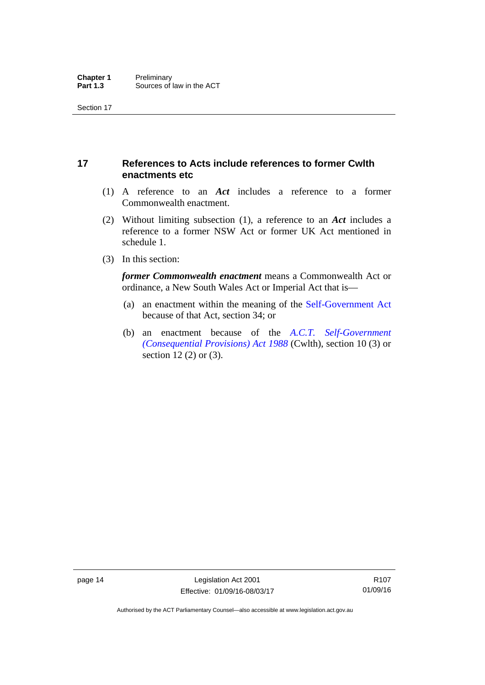### <span id="page-29-0"></span>**17 References to Acts include references to former Cwlth enactments etc**

- (1) A reference to an *Act* includes a reference to a former Commonwealth enactment.
- (2) Without limiting subsection (1), a reference to an *Act* includes a reference to a former NSW Act or former UK Act mentioned in schedule 1.
- (3) In this section:

*former Commonwealth enactment* means a Commonwealth Act or ordinance, a New South Wales Act or Imperial Act that is—

- (a) an enactment within the meaning of the [Self-Government Act](http://www.comlaw.gov.au/Series/C2004A03699) because of that Act, section 34; or
- (b) an enactment because of the *[A.C.T. Self-Government](http://www.comlaw.gov.au/Series/C2004A03702)  [\(Consequential Provisions\) Act 1988](http://www.comlaw.gov.au/Series/C2004A03702)* (Cwlth), section 10 (3) or section 12 (2) or (3).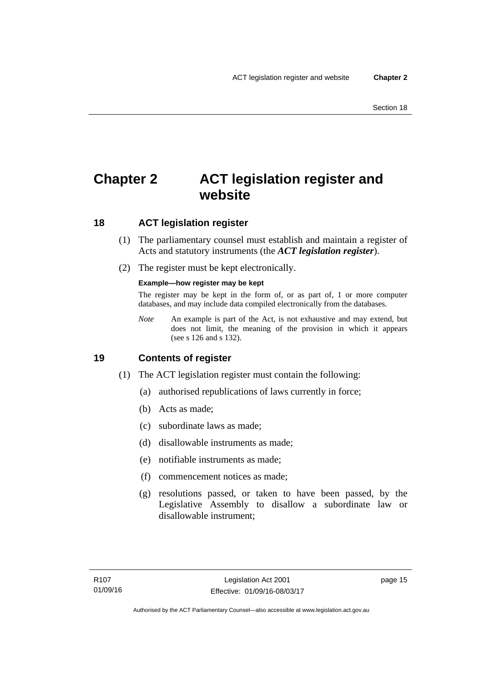## <span id="page-30-0"></span>**Chapter 2 ACT legislation register and website**

### <span id="page-30-1"></span>**18 ACT legislation register**

- (1) The parliamentary counsel must establish and maintain a register of Acts and statutory instruments (the *ACT legislation register*).
- (2) The register must be kept electronically.

### **Example—how register may be kept**

The register may be kept in the form of, or as part of, 1 or more computer databases, and may include data compiled electronically from the databases.

*Note* An example is part of the Act, is not exhaustive and may extend, but does not limit, the meaning of the provision in which it appears (see s 126 and s 132).

### <span id="page-30-2"></span>**19 Contents of register**

- (1) The ACT legislation register must contain the following:
	- (a) authorised republications of laws currently in force;
	- (b) Acts as made;
	- (c) subordinate laws as made;
	- (d) disallowable instruments as made;
	- (e) notifiable instruments as made;
	- (f) commencement notices as made;
	- (g) resolutions passed, or taken to have been passed, by the Legislative Assembly to disallow a subordinate law or disallowable instrument;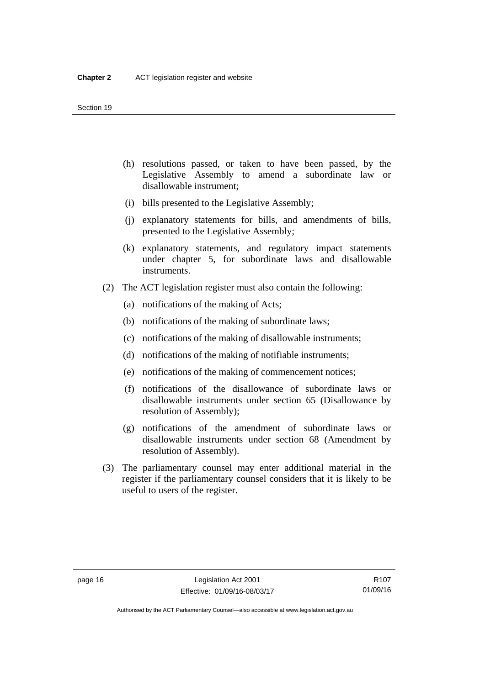- (h) resolutions passed, or taken to have been passed, by the Legislative Assembly to amend a subordinate law or disallowable instrument;
- (i) bills presented to the Legislative Assembly;
- (j) explanatory statements for bills, and amendments of bills, presented to the Legislative Assembly;
- (k) explanatory statements, and regulatory impact statements under chapter 5, for subordinate laws and disallowable instruments.
- (2) The ACT legislation register must also contain the following:
	- (a) notifications of the making of Acts;
	- (b) notifications of the making of subordinate laws;
	- (c) notifications of the making of disallowable instruments;
	- (d) notifications of the making of notifiable instruments;
	- (e) notifications of the making of commencement notices;
	- (f) notifications of the disallowance of subordinate laws or disallowable instruments under section 65 (Disallowance by resolution of Assembly);
	- (g) notifications of the amendment of subordinate laws or disallowable instruments under section 68 (Amendment by resolution of Assembly).
- (3) The parliamentary counsel may enter additional material in the register if the parliamentary counsel considers that it is likely to be useful to users of the register.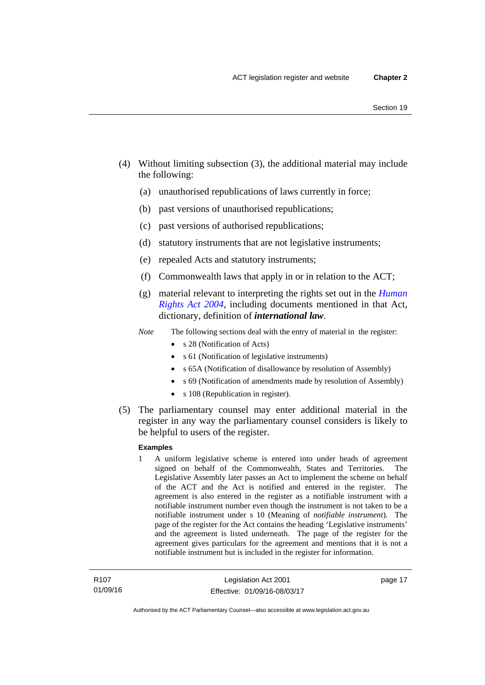- (4) Without limiting subsection (3), the additional material may include the following:
	- (a) unauthorised republications of laws currently in force;
	- (b) past versions of unauthorised republications;
	- (c) past versions of authorised republications;
	- (d) statutory instruments that are not legislative instruments;
	- (e) repealed Acts and statutory instruments;
	- (f) Commonwealth laws that apply in or in relation to the ACT;
	- (g) material relevant to interpreting the rights set out in the *[Human](http://www.legislation.act.gov.au/a/2004-5)  [Rights Act 2004](http://www.legislation.act.gov.au/a/2004-5)*, including documents mentioned in that Act, dictionary, definition of *international law*.
	- *Note* The following sections deal with the entry of material in the register:
		- s 28 (Notification of Acts)
		- s 61 (Notification of legislative instruments)
		- s 65A (Notification of disallowance by resolution of Assembly)
		- s 69 (Notification of amendments made by resolution of Assembly)
		- s 108 (Republication in register).
- (5) The parliamentary counsel may enter additional material in the register in any way the parliamentary counsel considers is likely to be helpful to users of the register.

#### **Examples**

1 A uniform legislative scheme is entered into under heads of agreement signed on behalf of the Commonwealth, States and Territories. The Legislative Assembly later passes an Act to implement the scheme on behalf of the ACT and the Act is notified and entered in the register. The agreement is also entered in the register as a notifiable instrument with a notifiable instrument number even though the instrument is not taken to be a notifiable instrument under s 10 (Meaning of *notifiable instrument*). The page of the register for the Act contains the heading 'Legislative instruments' and the agreement is listed underneath. The page of the register for the agreement gives particulars for the agreement and mentions that it is not a notifiable instrument but is included in the register for information.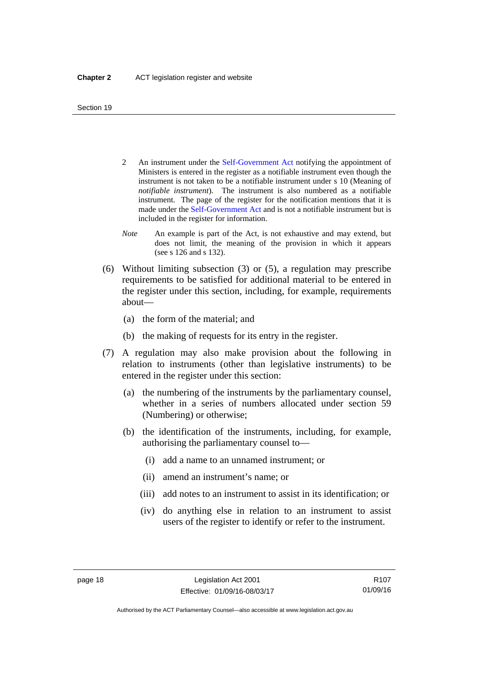- 2 An instrument under the [Self-Government Act](http://www.comlaw.gov.au/Series/C2004A03699) notifying the appointment of Ministers is entered in the register as a notifiable instrument even though the instrument is not taken to be a notifiable instrument under s 10 (Meaning of *notifiable instrument*). The instrument is also numbered as a notifiable instrument. The page of the register for the notification mentions that it is made under the [Self-Government Act](http://www.comlaw.gov.au/Series/C2004A03699) and is not a notifiable instrument but is included in the register for information.
- *Note* An example is part of the Act, is not exhaustive and may extend, but does not limit, the meaning of the provision in which it appears (see s 126 and s 132).
- (6) Without limiting subsection (3) or (5), a regulation may prescribe requirements to be satisfied for additional material to be entered in the register under this section, including, for example, requirements about—
	- (a) the form of the material; and
	- (b) the making of requests for its entry in the register.
- (7) A regulation may also make provision about the following in relation to instruments (other than legislative instruments) to be entered in the register under this section:
	- (a) the numbering of the instruments by the parliamentary counsel, whether in a series of numbers allocated under section 59 (Numbering) or otherwise;
	- (b) the identification of the instruments, including, for example, authorising the parliamentary counsel to—
		- (i) add a name to an unnamed instrument; or
		- (ii) amend an instrument's name; or
		- (iii) add notes to an instrument to assist in its identification; or
		- (iv) do anything else in relation to an instrument to assist users of the register to identify or refer to the instrument.

R107 01/09/16

Authorised by the ACT Parliamentary Counsel—also accessible at www.legislation.act.gov.au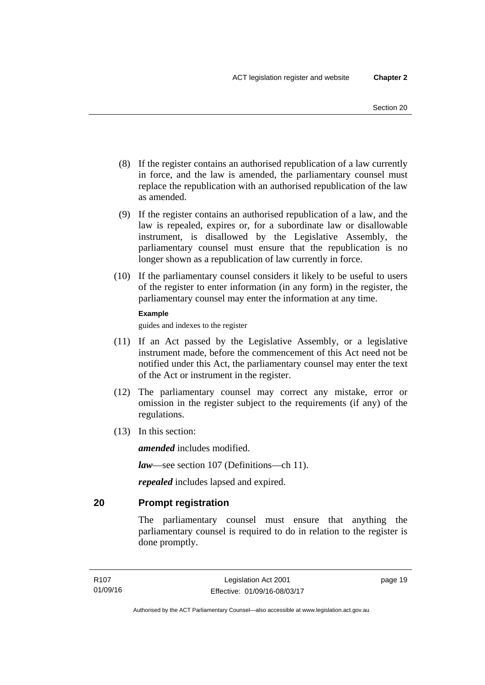- (8) If the register contains an authorised republication of a law currently in force, and the law is amended, the parliamentary counsel must replace the republication with an authorised republication of the law as amended.
- (9) If the register contains an authorised republication of a law, and the law is repealed, expires or, for a subordinate law or disallowable instrument, is disallowed by the Legislative Assembly, the parliamentary counsel must ensure that the republication is no longer shown as a republication of law currently in force.
- (10) If the parliamentary counsel considers it likely to be useful to users of the register to enter information (in any form) in the register, the parliamentary counsel may enter the information at any time.

#### **Example**

guides and indexes to the register

- (11) If an Act passed by the Legislative Assembly, or a legislative instrument made, before the commencement of this Act need not be notified under this Act, the parliamentary counsel may enter the text of the Act or instrument in the register.
- (12) The parliamentary counsel may correct any mistake, error or omission in the register subject to the requirements (if any) of the regulations.
- (13) In this section:

*amended* includes modified.

*law*—see section 107 (Definitions—ch 11).

*repealed* includes lapsed and expired.

### <span id="page-34-0"></span>**20 Prompt registration**

The parliamentary counsel must ensure that anything the parliamentary counsel is required to do in relation to the register is done promptly.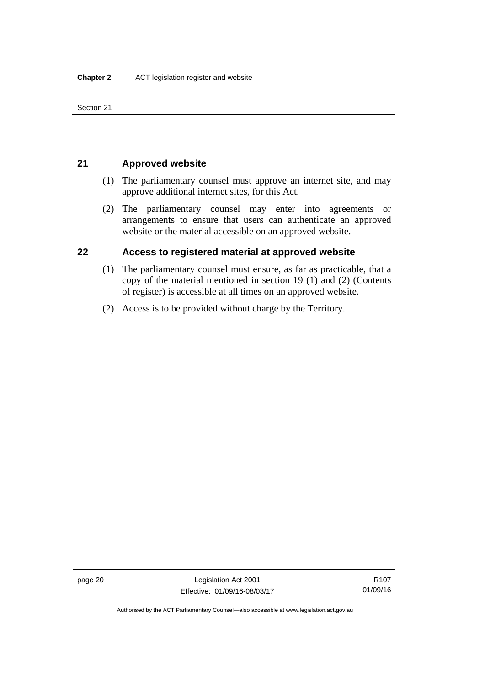Section 21

### <span id="page-35-0"></span>**21 Approved website**

- (1) The parliamentary counsel must approve an internet site, and may approve additional internet sites, for this Act.
- (2) The parliamentary counsel may enter into agreements or arrangements to ensure that users can authenticate an approved website or the material accessible on an approved website.

### <span id="page-35-1"></span>**22 Access to registered material at approved website**

- (1) The parliamentary counsel must ensure, as far as practicable, that a copy of the material mentioned in section 19 (1) and (2) (Contents of register) is accessible at all times on an approved website.
- (2) Access is to be provided without charge by the Territory.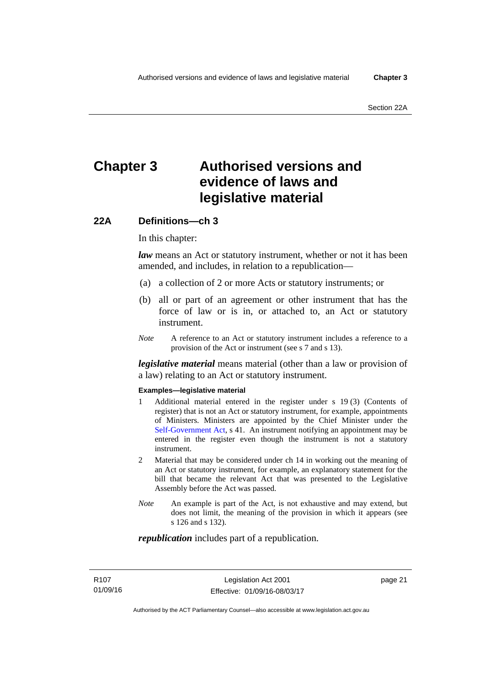# **Chapter 3 Authorised versions and evidence of laws and legislative material**

### **22A Definitions—ch 3**

In this chapter:

*law* means an Act or statutory instrument, whether or not it has been amended, and includes, in relation to a republication—

- (a) a collection of 2 or more Acts or statutory instruments; or
- (b) all or part of an agreement or other instrument that has the force of law or is in, or attached to, an Act or statutory instrument.
- *Note* A reference to an Act or statutory instrument includes a reference to a provision of the Act or instrument (see s 7 and s 13).

*legislative material* means material (other than a law or provision of a law) relating to an Act or statutory instrument.

#### **Examples—legislative material**

- 1 Additional material entered in the register under s 19 (3) (Contents of register) that is not an Act or statutory instrument, for example, appointments of Ministers. Ministers are appointed by the Chief Minister under the [Self-Government Act,](http://www.comlaw.gov.au/Series/C2004A03699) s 41. An instrument notifying an appointment may be entered in the register even though the instrument is not a statutory instrument.
- 2 Material that may be considered under ch 14 in working out the meaning of an Act or statutory instrument, for example, an explanatory statement for the bill that became the relevant Act that was presented to the Legislative Assembly before the Act was passed.
- *Note* An example is part of the Act, is not exhaustive and may extend, but does not limit, the meaning of the provision in which it appears (see s 126 and s 132).

#### *republication* includes part of a republication.

page 21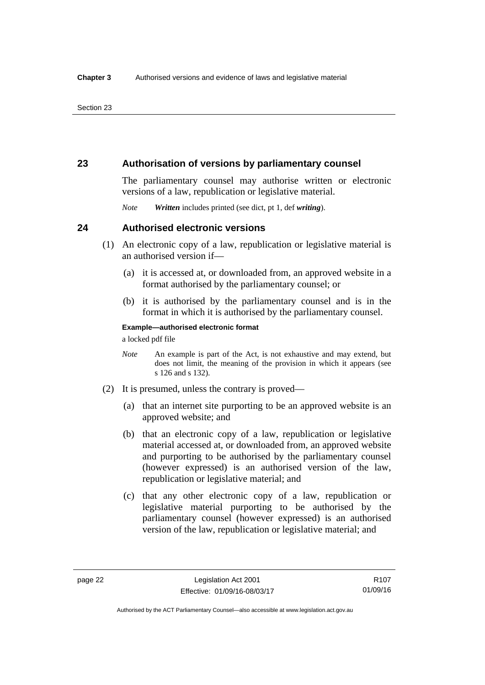### **23 Authorisation of versions by parliamentary counsel**

The parliamentary counsel may authorise written or electronic versions of a law, republication or legislative material.

*Note Written* includes printed (see dict, pt 1, def *writing*).

### **24 Authorised electronic versions**

- (1) An electronic copy of a law, republication or legislative material is an authorised version if—
	- (a) it is accessed at, or downloaded from, an approved website in a format authorised by the parliamentary counsel; or
	- (b) it is authorised by the parliamentary counsel and is in the format in which it is authorised by the parliamentary counsel.

**Example—authorised electronic format** 

a locked pdf file

- *Note* An example is part of the Act, is not exhaustive and may extend, but does not limit, the meaning of the provision in which it appears (see s 126 and s 132).
- (2) It is presumed, unless the contrary is proved—
	- (a) that an internet site purporting to be an approved website is an approved website; and
	- (b) that an electronic copy of a law, republication or legislative material accessed at, or downloaded from, an approved website and purporting to be authorised by the parliamentary counsel (however expressed) is an authorised version of the law, republication or legislative material; and
	- (c) that any other electronic copy of a law, republication or legislative material purporting to be authorised by the parliamentary counsel (however expressed) is an authorised version of the law, republication or legislative material; and

Authorised by the ACT Parliamentary Counsel—also accessible at www.legislation.act.gov.au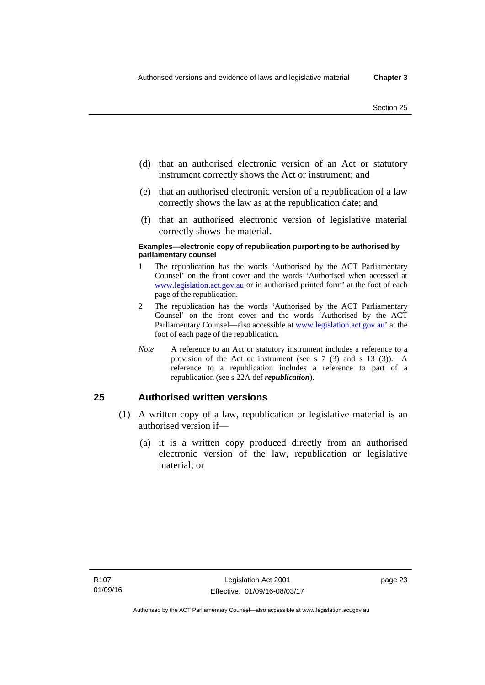- (d) that an authorised electronic version of an Act or statutory instrument correctly shows the Act or instrument; and
- (e) that an authorised electronic version of a republication of a law correctly shows the law as at the republication date; and
- (f) that an authorised electronic version of legislative material correctly shows the material.

#### **Examples—electronic copy of republication purporting to be authorised by parliamentary counsel**

- 1 The republication has the words 'Authorised by the ACT Parliamentary Counsel' on the front cover and the words 'Authorised when accessed at [www.legislation.act.gov.au](http://www.legislation.act.gov.au/) or in authorised printed form' at the foot of each page of the republication.
- 2 The republication has the words 'Authorised by the ACT Parliamentary Counsel' on the front cover and the words 'Authorised by the ACT Parliamentary Counsel—also accessible at [www.legislation.act.gov.au](http://www.legislation.act.gov.au/)' at the foot of each page of the republication.
- *Note* A reference to an Act or statutory instrument includes a reference to a provision of the Act or instrument (see s 7 (3) and s 13 (3)). A reference to a republication includes a reference to part of a republication (see s 22A def *republication*).

### **25 Authorised written versions**

- (1) A written copy of a law, republication or legislative material is an authorised version if—
	- (a) it is a written copy produced directly from an authorised electronic version of the law, republication or legislative material; or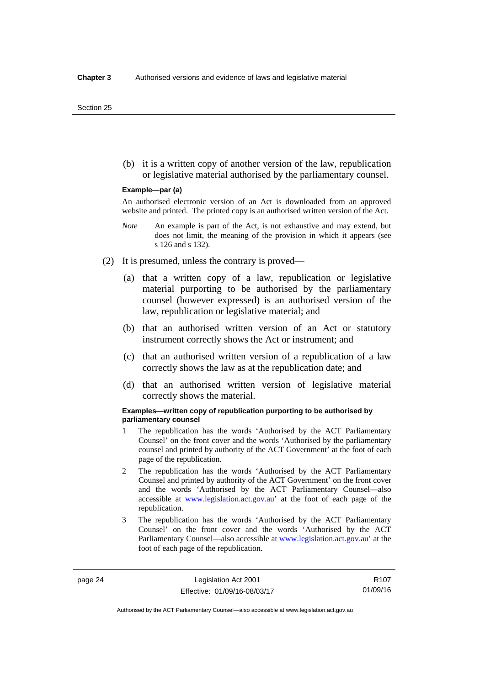(b) it is a written copy of another version of the law, republication or legislative material authorised by the parliamentary counsel.

#### **Example—par (a)**

An authorised electronic version of an Act is downloaded from an approved website and printed. The printed copy is an authorised written version of the Act.

- *Note* An example is part of the Act, is not exhaustive and may extend, but does not limit, the meaning of the provision in which it appears (see s 126 and s 132).
- (2) It is presumed, unless the contrary is proved—
	- (a) that a written copy of a law, republication or legislative material purporting to be authorised by the parliamentary counsel (however expressed) is an authorised version of the law, republication or legislative material; and
	- (b) that an authorised written version of an Act or statutory instrument correctly shows the Act or instrument; and
	- (c) that an authorised written version of a republication of a law correctly shows the law as at the republication date; and
	- (d) that an authorised written version of legislative material correctly shows the material.

#### **Examples—written copy of republication purporting to be authorised by parliamentary counsel**

- 1 The republication has the words 'Authorised by the ACT Parliamentary Counsel' on the front cover and the words 'Authorised by the parliamentary counsel and printed by authority of the ACT Government' at the foot of each page of the republication.
- 2 The republication has the words 'Authorised by the ACT Parliamentary Counsel and printed by authority of the ACT Government' on the front cover and the words 'Authorised by the ACT Parliamentary Counsel—also accessible at [www.legislation.act.gov.au'](http://www.legislation.act.gov.au/) at the foot of each page of the republication.
- 3 The republication has the words 'Authorised by the ACT Parliamentary Counsel' on the front cover and the words 'Authorised by the ACT Parliamentary Counsel—also accessible at [www.legislation.act.gov.au](http://www.legislation.act.gov.au/)' at the foot of each page of the republication.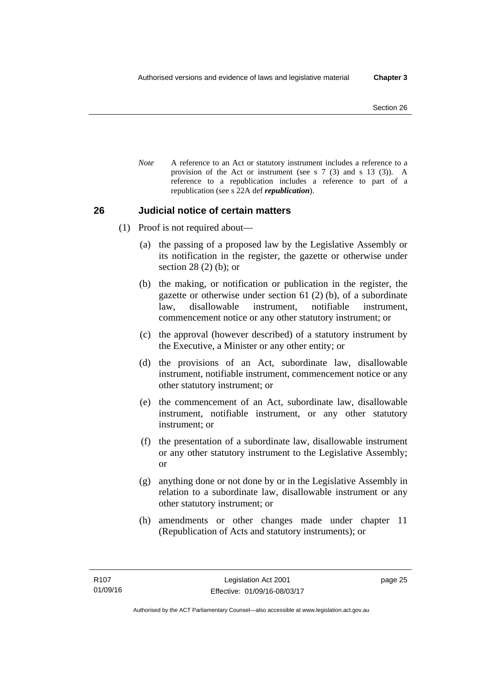*Note* A reference to an Act or statutory instrument includes a reference to a provision of the Act or instrument (see s 7 (3) and s 13 (3)). A reference to a republication includes a reference to part of a republication (see s 22A def *republication*).

### **26 Judicial notice of certain matters**

- (1) Proof is not required about—
	- (a) the passing of a proposed law by the Legislative Assembly or its notification in the register, the gazette or otherwise under section 28 (2) (b); or
	- (b) the making, or notification or publication in the register, the gazette or otherwise under section 61 (2) (b), of a subordinate law, disallowable instrument, notifiable instrument, commencement notice or any other statutory instrument; or
	- (c) the approval (however described) of a statutory instrument by the Executive, a Minister or any other entity; or
	- (d) the provisions of an Act, subordinate law, disallowable instrument, notifiable instrument, commencement notice or any other statutory instrument; or
	- (e) the commencement of an Act, subordinate law, disallowable instrument, notifiable instrument, or any other statutory instrument; or
	- (f) the presentation of a subordinate law, disallowable instrument or any other statutory instrument to the Legislative Assembly; or
	- (g) anything done or not done by or in the Legislative Assembly in relation to a subordinate law, disallowable instrument or any other statutory instrument; or
	- (h) amendments or other changes made under chapter 11 (Republication of Acts and statutory instruments); or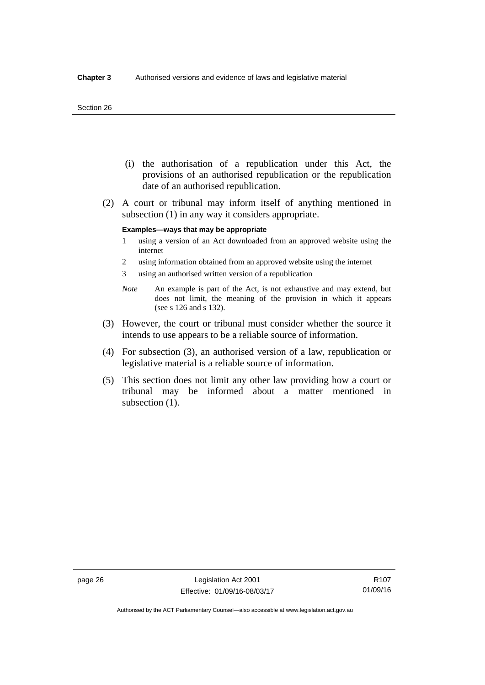#### Section 26

- (i) the authorisation of a republication under this Act, the provisions of an authorised republication or the republication date of an authorised republication.
- (2) A court or tribunal may inform itself of anything mentioned in subsection (1) in any way it considers appropriate.

### **Examples—ways that may be appropriate**

- 1 using a version of an Act downloaded from an approved website using the internet
- 2 using information obtained from an approved website using the internet
- 3 using an authorised written version of a republication
- *Note* An example is part of the Act, is not exhaustive and may extend, but does not limit, the meaning of the provision in which it appears (see s 126 and s 132).
- (3) However, the court or tribunal must consider whether the source it intends to use appears to be a reliable source of information.
- (4) For subsection (3), an authorised version of a law, republication or legislative material is a reliable source of information.
- (5) This section does not limit any other law providing how a court or tribunal may be informed about a matter mentioned in subsection  $(1)$ .

Authorised by the ACT Parliamentary Counsel—also accessible at www.legislation.act.gov.au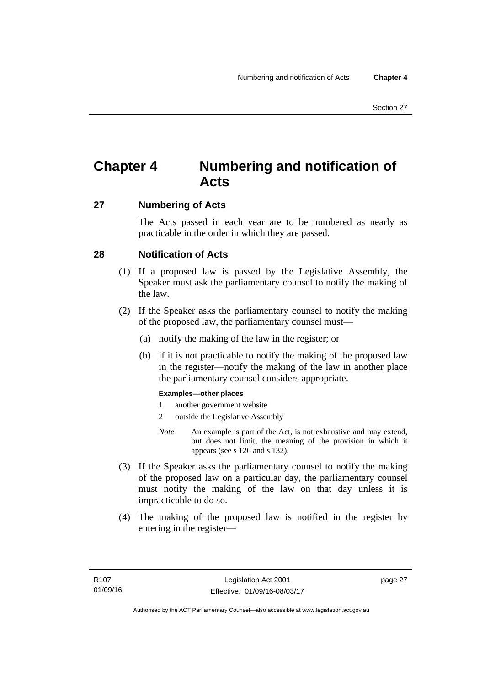# **Chapter 4 Numbering and notification of Acts**

### **27 Numbering of Acts**

The Acts passed in each year are to be numbered as nearly as practicable in the order in which they are passed.

### **28 Notification of Acts**

- (1) If a proposed law is passed by the Legislative Assembly, the Speaker must ask the parliamentary counsel to notify the making of the law.
- (2) If the Speaker asks the parliamentary counsel to notify the making of the proposed law, the parliamentary counsel must—
	- (a) notify the making of the law in the register; or
	- (b) if it is not practicable to notify the making of the proposed law in the register—notify the making of the law in another place the parliamentary counsel considers appropriate.

### **Examples—other places**

- 1 another government website
- 2 outside the Legislative Assembly
- *Note* An example is part of the Act, is not exhaustive and may extend, but does not limit, the meaning of the provision in which it appears (see s 126 and s 132).
- (3) If the Speaker asks the parliamentary counsel to notify the making of the proposed law on a particular day, the parliamentary counsel must notify the making of the law on that day unless it is impracticable to do so.
- (4) The making of the proposed law is notified in the register by entering in the register—

page 27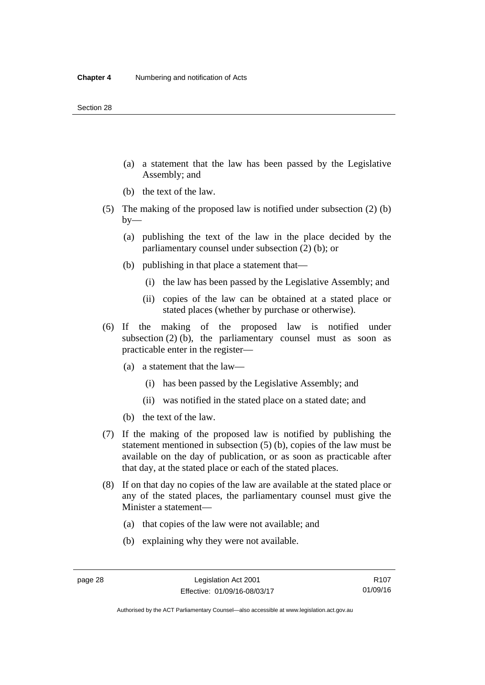- (a) a statement that the law has been passed by the Legislative Assembly; and
- (b) the text of the law.
- (5) The making of the proposed law is notified under subsection (2) (b)  $by-$ 
	- (a) publishing the text of the law in the place decided by the parliamentary counsel under subsection (2) (b); or
	- (b) publishing in that place a statement that—
		- (i) the law has been passed by the Legislative Assembly; and
		- (ii) copies of the law can be obtained at a stated place or stated places (whether by purchase or otherwise).
- (6) If the making of the proposed law is notified under subsection  $(2)$  (b), the parliamentary counsel must as soon as practicable enter in the register—
	- (a) a statement that the law—
		- (i) has been passed by the Legislative Assembly; and
		- (ii) was notified in the stated place on a stated date; and
	- (b) the text of the law.
- (7) If the making of the proposed law is notified by publishing the statement mentioned in subsection (5) (b), copies of the law must be available on the day of publication, or as soon as practicable after that day, at the stated place or each of the stated places.
- (8) If on that day no copies of the law are available at the stated place or any of the stated places, the parliamentary counsel must give the Minister a statement—
	- (a) that copies of the law were not available; and
	- (b) explaining why they were not available.

Authorised by the ACT Parliamentary Counsel—also accessible at www.legislation.act.gov.au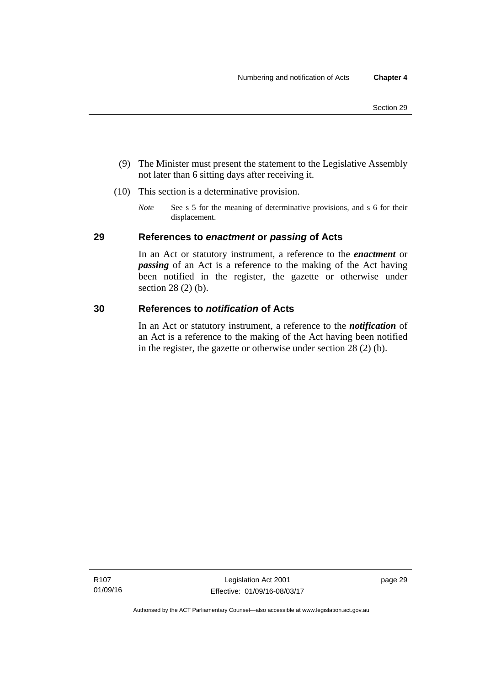- (9) The Minister must present the statement to the Legislative Assembly not later than 6 sitting days after receiving it.
- (10) This section is a determinative provision.
	- *Note* See s 5 for the meaning of determinative provisions, and s 6 for their displacement.

### **29 References to** *enactment* **or** *passing* **of Acts**

In an Act or statutory instrument, a reference to the *enactment* or *passing* of an Act is a reference to the making of the Act having been notified in the register, the gazette or otherwise under section 28 (2) (b).

### **30 References to** *notification* **of Acts**

In an Act or statutory instrument, a reference to the *notification* of an Act is a reference to the making of the Act having been notified in the register, the gazette or otherwise under section 28 (2) (b).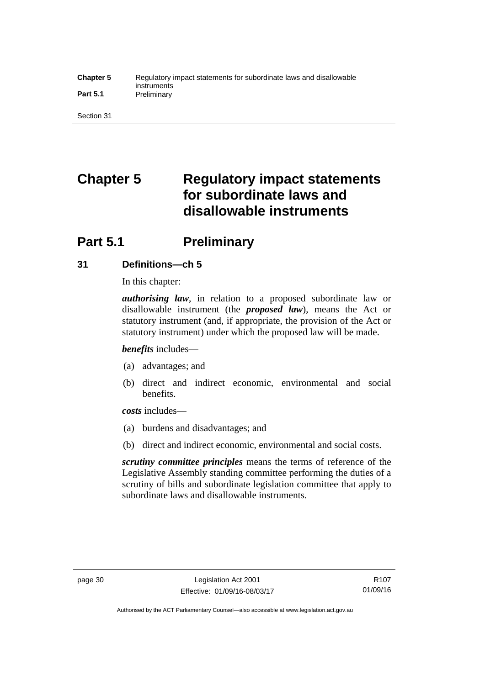### **Chapter 5** Regulatory impact statements for subordinate laws and disallowable instruments Part 5.1 **Preliminary**

Section 31

# **Chapter 5 Regulatory impact statements for subordinate laws and disallowable instruments**

# **Part 5.1** Preliminary

### **31 Definitions—ch 5**

In this chapter:

*authorising law*, in relation to a proposed subordinate law or disallowable instrument (the *proposed law*), means the Act or statutory instrument (and, if appropriate, the provision of the Act or statutory instrument) under which the proposed law will be made.

*benefits* includes—

- (a) advantages; and
- (b) direct and indirect economic, environmental and social benefits.

*costs* includes—

- (a) burdens and disadvantages; and
- (b) direct and indirect economic, environmental and social costs.

*scrutiny committee principles* means the terms of reference of the Legislative Assembly standing committee performing the duties of a scrutiny of bills and subordinate legislation committee that apply to subordinate laws and disallowable instruments.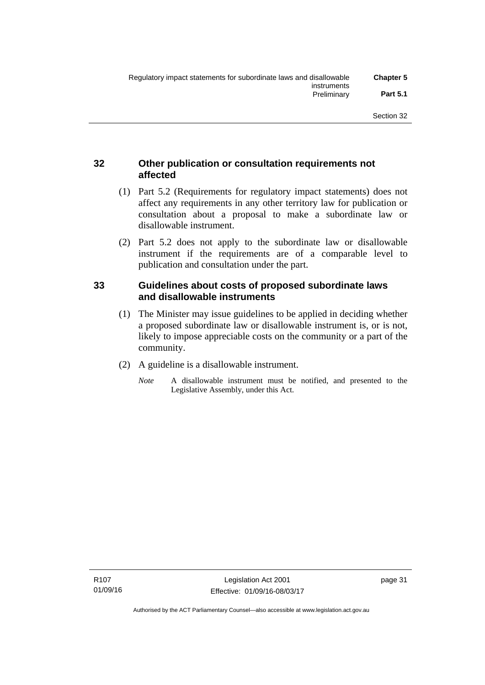## **32 Other publication or consultation requirements not affected**

- (1) Part 5.2 (Requirements for regulatory impact statements) does not affect any requirements in any other territory law for publication or consultation about a proposal to make a subordinate law or disallowable instrument.
- (2) Part 5.2 does not apply to the subordinate law or disallowable instrument if the requirements are of a comparable level to publication and consultation under the part.

### **33 Guidelines about costs of proposed subordinate laws and disallowable instruments**

- (1) The Minister may issue guidelines to be applied in deciding whether a proposed subordinate law or disallowable instrument is, or is not, likely to impose appreciable costs on the community or a part of the community.
- (2) A guideline is a disallowable instrument.
	- *Note* A disallowable instrument must be notified, and presented to the Legislative Assembly, under this Act.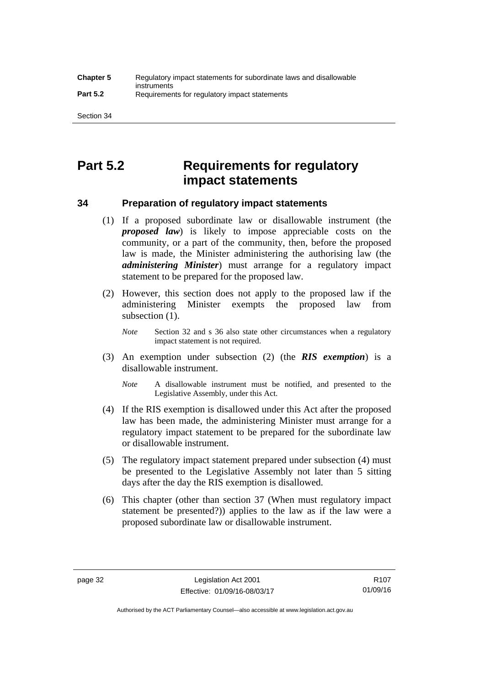# **Part 5.2 Requirements for regulatory impact statements**

### **34 Preparation of regulatory impact statements**

- (1) If a proposed subordinate law or disallowable instrument (the *proposed law*) is likely to impose appreciable costs on the community, or a part of the community, then, before the proposed law is made, the Minister administering the authorising law (the *administering Minister*) must arrange for a regulatory impact statement to be prepared for the proposed law.
- (2) However, this section does not apply to the proposed law if the administering Minister exempts the proposed law from subsection  $(1)$ .

*Note* Section 32 and s 36 also state other circumstances when a regulatory impact statement is not required.

- (3) An exemption under subsection (2) (the *RIS exemption*) is a disallowable instrument.
	- *Note* A disallowable instrument must be notified, and presented to the Legislative Assembly, under this Act.
- (4) If the RIS exemption is disallowed under this Act after the proposed law has been made, the administering Minister must arrange for a regulatory impact statement to be prepared for the subordinate law or disallowable instrument.
- (5) The regulatory impact statement prepared under subsection (4) must be presented to the Legislative Assembly not later than 5 sitting days after the day the RIS exemption is disallowed.
- (6) This chapter (other than section 37 (When must regulatory impact statement be presented?)) applies to the law as if the law were a proposed subordinate law or disallowable instrument.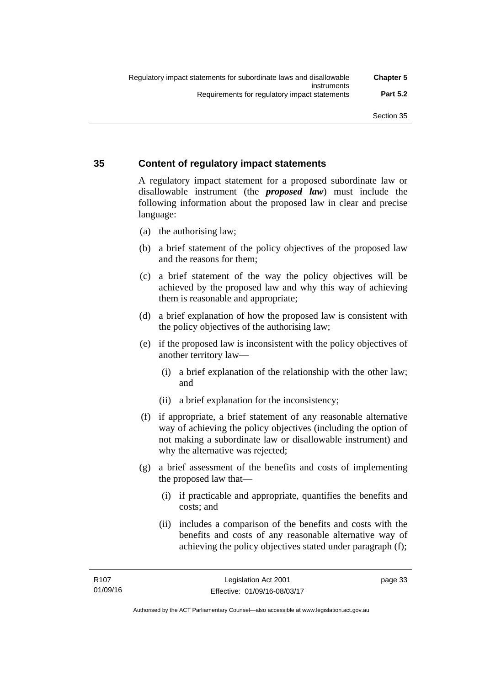### **35 Content of regulatory impact statements**

A regulatory impact statement for a proposed subordinate law or disallowable instrument (the *proposed law*) must include the following information about the proposed law in clear and precise language:

- (a) the authorising law;
- (b) a brief statement of the policy objectives of the proposed law and the reasons for them;
- (c) a brief statement of the way the policy objectives will be achieved by the proposed law and why this way of achieving them is reasonable and appropriate;
- (d) a brief explanation of how the proposed law is consistent with the policy objectives of the authorising law;
- (e) if the proposed law is inconsistent with the policy objectives of another territory law—
	- (i) a brief explanation of the relationship with the other law; and
	- (ii) a brief explanation for the inconsistency;
- (f) if appropriate, a brief statement of any reasonable alternative way of achieving the policy objectives (including the option of not making a subordinate law or disallowable instrument) and why the alternative was rejected;
- (g) a brief assessment of the benefits and costs of implementing the proposed law that—
	- (i) if practicable and appropriate, quantifies the benefits and costs; and
	- (ii) includes a comparison of the benefits and costs with the benefits and costs of any reasonable alternative way of achieving the policy objectives stated under paragraph (f);

page 33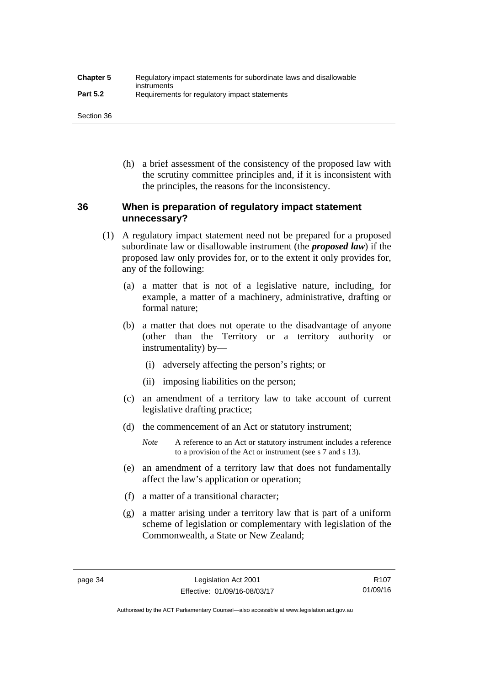| <b>Chapter 5</b> | Regulatory impact statements for subordinate laws and disallowable |
|------------------|--------------------------------------------------------------------|
| <b>Part 5.2</b>  | instruments<br>Requirements for regulatory impact statements       |

Section 36

 (h) a brief assessment of the consistency of the proposed law with the scrutiny committee principles and, if it is inconsistent with the principles, the reasons for the inconsistency.

### **36 When is preparation of regulatory impact statement unnecessary?**

- (1) A regulatory impact statement need not be prepared for a proposed subordinate law or disallowable instrument (the *proposed law*) if the proposed law only provides for, or to the extent it only provides for, any of the following:
	- (a) a matter that is not of a legislative nature, including, for example, a matter of a machinery, administrative, drafting or formal nature;
	- (b) a matter that does not operate to the disadvantage of anyone (other than the Territory or a territory authority or instrumentality) by—
		- (i) adversely affecting the person's rights; or
		- (ii) imposing liabilities on the person;
	- (c) an amendment of a territory law to take account of current legislative drafting practice;
	- (d) the commencement of an Act or statutory instrument;
		- *Note* A reference to an Act or statutory instrument includes a reference to a provision of the Act or instrument (see s 7 and s 13).
	- (e) an amendment of a territory law that does not fundamentally affect the law's application or operation;
	- (f) a matter of a transitional character;
	- (g) a matter arising under a territory law that is part of a uniform scheme of legislation or complementary with legislation of the Commonwealth, a State or New Zealand;

Authorised by the ACT Parliamentary Counsel—also accessible at www.legislation.act.gov.au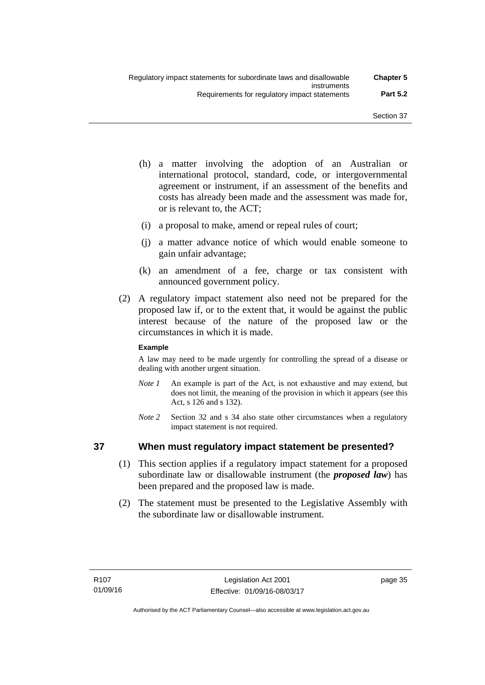- (h) a matter involving the adoption of an Australian or international protocol, standard, code, or intergovernmental agreement or instrument, if an assessment of the benefits and costs has already been made and the assessment was made for, or is relevant to, the ACT;
- (i) a proposal to make, amend or repeal rules of court;
- (j) a matter advance notice of which would enable someone to gain unfair advantage;
- (k) an amendment of a fee, charge or tax consistent with announced government policy.
- (2) A regulatory impact statement also need not be prepared for the proposed law if, or to the extent that, it would be against the public interest because of the nature of the proposed law or the circumstances in which it is made.

### **Example**

A law may need to be made urgently for controlling the spread of a disease or dealing with another urgent situation.

- *Note 1* An example is part of the Act, is not exhaustive and may extend, but does not limit, the meaning of the provision in which it appears (see this Act, s 126 and s 132).
- *Note* 2 Section 32 and s 34 also state other circumstances when a regulatory impact statement is not required.

### **37 When must regulatory impact statement be presented?**

- (1) This section applies if a regulatory impact statement for a proposed subordinate law or disallowable instrument (the *proposed law*) has been prepared and the proposed law is made.
- (2) The statement must be presented to the Legislative Assembly with the subordinate law or disallowable instrument.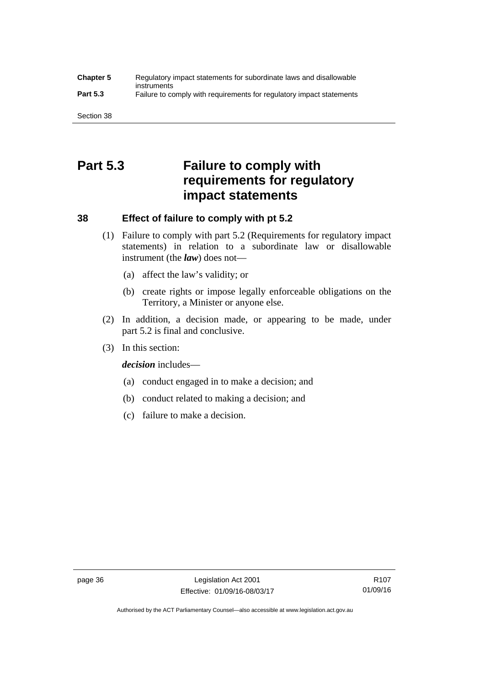### **Chapter 5** Regulatory impact statements for subordinate laws and disallowable instruments **Part 5.3** Failure to comply with requirements for regulatory impact statements

Section 38

# **Part 5.3 Failure to comply with requirements for regulatory impact statements**

### **38 Effect of failure to comply with pt 5.2**

- (1) Failure to comply with part 5.2 (Requirements for regulatory impact statements) in relation to a subordinate law or disallowable instrument (the *law*) does not—
	- (a) affect the law's validity; or
	- (b) create rights or impose legally enforceable obligations on the Territory, a Minister or anyone else.
- (2) In addition, a decision made, or appearing to be made, under part 5.2 is final and conclusive.
- (3) In this section:

*decision* includes—

- (a) conduct engaged in to make a decision; and
- (b) conduct related to making a decision; and
- (c) failure to make a decision.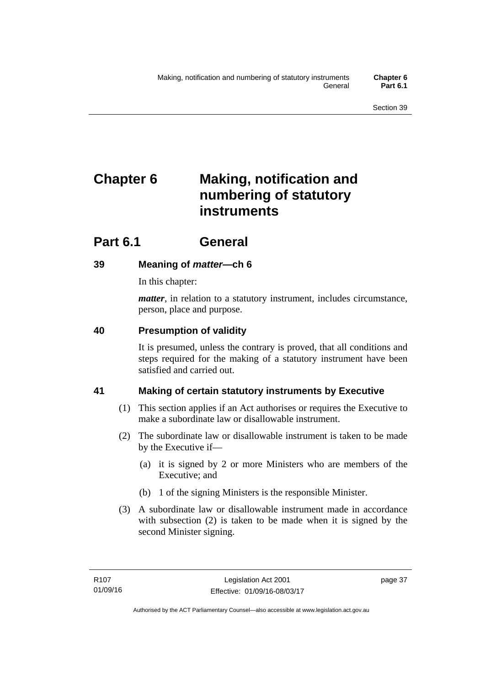# **Chapter 6 Making, notification and numbering of statutory instruments**

# **Part 6.1 General**

## **39 Meaning of** *matter***—ch 6**

In this chapter:

*matter*, in relation to a statutory instrument, includes circumstance, person, place and purpose.

## **40 Presumption of validity**

It is presumed, unless the contrary is proved, that all conditions and steps required for the making of a statutory instrument have been satisfied and carried out.

## **41 Making of certain statutory instruments by Executive**

- (1) This section applies if an Act authorises or requires the Executive to make a subordinate law or disallowable instrument.
- (2) The subordinate law or disallowable instrument is taken to be made by the Executive if—
	- (a) it is signed by 2 or more Ministers who are members of the Executive; and
	- (b) 1 of the signing Ministers is the responsible Minister.
- (3) A subordinate law or disallowable instrument made in accordance with subsection (2) is taken to be made when it is signed by the second Minister signing.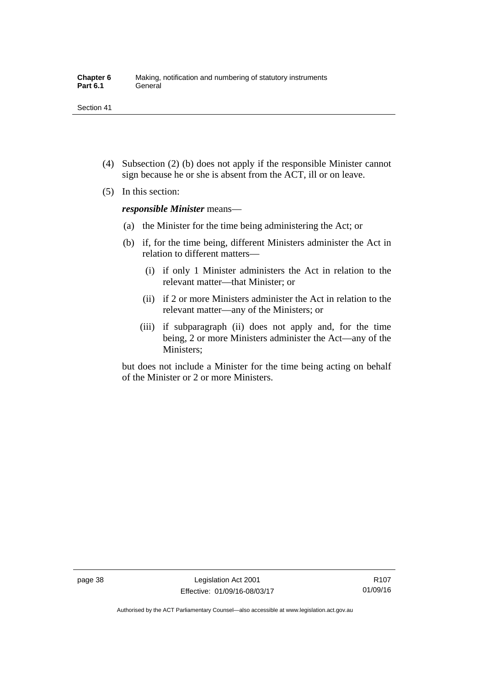- (4) Subsection (2) (b) does not apply if the responsible Minister cannot sign because he or she is absent from the ACT, ill or on leave.
- (5) In this section:

*responsible Minister* means—

- (a) the Minister for the time being administering the Act; or
- (b) if, for the time being, different Ministers administer the Act in relation to different matters—
	- (i) if only 1 Minister administers the Act in relation to the relevant matter—that Minister; or
	- (ii) if 2 or more Ministers administer the Act in relation to the relevant matter—any of the Ministers; or
	- (iii) if subparagraph (ii) does not apply and, for the time being, 2 or more Ministers administer the Act—any of the Ministers;

but does not include a Minister for the time being acting on behalf of the Minister or 2 or more Ministers.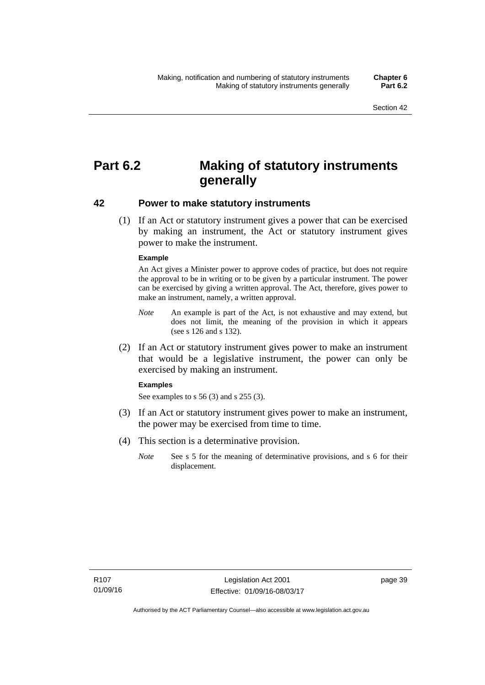# **Part 6.2 Making of statutory instruments generally**

### **42 Power to make statutory instruments**

 (1) If an Act or statutory instrument gives a power that can be exercised by making an instrument, the Act or statutory instrument gives power to make the instrument.

#### **Example**

An Act gives a Minister power to approve codes of practice, but does not require the approval to be in writing or to be given by a particular instrument. The power can be exercised by giving a written approval. The Act, therefore, gives power to make an instrument, namely, a written approval.

- *Note* An example is part of the Act, is not exhaustive and may extend, but does not limit, the meaning of the provision in which it appears (see s 126 and s 132).
- (2) If an Act or statutory instrument gives power to make an instrument that would be a legislative instrument, the power can only be exercised by making an instrument.

#### **Examples**

See examples to s 56 (3) and s 255 (3).

- (3) If an Act or statutory instrument gives power to make an instrument, the power may be exercised from time to time.
- (4) This section is a determinative provision.
	- *Note* See s 5 for the meaning of determinative provisions, and s 6 for their displacement.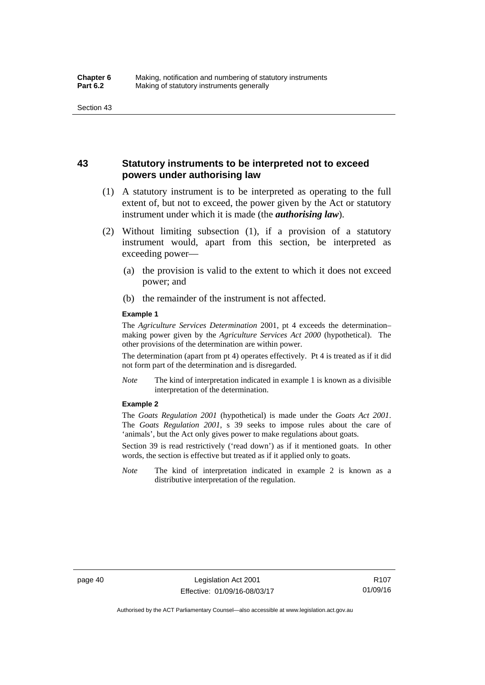### **43 Statutory instruments to be interpreted not to exceed powers under authorising law**

- (1) A statutory instrument is to be interpreted as operating to the full extent of, but not to exceed, the power given by the Act or statutory instrument under which it is made (the *authorising law*).
- (2) Without limiting subsection (1), if a provision of a statutory instrument would, apart from this section, be interpreted as exceeding power—
	- (a) the provision is valid to the extent to which it does not exceed power; and
	- (b) the remainder of the instrument is not affected.

#### **Example 1**

The *Agriculture Services Determination* 2001, pt 4 exceeds the determination– making power given by the *Agriculture Services Act 2000* (hypothetical). The other provisions of the determination are within power.

The determination (apart from pt 4) operates effectively. Pt 4 is treated as if it did not form part of the determination and is disregarded.

*Note* The kind of interpretation indicated in example 1 is known as a divisible interpretation of the determination.

#### **Example 2**

The *Goats Regulation 2001* (hypothetical) is made under the *Goats Act 2001*. The *Goats Regulation 2001*, s 39 seeks to impose rules about the care of 'animals', but the Act only gives power to make regulations about goats.

Section 39 is read restrictively ('read down') as if it mentioned goats. In other words, the section is effective but treated as if it applied only to goats.

*Note* The kind of interpretation indicated in example 2 is known as a distributive interpretation of the regulation.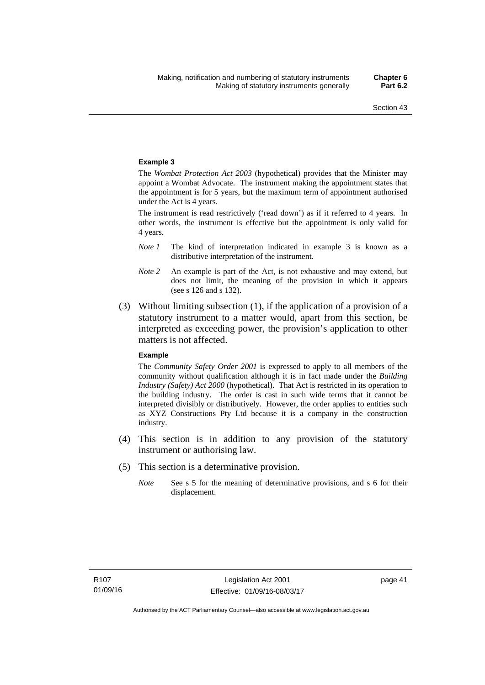#### **Example 3**

The *Wombat Protection Act 2003* (hypothetical) provides that the Minister may appoint a Wombat Advocate. The instrument making the appointment states that the appointment is for 5 years, but the maximum term of appointment authorised under the Act is 4 years.

The instrument is read restrictively ('read down') as if it referred to 4 years. In other words, the instrument is effective but the appointment is only valid for 4 years.

- *Note 1* The kind of interpretation indicated in example 3 is known as a distributive interpretation of the instrument.
- *Note 2* An example is part of the Act, is not exhaustive and may extend, but does not limit, the meaning of the provision in which it appears (see s 126 and s 132).
- (3) Without limiting subsection (1), if the application of a provision of a statutory instrument to a matter would, apart from this section, be interpreted as exceeding power, the provision's application to other matters is not affected.

#### **Example**

The *Community Safety Order 2001* is expressed to apply to all members of the community without qualification although it is in fact made under the *Building Industry (Safety) Act 2000* (hypothetical). That Act is restricted in its operation to the building industry. The order is cast in such wide terms that it cannot be interpreted divisibly or distributively. However, the order applies to entities such as XYZ Constructions Pty Ltd because it is a company in the construction industry.

- (4) This section is in addition to any provision of the statutory instrument or authorising law.
- (5) This section is a determinative provision.
	- *Note* See s 5 for the meaning of determinative provisions, and s 6 for their displacement.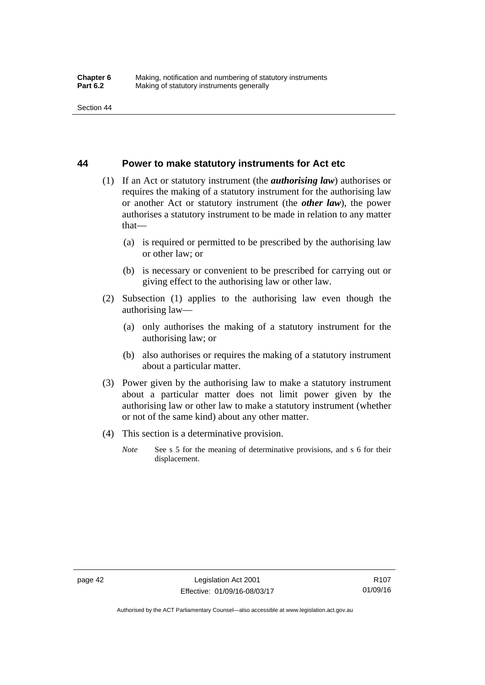### **44 Power to make statutory instruments for Act etc**

- (1) If an Act or statutory instrument (the *authorising law*) authorises or requires the making of a statutory instrument for the authorising law or another Act or statutory instrument (the *other law*), the power authorises a statutory instrument to be made in relation to any matter that—
	- (a) is required or permitted to be prescribed by the authorising law or other law; or
	- (b) is necessary or convenient to be prescribed for carrying out or giving effect to the authorising law or other law.
- (2) Subsection (1) applies to the authorising law even though the authorising law—
	- (a) only authorises the making of a statutory instrument for the authorising law; or
	- (b) also authorises or requires the making of a statutory instrument about a particular matter.
- (3) Power given by the authorising law to make a statutory instrument about a particular matter does not limit power given by the authorising law or other law to make a statutory instrument (whether or not of the same kind) about any other matter.
- (4) This section is a determinative provision.
	- *Note* See s 5 for the meaning of determinative provisions, and s 6 for their displacement.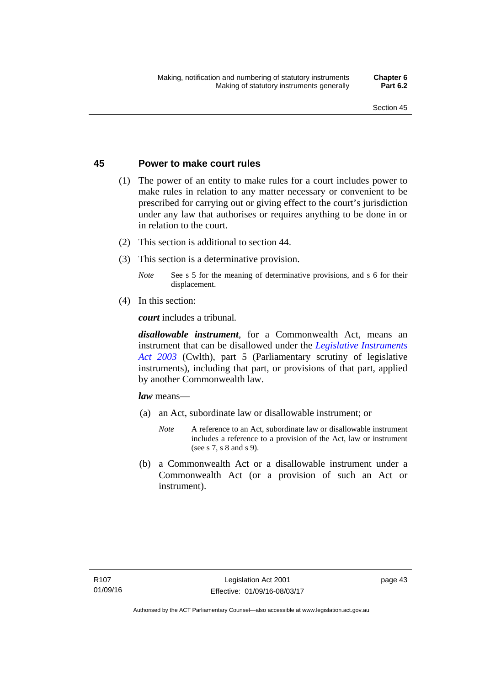### **45 Power to make court rules**

- (1) The power of an entity to make rules for a court includes power to make rules in relation to any matter necessary or convenient to be prescribed for carrying out or giving effect to the court's jurisdiction under any law that authorises or requires anything to be done in or in relation to the court.
- (2) This section is additional to section 44.
- (3) This section is a determinative provision.
	- *Note* See s 5 for the meaning of determinative provisions, and s 6 for their displacement.
- (4) In this section:

*court* includes a tribunal*.*

*disallowable instrument*, for a Commonwealth Act, means an instrument that can be disallowed under the *[Legislative Instruments](http://www.comlaw.gov.au/Series/C2004A01224)  [Act 2003](http://www.comlaw.gov.au/Series/C2004A01224)* (Cwlth), part 5 (Parliamentary scrutiny of legislative instruments), including that part, or provisions of that part, applied by another Commonwealth law.

*law* means—

- (a) an Act, subordinate law or disallowable instrument; or
	- *Note* A reference to an Act, subordinate law or disallowable instrument includes a reference to a provision of the Act, law or instrument (see s 7, s 8 and s 9).
- (b) a Commonwealth Act or a disallowable instrument under a Commonwealth Act (or a provision of such an Act or instrument).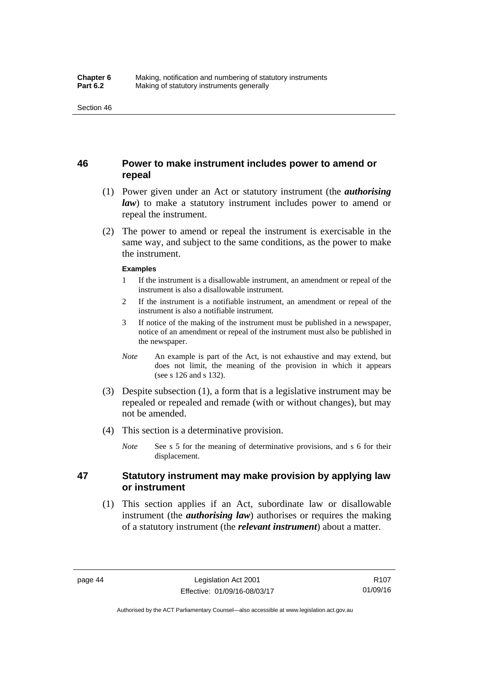### **46 Power to make instrument includes power to amend or repeal**

- (1) Power given under an Act or statutory instrument (the *authorising law*) to make a statutory instrument includes power to amend or repeal the instrument.
- (2) The power to amend or repeal the instrument is exercisable in the same way, and subject to the same conditions, as the power to make the instrument.

#### **Examples**

- 1 If the instrument is a disallowable instrument, an amendment or repeal of the instrument is also a disallowable instrument.
- 2 If the instrument is a notifiable instrument, an amendment or repeal of the instrument is also a notifiable instrument.
- 3 If notice of the making of the instrument must be published in a newspaper, notice of an amendment or repeal of the instrument must also be published in the newspaper.
- *Note* An example is part of the Act, is not exhaustive and may extend, but does not limit, the meaning of the provision in which it appears (see s 126 and s 132).
- (3) Despite subsection (1), a form that is a legislative instrument may be repealed or repealed and remade (with or without changes), but may not be amended.
- (4) This section is a determinative provision.
	- *Note* See s 5 for the meaning of determinative provisions, and s 6 for their displacement.

### **47 Statutory instrument may make provision by applying law or instrument**

 (1) This section applies if an Act, subordinate law or disallowable instrument (the *authorising law*) authorises or requires the making of a statutory instrument (the *relevant instrument*) about a matter.

Authorised by the ACT Parliamentary Counsel—also accessible at www.legislation.act.gov.au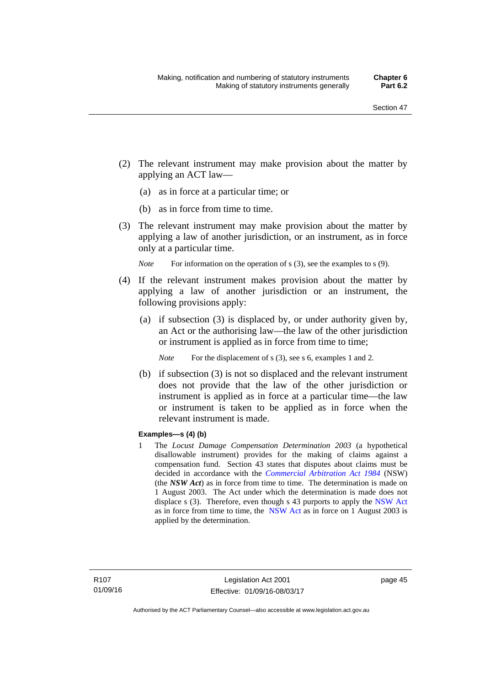- (2) The relevant instrument may make provision about the matter by applying an ACT law—
	- (a) as in force at a particular time; or
	- (b) as in force from time to time.
- (3) The relevant instrument may make provision about the matter by applying a law of another jurisdiction, or an instrument, as in force only at a particular time.

*Note* For information on the operation of s (3), see the examples to s (9).

- (4) If the relevant instrument makes provision about the matter by applying a law of another jurisdiction or an instrument, the following provisions apply:
	- (a) if subsection (3) is displaced by, or under authority given by, an Act or the authorising law—the law of the other jurisdiction or instrument is applied as in force from time to time;
		- *Note* For the displacement of s (3), see s 6, examples 1 and 2.
	- (b) if subsection (3) is not so displaced and the relevant instrument does not provide that the law of the other jurisdiction or instrument is applied as in force at a particular time—the law or instrument is taken to be applied as in force when the relevant instrument is made.

### **Examples—s (4) (b)**

1 The *Locust Damage Compensation Determination 2003* (a hypothetical disallowable instrument) provides for the making of claims against a compensation fund. Section 43 states that disputes about claims must be decided in accordance with the *[Commercial Arbitration Act 1984](http://www.legislation.nsw.gov.au/maintop/view/repealed/act+160+1984+cd+0+Y)* (NSW) (the *NSW Act*) as in force from time to time. The determination is made on 1 August 2003. The Act under which the determination is made does not displace s (3). Therefore, even though s 43 purports to apply the [NSW Act](http://www.legislation.nsw.gov.au/maintop/view/repealed/act+160+1984+cd+0+Y) as in force from time to time, the [NSW Act](http://www.legislation.nsw.gov.au/maintop/view/repealed/act+160+1984+cd+0+Y) as in force on 1 August 2003 is applied by the determination.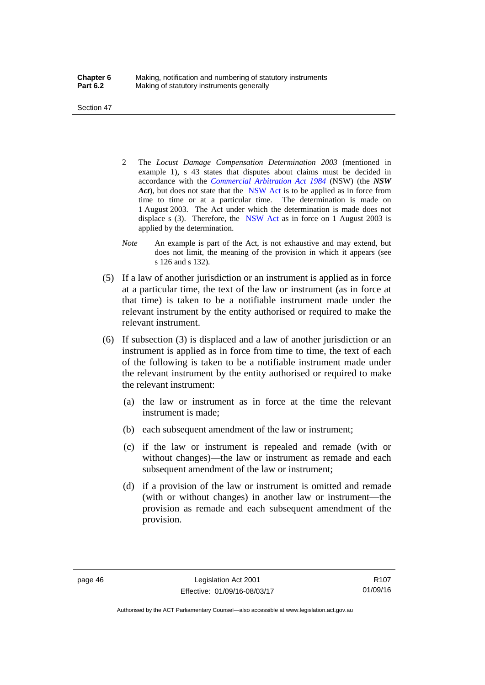Section 47

- 2 The *Locust Damage Compensation Determination 2003* (mentioned in example 1), s 43 states that disputes about claims must be decided in accordance with the *[Commercial Arbitration Act 1984](http://www.legislation.nsw.gov.au/maintop/view/repealed/act+160+1984+cd+0+Y)* (NSW) (the *NSW Act*), but does not state that the [NSW Act](http://www.legislation.nsw.gov.au/maintop/view/repealed/act+160+1984+cd+0+Y) is to be applied as in force from time to time or at a particular time. The determination is made on 1 August 2003. The Act under which the determination is made does not displace s (3). Therefore, the [NSW Act](http://www.legislation.nsw.gov.au/maintop/view/repealed/act+160+1984+cd+0+Y) as in force on 1 August 2003 is applied by the determination.
- *Note* An example is part of the Act, is not exhaustive and may extend, but does not limit, the meaning of the provision in which it appears (see s 126 and s 132).
- (5) If a law of another jurisdiction or an instrument is applied as in force at a particular time, the text of the law or instrument (as in force at that time) is taken to be a notifiable instrument made under the relevant instrument by the entity authorised or required to make the relevant instrument.
- (6) If subsection (3) is displaced and a law of another jurisdiction or an instrument is applied as in force from time to time, the text of each of the following is taken to be a notifiable instrument made under the relevant instrument by the entity authorised or required to make the relevant instrument:
	- (a) the law or instrument as in force at the time the relevant instrument is made;
	- (b) each subsequent amendment of the law or instrument;
	- (c) if the law or instrument is repealed and remade (with or without changes)—the law or instrument as remade and each subsequent amendment of the law or instrument;
	- (d) if a provision of the law or instrument is omitted and remade (with or without changes) in another law or instrument—the provision as remade and each subsequent amendment of the provision.

Authorised by the ACT Parliamentary Counsel—also accessible at www.legislation.act.gov.au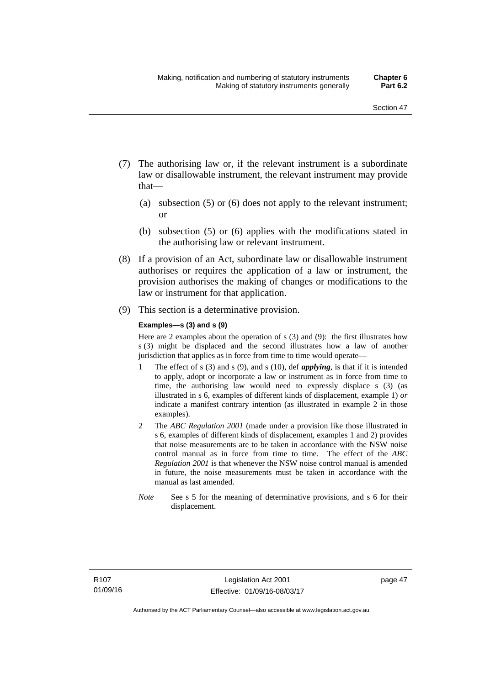- (7) The authorising law or, if the relevant instrument is a subordinate law or disallowable instrument, the relevant instrument may provide that—
	- (a) subsection (5) or (6) does not apply to the relevant instrument; or
	- (b) subsection (5) or (6) applies with the modifications stated in the authorising law or relevant instrument.
- (8) If a provision of an Act, subordinate law or disallowable instrument authorises or requires the application of a law or instrument, the provision authorises the making of changes or modifications to the law or instrument for that application.
- (9) This section is a determinative provision.

#### **Examples—s (3) and s (9)**

Here are 2 examples about the operation of s (3) and (9): the first illustrates how s (3) might be displaced and the second illustrates how a law of another jurisdiction that applies as in force from time to time would operate—

- 1 The effect of s (3) and s (9), and s (10), def *applying*, is that if it is intended to apply, adopt or incorporate a law or instrument as in force from time to time, the authorising law would need to expressly displace s (3) (as illustrated in s 6, examples of different kinds of displacement, example 1) *or* indicate a manifest contrary intention (as illustrated in example 2 in those examples).
- 2 The *ABC Regulation 2001* (made under a provision like those illustrated in s 6, examples of different kinds of displacement, examples 1 and 2) provides that noise measurements are to be taken in accordance with the NSW noise control manual as in force from time to time. The effect of the *ABC Regulation 2001* is that whenever the NSW noise control manual is amended in future, the noise measurements must be taken in accordance with the manual as last amended.
- *Note* See s 5 for the meaning of determinative provisions, and s 6 for their displacement.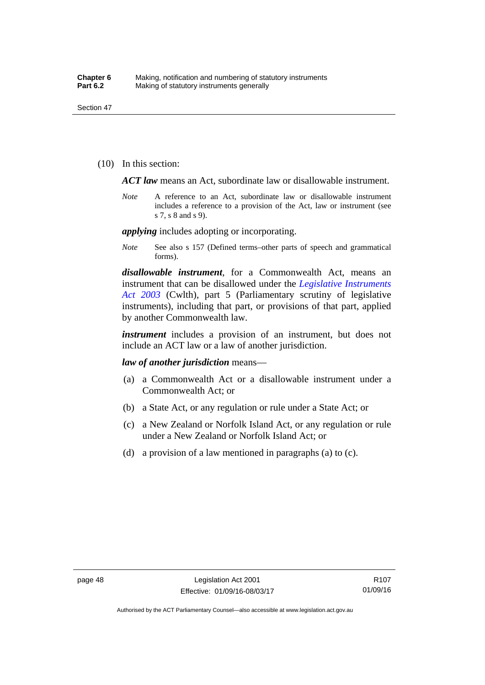(10) In this section:

*ACT law* means an Act, subordinate law or disallowable instrument.

*Note* A reference to an Act, subordinate law or disallowable instrument includes a reference to a provision of the Act, law or instrument (see s 7, s 8 and s 9).

*applying* includes adopting or incorporating.

*Note* See also s 157 (Defined terms–other parts of speech and grammatical forms).

*disallowable instrument*, for a Commonwealth Act, means an instrument that can be disallowed under the *[Legislative Instruments](http://www.comlaw.gov.au/Series/C2004A01224)  [Act 2003](http://www.comlaw.gov.au/Series/C2004A01224)* (Cwlth), part 5 (Parliamentary scrutiny of legislative instruments), including that part, or provisions of that part, applied by another Commonwealth law.

*instrument* includes a provision of an instrument, but does not include an ACT law or a law of another jurisdiction.

*law of another jurisdiction* means—

- (a) a Commonwealth Act or a disallowable instrument under a Commonwealth Act; or
- (b) a State Act, or any regulation or rule under a State Act; or
- (c) a New Zealand or Norfolk Island Act, or any regulation or rule under a New Zealand or Norfolk Island Act; or
- (d) a provision of a law mentioned in paragraphs (a) to (c).

Authorised by the ACT Parliamentary Counsel—also accessible at www.legislation.act.gov.au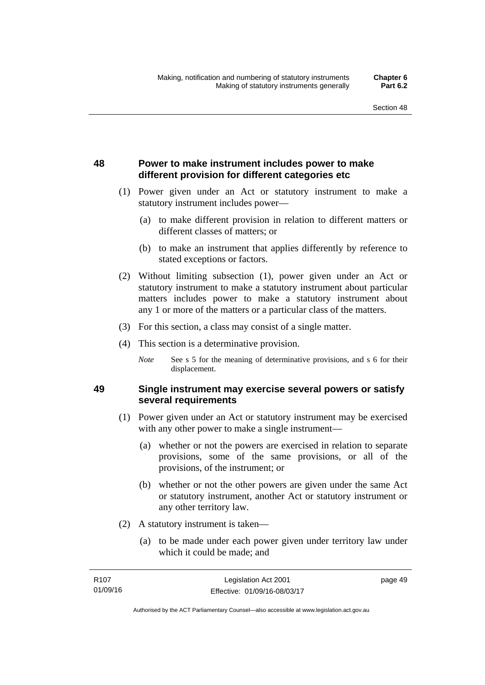## **48 Power to make instrument includes power to make different provision for different categories etc**

- (1) Power given under an Act or statutory instrument to make a statutory instrument includes power—
	- (a) to make different provision in relation to different matters or different classes of matters; or
	- (b) to make an instrument that applies differently by reference to stated exceptions or factors.
- (2) Without limiting subsection (1), power given under an Act or statutory instrument to make a statutory instrument about particular matters includes power to make a statutory instrument about any 1 or more of the matters or a particular class of the matters.
- (3) For this section, a class may consist of a single matter.
- (4) This section is a determinative provision.
	- *Note* See s 5 for the meaning of determinative provisions, and s 6 for their displacement.

### **49 Single instrument may exercise several powers or satisfy several requirements**

- (1) Power given under an Act or statutory instrument may be exercised with any other power to make a single instrument—
	- (a) whether or not the powers are exercised in relation to separate provisions, some of the same provisions, or all of the provisions, of the instrument; or
	- (b) whether or not the other powers are given under the same Act or statutory instrument, another Act or statutory instrument or any other territory law.
- (2) A statutory instrument is taken—
	- (a) to be made under each power given under territory law under which it could be made; and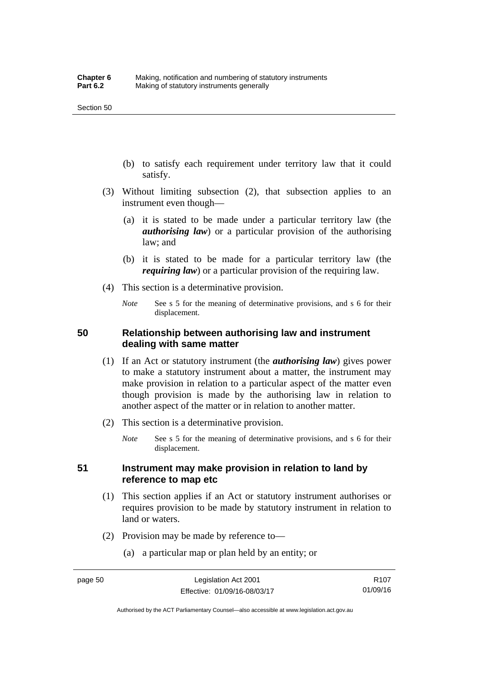- (b) to satisfy each requirement under territory law that it could satisfy.
- (3) Without limiting subsection (2), that subsection applies to an instrument even though—
	- (a) it is stated to be made under a particular territory law (the *authorising law*) or a particular provision of the authorising law; and
	- (b) it is stated to be made for a particular territory law (the *requiring law*) or a particular provision of the requiring law.
- (4) This section is a determinative provision.
	- *Note* See s 5 for the meaning of determinative provisions, and s 6 for their displacement.

### **50 Relationship between authorising law and instrument dealing with same matter**

- (1) If an Act or statutory instrument (the *authorising law*) gives power to make a statutory instrument about a matter, the instrument may make provision in relation to a particular aspect of the matter even though provision is made by the authorising law in relation to another aspect of the matter or in relation to another matter.
- (2) This section is a determinative provision.
	- *Note* See s 5 for the meaning of determinative provisions, and s 6 for their displacement.

### **51 Instrument may make provision in relation to land by reference to map etc**

- (1) This section applies if an Act or statutory instrument authorises or requires provision to be made by statutory instrument in relation to land or waters.
- (2) Provision may be made by reference to—
	- (a) a particular map or plan held by an entity; or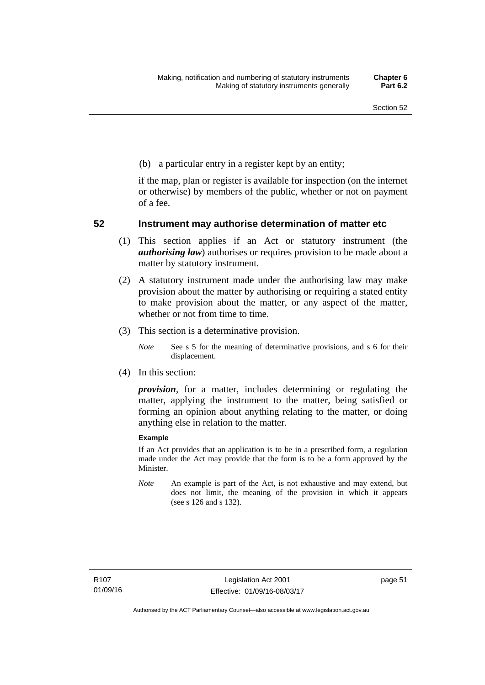(b) a particular entry in a register kept by an entity;

if the map, plan or register is available for inspection (on the internet or otherwise) by members of the public, whether or not on payment of a fee.

### **52 Instrument may authorise determination of matter etc**

- (1) This section applies if an Act or statutory instrument (the *authorising law*) authorises or requires provision to be made about a matter by statutory instrument.
- (2) A statutory instrument made under the authorising law may make provision about the matter by authorising or requiring a stated entity to make provision about the matter, or any aspect of the matter, whether or not from time to time.
- (3) This section is a determinative provision.
	- *Note* See s 5 for the meaning of determinative provisions, and s 6 for their displacement.
- (4) In this section:

*provision*, for a matter, includes determining or regulating the matter, applying the instrument to the matter, being satisfied or forming an opinion about anything relating to the matter, or doing anything else in relation to the matter.

#### **Example**

If an Act provides that an application is to be in a prescribed form, a regulation made under the Act may provide that the form is to be a form approved by the Minister.

*Note* An example is part of the Act, is not exhaustive and may extend, but does not limit, the meaning of the provision in which it appears (see s 126 and s 132).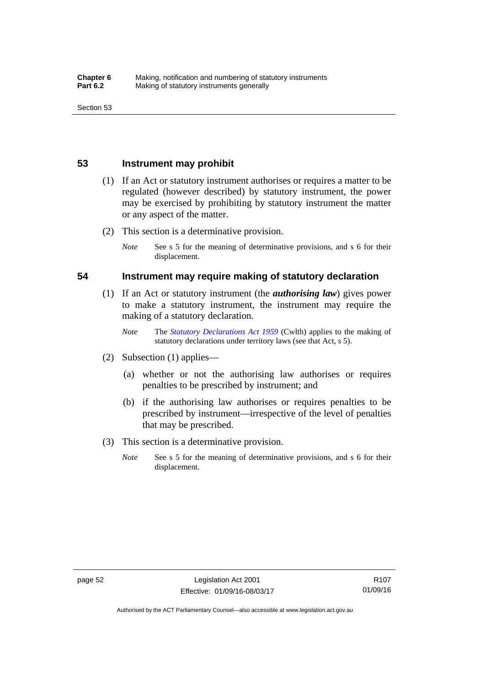### **53 Instrument may prohibit**

- (1) If an Act or statutory instrument authorises or requires a matter to be regulated (however described) by statutory instrument, the power may be exercised by prohibiting by statutory instrument the matter or any aspect of the matter.
- (2) This section is a determinative provision.
	- *Note* See s 5 for the meaning of determinative provisions, and s 6 for their displacement.

### **54 Instrument may require making of statutory declaration**

- (1) If an Act or statutory instrument (the *authorising law*) gives power to make a statutory instrument, the instrument may require the making of a statutory declaration.
	- *Note* The *[Statutory Declarations Act 1959](http://www.comlaw.gov.au/Series/C2004A07365)* (Cwlth) applies to the making of statutory declarations under territory laws (see that Act, s 5).
- (2) Subsection (1) applies—
	- (a) whether or not the authorising law authorises or requires penalties to be prescribed by instrument; and
	- (b) if the authorising law authorises or requires penalties to be prescribed by instrument—irrespective of the level of penalties that may be prescribed.
- (3) This section is a determinative provision.
	- *Note* See s 5 for the meaning of determinative provisions, and s 6 for their displacement.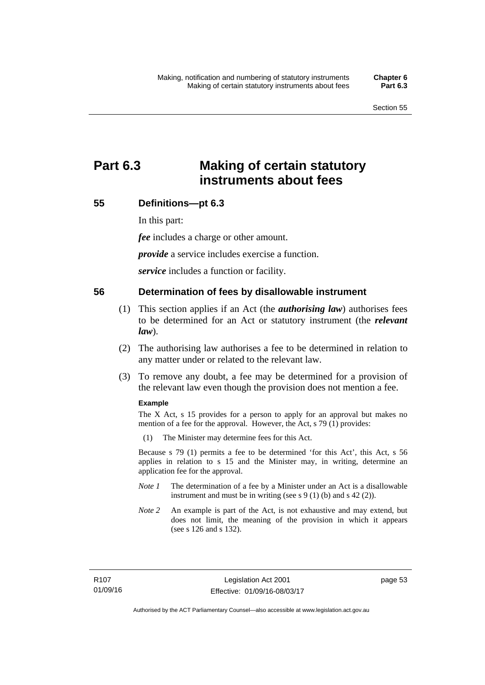# **Part 6.3 Making of certain statutory instruments about fees**

### **55 Definitions—pt 6.3**

In this part:

*fee* includes a charge or other amount.

*provide* a service includes exercise a function.

*service* includes a function or facility.

### **56 Determination of fees by disallowable instrument**

- (1) This section applies if an Act (the *authorising law*) authorises fees to be determined for an Act or statutory instrument (the *relevant law*).
- (2) The authorising law authorises a fee to be determined in relation to any matter under or related to the relevant law.
- (3) To remove any doubt, a fee may be determined for a provision of the relevant law even though the provision does not mention a fee.

#### **Example**

The X Act, s 15 provides for a person to apply for an approval but makes no mention of a fee for the approval. However, the Act, s 79 (1) provides:

(1) The Minister may determine fees for this Act.

Because s 79 (1) permits a fee to be determined 'for this Act', this Act, s 56 applies in relation to s 15 and the Minister may, in writing, determine an application fee for the approval.

- *Note 1* The determination of a fee by a Minister under an Act is a disallowable instrument and must be in writing (see s 9 (1) (b) and s 42 (2)).
- *Note 2* An example is part of the Act, is not exhaustive and may extend, but does not limit, the meaning of the provision in which it appears (see s 126 and s 132).

page 53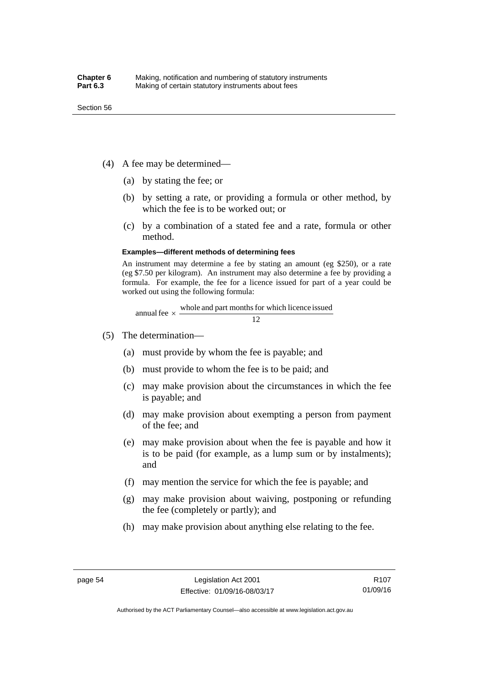- (4) A fee may be determined—
	- (a) by stating the fee; or
	- (b) by setting a rate, or providing a formula or other method, by which the fee is to be worked out; or
	- (c) by a combination of a stated fee and a rate, formula or other method.

#### **Examples—different methods of determining fees**

An instrument may determine a fee by stating an amount (eg \$250), or a rate (eg \$7.50 per kilogram). An instrument may also determine a fee by providing a formula. For example, the fee for a licence issued for part of a year could be worked out using the following formula:

annual fee  $\times$  whole and part months for which licence issued  $\frac{12}{\sqrt{12}}$ 

- (5) The determination—
	- (a) must provide by whom the fee is payable; and
	- (b) must provide to whom the fee is to be paid; and
	- (c) may make provision about the circumstances in which the fee is payable; and
	- (d) may make provision about exempting a person from payment of the fee; and
	- (e) may make provision about when the fee is payable and how it is to be paid (for example, as a lump sum or by instalments); and
	- (f) may mention the service for which the fee is payable; and
	- (g) may make provision about waiving, postponing or refunding the fee (completely or partly); and
	- (h) may make provision about anything else relating to the fee.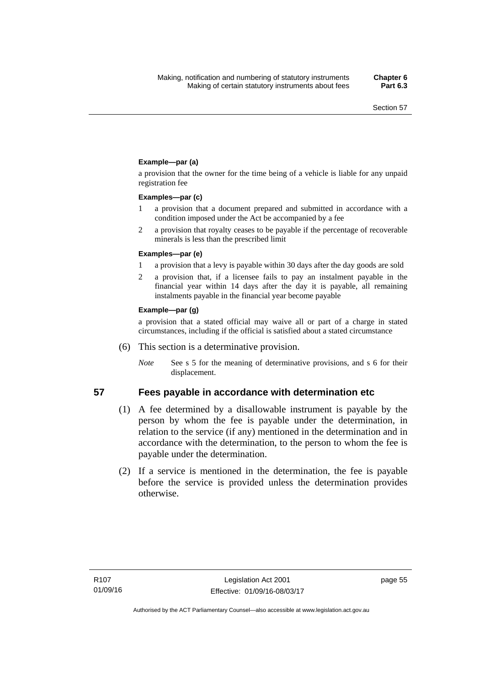### **Example—par (a)**

a provision that the owner for the time being of a vehicle is liable for any unpaid registration fee

#### **Examples—par (c)**

- 1 a provision that a document prepared and submitted in accordance with a condition imposed under the Act be accompanied by a fee
- 2 a provision that royalty ceases to be payable if the percentage of recoverable minerals is less than the prescribed limit

#### **Examples—par (e)**

- 1 a provision that a levy is payable within 30 days after the day goods are sold
- 2 a provision that, if a licensee fails to pay an instalment payable in the financial year within 14 days after the day it is payable, all remaining instalments payable in the financial year become payable

#### **Example—par (g)**

a provision that a stated official may waive all or part of a charge in stated circumstances, including if the official is satisfied about a stated circumstance

- (6) This section is a determinative provision.
	- *Note* See s 5 for the meaning of determinative provisions, and s 6 for their displacement.

- **57 Fees payable in accordance with determination etc**  (1) A fee determined by a disallowable instrument is payable by the
	- person by whom the fee is payable under the determination, in relation to the service (if any) mentioned in the determination and in accordance with the determination, to the person to whom the fee is payable under the determination.
	- (2) If a service is mentioned in the determination, the fee is payable before the service is provided unless the determination provides otherwise.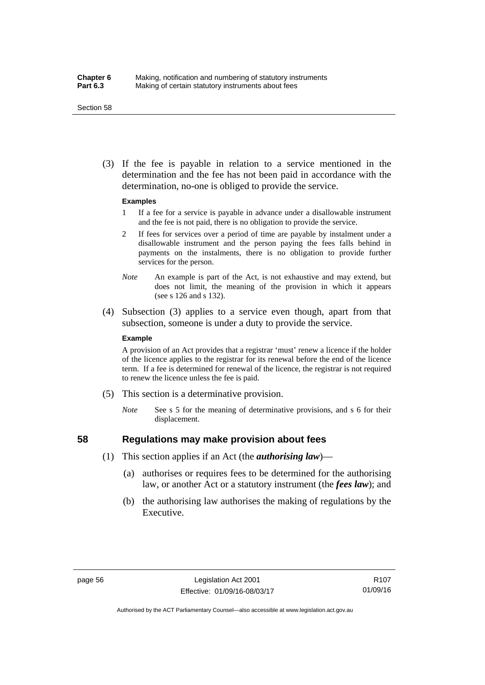#### Section 58

 (3) If the fee is payable in relation to a service mentioned in the determination and the fee has not been paid in accordance with the determination, no-one is obliged to provide the service.

#### **Examples**

- 1 If a fee for a service is payable in advance under a disallowable instrument and the fee is not paid, there is no obligation to provide the service.
- 2 If fees for services over a period of time are payable by instalment under a disallowable instrument and the person paying the fees falls behind in payments on the instalments, there is no obligation to provide further services for the person.
- *Note* An example is part of the Act, is not exhaustive and may extend, but does not limit, the meaning of the provision in which it appears (see s 126 and s 132).
- (4) Subsection (3) applies to a service even though, apart from that subsection, someone is under a duty to provide the service.

#### **Example**

A provision of an Act provides that a registrar 'must' renew a licence if the holder of the licence applies to the registrar for its renewal before the end of the licence term. If a fee is determined for renewal of the licence, the registrar is not required to renew the licence unless the fee is paid.

- (5) This section is a determinative provision.
	- *Note* See s 5 for the meaning of determinative provisions, and s 6 for their displacement.

## **58 Regulations may make provision about fees**

- (1) This section applies if an Act (the *authorising law*)—
	- (a) authorises or requires fees to be determined for the authorising law, or another Act or a statutory instrument (the *fees law*); and
	- (b) the authorising law authorises the making of regulations by the Executive.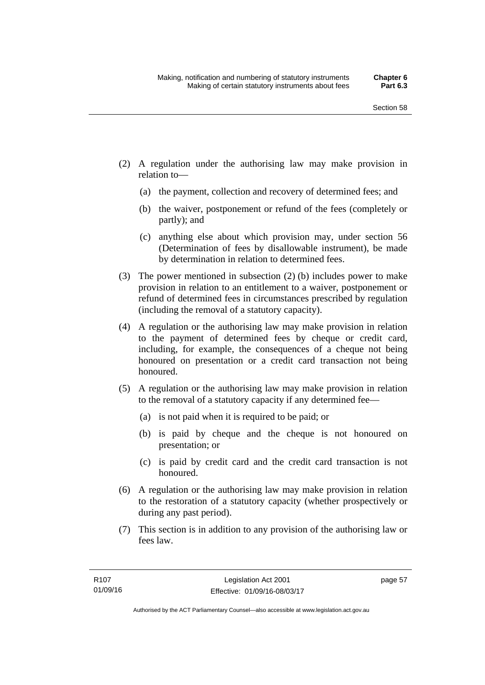- (2) A regulation under the authorising law may make provision in relation to—
	- (a) the payment, collection and recovery of determined fees; and
	- (b) the waiver, postponement or refund of the fees (completely or partly); and
	- (c) anything else about which provision may, under section 56 (Determination of fees by disallowable instrument), be made by determination in relation to determined fees.
- (3) The power mentioned in subsection (2) (b) includes power to make provision in relation to an entitlement to a waiver, postponement or refund of determined fees in circumstances prescribed by regulation (including the removal of a statutory capacity).
- (4) A regulation or the authorising law may make provision in relation to the payment of determined fees by cheque or credit card, including, for example, the consequences of a cheque not being honoured on presentation or a credit card transaction not being honoured.
- (5) A regulation or the authorising law may make provision in relation to the removal of a statutory capacity if any determined fee—
	- (a) is not paid when it is required to be paid; or
	- (b) is paid by cheque and the cheque is not honoured on presentation; or
	- (c) is paid by credit card and the credit card transaction is not honoured.
- (6) A regulation or the authorising law may make provision in relation to the restoration of a statutory capacity (whether prospectively or during any past period).
- (7) This section is in addition to any provision of the authorising law or fees law.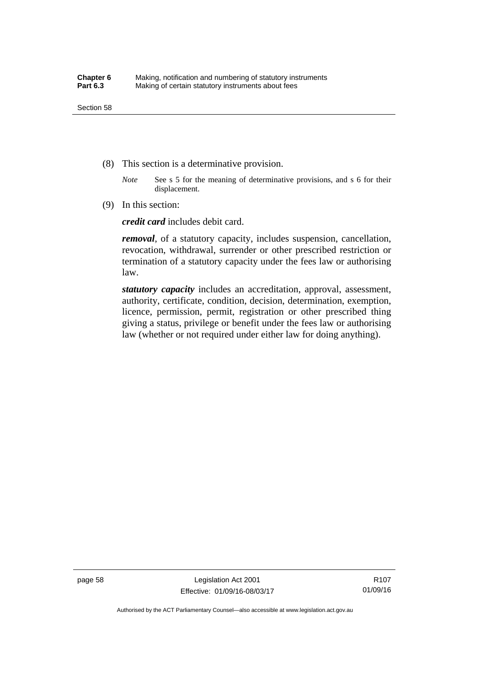- (8) This section is a determinative provision.
	- *Note* See s 5 for the meaning of determinative provisions, and s 6 for their displacement.
- (9) In this section:

*credit card* includes debit card.

*removal*, of a statutory capacity, includes suspension, cancellation, revocation, withdrawal, surrender or other prescribed restriction or termination of a statutory capacity under the fees law or authorising law.

*statutory capacity* includes an accreditation, approval, assessment, authority, certificate, condition, decision, determination, exemption, licence, permission, permit, registration or other prescribed thing giving a status, privilege or benefit under the fees law or authorising law (whether or not required under either law for doing anything).

page 58 Legislation Act 2001 Effective: 01/09/16-08/03/17

R107 01/09/16

Authorised by the ACT Parliamentary Counsel—also accessible at www.legislation.act.gov.au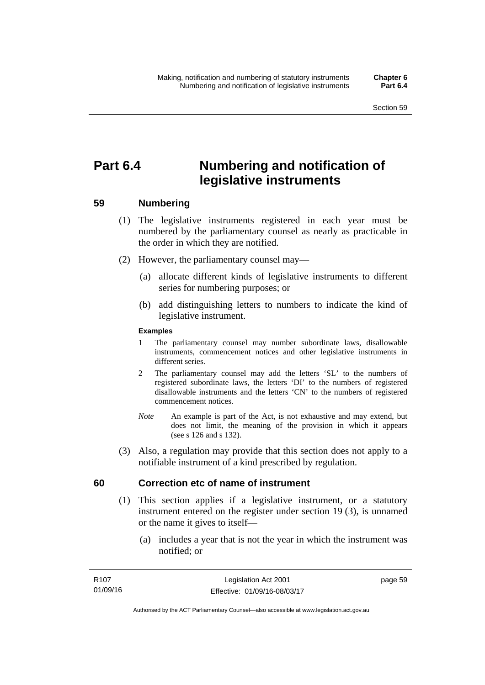# **Part 6.4 Numbering and notification of legislative instruments**

## **59 Numbering**

- (1) The legislative instruments registered in each year must be numbered by the parliamentary counsel as nearly as practicable in the order in which they are notified.
- (2) However, the parliamentary counsel may—
	- (a) allocate different kinds of legislative instruments to different series for numbering purposes; or
	- (b) add distinguishing letters to numbers to indicate the kind of legislative instrument.

## **Examples**

- 1 The parliamentary counsel may number subordinate laws, disallowable instruments, commencement notices and other legislative instruments in different series.
- 2 The parliamentary counsel may add the letters 'SL' to the numbers of registered subordinate laws, the letters 'DI' to the numbers of registered disallowable instruments and the letters 'CN' to the numbers of registered commencement notices.
- *Note* An example is part of the Act, is not exhaustive and may extend, but does not limit, the meaning of the provision in which it appears (see s 126 and s 132).
- (3) Also, a regulation may provide that this section does not apply to a notifiable instrument of a kind prescribed by regulation.

## **60 Correction etc of name of instrument**

- (1) This section applies if a legislative instrument, or a statutory instrument entered on the register under section 19 (3), is unnamed or the name it gives to itself—
	- (a) includes a year that is not the year in which the instrument was notified; or

page 59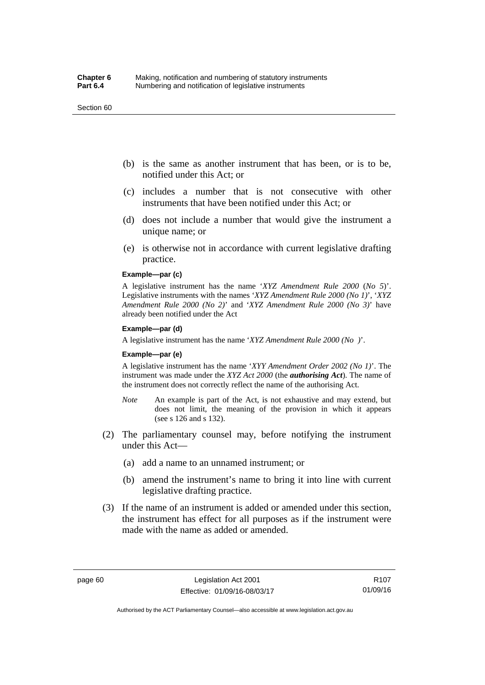#### Section 60

- (b) is the same as another instrument that has been, or is to be, notified under this Act; or
- (c) includes a number that is not consecutive with other instruments that have been notified under this Act; or
- (d) does not include a number that would give the instrument a unique name; or
- (e) is otherwise not in accordance with current legislative drafting practice.

## **Example—par (c)**

A legislative instrument has the name '*XYZ Amendment Rule 2000* (*No 5*)'. Legislative instruments with the names '*XYZ Amendment Rule 2000 (No 1)*', '*XYZ Amendment Rule 2000 (No 2)*' and '*XYZ Amendment Rule 2000 (No 3)*' have already been notified under the Act

#### **Example—par (d)**

A legislative instrument has the name '*XYZ Amendment Rule 2000 (No )*'.

#### **Example—par (e)**

A legislative instrument has the name '*XYY Amendment Order 2002 (No 1)*'. The instrument was made under the *XYZ Act 2000* (the *authorising Act*). The name of the instrument does not correctly reflect the name of the authorising Act.

- *Note* An example is part of the Act, is not exhaustive and may extend, but does not limit, the meaning of the provision in which it appears (see s 126 and s 132).
- (2) The parliamentary counsel may, before notifying the instrument under this Act—
	- (a) add a name to an unnamed instrument; or
	- (b) amend the instrument's name to bring it into line with current legislative drafting practice.
- (3) If the name of an instrument is added or amended under this section, the instrument has effect for all purposes as if the instrument were made with the name as added or amended.

Authorised by the ACT Parliamentary Counsel—also accessible at www.legislation.act.gov.au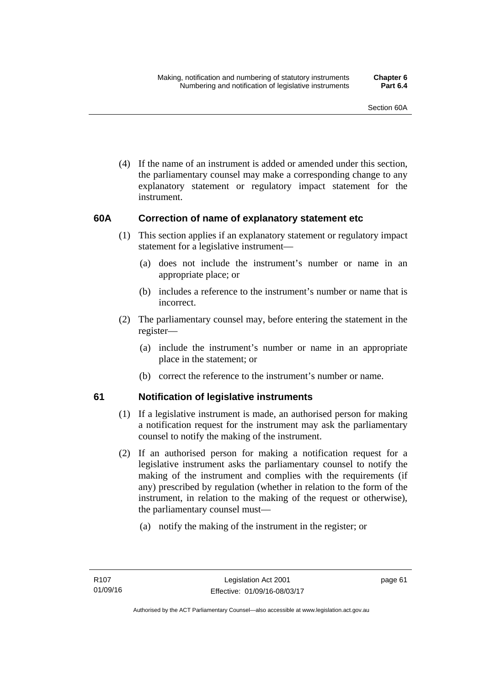(4) If the name of an instrument is added or amended under this section, the parliamentary counsel may make a corresponding change to any explanatory statement or regulatory impact statement for the instrument.

## **60A Correction of name of explanatory statement etc**

- (1) This section applies if an explanatory statement or regulatory impact statement for a legislative instrument—
	- (a) does not include the instrument's number or name in an appropriate place; or
	- (b) includes a reference to the instrument's number or name that is incorrect.
- (2) The parliamentary counsel may, before entering the statement in the register—
	- (a) include the instrument's number or name in an appropriate place in the statement; or
	- (b) correct the reference to the instrument's number or name.

## **61 Notification of legislative instruments**

- (1) If a legislative instrument is made, an authorised person for making a notification request for the instrument may ask the parliamentary counsel to notify the making of the instrument.
- (2) If an authorised person for making a notification request for a legislative instrument asks the parliamentary counsel to notify the making of the instrument and complies with the requirements (if any) prescribed by regulation (whether in relation to the form of the instrument, in relation to the making of the request or otherwise), the parliamentary counsel must—
	- (a) notify the making of the instrument in the register; or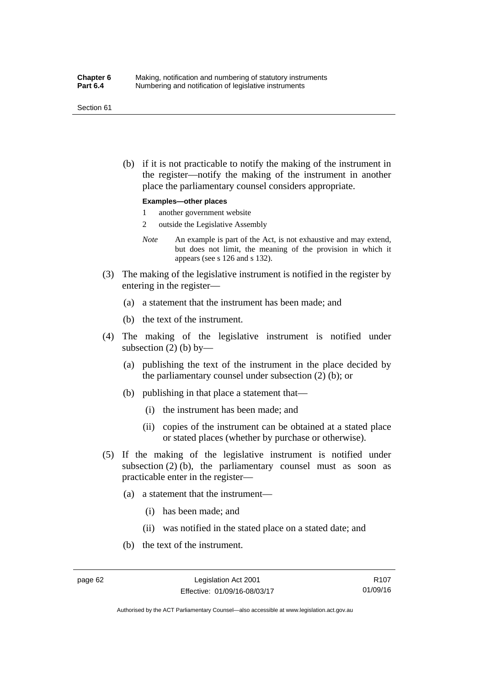#### Section 61

 (b) if it is not practicable to notify the making of the instrument in the register—notify the making of the instrument in another place the parliamentary counsel considers appropriate.

#### **Examples—other places**

- 1 another government website
- 2 outside the Legislative Assembly
- *Note* An example is part of the Act, is not exhaustive and may extend, but does not limit, the meaning of the provision in which it appears (see s 126 and s 132).
- (3) The making of the legislative instrument is notified in the register by entering in the register—
	- (a) a statement that the instrument has been made; and
	- (b) the text of the instrument.
- (4) The making of the legislative instrument is notified under subsection  $(2)$  (b) by—
	- (a) publishing the text of the instrument in the place decided by the parliamentary counsel under subsection (2) (b); or
	- (b) publishing in that place a statement that—
		- (i) the instrument has been made; and
		- (ii) copies of the instrument can be obtained at a stated place or stated places (whether by purchase or otherwise).
- (5) If the making of the legislative instrument is notified under subsection  $(2)$  (b), the parliamentary counsel must as soon as practicable enter in the register—
	- (a) a statement that the instrument—
		- (i) has been made; and
		- (ii) was notified in the stated place on a stated date; and
	- (b) the text of the instrument.

R107 01/09/16

Authorised by the ACT Parliamentary Counsel—also accessible at www.legislation.act.gov.au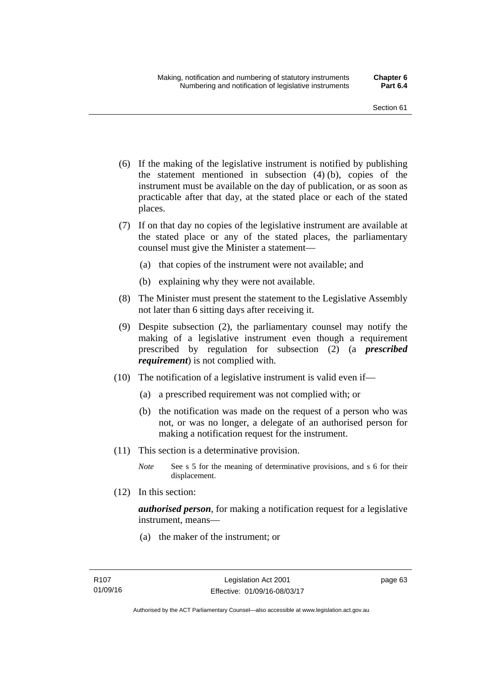- (6) If the making of the legislative instrument is notified by publishing the statement mentioned in subsection (4) (b), copies of the instrument must be available on the day of publication, or as soon as practicable after that day, at the stated place or each of the stated places.
- (7) If on that day no copies of the legislative instrument are available at the stated place or any of the stated places, the parliamentary counsel must give the Minister a statement—
	- (a) that copies of the instrument were not available; and
	- (b) explaining why they were not available.
- (8) The Minister must present the statement to the Legislative Assembly not later than 6 sitting days after receiving it.
- (9) Despite subsection (2), the parliamentary counsel may notify the making of a legislative instrument even though a requirement prescribed by regulation for subsection (2) (a *prescribed requirement*) is not complied with.
- (10) The notification of a legislative instrument is valid even if—
	- (a) a prescribed requirement was not complied with; or
	- (b) the notification was made on the request of a person who was not, or was no longer, a delegate of an authorised person for making a notification request for the instrument.
- (11) This section is a determinative provision.
	- *Note* See s 5 for the meaning of determinative provisions, and s 6 for their displacement.
- (12) In this section:

*authorised person*, for making a notification request for a legislative instrument, means—

(a) the maker of the instrument; or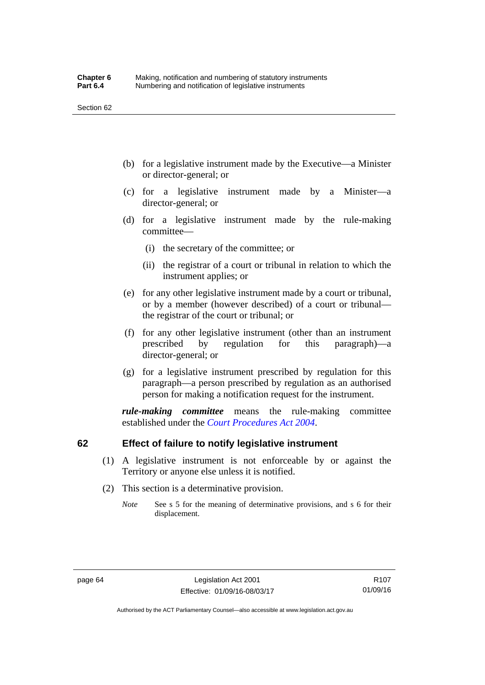- (b) for a legislative instrument made by the Executive—a Minister or director-general; or
- (c) for a legislative instrument made by a Minister—a director-general; or
- (d) for a legislative instrument made by the rule-making committee—
	- (i) the secretary of the committee; or
	- (ii) the registrar of a court or tribunal in relation to which the instrument applies; or
- (e) for any other legislative instrument made by a court or tribunal, or by a member (however described) of a court or tribunal the registrar of the court or tribunal; or
- (f) for any other legislative instrument (other than an instrument prescribed by regulation for this paragraph)—a director-general; or
- (g) for a legislative instrument prescribed by regulation for this paragraph—a person prescribed by regulation as an authorised person for making a notification request for the instrument.

*rule-making committee* means the rule-making committee established under the *[Court Procedures Act 2004](http://www.legislation.act.gov.au/a/2004-59)*.

## **62 Effect of failure to notify legislative instrument**

- (1) A legislative instrument is not enforceable by or against the Territory or anyone else unless it is notified.
- (2) This section is a determinative provision.
	- *Note* See s 5 for the meaning of determinative provisions, and s 6 for their displacement.

R107 01/09/16

Authorised by the ACT Parliamentary Counsel—also accessible at www.legislation.act.gov.au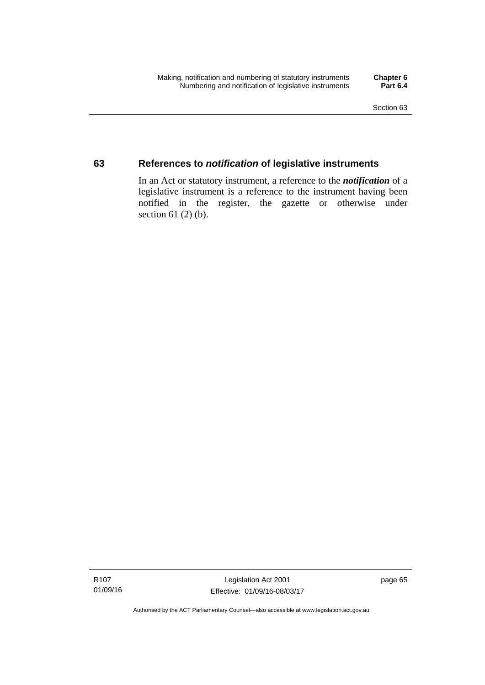## **63 References to** *notification* **of legislative instruments**

In an Act or statutory instrument, a reference to the *notification* of a legislative instrument is a reference to the instrument having been notified in the register, the gazette or otherwise under section  $61$  (2) (b).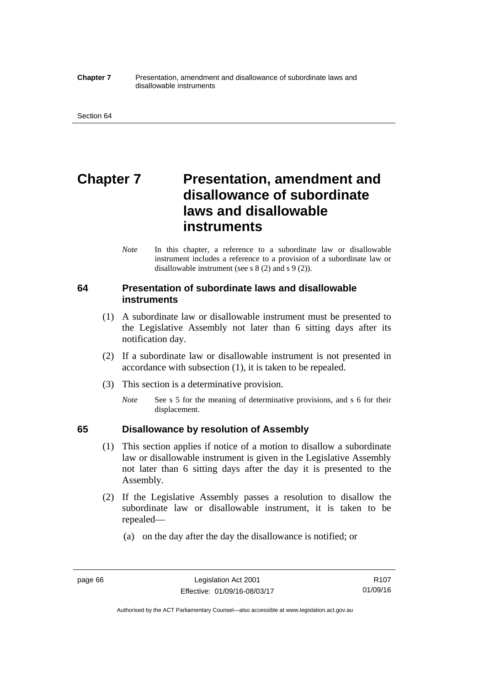#### **Chapter 7** Presentation, amendment and disallowance of subordinate laws and disallowable instruments

# **Chapter 7** Presentation, amendment and **disallowance of subordinate laws and disallowable instruments**

*Note* In this chapter, a reference to a subordinate law or disallowable instrument includes a reference to a provision of a subordinate law or disallowable instrument (see s 8 (2) and s 9 (2)).

## **64 Presentation of subordinate laws and disallowable instruments**

- (1) A subordinate law or disallowable instrument must be presented to the Legislative Assembly not later than 6 sitting days after its notification day.
- (2) If a subordinate law or disallowable instrument is not presented in accordance with subsection (1), it is taken to be repealed.
- (3) This section is a determinative provision.
	- *Note* See s 5 for the meaning of determinative provisions, and s 6 for their displacement.

## **65 Disallowance by resolution of Assembly**

- (1) This section applies if notice of a motion to disallow a subordinate law or disallowable instrument is given in the Legislative Assembly not later than 6 sitting days after the day it is presented to the Assembly.
- (2) If the Legislative Assembly passes a resolution to disallow the subordinate law or disallowable instrument, it is taken to be repealed—
	- (a) on the day after the day the disallowance is notified; or

Authorised by the ACT Parliamentary Counsel—also accessible at www.legislation.act.gov.au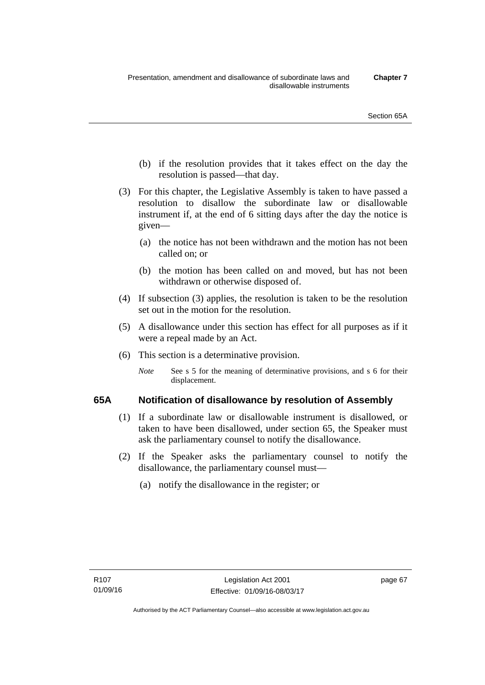- (b) if the resolution provides that it takes effect on the day the resolution is passed—that day.
- (3) For this chapter, the Legislative Assembly is taken to have passed a resolution to disallow the subordinate law or disallowable instrument if, at the end of 6 sitting days after the day the notice is given—
	- (a) the notice has not been withdrawn and the motion has not been called on; or
	- (b) the motion has been called on and moved, but has not been withdrawn or otherwise disposed of.
- (4) If subsection (3) applies, the resolution is taken to be the resolution set out in the motion for the resolution.
- (5) A disallowance under this section has effect for all purposes as if it were a repeal made by an Act.
- (6) This section is a determinative provision.
	- *Note* See s 5 for the meaning of determinative provisions, and s 6 for their displacement.

## **65A Notification of disallowance by resolution of Assembly**

- (1) If a subordinate law or disallowable instrument is disallowed, or taken to have been disallowed, under section 65, the Speaker must ask the parliamentary counsel to notify the disallowance.
- (2) If the Speaker asks the parliamentary counsel to notify the disallowance, the parliamentary counsel must—
	- (a) notify the disallowance in the register; or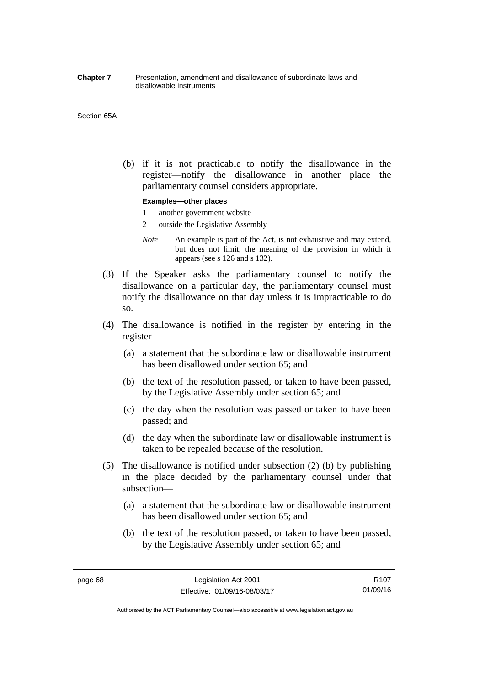#### **Chapter 7** Presentation, amendment and disallowance of subordinate laws and disallowable instruments

#### Section 65A

 (b) if it is not practicable to notify the disallowance in the register—notify the disallowance in another place the parliamentary counsel considers appropriate.

#### **Examples—other places**

- 1 another government website
- 2 outside the Legislative Assembly
- *Note* An example is part of the Act, is not exhaustive and may extend, but does not limit, the meaning of the provision in which it appears (see s 126 and s 132).
- (3) If the Speaker asks the parliamentary counsel to notify the disallowance on a particular day, the parliamentary counsel must notify the disallowance on that day unless it is impracticable to do so.
- (4) The disallowance is notified in the register by entering in the register—
	- (a) a statement that the subordinate law or disallowable instrument has been disallowed under section 65; and
	- (b) the text of the resolution passed, or taken to have been passed, by the Legislative Assembly under section 65; and
	- (c) the day when the resolution was passed or taken to have been passed; and
	- (d) the day when the subordinate law or disallowable instrument is taken to be repealed because of the resolution.
- (5) The disallowance is notified under subsection (2) (b) by publishing in the place decided by the parliamentary counsel under that subsection—
	- (a) a statement that the subordinate law or disallowable instrument has been disallowed under section 65; and
	- (b) the text of the resolution passed, or taken to have been passed, by the Legislative Assembly under section 65; and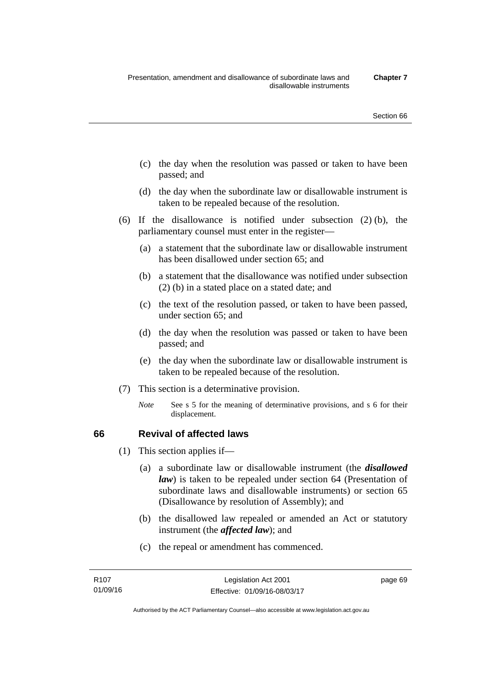- (c) the day when the resolution was passed or taken to have been passed; and
- (d) the day when the subordinate law or disallowable instrument is taken to be repealed because of the resolution.
- (6) If the disallowance is notified under subsection (2) (b), the parliamentary counsel must enter in the register—
	- (a) a statement that the subordinate law or disallowable instrument has been disallowed under section 65; and
	- (b) a statement that the disallowance was notified under subsection (2) (b) in a stated place on a stated date; and
	- (c) the text of the resolution passed, or taken to have been passed, under section 65; and
	- (d) the day when the resolution was passed or taken to have been passed; and
	- (e) the day when the subordinate law or disallowable instrument is taken to be repealed because of the resolution.
- (7) This section is a determinative provision.
	- *Note* See s 5 for the meaning of determinative provisions, and s 6 for their displacement.

## **66 Revival of affected laws**

- (1) This section applies if—
	- (a) a subordinate law or disallowable instrument (the *disallowed law*) is taken to be repealed under section 64 (Presentation of subordinate laws and disallowable instruments) or section 65 (Disallowance by resolution of Assembly); and
	- (b) the disallowed law repealed or amended an Act or statutory instrument (the *affected law*); and
	- (c) the repeal or amendment has commenced.

page 69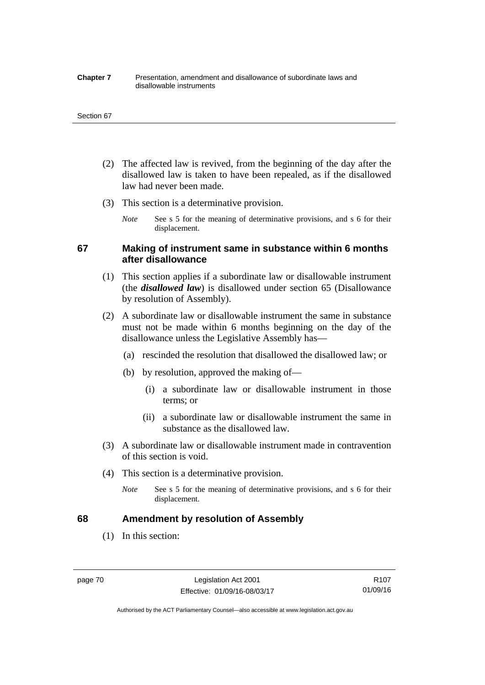#### **Chapter 7** Presentation, amendment and disallowance of subordinate laws and disallowable instruments

#### Section 67

- (2) The affected law is revived, from the beginning of the day after the disallowed law is taken to have been repealed, as if the disallowed law had never been made.
- (3) This section is a determinative provision.
	- *Note* See s 5 for the meaning of determinative provisions, and s 6 for their displacement.

## **67 Making of instrument same in substance within 6 months after disallowance**

- (1) This section applies if a subordinate law or disallowable instrument (the *disallowed law*) is disallowed under section 65 (Disallowance by resolution of Assembly).
- (2) A subordinate law or disallowable instrument the same in substance must not be made within 6 months beginning on the day of the disallowance unless the Legislative Assembly has—
	- (a) rescinded the resolution that disallowed the disallowed law; or
	- (b) by resolution, approved the making of—
		- (i) a subordinate law or disallowable instrument in those terms; or
		- (ii) a subordinate law or disallowable instrument the same in substance as the disallowed law.
- (3) A subordinate law or disallowable instrument made in contravention of this section is void.
- (4) This section is a determinative provision.
	- *Note* See s 5 for the meaning of determinative provisions, and s 6 for their displacement.

## **68 Amendment by resolution of Assembly**

(1) In this section:

page 70 Legislation Act 2001 Effective: 01/09/16-08/03/17

Authorised by the ACT Parliamentary Counsel—also accessible at www.legislation.act.gov.au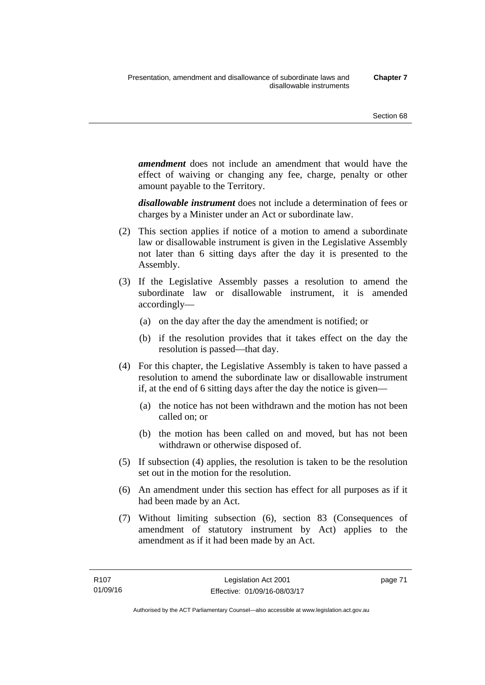*amendment* does not include an amendment that would have the effect of waiving or changing any fee, charge, penalty or other amount payable to the Territory.

*disallowable instrument* does not include a determination of fees or charges by a Minister under an Act or subordinate law.

- (2) This section applies if notice of a motion to amend a subordinate law or disallowable instrument is given in the Legislative Assembly not later than 6 sitting days after the day it is presented to the Assembly.
- (3) If the Legislative Assembly passes a resolution to amend the subordinate law or disallowable instrument, it is amended accordingly—
	- (a) on the day after the day the amendment is notified; or
	- (b) if the resolution provides that it takes effect on the day the resolution is passed—that day.
- (4) For this chapter, the Legislative Assembly is taken to have passed a resolution to amend the subordinate law or disallowable instrument if, at the end of 6 sitting days after the day the notice is given—
	- (a) the notice has not been withdrawn and the motion has not been called on; or
	- (b) the motion has been called on and moved, but has not been withdrawn or otherwise disposed of.
- (5) If subsection (4) applies, the resolution is taken to be the resolution set out in the motion for the resolution.
- (6) An amendment under this section has effect for all purposes as if it had been made by an Act.
- (7) Without limiting subsection (6), section 83 (Consequences of amendment of statutory instrument by Act) applies to the amendment as if it had been made by an Act.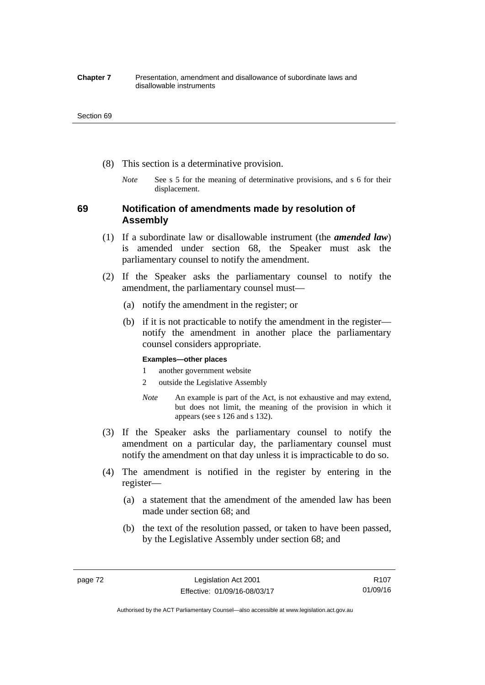#### **Chapter 7** Presentation, amendment and disallowance of subordinate laws and disallowable instruments

#### Section 69

- (8) This section is a determinative provision.
	- *Note* See s 5 for the meaning of determinative provisions, and s 6 for their displacement.

## **69 Notification of amendments made by resolution of Assembly**

- (1) If a subordinate law or disallowable instrument (the *amended law*) is amended under section 68, the Speaker must ask the parliamentary counsel to notify the amendment.
- (2) If the Speaker asks the parliamentary counsel to notify the amendment, the parliamentary counsel must—
	- (a) notify the amendment in the register; or
	- (b) if it is not practicable to notify the amendment in the register notify the amendment in another place the parliamentary counsel considers appropriate.

### **Examples—other places**

- 1 another government website
- 2 outside the Legislative Assembly
- *Note* An example is part of the Act, is not exhaustive and may extend, but does not limit, the meaning of the provision in which it appears (see s 126 and s 132).
- (3) If the Speaker asks the parliamentary counsel to notify the amendment on a particular day, the parliamentary counsel must notify the amendment on that day unless it is impracticable to do so.
- (4) The amendment is notified in the register by entering in the register—
	- (a) a statement that the amendment of the amended law has been made under section 68; and
	- (b) the text of the resolution passed, or taken to have been passed, by the Legislative Assembly under section 68; and

Authorised by the ACT Parliamentary Counsel—also accessible at www.legislation.act.gov.au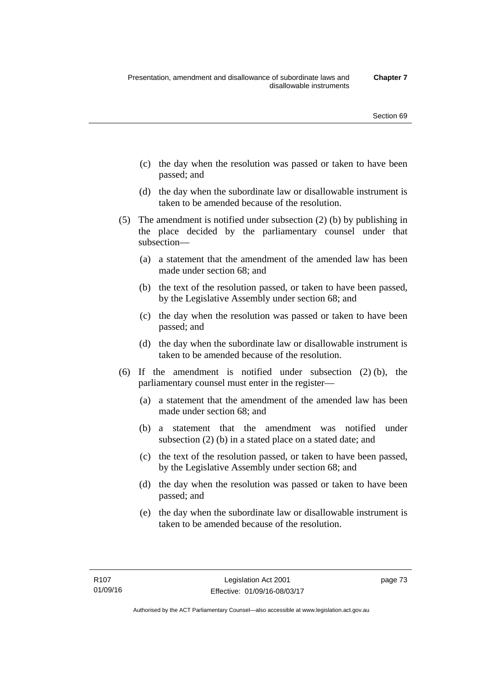- (c) the day when the resolution was passed or taken to have been passed; and
- (d) the day when the subordinate law or disallowable instrument is taken to be amended because of the resolution.
- (5) The amendment is notified under subsection (2) (b) by publishing in the place decided by the parliamentary counsel under that subsection—
	- (a) a statement that the amendment of the amended law has been made under section 68; and
	- (b) the text of the resolution passed, or taken to have been passed, by the Legislative Assembly under section 68; and
	- (c) the day when the resolution was passed or taken to have been passed; and
	- (d) the day when the subordinate law or disallowable instrument is taken to be amended because of the resolution.
- (6) If the amendment is notified under subsection (2) (b), the parliamentary counsel must enter in the register—
	- (a) a statement that the amendment of the amended law has been made under section 68; and
	- (b) a statement that the amendment was notified under subsection (2) (b) in a stated place on a stated date; and
	- (c) the text of the resolution passed, or taken to have been passed, by the Legislative Assembly under section 68; and
	- (d) the day when the resolution was passed or taken to have been passed; and
	- (e) the day when the subordinate law or disallowable instrument is taken to be amended because of the resolution.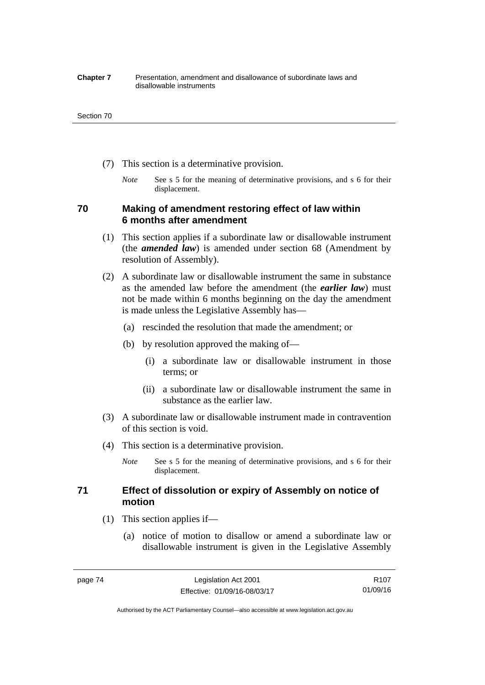#### **Chapter 7** Presentation, amendment and disallowance of subordinate laws and disallowable instruments

#### Section 70

- (7) This section is a determinative provision.
	- *Note* See s 5 for the meaning of determinative provisions, and s 6 for their displacement.

## **70 Making of amendment restoring effect of law within 6 months after amendment**

- (1) This section applies if a subordinate law or disallowable instrument (the *amended law*) is amended under section 68 (Amendment by resolution of Assembly).
- (2) A subordinate law or disallowable instrument the same in substance as the amended law before the amendment (the *earlier law*) must not be made within 6 months beginning on the day the amendment is made unless the Legislative Assembly has—
	- (a) rescinded the resolution that made the amendment; or
	- (b) by resolution approved the making of—
		- (i) a subordinate law or disallowable instrument in those terms; or
		- (ii) a subordinate law or disallowable instrument the same in substance as the earlier law.
- (3) A subordinate law or disallowable instrument made in contravention of this section is void.
- (4) This section is a determinative provision.
	- *Note* See s 5 for the meaning of determinative provisions, and s 6 for their displacement.

## **71 Effect of dissolution or expiry of Assembly on notice of motion**

- (1) This section applies if—
	- (a) notice of motion to disallow or amend a subordinate law or disallowable instrument is given in the Legislative Assembly

Authorised by the ACT Parliamentary Counsel—also accessible at www.legislation.act.gov.au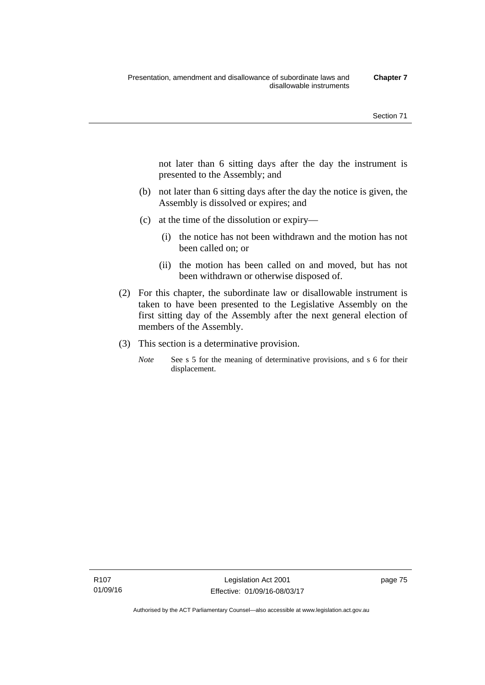not later than 6 sitting days after the day the instrument is presented to the Assembly; and

- (b) not later than 6 sitting days after the day the notice is given, the Assembly is dissolved or expires; and
- (c) at the time of the dissolution or expiry—
	- (i) the notice has not been withdrawn and the motion has not been called on; or
	- (ii) the motion has been called on and moved, but has not been withdrawn or otherwise disposed of.
- (2) For this chapter, the subordinate law or disallowable instrument is taken to have been presented to the Legislative Assembly on the first sitting day of the Assembly after the next general election of members of the Assembly.
- (3) This section is a determinative provision.
	- *Note* See s 5 for the meaning of determinative provisions, and s 6 for their displacement.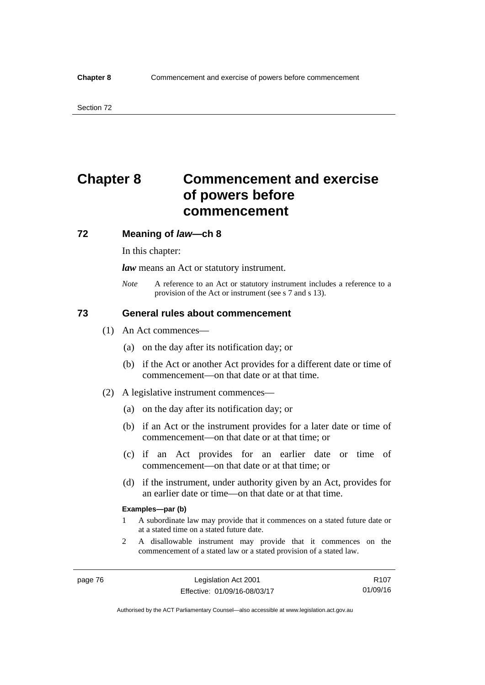# **Chapter 8 Commencement and exercise of powers before commencement**

### **72 Meaning of** *law***—ch 8**

In this chapter:

*law* means an Act or statutory instrument.

*Note* A reference to an Act or statutory instrument includes a reference to a provision of the Act or instrument (see s 7 and s 13).

## **73 General rules about commencement**

- (1) An Act commences—
	- (a) on the day after its notification day; or
	- (b) if the Act or another Act provides for a different date or time of commencement—on that date or at that time.
- (2) A legislative instrument commences—
	- (a) on the day after its notification day; or
	- (b) if an Act or the instrument provides for a later date or time of commencement—on that date or at that time; or
	- (c) if an Act provides for an earlier date or time of commencement—on that date or at that time; or
	- (d) if the instrument, under authority given by an Act, provides for an earlier date or time—on that date or at that time.

#### **Examples—par (b)**

- 1 A subordinate law may provide that it commences on a stated future date or at a stated time on a stated future date.
- 2 A disallowable instrument may provide that it commences on the commencement of a stated law or a stated provision of a stated law.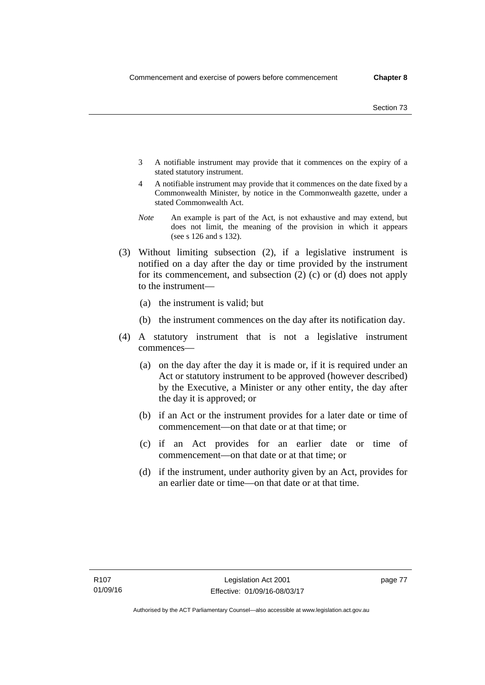- 3 A notifiable instrument may provide that it commences on the expiry of a stated statutory instrument.
- 4 A notifiable instrument may provide that it commences on the date fixed by a Commonwealth Minister, by notice in the Commonwealth gazette, under a stated Commonwealth Act.
- *Note* An example is part of the Act, is not exhaustive and may extend, but does not limit, the meaning of the provision in which it appears (see s 126 and s 132).
- (3) Without limiting subsection (2), if a legislative instrument is notified on a day after the day or time provided by the instrument for its commencement, and subsection (2) (c) or (d) does not apply to the instrument—
	- (a) the instrument is valid; but
	- (b) the instrument commences on the day after its notification day.
- (4) A statutory instrument that is not a legislative instrument commences—
	- (a) on the day after the day it is made or, if it is required under an Act or statutory instrument to be approved (however described) by the Executive, a Minister or any other entity, the day after the day it is approved; or
	- (b) if an Act or the instrument provides for a later date or time of commencement—on that date or at that time; or
	- (c) if an Act provides for an earlier date or time of commencement—on that date or at that time; or
	- (d) if the instrument, under authority given by an Act, provides for an earlier date or time—on that date or at that time.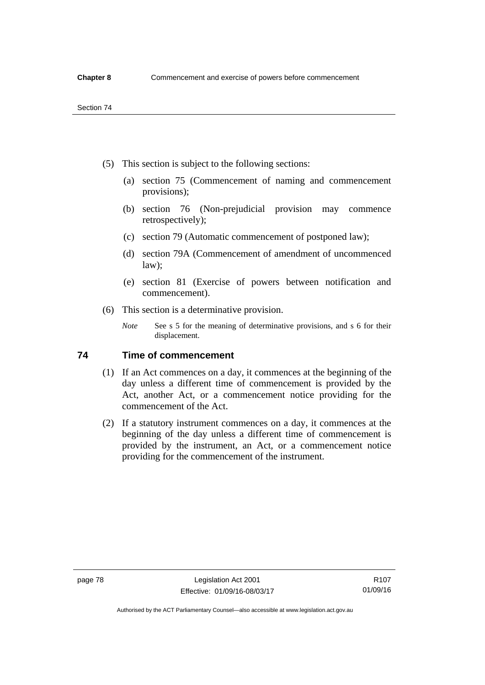- (5) This section is subject to the following sections:
	- (a) section 75 (Commencement of naming and commencement provisions);
	- (b) section 76 (Non-prejudicial provision may commence retrospectively);
	- (c) section 79 (Automatic commencement of postponed law);
	- (d) section 79A (Commencement of amendment of uncommenced law);
	- (e) section 81 (Exercise of powers between notification and commencement).
- (6) This section is a determinative provision.
	- *Note* See s 5 for the meaning of determinative provisions, and s 6 for their displacement.

## **74 Time of commencement**

- (1) If an Act commences on a day, it commences at the beginning of the day unless a different time of commencement is provided by the Act, another Act, or a commencement notice providing for the commencement of the Act.
- (2) If a statutory instrument commences on a day, it commences at the beginning of the day unless a different time of commencement is provided by the instrument, an Act, or a commencement notice providing for the commencement of the instrument.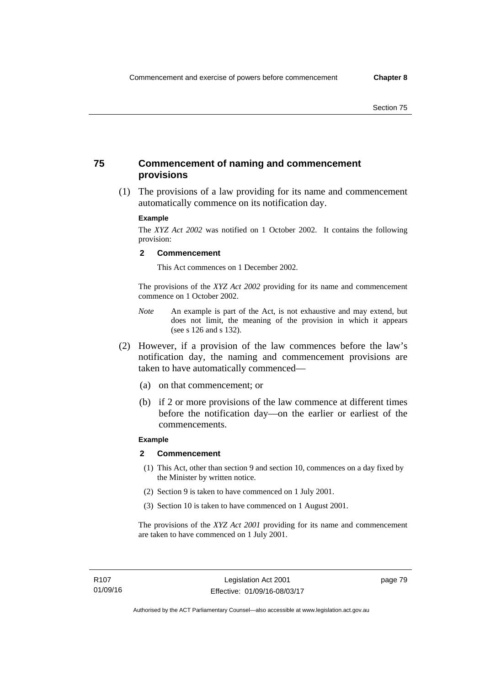## **75 Commencement of naming and commencement provisions**

 (1) The provisions of a law providing for its name and commencement automatically commence on its notification day.

### **Example**

The *XYZ Act 2002* was notified on 1 October 2002. It contains the following provision:

#### **2 Commencement**

This Act commences on 1 December 2002.

The provisions of the *XYZ Act 2002* providing for its name and commencement commence on 1 October 2002.

- *Note* An example is part of the Act, is not exhaustive and may extend, but does not limit, the meaning of the provision in which it appears (see s 126 and s 132).
- (2) However, if a provision of the law commences before the law's notification day, the naming and commencement provisions are taken to have automatically commenced—
	- (a) on that commencement; or
	- (b) if 2 or more provisions of the law commence at different times before the notification day—on the earlier or earliest of the commencements.

## **Example**

#### **2 Commencement**

- (1) This Act, other than section 9 and section 10, commences on a day fixed by the Minister by written notice.
- (2) Section 9 is taken to have commenced on 1 July 2001.
- (3) Section 10 is taken to have commenced on 1 August 2001.

The provisions of the *XYZ Act 2001* providing for its name and commencement are taken to have commenced on 1 July 2001.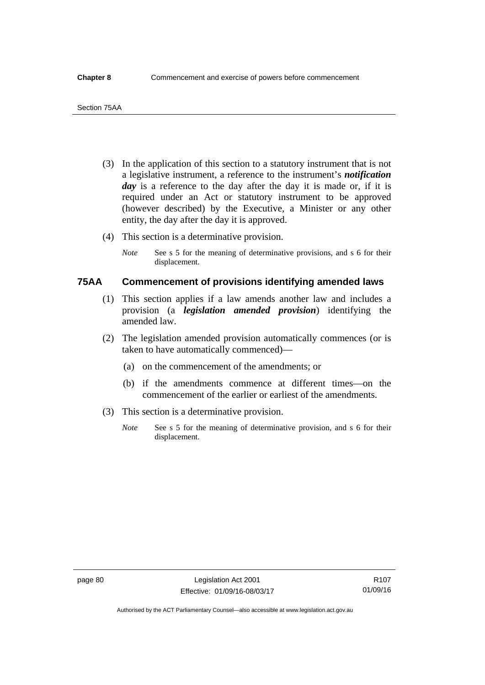- (3) In the application of this section to a statutory instrument that is not a legislative instrument, a reference to the instrument's *notification*  day is a reference to the day after the day it is made or, if it is required under an Act or statutory instrument to be approved (however described) by the Executive, a Minister or any other entity, the day after the day it is approved.
- (4) This section is a determinative provision.
	- *Note* See s 5 for the meaning of determinative provisions, and s 6 for their displacement.

## **75AA Commencement of provisions identifying amended laws**

- (1) This section applies if a law amends another law and includes a provision (a *legislation amended provision*) identifying the amended law.
- (2) The legislation amended provision automatically commences (or is taken to have automatically commenced)—
	- (a) on the commencement of the amendments; or
	- (b) if the amendments commence at different times—on the commencement of the earlier or earliest of the amendments.
- (3) This section is a determinative provision.
	- *Note* See s 5 for the meaning of determinative provision, and s 6 for their displacement.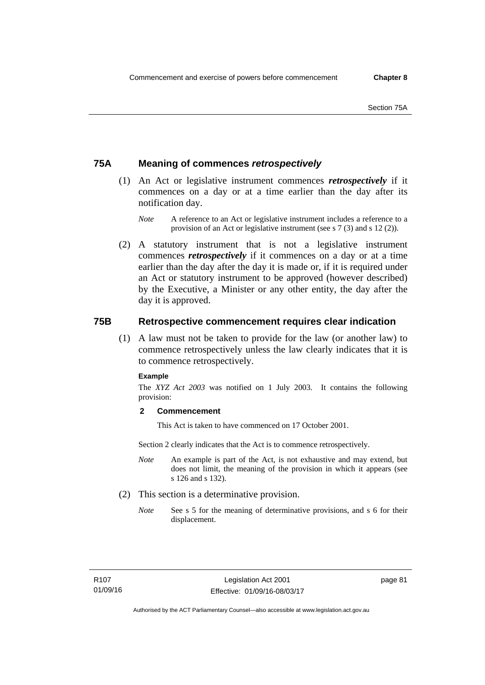## **75A Meaning of commences** *retrospectively*

- (1) An Act or legislative instrument commences *retrospectively* if it commences on a day or at a time earlier than the day after its notification day.
	- *Note* A reference to an Act or legislative instrument includes a reference to a provision of an Act or legislative instrument (see s 7 (3) and s 12 (2)).
- (2) A statutory instrument that is not a legislative instrument commences *retrospectively* if it commences on a day or at a time earlier than the day after the day it is made or, if it is required under an Act or statutory instrument to be approved (however described) by the Executive, a Minister or any other entity, the day after the day it is approved.

## **75B Retrospective commencement requires clear indication**

(1) A law must not be taken to provide for the law (or another law) to commence retrospectively unless the law clearly indicates that it is to commence retrospectively.

### **Example**

The *XYZ Act 2003* was notified on 1 July 2003. It contains the following provision:

## **2 Commencement**

This Act is taken to have commenced on 17 October 2001.

Section 2 clearly indicates that the Act is to commence retrospectively.

- *Note* An example is part of the Act, is not exhaustive and may extend, but does not limit, the meaning of the provision in which it appears (see s 126 and s 132).
- (2) This section is a determinative provision.
	- *Note* See s 5 for the meaning of determinative provisions, and s 6 for their displacement.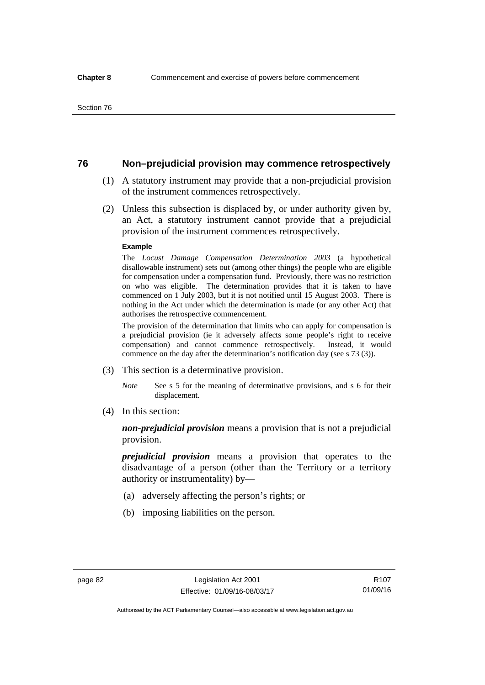## **76 Non–prejudicial provision may commence retrospectively**

- (1) A statutory instrument may provide that a non-prejudicial provision of the instrument commences retrospectively.
- (2) Unless this subsection is displaced by, or under authority given by, an Act, a statutory instrument cannot provide that a prejudicial provision of the instrument commences retrospectively.

#### **Example**

The *Locust Damage Compensation Determination 2003* (a hypothetical disallowable instrument) sets out (among other things) the people who are eligible for compensation under a compensation fund. Previously, there was no restriction on who was eligible. The determination provides that it is taken to have commenced on 1 July 2003, but it is not notified until 15 August 2003. There is nothing in the Act under which the determination is made (or any other Act) that authorises the retrospective commencement.

The provision of the determination that limits who can apply for compensation is a prejudicial provision (ie it adversely affects some people's right to receive compensation) and cannot commence retrospectively. Instead, it would commence on the day after the determination's notification day (see s 73 (3)).

- (3) This section is a determinative provision.
	- *Note* See s 5 for the meaning of determinative provisions, and s 6 for their displacement.
- (4) In this section:

*non-prejudicial provision* means a provision that is not a prejudicial provision.

*prejudicial provision* means a provision that operates to the disadvantage of a person (other than the Territory or a territory authority or instrumentality) by—

- (a) adversely affecting the person's rights; or
- (b) imposing liabilities on the person.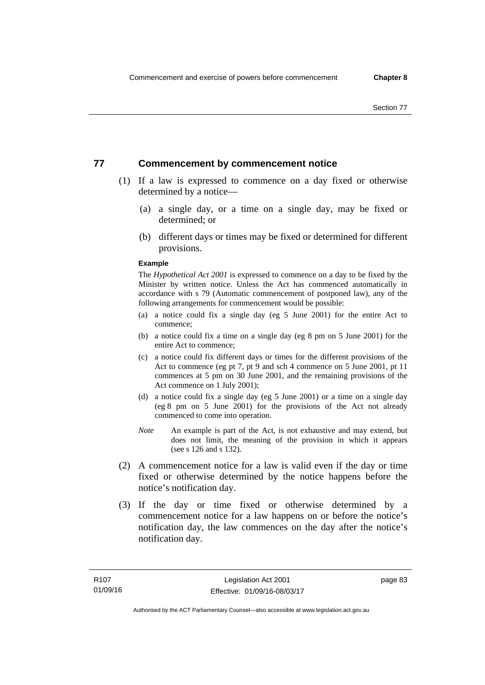## **77 Commencement by commencement notice**

- (1) If a law is expressed to commence on a day fixed or otherwise determined by a notice—
	- (a) a single day, or a time on a single day, may be fixed or determined; or
	- (b) different days or times may be fixed or determined for different provisions.

#### **Example**

The *Hypothetical Act 2001* is expressed to commence on a day to be fixed by the Minister by written notice. Unless the Act has commenced automatically in accordance with s 79 (Automatic commencement of postponed law), any of the following arrangements for commencement would be possible:

- (a) a notice could fix a single day (eg 5 June 2001) for the entire Act to commence;
- (b) a notice could fix a time on a single day (eg 8 pm on 5 June 2001) for the entire Act to commence;
- (c) a notice could fix different days or times for the different provisions of the Act to commence (eg pt 7, pt 9 and sch 4 commence on 5 June 2001, pt 11 commences at 5 pm on 30 June 2001, and the remaining provisions of the Act commence on 1 July 2001);
- (d) a notice could fix a single day (eg 5 June 2001) or a time on a single day (eg 8 pm on 5 June 2001) for the provisions of the Act not already commenced to come into operation.
- *Note* An example is part of the Act, is not exhaustive and may extend, but does not limit, the meaning of the provision in which it appears (see s 126 and s 132).
- (2) A commencement notice for a law is valid even if the day or time fixed or otherwise determined by the notice happens before the notice's notification day.
- (3) If the day or time fixed or otherwise determined by a commencement notice for a law happens on or before the notice's notification day, the law commences on the day after the notice's notification day.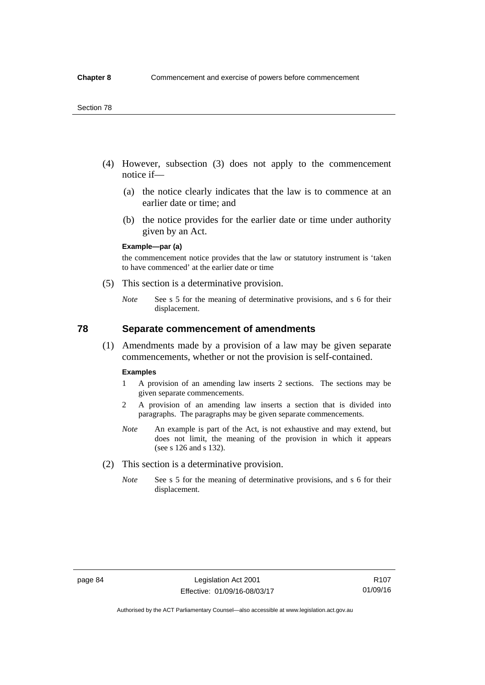- (4) However, subsection (3) does not apply to the commencement notice if—
	- (a) the notice clearly indicates that the law is to commence at an earlier date or time; and
	- (b) the notice provides for the earlier date or time under authority given by an Act.

### **Example—par (a)**

the commencement notice provides that the law or statutory instrument is 'taken to have commenced' at the earlier date or time

- (5) This section is a determinative provision.
	- *Note* See s 5 for the meaning of determinative provisions, and s 6 for their displacement.

## **78 Separate commencement of amendments**

 (1) Amendments made by a provision of a law may be given separate commencements, whether or not the provision is self-contained.

#### **Examples**

- 1 A provision of an amending law inserts 2 sections. The sections may be given separate commencements.
- 2 A provision of an amending law inserts a section that is divided into paragraphs. The paragraphs may be given separate commencements.
- *Note* An example is part of the Act, is not exhaustive and may extend, but does not limit, the meaning of the provision in which it appears (see s 126 and s 132).
- (2) This section is a determinative provision.
	- *Note* See s 5 for the meaning of determinative provisions, and s 6 for their displacement.

R107 01/09/16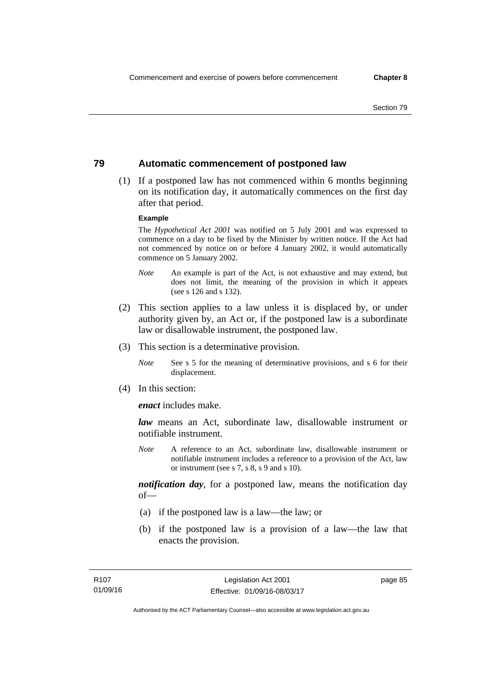## **79 Automatic commencement of postponed law**

 (1) If a postponed law has not commenced within 6 months beginning on its notification day, it automatically commences on the first day after that period.

#### **Example**

The *Hypothetical Act 2001* was notified on 5 July 2001 and was expressed to commence on a day to be fixed by the Minister by written notice. If the Act had not commenced by notice on or before 4 January 2002, it would automatically commence on 5 January 2002.

- *Note* An example is part of the Act, is not exhaustive and may extend, but does not limit, the meaning of the provision in which it appears (see s 126 and s 132).
- (2) This section applies to a law unless it is displaced by, or under authority given by, an Act or, if the postponed law is a subordinate law or disallowable instrument, the postponed law.
- (3) This section is a determinative provision.
	- *Note* See s 5 for the meaning of determinative provisions, and s 6 for their displacement.
- (4) In this section:

*enact* includes make.

*law* means an Act, subordinate law, disallowable instrument or notifiable instrument.

*Note* A reference to an Act, subordinate law, disallowable instrument or notifiable instrument includes a reference to a provision of the Act, law or instrument (see s 7, s 8, s 9 and s 10).

*notification day*, for a postponed law, means the notification day  $of$ 

- (a) if the postponed law is a law—the law; or
- (b) if the postponed law is a provision of a law—the law that enacts the provision.

page 85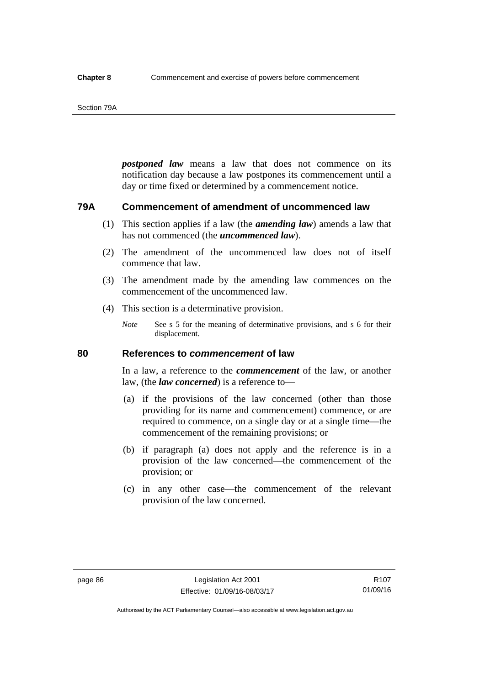#### Section 79A

*postponed law* means a law that does not commence on its notification day because a law postpones its commencement until a day or time fixed or determined by a commencement notice.

## **79A Commencement of amendment of uncommenced law**

- (1) This section applies if a law (the *amending law*) amends a law that has not commenced (the *uncommenced law*).
- (2) The amendment of the uncommenced law does not of itself commence that law.
- (3) The amendment made by the amending law commences on the commencement of the uncommenced law.
- (4) This section is a determinative provision.
	- *Note* See s 5 for the meaning of determinative provisions, and s 6 for their displacement.

## **80 References to** *commencement* **of law**

In a law, a reference to the *commencement* of the law, or another law, (the *law concerned*) is a reference to—

- (a) if the provisions of the law concerned (other than those providing for its name and commencement) commence, or are required to commence, on a single day or at a single time—the commencement of the remaining provisions; or
- (b) if paragraph (a) does not apply and the reference is in a provision of the law concerned—the commencement of the provision; or
- (c) in any other case—the commencement of the relevant provision of the law concerned.

R107 01/09/16

Authorised by the ACT Parliamentary Counsel—also accessible at www.legislation.act.gov.au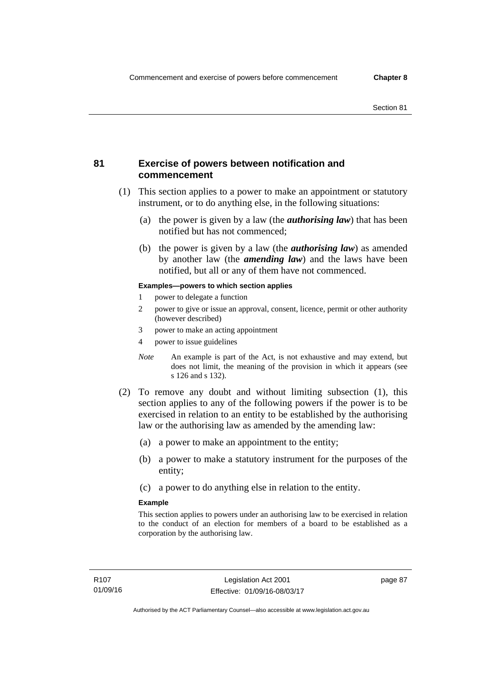## **81 Exercise of powers between notification and commencement**

- (1) This section applies to a power to make an appointment or statutory instrument, or to do anything else, in the following situations:
	- (a) the power is given by a law (the *authorising law*) that has been notified but has not commenced;
	- (b) the power is given by a law (the *authorising law*) as amended by another law (the *amending law*) and the laws have been notified, but all or any of them have not commenced.

### **Examples—powers to which section applies**

- 1 power to delegate a function
- 2 power to give or issue an approval, consent, licence, permit or other authority (however described)
- 3 power to make an acting appointment
- 4 power to issue guidelines
- *Note* An example is part of the Act, is not exhaustive and may extend, but does not limit, the meaning of the provision in which it appears (see s 126 and s 132).
- (2) To remove any doubt and without limiting subsection (1), this section applies to any of the following powers if the power is to be exercised in relation to an entity to be established by the authorising law or the authorising law as amended by the amending law:
	- (a) a power to make an appointment to the entity;
	- (b) a power to make a statutory instrument for the purposes of the entity;
	- (c) a power to do anything else in relation to the entity.

### **Example**

This section applies to powers under an authorising law to be exercised in relation to the conduct of an election for members of a board to be established as a corporation by the authorising law.

page 87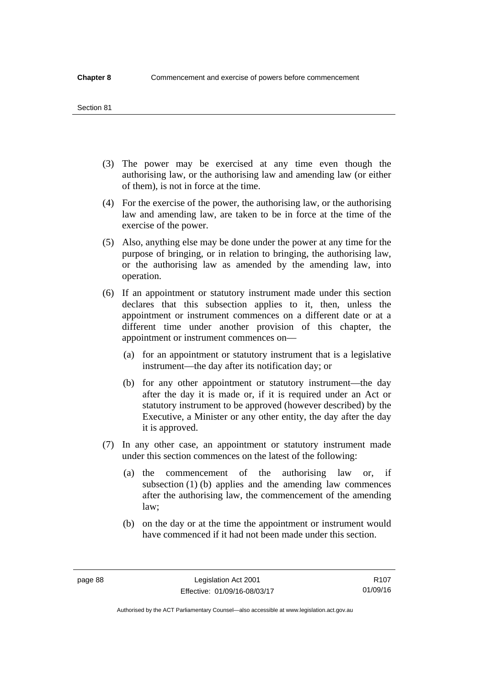#### Section 81

- (3) The power may be exercised at any time even though the authorising law, or the authorising law and amending law (or either of them), is not in force at the time.
- (4) For the exercise of the power, the authorising law, or the authorising law and amending law, are taken to be in force at the time of the exercise of the power.
- (5) Also, anything else may be done under the power at any time for the purpose of bringing, or in relation to bringing, the authorising law, or the authorising law as amended by the amending law, into operation.
- (6) If an appointment or statutory instrument made under this section declares that this subsection applies to it, then, unless the appointment or instrument commences on a different date or at a different time under another provision of this chapter, the appointment or instrument commences on—
	- (a) for an appointment or statutory instrument that is a legislative instrument—the day after its notification day; or
	- (b) for any other appointment or statutory instrument—the day after the day it is made or, if it is required under an Act or statutory instrument to be approved (however described) by the Executive, a Minister or any other entity, the day after the day it is approved.
- (7) In any other case, an appointment or statutory instrument made under this section commences on the latest of the following:
	- (a) the commencement of the authorising law or, if subsection (1) (b) applies and the amending law commences after the authorising law, the commencement of the amending law;
	- (b) on the day or at the time the appointment or instrument would have commenced if it had not been made under this section.

R107 01/09/16

Authorised by the ACT Parliamentary Counsel—also accessible at www.legislation.act.gov.au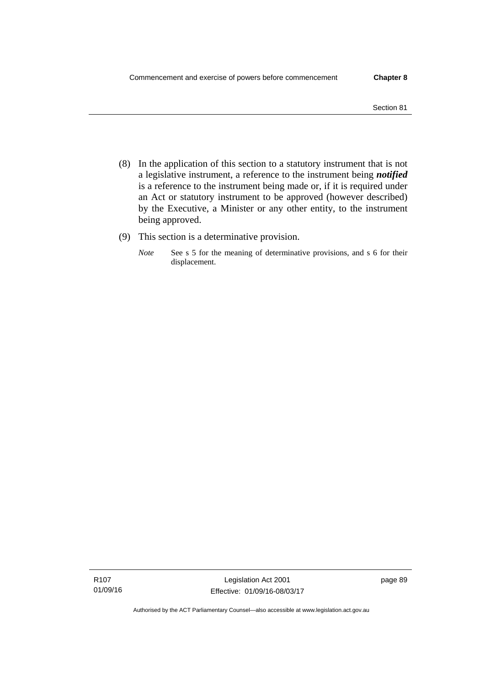- (8) In the application of this section to a statutory instrument that is not a legislative instrument, a reference to the instrument being *notified*  is a reference to the instrument being made or, if it is required under an Act or statutory instrument to be approved (however described) by the Executive, a Minister or any other entity, to the instrument being approved.
- (9) This section is a determinative provision.
	- *Note* See s 5 for the meaning of determinative provisions, and s 6 for their displacement.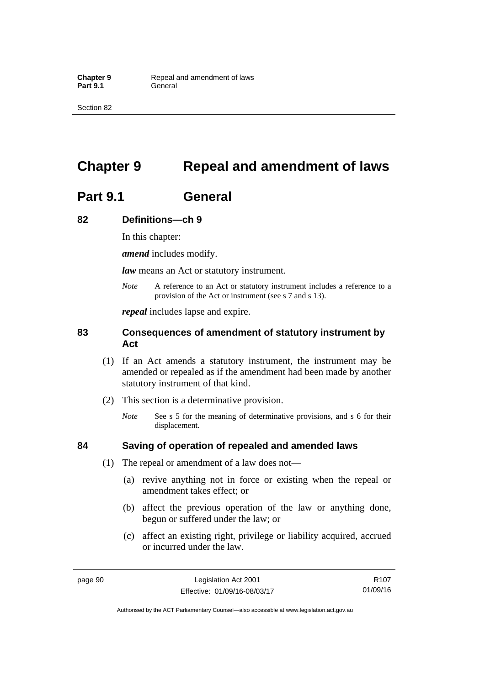Section 82

# **Chapter 9 Repeal and amendment of laws**

# **Part 9.1 General**

## **82 Definitions—ch 9**

In this chapter:

*amend* includes modify.

*law* means an Act or statutory instrument.

*Note* A reference to an Act or statutory instrument includes a reference to a provision of the Act or instrument (see s 7 and s 13).

*repeal* includes lapse and expire.

## **83 Consequences of amendment of statutory instrument by Act**

- (1) If an Act amends a statutory instrument, the instrument may be amended or repealed as if the amendment had been made by another statutory instrument of that kind.
- (2) This section is a determinative provision.
	- *Note* See s 5 for the meaning of determinative provisions, and s 6 for their displacement.

## **84 Saving of operation of repealed and amended laws**

- (1) The repeal or amendment of a law does not—
	- (a) revive anything not in force or existing when the repeal or amendment takes effect; or
	- (b) affect the previous operation of the law or anything done, begun or suffered under the law; or
	- (c) affect an existing right, privilege or liability acquired, accrued or incurred under the law.

page 90 Legislation Act 2001 Effective: 01/09/16-08/03/17

Authorised by the ACT Parliamentary Counsel—also accessible at www.legislation.act.gov.au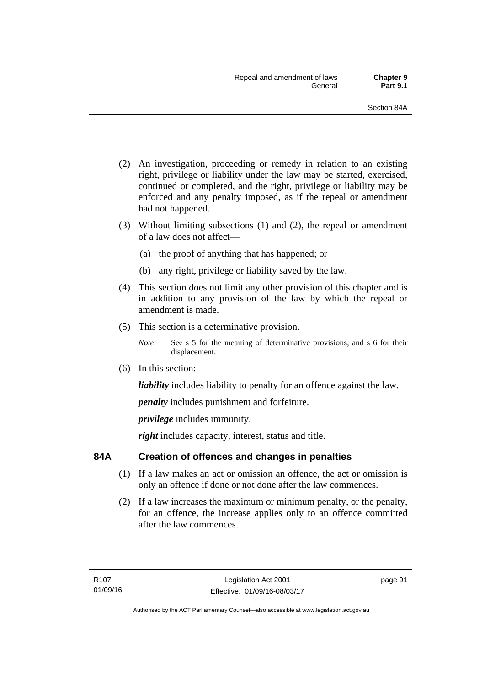- (2) An investigation, proceeding or remedy in relation to an existing right, privilege or liability under the law may be started, exercised, continued or completed, and the right, privilege or liability may be enforced and any penalty imposed, as if the repeal or amendment had not happened.
- (3) Without limiting subsections (1) and (2), the repeal or amendment of a law does not affect—
	- (a) the proof of anything that has happened; or
	- (b) any right, privilege or liability saved by the law.
- (4) This section does not limit any other provision of this chapter and is in addition to any provision of the law by which the repeal or amendment is made.
- (5) This section is a determinative provision.
	- *Note* See s 5 for the meaning of determinative provisions, and s 6 for their displacement.
- (6) In this section:

*liability* includes liability to penalty for an offence against the law.

*penalty* includes punishment and forfeiture.

*privilege* includes immunity.

right includes capacity, interest, status and title.

## **84A Creation of offences and changes in penalties**

- (1) If a law makes an act or omission an offence, the act or omission is only an offence if done or not done after the law commences.
- (2) If a law increases the maximum or minimum penalty, or the penalty, for an offence, the increase applies only to an offence committed after the law commences.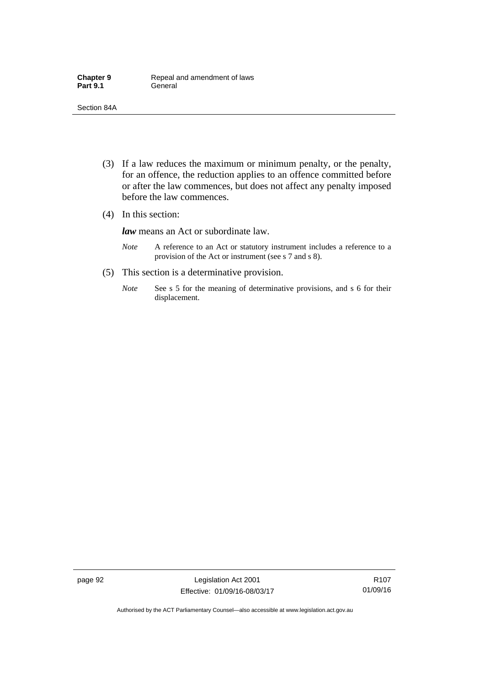- (3) If a law reduces the maximum or minimum penalty, or the penalty, for an offence, the reduction applies to an offence committed before or after the law commences, but does not affect any penalty imposed before the law commences.
- (4) In this section:

*law* means an Act or subordinate law.

- *Note* A reference to an Act or statutory instrument includes a reference to a provision of the Act or instrument (see s 7 and s 8).
- (5) This section is a determinative provision.
	- *Note* See s 5 for the meaning of determinative provisions, and s 6 for their displacement.

page 92 Legislation Act 2001 Effective: 01/09/16-08/03/17

R107 01/09/16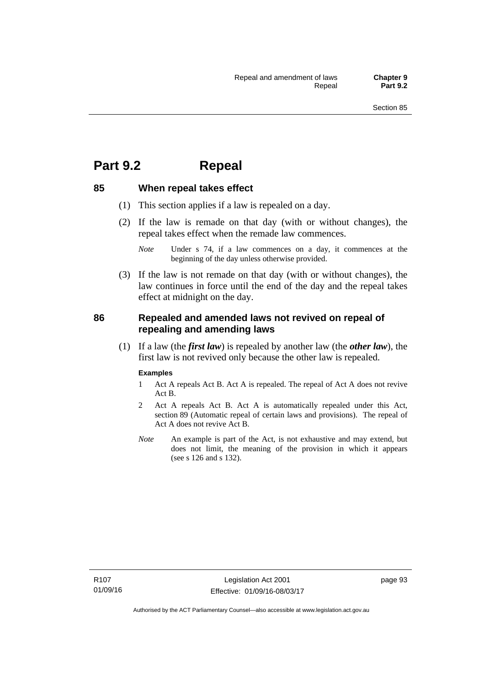## **Part 9.2 Repeal**

## **85 When repeal takes effect**

- (1) This section applies if a law is repealed on a day.
- (2) If the law is remade on that day (with or without changes), the repeal takes effect when the remade law commences.

 (3) If the law is not remade on that day (with or without changes), the law continues in force until the end of the day and the repeal takes effect at midnight on the day.

## **86 Repealed and amended laws not revived on repeal of repealing and amending laws**

 (1) If a law (the *first law*) is repealed by another law (the *other law*), the first law is not revived only because the other law is repealed.

#### **Examples**

- 1 Act A repeals Act B. Act A is repealed. The repeal of Act A does not revive Act B.
- 2 Act A repeals Act B. Act A is automatically repealed under this Act, section 89 (Automatic repeal of certain laws and provisions). The repeal of Act A does not revive Act B.
- *Note* An example is part of the Act, is not exhaustive and may extend, but does not limit, the meaning of the provision in which it appears (see s 126 and s 132).

*Note* Under s 74, if a law commences on a day, it commences at the beginning of the day unless otherwise provided.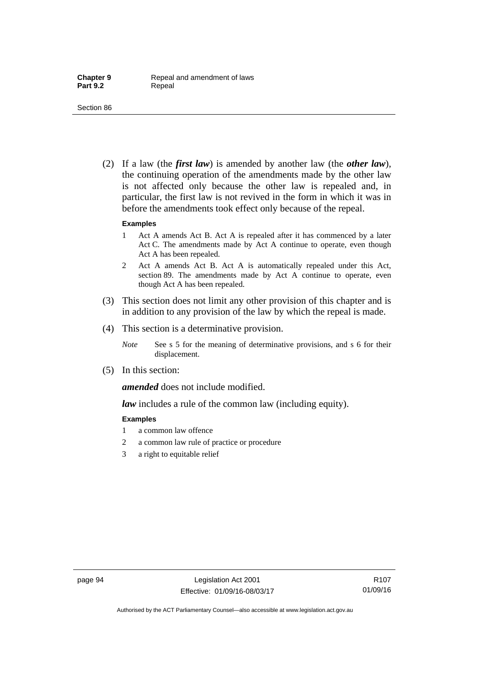(2) If a law (the *first law*) is amended by another law (the *other law*), the continuing operation of the amendments made by the other law is not affected only because the other law is repealed and, in particular, the first law is not revived in the form in which it was in before the amendments took effect only because of the repeal.

#### **Examples**

- 1 Act A amends Act B. Act A is repealed after it has commenced by a later Act C. The amendments made by Act A continue to operate, even though Act A has been repealed.
- 2 Act A amends Act B. Act A is automatically repealed under this Act, section 89. The amendments made by Act A continue to operate, even though Act A has been repealed.
- (3) This section does not limit any other provision of this chapter and is in addition to any provision of the law by which the repeal is made.
- (4) This section is a determinative provision.
	- *Note* See s 5 for the meaning of determinative provisions, and s 6 for their displacement.
- (5) In this section:

*amended* does not include modified.

*law* includes a rule of the common law (including equity).

#### **Examples**

- 1 a common law offence
- 2 a common law rule of practice or procedure
- 3 a right to equitable relief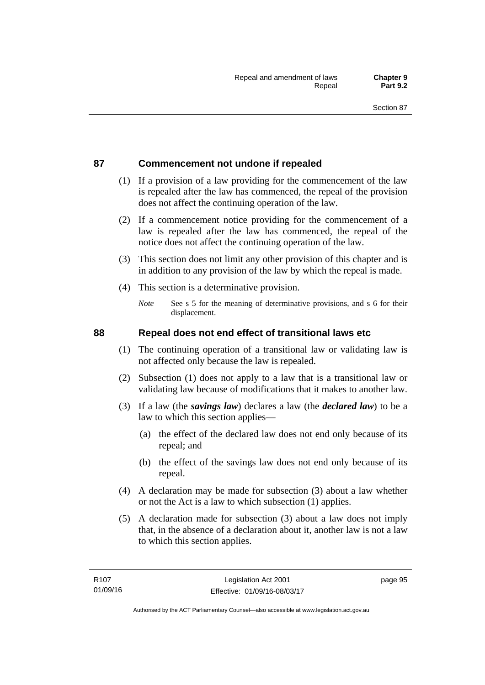## **87 Commencement not undone if repealed**

- (1) If a provision of a law providing for the commencement of the law is repealed after the law has commenced, the repeal of the provision does not affect the continuing operation of the law.
- (2) If a commencement notice providing for the commencement of a law is repealed after the law has commenced, the repeal of the notice does not affect the continuing operation of the law.
- (3) This section does not limit any other provision of this chapter and is in addition to any provision of the law by which the repeal is made.
- (4) This section is a determinative provision.
	- *Note* See s 5 for the meaning of determinative provisions, and s 6 for their displacement.

### **88 Repeal does not end effect of transitional laws etc**

- (1) The continuing operation of a transitional law or validating law is not affected only because the law is repealed.
- (2) Subsection (1) does not apply to a law that is a transitional law or validating law because of modifications that it makes to another law.
- (3) If a law (the *savings law*) declares a law (the *declared law*) to be a law to which this section applies—
	- (a) the effect of the declared law does not end only because of its repeal; and
	- (b) the effect of the savings law does not end only because of its repeal.
- (4) A declaration may be made for subsection (3) about a law whether or not the Act is a law to which subsection (1) applies.
- (5) A declaration made for subsection (3) about a law does not imply that, in the absence of a declaration about it, another law is not a law to which this section applies.

page 95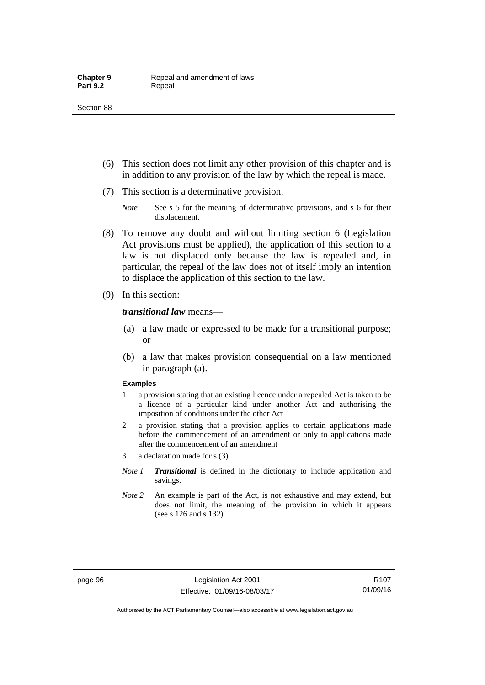- (6) This section does not limit any other provision of this chapter and is in addition to any provision of the law by which the repeal is made.
- (7) This section is a determinative provision.
	- *Note* See s 5 for the meaning of determinative provisions, and s 6 for their displacement.
- (8) To remove any doubt and without limiting section 6 (Legislation Act provisions must be applied), the application of this section to a law is not displaced only because the law is repealed and, in particular, the repeal of the law does not of itself imply an intention to displace the application of this section to the law.
- (9) In this section:

*transitional law* means—

- (a) a law made or expressed to be made for a transitional purpose; or
- (b) a law that makes provision consequential on a law mentioned in paragraph (a).

#### **Examples**

- 1 a provision stating that an existing licence under a repealed Act is taken to be a licence of a particular kind under another Act and authorising the imposition of conditions under the other Act
- 2 a provision stating that a provision applies to certain applications made before the commencement of an amendment or only to applications made after the commencement of an amendment
- 3 a declaration made for s (3)
- *Note 1 Transitional* is defined in the dictionary to include application and savings.
- *Note 2* An example is part of the Act, is not exhaustive and may extend, but does not limit, the meaning of the provision in which it appears (see s 126 and s 132).

R107 01/09/16

Authorised by the ACT Parliamentary Counsel—also accessible at www.legislation.act.gov.au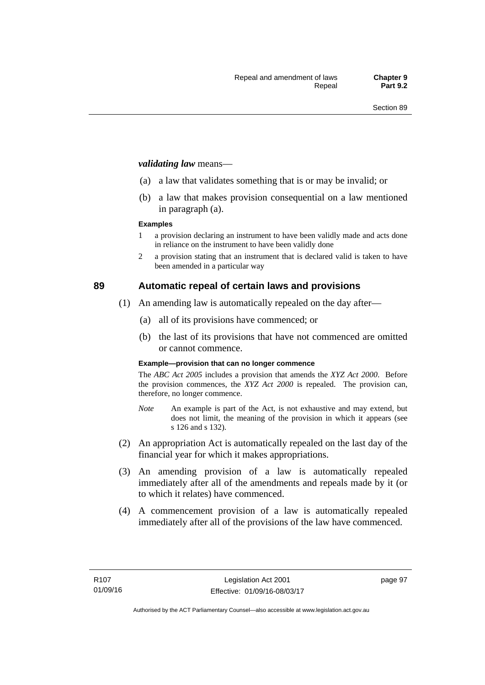#### *validating law* means—

- (a) a law that validates something that is or may be invalid; or
- (b) a law that makes provision consequential on a law mentioned in paragraph (a).

#### **Examples**

- 1 a provision declaring an instrument to have been validly made and acts done in reliance on the instrument to have been validly done
- 2 a provision stating that an instrument that is declared valid is taken to have been amended in a particular way

## **89 Automatic repeal of certain laws and provisions**

- (1) An amending law is automatically repealed on the day after—
	- (a) all of its provisions have commenced; or
	- (b) the last of its provisions that have not commenced are omitted or cannot commence.

#### **Example—provision that can no longer commence**

The *ABC Act 2005* includes a provision that amends the *XYZ Act 2000*. Before the provision commences, the *XYZ Act 2000* is repealed. The provision can, therefore, no longer commence.

- *Note* An example is part of the Act, is not exhaustive and may extend, but does not limit, the meaning of the provision in which it appears (see s 126 and s 132).
- (2) An appropriation Act is automatically repealed on the last day of the financial year for which it makes appropriations.
- (3) An amending provision of a law is automatically repealed immediately after all of the amendments and repeals made by it (or to which it relates) have commenced.
- (4) A commencement provision of a law is automatically repealed immediately after all of the provisions of the law have commenced.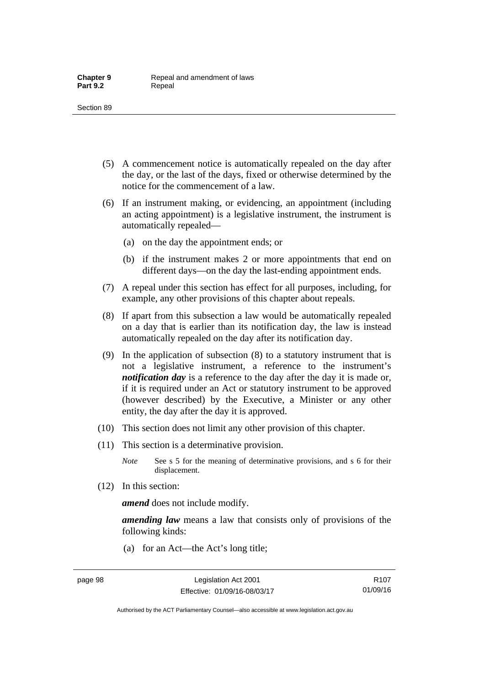- (5) A commencement notice is automatically repealed on the day after the day, or the last of the days, fixed or otherwise determined by the notice for the commencement of a law.
- (6) If an instrument making, or evidencing, an appointment (including an acting appointment) is a legislative instrument, the instrument is automatically repealed—
	- (a) on the day the appointment ends; or
	- (b) if the instrument makes 2 or more appointments that end on different days—on the day the last-ending appointment ends.
- (7) A repeal under this section has effect for all purposes, including, for example, any other provisions of this chapter about repeals.
- (8) If apart from this subsection a law would be automatically repealed on a day that is earlier than its notification day, the law is instead automatically repealed on the day after its notification day.
- (9) In the application of subsection (8) to a statutory instrument that is not a legislative instrument, a reference to the instrument's *notification day* is a reference to the day after the day it is made or, if it is required under an Act or statutory instrument to be approved (however described) by the Executive, a Minister or any other entity, the day after the day it is approved.
- (10) This section does not limit any other provision of this chapter.
- (11) This section is a determinative provision.
	- *Note* See s 5 for the meaning of determinative provisions, and s 6 for their displacement.
- (12) In this section:

*amend* does not include modify.

*amending law* means a law that consists only of provisions of the following kinds:

(a) for an Act—the Act's long title;

Authorised by the ACT Parliamentary Counsel—also accessible at www.legislation.act.gov.au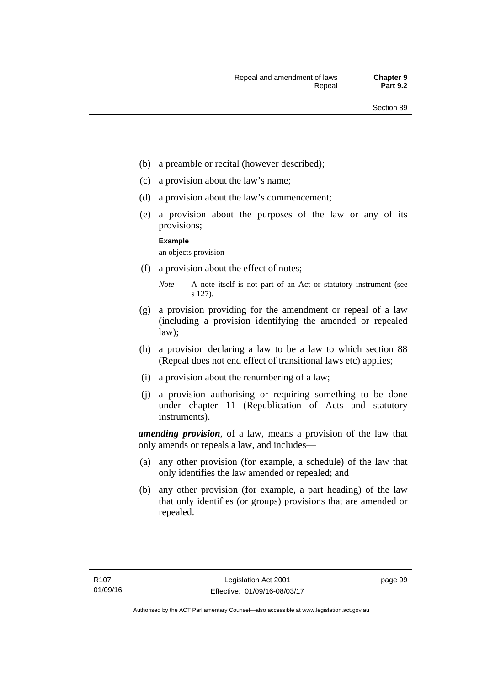- (b) a preamble or recital (however described);
- (c) a provision about the law's name;
- (d) a provision about the law's commencement;
- (e) a provision about the purposes of the law or any of its provisions;

#### **Example**

an objects provision

(f) a provision about the effect of notes;

- (g) a provision providing for the amendment or repeal of a law (including a provision identifying the amended or repealed law);
- (h) a provision declaring a law to be a law to which section 88 (Repeal does not end effect of transitional laws etc) applies;
- (i) a provision about the renumbering of a law;
- (j) a provision authorising or requiring something to be done under chapter 11 (Republication of Acts and statutory instruments).

*amending provision*, of a law, means a provision of the law that only amends or repeals a law, and includes—

- (a) any other provision (for example, a schedule) of the law that only identifies the law amended or repealed; and
- (b) any other provision (for example, a part heading) of the law that only identifies (or groups) provisions that are amended or repealed.

*Note* A note itself is not part of an Act or statutory instrument (see s 127).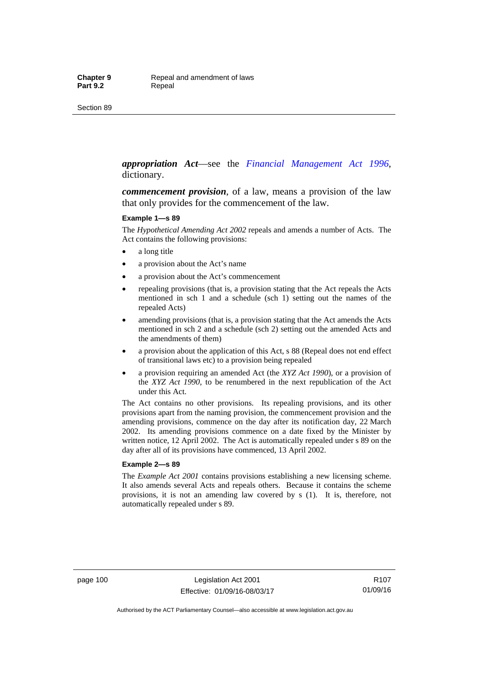#### *appropriation Act*—see the *[Financial Management Act 1996](http://www.legislation.act.gov.au/a/1996-22)*, dictionary.

*commencement provision*, of a law, means a provision of the law that only provides for the commencement of the law.

#### **Example 1—s 89**

The *Hypothetical Amending Act 2002* repeals and amends a number of Acts. The Act contains the following provisions:

- a long title
- a provision about the Act's name
- a provision about the Act's commencement
- repealing provisions (that is, a provision stating that the Act repeals the Acts mentioned in sch 1 and a schedule (sch 1) setting out the names of the repealed Acts)
- amending provisions (that is, a provision stating that the Act amends the Acts mentioned in sch 2 and a schedule (sch 2) setting out the amended Acts and the amendments of them)
- a provision about the application of this Act, s 88 (Repeal does not end effect of transitional laws etc) to a provision being repealed
- a provision requiring an amended Act (the *XYZ Act 1990*), or a provision of the *XYZ Act 1990*, to be renumbered in the next republication of the Act under this Act.

The Act contains no other provisions. Its repealing provisions, and its other provisions apart from the naming provision, the commencement provision and the amending provisions, commence on the day after its notification day, 22 March 2002. Its amending provisions commence on a date fixed by the Minister by written notice, 12 April 2002. The Act is automatically repealed under s 89 on the day after all of its provisions have commenced, 13 April 2002.

#### **Example 2—s 89**

The *Example Act 2001* contains provisions establishing a new licensing scheme. It also amends several Acts and repeals others. Because it contains the scheme provisions, it is not an amending law covered by s (1). It is, therefore, not automatically repealed under s 89.

page 100 Legislation Act 2001 Effective: 01/09/16-08/03/17

R107 01/09/16

Authorised by the ACT Parliamentary Counsel—also accessible at www.legislation.act.gov.au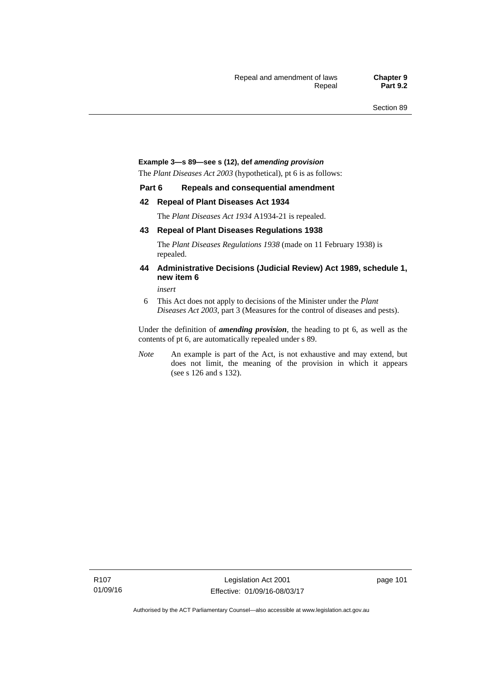#### **Example 3—s 89—see s (12), def** *amending provision*

The *Plant Diseases Act 2003* (hypothetical), pt 6 is as follows:

#### **Part 6 Repeals and consequential amendment**

#### **42 Repeal of Plant Diseases Act 1934**

The *Plant Diseases Act 1934* A1934-21 is repealed.

#### **43 Repeal of Plant Diseases Regulations 1938**

The *Plant Diseases Regulations 1938* (made on 11 February 1938) is repealed.

#### **44 Administrative Decisions (Judicial Review) Act 1989, schedule 1, new item 6**

*insert* 

6 This Act does not apply to decisions of the Minister under the *Plant Diseases Act 2003*, part 3 (Measures for the control of diseases and pests).

Under the definition of *amending provision*, the heading to pt 6, as well as the contents of pt 6, are automatically repealed under s 89.

*Note* An example is part of the Act, is not exhaustive and may extend, but does not limit, the meaning of the provision in which it appears (see s 126 and s 132).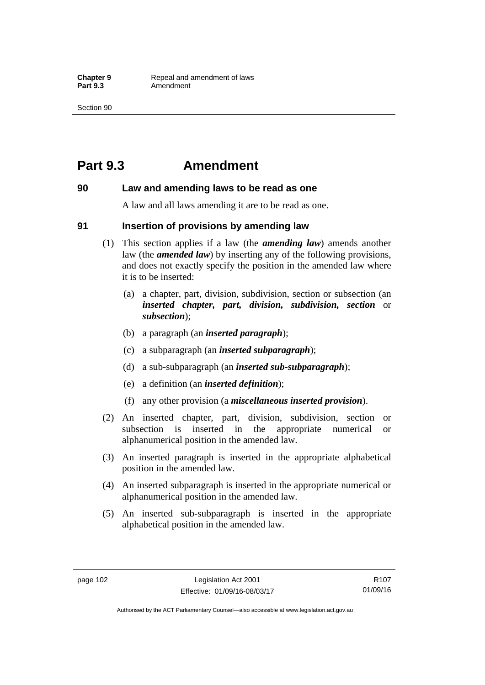## **Part 9.3 Amendment**

#### **90 Law and amending laws to be read as one**

A law and all laws amending it are to be read as one.

#### **91 Insertion of provisions by amending law**

- (1) This section applies if a law (the *amending law*) amends another law (the *amended law*) by inserting any of the following provisions, and does not exactly specify the position in the amended law where it is to be inserted:
	- (a) a chapter, part, division, subdivision, section or subsection (an *inserted chapter, part, division, subdivision, section* or *subsection*);
	- (b) a paragraph (an *inserted paragraph*);
	- (c) a subparagraph (an *inserted subparagraph*);
	- (d) a sub-subparagraph (an *inserted sub-subparagraph*);
	- (e) a definition (an *inserted definition*);
	- (f) any other provision (a *miscellaneous inserted provision*).
- (2) An inserted chapter, part, division, subdivision, section or subsection is inserted in the appropriate numerical or alphanumerical position in the amended law.
- (3) An inserted paragraph is inserted in the appropriate alphabetical position in the amended law.
- (4) An inserted subparagraph is inserted in the appropriate numerical or alphanumerical position in the amended law.
- (5) An inserted sub-subparagraph is inserted in the appropriate alphabetical position in the amended law.

R107 01/09/16

Authorised by the ACT Parliamentary Counsel—also accessible at www.legislation.act.gov.au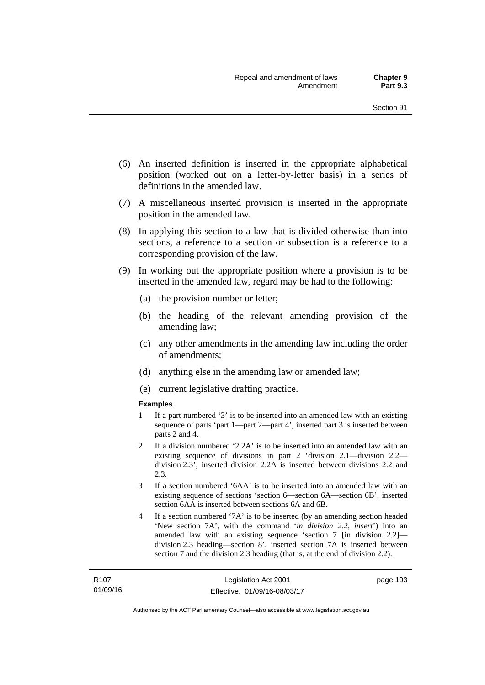- (6) An inserted definition is inserted in the appropriate alphabetical position (worked out on a letter-by-letter basis) in a series of definitions in the amended law.
- (7) A miscellaneous inserted provision is inserted in the appropriate position in the amended law.
- (8) In applying this section to a law that is divided otherwise than into sections, a reference to a section or subsection is a reference to a corresponding provision of the law.
- (9) In working out the appropriate position where a provision is to be inserted in the amended law, regard may be had to the following:
	- (a) the provision number or letter;
	- (b) the heading of the relevant amending provision of the amending law;
	- (c) any other amendments in the amending law including the order of amendments;
	- (d) anything else in the amending law or amended law;
	- (e) current legislative drafting practice.

#### **Examples**

- 1 If a part numbered '3' is to be inserted into an amended law with an existing sequence of parts 'part 1—part 2—part 4', inserted part 3 is inserted between parts 2 and 4.
- 2 If a division numbered '2.2A' is to be inserted into an amended law with an existing sequence of divisions in part 2 'division 2.1—division 2.2 division 2.3', inserted division 2.2A is inserted between divisions 2.2 and 2.3.
- 3 If a section numbered '6AA' is to be inserted into an amended law with an existing sequence of sections 'section 6—section 6A—section 6B', inserted section 6AA is inserted between sections 6A and 6B.
- 4 If a section numbered '7A' is to be inserted (by an amending section headed 'New section 7A', with the command '*in division 2.2, insert*') into an amended law with an existing sequence 'section 7 [in division 2.2] division 2.3 heading—section 8', inserted section 7A is inserted between section 7 and the division 2.3 heading (that is, at the end of division 2.2).

page 103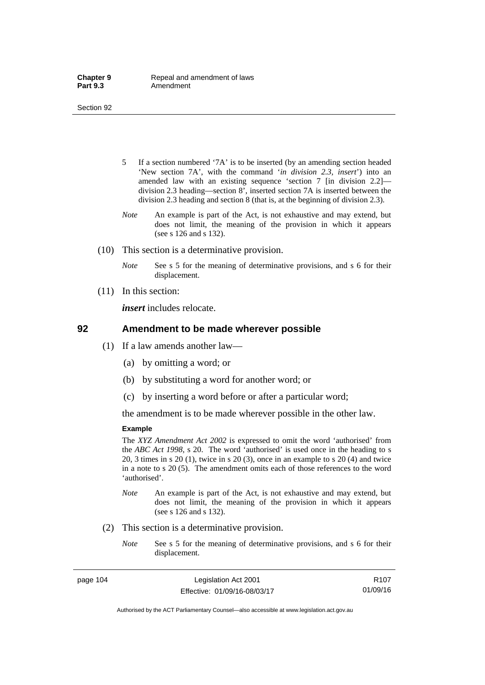- 5 If a section numbered '7A' is to be inserted (by an amending section headed 'New section 7A', with the command '*in division 2.3, insert*') into an amended law with an existing sequence 'section 7 [in division 2.2] division 2.3 heading—section 8', inserted section 7A is inserted between the division 2.3 heading and section 8 (that is, at the beginning of division 2.3).
- *Note* An example is part of the Act, is not exhaustive and may extend, but does not limit, the meaning of the provision in which it appears (see s 126 and s 132).
- (10) This section is a determinative provision.
	- *Note* See s 5 for the meaning of determinative provisions, and s 6 for their displacement.
- (11) In this section:

*insert* includes relocate.

#### **92 Amendment to be made wherever possible**

- (1) If a law amends another law—
	- (a) by omitting a word; or
	- (b) by substituting a word for another word; or
	- (c) by inserting a word before or after a particular word;

the amendment is to be made wherever possible in the other law.

#### **Example**

The *XYZ Amendment Act 2002* is expressed to omit the word 'authorised' from the *ABC Act 1998*, s 20. The word 'authorised' is used once in the heading to s 20, 3 times in s 20 (1), twice in s 20 (3), once in an example to s 20 (4) and twice in a note to s 20 (5). The amendment omits each of those references to the word 'authorised'.

- *Note* An example is part of the Act, is not exhaustive and may extend, but does not limit, the meaning of the provision in which it appears (see s 126 and s 132).
- (2) This section is a determinative provision.
	- *Note* See s 5 for the meaning of determinative provisions, and s 6 for their displacement.

page 104 Legislation Act 2001 Effective: 01/09/16-08/03/17

R107 01/09/16

Authorised by the ACT Parliamentary Counsel—also accessible at www.legislation.act.gov.au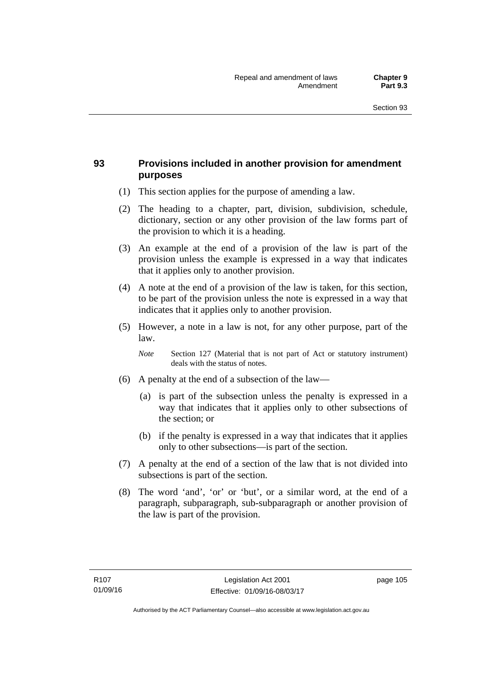## **93 Provisions included in another provision for amendment purposes**

- (1) This section applies for the purpose of amending a law.
- (2) The heading to a chapter, part, division, subdivision, schedule, dictionary, section or any other provision of the law forms part of the provision to which it is a heading.
- (3) An example at the end of a provision of the law is part of the provision unless the example is expressed in a way that indicates that it applies only to another provision.
- (4) A note at the end of a provision of the law is taken, for this section, to be part of the provision unless the note is expressed in a way that indicates that it applies only to another provision.
- (5) However, a note in a law is not, for any other purpose, part of the law.

*Note* Section 127 (Material that is not part of Act or statutory instrument) deals with the status of notes.

- (6) A penalty at the end of a subsection of the law—
	- (a) is part of the subsection unless the penalty is expressed in a way that indicates that it applies only to other subsections of the section; or
	- (b) if the penalty is expressed in a way that indicates that it applies only to other subsections—is part of the section.
- (7) A penalty at the end of a section of the law that is not divided into subsections is part of the section.
- (8) The word 'and', 'or' or 'but', or a similar word, at the end of a paragraph, subparagraph, sub-subparagraph or another provision of the law is part of the provision.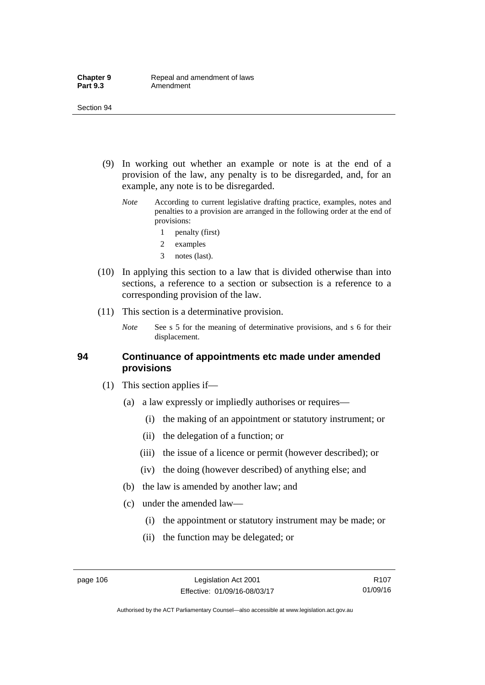- (9) In working out whether an example or note is at the end of a provision of the law, any penalty is to be disregarded, and, for an example, any note is to be disregarded.
	- *Note* According to current legislative drafting practice, examples, notes and penalties to a provision are arranged in the following order at the end of provisions:
		- 1 penalty (first)
		- 2 examples
		- 3 notes (last).
- (10) In applying this section to a law that is divided otherwise than into sections, a reference to a section or subsection is a reference to a corresponding provision of the law.
- (11) This section is a determinative provision.
	- *Note* See s 5 for the meaning of determinative provisions, and s 6 for their displacement.

#### **94 Continuance of appointments etc made under amended provisions**

- (1) This section applies if—
	- (a) a law expressly or impliedly authorises or requires—
		- (i) the making of an appointment or statutory instrument; or
		- (ii) the delegation of a function; or
		- (iii) the issue of a licence or permit (however described); or
		- (iv) the doing (however described) of anything else; and
	- (b) the law is amended by another law; and
	- (c) under the amended law—
		- (i) the appointment or statutory instrument may be made; or
		- (ii) the function may be delegated; or

Authorised by the ACT Parliamentary Counsel—also accessible at www.legislation.act.gov.au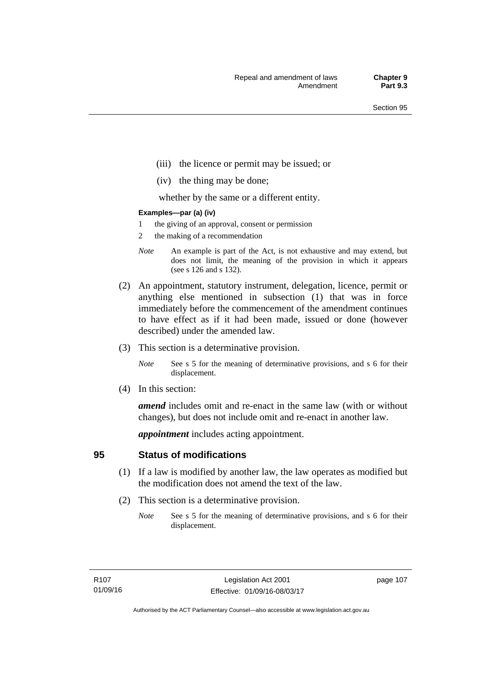- (iii) the licence or permit may be issued; or
- (iv) the thing may be done;

whether by the same or a different entity.

#### **Examples—par (a) (iv)**

- 1 the giving of an approval, consent or permission
- 2 the making of a recommendation
- *Note* An example is part of the Act, is not exhaustive and may extend, but does not limit, the meaning of the provision in which it appears (see s 126 and s 132).
- (2) An appointment, statutory instrument, delegation, licence, permit or anything else mentioned in subsection (1) that was in force immediately before the commencement of the amendment continues to have effect as if it had been made, issued or done (however described) under the amended law.
- (3) This section is a determinative provision.
	- *Note* See s 5 for the meaning of determinative provisions, and s 6 for their displacement.
- (4) In this section:

*amend* includes omit and re-enact in the same law (with or without changes), but does not include omit and re-enact in another law.

*appointment* includes acting appointment.

### **95 Status of modifications**

- (1) If a law is modified by another law, the law operates as modified but the modification does not amend the text of the law.
- (2) This section is a determinative provision.
	- *Note* See s 5 for the meaning of determinative provisions, and s 6 for their displacement.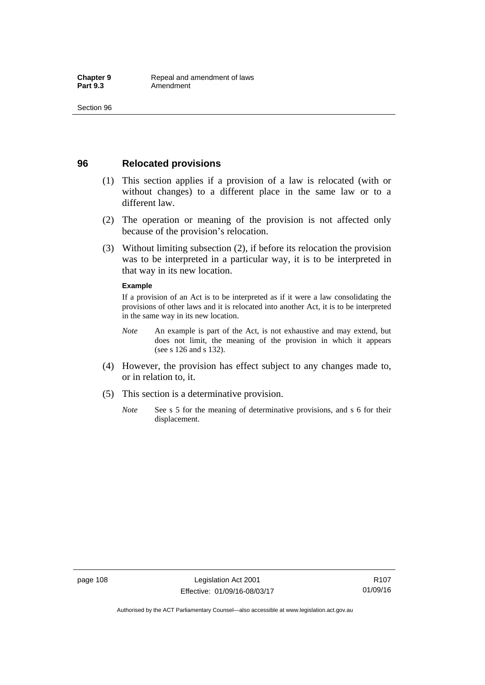### **96 Relocated provisions**

- (1) This section applies if a provision of a law is relocated (with or without changes) to a different place in the same law or to a different law.
- (2) The operation or meaning of the provision is not affected only because of the provision's relocation.
- (3) Without limiting subsection (2), if before its relocation the provision was to be interpreted in a particular way, it is to be interpreted in that way in its new location.

#### **Example**

If a provision of an Act is to be interpreted as if it were a law consolidating the provisions of other laws and it is relocated into another Act, it is to be interpreted in the same way in its new location.

- *Note* An example is part of the Act, is not exhaustive and may extend, but does not limit, the meaning of the provision in which it appears (see s 126 and s 132).
- (4) However, the provision has effect subject to any changes made to, or in relation to, it.
- (5) This section is a determinative provision.
	- *Note* See s 5 for the meaning of determinative provisions, and s 6 for their displacement.

R107 01/09/16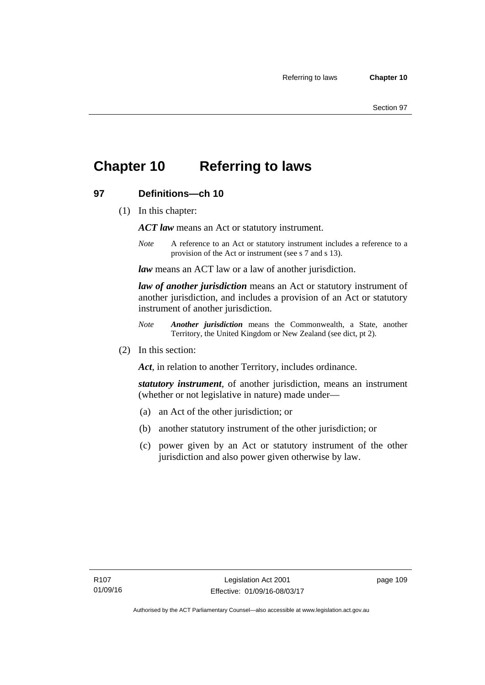## **Chapter 10 Referring to laws**

## **97 Definitions—ch 10**

(1) In this chapter:

*ACT law* means an Act or statutory instrument.

*Note* A reference to an Act or statutory instrument includes a reference to a provision of the Act or instrument (see s 7 and s 13).

*law* means an ACT law or a law of another jurisdiction.

*law of another jurisdiction* means an Act or statutory instrument of another jurisdiction, and includes a provision of an Act or statutory instrument of another jurisdiction.

- *Note Another jurisdiction* means the Commonwealth, a State, another Territory, the United Kingdom or New Zealand (see dict, pt 2).
- (2) In this section:

*Act*, in relation to another Territory, includes ordinance.

*statutory instrument*, of another jurisdiction, means an instrument (whether or not legislative in nature) made under—

- (a) an Act of the other jurisdiction; or
- (b) another statutory instrument of the other jurisdiction; or
- (c) power given by an Act or statutory instrument of the other jurisdiction and also power given otherwise by law.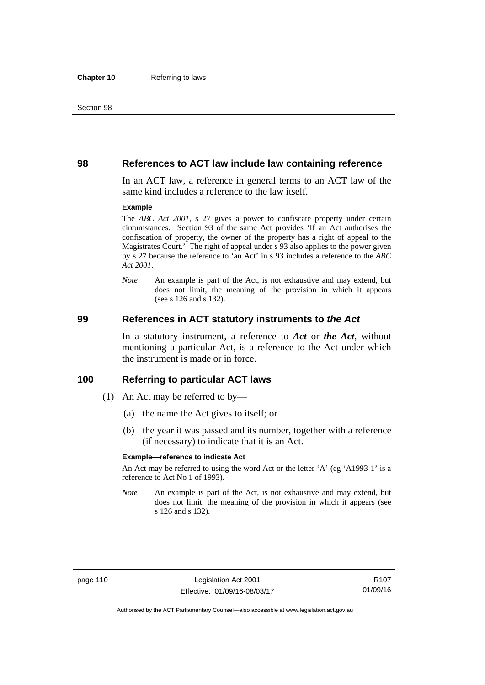#### **98 References to ACT law include law containing reference**

In an ACT law, a reference in general terms to an ACT law of the same kind includes a reference to the law itself.

#### **Example**

The *ABC Act 2001*, s 27 gives a power to confiscate property under certain circumstances. Section 93 of the same Act provides 'If an Act authorises the confiscation of property, the owner of the property has a right of appeal to the Magistrates Court.' The right of appeal under s 93 also applies to the power given by s 27 because the reference to 'an Act' in s 93 includes a reference to the *ABC Act 2001*.

*Note* An example is part of the Act, is not exhaustive and may extend, but does not limit, the meaning of the provision in which it appears (see s 126 and s 132).

#### **99 References in ACT statutory instruments to** *the Act*

In a statutory instrument, a reference to *Act* or *the Act*, without mentioning a particular Act, is a reference to the Act under which the instrument is made or in force.

#### **100 Referring to particular ACT laws**

- (1) An Act may be referred to by—
	- (a) the name the Act gives to itself; or
	- (b) the year it was passed and its number, together with a reference (if necessary) to indicate that it is an Act.

#### **Example—reference to indicate Act**

An Act may be referred to using the word Act or the letter 'A' (eg 'A1993-1' is a reference to Act No 1 of 1993).

*Note* An example is part of the Act, is not exhaustive and may extend, but does not limit, the meaning of the provision in which it appears (see s 126 and s 132).

R107 01/09/16

Authorised by the ACT Parliamentary Counsel—also accessible at www.legislation.act.gov.au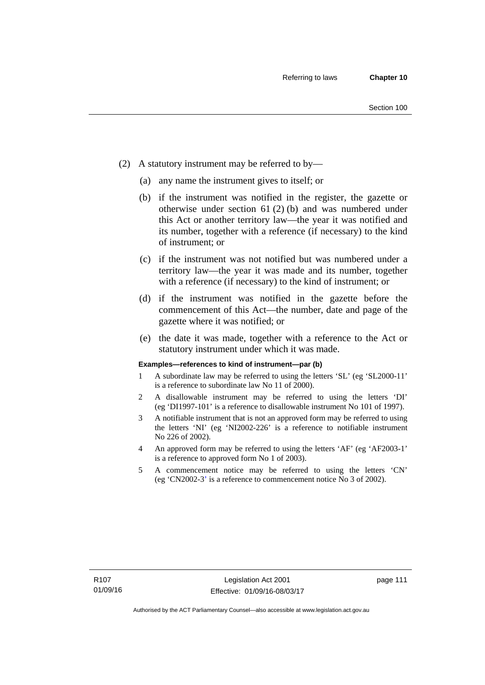- (2) A statutory instrument may be referred to by—
	- (a) any name the instrument gives to itself; or
	- (b) if the instrument was notified in the register, the gazette or otherwise under section 61 (2) (b) and was numbered under this Act or another territory law—the year it was notified and its number, together with a reference (if necessary) to the kind of instrument; or
	- (c) if the instrument was not notified but was numbered under a territory law—the year it was made and its number, together with a reference (if necessary) to the kind of instrument; or
	- (d) if the instrument was notified in the gazette before the commencement of this Act—the number, date and page of the gazette where it was notified; or
	- (e) the date it was made, together with a reference to the Act or statutory instrument under which it was made.

#### **Examples—references to kind of instrument—par (b)**

- 1 A subordinate law may be referred to using the letters 'SL' (eg 'SL2000-11' is a reference to subordinate law No 11 of 2000).
- 2 A disallowable instrument may be referred to using the letters 'DI' (eg 'DI1997-101' is a reference to disallowable instrument No 101 of 1997).
- 3 A notifiable instrument that is not an approved form may be referred to using the letters 'NI' (eg 'NI2002-226' is a reference to notifiable instrument No 226 of 2002).
- 4 An approved form may be referred to using the letters 'AF' (eg 'AF2003-1' is a reference to approved form No 1 of 2003).
- 5 A commencement notice may be referred to using the letters 'CN' (eg 'CN2002-3' is a reference to commencement notice No 3 of 2002).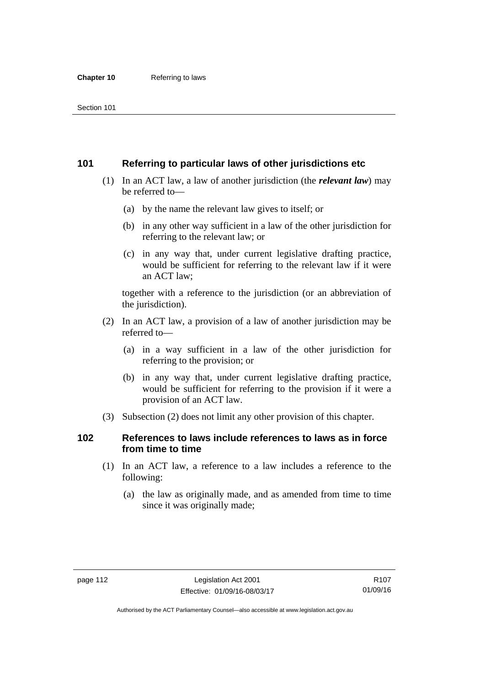## **101 Referring to particular laws of other jurisdictions etc**

- (1) In an ACT law, a law of another jurisdiction (the *relevant law*) may be referred to—
	- (a) by the name the relevant law gives to itself; or
	- (b) in any other way sufficient in a law of the other jurisdiction for referring to the relevant law; or
	- (c) in any way that, under current legislative drafting practice, would be sufficient for referring to the relevant law if it were an ACT law;

together with a reference to the jurisdiction (or an abbreviation of the jurisdiction).

- (2) In an ACT law, a provision of a law of another jurisdiction may be referred to—
	- (a) in a way sufficient in a law of the other jurisdiction for referring to the provision; or
	- (b) in any way that, under current legislative drafting practice, would be sufficient for referring to the provision if it were a provision of an ACT law.
- (3) Subsection (2) does not limit any other provision of this chapter.

## **102 References to laws include references to laws as in force from time to time**

- (1) In an ACT law, a reference to a law includes a reference to the following:
	- (a) the law as originally made, and as amended from time to time since it was originally made;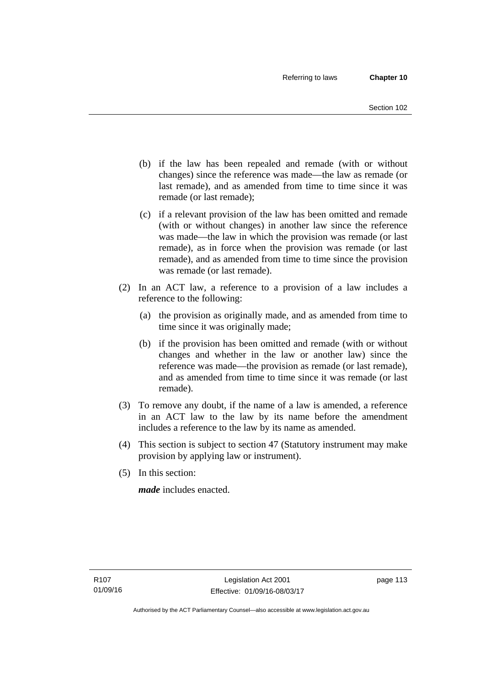- (b) if the law has been repealed and remade (with or without changes) since the reference was made—the law as remade (or last remade), and as amended from time to time since it was remade (or last remade);
- (c) if a relevant provision of the law has been omitted and remade (with or without changes) in another law since the reference was made—the law in which the provision was remade (or last remade), as in force when the provision was remade (or last remade), and as amended from time to time since the provision was remade (or last remade).
- (2) In an ACT law, a reference to a provision of a law includes a reference to the following:
	- (a) the provision as originally made, and as amended from time to time since it was originally made;
	- (b) if the provision has been omitted and remade (with or without changes and whether in the law or another law) since the reference was made—the provision as remade (or last remade), and as amended from time to time since it was remade (or last remade).
- (3) To remove any doubt, if the name of a law is amended, a reference in an ACT law to the law by its name before the amendment includes a reference to the law by its name as amended.
- (4) This section is subject to section 47 (Statutory instrument may make provision by applying law or instrument).
- (5) In this section:

*made* includes enacted.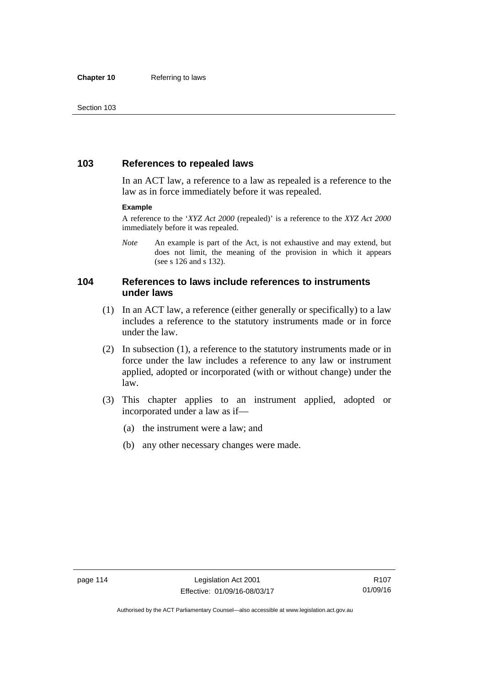## **103 References to repealed laws**

In an ACT law, a reference to a law as repealed is a reference to the law as in force immediately before it was repealed.

#### **Example**

A reference to the '*XYZ Act 2000* (repealed)' is a reference to the *XYZ Act 2000* immediately before it was repealed.

*Note* An example is part of the Act, is not exhaustive and may extend, but does not limit, the meaning of the provision in which it appears (see s 126 and s 132).

### **104 References to laws include references to instruments under laws**

- (1) In an ACT law, a reference (either generally or specifically) to a law includes a reference to the statutory instruments made or in force under the law.
- (2) In subsection (1), a reference to the statutory instruments made or in force under the law includes a reference to any law or instrument applied, adopted or incorporated (with or without change) under the law.
- (3) This chapter applies to an instrument applied, adopted or incorporated under a law as if—
	- (a) the instrument were a law; and
	- (b) any other necessary changes were made.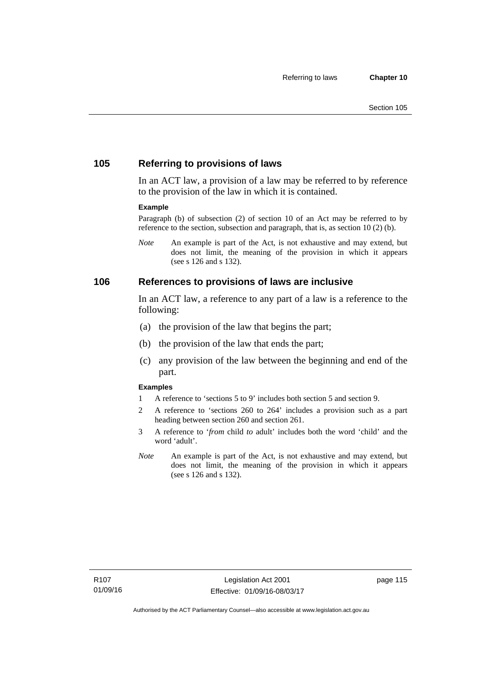## **105 Referring to provisions of laws**

In an ACT law, a provision of a law may be referred to by reference to the provision of the law in which it is contained.

#### **Example**

Paragraph (b) of subsection (2) of section 10 of an Act may be referred to by reference to the section, subsection and paragraph, that is, as section 10 (2) (b).

*Note* An example is part of the Act, is not exhaustive and may extend, but does not limit, the meaning of the provision in which it appears (see s 126 and s 132).

#### **106 References to provisions of laws are inclusive**

In an ACT law, a reference to any part of a law is a reference to the following:

- (a) the provision of the law that begins the part;
- (b) the provision of the law that ends the part;
- (c) any provision of the law between the beginning and end of the part.

#### **Examples**

- 1 A reference to 'sections 5 to 9' includes both section 5 and section 9.
- 2 A reference to 'sections 260 to 264' includes a provision such as a part heading between section 260 and section 261.
- 3 A reference to '*from* child *to* adult' includes both the word 'child' and the word 'adult'.
- *Note* An example is part of the Act, is not exhaustive and may extend, but does not limit, the meaning of the provision in which it appears (see s 126 and s 132).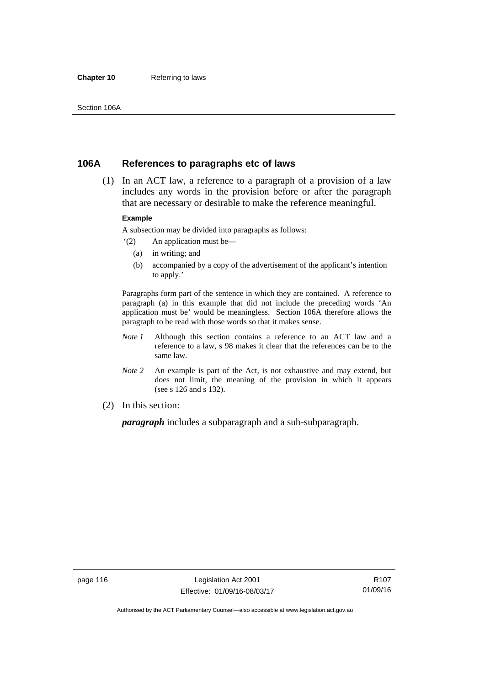#### **Chapter 10** Referring to laws

## **106A References to paragraphs etc of laws**

 (1) In an ACT law, a reference to a paragraph of a provision of a law includes any words in the provision before or after the paragraph that are necessary or desirable to make the reference meaningful.

#### **Example**

A subsection may be divided into paragraphs as follows:

- '(2) An application must be—
	- (a) in writing; and
	- (b) accompanied by a copy of the advertisement of the applicant's intention to apply.'

Paragraphs form part of the sentence in which they are contained. A reference to paragraph (a) in this example that did not include the preceding words 'An application must be' would be meaningless. Section 106A therefore allows the paragraph to be read with those words so that it makes sense.

- *Note 1* Although this section contains a reference to an ACT law and a reference to a law, s 98 makes it clear that the references can be to the same law.
- *Note 2* An example is part of the Act, is not exhaustive and may extend, but does not limit, the meaning of the provision in which it appears (see s 126 and s 132).
- (2) In this section:

*paragraph* includes a subparagraph and a sub-subparagraph.

R107 01/09/16

Authorised by the ACT Parliamentary Counsel—also accessible at www.legislation.act.gov.au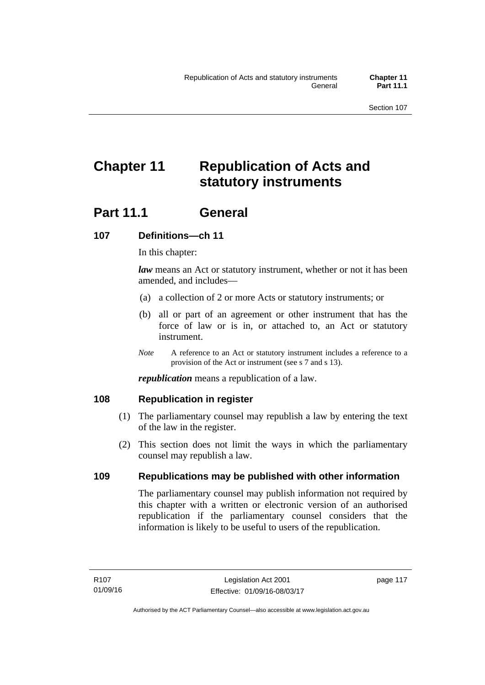# **Chapter 11 Republication of Acts and statutory instruments**

## Part 11.1 General

## **107 Definitions—ch 11**

In this chapter:

*law* means an Act or statutory instrument, whether or not it has been amended, and includes—

- (a) a collection of 2 or more Acts or statutory instruments; or
- (b) all or part of an agreement or other instrument that has the force of law or is in, or attached to, an Act or statutory instrument.
- *Note* A reference to an Act or statutory instrument includes a reference to a provision of the Act or instrument (see s 7 and s 13).

*republication* means a republication of a law.

### **108 Republication in register**

- (1) The parliamentary counsel may republish a law by entering the text of the law in the register.
- (2) This section does not limit the ways in which the parliamentary counsel may republish a law.

### **109 Republications may be published with other information**

The parliamentary counsel may publish information not required by this chapter with a written or electronic version of an authorised republication if the parliamentary counsel considers that the information is likely to be useful to users of the republication.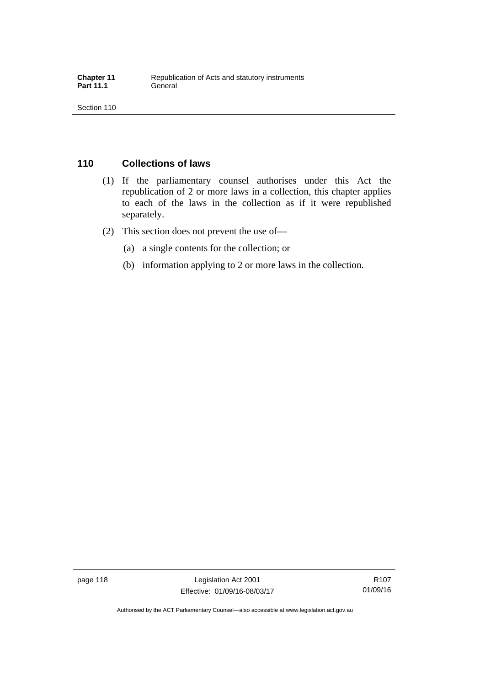## **110 Collections of laws**

- (1) If the parliamentary counsel authorises under this Act the republication of 2 or more laws in a collection, this chapter applies to each of the laws in the collection as if it were republished separately.
- (2) This section does not prevent the use of—
	- (a) a single contents for the collection; or
	- (b) information applying to 2 or more laws in the collection.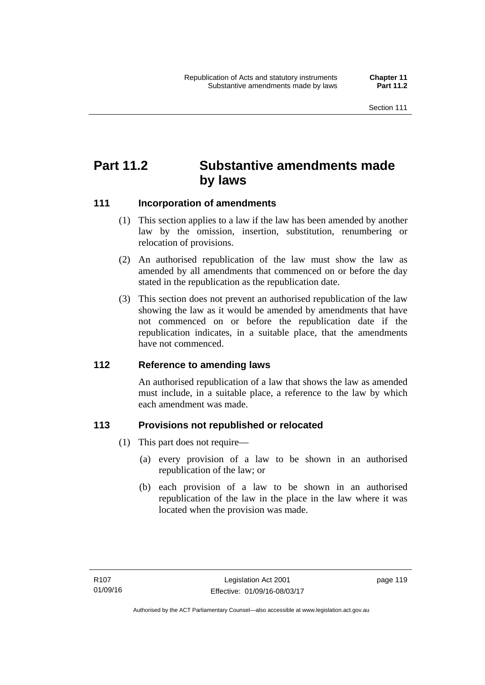## **Part 11.2 Substantive amendments made by laws**

## **111 Incorporation of amendments**

- (1) This section applies to a law if the law has been amended by another law by the omission, insertion, substitution, renumbering or relocation of provisions.
- (2) An authorised republication of the law must show the law as amended by all amendments that commenced on or before the day stated in the republication as the republication date.
- (3) This section does not prevent an authorised republication of the law showing the law as it would be amended by amendments that have not commenced on or before the republication date if the republication indicates, in a suitable place, that the amendments have not commenced.

### **112 Reference to amending laws**

An authorised republication of a law that shows the law as amended must include, in a suitable place, a reference to the law by which each amendment was made.

### **113 Provisions not republished or relocated**

- (1) This part does not require—
	- (a) every provision of a law to be shown in an authorised republication of the law; or
	- (b) each provision of a law to be shown in an authorised republication of the law in the place in the law where it was located when the provision was made.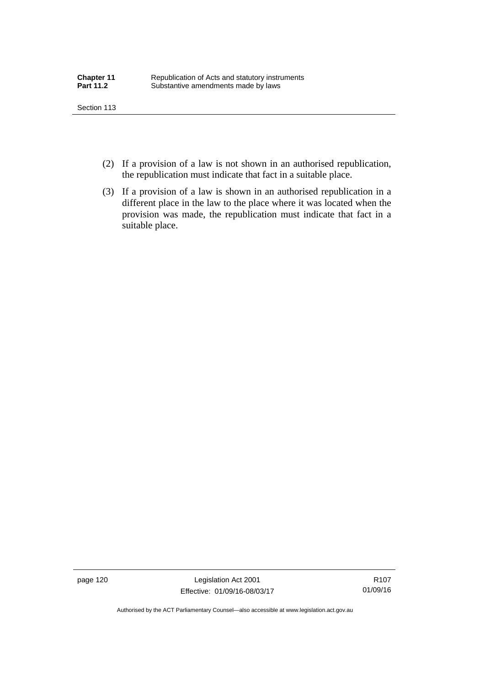- (2) If a provision of a law is not shown in an authorised republication, the republication must indicate that fact in a suitable place.
- (3) If a provision of a law is shown in an authorised republication in a different place in the law to the place where it was located when the provision was made, the republication must indicate that fact in a suitable place.

page 120 Legislation Act 2001 Effective: 01/09/16-08/03/17

R107 01/09/16

Authorised by the ACT Parliamentary Counsel—also accessible at www.legislation.act.gov.au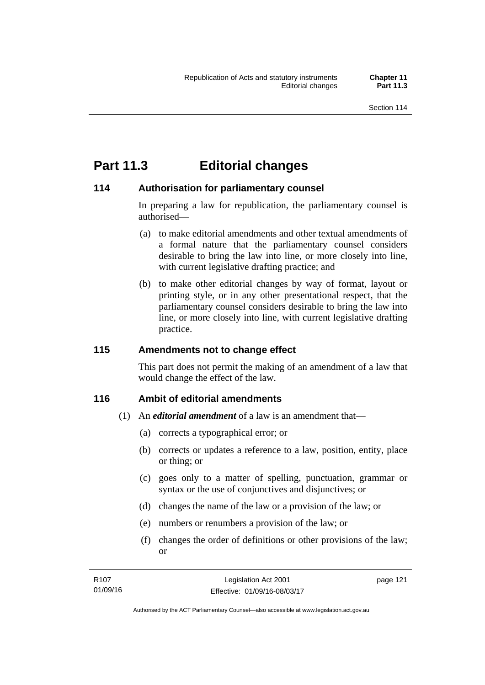page 121

## **Part 11.3 Editorial changes**

## **114 Authorisation for parliamentary counsel**

In preparing a law for republication, the parliamentary counsel is authorised—

- (a) to make editorial amendments and other textual amendments of a formal nature that the parliamentary counsel considers desirable to bring the law into line, or more closely into line, with current legislative drafting practice; and
- (b) to make other editorial changes by way of format, layout or printing style, or in any other presentational respect, that the parliamentary counsel considers desirable to bring the law into line, or more closely into line, with current legislative drafting practice.

## **115 Amendments not to change effect**

This part does not permit the making of an amendment of a law that would change the effect of the law.

### **116 Ambit of editorial amendments**

- (1) An *editorial amendment* of a law is an amendment that—
	- (a) corrects a typographical error; or
	- (b) corrects or updates a reference to a law, position, entity, place or thing; or
	- (c) goes only to a matter of spelling, punctuation, grammar or syntax or the use of conjunctives and disjunctives; or
	- (d) changes the name of the law or a provision of the law; or
	- (e) numbers or renumbers a provision of the law; or
	- (f) changes the order of definitions or other provisions of the law; or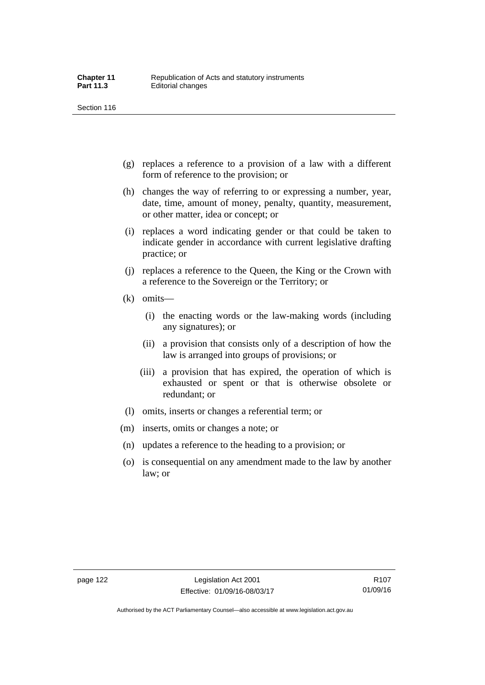- (g) replaces a reference to a provision of a law with a different form of reference to the provision; or
- (h) changes the way of referring to or expressing a number, year, date, time, amount of money, penalty, quantity, measurement, or other matter, idea or concept; or
- (i) replaces a word indicating gender or that could be taken to indicate gender in accordance with current legislative drafting practice; or
- (j) replaces a reference to the Queen, the King or the Crown with a reference to the Sovereign or the Territory; or
- (k) omits—
	- (i) the enacting words or the law-making words (including any signatures); or
	- (ii) a provision that consists only of a description of how the law is arranged into groups of provisions; or
	- (iii) a provision that has expired, the operation of which is exhausted or spent or that is otherwise obsolete or redundant; or
- (l) omits, inserts or changes a referential term; or
- (m) inserts, omits or changes a note; or
- (n) updates a reference to the heading to a provision; or
- (o) is consequential on any amendment made to the law by another law; or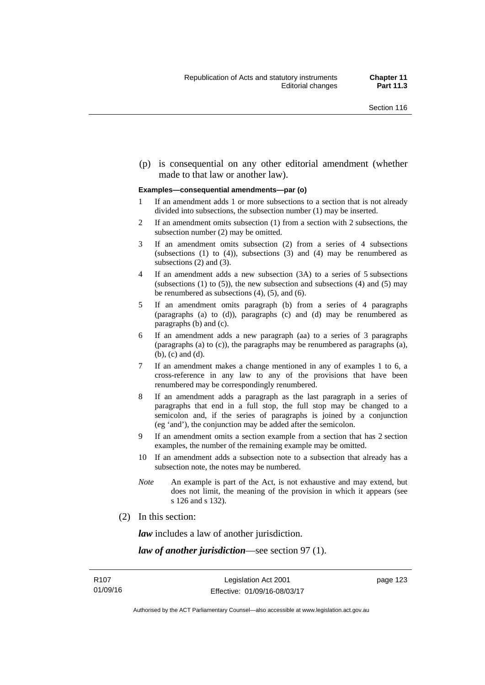(p) is consequential on any other editorial amendment (whether made to that law or another law).

#### **Examples—consequential amendments—par (o)**

- 1 If an amendment adds 1 or more subsections to a section that is not already divided into subsections, the subsection number (1) may be inserted.
- 2 If an amendment omits subsection (1) from a section with 2 subsections, the subsection number (2) may be omitted.
- 3 If an amendment omits subsection (2) from a series of 4 subsections (subsections  $(1)$  to  $(4)$ ), subsections  $(3)$  and  $(4)$  may be renumbered as subsections (2) and (3).
- 4 If an amendment adds a new subsection (3A) to a series of 5 subsections (subsections  $(1)$  to  $(5)$ ), the new subsection and subsections  $(4)$  and  $(5)$  may be renumbered as subsections (4), (5), and (6).
- 5 If an amendment omits paragraph (b) from a series of 4 paragraphs (paragraphs (a) to (d)), paragraphs (c) and (d) may be renumbered as paragraphs (b) and (c).
- 6 If an amendment adds a new paragraph (aa) to a series of 3 paragraphs (paragraphs (a) to (c)), the paragraphs may be renumbered as paragraphs (a), (b), (c) and (d).
- 7 If an amendment makes a change mentioned in any of examples 1 to 6, a cross-reference in any law to any of the provisions that have been renumbered may be correspondingly renumbered.
- 8 If an amendment adds a paragraph as the last paragraph in a series of paragraphs that end in a full stop, the full stop may be changed to a semicolon and, if the series of paragraphs is joined by a conjunction (eg 'and'), the conjunction may be added after the semicolon.
- 9 If an amendment omits a section example from a section that has 2 section examples, the number of the remaining example may be omitted.
- 10 If an amendment adds a subsection note to a subsection that already has a subsection note, the notes may be numbered.
- *Note* An example is part of the Act, is not exhaustive and may extend, but does not limit, the meaning of the provision in which it appears (see s 126 and s 132).
- (2) In this section:

*law* includes a law of another jurisdiction.

*law of another jurisdiction*—see section 97 (1).

page 123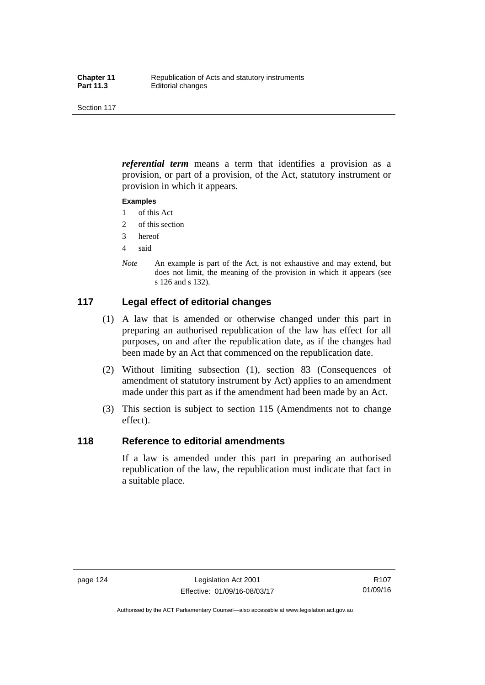*referential term* means a term that identifies a provision as a provision, or part of a provision, of the Act, statutory instrument or provision in which it appears.

#### **Examples**

- 1 of this Act
- 2 of this section
- 3 hereof
- 4 said
- *Note* An example is part of the Act, is not exhaustive and may extend, but does not limit, the meaning of the provision in which it appears (see s 126 and s 132).

## **117 Legal effect of editorial changes**

- (1) A law that is amended or otherwise changed under this part in preparing an authorised republication of the law has effect for all purposes, on and after the republication date, as if the changes had been made by an Act that commenced on the republication date.
- (2) Without limiting subsection (1), section 83 (Consequences of amendment of statutory instrument by Act) applies to an amendment made under this part as if the amendment had been made by an Act.
- (3) This section is subject to section 115 (Amendments not to change effect).

#### **118 Reference to editorial amendments**

If a law is amended under this part in preparing an authorised republication of the law, the republication must indicate that fact in a suitable place.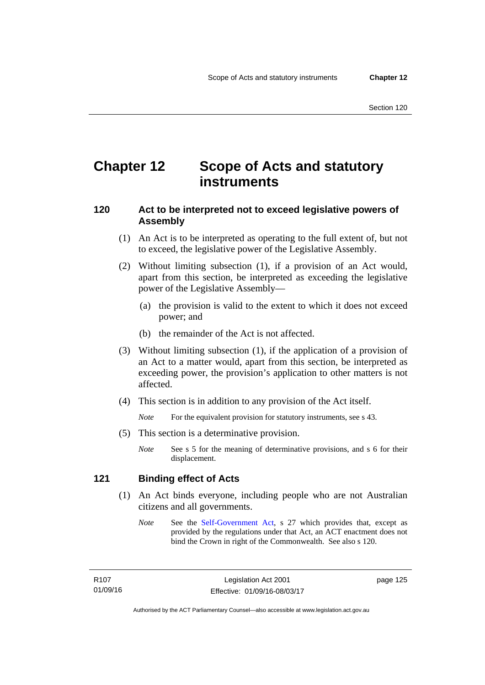## **Chapter 12 Scope of Acts and statutory instruments**

## **120 Act to be interpreted not to exceed legislative powers of Assembly**

- (1) An Act is to be interpreted as operating to the full extent of, but not to exceed, the legislative power of the Legislative Assembly.
- (2) Without limiting subsection (1), if a provision of an Act would, apart from this section, be interpreted as exceeding the legislative power of the Legislative Assembly—
	- (a) the provision is valid to the extent to which it does not exceed power; and
	- (b) the remainder of the Act is not affected.
- (3) Without limiting subsection (1), if the application of a provision of an Act to a matter would, apart from this section, be interpreted as exceeding power, the provision's application to other matters is not affected.
- (4) This section is in addition to any provision of the Act itself.

*Note* For the equivalent provision for statutory instruments, see s 43.

- (5) This section is a determinative provision.
	- *Note* See s 5 for the meaning of determinative provisions, and s 6 for their displacement.

### **121 Binding effect of Acts**

- (1) An Act binds everyone, including people who are not Australian citizens and all governments.
	- *Note* See the [Self-Government Act](http://www.comlaw.gov.au/Series/C2004A03699), s 27 which provides that, except as provided by the regulations under that Act, an ACT enactment does not bind the Crown in right of the Commonwealth. See also s 120.

page 125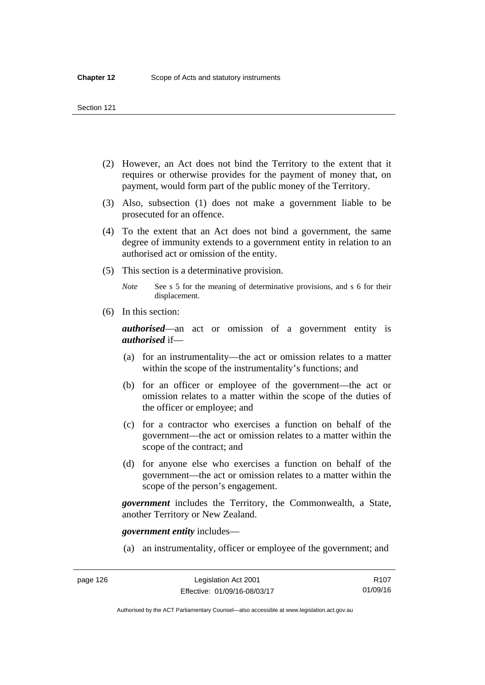- (2) However, an Act does not bind the Territory to the extent that it requires or otherwise provides for the payment of money that, on payment, would form part of the public money of the Territory.
- (3) Also, subsection (1) does not make a government liable to be prosecuted for an offence.
- (4) To the extent that an Act does not bind a government, the same degree of immunity extends to a government entity in relation to an authorised act or omission of the entity.
- (5) This section is a determinative provision.

*Note* See s 5 for the meaning of determinative provisions, and s 6 for their displacement.

(6) In this section:

*authorised*—an act or omission of a government entity is *authorised* if—

- (a) for an instrumentality—the act or omission relates to a matter within the scope of the instrumentality's functions; and
- (b) for an officer or employee of the government—the act or omission relates to a matter within the scope of the duties of the officer or employee; and
- (c) for a contractor who exercises a function on behalf of the government—the act or omission relates to a matter within the scope of the contract; and
- (d) for anyone else who exercises a function on behalf of the government—the act or omission relates to a matter within the scope of the person's engagement.

*government* includes the Territory, the Commonwealth, a State, another Territory or New Zealand.

*government entity* includes—

(a) an instrumentality, officer or employee of the government; and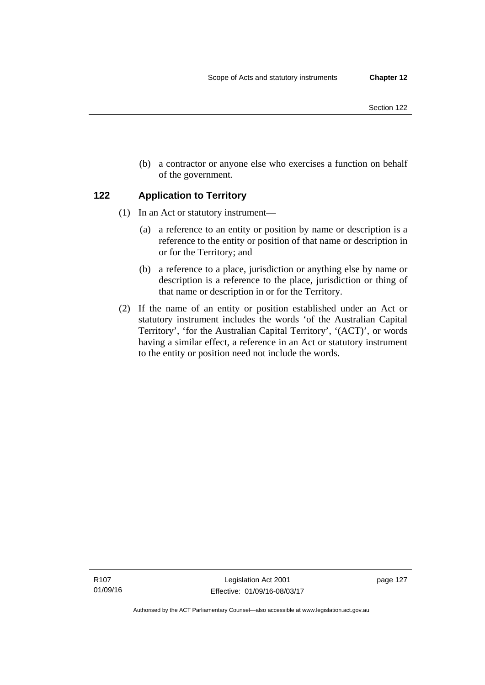- Section 122
- (b) a contractor or anyone else who exercises a function on behalf of the government.

## **122 Application to Territory**

- (1) In an Act or statutory instrument—
	- (a) a reference to an entity or position by name or description is a reference to the entity or position of that name or description in or for the Territory; and
	- (b) a reference to a place, jurisdiction or anything else by name or description is a reference to the place, jurisdiction or thing of that name or description in or for the Territory.
- (2) If the name of an entity or position established under an Act or statutory instrument includes the words 'of the Australian Capital Territory', 'for the Australian Capital Territory', '(ACT)', or words having a similar effect, a reference in an Act or statutory instrument to the entity or position need not include the words.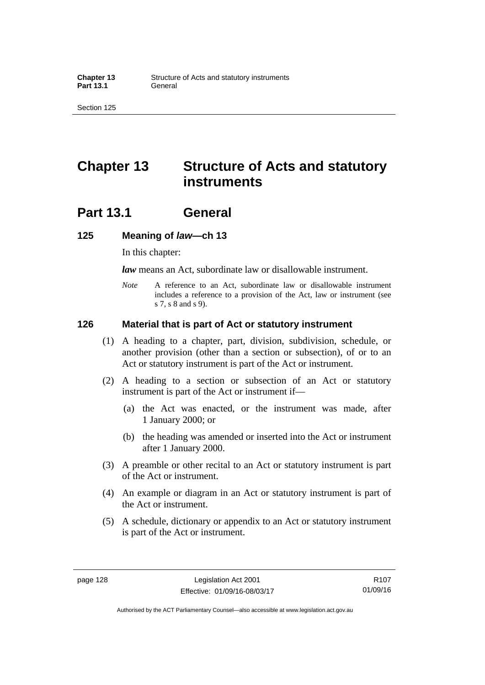## **Chapter 13 Structure of Acts and statutory instruments**

## **Part 13.1 General**

#### **125 Meaning of** *law***—ch 13**

In this chapter:

*law* means an Act, subordinate law or disallowable instrument.

*Note* A reference to an Act, subordinate law or disallowable instrument includes a reference to a provision of the Act, law or instrument (see s 7, s 8 and s 9).

#### **126 Material that is part of Act or statutory instrument**

- (1) A heading to a chapter, part, division, subdivision, schedule, or another provision (other than a section or subsection), of or to an Act or statutory instrument is part of the Act or instrument.
- (2) A heading to a section or subsection of an Act or statutory instrument is part of the Act or instrument if—
	- (a) the Act was enacted, or the instrument was made, after 1 January 2000; or
	- (b) the heading was amended or inserted into the Act or instrument after 1 January 2000.
- (3) A preamble or other recital to an Act or statutory instrument is part of the Act or instrument.
- (4) An example or diagram in an Act or statutory instrument is part of the Act or instrument.
- (5) A schedule, dictionary or appendix to an Act or statutory instrument is part of the Act or instrument.

R107 01/09/16

Authorised by the ACT Parliamentary Counsel—also accessible at www.legislation.act.gov.au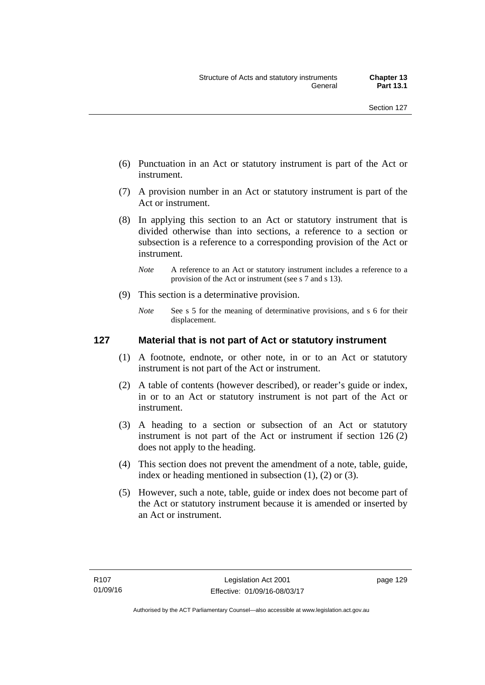- (6) Punctuation in an Act or statutory instrument is part of the Act or instrument.
- (7) A provision number in an Act or statutory instrument is part of the Act or instrument.
- (8) In applying this section to an Act or statutory instrument that is divided otherwise than into sections, a reference to a section or subsection is a reference to a corresponding provision of the Act or instrument.
	- *Note* A reference to an Act or statutory instrument includes a reference to a provision of the Act or instrument (see s 7 and s 13).
- (9) This section is a determinative provision.
	- *Note* See s 5 for the meaning of determinative provisions, and s 6 for their displacement.

### **127 Material that is not part of Act or statutory instrument**

- (1) A footnote, endnote, or other note, in or to an Act or statutory instrument is not part of the Act or instrument.
- (2) A table of contents (however described), or reader's guide or index, in or to an Act or statutory instrument is not part of the Act or instrument.
- (3) A heading to a section or subsection of an Act or statutory instrument is not part of the Act or instrument if section 126 (2) does not apply to the heading.
- (4) This section does not prevent the amendment of a note, table, guide, index or heading mentioned in subsection (1), (2) or (3).
- (5) However, such a note, table, guide or index does not become part of the Act or statutory instrument because it is amended or inserted by an Act or instrument.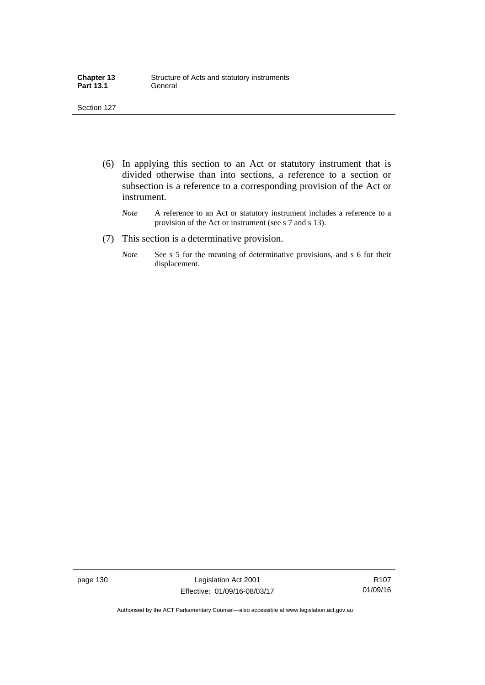| <b>Chapter 13</b> | Structure of Acts and statutory instruments |
|-------------------|---------------------------------------------|
| <b>Part 13.1</b>  | General                                     |

- (6) In applying this section to an Act or statutory instrument that is divided otherwise than into sections, a reference to a section or subsection is a reference to a corresponding provision of the Act or instrument.
	- *Note* A reference to an Act or statutory instrument includes a reference to a provision of the Act or instrument (see s 7 and s 13).
- (7) This section is a determinative provision.
	- *Note* See s 5 for the meaning of determinative provisions, and s 6 for their displacement.

page 130 Legislation Act 2001 Effective: 01/09/16-08/03/17

R107 01/09/16

Authorised by the ACT Parliamentary Counsel—also accessible at www.legislation.act.gov.au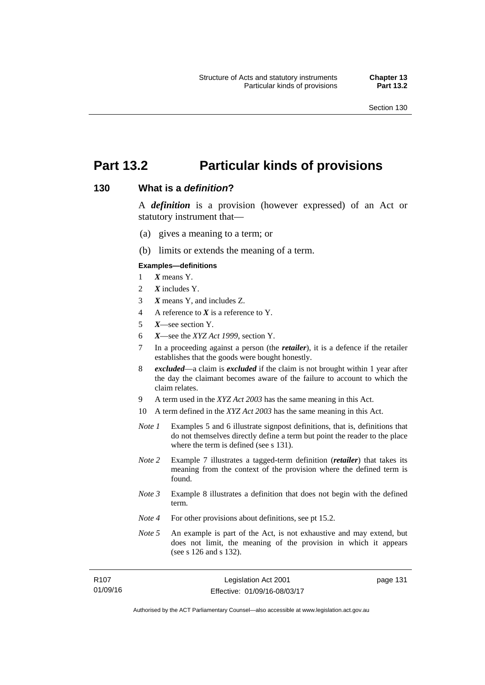page 131

# **Part 13.2 Particular kinds of provisions**

### **130 What is a** *definition***?**

A *definition* is a provision (however expressed) of an Act or statutory instrument that—

- (a) gives a meaning to a term; or
- (b) limits or extends the meaning of a term.

#### **Examples—definitions**

- 1 *X* means Y.
- 2 *X* includes Y.
- 3 *X* means Y, and includes Z.
- 4 A reference to *X* is a reference to Y.
- 5 *X*—see section Y.
- 6 *X*—see the *XYZ Act 1999*, section Y.
- 7 In a proceeding against a person (the *retailer*), it is a defence if the retailer establishes that the goods were bought honestly.
- 8 *excluded*—a claim is *excluded* if the claim is not brought within 1 year after the day the claimant becomes aware of the failure to account to which the claim relates.
- 9 A term used in the *XYZ Act 2003* has the same meaning in this Act.
- 10 A term defined in the *XYZ Act 2003* has the same meaning in this Act.
- *Note 1* Examples 5 and 6 illustrate signpost definitions, that is, definitions that do not themselves directly define a term but point the reader to the place where the term is defined (see s 131).
- *Note 2* Example 7 illustrates a tagged-term definition (*retailer*) that takes its meaning from the context of the provision where the defined term is found.
- *Note 3* Example 8 illustrates a definition that does not begin with the defined term.
- *Note 4* For other provisions about definitions, see pt 15.2.
- *Note 5* An example is part of the Act, is not exhaustive and may extend, but does not limit, the meaning of the provision in which it appears (see s 126 and s 132).

| R107     | Legislation Act 2001         |
|----------|------------------------------|
| 01/09/16 | Effective: 01/09/16-08/03/17 |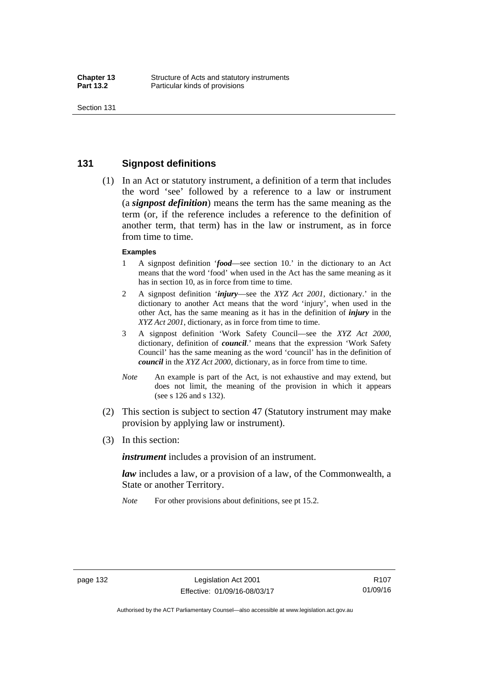### **131 Signpost definitions**

 (1) In an Act or statutory instrument, a definition of a term that includes the word 'see' followed by a reference to a law or instrument (a *signpost definition*) means the term has the same meaning as the term (or, if the reference includes a reference to the definition of another term, that term) has in the law or instrument, as in force from time to time.

#### **Examples**

- 1 A signpost definition '*food*—see section 10.' in the dictionary to an Act means that the word 'food' when used in the Act has the same meaning as it has in section 10, as in force from time to time.
- 2 A signpost definition '*injury*—see the *XYZ Act 2001*, dictionary.' in the dictionary to another Act means that the word 'injury', when used in the other Act, has the same meaning as it has in the definition of *injury* in the *XYZ Act 2001*, dictionary, as in force from time to time.
- 3 A signpost definition 'Work Safety Council—see the *XYZ Act 2000*, dictionary, definition of *council*.' means that the expression 'Work Safety Council' has the same meaning as the word 'council' has in the definition of *council* in the *XYZ Act 2000*, dictionary, as in force from time to time.
- *Note* An example is part of the Act, is not exhaustive and may extend, but does not limit, the meaning of the provision in which it appears (see s 126 and s 132).
- (2) This section is subject to section 47 (Statutory instrument may make provision by applying law or instrument).
- (3) In this section:

*instrument* includes a provision of an instrument.

*law* includes a law, or a provision of a law, of the Commonwealth, a State or another Territory.

*Note* For other provisions about definitions, see pt 15.2.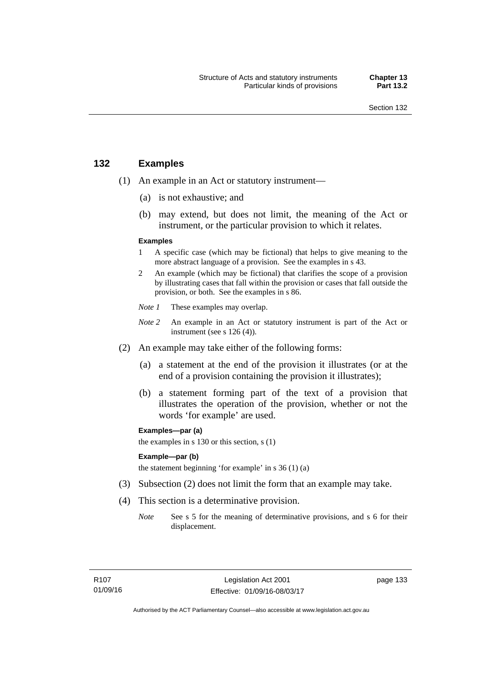### **132 Examples**

- (1) An example in an Act or statutory instrument—
	- (a) is not exhaustive; and
	- (b) may extend, but does not limit, the meaning of the Act or instrument, or the particular provision to which it relates.

#### **Examples**

- 1 A specific case (which may be fictional) that helps to give meaning to the more abstract language of a provision. See the examples in s 43.
- 2 An example (which may be fictional) that clarifies the scope of a provision by illustrating cases that fall within the provision or cases that fall outside the provision, or both. See the examples in s 86.
- *Note 1* These examples may overlap.
- *Note* 2 An example in an Act or statutory instrument is part of the Act or instrument (see s 126 (4)).
- (2) An example may take either of the following forms:
	- (a) a statement at the end of the provision it illustrates (or at the end of a provision containing the provision it illustrates);
	- (b) a statement forming part of the text of a provision that illustrates the operation of the provision, whether or not the words 'for example' are used.

**Examples—par (a)** 

the examples in s 130 or this section, s (1)

#### **Example—par (b)**

the statement beginning 'for example' in s 36 (1) (a)

- (3) Subsection (2) does not limit the form that an example may take.
- (4) This section is a determinative provision.
	- *Note* See s 5 for the meaning of determinative provisions, and s 6 for their displacement.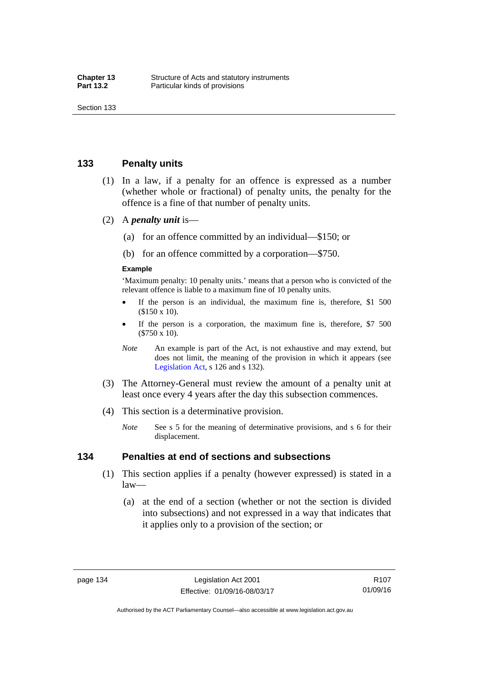### **133 Penalty units**

- (1) In a law, if a penalty for an offence is expressed as a number (whether whole or fractional) of penalty units, the penalty for the offence is a fine of that number of penalty units.
- (2) A *penalty unit* is—
	- (a) for an offence committed by an individual—\$150; or
	- (b) for an offence committed by a corporation—\$750.

#### **Example**

'Maximum penalty: 10 penalty units.' means that a person who is convicted of the relevant offence is liable to a maximum fine of 10 penalty units.

- If the person is an individual, the maximum fine is, therefore, \$1 500 (\$150 x 10).
- If the person is a corporation, the maximum fine is, therefore, \$7 500 (\$750 x 10).
- *Note* An example is part of the Act, is not exhaustive and may extend, but does not limit, the meaning of the provision in which it appears (see [Legislation Act,](http://www.legislation.act.gov.au/a/2001-14) s 126 and s 132).
- (3) The Attorney-General must review the amount of a penalty unit at least once every 4 years after the day this subsection commences.
- (4) This section is a determinative provision.
	- *Note* See s 5 for the meaning of determinative provisions, and s 6 for their displacement.

### **134 Penalties at end of sections and subsections**

- (1) This section applies if a penalty (however expressed) is stated in a law—
	- (a) at the end of a section (whether or not the section is divided into subsections) and not expressed in a way that indicates that it applies only to a provision of the section; or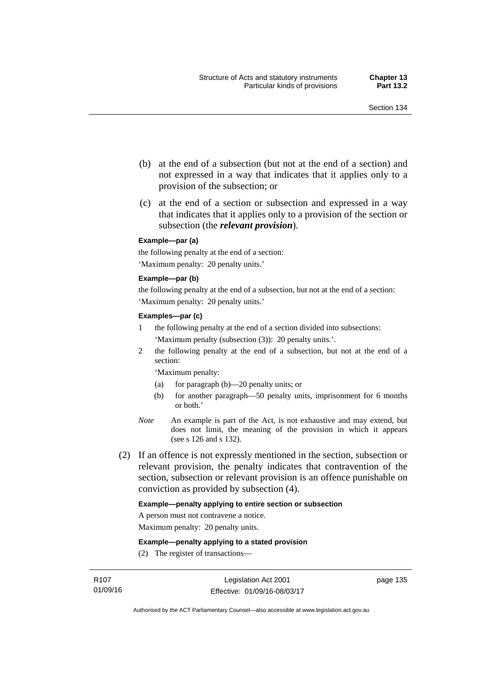- (b) at the end of a subsection (but not at the end of a section) and not expressed in a way that indicates that it applies only to a provision of the subsection; or
- (c) at the end of a section or subsection and expressed in a way that indicates that it applies only to a provision of the section or subsection (the *relevant provision*).

#### **Example—par (a)**

the following penalty at the end of a section: 'Maximum penalty: 20 penalty units.'

#### **Example—par (b)**

the following penalty at the end of a subsection, but not at the end of a section: 'Maximum penalty: 20 penalty units.'

#### **Examples—par (c)**

- 1 the following penalty at the end of a section divided into subsections: 'Maximum penalty (subsection (3)): 20 penalty units.'.
- 2 the following penalty at the end of a subsection, but not at the end of a section:

'Maximum penalty:

- (a) for paragraph (b)—20 penalty units; or
- (b) for another paragraph—50 penalty units, imprisonment for 6 months or both.'
- *Note* An example is part of the Act, is not exhaustive and may extend, but does not limit, the meaning of the provision in which it appears (see s 126 and s 132).
- (2) If an offence is not expressly mentioned in the section, subsection or relevant provision, the penalty indicates that contravention of the section, subsection or relevant provision is an offence punishable on conviction as provided by subsection (4).

#### **Example—penalty applying to entire section or subsection**

A person must not contravene a notice.

Maximum penalty: 20 penalty units.

**Example—penalty applying to a stated provision** 

(2) The register of transactions—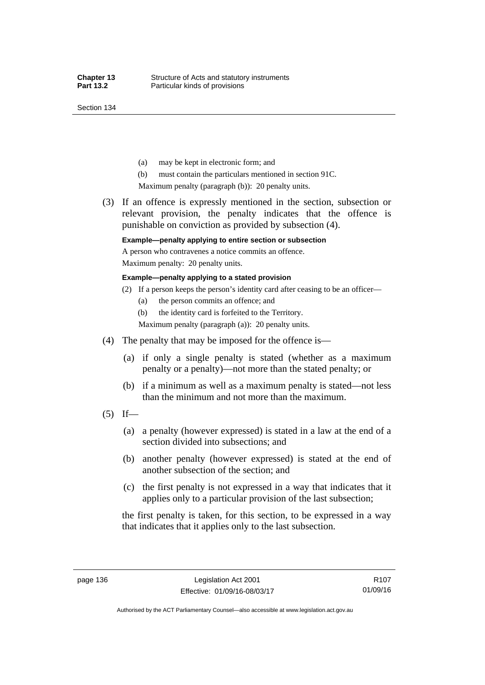Section 134

- (a) may be kept in electronic form; and
- (b) must contain the particulars mentioned in section 91C.

Maximum penalty (paragraph (b)): 20 penalty units.

 (3) If an offence is expressly mentioned in the section, subsection or relevant provision, the penalty indicates that the offence is punishable on conviction as provided by subsection (4).

### **Example—penalty applying to entire section or subsection**

A person who contravenes a notice commits an offence. Maximum penalty: 20 penalty units.

**Example—penalty applying to a stated provision** 

- (2) If a person keeps the person's identity card after ceasing to be an officer—
	- (a) the person commits an offence; and
	- (b) the identity card is forfeited to the Territory.

Maximum penalty (paragraph (a)): 20 penalty units.

- (4) The penalty that may be imposed for the offence is—
	- (a) if only a single penalty is stated (whether as a maximum penalty or a penalty)—not more than the stated penalty; or
	- (b) if a minimum as well as a maximum penalty is stated—not less than the minimum and not more than the maximum.
- $(5)$  If—
	- (a) a penalty (however expressed) is stated in a law at the end of a section divided into subsections; and
	- (b) another penalty (however expressed) is stated at the end of another subsection of the section; and
	- (c) the first penalty is not expressed in a way that indicates that it applies only to a particular provision of the last subsection;

the first penalty is taken, for this section, to be expressed in a way that indicates that it applies only to the last subsection.

Authorised by the ACT Parliamentary Counsel—also accessible at www.legislation.act.gov.au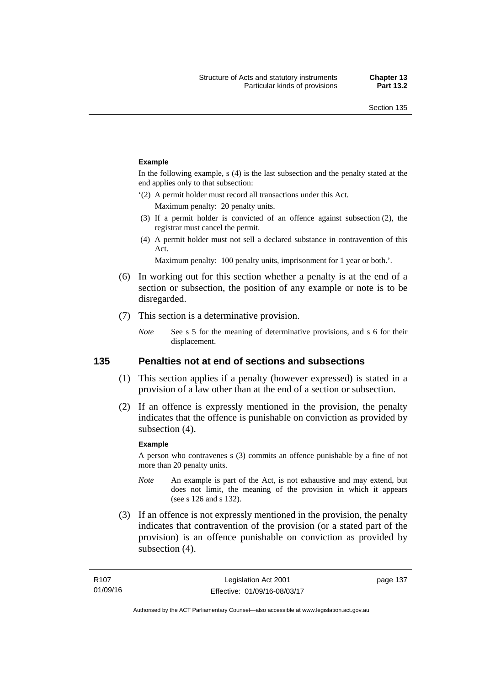#### **Example**

In the following example, s (4) is the last subsection and the penalty stated at the end applies only to that subsection:

'(2) A permit holder must record all transactions under this Act.

Maximum penalty: 20 penalty units.

- (3) If a permit holder is convicted of an offence against subsection (2), the registrar must cancel the permit.
- (4) A permit holder must not sell a declared substance in contravention of this Act.

Maximum penalty: 100 penalty units, imprisonment for 1 year or both.'.

- (6) In working out for this section whether a penalty is at the end of a section or subsection, the position of any example or note is to be disregarded.
- (7) This section is a determinative provision.
	- *Note* See s 5 for the meaning of determinative provisions, and s 6 for their displacement.

### **135 Penalties not at end of sections and subsections**

- (1) This section applies if a penalty (however expressed) is stated in a provision of a law other than at the end of a section or subsection.
- (2) If an offence is expressly mentioned in the provision, the penalty indicates that the offence is punishable on conviction as provided by subsection (4).

#### **Example**

A person who contravenes s (3) commits an offence punishable by a fine of not more than 20 penalty units.

- *Note* An example is part of the Act, is not exhaustive and may extend, but does not limit, the meaning of the provision in which it appears (see s 126 and s 132).
- (3) If an offence is not expressly mentioned in the provision, the penalty indicates that contravention of the provision (or a stated part of the provision) is an offence punishable on conviction as provided by subsection (4).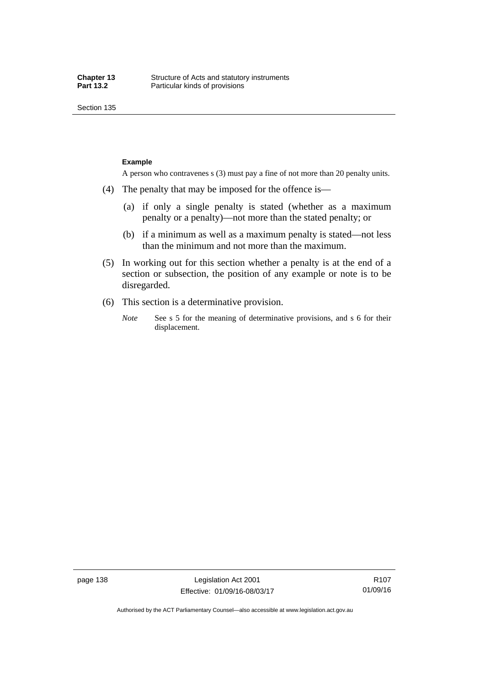Section 135

#### **Example**

A person who contravenes s (3) must pay a fine of not more than 20 penalty units.

- (4) The penalty that may be imposed for the offence is—
	- (a) if only a single penalty is stated (whether as a maximum penalty or a penalty)—not more than the stated penalty; or
	- (b) if a minimum as well as a maximum penalty is stated—not less than the minimum and not more than the maximum.
- (5) In working out for this section whether a penalty is at the end of a section or subsection, the position of any example or note is to be disregarded.
- (6) This section is a determinative provision.
	- *Note* See s 5 for the meaning of determinative provisions, and s 6 for their displacement.

page 138 Legislation Act 2001 Effective: 01/09/16-08/03/17

R107 01/09/16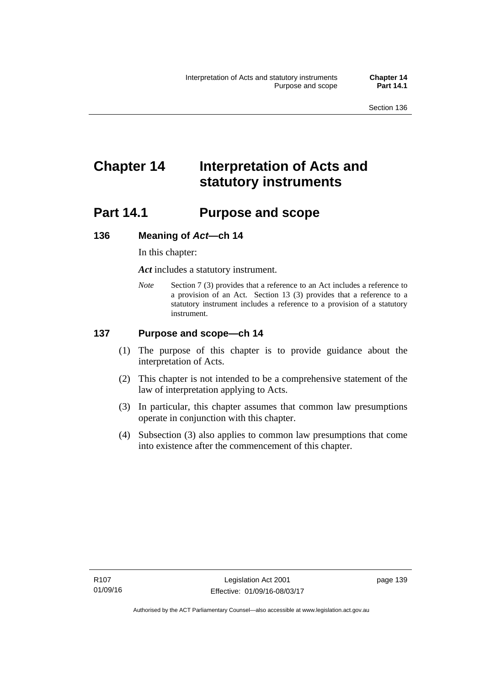# **Chapter 14 Interpretation of Acts and statutory instruments**

# **Part 14.1 Purpose and scope**

### **136 Meaning of** *Act***—ch 14**

In this chapter:

*Act* includes a statutory instrument.

*Note* Section 7 (3) provides that a reference to an Act includes a reference to a provision of an Act. Section 13 (3) provides that a reference to a statutory instrument includes a reference to a provision of a statutory instrument.

### **137 Purpose and scope—ch 14**

- (1) The purpose of this chapter is to provide guidance about the interpretation of Acts.
- (2) This chapter is not intended to be a comprehensive statement of the law of interpretation applying to Acts.
- (3) In particular, this chapter assumes that common law presumptions operate in conjunction with this chapter.
- (4) Subsection (3) also applies to common law presumptions that come into existence after the commencement of this chapter.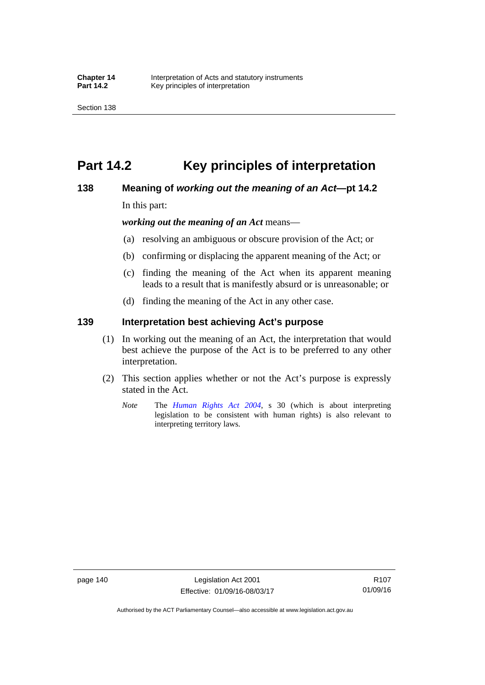# **Part 14.2 Key principles of interpretation**

### **138 Meaning of** *working out the meaning of an Act***—pt 14.2**

In this part:

*working out the meaning of an Act* means—

- (a) resolving an ambiguous or obscure provision of the Act; or
- (b) confirming or displacing the apparent meaning of the Act; or
- (c) finding the meaning of the Act when its apparent meaning leads to a result that is manifestly absurd or is unreasonable; or
- (d) finding the meaning of the Act in any other case.

### **139 Interpretation best achieving Act's purpose**

- (1) In working out the meaning of an Act, the interpretation that would best achieve the purpose of the Act is to be preferred to any other interpretation.
- (2) This section applies whether or not the Act's purpose is expressly stated in the Act.
	- *Note* The *[Human Rights Act 2004](http://www.legislation.act.gov.au/a/2004-5)*, s 30 (which is about interpreting legislation to be consistent with human rights) is also relevant to interpreting territory laws.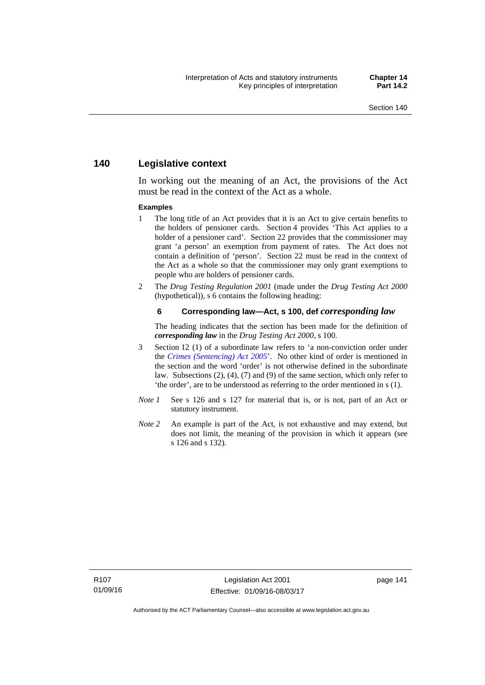### **140 Legislative context**

In working out the meaning of an Act, the provisions of the Act must be read in the context of the Act as a whole.

#### **Examples**

- 1 The long title of an Act provides that it is an Act to give certain benefits to the holders of pensioner cards. Section 4 provides 'This Act applies to a holder of a pensioner card'. Section 22 provides that the commissioner may grant 'a person' an exemption from payment of rates. The Act does not contain a definition of 'person'. Section 22 must be read in the context of the Act as a whole so that the commissioner may only grant exemptions to people who are holders of pensioner cards.
- 2 The *Drug Testing Regulation 2001* (made under the *Drug Testing Act 2000* (hypothetical)), s 6 contains the following heading:

#### **6 Corresponding law—Act, s 100, def** *corresponding law*

The heading indicates that the section has been made for the definition of *corresponding law* in the *Drug Testing Act 2000*, s 100.

- 3 Section 12 (1) of a subordinate law refers to 'a non-conviction order under the *[Crimes \(Sentencing\) Act 2005](http://www.legislation.act.gov.au/a/2005-58)*'. No other kind of order is mentioned in the section and the word 'order' is not otherwise defined in the subordinate law. Subsections (2), (4), (7) and (9) of the same section, which only refer to 'the order', are to be understood as referring to the order mentioned in s (1).
- *Note 1* See s 126 and s 127 for material that is, or is not, part of an Act or statutory instrument.
- *Note 2* An example is part of the Act, is not exhaustive and may extend, but does not limit, the meaning of the provision in which it appears (see s 126 and s 132).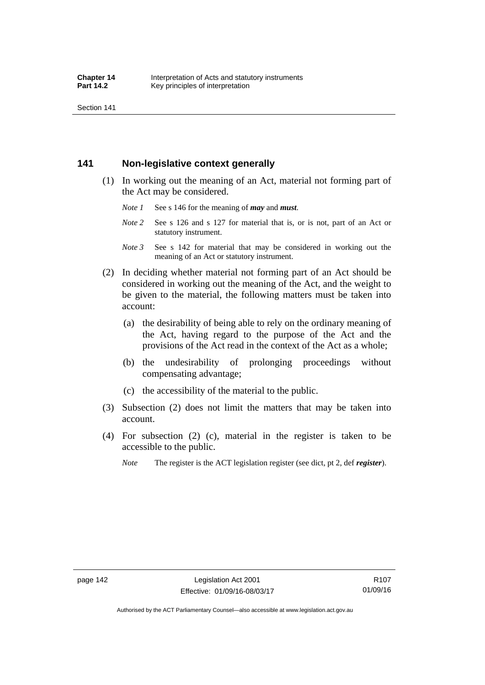Section 141

### **141 Non-legislative context generally**

- (1) In working out the meaning of an Act, material not forming part of the Act may be considered.
	- *Note 1* See s 146 for the meaning of *may* and *must*.
	- *Note* 2 See s 126 and s 127 for material that is, or is not, part of an Act or statutory instrument.
	- *Note 3* See s 142 for material that may be considered in working out the meaning of an Act or statutory instrument.
- (2) In deciding whether material not forming part of an Act should be considered in working out the meaning of the Act, and the weight to be given to the material, the following matters must be taken into account:
	- (a) the desirability of being able to rely on the ordinary meaning of the Act, having regard to the purpose of the Act and the provisions of the Act read in the context of the Act as a whole;
	- (b) the undesirability of prolonging proceedings without compensating advantage;
	- (c) the accessibility of the material to the public.
- (3) Subsection (2) does not limit the matters that may be taken into account.
- (4) For subsection (2) (c), material in the register is taken to be accessible to the public.
	- *Note* The register is the ACT legislation register (see dict, pt 2, def *register*).

R107 01/09/16

Authorised by the ACT Parliamentary Counsel—also accessible at www.legislation.act.gov.au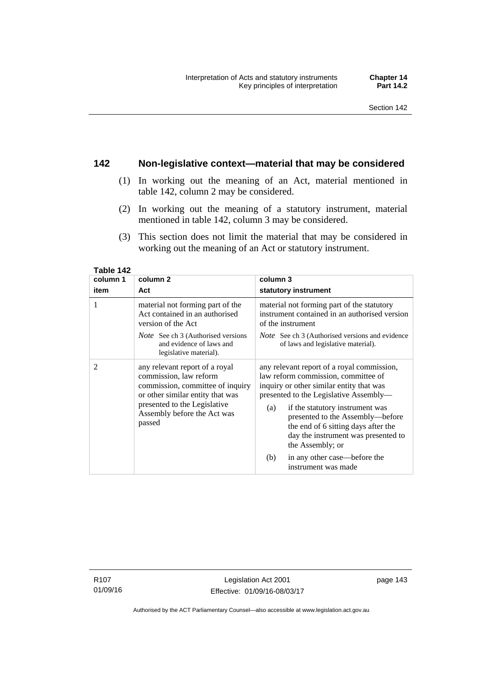### **142 Non-legislative context—material that may be considered**

- (1) In working out the meaning of an Act, material mentioned in table 142, column 2 may be considered.
- (2) In working out the meaning of a statutory instrument, material mentioned in table 142, column 3 may be considered.
- (3) This section does not limit the material that may be considered in working out the meaning of an Act or statutory instrument.

| column 1       | column <sub>2</sub>                                                                                                                                                                                       | column 3                                                                                                                                                                                                                                                                                                                                                |  |
|----------------|-----------------------------------------------------------------------------------------------------------------------------------------------------------------------------------------------------------|---------------------------------------------------------------------------------------------------------------------------------------------------------------------------------------------------------------------------------------------------------------------------------------------------------------------------------------------------------|--|
| item           | Act                                                                                                                                                                                                       | statutory instrument                                                                                                                                                                                                                                                                                                                                    |  |
| 1              | material not forming part of the<br>Act contained in an authorised<br>version of the Act                                                                                                                  | material not forming part of the statutory<br>instrument contained in an authorised version<br>of the instrument                                                                                                                                                                                                                                        |  |
|                | <i>Note</i> See ch 3 (Authorised versions<br>and evidence of laws and<br>legislative material).                                                                                                           | <i>Note</i> See ch 3 (Authorised versions and evidence<br>of laws and legislative material).                                                                                                                                                                                                                                                            |  |
| $\overline{c}$ | any relevant report of a royal<br>commission, law reform<br>commission, committee of inquiry<br>or other similar entity that was<br>presented to the Legislative<br>Assembly before the Act was<br>passed | any relevant report of a royal commission,<br>law reform commission, committee of<br>inquiry or other similar entity that was<br>presented to the Legislative Assembly—<br>if the statutory instrument was<br>(a)<br>presented to the Assembly-before<br>the end of 6 sitting days after the<br>day the instrument was presented to<br>the Assembly; or |  |
|                |                                                                                                                                                                                                           | in any other case—before the<br>(b)<br>instrument was made                                                                                                                                                                                                                                                                                              |  |

**Table 142** 

R107 01/09/16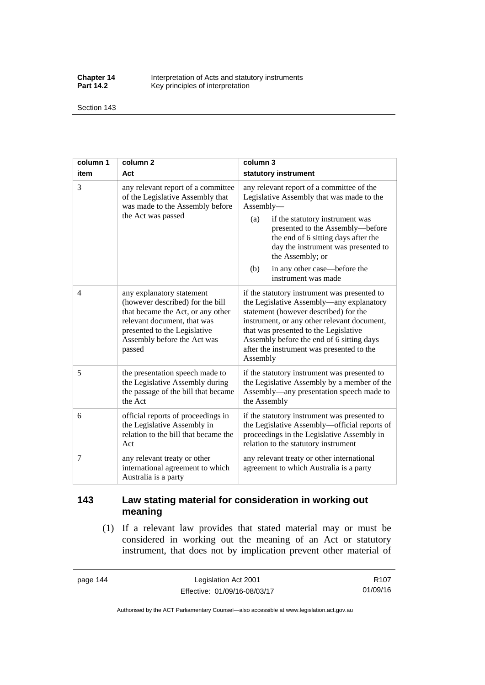**Chapter 14** Interpretation of Acts and statutory instruments<br>**Part 14.2** Key principles of interpretation Key principles of interpretation

Section 143

| column 1       | column <sub>2</sub>                                                                                                                                                                                        | column 3                                                                                                                                                                                                                                                                                                                                          |  |
|----------------|------------------------------------------------------------------------------------------------------------------------------------------------------------------------------------------------------------|---------------------------------------------------------------------------------------------------------------------------------------------------------------------------------------------------------------------------------------------------------------------------------------------------------------------------------------------------|--|
| item           | Act                                                                                                                                                                                                        | statutory instrument                                                                                                                                                                                                                                                                                                                              |  |
| 3              | any relevant report of a committee<br>of the Legislative Assembly that<br>was made to the Assembly before<br>the Act was passed                                                                            | any relevant report of a committee of the<br>Legislative Assembly that was made to the<br>Assembly-<br>(a)<br>if the statutory instrument was<br>presented to the Assembly-before<br>the end of 6 sitting days after the<br>day the instrument was presented to<br>the Assembly; or<br>in any other case—before the<br>(b)<br>instrument was made |  |
| $\overline{4}$ | any explanatory statement<br>(however described) for the bill<br>that became the Act, or any other<br>relevant document, that was<br>presented to the Legislative<br>Assembly before the Act was<br>passed | if the statutory instrument was presented to<br>the Legislative Assembly—any explanatory<br>statement (however described) for the<br>instrument, or any other relevant document,<br>that was presented to the Legislative<br>Assembly before the end of 6 sitting days<br>after the instrument was presented to the<br>Assembly                   |  |
| 5              | the presentation speech made to<br>the Legislative Assembly during<br>the passage of the bill that became<br>the Act                                                                                       | if the statutory instrument was presented to<br>the Legislative Assembly by a member of the<br>Assembly—any presentation speech made to<br>the Assembly                                                                                                                                                                                           |  |
| 6              | official reports of proceedings in<br>the Legislative Assembly in<br>relation to the bill that became the<br>Act                                                                                           | if the statutory instrument was presented to<br>the Legislative Assembly-official reports of<br>proceedings in the Legislative Assembly in<br>relation to the statutory instrument                                                                                                                                                                |  |
| 7              | any relevant treaty or other<br>international agreement to which<br>Australia is a party                                                                                                                   | any relevant treaty or other international<br>agreement to which Australia is a party                                                                                                                                                                                                                                                             |  |

## **143 Law stating material for consideration in working out meaning**

 (1) If a relevant law provides that stated material may or must be considered in working out the meaning of an Act or statutory instrument, that does not by implication prevent other material of

page 144 Legislation Act 2001 Effective: 01/09/16-08/03/17

R107 01/09/16

Authorised by the ACT Parliamentary Counsel—also accessible at www.legislation.act.gov.au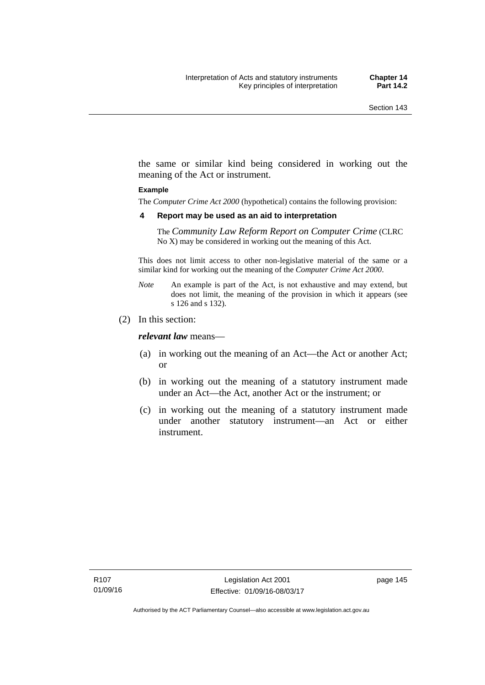the same or similar kind being considered in working out the meaning of the Act or instrument.

#### **Example**

The *Computer Crime Act 2000* (hypothetical) contains the following provision:

#### **4 Report may be used as an aid to interpretation**

The *Community Law Reform Report on Computer Crime* (CLRC No X) may be considered in working out the meaning of this Act.

This does not limit access to other non-legislative material of the same or a similar kind for working out the meaning of the *Computer Crime Act 2000*.

- *Note* An example is part of the Act, is not exhaustive and may extend, but does not limit, the meaning of the provision in which it appears (see s 126 and s 132).
- (2) In this section:

*relevant law* means—

- (a) in working out the meaning of an Act—the Act or another Act; or
- (b) in working out the meaning of a statutory instrument made under an Act—the Act, another Act or the instrument; or
- (c) in working out the meaning of a statutory instrument made under another statutory instrument—an Act or either instrument.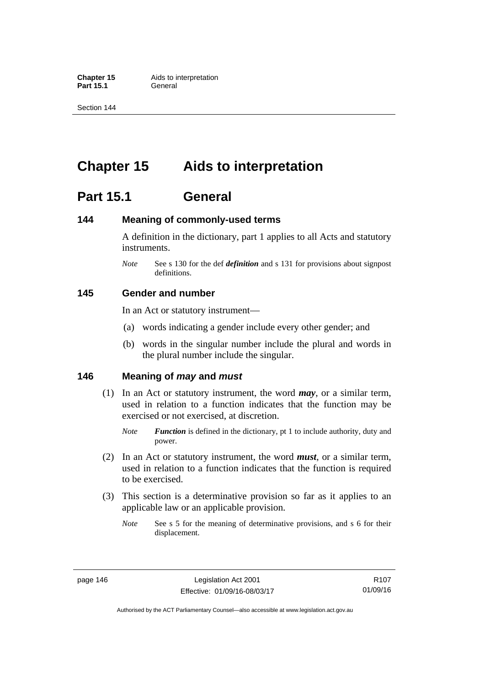**Part 15.1** 

Section 144

# **Chapter 15 Aids to interpretation**

# **Part 15.1 General**

### **144 Meaning of commonly-used terms**

A definition in the dictionary, part 1 applies to all Acts and statutory instruments.

*Note* See s 130 for the def *definition* and s 131 for provisions about signpost definitions.

### **145 Gender and number**

In an Act or statutory instrument—

- (a) words indicating a gender include every other gender; and
- (b) words in the singular number include the plural and words in the plural number include the singular.

### **146 Meaning of** *may* **and** *must*

- (1) In an Act or statutory instrument, the word *may*, or a similar term, used in relation to a function indicates that the function may be exercised or not exercised, at discretion.
	- *Note Function* is defined in the dictionary, pt 1 to include authority, duty and power.
- (2) In an Act or statutory instrument, the word *must*, or a similar term, used in relation to a function indicates that the function is required to be exercised.
- (3) This section is a determinative provision so far as it applies to an applicable law or an applicable provision.
	- *Note* See s 5 for the meaning of determinative provisions, and s 6 for their displacement.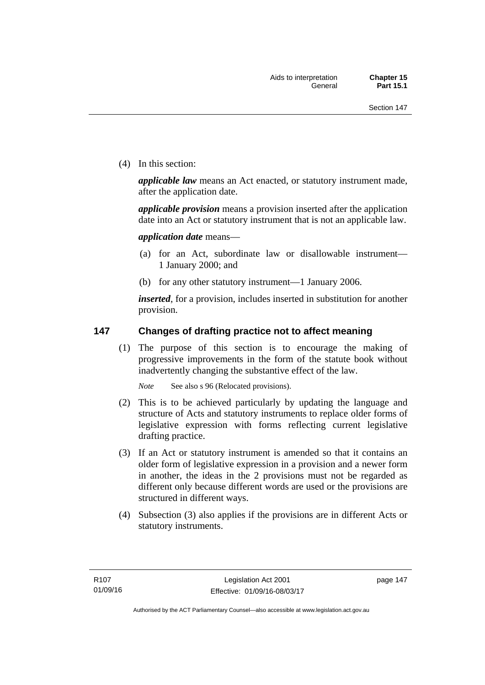(4) In this section:

*applicable law* means an Act enacted, or statutory instrument made, after the application date.

*applicable provision* means a provision inserted after the application date into an Act or statutory instrument that is not an applicable law.

*application date* means—

- (a) for an Act, subordinate law or disallowable instrument— 1 January 2000; and
- (b) for any other statutory instrument—1 January 2006.

*inserted*, for a provision, includes inserted in substitution for another provision.

### **147 Changes of drafting practice not to affect meaning**

(1) The purpose of this section is to encourage the making of progressive improvements in the form of the statute book without inadvertently changing the substantive effect of the law.

*Note* See also s 96 (Relocated provisions).

- (2) This is to be achieved particularly by updating the language and structure of Acts and statutory instruments to replace older forms of legislative expression with forms reflecting current legislative drafting practice.
- (3) If an Act or statutory instrument is amended so that it contains an older form of legislative expression in a provision and a newer form in another, the ideas in the 2 provisions must not be regarded as different only because different words are used or the provisions are structured in different ways.
- (4) Subsection (3) also applies if the provisions are in different Acts or statutory instruments.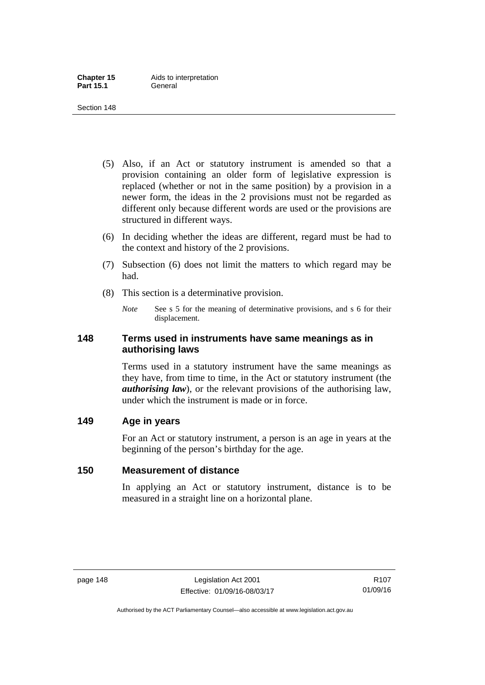- (5) Also, if an Act or statutory instrument is amended so that a provision containing an older form of legislative expression is replaced (whether or not in the same position) by a provision in a newer form, the ideas in the 2 provisions must not be regarded as different only because different words are used or the provisions are structured in different ways.
- (6) In deciding whether the ideas are different, regard must be had to the context and history of the 2 provisions.
- (7) Subsection (6) does not limit the matters to which regard may be had.
- (8) This section is a determinative provision.
	- *Note* See s 5 for the meaning of determinative provisions, and s 6 for their displacement.

### **148 Terms used in instruments have same meanings as in authorising laws**

Terms used in a statutory instrument have the same meanings as they have, from time to time, in the Act or statutory instrument (the *authorising law*), or the relevant provisions of the authorising law, under which the instrument is made or in force.

### **149 Age in years**

For an Act or statutory instrument, a person is an age in years at the beginning of the person's birthday for the age.

### **150 Measurement of distance**

In applying an Act or statutory instrument, distance is to be measured in a straight line on a horizontal plane.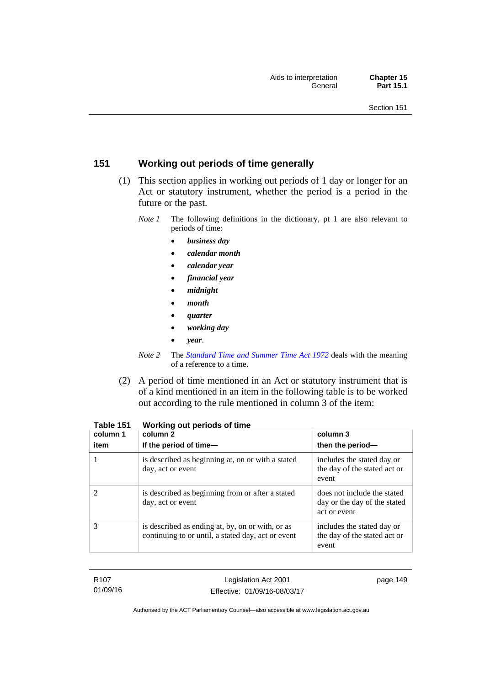## **151 Working out periods of time generally**

- (1) This section applies in working out periods of 1 day or longer for an Act or statutory instrument, whether the period is a period in the future or the past.
	- *Note 1* The following definitions in the dictionary, pt 1 are also relevant to periods of time:
		- *business day*
		- *calendar month*
		- *calendar year*
		- *financial year*
		- *midnight*
		- *month*
		- *quarter*
		- *working day*
		- *year*.
	- *Note 2* The *[Standard Time and Summer Time Act 1972](http://www.legislation.act.gov.au/a/1972-34)* deals with the meaning of a reference to a time.
- (2) A period of time mentioned in an Act or statutory instrument that is of a kind mentioned in an item in the following table is to be worked out according to the rule mentioned in column 3 of the item:

| column 1<br>item | column 2<br>If the period of time-                                                                     | column 3<br>then the period-                                                |
|------------------|--------------------------------------------------------------------------------------------------------|-----------------------------------------------------------------------------|
|                  | is described as beginning at, on or with a stated<br>day, act or event                                 | includes the stated day or<br>the day of the stated act or<br>event         |
|                  | is described as beginning from or after a stated<br>day, act or event                                  | does not include the stated<br>day or the day of the stated<br>act or event |
| 3                | is described as ending at, by, on or with, or as<br>continuing to or until, a stated day, act or event | includes the stated day or<br>the day of the stated act or<br>event         |

| Table 151 |  | Working out periods of time |
|-----------|--|-----------------------------|
|-----------|--|-----------------------------|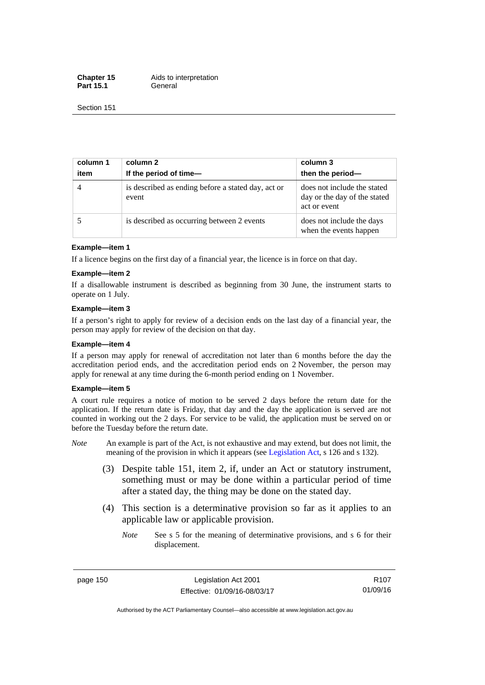**Chapter 15** Aids to interpretation Part 15.1 **General** 

Section 151

| column 1<br>item | column 2<br>If the period of time-                          | column 3<br>then the period-                                                |
|------------------|-------------------------------------------------------------|-----------------------------------------------------------------------------|
| $\overline{4}$   | is described as ending before a stated day, act or<br>event | does not include the stated<br>day or the day of the stated<br>act or event |
|                  | is described as occurring between 2 events                  | does not include the days<br>when the events happen                         |

#### **Example—item 1**

If a licence begins on the first day of a financial year, the licence is in force on that day.

#### **Example—item 2**

If a disallowable instrument is described as beginning from 30 June, the instrument starts to operate on 1 July.

#### **Example—item 3**

If a person's right to apply for review of a decision ends on the last day of a financial year, the person may apply for review of the decision on that day.

#### **Example—item 4**

If a person may apply for renewal of accreditation not later than 6 months before the day the accreditation period ends, and the accreditation period ends on 2 November, the person may apply for renewal at any time during the 6-month period ending on 1 November.

#### **Example—item 5**

A court rule requires a notice of motion to be served 2 days before the return date for the application. If the return date is Friday, that day and the day the application is served are not counted in working out the 2 days. For service to be valid, the application must be served on or before the Tuesday before the return date.

- *Note* An example is part of the Act, is not exhaustive and may extend, but does not limit, the meaning of the provision in which it appears (see [Legislation Act](http://www.legislation.act.gov.au/a/2001-14), s 126 and s 132).
	- (3) Despite table 151, item 2, if, under an Act or statutory instrument, something must or may be done within a particular period of time after a stated day, the thing may be done on the stated day.
	- (4) This section is a determinative provision so far as it applies to an applicable law or applicable provision.
		- *Note* See s 5 for the meaning of determinative provisions, and s 6 for their displacement.

page 150 Legislation Act 2001 Effective: 01/09/16-08/03/17

Authorised by the ACT Parliamentary Counsel—also accessible at www.legislation.act.gov.au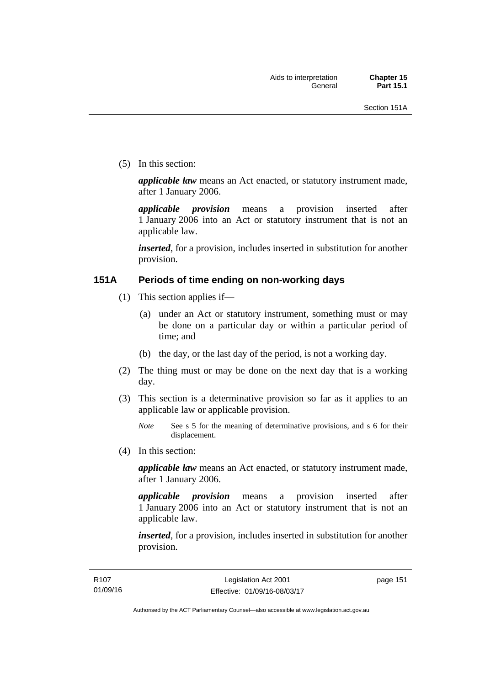(5) In this section:

*applicable law* means an Act enacted, or statutory instrument made, after 1 January 2006.

*applicable provision* means a provision inserted after 1 January 2006 into an Act or statutory instrument that is not an applicable law.

*inserted*, for a provision, includes inserted in substitution for another provision.

### **151A Periods of time ending on non-working days**

- (1) This section applies if—
	- (a) under an Act or statutory instrument, something must or may be done on a particular day or within a particular period of time; and
	- (b) the day, or the last day of the period, is not a working day.
- (2) The thing must or may be done on the next day that is a working day.
- (3) This section is a determinative provision so far as it applies to an applicable law or applicable provision.

(4) In this section:

*applicable law* means an Act enacted, or statutory instrument made, after 1 January 2006.

*applicable provision* means a provision inserted after 1 January 2006 into an Act or statutory instrument that is not an applicable law.

*inserted*, for a provision, includes inserted in substitution for another provision.

page 151

*Note* See s 5 for the meaning of determinative provisions, and s 6 for their displacement.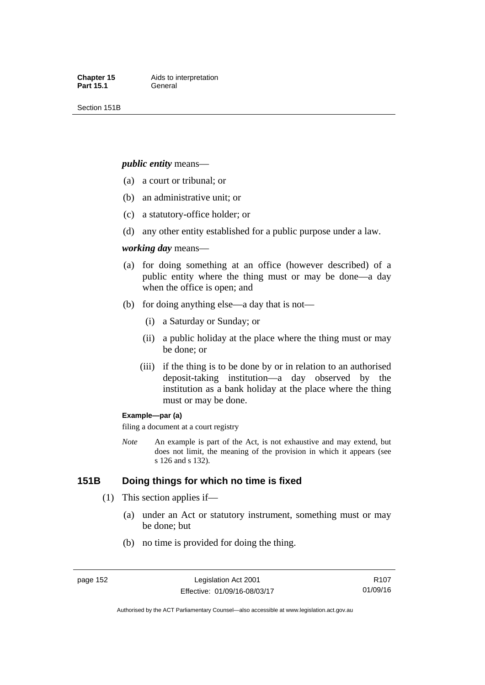Section 151B

#### *public entity* means—

- (a) a court or tribunal; or
- (b) an administrative unit; or
- (c) a statutory-office holder; or
- (d) any other entity established for a public purpose under a law.

#### *working day* means—

- (a) for doing something at an office (however described) of a public entity where the thing must or may be done—a day when the office is open; and
- (b) for doing anything else—a day that is not—
	- (i) a Saturday or Sunday; or
	- (ii) a public holiday at the place where the thing must or may be done; or
	- (iii) if the thing is to be done by or in relation to an authorised deposit-taking institution—a day observed by the institution as a bank holiday at the place where the thing must or may be done.

#### **Example—par (a)**

filing a document at a court registry

*Note* An example is part of the Act, is not exhaustive and may extend, but does not limit, the meaning of the provision in which it appears (see s 126 and s 132).

### **151B Doing things for which no time is fixed**

- (1) This section applies if—
	- (a) under an Act or statutory instrument, something must or may be done; but
	- (b) no time is provided for doing the thing.

R107 01/09/16

Authorised by the ACT Parliamentary Counsel—also accessible at www.legislation.act.gov.au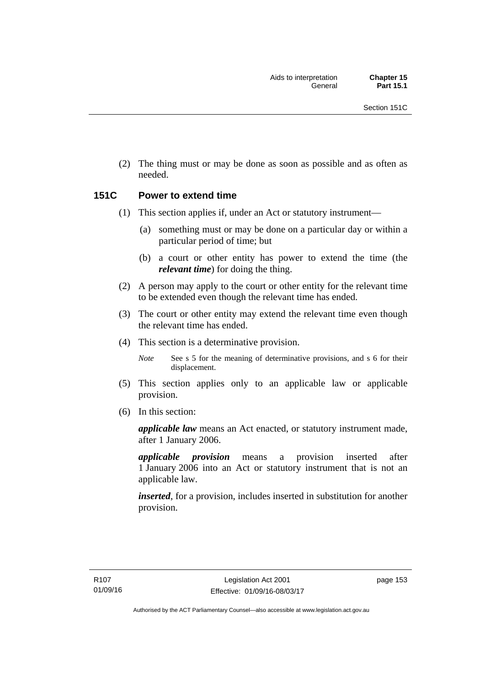(2) The thing must or may be done as soon as possible and as often as needed.

### **151C Power to extend time**

- (1) This section applies if, under an Act or statutory instrument—
	- (a) something must or may be done on a particular day or within a particular period of time; but
	- (b) a court or other entity has power to extend the time (the *relevant time*) for doing the thing.
- (2) A person may apply to the court or other entity for the relevant time to be extended even though the relevant time has ended.
- (3) The court or other entity may extend the relevant time even though the relevant time has ended.
- (4) This section is a determinative provision.

*Note* See s 5 for the meaning of determinative provisions, and s 6 for their displacement.

- (5) This section applies only to an applicable law or applicable provision.
- (6) In this section:

*applicable law* means an Act enacted, or statutory instrument made, after 1 January 2006.

*applicable provision* means a provision inserted after 1 January 2006 into an Act or statutory instrument that is not an applicable law.

*inserted*, for a provision, includes inserted in substitution for another provision.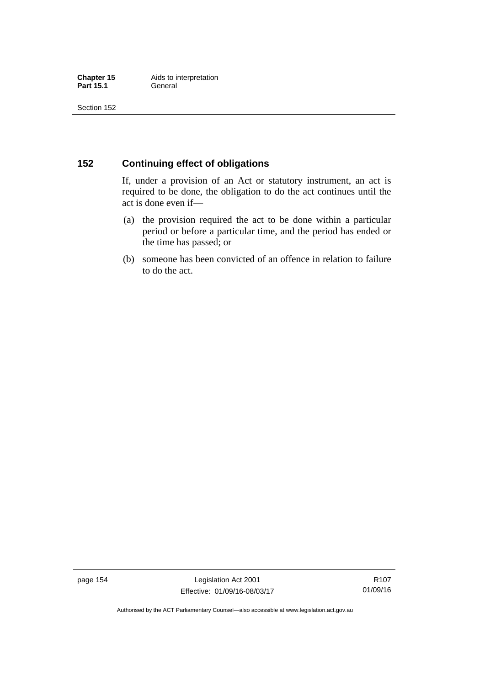### **152 Continuing effect of obligations**

If, under a provision of an Act or statutory instrument, an act is required to be done, the obligation to do the act continues until the act is done even if—

- (a) the provision required the act to be done within a particular period or before a particular time, and the period has ended or the time has passed; or
- (b) someone has been convicted of an offence in relation to failure to do the act.

page 154 Legislation Act 2001 Effective: 01/09/16-08/03/17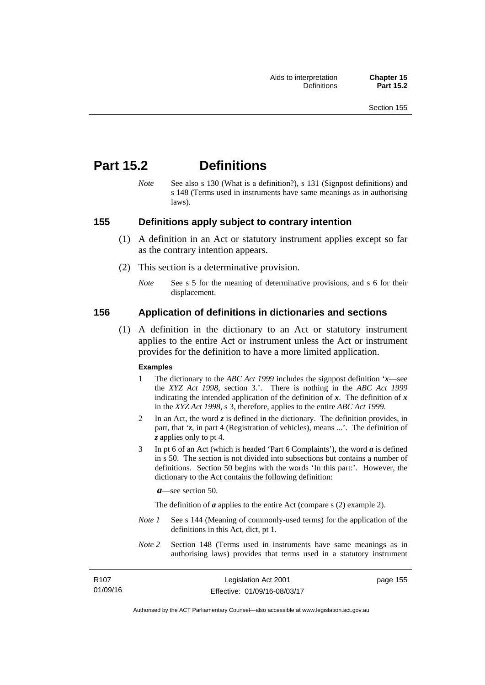# **Part 15.2 Definitions**

*Note* See also s 130 (What is a definition?), s 131 (Signpost definitions) and s 148 (Terms used in instruments have same meanings as in authorising laws).

### **155 Definitions apply subject to contrary intention**

- (1) A definition in an Act or statutory instrument applies except so far as the contrary intention appears.
- (2) This section is a determinative provision.
	- *Note* See s 5 for the meaning of determinative provisions, and s 6 for their displacement.

### **156 Application of definitions in dictionaries and sections**

 (1) A definition in the dictionary to an Act or statutory instrument applies to the entire Act or instrument unless the Act or instrument provides for the definition to have a more limited application.

#### **Examples**

- 1 The dictionary to the *ABC Act 1999* includes the signpost definition '*x*—see the *XYZ Act 1998*, section 3.'. There is nothing in the *ABC Act 1999* indicating the intended application of the definition of  $x$ . The definition of  $x$ in the *XYZ Act 1998*, s 3, therefore, applies to the entire *ABC Act 1999*.
- 2 In an Act, the word *z* is defined in the dictionary. The definition provides, in part, that '*z*, in part 4 (Registration of vehicles), means ...'. The definition of *z* applies only to pt 4.
- 3 In pt 6 of an Act (which is headed 'Part 6 Complaints'), the word *a* is defined in s 50. The section is not divided into subsections but contains a number of definitions. Section 50 begins with the words 'In this part:'. However, the dictionary to the Act contains the following definition:

*a*—see section 50.

The definition of *a* applies to the entire Act (compare s (2) example 2).

- *Note 1* See s 144 (Meaning of commonly-used terms) for the application of the definitions in this Act, dict, pt 1.
- *Note 2* Section 148 (Terms used in instruments have same meanings as in authorising laws) provides that terms used in a statutory instrument

| R107     | Legislation Act 2001         | page 155 |
|----------|------------------------------|----------|
| 01/09/16 | Effective: 01/09/16-08/03/17 |          |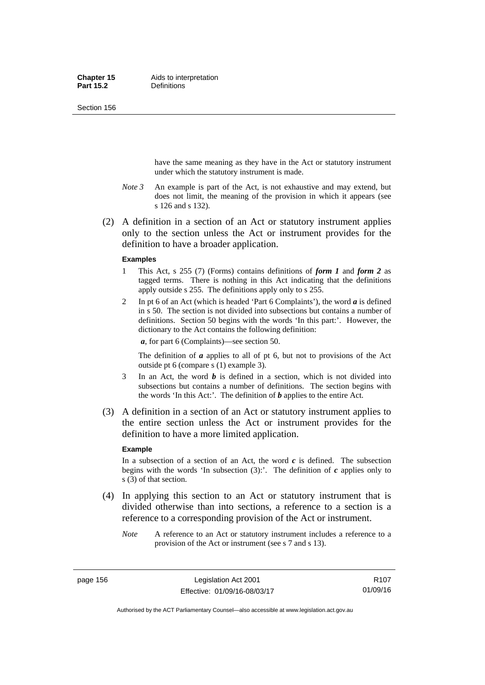Section 156

have the same meaning as they have in the Act or statutory instrument under which the statutory instrument is made.

- *Note 3* An example is part of the Act, is not exhaustive and may extend, but does not limit, the meaning of the provision in which it appears (see s 126 and s 132).
- (2) A definition in a section of an Act or statutory instrument applies only to the section unless the Act or instrument provides for the definition to have a broader application.

#### **Examples**

- 1 This Act, s 255 (7) (Forms) contains definitions of *form 1* and *form 2* as tagged terms. There is nothing in this Act indicating that the definitions apply outside s 255. The definitions apply only to s 255.
- 2 In pt 6 of an Act (which is headed 'Part 6 Complaints'), the word *a* is defined in s 50. The section is not divided into subsections but contains a number of definitions. Section 50 begins with the words 'In this part:'. However, the dictionary to the Act contains the following definition:

*a*, for part 6 (Complaints)—see section 50.

The definition of *a* applies to all of pt 6, but not to provisions of the Act outside pt 6 (compare s (1) example 3).

- 3 In an Act, the word *b* is defined in a section, which is not divided into subsections but contains a number of definitions. The section begins with the words 'In this Act:'. The definition of *b* applies to the entire Act.
- (3) A definition in a section of an Act or statutory instrument applies to the entire section unless the Act or instrument provides for the definition to have a more limited application.

#### **Example**

In a subsection of a section of an Act, the word  $c$  is defined. The subsection begins with the words 'In subsection  $(3)$ :'. The definition of  $c$  applies only to s (3) of that section.

- (4) In applying this section to an Act or statutory instrument that is divided otherwise than into sections, a reference to a section is a reference to a corresponding provision of the Act or instrument.
	- *Note* A reference to an Act or statutory instrument includes a reference to a provision of the Act or instrument (see s 7 and s 13).

page 156 Legislation Act 2001 Effective: 01/09/16-08/03/17

Authorised by the ACT Parliamentary Counsel—also accessible at www.legislation.act.gov.au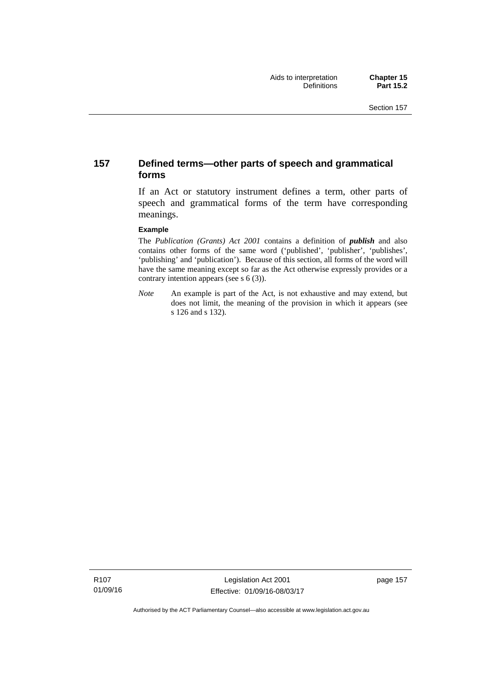### **157 Defined terms—other parts of speech and grammatical forms**

If an Act or statutory instrument defines a term, other parts of speech and grammatical forms of the term have corresponding meanings.

#### **Example**

The *Publication (Grants) Act 2001* contains a definition of *publish* and also contains other forms of the same word ('published', 'publisher', 'publishes', 'publishing' and 'publication'). Because of this section, all forms of the word will have the same meaning except so far as the Act otherwise expressly provides or a contrary intention appears (see s 6 (3)).

*Note* An example is part of the Act, is not exhaustive and may extend, but does not limit, the meaning of the provision in which it appears (see s 126 and s 132).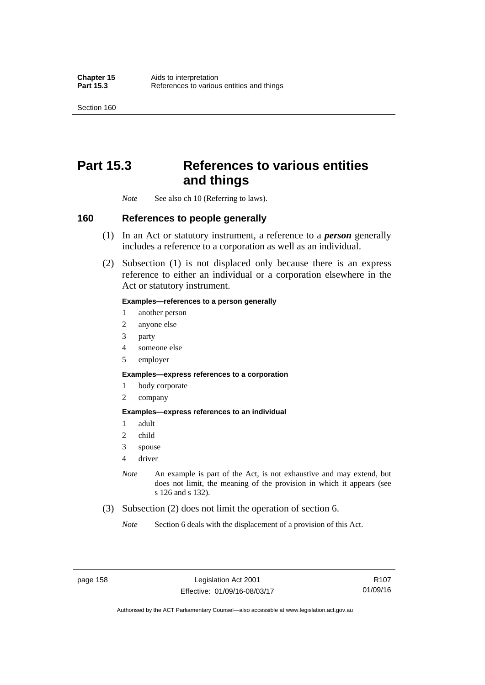Section 160

# **Part 15.3 References to various entities and things**

*Note* See also ch 10 (Referring to laws).

### **160 References to people generally**

- (1) In an Act or statutory instrument, a reference to a *person* generally includes a reference to a corporation as well as an individual.
- (2) Subsection (1) is not displaced only because there is an express reference to either an individual or a corporation elsewhere in the Act or statutory instrument.

#### **Examples—references to a person generally**

- 1 another person
- 2 anyone else
- 3 party
- 4 someone else
- 5 employer

#### **Examples—express references to a corporation**

- 1 body corporate
- 2 company

#### **Examples—express references to an individual**

- 1 adult
- 2 child
- 3 spouse
- 4 driver
- *Note* An example is part of the Act, is not exhaustive and may extend, but does not limit, the meaning of the provision in which it appears (see s 126 and s 132).
- (3) Subsection (2) does not limit the operation of section 6.
	- *Note* Section 6 deals with the displacement of a provision of this Act.

R107 01/09/16

Authorised by the ACT Parliamentary Counsel—also accessible at www.legislation.act.gov.au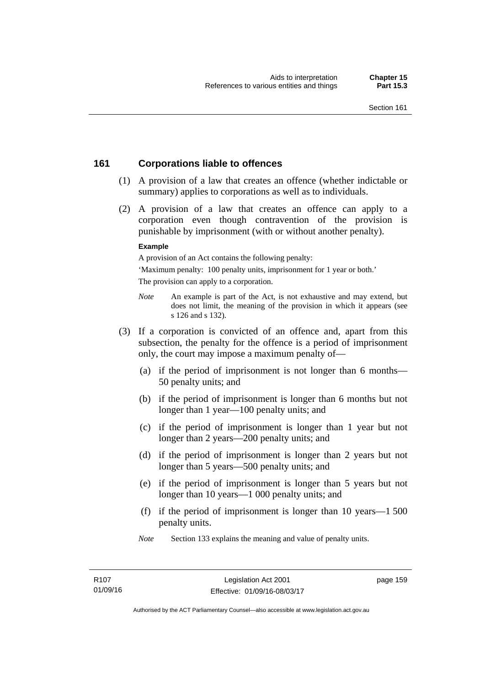### **161 Corporations liable to offences**

- (1) A provision of a law that creates an offence (whether indictable or summary) applies to corporations as well as to individuals.
- (2) A provision of a law that creates an offence can apply to a corporation even though contravention of the provision is punishable by imprisonment (with or without another penalty).

#### **Example**

A provision of an Act contains the following penalty:

'Maximum penalty: 100 penalty units, imprisonment for 1 year or both.' The provision can apply to a corporation.

- *Note* An example is part of the Act, is not exhaustive and may extend, but does not limit, the meaning of the provision in which it appears (see s 126 and s 132).
- (3) If a corporation is convicted of an offence and, apart from this subsection, the penalty for the offence is a period of imprisonment only, the court may impose a maximum penalty of—
	- (a) if the period of imprisonment is not longer than 6 months— 50 penalty units; and
	- (b) if the period of imprisonment is longer than 6 months but not longer than 1 year—100 penalty units; and
	- (c) if the period of imprisonment is longer than 1 year but not longer than 2 years—200 penalty units; and
	- (d) if the period of imprisonment is longer than 2 years but not longer than 5 years—500 penalty units; and
	- (e) if the period of imprisonment is longer than 5 years but not longer than 10 years—1 000 penalty units; and
	- (f) if the period of imprisonment is longer than 10 years—1 500 penalty units.
	- *Note* Section 133 explains the meaning and value of penalty units.

page 159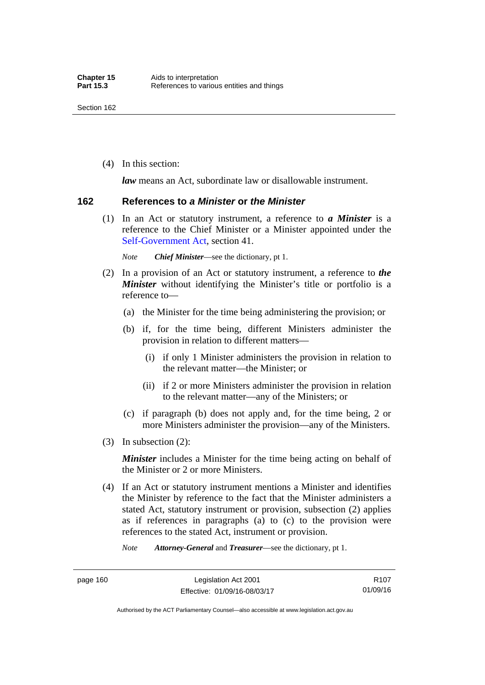(4) In this section:

*law* means an Act, subordinate law or disallowable instrument.

#### **162 References to** *a Minister* **or** *the Minister*

 (1) In an Act or statutory instrument, a reference to *a Minister* is a reference to the Chief Minister or a Minister appointed under the [Self-Government Act,](http://www.comlaw.gov.au/Series/C2004A03699) section 41.

*Note Chief Minister*—see the dictionary, pt 1.

- (2) In a provision of an Act or statutory instrument, a reference to *the Minister* without identifying the Minister's title or portfolio is a reference to—
	- (a) the Minister for the time being administering the provision; or
	- (b) if, for the time being, different Ministers administer the provision in relation to different matters—
		- (i) if only 1 Minister administers the provision in relation to the relevant matter—the Minister; or
		- (ii) if 2 or more Ministers administer the provision in relation to the relevant matter—any of the Ministers; or
	- (c) if paragraph (b) does not apply and, for the time being, 2 or more Ministers administer the provision—any of the Ministers.
- (3) In subsection (2):

*Minister* includes a Minister for the time being acting on behalf of the Minister or 2 or more Ministers.

 (4) If an Act or statutory instrument mentions a Minister and identifies the Minister by reference to the fact that the Minister administers a stated Act, statutory instrument or provision, subsection (2) applies as if references in paragraphs (a) to (c) to the provision were references to the stated Act, instrument or provision.

*Note Attorney-General* and *Treasurer*—see the dictionary, pt 1.

Authorised by the ACT Parliamentary Counsel—also accessible at www.legislation.act.gov.au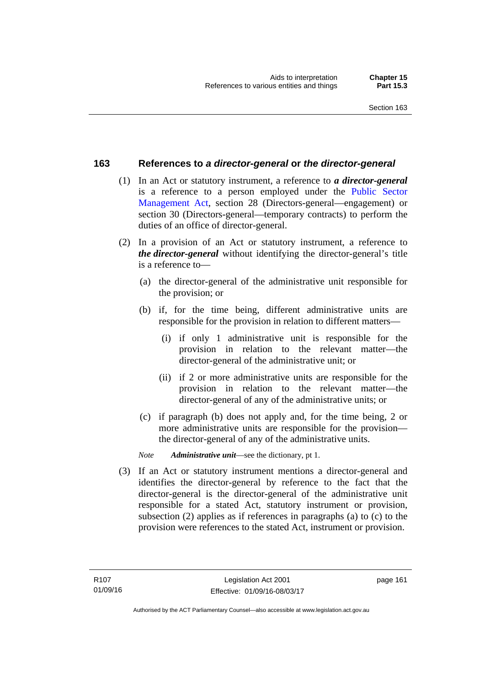### **163 References to** *a director-general* **or** *the director-general*

- (1) In an Act or statutory instrument, a reference to *a director-general* is a reference to a person employed under the [Public Sector](http://www.legislation.act.gov.au/a/1994-37)  [Management Act,](http://www.legislation.act.gov.au/a/1994-37) section 28 (Directors-general—engagement) or section 30 (Directors-general—temporary contracts) to perform the duties of an office of director-general.
- (2) In a provision of an Act or statutory instrument, a reference to *the director-general* without identifying the director-general's title is a reference to—
	- (a) the director-general of the administrative unit responsible for the provision; or
	- (b) if, for the time being, different administrative units are responsible for the provision in relation to different matters—
		- (i) if only 1 administrative unit is responsible for the provision in relation to the relevant matter—the director-general of the administrative unit; or
		- (ii) if 2 or more administrative units are responsible for the provision in relation to the relevant matter—the director-general of any of the administrative units; or
	- (c) if paragraph (b) does not apply and, for the time being, 2 or more administrative units are responsible for the provision the director-general of any of the administrative units.
	- *Note Administrative unit*—see the dictionary, pt 1.
- (3) If an Act or statutory instrument mentions a director-general and identifies the director-general by reference to the fact that the director-general is the director-general of the administrative unit responsible for a stated Act, statutory instrument or provision, subsection (2) applies as if references in paragraphs (a) to (c) to the provision were references to the stated Act, instrument or provision.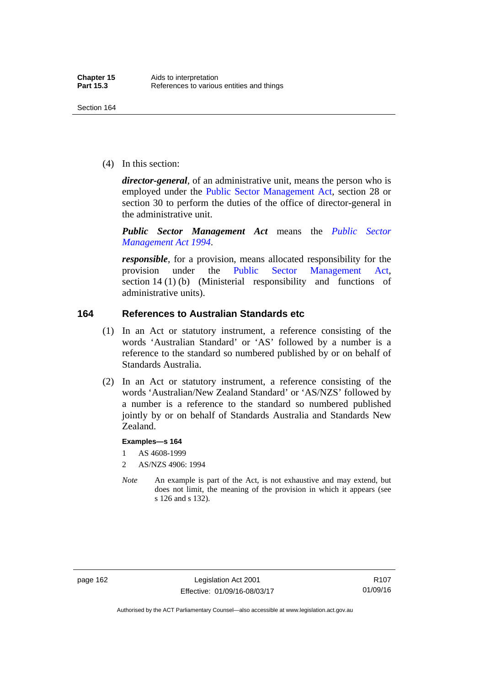(4) In this section:

*director-general*, of an administrative unit, means the person who is employed under the [Public Sector Management Act,](http://www.legislation.act.gov.au/a/1994-37) section 28 or section 30 to perform the duties of the office of director-general in the administrative unit.

*Public Sector Management Act* means the *[Public Sector](http://www.legislation.act.gov.au/a/1994-37)  [Management Act 1994](http://www.legislation.act.gov.au/a/1994-37)*.

*responsible*, for a provision, means allocated responsibility for the provision under the [Public Sector Management Act](http://www.legislation.act.gov.au/a/1994-37), section 14 (1) (b) (Ministerial responsibility and functions of administrative units).

### **164 References to Australian Standards etc**

- (1) In an Act or statutory instrument, a reference consisting of the words 'Australian Standard' or 'AS' followed by a number is a reference to the standard so numbered published by or on behalf of Standards Australia.
- (2) In an Act or statutory instrument, a reference consisting of the words 'Australian/New Zealand Standard' or 'AS/NZS' followed by a number is a reference to the standard so numbered published jointly by or on behalf of Standards Australia and Standards New Zealand.

#### **Examples—s 164**

- 1 AS 4608-1999
- 2 AS/NZS 4906: 1994
- *Note* An example is part of the Act, is not exhaustive and may extend, but does not limit, the meaning of the provision in which it appears (see s 126 and s 132).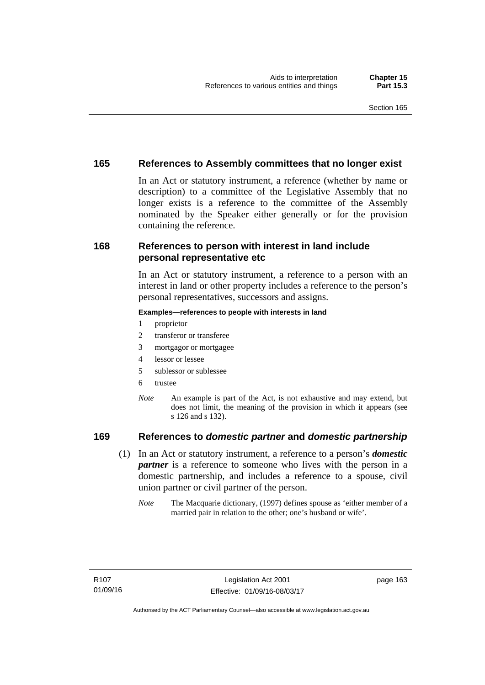### **165 References to Assembly committees that no longer exist**

In an Act or statutory instrument, a reference (whether by name or description) to a committee of the Legislative Assembly that no longer exists is a reference to the committee of the Assembly nominated by the Speaker either generally or for the provision containing the reference.

### **168 References to person with interest in land include personal representative etc**

In an Act or statutory instrument, a reference to a person with an interest in land or other property includes a reference to the person's personal representatives, successors and assigns.

#### **Examples—references to people with interests in land**

- 1 proprietor
- 2 transferor or transferee
- 3 mortgagor or mortgagee
- 4 lessor or lessee
- 5 sublessor or sublessee
- 6 trustee
- *Note* An example is part of the Act, is not exhaustive and may extend, but does not limit, the meaning of the provision in which it appears (see s 126 and s 132).

### **169 References to** *domestic partner* **and** *domestic partnership*

- (1) In an Act or statutory instrument, a reference to a person's *domestic partner* is a reference to someone who lives with the person in a domestic partnership, and includes a reference to a spouse, civil union partner or civil partner of the person.
	- *Note* The Macquarie dictionary, (1997) defines spouse as 'either member of a married pair in relation to the other; one's husband or wife'.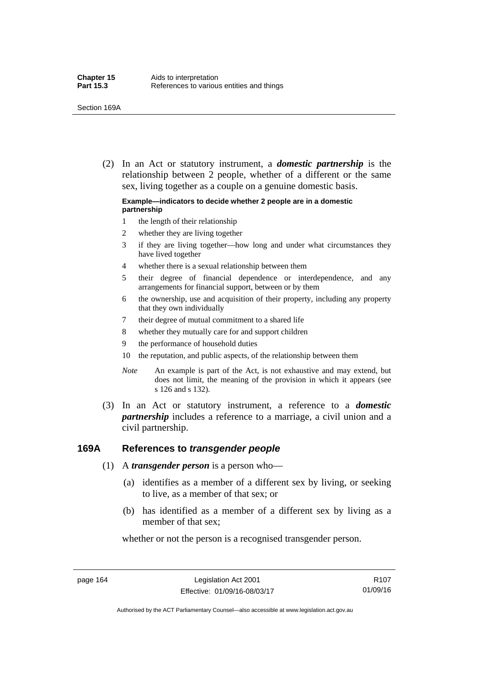(2) In an Act or statutory instrument, a *domestic partnership* is the relationship between 2 people, whether of a different or the same sex, living together as a couple on a genuine domestic basis.

#### **Example—indicators to decide whether 2 people are in a domestic partnership**

- 1 the length of their relationship
- 2 whether they are living together
- 3 if they are living together—how long and under what circumstances they have lived together
- 4 whether there is a sexual relationship between them
- 5 their degree of financial dependence or interdependence, and any arrangements for financial support, between or by them
- 6 the ownership, use and acquisition of their property, including any property that they own individually
- 7 their degree of mutual commitment to a shared life
- 8 whether they mutually care for and support children
- 9 the performance of household duties
- 10 the reputation, and public aspects, of the relationship between them
- *Note* An example is part of the Act, is not exhaustive and may extend, but does not limit, the meaning of the provision in which it appears (see s 126 and s 132).
- (3) In an Act or statutory instrument, a reference to a *domestic partnership* includes a reference to a marriage, a civil union and a civil partnership.

### **169A References to** *transgender people*

- (1) A *transgender person* is a person who—
	- (a) identifies as a member of a different sex by living, or seeking to live, as a member of that sex; or
	- (b) has identified as a member of a different sex by living as a member of that sex;

whether or not the person is a recognised transgender person.

page 164 Legislation Act 2001 Effective: 01/09/16-08/03/17

R107 01/09/16

Authorised by the ACT Parliamentary Counsel—also accessible at www.legislation.act.gov.au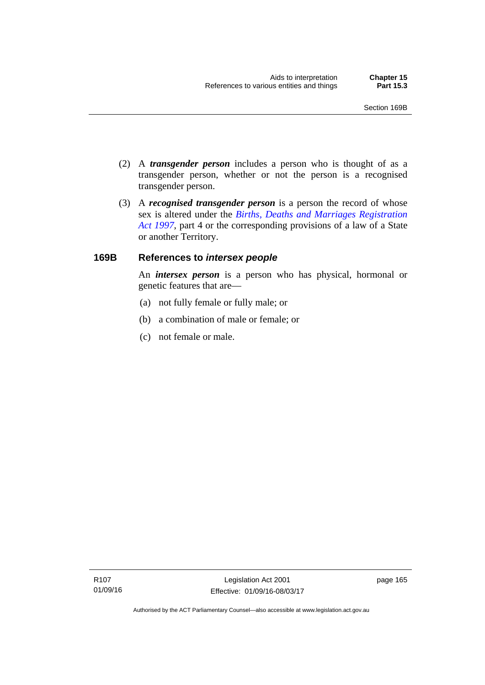- (2) A *transgender person* includes a person who is thought of as a transgender person, whether or not the person is a recognised transgender person.
- (3) A *recognised transgender person* is a person the record of whose sex is altered under the *[Births, Deaths and Marriages Registration](http://www.legislation.act.gov.au/a/1997-112)  [Act 1997](http://www.legislation.act.gov.au/a/1997-112)*, part 4 or the corresponding provisions of a law of a State or another Territory.

# **169B References to** *intersex people*

An *intersex person* is a person who has physical, hormonal or genetic features that are—

- (a) not fully female or fully male; or
- (b) a combination of male or female; or
- (c) not female or male.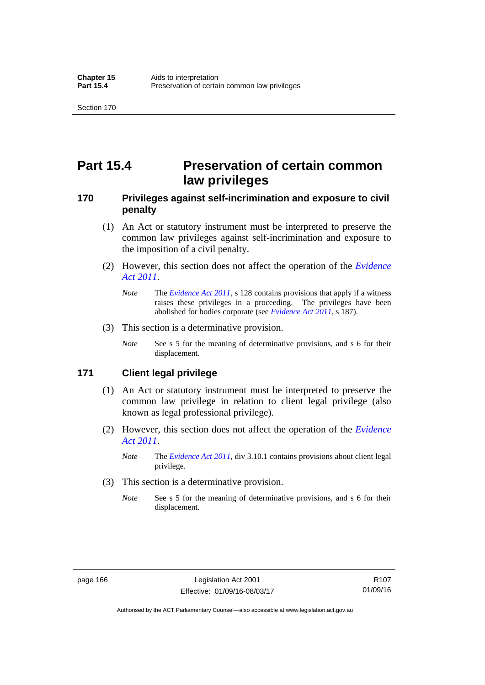# **Part 15.4 Preservation of certain common law privileges**

# **170 Privileges against self-incrimination and exposure to civil penalty**

- (1) An Act or statutory instrument must be interpreted to preserve the common law privileges against self-incrimination and exposure to the imposition of a civil penalty.
- (2) However, this section does not affect the operation of the *[Evidence](http://www.legislation.act.gov.au/a/2011-12)  [Act 2011](http://www.legislation.act.gov.au/a/2011-12)*.
	- *Note* The *[Evidence Act 2011](http://www.legislation.act.gov.au/a/2011-12)*, s 128 contains provisions that apply if a witness raises these privileges in a proceeding. The privileges have been abolished for bodies corporate (see *[Evidence Act 2011](http://www.legislation.act.gov.au/a/2011-12)*, s 187).
- (3) This section is a determinative provision.
	- *Note* See s 5 for the meaning of determinative provisions, and s 6 for their displacement.

# **171 Client legal privilege**

- (1) An Act or statutory instrument must be interpreted to preserve the common law privilege in relation to client legal privilege (also known as legal professional privilege).
- (2) However, this section does not affect the operation of the *[Evidence](http://www.legislation.act.gov.au/a/2011-12)  [Act 2011](http://www.legislation.act.gov.au/a/2011-12)*.
	- *Note* The *[Evidence Act 2011](http://www.legislation.act.gov.au/a/2011-12)*, div 3.10.1 contains provisions about client legal privilege.
- (3) This section is a determinative provision.
	- *Note* See s 5 for the meaning of determinative provisions, and s 6 for their displacement.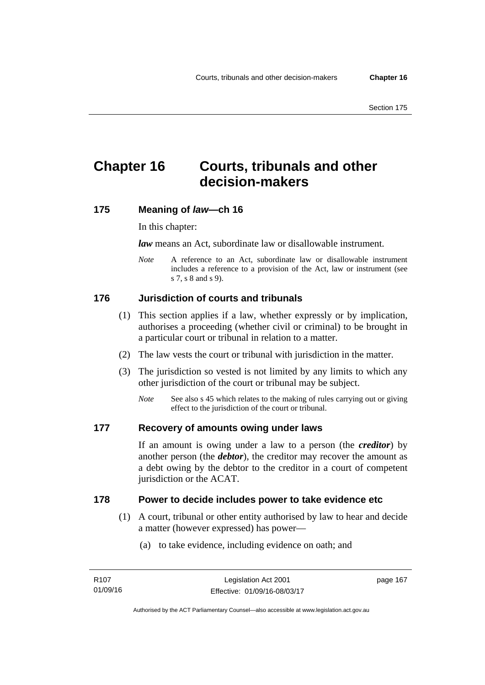# **Chapter 16 Courts, tribunals and other decision-makers**

# **175 Meaning of** *law***—ch 16**

In this chapter:

*law* means an Act, subordinate law or disallowable instrument.

*Note* A reference to an Act, subordinate law or disallowable instrument includes a reference to a provision of the Act, law or instrument (see s 7, s 8 and s 9).

# **176 Jurisdiction of courts and tribunals**

- (1) This section applies if a law, whether expressly or by implication, authorises a proceeding (whether civil or criminal) to be brought in a particular court or tribunal in relation to a matter.
- (2) The law vests the court or tribunal with jurisdiction in the matter.
- (3) The jurisdiction so vested is not limited by any limits to which any other jurisdiction of the court or tribunal may be subject.
	- *Note* See also s 45 which relates to the making of rules carrying out or giving effect to the jurisdiction of the court or tribunal.

# **177 Recovery of amounts owing under laws**

If an amount is owing under a law to a person (the *creditor*) by another person (the *debtor*), the creditor may recover the amount as a debt owing by the debtor to the creditor in a court of competent jurisdiction or the ACAT.

# **178 Power to decide includes power to take evidence etc**

- (1) A court, tribunal or other entity authorised by law to hear and decide a matter (however expressed) has power—
	- (a) to take evidence, including evidence on oath; and

page 167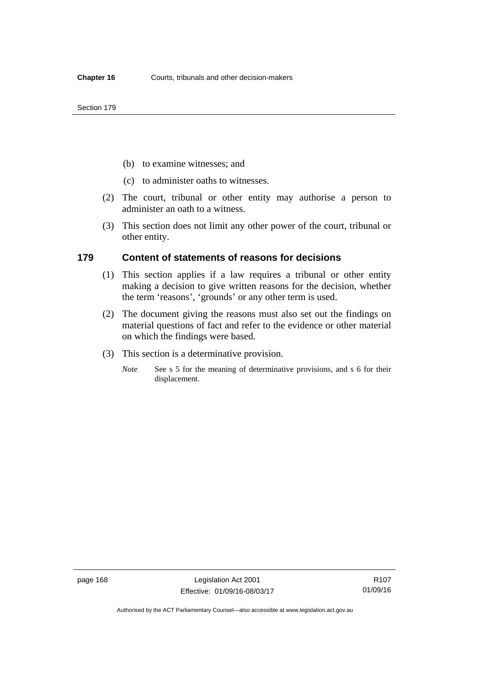- (b) to examine witnesses; and
- (c) to administer oaths to witnesses.
- (2) The court, tribunal or other entity may authorise a person to administer an oath to a witness.
- (3) This section does not limit any other power of the court, tribunal or other entity.

### **179 Content of statements of reasons for decisions**

- (1) This section applies if a law requires a tribunal or other entity making a decision to give written reasons for the decision, whether the term 'reasons', 'grounds' or any other term is used.
- (2) The document giving the reasons must also set out the findings on material questions of fact and refer to the evidence or other material on which the findings were based.
- (3) This section is a determinative provision.
	- *Note* See s 5 for the meaning of determinative provisions, and s 6 for their displacement.

R107 01/09/16

Authorised by the ACT Parliamentary Counsel—also accessible at www.legislation.act.gov.au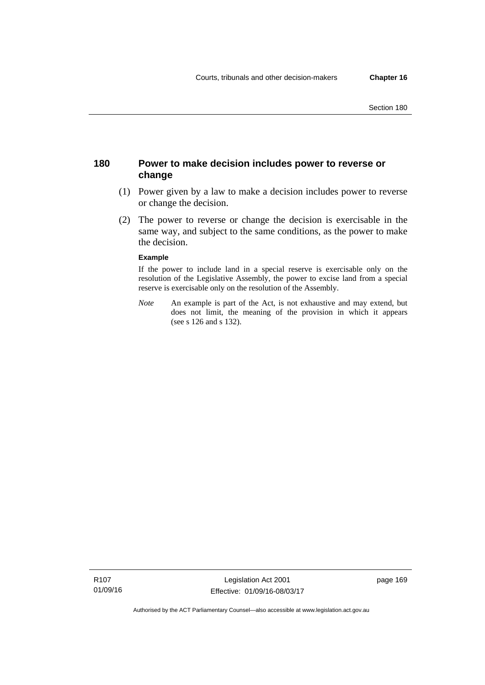# **180 Power to make decision includes power to reverse or change**

- (1) Power given by a law to make a decision includes power to reverse or change the decision.
- (2) The power to reverse or change the decision is exercisable in the same way, and subject to the same conditions, as the power to make the decision.

#### **Example**

If the power to include land in a special reserve is exercisable only on the resolution of the Legislative Assembly, the power to excise land from a special reserve is exercisable only on the resolution of the Assembly.

*Note* An example is part of the Act, is not exhaustive and may extend, but does not limit, the meaning of the provision in which it appears (see s 126 and s 132).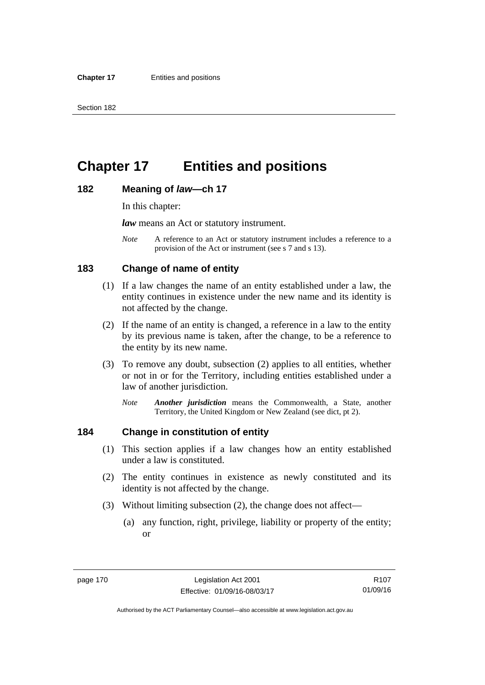# **Chapter 17 Entities and positions**

### **182 Meaning of** *law***—ch 17**

In this chapter:

*law* means an Act or statutory instrument.

*Note* A reference to an Act or statutory instrument includes a reference to a provision of the Act or instrument (see s 7 and s 13).

# **183 Change of name of entity**

- (1) If a law changes the name of an entity established under a law, the entity continues in existence under the new name and its identity is not affected by the change.
- (2) If the name of an entity is changed, a reference in a law to the entity by its previous name is taken, after the change, to be a reference to the entity by its new name.
- (3) To remove any doubt, subsection (2) applies to all entities, whether or not in or for the Territory, including entities established under a law of another jurisdiction.
	- *Note Another jurisdiction* means the Commonwealth, a State, another Territory, the United Kingdom or New Zealand (see dict, pt 2).

# **184 Change in constitution of entity**

- (1) This section applies if a law changes how an entity established under a law is constituted.
- (2) The entity continues in existence as newly constituted and its identity is not affected by the change.
- (3) Without limiting subsection (2), the change does not affect—
	- (a) any function, right, privilege, liability or property of the entity; or

R107 01/09/16

Authorised by the ACT Parliamentary Counsel—also accessible at www.legislation.act.gov.au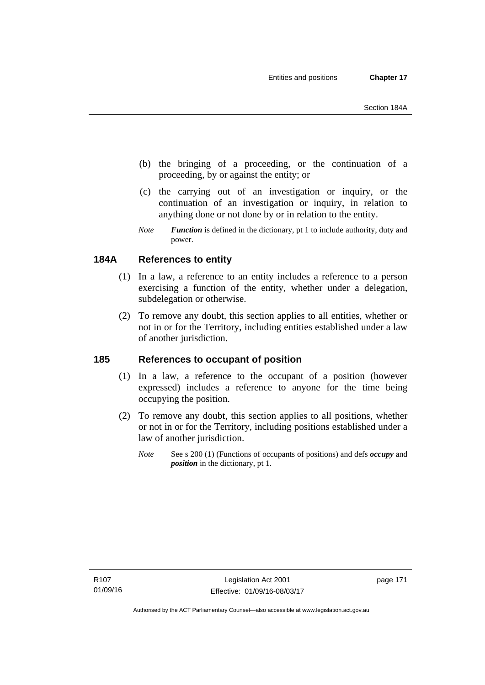- (b) the bringing of a proceeding, or the continuation of a proceeding, by or against the entity; or
- (c) the carrying out of an investigation or inquiry, or the continuation of an investigation or inquiry, in relation to anything done or not done by or in relation to the entity.
- *Note Function* is defined in the dictionary, pt 1 to include authority, duty and power.

# **184A References to entity**

- (1) In a law, a reference to an entity includes a reference to a person exercising a function of the entity, whether under a delegation, subdelegation or otherwise.
- (2) To remove any doubt, this section applies to all entities, whether or not in or for the Territory, including entities established under a law of another jurisdiction.

# **185 References to occupant of position**

- (1) In a law, a reference to the occupant of a position (however expressed) includes a reference to anyone for the time being occupying the position.
- (2) To remove any doubt, this section applies to all positions, whether or not in or for the Territory, including positions established under a law of another jurisdiction.
	- *Note* See s 200 (1) (Functions of occupants of positions) and defs *occupy* and *position* in the dictionary, pt 1.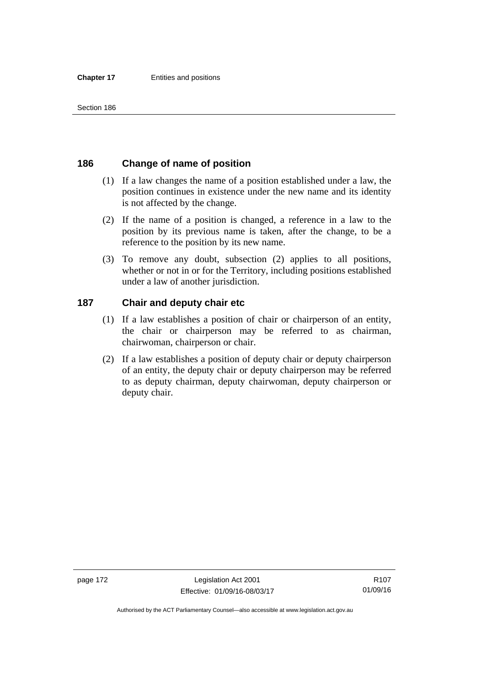# **186 Change of name of position**

- (1) If a law changes the name of a position established under a law, the position continues in existence under the new name and its identity is not affected by the change.
- (2) If the name of a position is changed, a reference in a law to the position by its previous name is taken, after the change, to be a reference to the position by its new name.
- (3) To remove any doubt, subsection (2) applies to all positions, whether or not in or for the Territory, including positions established under a law of another jurisdiction.

# **187 Chair and deputy chair etc**

- (1) If a law establishes a position of chair or chairperson of an entity, the chair or chairperson may be referred to as chairman, chairwoman, chairperson or chair.
- (2) If a law establishes a position of deputy chair or deputy chairperson of an entity, the deputy chair or deputy chairperson may be referred to as deputy chairman, deputy chairwoman, deputy chairperson or deputy chair.

page 172 Legislation Act 2001 Effective: 01/09/16-08/03/17

R107 01/09/16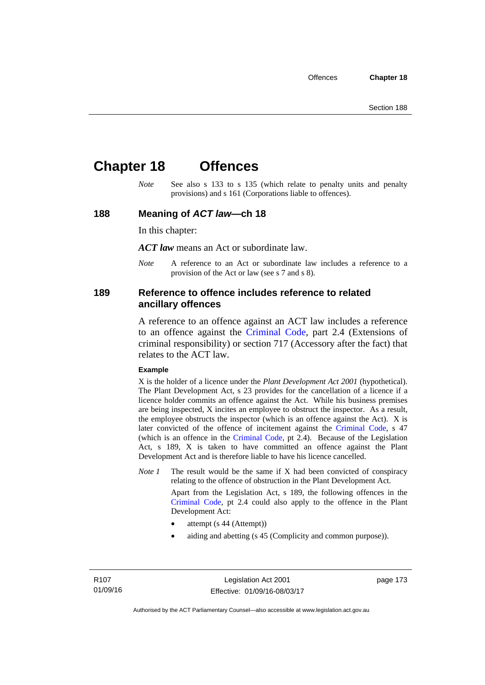# **Chapter 18 Offences**

*Note* See also s 133 to s 135 (which relate to penalty units and penalty provisions) and s 161 (Corporations liable to offences).

## **188 Meaning of** *ACT law***—ch 18**

In this chapter:

*ACT law* means an Act or subordinate law.

*Note* A reference to an Act or subordinate law includes a reference to a provision of the Act or law (see s 7 and s 8).

# **189 Reference to offence includes reference to related ancillary offences**

A reference to an offence against an ACT law includes a reference to an offence against the [Criminal Code,](http://www.legislation.act.gov.au/a/2002-51) part 2.4 (Extensions of criminal responsibility) or section 717 (Accessory after the fact) that relates to the ACT law.

#### **Example**

X is the holder of a licence under the *Plant Development Act 2001* (hypothetical). The Plant Development Act, s 23 provides for the cancellation of a licence if a licence holder commits an offence against the Act. While his business premises are being inspected, X incites an employee to obstruct the inspector. As a result, the employee obstructs the inspector (which is an offence against the Act). X is later convicted of the offence of incitement against the [Criminal Code](http://www.legislation.act.gov.au/a/2002-51), s 47 (which is an offence in the [Criminal Code,](http://www.legislation.act.gov.au/a/2002-51) pt 2.4). Because of the Legislation Act, s 189, X is taken to have committed an offence against the Plant Development Act and is therefore liable to have his licence cancelled.

*Note 1* The result would be the same if X had been convicted of conspiracy relating to the offence of obstruction in the Plant Development Act.

> Apart from the Legislation Act, s 189, the following offences in the [Criminal Code,](http://www.legislation.act.gov.au/a/2002-51) pt 2.4 could also apply to the offence in the Plant Development Act:

- attempt (s 44 (Attempt))
- aiding and abetting (s 45 (Complicity and common purpose)).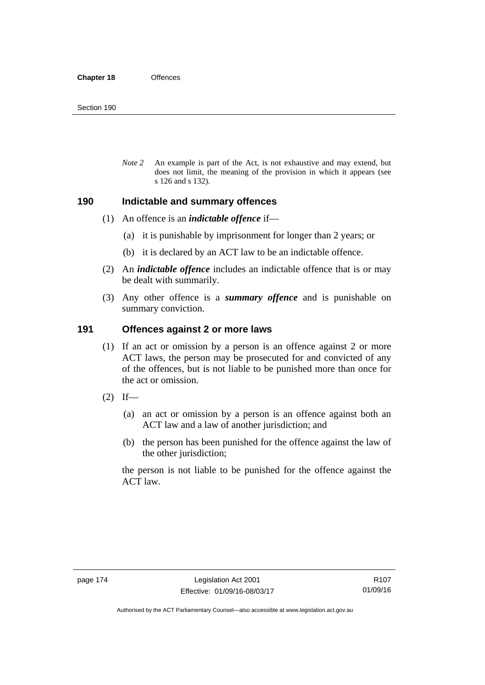*Note 2* An example is part of the Act, is not exhaustive and may extend, but does not limit, the meaning of the provision in which it appears (see s 126 and s 132).

### **190 Indictable and summary offences**

- (1) An offence is an *indictable offence* if—
	- (a) it is punishable by imprisonment for longer than 2 years; or
	- (b) it is declared by an ACT law to be an indictable offence.
- (2) An *indictable offence* includes an indictable offence that is or may be dealt with summarily.
- (3) Any other offence is a *summary offence* and is punishable on summary conviction.

## **191 Offences against 2 or more laws**

- (1) If an act or omission by a person is an offence against 2 or more ACT laws, the person may be prosecuted for and convicted of any of the offences, but is not liable to be punished more than once for the act or omission.
- $(2)$  If—
	- (a) an act or omission by a person is an offence against both an ACT law and a law of another jurisdiction; and
	- (b) the person has been punished for the offence against the law of the other jurisdiction;

the person is not liable to be punished for the offence against the ACT law.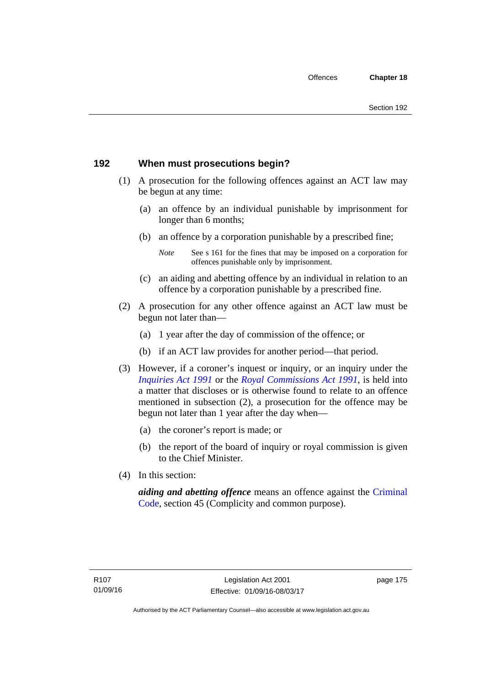# **192 When must prosecutions begin?**

- (1) A prosecution for the following offences against an ACT law may be begun at any time:
	- (a) an offence by an individual punishable by imprisonment for longer than 6 months;
	- (b) an offence by a corporation punishable by a prescribed fine;
		- *Note* See s 161 for the fines that may be imposed on a corporation for offences punishable only by imprisonment.
	- (c) an aiding and abetting offence by an individual in relation to an offence by a corporation punishable by a prescribed fine.
- (2) A prosecution for any other offence against an ACT law must be begun not later than—
	- (a) 1 year after the day of commission of the offence; or
	- (b) if an ACT law provides for another period—that period.
- (3) However, if a coroner's inquest or inquiry, or an inquiry under the *[Inquiries Act 1991](http://www.legislation.act.gov.au/a/1991-2)* or the *[Royal Commissions Act 1991](http://www.legislation.act.gov.au/a/1991-1)*, is held into a matter that discloses or is otherwise found to relate to an offence mentioned in subsection (2), a prosecution for the offence may be begun not later than 1 year after the day when—
	- (a) the coroner's report is made; or
	- (b) the report of the board of inquiry or royal commission is given to the Chief Minister.
- (4) In this section:

*aiding and abetting offence* means an offence against the [Criminal](http://www.legislation.act.gov.au/a/2002-51)  [Code](http://www.legislation.act.gov.au/a/2002-51), section 45 (Complicity and common purpose).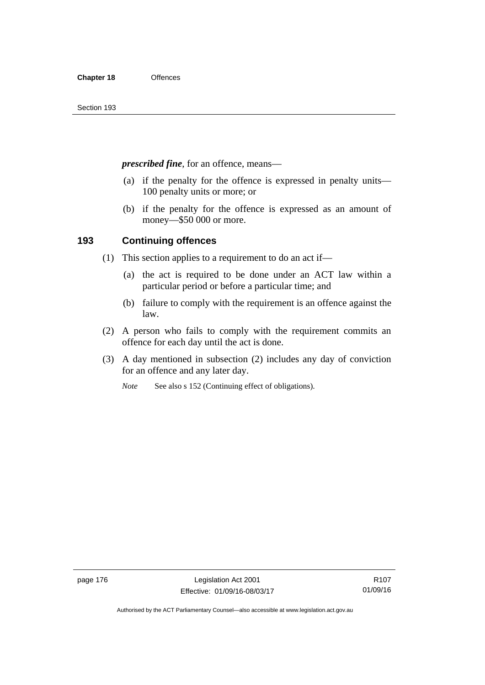*prescribed fine*, for an offence, means—

- (a) if the penalty for the offence is expressed in penalty units— 100 penalty units or more; or
- (b) if the penalty for the offence is expressed as an amount of money—\$50 000 or more.

# **193 Continuing offences**

- (1) This section applies to a requirement to do an act if—
	- (a) the act is required to be done under an ACT law within a particular period or before a particular time; and
	- (b) failure to comply with the requirement is an offence against the law.
- (2) A person who fails to comply with the requirement commits an offence for each day until the act is done.
- (3) A day mentioned in subsection (2) includes any day of conviction for an offence and any later day.

*Note* See also s 152 (Continuing effect of obligations).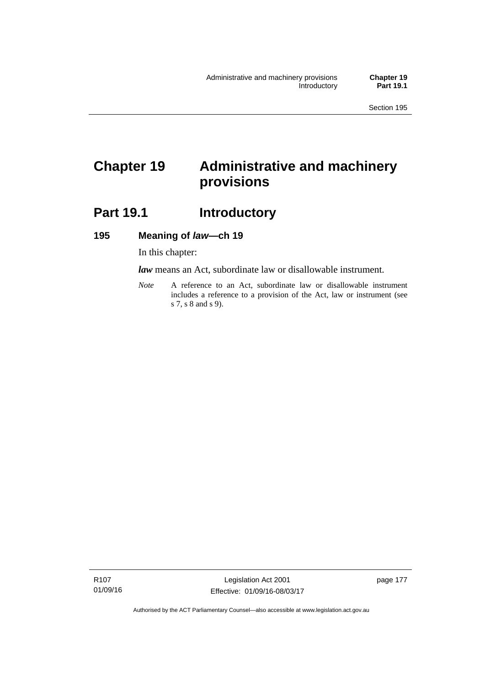# **Chapter 19 Administrative and machinery provisions**

# Part 19.1 **Introductory**

# **195 Meaning of** *law***—ch 19**

In this chapter:

*law* means an Act, subordinate law or disallowable instrument.

*Note* A reference to an Act, subordinate law or disallowable instrument includes a reference to a provision of the Act, law or instrument (see s 7, s 8 and s 9).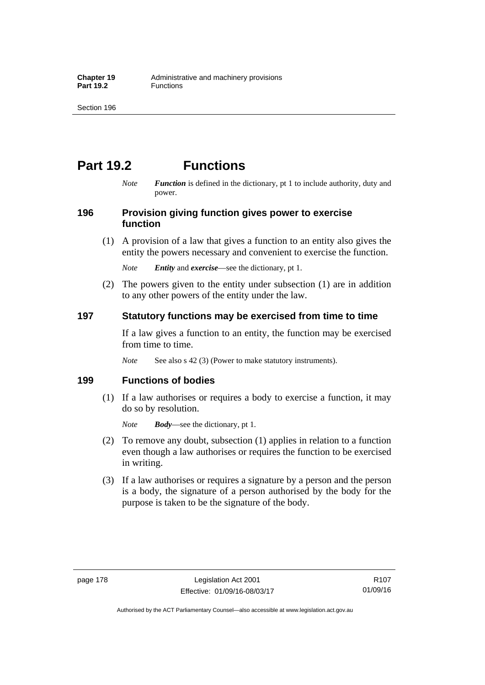# **Part 19.2 Functions**

*Note Function* is defined in the dictionary, pt 1 to include authority, duty and power.

# **196 Provision giving function gives power to exercise function**

 (1) A provision of a law that gives a function to an entity also gives the entity the powers necessary and convenient to exercise the function.

*Note Entity* and *exercise*—see the dictionary, pt 1.

 (2) The powers given to the entity under subsection (1) are in addition to any other powers of the entity under the law.

# **197 Statutory functions may be exercised from time to time**

If a law gives a function to an entity, the function may be exercised from time to time.

*Note* See also s 42 (3) (Power to make statutory instruments).

# **199 Functions of bodies**

 (1) If a law authorises or requires a body to exercise a function, it may do so by resolution.

*Note Body*—see the dictionary, pt 1.

- (2) To remove any doubt, subsection (1) applies in relation to a function even though a law authorises or requires the function to be exercised in writing.
- (3) If a law authorises or requires a signature by a person and the person is a body, the signature of a person authorised by the body for the purpose is taken to be the signature of the body.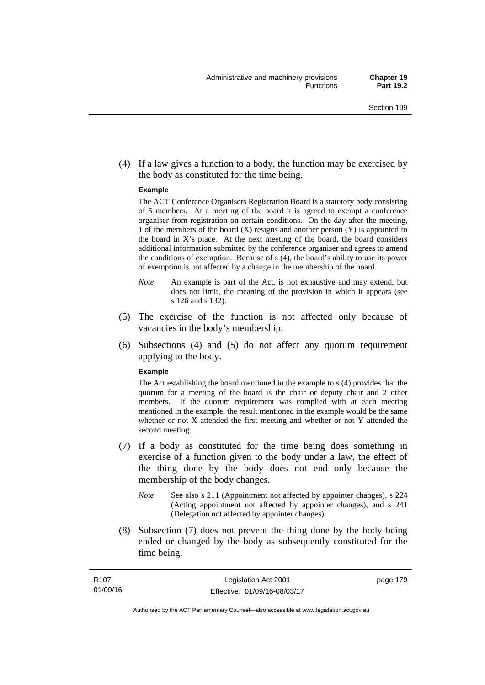(4) If a law gives a function to a body, the function may be exercised by the body as constituted for the time being.

#### **Example**

The ACT Conference Organisers Registration Board is a statutory body consisting of 5 members. At a meeting of the board it is agreed to exempt a conference organiser from registration on certain conditions. On the day after the meeting, 1 of the members of the board (X) resigns and another person (Y) is appointed to the board in  $X$ 's place. At the next meeting of the board, the board considers additional information submitted by the conference organiser and agrees to amend the conditions of exemption. Because of s (4), the board's ability to use its power of exemption is not affected by a change in the membership of the board.

- *Note* An example is part of the Act, is not exhaustive and may extend, but does not limit, the meaning of the provision in which it appears (see s 126 and s 132).
- (5) The exercise of the function is not affected only because of vacancies in the body's membership.
- (6) Subsections (4) and (5) do not affect any quorum requirement applying to the body.

#### **Example**

The Act establishing the board mentioned in the example to s (4) provides that the quorum for a meeting of the board is the chair or deputy chair and 2 other members. If the quorum requirement was complied with at each meeting mentioned in the example, the result mentioned in the example would be the same whether or not X attended the first meeting and whether or not Y attended the second meeting.

- (7) If a body as constituted for the time being does something in exercise of a function given to the body under a law, the effect of the thing done by the body does not end only because the membership of the body changes.
	- *Note* See also s 211 (Appointment not affected by appointer changes), s 224 (Acting appointment not affected by appointer changes), and s 241 (Delegation not affected by appointer changes).
- (8) Subsection (7) does not prevent the thing done by the body being ended or changed by the body as subsequently constituted for the time being.

page 179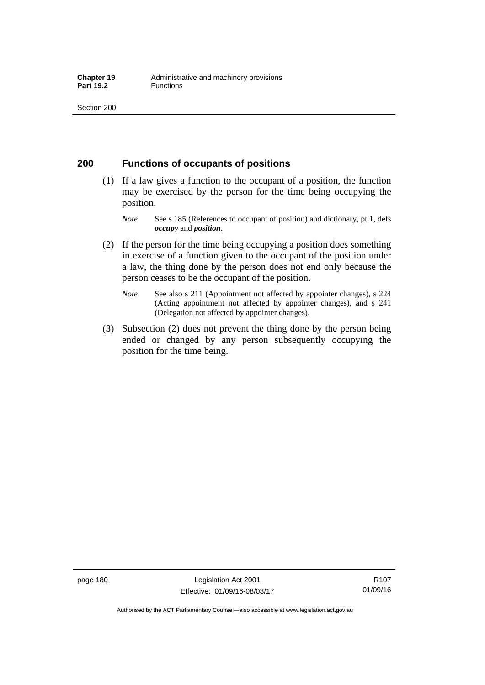# **200 Functions of occupants of positions**

- (1) If a law gives a function to the occupant of a position, the function may be exercised by the person for the time being occupying the position.
	- *Note* See s 185 (References to occupant of position) and dictionary, pt 1, defs *occupy* and *position*.
- (2) If the person for the time being occupying a position does something in exercise of a function given to the occupant of the position under a law, the thing done by the person does not end only because the person ceases to be the occupant of the position.
	- *Note* See also s 211 (Appointment not affected by appointer changes), s 224 (Acting appointment not affected by appointer changes), and s 241 (Delegation not affected by appointer changes).
- (3) Subsection (2) does not prevent the thing done by the person being ended or changed by any person subsequently occupying the position for the time being.

R107 01/09/16

Authorised by the ACT Parliamentary Counsel—also accessible at www.legislation.act.gov.au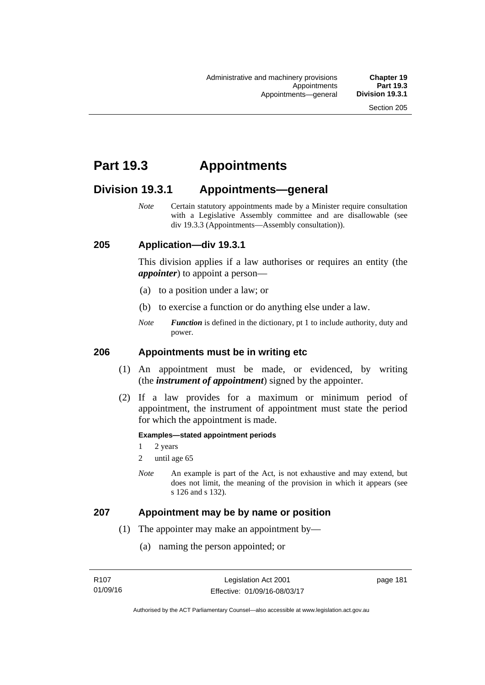# **Part 19.3 Appointments**

# **Division 19.3.1 Appointments—general**

*Note* Certain statutory appointments made by a Minister require consultation with a Legislative Assembly committee and are disallowable (see div 19.3.3 (Appointments—Assembly consultation)).

# **205 Application—div 19.3.1**

This division applies if a law authorises or requires an entity (the *appointer*) to appoint a person—

- (a) to a position under a law; or
- (b) to exercise a function or do anything else under a law.
- *Note Function* is defined in the dictionary, pt 1 to include authority, duty and power.

# **206 Appointments must be in writing etc**

- (1) An appointment must be made, or evidenced, by writing (the *instrument of appointment*) signed by the appointer.
- (2) If a law provides for a maximum or minimum period of appointment, the instrument of appointment must state the period for which the appointment is made.

#### **Examples—stated appointment periods**

- 1 2 years
- 2 until age 65
- *Note* An example is part of the Act, is not exhaustive and may extend, but does not limit, the meaning of the provision in which it appears (see s 126 and s 132).

### **207 Appointment may be by name or position**

- (1) The appointer may make an appointment by—
	- (a) naming the person appointed; or

page 181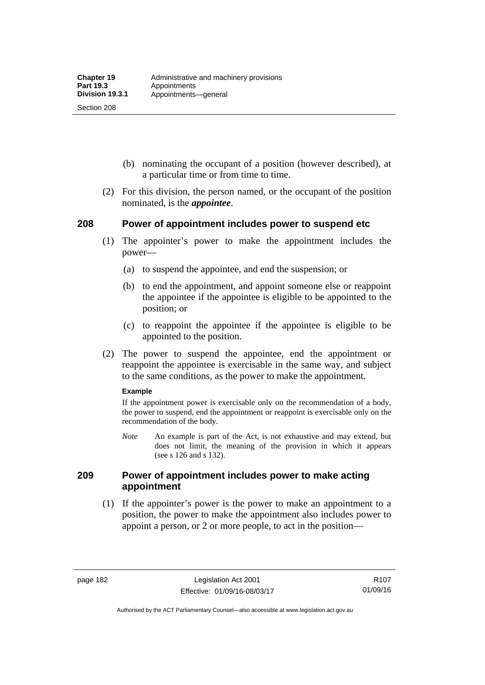Section 208

- (b) nominating the occupant of a position (however described), at a particular time or from time to time.
- (2) For this division, the person named, or the occupant of the position nominated, is the *appointee*.

# **208 Power of appointment includes power to suspend etc**

- (1) The appointer's power to make the appointment includes the power—
	- (a) to suspend the appointee, and end the suspension; or
	- (b) to end the appointment, and appoint someone else or reappoint the appointee if the appointee is eligible to be appointed to the position; or
	- (c) to reappoint the appointee if the appointee is eligible to be appointed to the position.
- (2) The power to suspend the appointee, end the appointment or reappoint the appointee is exercisable in the same way, and subject to the same conditions, as the power to make the appointment.

#### **Example**

If the appointment power is exercisable only on the recommendation of a body, the power to suspend, end the appointment or reappoint is exercisable only on the recommendation of the body.

*Note* An example is part of the Act, is not exhaustive and may extend, but does not limit, the meaning of the provision in which it appears (see s 126 and s 132).

# **209 Power of appointment includes power to make acting appointment**

 (1) If the appointer's power is the power to make an appointment to a position, the power to make the appointment also includes power to appoint a person, or 2 or more people, to act in the position—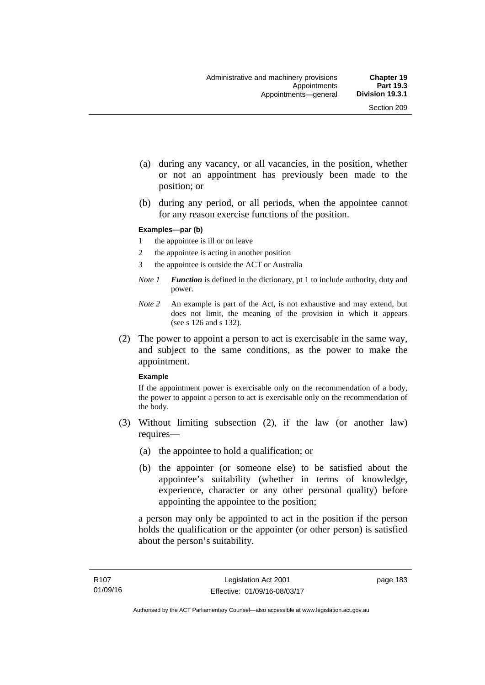- (a) during any vacancy, or all vacancies, in the position, whether or not an appointment has previously been made to the position; or
- (b) during any period, or all periods, when the appointee cannot for any reason exercise functions of the position.

#### **Examples—par (b)**

- 1 the appointee is ill or on leave
- 2 the appointee is acting in another position
- 3 the appointee is outside the ACT or Australia
- *Note 1 Function* is defined in the dictionary, pt 1 to include authority, duty and power.
- *Note 2* An example is part of the Act, is not exhaustive and may extend, but does not limit, the meaning of the provision in which it appears (see s 126 and s 132).
- (2) The power to appoint a person to act is exercisable in the same way, and subject to the same conditions, as the power to make the appointment.

#### **Example**

If the appointment power is exercisable only on the recommendation of a body, the power to appoint a person to act is exercisable only on the recommendation of the body.

- (3) Without limiting subsection (2), if the law (or another law) requires—
	- (a) the appointee to hold a qualification; or
	- (b) the appointer (or someone else) to be satisfied about the appointee's suitability (whether in terms of knowledge, experience, character or any other personal quality) before appointing the appointee to the position;

a person may only be appointed to act in the position if the person holds the qualification or the appointer (or other person) is satisfied about the person's suitability.

page 183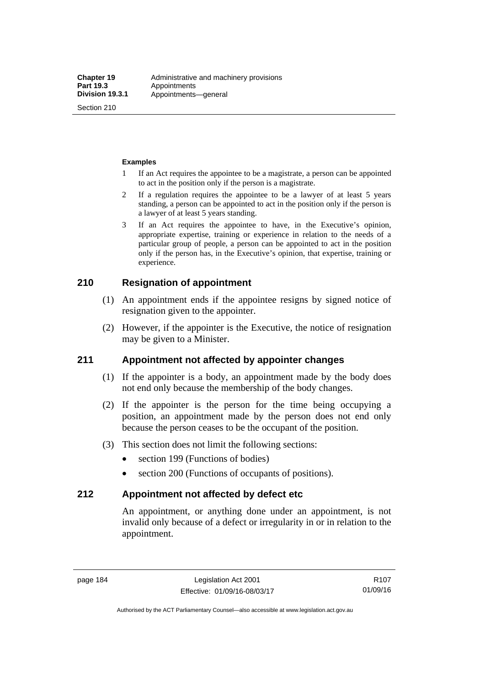Section 210

#### **Examples**

- 1 If an Act requires the appointee to be a magistrate, a person can be appointed to act in the position only if the person is a magistrate.
- 2 If a regulation requires the appointee to be a lawyer of at least 5 years standing, a person can be appointed to act in the position only if the person is a lawyer of at least 5 years standing.
- 3 If an Act requires the appointee to have, in the Executive's opinion, appropriate expertise, training or experience in relation to the needs of a particular group of people, a person can be appointed to act in the position only if the person has, in the Executive's opinion, that expertise, training or experience.

# **210 Resignation of appointment**

- (1) An appointment ends if the appointee resigns by signed notice of resignation given to the appointer.
- (2) However, if the appointer is the Executive, the notice of resignation may be given to a Minister.

# **211 Appointment not affected by appointer changes**

- (1) If the appointer is a body, an appointment made by the body does not end only because the membership of the body changes.
- (2) If the appointer is the person for the time being occupying a position, an appointment made by the person does not end only because the person ceases to be the occupant of the position.
- (3) This section does not limit the following sections:
	- section 199 (Functions of bodies)
	- section 200 (Functions of occupants of positions).

### **212 Appointment not affected by defect etc**

An appointment, or anything done under an appointment, is not invalid only because of a defect or irregularity in or in relation to the appointment.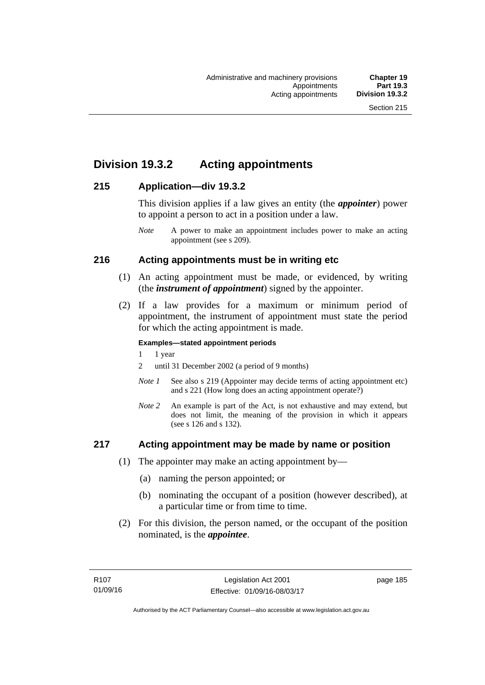# **Division 19.3.2 Acting appointments**

# **215 Application—div 19.3.2**

This division applies if a law gives an entity (the *appointer*) power to appoint a person to act in a position under a law.

# **216 Acting appointments must be in writing etc**

- (1) An acting appointment must be made, or evidenced, by writing (the *instrument of appointment*) signed by the appointer.
- (2) If a law provides for a maximum or minimum period of appointment, the instrument of appointment must state the period for which the acting appointment is made.

### **Examples—stated appointment periods**

- 1 1 year
- 2 until 31 December 2002 (a period of 9 months)
- *Note 1* See also s 219 (Appointer may decide terms of acting appointment etc) and s 221 (How long does an acting appointment operate?)
- *Note 2* An example is part of the Act, is not exhaustive and may extend, but does not limit, the meaning of the provision in which it appears (see s 126 and s 132).

# **217 Acting appointment may be made by name or position**

- (1) The appointer may make an acting appointment by—
	- (a) naming the person appointed; or
	- (b) nominating the occupant of a position (however described), at a particular time or from time to time.
- (2) For this division, the person named, or the occupant of the position nominated, is the *appointee*.

*Note* A power to make an appointment includes power to make an acting appointment (see s 209).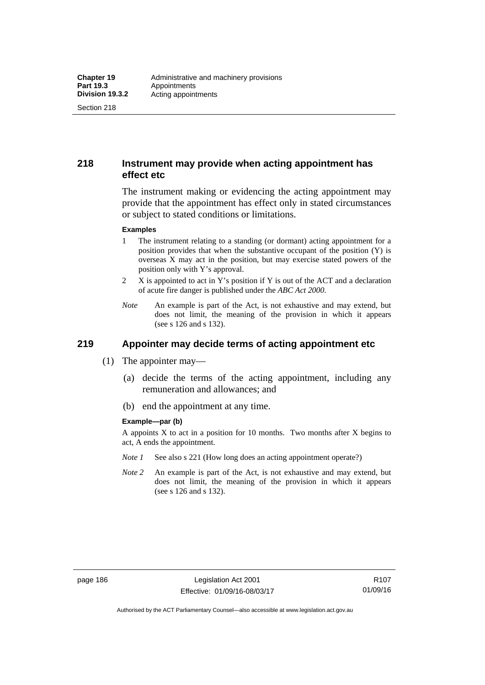Section 218

# **218 Instrument may provide when acting appointment has effect etc**

The instrument making or evidencing the acting appointment may provide that the appointment has effect only in stated circumstances or subject to stated conditions or limitations.

#### **Examples**

- 1 The instrument relating to a standing (or dormant) acting appointment for a position provides that when the substantive occupant of the position (Y) is overseas X may act in the position, but may exercise stated powers of the position only with Y's approval.
- 2 X is appointed to act in Y's position if Y is out of the ACT and a declaration of acute fire danger is published under the *ABC Act 2000*.
- *Note* An example is part of the Act, is not exhaustive and may extend, but does not limit, the meaning of the provision in which it appears (see s 126 and s 132).

# **219 Appointer may decide terms of acting appointment etc**

- (1) The appointer may—
	- (a) decide the terms of the acting appointment, including any remuneration and allowances; and
	- (b) end the appointment at any time.

#### **Example—par (b)**

A appoints  $X$  to act in a position for 10 months. Two months after  $X$  begins to act, A ends the appointment.

- *Note 1* See also s 221 (How long does an acting appointment operate?)
- *Note 2* An example is part of the Act, is not exhaustive and may extend, but does not limit, the meaning of the provision in which it appears (see s 126 and s 132).

R107 01/09/16

Authorised by the ACT Parliamentary Counsel—also accessible at www.legislation.act.gov.au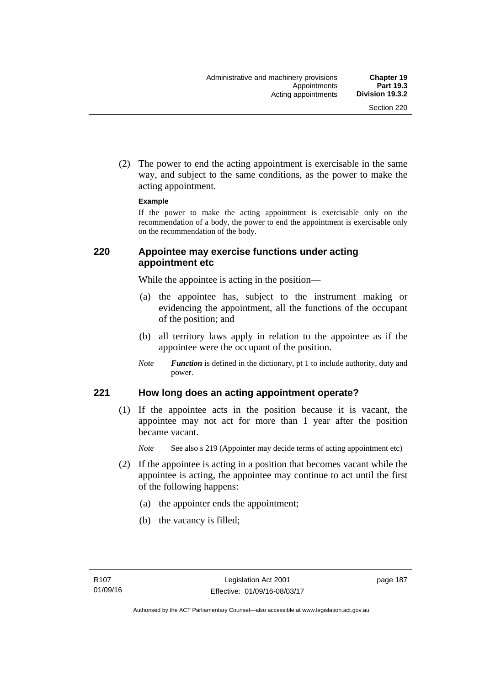(2) The power to end the acting appointment is exercisable in the same way, and subject to the same conditions, as the power to make the acting appointment.

#### **Example**

If the power to make the acting appointment is exercisable only on the recommendation of a body, the power to end the appointment is exercisable only on the recommendation of the body.

# **220 Appointee may exercise functions under acting appointment etc**

While the appointee is acting in the position—

- (a) the appointee has, subject to the instrument making or evidencing the appointment, all the functions of the occupant of the position; and
- (b) all territory laws apply in relation to the appointee as if the appointee were the occupant of the position.
- *Note Function* is defined in the dictionary, pt 1 to include authority, duty and power.

# **221 How long does an acting appointment operate?**

 (1) If the appointee acts in the position because it is vacant, the appointee may not act for more than 1 year after the position became vacant.

*Note* See also s 219 (Appointer may decide terms of acting appointment etc)

- (2) If the appointee is acting in a position that becomes vacant while the appointee is acting, the appointee may continue to act until the first of the following happens:
	- (a) the appointer ends the appointment;
	- (b) the vacancy is filled;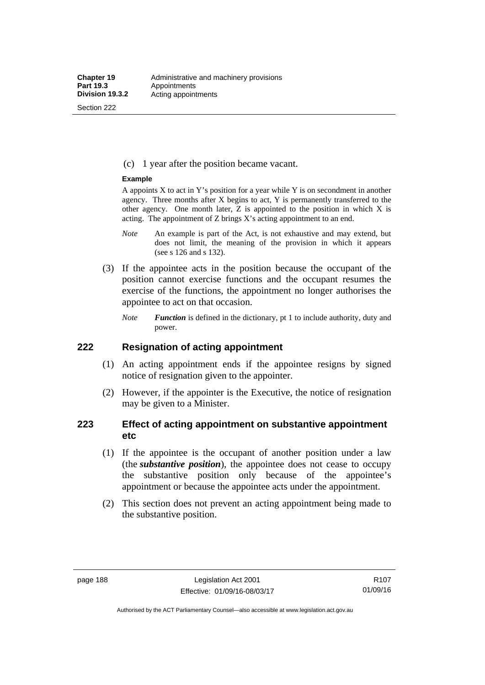Section 222

(c) 1 year after the position became vacant.

#### **Example**

A appoints  $X$  to act in Y's position for a year while Y is on secondment in another agency. Three months after X begins to act, Y is permanently transferred to the other agency. One month later,  $Z$  is appointed to the position in which  $X$  is acting. The appointment of Z brings X's acting appointment to an end.

- *Note* An example is part of the Act, is not exhaustive and may extend, but does not limit, the meaning of the provision in which it appears (see s 126 and s 132).
- (3) If the appointee acts in the position because the occupant of the position cannot exercise functions and the occupant resumes the exercise of the functions, the appointment no longer authorises the appointee to act on that occasion.
	- *Note Function* is defined in the dictionary, pt 1 to include authority, duty and power.

# **222 Resignation of acting appointment**

- (1) An acting appointment ends if the appointee resigns by signed notice of resignation given to the appointer.
- (2) However, if the appointer is the Executive, the notice of resignation may be given to a Minister.

# **223 Effect of acting appointment on substantive appointment etc**

- (1) If the appointee is the occupant of another position under a law (the *substantive position*), the appointee does not cease to occupy the substantive position only because of the appointee's appointment or because the appointee acts under the appointment.
- (2) This section does not prevent an acting appointment being made to the substantive position.

Authorised by the ACT Parliamentary Counsel—also accessible at www.legislation.act.gov.au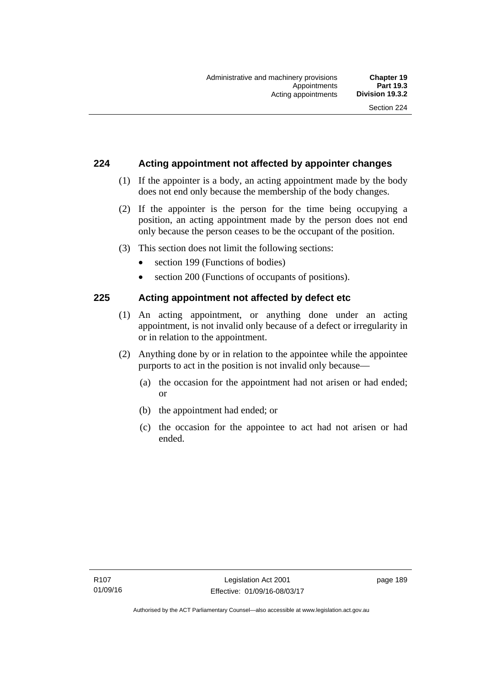# **224 Acting appointment not affected by appointer changes**

- (1) If the appointer is a body, an acting appointment made by the body does not end only because the membership of the body changes.
- (2) If the appointer is the person for the time being occupying a position, an acting appointment made by the person does not end only because the person ceases to be the occupant of the position.
- (3) This section does not limit the following sections:
	- section 199 (Functions of bodies)
	- section 200 (Functions of occupants of positions).

# **225 Acting appointment not affected by defect etc**

- (1) An acting appointment, or anything done under an acting appointment, is not invalid only because of a defect or irregularity in or in relation to the appointment.
- (2) Anything done by or in relation to the appointee while the appointee purports to act in the position is not invalid only because—
	- (a) the occasion for the appointment had not arisen or had ended; or
	- (b) the appointment had ended; or
	- (c) the occasion for the appointee to act had not arisen or had ended.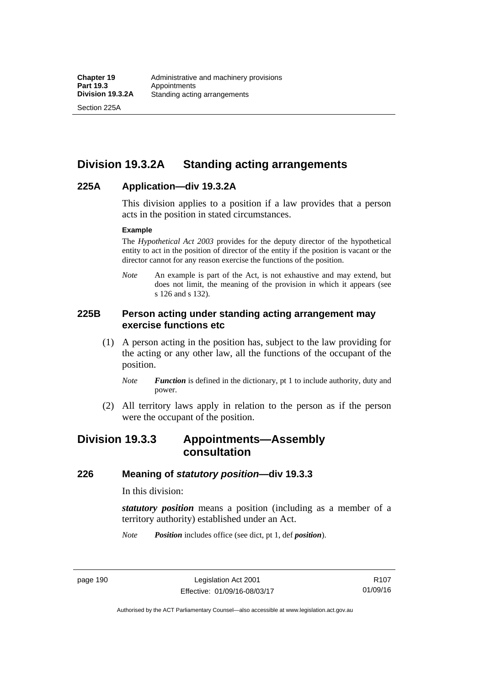Section 225A

# **Division 19.3.2A Standing acting arrangements**

# **225A Application—div 19.3.2A**

This division applies to a position if a law provides that a person acts in the position in stated circumstances.

#### **Example**

The *Hypothetical Act 2003* provides for the deputy director of the hypothetical entity to act in the position of director of the entity if the position is vacant or the director cannot for any reason exercise the functions of the position.

*Note* An example is part of the Act, is not exhaustive and may extend, but does not limit, the meaning of the provision in which it appears (see s 126 and s 132).

# **225B Person acting under standing acting arrangement may exercise functions etc**

- (1) A person acting in the position has, subject to the law providing for the acting or any other law, all the functions of the occupant of the position.
	- *Note Function* is defined in the dictionary, pt 1 to include authority, duty and power.
- (2) All territory laws apply in relation to the person as if the person were the occupant of the position.

# **Division 19.3.3 Appointments—Assembly consultation**

# **226 Meaning of** *statutory position***—div 19.3.3**

In this division:

*statutory position* means a position (including as a member of a territory authority) established under an Act.

*Note Position* includes office (see dict, pt 1, def *position*).

page 190 Legislation Act 2001 Effective: 01/09/16-08/03/17

Authorised by the ACT Parliamentary Counsel—also accessible at www.legislation.act.gov.au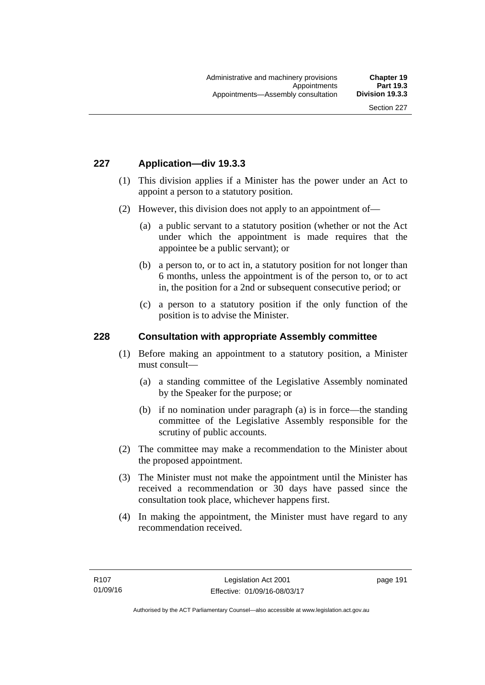# **227 Application—div 19.3.3**

- (1) This division applies if a Minister has the power under an Act to appoint a person to a statutory position.
- (2) However, this division does not apply to an appointment of—
	- (a) a public servant to a statutory position (whether or not the Act under which the appointment is made requires that the appointee be a public servant); or
	- (b) a person to, or to act in, a statutory position for not longer than 6 months, unless the appointment is of the person to, or to act in, the position for a 2nd or subsequent consecutive period; or
	- (c) a person to a statutory position if the only function of the position is to advise the Minister.

## **228 Consultation with appropriate Assembly committee**

- (1) Before making an appointment to a statutory position, a Minister must consult—
	- (a) a standing committee of the Legislative Assembly nominated by the Speaker for the purpose; or
	- (b) if no nomination under paragraph (a) is in force—the standing committee of the Legislative Assembly responsible for the scrutiny of public accounts.
- (2) The committee may make a recommendation to the Minister about the proposed appointment.
- (3) The Minister must not make the appointment until the Minister has received a recommendation or 30 days have passed since the consultation took place, whichever happens first.
- (4) In making the appointment, the Minister must have regard to any recommendation received.

page 191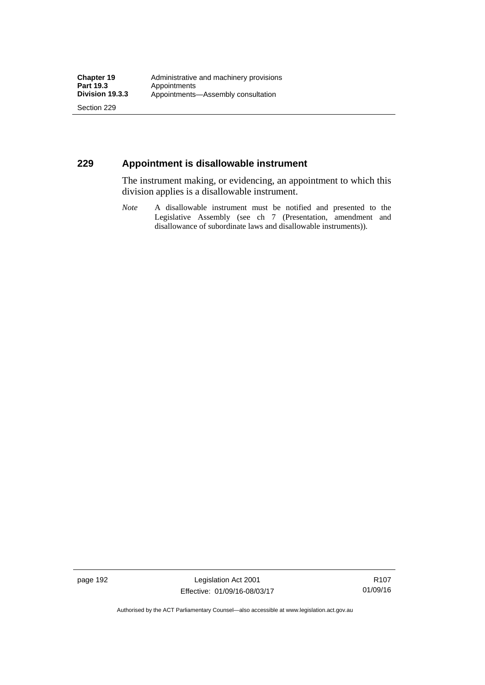Section 229

# **229 Appointment is disallowable instrument**

The instrument making, or evidencing, an appointment to which this division applies is a disallowable instrument.

*Note* A disallowable instrument must be notified and presented to the Legislative Assembly (see ch 7 (Presentation, amendment and disallowance of subordinate laws and disallowable instruments)).

page 192 Legislation Act 2001 Effective: 01/09/16-08/03/17

R107 01/09/16

Authorised by the ACT Parliamentary Counsel—also accessible at www.legislation.act.gov.au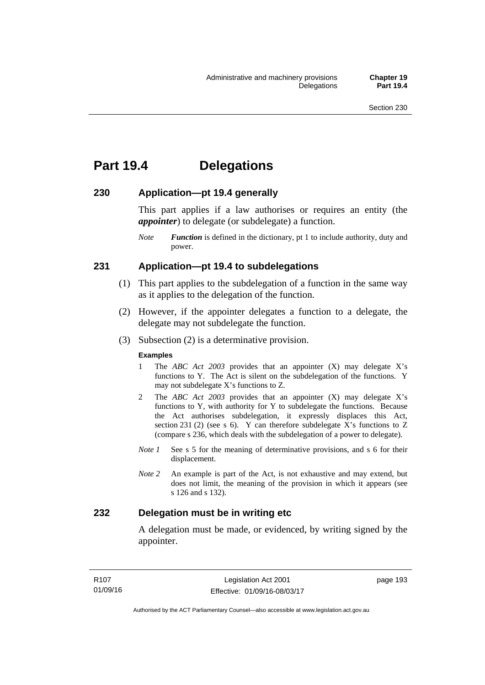# **Part 19.4 Delegations**

# **230 Application—pt 19.4 generally**

This part applies if a law authorises or requires an entity (the *appointer*) to delegate (or subdelegate) a function.

*Note Function* is defined in the dictionary, pt 1 to include authority, duty and power.

# **231 Application—pt 19.4 to subdelegations**

- (1) This part applies to the subdelegation of a function in the same way as it applies to the delegation of the function.
- (2) However, if the appointer delegates a function to a delegate, the delegate may not subdelegate the function.
- (3) Subsection (2) is a determinative provision.

#### **Examples**

- 1 The *ABC Act 2003* provides that an appointer (X) may delegate X's functions to Y. The Act is silent on the subdelegation of the functions. Y may not subdelegate X's functions to Z.
- 2 The *ABC Act 2003* provides that an appointer (X) may delegate X's functions to Y, with authority for Y to subdelegate the functions. Because the Act authorises subdelegation, it expressly displaces this Act, section 231 (2) (see s 6). Y can therefore subdelegate  $\overline{X}$ 's functions to Z (compare s 236, which deals with the subdelegation of a power to delegate)*.*
- *Note 1* See s 5 for the meaning of determinative provisions, and s 6 for their displacement.
- *Note 2* An example is part of the Act, is not exhaustive and may extend, but does not limit, the meaning of the provision in which it appears (see s 126 and s 132).

# **232 Delegation must be in writing etc**

A delegation must be made, or evidenced, by writing signed by the appointer.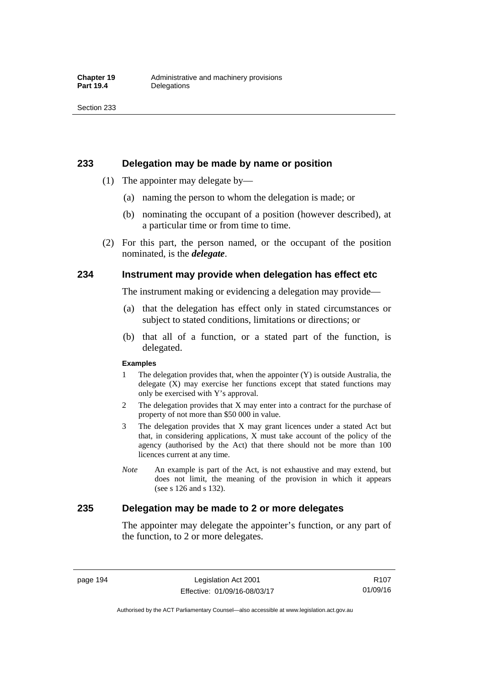### **233 Delegation may be made by name or position**

- (1) The appointer may delegate by—
	- (a) naming the person to whom the delegation is made; or
	- (b) nominating the occupant of a position (however described), at a particular time or from time to time.
- (2) For this part, the person named, or the occupant of the position nominated, is the *delegate*.

# **234 Instrument may provide when delegation has effect etc**

The instrument making or evidencing a delegation may provide—

- (a) that the delegation has effect only in stated circumstances or subject to stated conditions, limitations or directions; or
- (b) that all of a function, or a stated part of the function, is delegated.

#### **Examples**

- 1 The delegation provides that, when the appointer (Y) is outside Australia, the delegate (X) may exercise her functions except that stated functions may only be exercised with Y's approval.
- 2 The delegation provides that X may enter into a contract for the purchase of property of not more than \$50 000 in value.
- 3 The delegation provides that X may grant licences under a stated Act but that, in considering applications, X must take account of the policy of the agency (authorised by the Act) that there should not be more than 100 licences current at any time.
- *Note* An example is part of the Act, is not exhaustive and may extend, but does not limit, the meaning of the provision in which it appears (see s 126 and s 132).

# **235 Delegation may be made to 2 or more delegates**

The appointer may delegate the appointer's function, or any part of the function, to 2 or more delegates.

page 194 Legislation Act 2001 Effective: 01/09/16-08/03/17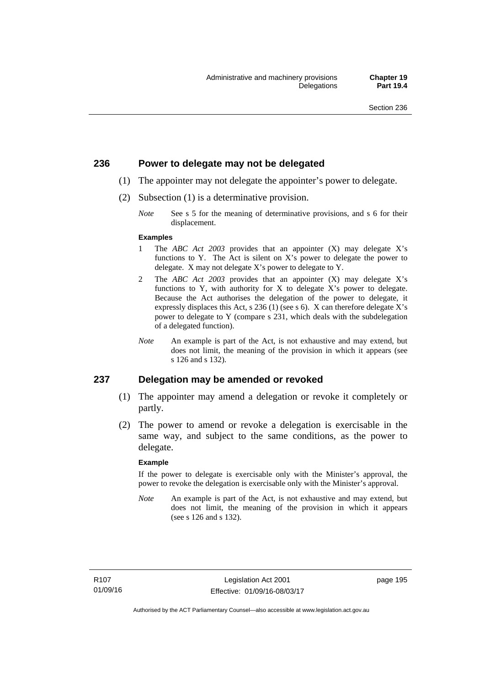# **236 Power to delegate may not be delegated**

- (1) The appointer may not delegate the appointer's power to delegate.
- (2) Subsection (1) is a determinative provision.
	- *Note* See s 5 for the meaning of determinative provisions, and s 6 for their displacement.

#### **Examples**

- 1 The *ABC Act 2003* provides that an appointer (X) may delegate X's functions to Y. The Act is silent on X's power to delegate the power to delegate. X may not delegate X's power to delegate to Y.
- 2 The *ABC Act 2003* provides that an appointer (X) may delegate X's functions to Y, with authority for X to delegate X's power to delegate. Because the Act authorises the delegation of the power to delegate, it expressly displaces this Act, s 236 (1) (see s 6). X can therefore delegate X's power to delegate to Y (compare s 231, which deals with the subdelegation of a delegated function).
- *Note* An example is part of the Act, is not exhaustive and may extend, but does not limit, the meaning of the provision in which it appears (see s 126 and s 132).

### **237 Delegation may be amended or revoked**

- (1) The appointer may amend a delegation or revoke it completely or partly.
- (2) The power to amend or revoke a delegation is exercisable in the same way, and subject to the same conditions, as the power to delegate.

#### **Example**

If the power to delegate is exercisable only with the Minister's approval, the power to revoke the delegation is exercisable only with the Minister's approval.

*Note* An example is part of the Act, is not exhaustive and may extend, but does not limit, the meaning of the provision in which it appears (see s 126 and s 132).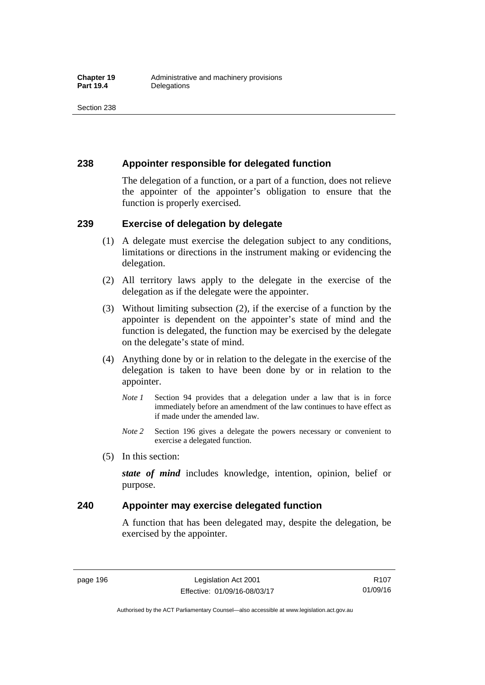# **238 Appointer responsible for delegated function**

The delegation of a function, or a part of a function, does not relieve the appointer of the appointer's obligation to ensure that the function is properly exercised.

# **239 Exercise of delegation by delegate**

- (1) A delegate must exercise the delegation subject to any conditions, limitations or directions in the instrument making or evidencing the delegation.
- (2) All territory laws apply to the delegate in the exercise of the delegation as if the delegate were the appointer.
- (3) Without limiting subsection (2), if the exercise of a function by the appointer is dependent on the appointer's state of mind and the function is delegated, the function may be exercised by the delegate on the delegate's state of mind.
- (4) Anything done by or in relation to the delegate in the exercise of the delegation is taken to have been done by or in relation to the appointer.
	- *Note 1* Section 94 provides that a delegation under a law that is in force immediately before an amendment of the law continues to have effect as if made under the amended law.
	- *Note 2* Section 196 gives a delegate the powers necessary or convenient to exercise a delegated function.
- (5) In this section:

*state of mind* includes knowledge, intention, opinion, belief or purpose.

# **240 Appointer may exercise delegated function**

A function that has been delegated may, despite the delegation, be exercised by the appointer.

page 196 Legislation Act 2001 Effective: 01/09/16-08/03/17

Authorised by the ACT Parliamentary Counsel—also accessible at www.legislation.act.gov.au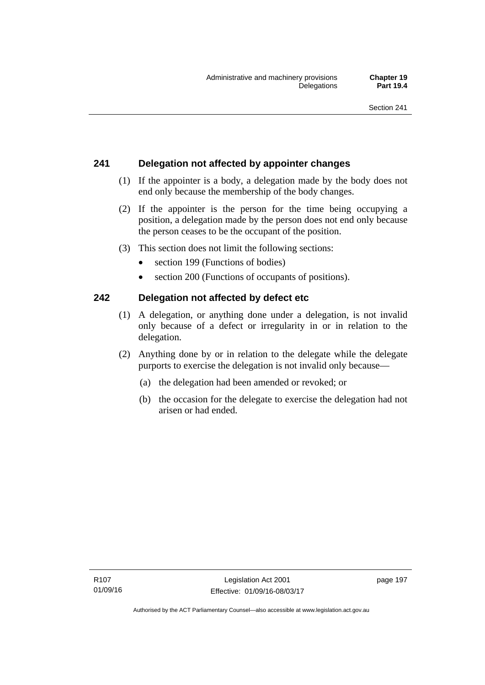# **241 Delegation not affected by appointer changes**

- (1) If the appointer is a body, a delegation made by the body does not end only because the membership of the body changes.
- (2) If the appointer is the person for the time being occupying a position, a delegation made by the person does not end only because the person ceases to be the occupant of the position.
- (3) This section does not limit the following sections:
	- section 199 (Functions of bodies)
	- section 200 (Functions of occupants of positions).

# **242 Delegation not affected by defect etc**

- (1) A delegation, or anything done under a delegation, is not invalid only because of a defect or irregularity in or in relation to the delegation.
- (2) Anything done by or in relation to the delegate while the delegate purports to exercise the delegation is not invalid only because—
	- (a) the delegation had been amended or revoked; or
	- (b) the occasion for the delegate to exercise the delegation had not arisen or had ended.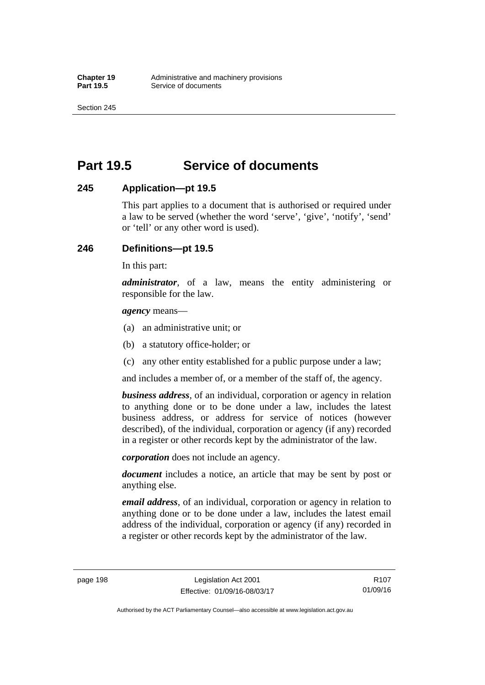Section 245

# **Part 19.5 Service of documents**

# **245 Application—pt 19.5**

This part applies to a document that is authorised or required under a law to be served (whether the word 'serve', 'give', 'notify', 'send' or 'tell' or any other word is used).

# **246 Definitions—pt 19.5**

In this part:

*administrator*, of a law, means the entity administering or responsible for the law.

*agency* means—

- (a) an administrative unit; or
- (b) a statutory office-holder; or
- (c) any other entity established for a public purpose under a law;

and includes a member of, or a member of the staff of, the agency.

*business address*, of an individual, corporation or agency in relation to anything done or to be done under a law, includes the latest business address, or address for service of notices (however described), of the individual, corporation or agency (if any) recorded in a register or other records kept by the administrator of the law.

*corporation* does not include an agency.

*document* includes a notice, an article that may be sent by post or anything else.

*email address*, of an individual, corporation or agency in relation to anything done or to be done under a law, includes the latest email address of the individual, corporation or agency (if any) recorded in a register or other records kept by the administrator of the law.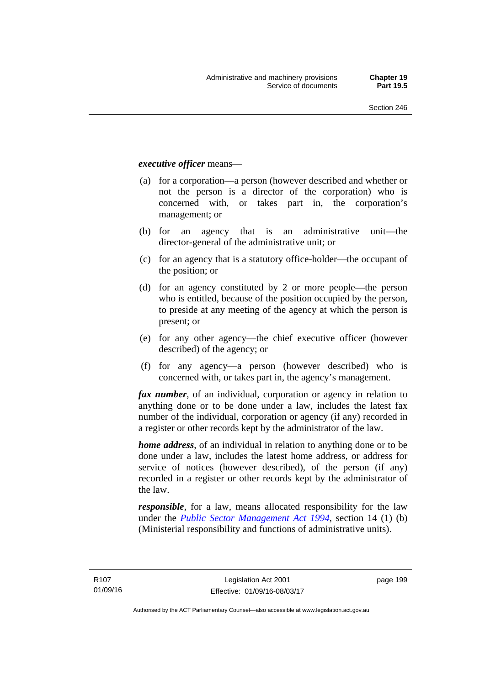## *executive officer* means—

- (a) for a corporation—a person (however described and whether or not the person is a director of the corporation) who is concerned with, or takes part in, the corporation's management; or
- (b) for an agency that is an administrative unit—the director-general of the administrative unit; or
- (c) for an agency that is a statutory office-holder—the occupant of the position; or
- (d) for an agency constituted by 2 or more people—the person who is entitled, because of the position occupied by the person, to preside at any meeting of the agency at which the person is present; or
- (e) for any other agency—the chief executive officer (however described) of the agency; or
- (f) for any agency—a person (however described) who is concerned with, or takes part in, the agency's management.

*fax number*, of an individual, corporation or agency in relation to anything done or to be done under a law, includes the latest fax number of the individual, corporation or agency (if any) recorded in a register or other records kept by the administrator of the law.

*home address*, of an individual in relation to anything done or to be done under a law, includes the latest home address, or address for service of notices (however described), of the person (if any) recorded in a register or other records kept by the administrator of the law.

*responsible*, for a law, means allocated responsibility for the law under the *[Public Sector Management Act 1994](http://www.legislation.act.gov.au/a/1994-37)*, section 14 (1) (b) (Ministerial responsibility and functions of administrative units).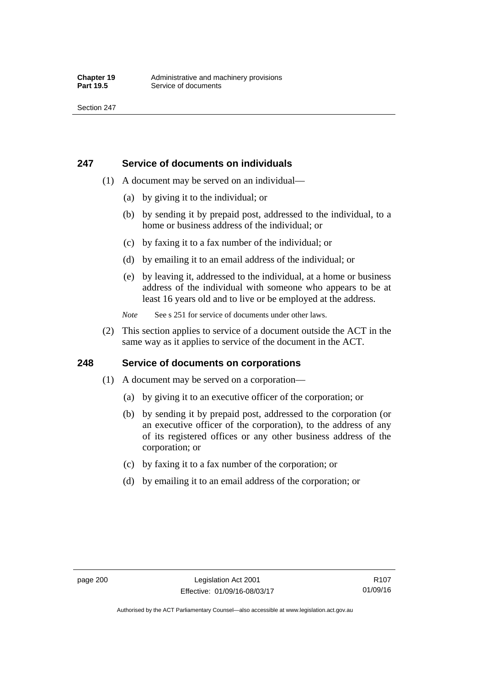# **247 Service of documents on individuals**

- (1) A document may be served on an individual—
	- (a) by giving it to the individual; or
	- (b) by sending it by prepaid post, addressed to the individual, to a home or business address of the individual; or
	- (c) by faxing it to a fax number of the individual; or
	- (d) by emailing it to an email address of the individual; or
	- (e) by leaving it, addressed to the individual, at a home or business address of the individual with someone who appears to be at least 16 years old and to live or be employed at the address.
	- *Note* See s 251 for service of documents under other laws.
- (2) This section applies to service of a document outside the ACT in the same way as it applies to service of the document in the ACT.

# **248 Service of documents on corporations**

- (1) A document may be served on a corporation—
	- (a) by giving it to an executive officer of the corporation; or
	- (b) by sending it by prepaid post, addressed to the corporation (or an executive officer of the corporation), to the address of any of its registered offices or any other business address of the corporation; or
	- (c) by faxing it to a fax number of the corporation; or
	- (d) by emailing it to an email address of the corporation; or

R107 01/09/16

Authorised by the ACT Parliamentary Counsel—also accessible at www.legislation.act.gov.au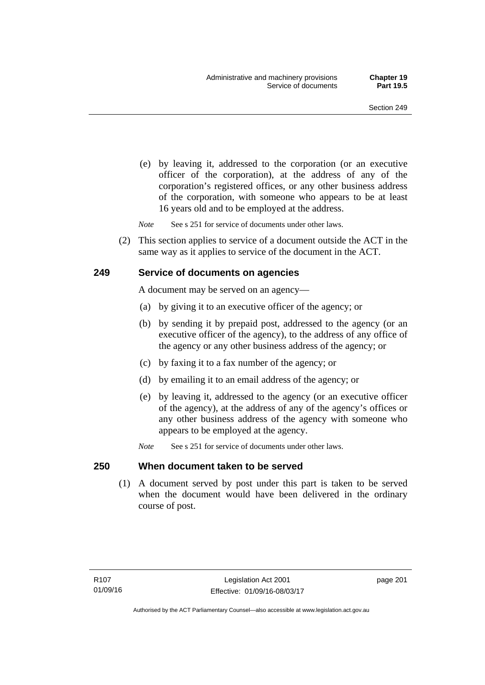(e) by leaving it, addressed to the corporation (or an executive officer of the corporation), at the address of any of the corporation's registered offices, or any other business address of the corporation, with someone who appears to be at least 16 years old and to be employed at the address.

*Note* See s 251 for service of documents under other laws.

 (2) This section applies to service of a document outside the ACT in the same way as it applies to service of the document in the ACT.

## **249 Service of documents on agencies**

A document may be served on an agency—

- (a) by giving it to an executive officer of the agency; or
- (b) by sending it by prepaid post, addressed to the agency (or an executive officer of the agency), to the address of any office of the agency or any other business address of the agency; or
- (c) by faxing it to a fax number of the agency; or
- (d) by emailing it to an email address of the agency; or
- (e) by leaving it, addressed to the agency (or an executive officer of the agency), at the address of any of the agency's offices or any other business address of the agency with someone who appears to be employed at the agency.
- *Note* See s 251 for service of documents under other laws.

### **250 When document taken to be served**

 (1) A document served by post under this part is taken to be served when the document would have been delivered in the ordinary course of post.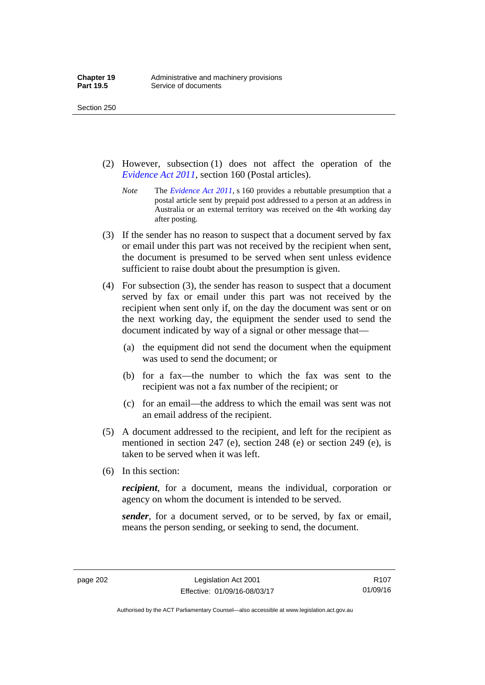Section 250

- (2) However, subsection (1) does not affect the operation of the *[Evidence Act 2011](http://www.legislation.act.gov.au/a/2011-12)*, section 160 (Postal articles).
	- *Note* The *[Evidence Act 2011](http://www.legislation.act.gov.au/a/2011-12)*, s 160 provides a rebuttable presumption that a postal article sent by prepaid post addressed to a person at an address in Australia or an external territory was received on the 4th working day after posting.
- (3) If the sender has no reason to suspect that a document served by fax or email under this part was not received by the recipient when sent, the document is presumed to be served when sent unless evidence sufficient to raise doubt about the presumption is given.
- (4) For subsection (3), the sender has reason to suspect that a document served by fax or email under this part was not received by the recipient when sent only if, on the day the document was sent or on the next working day, the equipment the sender used to send the document indicated by way of a signal or other message that—
	- (a) the equipment did not send the document when the equipment was used to send the document; or
	- (b) for a fax—the number to which the fax was sent to the recipient was not a fax number of the recipient; or
	- (c) for an email—the address to which the email was sent was not an email address of the recipient.
- (5) A document addressed to the recipient, and left for the recipient as mentioned in section 247 (e), section 248 (e) or section 249 (e), is taken to be served when it was left.
- (6) In this section:

*recipient*, for a document, means the individual, corporation or agency on whom the document is intended to be served.

*sender*, for a document served, or to be served, by fax or email, means the person sending, or seeking to send, the document.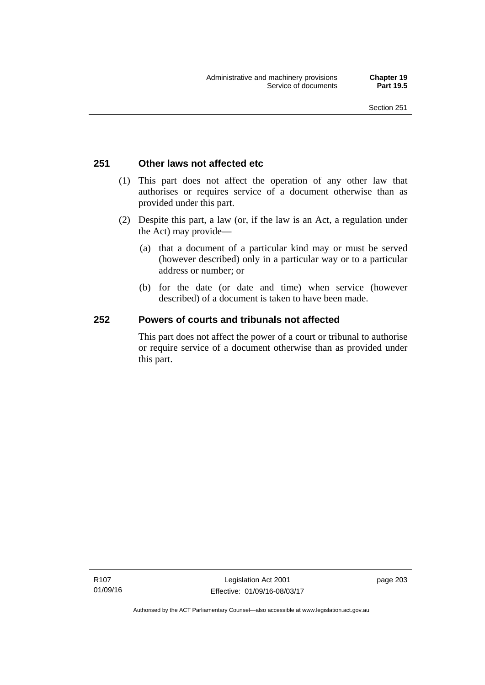## **251 Other laws not affected etc**

- (1) This part does not affect the operation of any other law that authorises or requires service of a document otherwise than as provided under this part.
- (2) Despite this part, a law (or, if the law is an Act, a regulation under the Act) may provide—
	- (a) that a document of a particular kind may or must be served (however described) only in a particular way or to a particular address or number; or
	- (b) for the date (or date and time) when service (however described) of a document is taken to have been made.

## **252 Powers of courts and tribunals not affected**

This part does not affect the power of a court or tribunal to authorise or require service of a document otherwise than as provided under this part.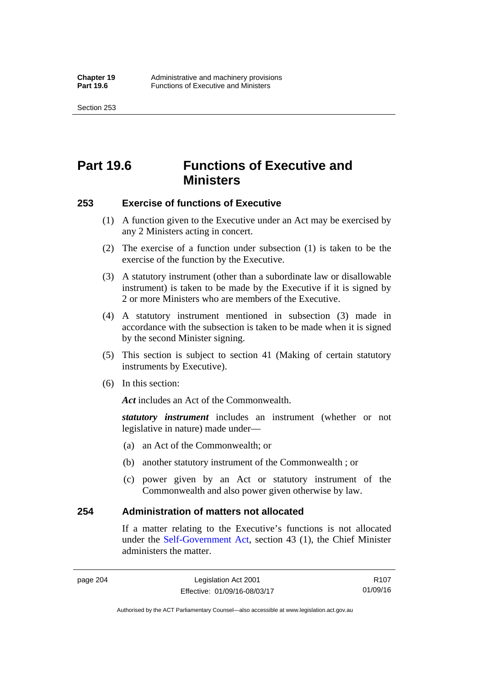Section 253

## **Part 19.6 Functions of Executive and Ministers**

## **253 Exercise of functions of Executive**

- (1) A function given to the Executive under an Act may be exercised by any 2 Ministers acting in concert.
- (2) The exercise of a function under subsection (1) is taken to be the exercise of the function by the Executive.
- (3) A statutory instrument (other than a subordinate law or disallowable instrument) is taken to be made by the Executive if it is signed by 2 or more Ministers who are members of the Executive.
- (4) A statutory instrument mentioned in subsection (3) made in accordance with the subsection is taken to be made when it is signed by the second Minister signing.
- (5) This section is subject to section 41 (Making of certain statutory instruments by Executive).
- (6) In this section:

Act includes an Act of the Commonwealth.

*statutory instrument* includes an instrument (whether or not legislative in nature) made under—

- (a) an Act of the Commonwealth; or
- (b) another statutory instrument of the Commonwealth ; or
- (c) power given by an Act or statutory instrument of the Commonwealth and also power given otherwise by law.

## **254 Administration of matters not allocated**

If a matter relating to the Executive's functions is not allocated under the [Self-Government Act,](http://www.comlaw.gov.au/Series/C2004A03699) section 43 (1), the Chief Minister administers the matter.

R107 01/09/16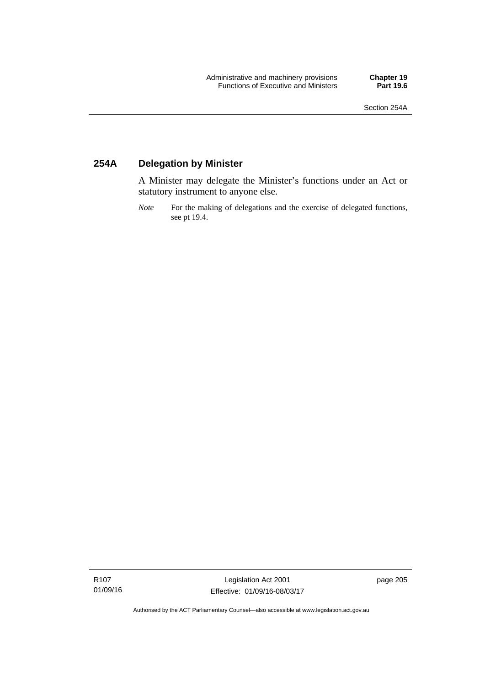## **254A Delegation by Minister**

A Minister may delegate the Minister's functions under an Act or statutory instrument to anyone else.

*Note* For the making of delegations and the exercise of delegated functions, see pt 19.4.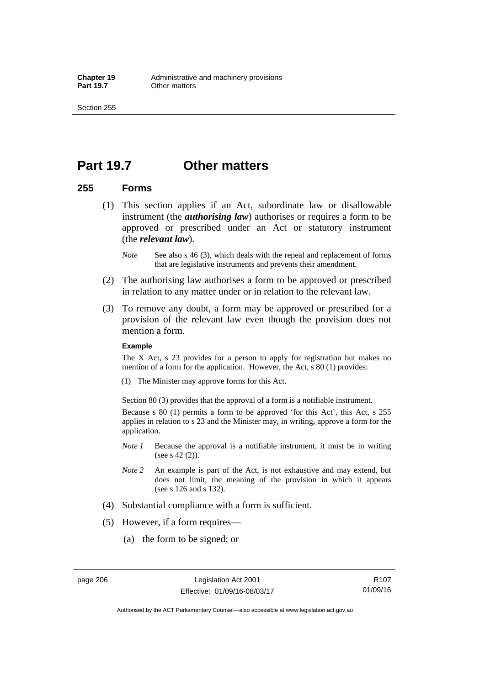## **Part 19.7 Other matters**

## **255 Forms**

- (1) This section applies if an Act, subordinate law or disallowable instrument (the *authorising law*) authorises or requires a form to be approved or prescribed under an Act or statutory instrument (the *relevant law*).
	- *Note* See also s 46 (3), which deals with the repeal and replacement of forms that are legislative instruments and prevents their amendment.
- (2) The authorising law authorises a form to be approved or prescribed in relation to any matter under or in relation to the relevant law.
- (3) To remove any doubt, a form may be approved or prescribed for a provision of the relevant law even though the provision does not mention a form.

### **Example**

The X Act, s 23 provides for a person to apply for registration but makes no mention of a form for the application. However, the Act, s 80 (1) provides:

(1) The Minister may approve forms for this Act.

Section 80 (3) provides that the approval of a form is a notifiable instrument.

Because s 80 (1) permits a form to be approved 'for this Act', this Act, s 255 applies in relation to s 23 and the Minister may, in writing, approve a form for the application.

- *Note 1* Because the approval is a notifiable instrument, it must be in writing (see s 42 (2)).
- *Note 2* An example is part of the Act, is not exhaustive and may extend, but does not limit, the meaning of the provision in which it appears (see s 126 and s 132).
- (4) Substantial compliance with a form is sufficient.
- (5) However, if a form requires—
	- (a) the form to be signed; or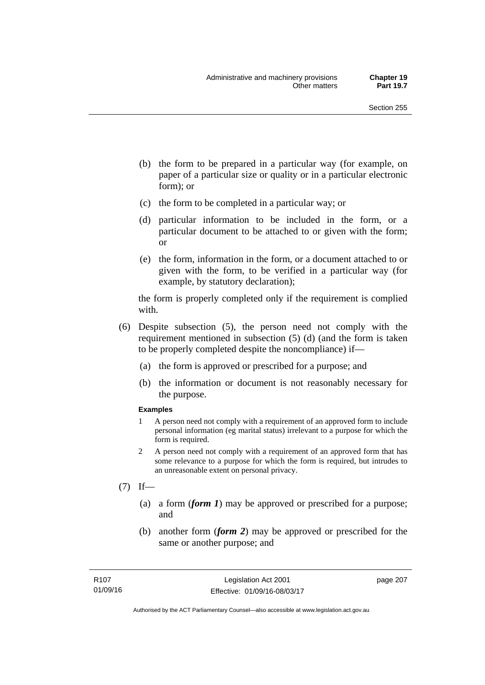- (b) the form to be prepared in a particular way (for example, on paper of a particular size or quality or in a particular electronic form); or
- (c) the form to be completed in a particular way; or
- (d) particular information to be included in the form, or a particular document to be attached to or given with the form; or
- (e) the form, information in the form, or a document attached to or given with the form, to be verified in a particular way (for example, by statutory declaration);

the form is properly completed only if the requirement is complied with.

- (6) Despite subsection (5), the person need not comply with the requirement mentioned in subsection (5) (d) (and the form is taken to be properly completed despite the noncompliance) if—
	- (a) the form is approved or prescribed for a purpose; and
	- (b) the information or document is not reasonably necessary for the purpose.

### **Examples**

- 1 A person need not comply with a requirement of an approved form to include personal information (eg marital status) irrelevant to a purpose for which the form is required.
- 2 A person need not comply with a requirement of an approved form that has some relevance to a purpose for which the form is required, but intrudes to an unreasonable extent on personal privacy.
- $(7)$  If—
	- (a) a form (*form 1*) may be approved or prescribed for a purpose; and
	- (b) another form (*form 2*) may be approved or prescribed for the same or another purpose; and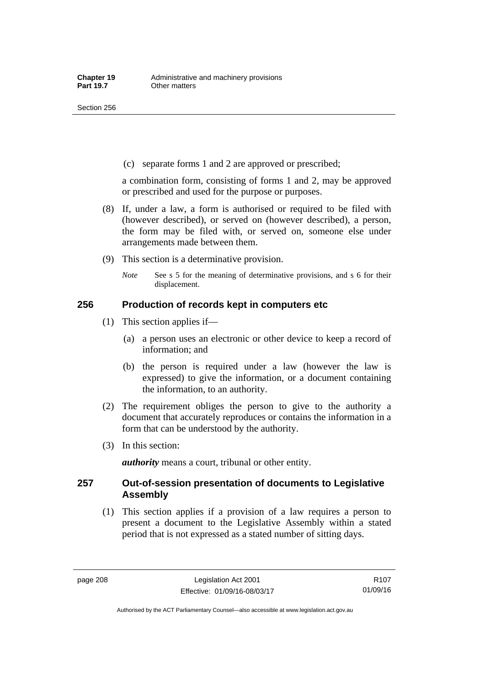(c) separate forms 1 and 2 are approved or prescribed;

a combination form, consisting of forms 1 and 2, may be approved or prescribed and used for the purpose or purposes.

- (8) If, under a law, a form is authorised or required to be filed with (however described), or served on (however described), a person, the form may be filed with, or served on, someone else under arrangements made between them.
- (9) This section is a determinative provision.
	- *Note* See s 5 for the meaning of determinative provisions, and s 6 for their displacement.

## **256 Production of records kept in computers etc**

- (1) This section applies if—
	- (a) a person uses an electronic or other device to keep a record of information; and
	- (b) the person is required under a law (however the law is expressed) to give the information, or a document containing the information, to an authority.
- (2) The requirement obliges the person to give to the authority a document that accurately reproduces or contains the information in a form that can be understood by the authority.
- (3) In this section:

*authority* means a court, tribunal or other entity.

## **257 Out-of-session presentation of documents to Legislative Assembly**

 (1) This section applies if a provision of a law requires a person to present a document to the Legislative Assembly within a stated period that is not expressed as a stated number of sitting days.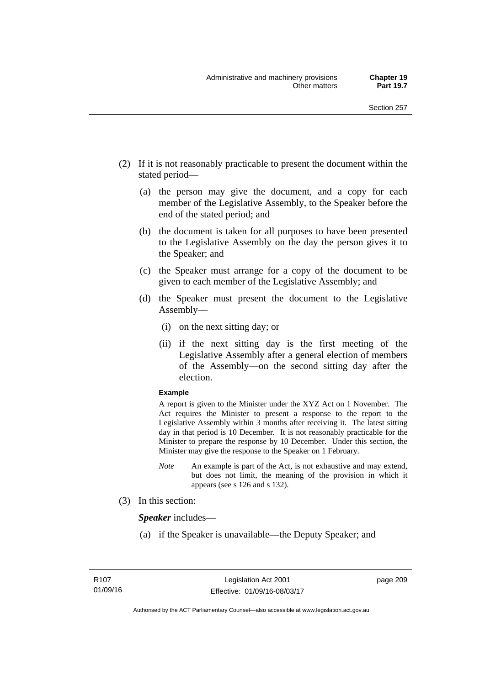- (2) If it is not reasonably practicable to present the document within the stated period—
	- (a) the person may give the document, and a copy for each member of the Legislative Assembly, to the Speaker before the end of the stated period; and
	- (b) the document is taken for all purposes to have been presented to the Legislative Assembly on the day the person gives it to the Speaker; and
	- (c) the Speaker must arrange for a copy of the document to be given to each member of the Legislative Assembly; and
	- (d) the Speaker must present the document to the Legislative Assembly—
		- (i) on the next sitting day; or
		- (ii) if the next sitting day is the first meeting of the Legislative Assembly after a general election of members of the Assembly—on the second sitting day after the election.

### **Example**

A report is given to the Minister under the XYZ Act on 1 November. The Act requires the Minister to present a response to the report to the Legislative Assembly within 3 months after receiving it. The latest sitting day in that period is 10 December. It is not reasonably practicable for the Minister to prepare the response by 10 December. Under this section, the Minister may give the response to the Speaker on 1 February.

- *Note* An example is part of the Act, is not exhaustive and may extend, but does not limit, the meaning of the provision in which it appears (see s 126 and s 132).
- (3) In this section:

*Speaker* includes—

(a) if the Speaker is unavailable—the Deputy Speaker; and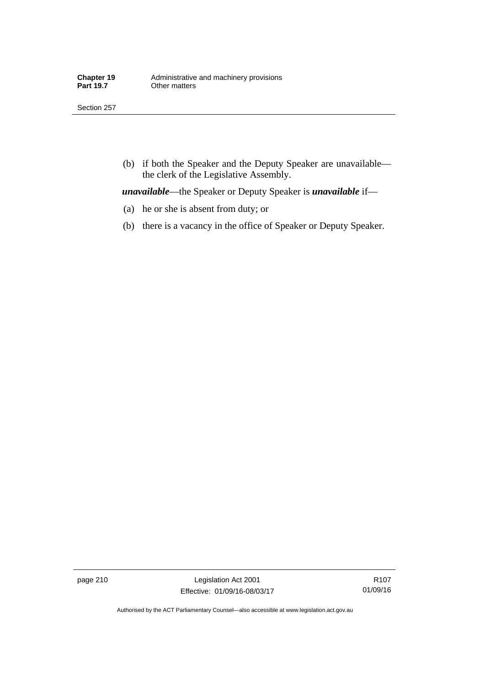Section 257

 (b) if both the Speaker and the Deputy Speaker are unavailable the clerk of the Legislative Assembly.

*unavailable*—the Speaker or Deputy Speaker is *unavailable* if—

- (a) he or she is absent from duty; or
- (b) there is a vacancy in the office of Speaker or Deputy Speaker.

page 210 Legislation Act 2001 Effective: 01/09/16-08/03/17

R107 01/09/16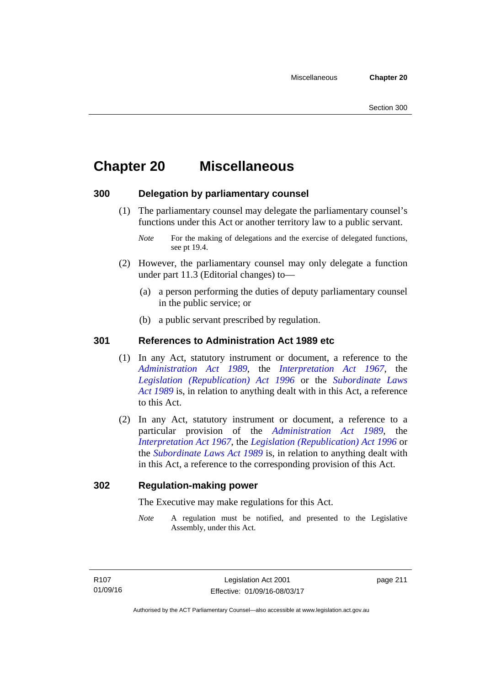# **Chapter 20 Miscellaneous**

## **300 Delegation by parliamentary counsel**

 (1) The parliamentary counsel may delegate the parliamentary counsel's functions under this Act or another territory law to a public servant.

- (2) However, the parliamentary counsel may only delegate a function under part 11.3 (Editorial changes) to—
	- (a) a person performing the duties of deputy parliamentary counsel in the public service; or
	- (b) a public servant prescribed by regulation.

## **301 References to Administration Act 1989 etc**

- (1) In any Act, statutory instrument or document, a reference to the *[Administration Act 1989](http://www.legislation.act.gov.au/a/alt_a1989-41co)*, the *[Interpretation Act 1967](http://www.legislation.act.gov.au/a/1967-48)*, the *[Legislation \(Republication\) Act 1996](http://www.legislation.act.gov.au/a/1996-51)* or the *[Subordinate Laws](http://www.legislation.act.gov.au/a/alt_a1989-24co)  [Act 1989](http://www.legislation.act.gov.au/a/alt_a1989-24co)* is, in relation to anything dealt with in this Act, a reference to this Act.
- (2) In any Act, statutory instrument or document, a reference to a particular provision of the *[Administration Act 1989](http://www.legislation.act.gov.au/a/alt_a1989-41co)*, the *[Interpretation Act 1967](http://www.legislation.act.gov.au/a/1967-48)*, the *[Legislation \(Republication\) Act 1996](http://www.legislation.act.gov.au/a/1996-51)* or the *[Subordinate Laws Act 1989](http://www.legislation.act.gov.au/a/alt_a1989-24co)* is, in relation to anything dealt with in this Act, a reference to the corresponding provision of this Act.

## **302 Regulation-making power**

The Executive may make regulations for this Act.

*Note* A regulation must be notified, and presented to the Legislative Assembly, under this Act.

*Note* For the making of delegations and the exercise of delegated functions, see pt 19.4.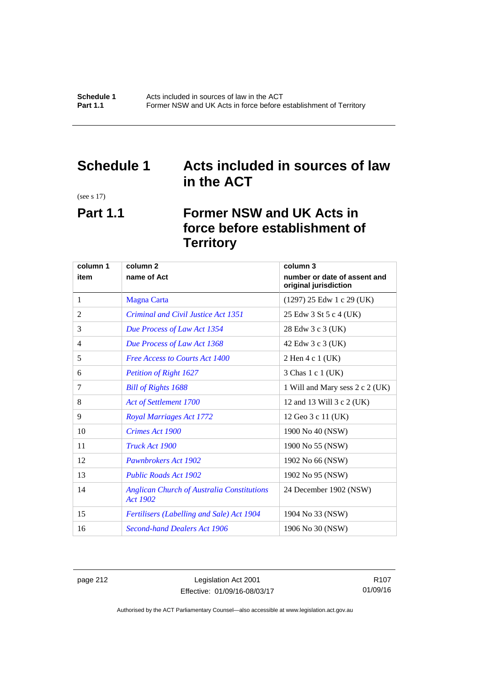## **Schedule 1 Acts included in sources of law in the ACT**

(see s 17)

## **Part 1.1 Former NSW and UK Acts in force before establishment of Territory**

| column 1       | column <sub>2</sub>                                                  | column 3                                              |
|----------------|----------------------------------------------------------------------|-------------------------------------------------------|
| item           | name of Act                                                          | number or date of assent and<br>original jurisdiction |
| 1              | <b>Magna Carta</b>                                                   | $(1297)$ 25 Edw 1 c 29 (UK)                           |
| $\overline{2}$ | Criminal and Civil Justice Act 1351                                  | 25 Edw 3 St 5 c 4 (UK)                                |
| 3              | Due Process of Law Act 1354                                          | 28 Edw 3 c 3 (UK)                                     |
| 4              | Due Process of Law Act 1368                                          | 42 Edw 3 c 3 (UK)                                     |
| 5              | <b>Free Access to Courts Act 1400</b>                                | 2 Hen 4 c 1 (UK)                                      |
| 6              | Petition of Right 1627                                               | 3 Chas 1 c 1 (UK)                                     |
| 7              | <b>Bill of Rights 1688</b>                                           | 1 Will and Mary sess 2 c 2 (UK)                       |
| 8              | <b>Act of Settlement 1700</b>                                        | 12 and 13 Will 3 c 2 (UK)                             |
| 9              | <b>Royal Marriages Act 1772</b>                                      | 12 Geo 3 c 11 (UK)                                    |
| 10             | <b>Crimes Act 1900</b>                                               | 1900 No 40 (NSW)                                      |
| 11             | Truck Act 1900                                                       | 1900 No 55 (NSW)                                      |
| 12             | <b>Pawnbrokers Act 1902</b>                                          | 1902 No 66 (NSW)                                      |
| 13             | <b>Public Roads Act 1902</b>                                         | 1902 No 95 (NSW)                                      |
| 14             | <b>Anglican Church of Australia Constitutions</b><br><b>Act 1902</b> | 24 December 1902 (NSW)                                |
| 15             | <b>Fertilisers (Labelling and Sale) Act 1904</b>                     | 1904 No 33 (NSW)                                      |
| 16             | <b>Second-hand Dealers Act 1906</b>                                  | 1906 No 30 (NSW)                                      |

page 212 Legislation Act 2001 Effective: 01/09/16-08/03/17

R107 01/09/16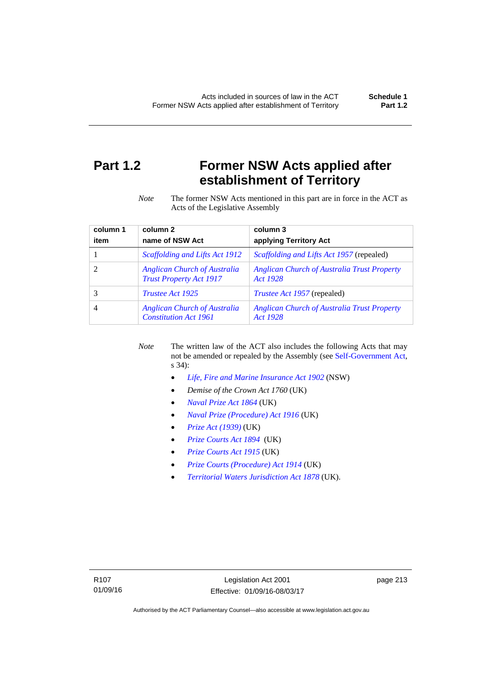## **Part 1.2 Former NSW Acts applied after establishment of Territory**

*Note* The former NSW Acts mentioned in this part are in force in the ACT as Acts of the Legislative Assembly

| column 1 | column <sub>2</sub>                                                   | column 3                                                       |
|----------|-----------------------------------------------------------------------|----------------------------------------------------------------|
| item     | name of NSW Act                                                       | applying Territory Act                                         |
|          | Scaffolding and Lifts Act 1912                                        | <i>Scaffolding and Lifts Act 1957</i> (repealed)               |
|          | <b>Anglican Church of Australia</b><br><b>Trust Property Act 1917</b> | <b>Anglican Church of Australia Trust Property</b><br>Act 1928 |
|          | <i>Trustee Act 1925</i>                                               | <i>Trustee Act 1957</i> (repealed)                             |
| 4        | <b>Anglican Church of Australia</b><br><b>Constitution Act 1961</b>   | <b>Anglican Church of Australia Trust Property</b><br>Act 1928 |

*Note* The written law of the ACT also includes the following Acts that may not be amended or repealed by the Assembly (see [Self-Government Act,](http://www.comlaw.gov.au/Series/C2004A03699) s 34):

- *[Life, Fire and Marine Insurance Act 1902](http://www.legislation.nsw.gov.au/maintop/scanact/sessional/NONE/0)* (NSW)
- *Demise of the Crown Act 1760* (UK)
- *[Naval Prize Act 1864](http://www.legislation.gov.uk/ukpga/Vict/27-28/25/contents)* (UK)
- *[Naval Prize \(Procedure\) Act 1916](http://www.legislation.gov.uk/ukpga/Geo5/6-7/2/contents)* (UK)
- *[Prize Act \(1939\)](http://www.legislation.gov.uk/ukpga/Geo6/2-3/65/contents)* (UK)
- *[Prize Courts Act 1894](http://www.legislation.gov.uk/ukpga/Vict/57-58/39/contents)* (UK)
- *[Prize Courts Act 1915](http://www.legislation.gov.uk/ukpga/Geo5/5-6/57/contents)* (UK)
- *[Prize Courts \(Procedure\) Act 1914](http://www.legislation.gov.uk/ukpga/Geo5/4-5/13/contents)* (UK)
- *[Territorial Waters Jurisdiction Act 1878](http://www.legislation.gov.uk/ukpga/Vict/41-42/73/contents)* (UK).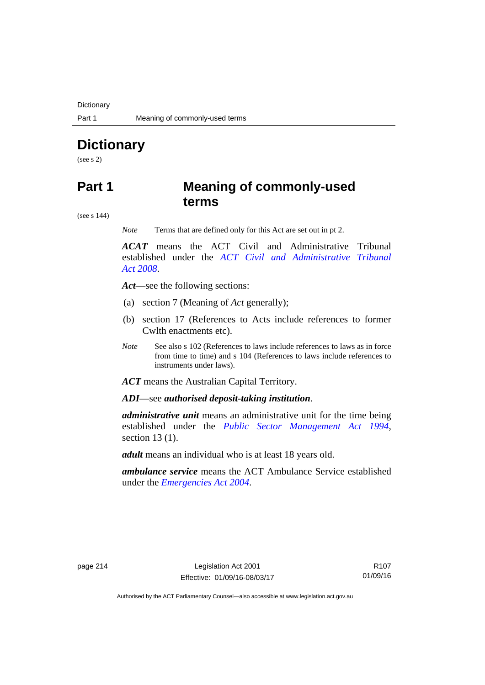**Dictionary** 

# **Dictionary**

(see s 2)

## **Part 1 Meaning of commonly-used terms**

(see s 144)

*Note* Terms that are defined only for this Act are set out in pt 2.

*ACAT* means the ACT Civil and Administrative Tribunal established under the *[ACT Civil and Administrative Tribunal](http://www.legislation.act.gov.au/a/2008-35)  [Act 2008](http://www.legislation.act.gov.au/a/2008-35)*.

*Act*—see the following sections:

- (a) section 7 (Meaning of *Act* generally);
- (b) section 17 (References to Acts include references to former Cwlth enactments etc).
- *Note* See also s 102 (References to laws include references to laws as in force from time to time) and s 104 (References to laws include references to instruments under laws).

*ACT* means the Australian Capital Territory.

*ADI*—see *authorised deposit-taking institution*.

*administrative unit* means an administrative unit for the time being established under the *[Public Sector Management Act 1994](http://www.legislation.act.gov.au/a/1994-37)*, section 13 (1).

*adult* means an individual who is at least 18 years old.

*ambulance service* means the ACT Ambulance Service established under the *[Emergencies Act 2004](http://www.legislation.act.gov.au/a/2004-28)*.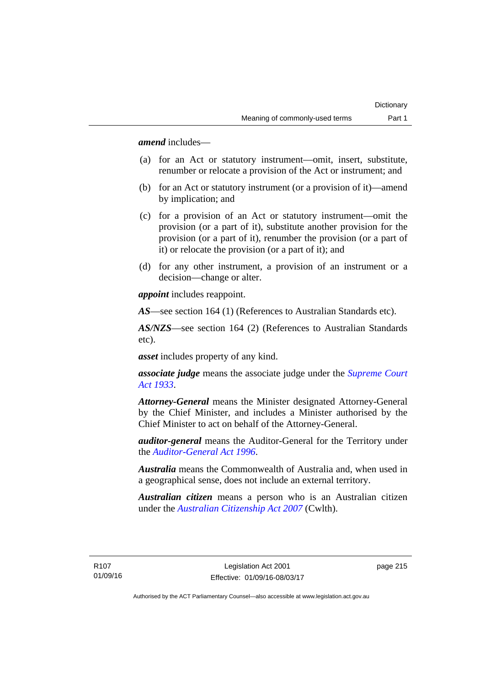*amend* includes—

- (a) for an Act or statutory instrument—omit, insert, substitute, renumber or relocate a provision of the Act or instrument; and
- (b) for an Act or statutory instrument (or a provision of it)—amend by implication; and
- (c) for a provision of an Act or statutory instrument—omit the provision (or a part of it), substitute another provision for the provision (or a part of it), renumber the provision (or a part of it) or relocate the provision (or a part of it); and
- (d) for any other instrument, a provision of an instrument or a decision—change or alter.

*appoint* includes reappoint.

*AS*—see section 164 (1) (References to Australian Standards etc).

*AS/NZS*—see section 164 (2) (References to Australian Standards etc).

*asset* includes property of any kind.

*associate judge* means the associate judge under the *[Supreme Court](http://www.legislation.act.gov.au/a/1933-34)  [Act 1933](http://www.legislation.act.gov.au/a/1933-34)*.

*Attorney-General* means the Minister designated Attorney-General by the Chief Minister, and includes a Minister authorised by the Chief Minister to act on behalf of the Attorney-General.

*auditor-general* means the Auditor-General for the Territory under the *[Auditor-General Act 1996](http://www.legislation.act.gov.au/a/1996-23)*.

*Australia* means the Commonwealth of Australia and, when used in a geographical sense, does not include an external territory.

*Australian citizen* means a person who is an Australian citizen under the *[Australian Citizenship Act 2007](http://www.comlaw.gov.au/Series/C2007A00020)* (Cwlth).

R107 01/09/16 page 215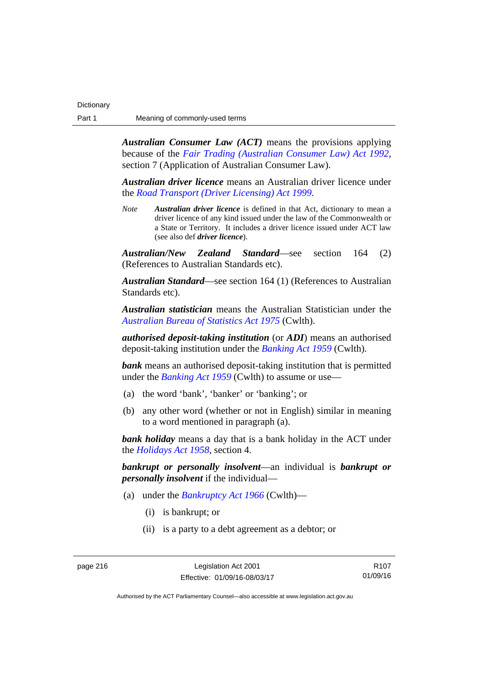*Australian Consumer Law (ACT)* means the provisions applying because of the *[Fair Trading \(Australian Consumer Law\) Act 1992](http://www.legislation.act.gov.au/a/1992-72)*, section 7 (Application of Australian Consumer Law).

*Australian driver licence* means an Australian driver licence under the *[Road Transport \(Driver Licensing\) Act 1999](http://www.legislation.act.gov.au/a/1999-78)*.

*Note Australian driver licence* is defined in that Act, dictionary to mean a driver licence of any kind issued under the law of the Commonwealth or a State or Territory. It includes a driver licence issued under ACT law (see also def *driver licence*).

*Australian/New Zealand Standard*—see section 164 (2) (References to Australian Standards etc).

*Australian Standard*—see section 164 (1) (References to Australian Standards etc).

*Australian statistician* means the Australian Statistician under the *[Australian Bureau of Statistics Act 1975](http://www.comlaw.gov.au/Series/C2004A00282)* (Cwlth).

*authorised deposit-taking institution* (or *ADI*) means an authorised deposit-taking institution under the *[Banking Act 1959](http://www.comlaw.gov.au/Series/C2004A07357)* (Cwlth).

*bank* means an authorised deposit-taking institution that is permitted under the *[Banking Act 1959](http://www.comlaw.gov.au/Series/C2004A07357)* (Cwlth) to assume or use—

- (a) the word 'bank', 'banker' or 'banking'; or
- (b) any other word (whether or not in English) similar in meaning to a word mentioned in paragraph (a).

*bank holiday* means a day that is a bank holiday in the ACT under the *[Holidays Act 1958](http://www.legislation.act.gov.au/a/1958-19)*, section 4.

*bankrupt or personally insolvent*—an individual is *bankrupt or personally insolvent* if the individual—

- (a) under the *[Bankruptcy Act 1966](http://www.comlaw.gov.au/Series/C2004A07422)* (Cwlth)—
	- (i) is bankrupt; or
	- (ii) is a party to a debt agreement as a debtor; or

R107 01/09/16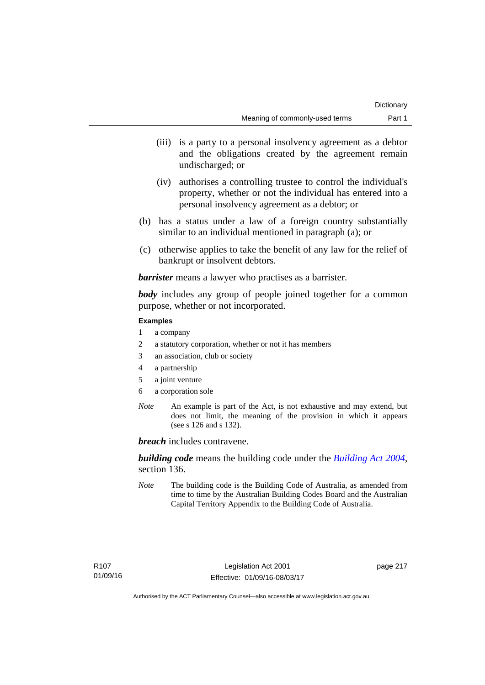- (iii) is a party to a personal insolvency agreement as a debtor and the obligations created by the agreement remain undischarged; or
- (iv) authorises a controlling trustee to control the individual's property, whether or not the individual has entered into a personal insolvency agreement as a debtor; or
- (b) has a status under a law of a foreign country substantially similar to an individual mentioned in paragraph (a); or
- (c) otherwise applies to take the benefit of any law for the relief of bankrupt or insolvent debtors.

*barrister* means a lawyer who practises as a barrister.

*body* includes any group of people joined together for a common purpose, whether or not incorporated.

### **Examples**

- 1 a company
- 2 a statutory corporation, whether or not it has members
- 3 an association, club or society
- 4 a partnership
- 5 a joint venture
- 6 a corporation sole
- *Note* An example is part of the Act, is not exhaustive and may extend, but does not limit, the meaning of the provision in which it appears (see s 126 and s 132).

*breach* includes contravene.

*building code* means the building code under the *[Building Act 2004](http://www.legislation.act.gov.au/a/2004-11)*, section 136.

*Note* The building code is the Building Code of Australia, as amended from time to time by the Australian Building Codes Board and the Australian Capital Territory Appendix to the Building Code of Australia.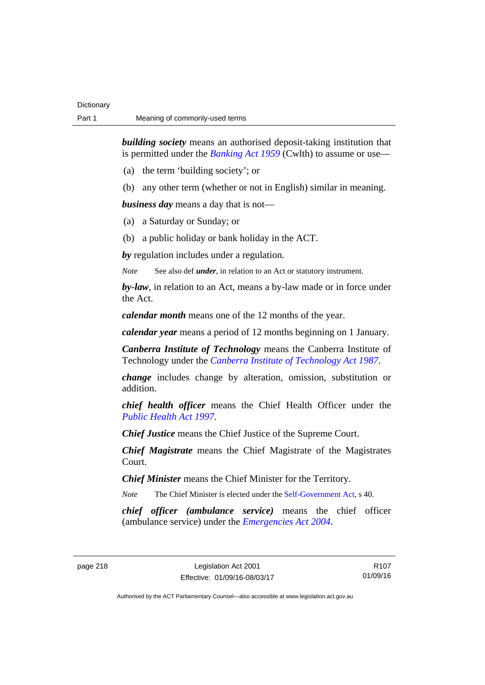*building society* means an authorised deposit-taking institution that is permitted under the *[Banking Act 1959](http://www.comlaw.gov.au/Series/C2004A07357)* (Cwlth) to assume or use—

- (a) the term 'building society'; or
- (b) any other term (whether or not in English) similar in meaning.

*business day* means a day that is not—

- (a) a Saturday or Sunday; or
- (b) a public holiday or bank holiday in the ACT.

*by* regulation includes under a regulation.

*Note* See also def *under*, in relation to an Act or statutory instrument.

*by-law*, in relation to an Act, means a by-law made or in force under the Act.

*calendar month* means one of the 12 months of the year.

*calendar year* means a period of 12 months beginning on 1 January.

*Canberra Institute of Technology* means the Canberra Institute of Technology under the *[Canberra Institute of Technology Act 1987](http://www.legislation.act.gov.au/a/1987-71)*.

*change* includes change by alteration, omission, substitution or addition.

*chief health officer* means the Chief Health Officer under the *[Public Health Act 1997](http://www.legislation.act.gov.au/a/1997-69)*.

*Chief Justice* means the Chief Justice of the Supreme Court.

*Chief Magistrate* means the Chief Magistrate of the Magistrates Court.

*Chief Minister* means the Chief Minister for the Territory.

*Note* The Chief Minister is elected under the [Self-Government Act](http://www.comlaw.gov.au/Series/C2004A03699), s 40.

*chief officer (ambulance service)* means the chief officer (ambulance service) under the *[Emergencies Act 2004](http://www.legislation.act.gov.au/a/2004-28)*.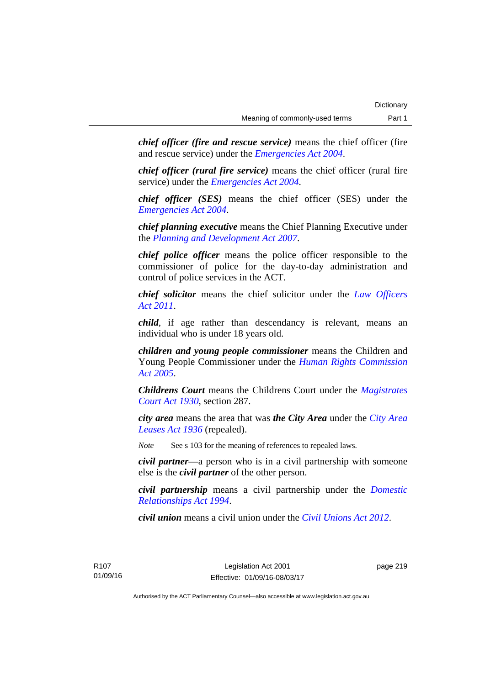*chief officer (fire and rescue service)* means the chief officer (fire and rescue service) under the *[Emergencies Act 2004](http://www.legislation.act.gov.au/a/2004-28)*.

*chief officer (rural fire service)* means the chief officer (rural fire service) under the *[Emergencies Act 2004](http://www.legislation.act.gov.au/a/2004-28)*.

*chief officer (SES)* means the chief officer (SES) under the *[Emergencies Act 2004](http://www.legislation.act.gov.au/a/2004-28)*.

*chief planning executive* means the Chief Planning Executive under the *[Planning and Development Act 2007](http://www.legislation.act.gov.au/a/2007-24)*.

*chief police officer* means the police officer responsible to the commissioner of police for the day-to-day administration and control of police services in the ACT.

*chief solicitor* means the chief solicitor under the *[Law Officers](http://www.legislation.act.gov.au/a/2011-30)  [Act 2011](http://www.legislation.act.gov.au/a/2011-30)*.

*child*, if age rather than descendancy is relevant, means an individual who is under 18 years old.

*children and young people commissioner* means the Children and Young People Commissioner under the *[Human Rights Commission](http://www.legislation.act.gov.au/a/2005-40)  [Act 2005](http://www.legislation.act.gov.au/a/2005-40)*.

*Childrens Court* means the Childrens Court under the *[Magistrates](http://www.legislation.act.gov.au/a/1930-21)  [Court Act 1930](http://www.legislation.act.gov.au/a/1930-21)*, section 287.

*city area* means the area that was *the City Area* under the *[City Area](http://www.legislation.act.gov.au/a/1936-31)  [Leases Act 1936](http://www.legislation.act.gov.au/a/1936-31)* (repealed).

*Note* See s 103 for the meaning of references to repealed laws.

*civil partner*—a person who is in a civil partnership with someone else is the *civil partner* of the other person.

*civil partnership* means a civil partnership under the *[Domestic](http://www.legislation.act.gov.au/a/1994-28)  [Relationships Act 1994](http://www.legislation.act.gov.au/a/1994-28)*.

*civil union* means a civil union under the *[Civil Unions Act 2012](http://www.legislation.act.gov.au/a/2012-40)*.

R107 01/09/16 page 219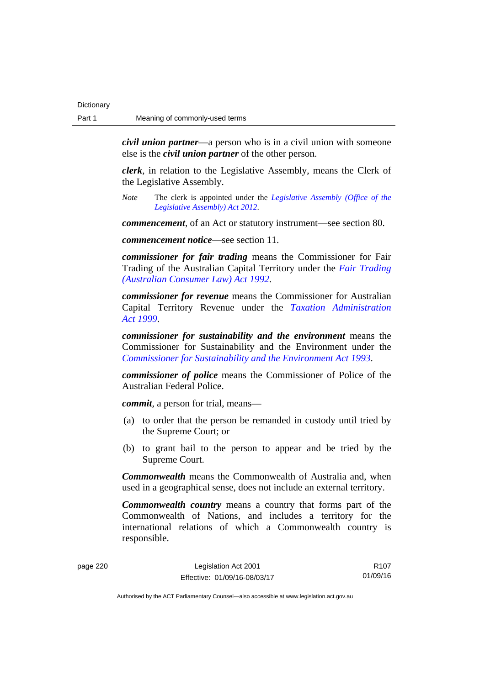*civil union partner*—a person who is in a civil union with someone else is the *civil union partner* of the other person.

*clerk*, in relation to the Legislative Assembly, means the Clerk of the Legislative Assembly.

*Note* The clerk is appointed under the *[Legislative Assembly \(Office of the](http://www.legislation.act.gov.au/a/2012-26)  [Legislative Assembly\) Act 2012](http://www.legislation.act.gov.au/a/2012-26)*.

*commencement*, of an Act or statutory instrument—see section 80.

*commencement notice*—see section 11.

*commissioner for fair trading* means the Commissioner for Fair Trading of the Australian Capital Territory under the *[Fair Trading](http://www.legislation.act.gov.au/a/1992-72)  [\(Australian Consumer Law\) Act 1992](http://www.legislation.act.gov.au/a/1992-72)*.

*commissioner for revenue* means the Commissioner for Australian Capital Territory Revenue under the *[Taxation Administration](http://www.legislation.act.gov.au/a/1999-4)  [Act 1999](http://www.legislation.act.gov.au/a/1999-4)*.

*commissioner for sustainability and the environment* means the Commissioner for Sustainability and the Environment under the *[Commissioner for Sustainability and the Environment Act 1993](http://www.legislation.act.gov.au/a/1993-37)*.

*commissioner of police* means the Commissioner of Police of the Australian Federal Police.

*commit*, a person for trial, means—

- (a) to order that the person be remanded in custody until tried by the Supreme Court; or
- (b) to grant bail to the person to appear and be tried by the Supreme Court.

*Commonwealth* means the Commonwealth of Australia and, when used in a geographical sense, does not include an external territory.

*Commonwealth country* means a country that forms part of the Commonwealth of Nations, and includes a territory for the international relations of which a Commonwealth country is responsible.

R107 01/09/16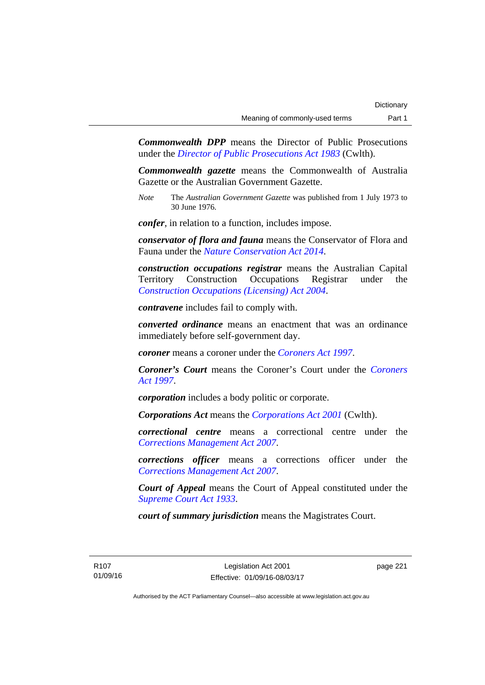*Commonwealth DPP* means the Director of Public Prosecutions under the *[Director of Public Prosecutions Act 1983](http://www.comlaw.gov.au/Series/C2004A02830)* (Cwlth).

*Commonwealth gazette* means the Commonwealth of Australia Gazette or the Australian Government Gazette.

*Note* The *Australian Government Gazette* was published from 1 July 1973 to 30 June 1976.

*confer*, in relation to a function, includes impose.

*conservator of flora and fauna* means the Conservator of Flora and Fauna under the *[Nature Conservation Act 2014](http://www.legislation.act.gov.au/a/2014-59)*.

*construction occupations registrar* means the Australian Capital Territory Construction Occupations Registrar under the *[Construction Occupations \(Licensing\) Act 2004](http://www.legislation.act.gov.au/a/2004-12)*.

*contravene* includes fail to comply with.

*converted ordinance* means an enactment that was an ordinance immediately before self-government day.

*coroner* means a coroner under the *[Coroners Act 1997](http://www.legislation.act.gov.au/a/1997-57)*.

*Coroner's Court* means the Coroner's Court under the *[Coroners](http://www.legislation.act.gov.au/a/1997-57)  [Act 1997](http://www.legislation.act.gov.au/a/1997-57)*.

*corporation* includes a body politic or corporate.

*Corporations Act* means the *[Corporations Act 2001](http://www.comlaw.gov.au/Series/C2004A00818)* (Cwlth).

*correctional centre* means a correctional centre under the *[Corrections Management Act 2007](http://www.legislation.act.gov.au/a/2007-15)*.

*corrections officer* means a corrections officer under the *[Corrections Management Act 2007](http://www.legislation.act.gov.au/a/2007-15)*.

*Court of Appeal* means the Court of Appeal constituted under the *[Supreme Court Act 1933](http://www.legislation.act.gov.au/a/1933-34)*.

*court of summary jurisdiction* means the Magistrates Court.

R107 01/09/16 page 221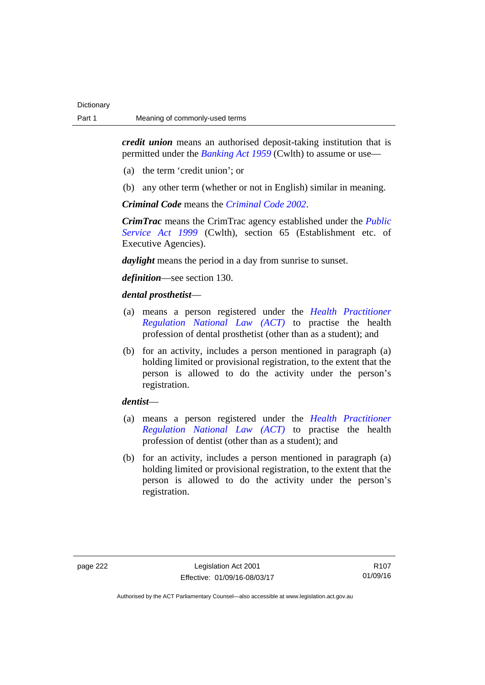*credit union* means an authorised deposit-taking institution that is permitted under the *[Banking Act 1959](http://www.comlaw.gov.au/Series/C2004A07357)* (Cwlth) to assume or use—

- (a) the term 'credit union'; or
- (b) any other term (whether or not in English) similar in meaning.

*Criminal Code* means the *[Criminal Code 2002](http://www.legislation.act.gov.au/a/2002-51)*.

*CrimTrac* means the CrimTrac agency established under the *[Public](http://www.comlaw.gov.au/Series/C2004A00538)  [Service Act 1999](http://www.comlaw.gov.au/Series/C2004A00538)* (Cwlth), section 65 (Establishment etc. of Executive Agencies).

*daylight* means the period in a day from sunrise to sunset.

*definition*—see section 130.

## *dental prosthetist*—

- (a) means a person registered under the *[Health Practitioner](http://www.legislation.act.gov.au/a/db_39269/default.asp)  [Regulation National Law \(ACT\)](http://www.legislation.act.gov.au/a/db_39269/default.asp)* to practise the health profession of dental prosthetist (other than as a student); and
- (b) for an activity, includes a person mentioned in paragraph (a) holding limited or provisional registration, to the extent that the person is allowed to do the activity under the person's registration.

## *dentist*—

- (a) means a person registered under the *[Health Practitioner](http://www.legislation.act.gov.au/a/db_39269/default.asp)  [Regulation National Law \(ACT\)](http://www.legislation.act.gov.au/a/db_39269/default.asp)* to practise the health profession of dentist (other than as a student); and
- (b) for an activity, includes a person mentioned in paragraph (a) holding limited or provisional registration, to the extent that the person is allowed to do the activity under the person's registration.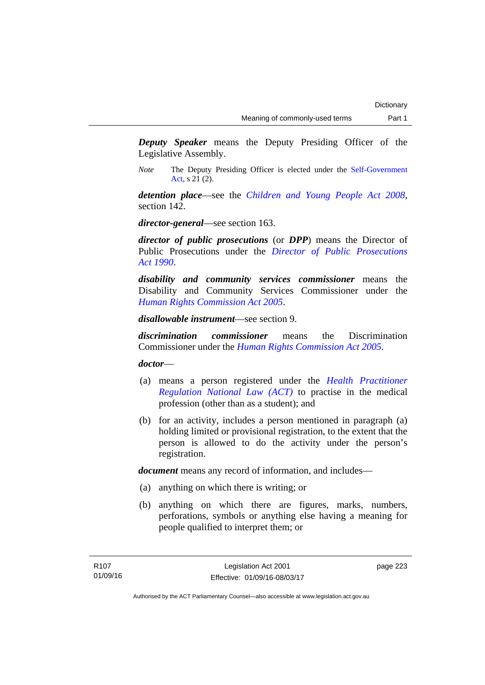*Deputy Speaker* means the Deputy Presiding Officer of the Legislative Assembly.

*Note* The Deputy Presiding Officer is elected under the [Self-Government](http://www.comlaw.gov.au/Series/C2004A03699)  [Act](http://www.comlaw.gov.au/Series/C2004A03699), s 21 (2).

*detention place*—see the *[Children and Young People Act 2008](http://www.legislation.act.gov.au/a/2008-19)*, section 142.

*director-general*—see section 163.

*director of public prosecutions* (or *DPP*) means the Director of Public Prosecutions under the *[Director of Public Prosecutions](http://www.legislation.act.gov.au/a/1990-22)  [Act 1990](http://www.legislation.act.gov.au/a/1990-22)*.

*disability and community services commissioner* means the Disability and Community Services Commissioner under the *[Human Rights Commission Act 2005](http://www.legislation.act.gov.au/a/2005-40)*.

*disallowable instrument*—see section 9.

*discrimination commissioner* means the Discrimination Commissioner under the *[Human Rights Commission Act 2005](http://www.legislation.act.gov.au/a/2005-40)*.

*doctor*—

- (a) means a person registered under the *[Health Practitioner](http://www.legislation.act.gov.au/a/db_39269/default.asp)  [Regulation National Law \(ACT\)](http://www.legislation.act.gov.au/a/db_39269/default.asp)* to practise in the medical profession (other than as a student); and
- (b) for an activity, includes a person mentioned in paragraph (a) holding limited or provisional registration, to the extent that the person is allowed to do the activity under the person's registration.

*document* means any record of information, and includes—

- (a) anything on which there is writing; or
- (b) anything on which there are figures, marks, numbers, perforations, symbols or anything else having a meaning for people qualified to interpret them; or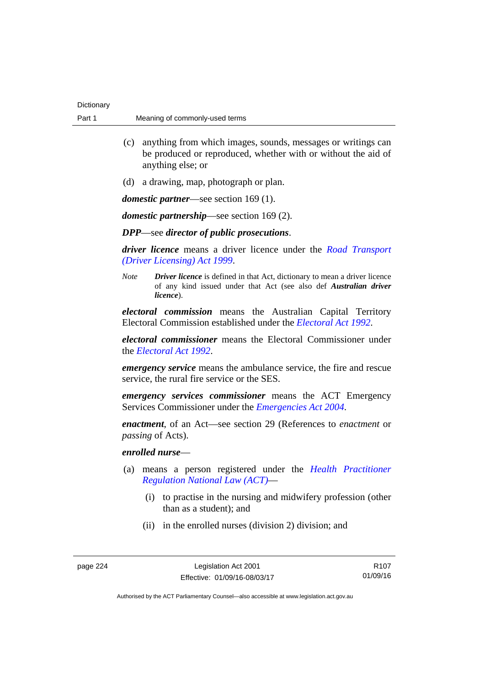| Dictionary |                                |
|------------|--------------------------------|
| Part 1     | Meaning of commonly-used terms |

- (c) anything from which images, sounds, messages or writings can be produced or reproduced, whether with or without the aid of anything else; or
- (d) a drawing, map, photograph or plan.

*domestic partner*—see section 169 (1).

*domestic partnership*—see section 169 (2).

## *DPP*—see *director of public prosecutions*.

*driver licence* means a driver licence under the *[Road Transport](http://www.legislation.act.gov.au/a/1999-78)  [\(Driver Licensing\) Act 1999](http://www.legislation.act.gov.au/a/1999-78)*.

*Note Driver licence* is defined in that Act, dictionary to mean a driver licence of any kind issued under that Act (see also def *Australian driver licence*).

*electoral commission* means the Australian Capital Territory Electoral Commission established under the *[Electoral Act 1992](http://www.legislation.act.gov.au/a/1992-71)*.

*electoral commissioner* means the Electoral Commissioner under the *[Electoral Act 1992](http://www.legislation.act.gov.au/a/1992-71)*.

*emergency service* means the ambulance service, the fire and rescue service, the rural fire service or the SES.

*emergency services commissioner* means the ACT Emergency Services Commissioner under the *[Emergencies Act 2004](http://www.legislation.act.gov.au/a/2004-28)*.

*enactment*, of an Act—see section 29 (References to *enactment* or *passing* of Acts).

## *enrolled nurse*—

- (a) means a person registered under the *[Health Practitioner](http://www.legislation.act.gov.au/a/db_39269/default.asp)  [Regulation National Law \(ACT\)](http://www.legislation.act.gov.au/a/db_39269/default.asp)*—
	- (i) to practise in the nursing and midwifery profession (other than as a student); and
	- (ii) in the enrolled nurses (division 2) division; and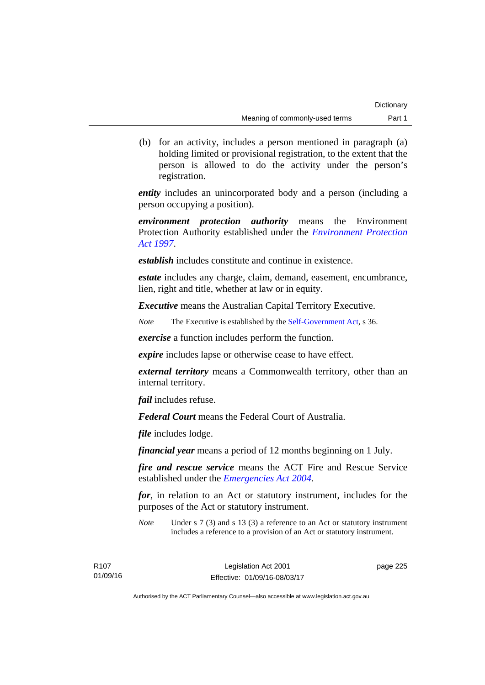(b) for an activity, includes a person mentioned in paragraph (a) holding limited or provisional registration, to the extent that the person is allowed to do the activity under the person's registration.

*entity* includes an unincorporated body and a person (including a person occupying a position).

*environment protection authority* means the Environment Protection Authority established under the *[Environment Protection](http://www.legislation.act.gov.au/a/1997-92)  [Act 1997](http://www.legislation.act.gov.au/a/1997-92)*.

*establish* includes constitute and continue in existence.

*estate* includes any charge, claim, demand, easement, encumbrance, lien, right and title, whether at law or in equity.

*Executive* means the Australian Capital Territory Executive.

*Note* The Executive is established by the [Self-Government Act](http://www.comlaw.gov.au/Series/C2004A03699), s 36.

*exercise* a function includes perform the function.

*expire* includes lapse or otherwise cease to have effect.

*external territory* means a Commonwealth territory, other than an internal territory.

*fail* includes refuse.

*Federal Court* means the Federal Court of Australia.

*file* includes lodge.

*financial year* means a period of 12 months beginning on 1 July.

*fire and rescue service* means the ACT Fire and Rescue Service established under the *[Emergencies Act 2004](http://www.legislation.act.gov.au/a/2004-28)*.

*for*, in relation to an Act or statutory instrument, includes for the purposes of the Act or statutory instrument.

*Note* Under s 7 (3) and s 13 (3) a reference to an Act or statutory instrument includes a reference to a provision of an Act or statutory instrument.

R107 01/09/16 page 225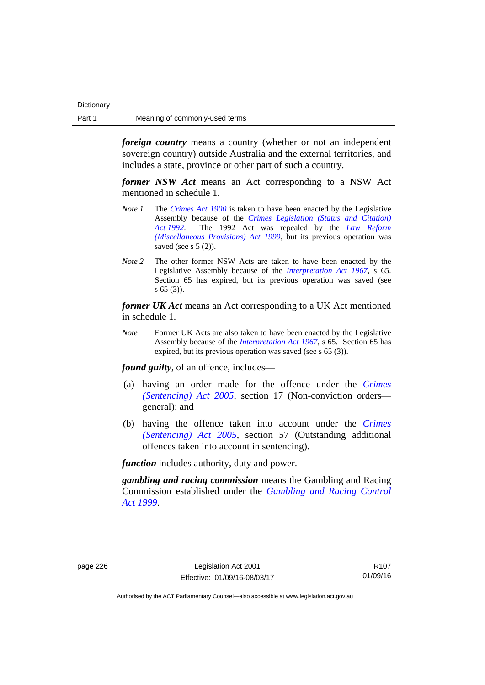*foreign country* means a country (whether or not an independent sovereign country) outside Australia and the external territories, and includes a state, province or other part of such a country.

*former NSW Act* means an Act corresponding to a NSW Act mentioned in schedule 1.

- *Note 1* The *[Crimes Act 1900](http://www.legislation.act.gov.au/a/1900-40)* is taken to have been enacted by the Legislative Assembly because of the *[Crimes Legislation \(Status and Citation\)](http://www.legislation.act.gov.au/a/1992-6)  [Act 1992](http://www.legislation.act.gov.au/a/1992-6)*. The 1992 Act was repealed by the *[Law Reform](http://www.legislation.act.gov.au/a/1999-66)  [\(Miscellaneous Provisions\) Act 1999](http://www.legislation.act.gov.au/a/1999-66)*, but its previous operation was saved (see s  $5(2)$ ).
- *Note 2* The other former NSW Acts are taken to have been enacted by the Legislative Assembly because of the *[Interpretation Act 1967](http://www.legislation.act.gov.au/a/1967-48)*, s 65. Section 65 has expired, but its previous operation was saved (see s 65 (3)).

*former UK Act* means an Act corresponding to a UK Act mentioned in schedule 1.

*Note* Former UK Acts are also taken to have been enacted by the Legislative Assembly because of the *[Interpretation Act 1967](http://www.legislation.act.gov.au/a/1967-48)*, s 65. Section 65 has expired, but its previous operation was saved (see s 65 (3)).

*found guilty*, of an offence, includes—

- (a) having an order made for the offence under the *[Crimes](http://www.legislation.act.gov.au/a/2005-58)  [\(Sentencing\) Act 2005](http://www.legislation.act.gov.au/a/2005-58)*, section 17 (Non-conviction orders general); and
- (b) having the offence taken into account under the *[Crimes](http://www.legislation.act.gov.au/a/2005-58)  [\(Sentencing\) Act 2005](http://www.legislation.act.gov.au/a/2005-58)*, section 57 (Outstanding additional offences taken into account in sentencing).

*function* includes authority, duty and power.

*gambling and racing commission* means the Gambling and Racing Commission established under the *[Gambling and Racing Control](http://www.legislation.act.gov.au/a/1999-46)  [Act 1999](http://www.legislation.act.gov.au/a/1999-46)*.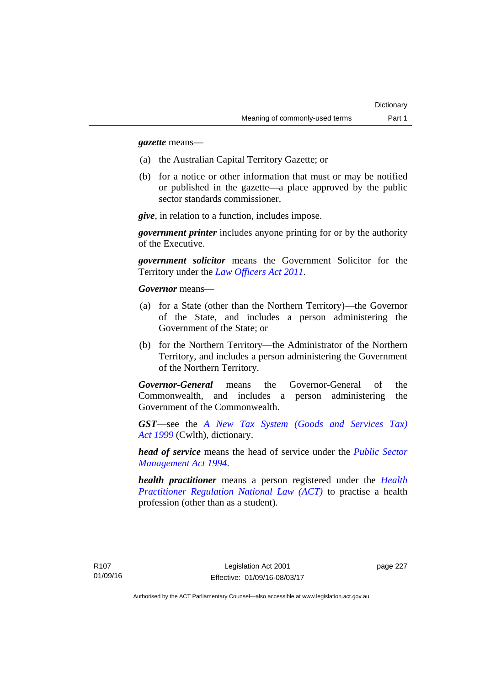*gazette* means—

- (a) the Australian Capital Territory Gazette; or
- (b) for a notice or other information that must or may be notified or published in the gazette—a place approved by the public sector standards commissioner.

*give*, in relation to a function, includes impose.

*government printer* includes anyone printing for or by the authority of the Executive.

*government solicitor* means the Government Solicitor for the Territory under the *[Law Officers Act 2011](http://www.legislation.act.gov.au/a/2011-30)*.

*Governor* means—

- (a) for a State (other than the Northern Territory)—the Governor of the State, and includes a person administering the Government of the State; or
- (b) for the Northern Territory—the Administrator of the Northern Territory, and includes a person administering the Government of the Northern Territory.

*Governor-General* means the Governor-General of the Commonwealth, and includes a person administering the Government of the Commonwealth.

*GST*—see the *[A New Tax System \(Goods and Services Tax\)](http://www.comlaw.gov.au/Series/C2004A00446)  [Act 1999](http://www.comlaw.gov.au/Series/C2004A00446)* (Cwlth), dictionary.

*head of service* means the head of service under the *[Public Sector](http://www.legislation.act.gov.au/a/1994-37)  [Management Act 1994](http://www.legislation.act.gov.au/a/1994-37)*.

*health practitioner* means a person registered under the *[Health](http://www.legislation.act.gov.au/a/db_39269/default.asp)  [Practitioner Regulation National Law \(ACT\)](http://www.legislation.act.gov.au/a/db_39269/default.asp)* to practise a health profession (other than as a student).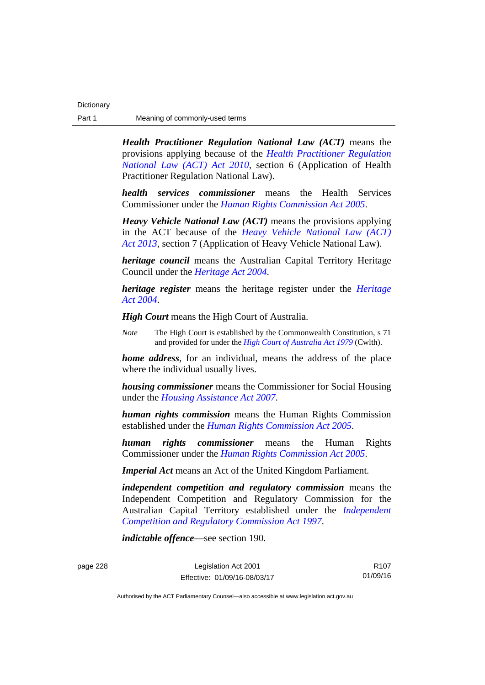*Health Practitioner Regulation National Law (ACT)* means the provisions applying because of the *[Health Practitioner Regulation](http://www.legislation.act.gov.au/a/2010-10)  [National Law \(ACT\) Act 2010](http://www.legislation.act.gov.au/a/2010-10)*, section 6 (Application of Health Practitioner Regulation National Law).

*health services commissioner* means the Health Services Commissioner under the *[Human Rights Commission Act 2005](http://www.legislation.act.gov.au/a/2005-40)*.

*Heavy Vehicle National Law (ACT)* means the provisions applying in the ACT because of the *[Heavy Vehicle National Law \(ACT\)](http://www.legislation.act.gov.au/a/2013-51/default.asp)  [Act 2013](http://www.legislation.act.gov.au/a/2013-51/default.asp)*, section 7 (Application of Heavy Vehicle National Law).

*heritage council* means the Australian Capital Territory Heritage Council under the *[Heritage Act 2004](http://www.legislation.act.gov.au/a/2004-57)*.

*heritage register* means the heritage register under the *[Heritage](http://www.legislation.act.gov.au/a/2004-57)  [Act 2004](http://www.legislation.act.gov.au/a/2004-57)*.

*High Court* means the High Court of Australia.

*Note* The High Court is established by the Commonwealth Constitution, s 71 and provided for under the *[High Court of Australia Act 1979](http://www.comlaw.gov.au/Series/C2004A02147)* (Cwlth).

*home address*, for an individual, means the address of the place where the individual usually lives.

*housing commissioner* means the Commissioner for Social Housing under the *[Housing Assistance Act 2007](http://www.legislation.act.gov.au/a/2007-8)*.

*human rights commission* means the Human Rights Commission established under the *[Human Rights Commission Act 2005](http://www.legislation.act.gov.au/a/2005-40)*.

*human rights commissioner* means the Human Rights Commissioner under the *[Human Rights Commission Act 2005](http://www.legislation.act.gov.au/a/2005-40)*.

*Imperial Act* means an Act of the United Kingdom Parliament.

*independent competition and regulatory commission* means the Independent Competition and Regulatory Commission for the Australian Capital Territory established under the *[Independent](http://www.legislation.act.gov.au/a/1997-77)  [Competition and Regulatory Commission Act 1997](http://www.legislation.act.gov.au/a/1997-77)*.

*indictable offence*—see section 190.

page 228 Legislation Act 2001 Effective: 01/09/16-08/03/17

R107 01/09/16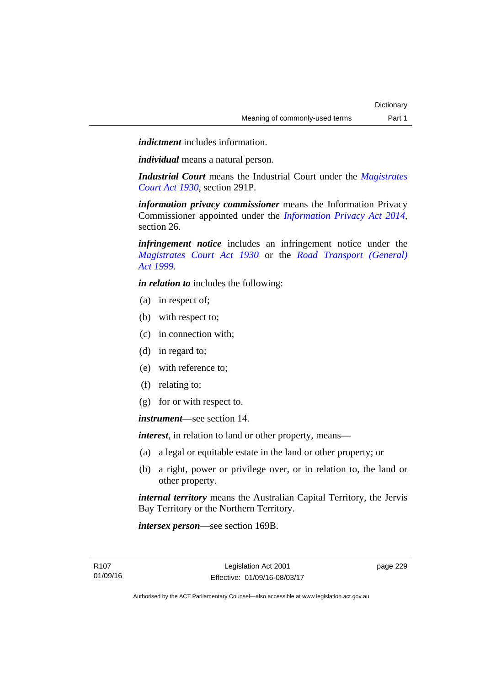*indictment* includes information.

*individual* means a natural person.

*Industrial Court* means the Industrial Court under the *[Magistrates](http://www.legislation.act.gov.au/a/1930-21)  [Court Act 1930](http://www.legislation.act.gov.au/a/1930-21)*, section 291P.

*information privacy commissioner* means the Information Privacy Commissioner appointed under the *[Information Privacy Act 2014](http://www.legislation.act.gov.au/a/2014-24/default.asp)*, section 26.

*infringement notice* includes an infringement notice under the *[Magistrates Court Act 1930](http://www.legislation.act.gov.au/a/1930-21)* or the *[Road Transport \(General\)](http://www.legislation.act.gov.au/a/1999-77)  [Act 1999](http://www.legislation.act.gov.au/a/1999-77)*.

*in relation to* includes the following:

- (a) in respect of;
- (b) with respect to;
- (c) in connection with;
- (d) in regard to;
- (e) with reference to;
- (f) relating to;
- (g) for or with respect to.

*instrument*—see section 14.

*interest*, in relation to land or other property, means—

- (a) a legal or equitable estate in the land or other property; or
- (b) a right, power or privilege over, or in relation to, the land or other property.

*internal territory* means the Australian Capital Territory, the Jervis Bay Territory or the Northern Territory.

*intersex person*—see section 169B.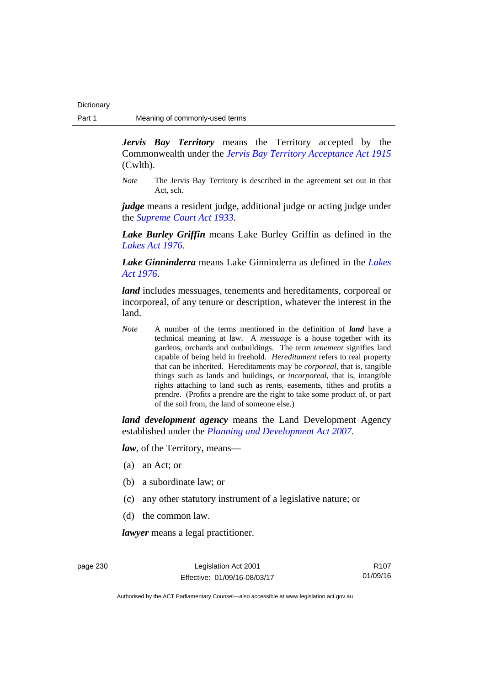*Jervis Bay Territory* means the Territory accepted by the Commonwealth under the *[Jervis Bay Territory Acceptance Act 1915](http://www.comlaw.gov.au/Series/C2004A07489)* (Cwlth).

*Note* The Jervis Bay Territory is described in the agreement set out in that Act, sch.

*judge* means a resident judge, additional judge or acting judge under the *[Supreme Court Act 1933](http://www.legislation.act.gov.au/a/1933-34)*.

*Lake Burley Griffin* means Lake Burley Griffin as defined in the *[Lakes Act 1976](http://www.legislation.act.gov.au/a/1976-65)*.

*Lake Ginninderra* means Lake Ginninderra as defined in the *[Lakes](http://www.legislation.act.gov.au/a/1976-65)  [Act 1976](http://www.legislation.act.gov.au/a/1976-65)*.

*land* includes messuages, tenements and hereditaments, corporeal or incorporeal, of any tenure or description, whatever the interest in the land.

*Note* A number of the terms mentioned in the definition of *land* have a technical meaning at law. A *messuage* is a house together with its gardens, orchards and outbuildings. The term *tenement* signifies land capable of being held in freehold. *Hereditament* refers to real property that can be inherited. Hereditaments may be *corporeal*, that is, tangible things such as lands and buildings, or *incorporeal*, that is, intangible rights attaching to land such as rents, easements, tithes and profits a prendre. (Profits a prendre are the right to take some product of, or part of the soil from, the land of someone else.)

*land development agency* means the Land Development Agency established under the *[Planning and Development Act 2007](http://www.legislation.act.gov.au/a/2007-24)*.

*law*, of the Territory, means—

- (a) an Act; or
- (b) a subordinate law; or
- (c) any other statutory instrument of a legislative nature; or
- (d) the common law.

*lawyer* means a legal practitioner.

page 230 Legislation Act 2001 Effective: 01/09/16-08/03/17

R107 01/09/16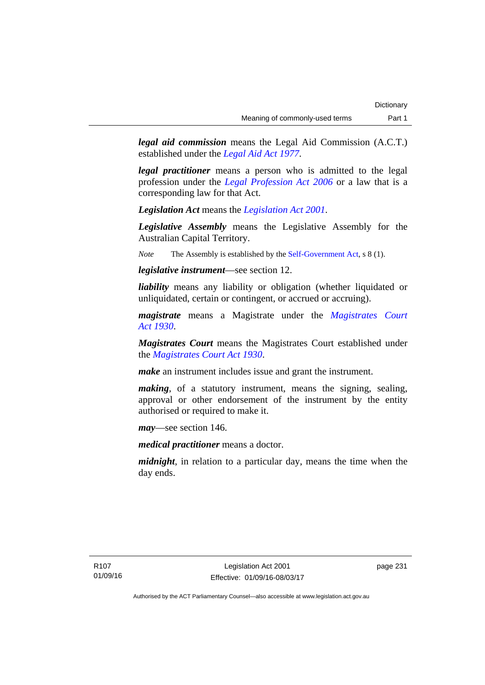*legal aid commission* means the Legal Aid Commission (A.C.T.) established under the *[Legal Aid Act 1977](http://www.legislation.act.gov.au/a/1977-31)*.

*legal practitioner* means a person who is admitted to the legal profession under the *[Legal Profession Act 2006](http://www.legislation.act.gov.au/a/2006-25)* or a law that is a corresponding law for that Act.

*Legislation Act* means the *[Legislation Act 2001](http://www.legislation.act.gov.au/a/2001-14)*.

*Legislative Assembly* means the Legislative Assembly for the Australian Capital Territory.

*Note* The Assembly is established by the [Self-Government Act](http://www.comlaw.gov.au/Series/C2004A03699), s 8 (1).

*legislative instrument*—see section 12.

*liability* means any liability or obligation (whether liquidated or unliquidated, certain or contingent, or accrued or accruing).

*magistrate* means a Magistrate under the *[Magistrates Court](http://www.legislation.act.gov.au/a/1930-21)  [Act 1930](http://www.legislation.act.gov.au/a/1930-21)*.

*Magistrates Court* means the Magistrates Court established under the *[Magistrates Court Act 1930](http://www.legislation.act.gov.au/a/1930-21)*.

*make* an instrument includes issue and grant the instrument.

*making*, of a statutory instrument, means the signing, sealing, approval or other endorsement of the instrument by the entity authorised or required to make it.

*may*—see section 146.

*medical practitioner* means a doctor.

*midnight*, in relation to a particular day, means the time when the day ends.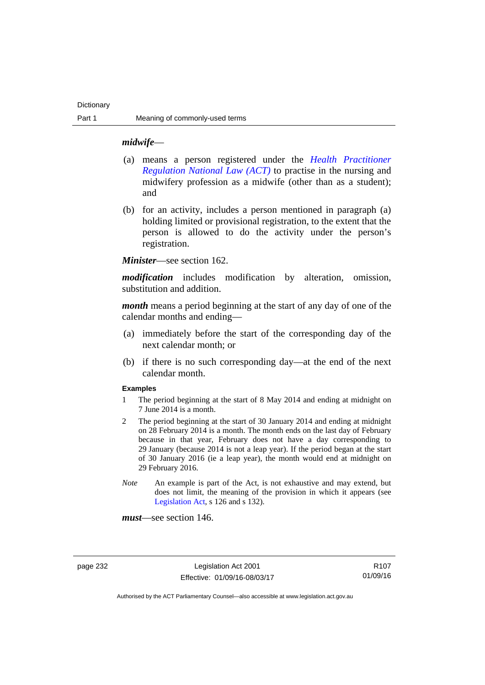### *midwife*—

- (a) means a person registered under the *[Health Practitioner](http://www.legislation.act.gov.au/a/db_39269/default.asp)  [Regulation National Law \(ACT\)](http://www.legislation.act.gov.au/a/db_39269/default.asp)* to practise in the nursing and midwifery profession as a midwife (other than as a student); and
- (b) for an activity, includes a person mentioned in paragraph (a) holding limited or provisional registration, to the extent that the person is allowed to do the activity under the person's registration.

*Minister*—see section 162.

*modification* includes modification by alteration, omission, substitution and addition.

*month* means a period beginning at the start of any day of one of the calendar months and ending—

- (a) immediately before the start of the corresponding day of the next calendar month; or
- (b) if there is no such corresponding day—at the end of the next calendar month.

## **Examples**

- 1 The period beginning at the start of 8 May 2014 and ending at midnight on 7 June 2014 is a month.
- 2 The period beginning at the start of 30 January 2014 and ending at midnight on 28 February 2014 is a month. The month ends on the last day of February because in that year, February does not have a day corresponding to 29 January (because 2014 is not a leap year). If the period began at the start of 30 January 2016 (ie a leap year), the month would end at midnight on 29 February 2016.
- *Note* An example is part of the Act, is not exhaustive and may extend, but does not limit, the meaning of the provision in which it appears (see [Legislation Act,](http://www.legislation.act.gov.au/a/2001-14) s 126 and s 132).

*must*—see section 146.

page 232 Legislation Act 2001 Effective: 01/09/16-08/03/17

R107 01/09/16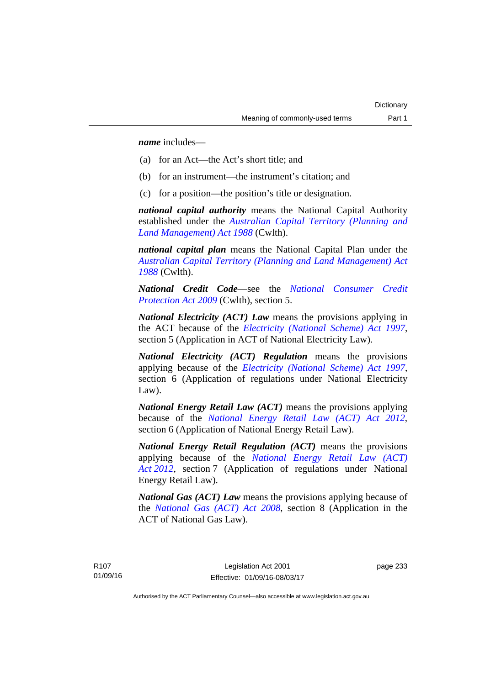*name* includes—

- (a) for an Act—the Act's short title; and
- (b) for an instrument—the instrument's citation; and
- (c) for a position—the position's title or designation.

*national capital authority* means the National Capital Authority established under the *[Australian Capital Territory \(Planning and](http://www.comlaw.gov.au/Series/C2004A03701)  [Land Management\) Act 1988](http://www.comlaw.gov.au/Series/C2004A03701)* (Cwlth).

*national capital plan* means the National Capital Plan under the *[Australian Capital Territory \(Planning and Land Management\) Act](http://www.comlaw.gov.au/Series/C2004A03701)  [1988](http://www.comlaw.gov.au/Series/C2004A03701)* (Cwlth).

*National Credit Code*—see the *[National Consumer Credit](http://www.comlaw.gov.au/Series/C2009A00134)  [Protection Act 2009](http://www.comlaw.gov.au/Series/C2009A00134)* (Cwlth), section 5.

*National Electricity (ACT) Law* means the provisions applying in the ACT because of the *[Electricity \(National Scheme\) Act 1997](http://www.legislation.act.gov.au/a/1997-79)*, section 5 (Application in ACT of National Electricity Law).

*National Electricity (ACT) Regulation* means the provisions applying because of the *[Electricity \(National Scheme\) Act 1997](http://www.legislation.act.gov.au/a/1997-79)*, section 6 (Application of regulations under National Electricity Law).

*National Energy Retail Law (ACT)* means the provisions applying because of the *[National Energy Retail Law \(ACT\) Act 2012](http://www.legislation.act.gov.au/a/2012-31)*, section 6 (Application of National Energy Retail Law).

*National Energy Retail Regulation (ACT)* means the provisions applying because of the *[National Energy Retail Law \(ACT\)](http://www.legislation.act.gov.au/a/2012-31)  [Act 2012](http://www.legislation.act.gov.au/a/2012-31)*, section 7 (Application of regulations under National Energy Retail Law).

*National Gas (ACT) Law* means the provisions applying because of the *[National Gas \(ACT\) Act 2008](http://www.legislation.act.gov.au/a/2008-15)*, section 8 (Application in the ACT of National Gas Law).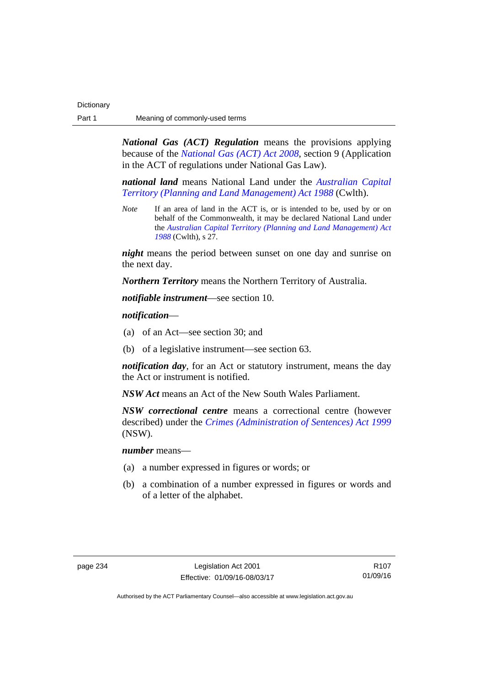*National Gas (ACT) Regulation* means the provisions applying because of the *[National Gas \(ACT\) Act 2008](http://www.legislation.act.gov.au/a/2008-15)*, section 9 (Application in the ACT of regulations under National Gas Law).

*national land* means National Land under the *[Australian Capital](http://www.comlaw.gov.au/Series/C2004A03701)  [Territory \(Planning and Land Management\) Act 1988](http://www.comlaw.gov.au/Series/C2004A03701)* (Cwlth).

*Note* If an area of land in the ACT is, or is intended to be, used by or on behalf of the Commonwealth, it may be declared National Land under the *[Australian Capital Territory \(Planning and Land Management\) Act](http://www.comlaw.gov.au/Series/C2004A03701)  [1988](http://www.comlaw.gov.au/Series/C2004A03701)* (Cwlth), s 27.

*night* means the period between sunset on one day and sunrise on the next day.

*Northern Territory* means the Northern Territory of Australia.

*notifiable instrument*—see section 10.

*notification*—

- (a) of an Act—see section 30; and
- (b) of a legislative instrument—see section 63.

*notification day*, for an Act or statutory instrument, means the day the Act or instrument is notified.

*NSW Act* means an Act of the New South Wales Parliament.

*NSW correctional centre* means a correctional centre (however described) under the *[Crimes \(Administration of Sentences\) Act 1999](http://www.legislation.nsw.gov.au/maintop/view/inforce/act+93+1999+cd+0+N)* (NSW).

*number* means—

- (a) a number expressed in figures or words; or
- (b) a combination of a number expressed in figures or words and of a letter of the alphabet.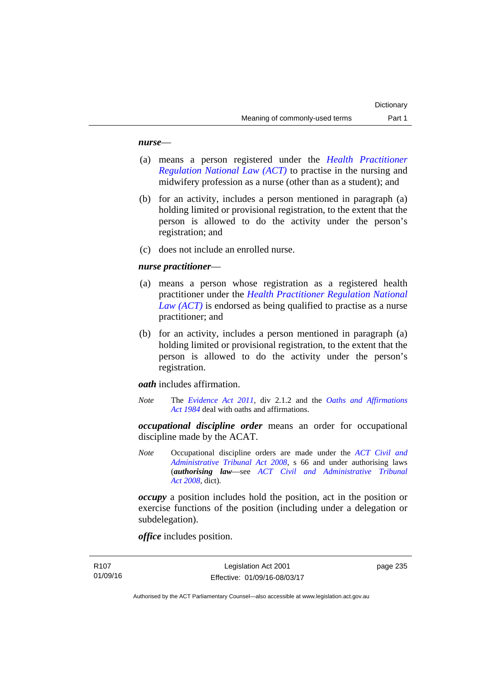### *nurse*—

- (a) means a person registered under the *[Health Practitioner](http://www.legislation.act.gov.au/a/db_39269/default.asp)  [Regulation National Law \(ACT\)](http://www.legislation.act.gov.au/a/db_39269/default.asp)* to practise in the nursing and midwifery profession as a nurse (other than as a student); and
- (b) for an activity, includes a person mentioned in paragraph (a) holding limited or provisional registration, to the extent that the person is allowed to do the activity under the person's registration; and
- (c) does not include an enrolled nurse.

## *nurse practitioner*—

- (a) means a person whose registration as a registered health practitioner under the *[Health Practitioner Regulation National](http://www.legislation.act.gov.au/a/db_39269/default.asp)  [Law \(ACT\)](http://www.legislation.act.gov.au/a/db_39269/default.asp)* is endorsed as being qualified to practise as a nurse practitioner; and
- (b) for an activity, includes a person mentioned in paragraph (a) holding limited or provisional registration, to the extent that the person is allowed to do the activity under the person's registration.

*oath* includes affirmation.

*Note* The *[Evidence Act 2011](http://www.legislation.act.gov.au/a/2011-12)*, div 2.1.2 and the *[Oaths and Affirmations](http://www.legislation.act.gov.au/a/1984-79)  [Act 1984](http://www.legislation.act.gov.au/a/1984-79)* deal with oaths and affirmations.

*occupational discipline order* means an order for occupational discipline made by the ACAT.

*Note* Occupational discipline orders are made under the *[ACT Civil and](http://www.legislation.act.gov.au/a/2008-35)  [Administrative Tribunal Act 2008](http://www.legislation.act.gov.au/a/2008-35)*, s 66 and under authorising laws (*authorising law*—see *[ACT Civil and Administrative Tribunal](http://www.legislation.act.gov.au/a/2008-35)  [Act 2008](http://www.legislation.act.gov.au/a/2008-35)*, dict).

*occupy* a position includes hold the position, act in the position or exercise functions of the position (including under a delegation or subdelegation).

*office* includes position.

page 235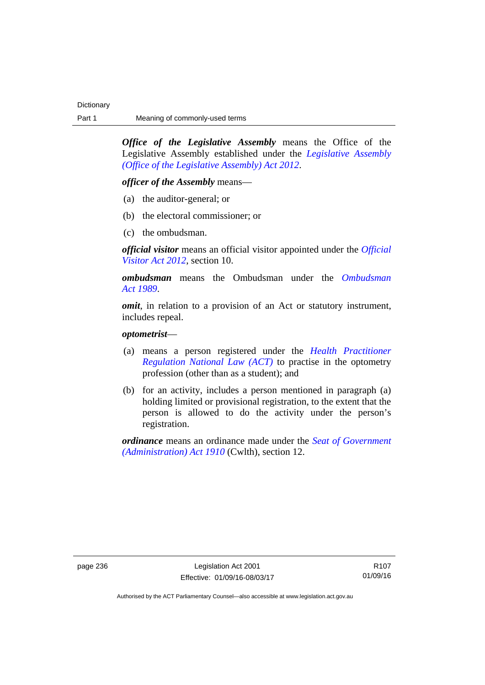*Office of the Legislative Assembly* means the Office of the Legislative Assembly established under the *[Legislative Assembly](http://www.legislation.act.gov.au/a/2012-26)  [\(Office of the Legislative Assembly\) Act 2012](http://www.legislation.act.gov.au/a/2012-26)*.

*officer of the Assembly* means—

- (a) the auditor-general; or
- (b) the electoral commissioner; or
- (c) the ombudsman.

*official visitor* means an official visitor appointed under the *[Official](http://www.legislation.act.gov.au/a/2012-33)  [Visitor Act 2012](http://www.legislation.act.gov.au/a/2012-33)*, section 10.

*ombudsman* means the Ombudsman under the *[Ombudsman](http://www.legislation.act.gov.au/a/alt_a1989-45co)  [Act 1989](http://www.legislation.act.gov.au/a/alt_a1989-45co)*.

*omit*, in relation to a provision of an Act or statutory instrument, includes repeal.

## *optometrist*—

- (a) means a person registered under the *[Health Practitioner](http://www.legislation.act.gov.au/a/db_39269/default.asp)  [Regulation National Law \(ACT\)](http://www.legislation.act.gov.au/a/db_39269/default.asp)* to practise in the optometry profession (other than as a student); and
- (b) for an activity, includes a person mentioned in paragraph (a) holding limited or provisional registration, to the extent that the person is allowed to do the activity under the person's registration.

*ordinance* means an ordinance made under the *[Seat of Government](http://www.comlaw.gov.au/Series/C2004A07446)  [\(Administration\) Act 1910](http://www.comlaw.gov.au/Series/C2004A07446)* (Cwlth), section 12.

page 236 Legislation Act 2001 Effective: 01/09/16-08/03/17

R107 01/09/16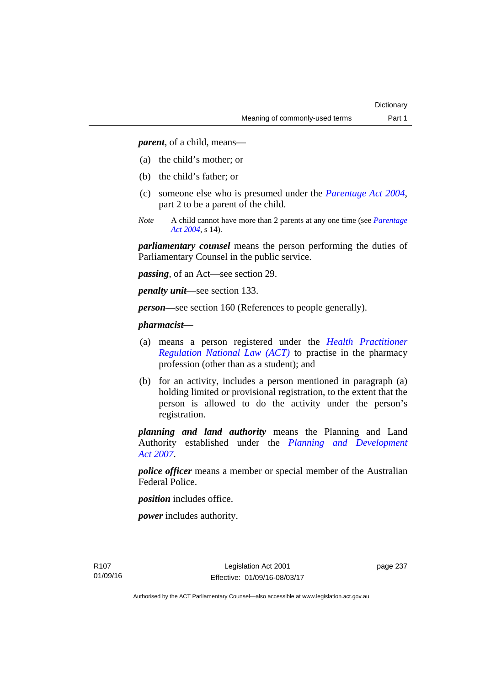*parent*, of a child, means—

- (a) the child's mother; or
- (b) the child's father; or
- (c) someone else who is presumed under the *[Parentage Act 2004](http://www.legislation.act.gov.au/a/2004-1)*, part 2 to be a parent of the child.
- *Note* A child cannot have more than 2 parents at any one time (see *[Parentage](http://www.legislation.act.gov.au/a/2004-1)  [Act 2004](http://www.legislation.act.gov.au/a/2004-1)*, s 14).

*parliamentary counsel* means the person performing the duties of Parliamentary Counsel in the public service.

*passing*, of an Act—see section 29.

*penalty unit*—see section 133.

*person—*see section 160 (References to people generally).

## *pharmacist***—**

- (a) means a person registered under the *[Health Practitioner](http://www.legislation.act.gov.au/a/db_39269/default.asp)  [Regulation National Law \(ACT\)](http://www.legislation.act.gov.au/a/db_39269/default.asp)* to practise in the pharmacy profession (other than as a student); and
- (b) for an activity, includes a person mentioned in paragraph (a) holding limited or provisional registration, to the extent that the person is allowed to do the activity under the person's registration.

*planning and land authority* means the Planning and Land Authority established under the *[Planning and Development](http://www.legislation.act.gov.au/a/2007-24)  [Act 2007](http://www.legislation.act.gov.au/a/2007-24)*.

*police officer* means a member or special member of the Australian Federal Police.

*position* includes office.

*power* includes authority.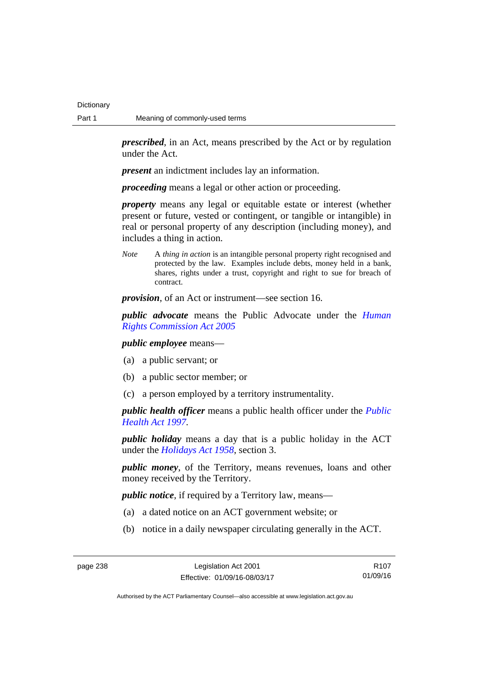*prescribed*, in an Act, means prescribed by the Act or by regulation under the Act.

*present* an indictment includes lay an information.

*proceeding* means a legal or other action or proceeding.

*property* means any legal or equitable estate or interest (whether present or future, vested or contingent, or tangible or intangible) in real or personal property of any description (including money), and includes a thing in action.

*Note* A *thing in action* is an intangible personal property right recognised and protected by the law. Examples include debts, money held in a bank, shares, rights under a trust, copyright and right to sue for breach of contract.

*provision*, of an Act or instrument—see section 16.

*public advocate* means the Public Advocate under the *[Human](http://www.legislation.act.gov.au/a/2005-40)  [Rights Commission Act 2005](http://www.legislation.act.gov.au/a/2005-40)*

*public employee* means—

- (a) a public servant; or
- (b) a public sector member; or
- (c) a person employed by a territory instrumentality.

*public health officer* means a public health officer under the *[Public](http://www.legislation.act.gov.au/a/1997-69)  [Health Act 1997.](http://www.legislation.act.gov.au/a/1997-69)*

*public holiday* means a day that is a public holiday in the ACT under the *[Holidays Act 1958](http://www.legislation.act.gov.au/a/1958-19)*, section 3.

*public money*, of the Territory, means revenues, loans and other money received by the Territory.

*public notice*, if required by a Territory law, means—

- (a) a dated notice on an ACT government website; or
- (b) notice in a daily newspaper circulating generally in the ACT.

R107 01/09/16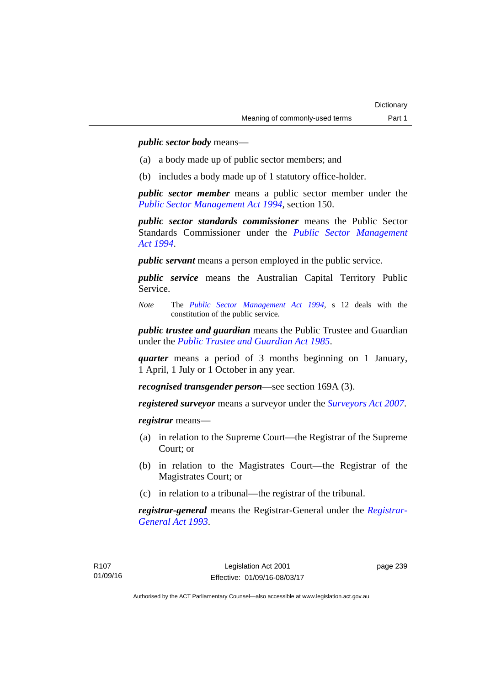*public sector body* means—

- (a) a body made up of public sector members; and
- (b) includes a body made up of 1 statutory office-holder.

*public sector member* means a public sector member under the *[Public Sector Management Act 1994](http://www.legislation.act.gov.au/a/1994-37)*, section 150.

*public sector standards commissioner* means the Public Sector Standards Commissioner under the *[Public Sector Management](http://www.legislation.act.gov.au/a/1994-37)  [Act 1994](http://www.legislation.act.gov.au/a/1994-37)*.

*public servant* means a person employed in the public service.

*public service* means the Australian Capital Territory Public Service.

*Note* The *[Public Sector Management Act 1994](http://www.legislation.act.gov.au/a/1994-37)*, s 12 deals with the constitution of the public service.

*public trustee and guardian* means the Public Trustee and Guardian under the *[Public Trustee and Guardian Act 1985](http://www.legislation.act.gov.au/a/1985-8/default.asp)*.

*quarter* means a period of 3 months beginning on 1 January, 1 April, 1 July or 1 October in any year.

*recognised transgender person*—see section 169A (3).

*registered surveyor* means a surveyor under the *[Surveyors Act 2007](http://www.legislation.act.gov.au/a/2007-33)*.

*registrar* means—

- (a) in relation to the Supreme Court—the Registrar of the Supreme Court; or
- (b) in relation to the Magistrates Court—the Registrar of the Magistrates Court; or
- (c) in relation to a tribunal—the registrar of the tribunal.

*registrar-general* means the Registrar-General under the *[Registrar-](http://www.legislation.act.gov.au/a/1993-63)[General Act 1993](http://www.legislation.act.gov.au/a/1993-63)*.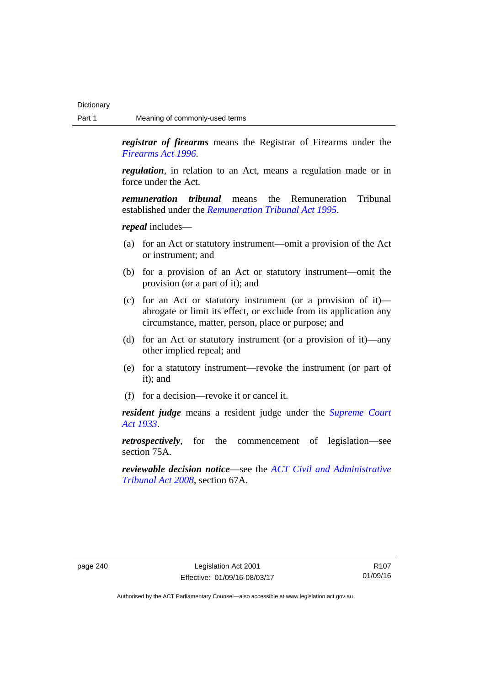*registrar of firearms* means the Registrar of Firearms under the *[Firearms Act 1996](http://www.legislation.act.gov.au/a/1996-74)*.

*regulation*, in relation to an Act, means a regulation made or in force under the Act.

*remuneration tribunal* means the Remuneration Tribunal established under the *[Remuneration Tribunal Act 1995](http://www.legislation.act.gov.au/a/1995-55)*.

*repeal* includes—

- (a) for an Act or statutory instrument—omit a provision of the Act or instrument; and
- (b) for a provision of an Act or statutory instrument—omit the provision (or a part of it); and
- (c) for an Act or statutory instrument (or a provision of it) abrogate or limit its effect, or exclude from its application any circumstance, matter, person, place or purpose; and
- (d) for an Act or statutory instrument (or a provision of it)—any other implied repeal; and
- (e) for a statutory instrument—revoke the instrument (or part of it); and
- (f) for a decision—revoke it or cancel it.

*resident judge* means a resident judge under the *[Supreme Court](http://www.legislation.act.gov.au/a/1933-34)  [Act 1933](http://www.legislation.act.gov.au/a/1933-34)*.

*retrospectively*, for the commencement of legislation—see section 75A.

*reviewable decision notice*—see the *[ACT Civil and Administrative](http://www.legislation.act.gov.au/a/2008-35)  [Tribunal Act 2008](http://www.legislation.act.gov.au/a/2008-35)*, section 67A.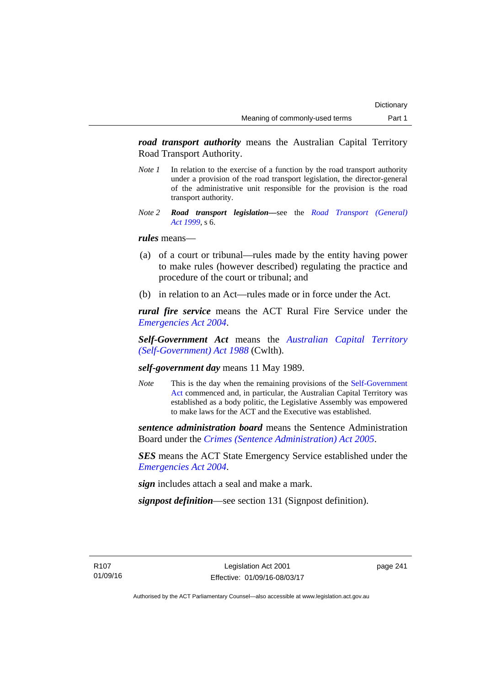*road transport authority* means the Australian Capital Territory Road Transport Authority.

- *Note 1* In relation to the exercise of a function by the road transport authority under a provision of the road transport legislation, the director-general of the administrative unit responsible for the provision is the road transport authority.
- *Note 2 Road transport legislation––*see the *[Road Transport \(General\)](http://www.legislation.act.gov.au/a/1999-77)  [Act 1999](http://www.legislation.act.gov.au/a/1999-77)*, s 6.

### *rules* means—

- (a) of a court or tribunal—rules made by the entity having power to make rules (however described) regulating the practice and procedure of the court or tribunal; and
- (b) in relation to an Act—rules made or in force under the Act.

*rural fire service* means the ACT Rural Fire Service under the *[Emergencies Act 2004](http://www.legislation.act.gov.au/a/2004-28)*.

*Self-Government Act* means the *[Australian Capital Territory](http://www.comlaw.gov.au/Series/C2004A03699)  [\(Self-Government\) Act 1988](http://www.comlaw.gov.au/Series/C2004A03699)* (Cwlth).

## *self-government day* means 11 May 1989.

*Note* This is the day when the remaining provisions of the Self-Government [Act](http://www.comlaw.gov.au/Series/C2004A03699) commenced and, in particular, the Australian Capital Territory was established as a body politic, the Legislative Assembly was empowered to make laws for the ACT and the Executive was established.

*sentence administration board* means the Sentence Administration Board under the *[Crimes \(Sentence Administration\) Act 2005](http://www.legislation.act.gov.au/a/2005-59)*.

*SES* means the ACT State Emergency Service established under the *[Emergencies Act 2004](http://www.legislation.act.gov.au/a/2004-28)*.

*sign* includes attach a seal and make a mark.

*signpost definition*—see section 131 (Signpost definition).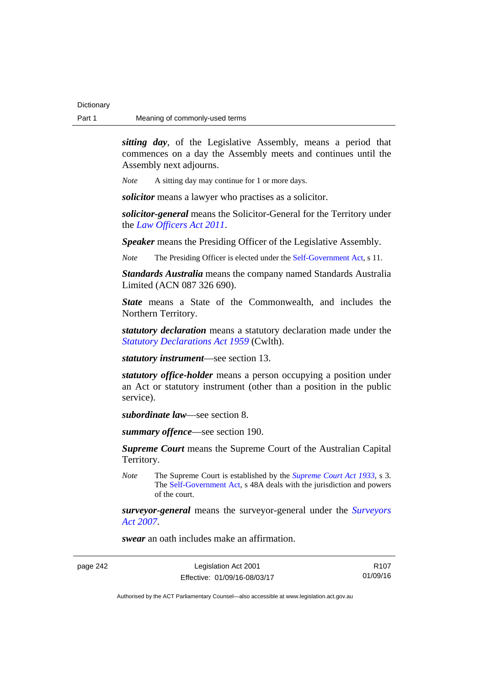*sitting day*, of the Legislative Assembly, means a period that commences on a day the Assembly meets and continues until the Assembly next adjourns.

*Note* A sitting day may continue for 1 or more days.

*solicitor* means a lawyer who practises as a solicitor.

*solicitor-general* means the Solicitor-General for the Territory under the *[Law Officers Act 2011](http://www.legislation.act.gov.au/a/2011-30)*.

*Speaker* means the Presiding Officer of the Legislative Assembly.

*Note* The Presiding Officer is elected under the [Self-Government Act,](http://www.comlaw.gov.au/Series/C2004A03699) s 11.

*Standards Australia* means the company named Standards Australia Limited (ACN 087 326 690).

*State* means a State of the Commonwealth, and includes the Northern Territory.

*statutory declaration* means a statutory declaration made under the *[Statutory Declarations Act 1959](http://www.comlaw.gov.au/Series/C2004A07365)* (Cwlth).

*statutory instrument*—see section 13.

*statutory office-holder* means a person occupying a position under an Act or statutory instrument (other than a position in the public service).

*subordinate law*—see section 8.

*summary offence*—see section 190.

*Supreme Court* means the Supreme Court of the Australian Capital Territory.

*Note* The Supreme Court is established by the *[Supreme Court Act 1933](http://www.legislation.act.gov.au/a/1933-34)*, s 3. The [Self-Government Act](http://www.comlaw.gov.au/Series/C2004A03699), s 48A deals with the jurisdiction and powers of the court.

*surveyor-general* means the surveyor-general under the *[Surveyors](http://www.legislation.act.gov.au/a/2007-33)  [Act 2007](http://www.legislation.act.gov.au/a/2007-33)*.

*swear* an oath includes make an affirmation.

page 242 Legislation Act 2001 Effective: 01/09/16-08/03/17

R107 01/09/16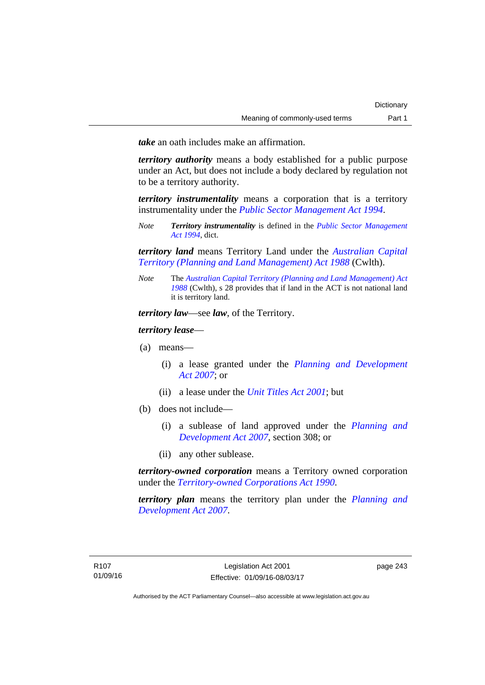*take* an oath includes make an affirmation.

*territory authority* means a body established for a public purpose under an Act, but does not include a body declared by regulation not to be a territory authority.

*territory instrumentality* means a corporation that is a territory instrumentality under the *[Public Sector Management Act 1994](http://www.legislation.act.gov.au/a/1994-37)*.

*Note Territory instrumentality* is defined in the *[Public Sector Management](http://www.legislation.act.gov.au/a/1994-37)  [Act 1994](http://www.legislation.act.gov.au/a/1994-37)*, dict.

*territory land* means Territory Land under the *[Australian Capital](http://www.comlaw.gov.au/Series/C2004A03701)  [Territory \(Planning and Land Management\) Act 1988](http://www.comlaw.gov.au/Series/C2004A03701)* (Cwlth).

*Note* The *[Australian Capital Territory \(Planning and Land Management\) Act](http://www.comlaw.gov.au/Series/C2004A03701)  [1988](http://www.comlaw.gov.au/Series/C2004A03701)* (Cwlth), s 28 provides that if land in the ACT is not national land it is territory land.

*territory law*—see *law*, of the Territory.

*territory lease*—

- (a) means—
	- (i) a lease granted under the *[Planning and Development](http://www.legislation.act.gov.au/a/2007-24)  [Act 2007](http://www.legislation.act.gov.au/a/2007-24)*; or
	- (ii) a lease under the *[Unit Titles Act 2001](http://www.legislation.act.gov.au/a/2001-16)*; but
- (b) does not include—
	- (i) a sublease of land approved under the *[Planning and](http://www.legislation.act.gov.au/a/2007-24)  [Development Act 2007](http://www.legislation.act.gov.au/a/2007-24)*, section 308; or
	- (ii) any other sublease.

*territory-owned corporation* means a Territory owned corporation under the *[Territory-owned Corporations Act 1990](http://www.legislation.act.gov.au/a/1990-53)*.

*territory plan* means the territory plan under the *[Planning and](http://www.legislation.act.gov.au/a/2007-24)  [Development Act 2007](http://www.legislation.act.gov.au/a/2007-24)*.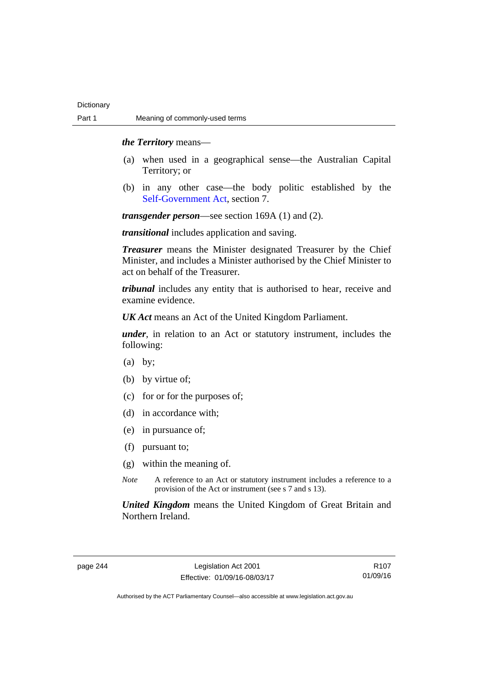### *the Territory* means—

- (a) when used in a geographical sense—the Australian Capital Territory; or
- (b) in any other case—the body politic established by the [Self-Government Act,](http://www.comlaw.gov.au/Series/C2004A03699) section 7.

*transgender person*—see section 169A (1) and (2).

*transitional* includes application and saving.

*Treasurer* means the Minister designated Treasurer by the Chief Minister, and includes a Minister authorised by the Chief Minister to act on behalf of the Treasurer.

*tribunal* includes any entity that is authorised to hear, receive and examine evidence.

*UK Act* means an Act of the United Kingdom Parliament.

*under*, in relation to an Act or statutory instrument, includes the following:

- (a) by;
- (b) by virtue of;
- (c) for or for the purposes of;
- (d) in accordance with;
- (e) in pursuance of;
- (f) pursuant to;
- (g) within the meaning of.
- *Note* A reference to an Act or statutory instrument includes a reference to a provision of the Act or instrument (see s 7 and s 13).

*United Kingdom* means the United Kingdom of Great Britain and Northern Ireland.

page 244 Legislation Act 2001 Effective: 01/09/16-08/03/17

R107 01/09/16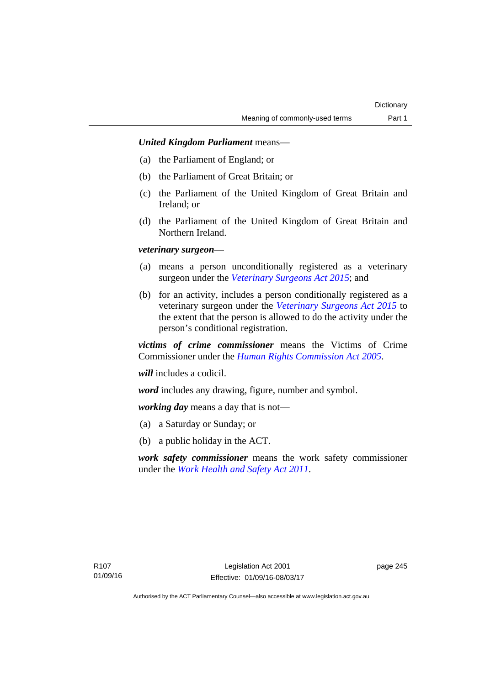## *United Kingdom Parliament* means—

- (a) the Parliament of England; or
- (b) the Parliament of Great Britain; or
- (c) the Parliament of the United Kingdom of Great Britain and Ireland; or
- (d) the Parliament of the United Kingdom of Great Britain and Northern Ireland.

## *veterinary surgeon*—

- (a) means a person unconditionally registered as a veterinary surgeon under the *[Veterinary Surgeons Act 2015](http://www.legislation.act.gov.au/a/2015-29)*; and
- (b) for an activity, includes a person conditionally registered as a veterinary surgeon under the *[Veterinary Surgeons Act 2015](http://www.legislation.act.gov.au/a/2015-29)* to the extent that the person is allowed to do the activity under the person's conditional registration.

*victims of crime commissioner* means the Victims of Crime Commissioner under the *[Human Rights Commission Act 2005](http://www.legislation.act.gov.au/a/2005-40)*.

*will* includes a codicil.

*word* includes any drawing, figure, number and symbol.

*working day* means a day that is not—

- (a) a Saturday or Sunday; or
- (b) a public holiday in the ACT.

*work safety commissioner* means the work safety commissioner under the *[Work Health and Safety Act 2011](http://www.legislation.act.gov.au/a/2011-35)*.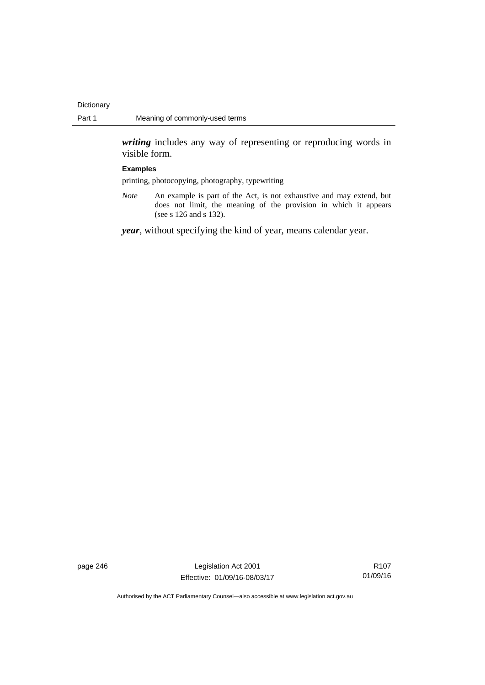*writing* includes any way of representing or reproducing words in visible form.

#### **Examples**

printing, photocopying, photography, typewriting

*Note* An example is part of the Act, is not exhaustive and may extend, but does not limit, the meaning of the provision in which it appears (see s 126 and s 132).

*year*, without specifying the kind of year, means calendar year.

page 246 Legislation Act 2001 Effective: 01/09/16-08/03/17

R107 01/09/16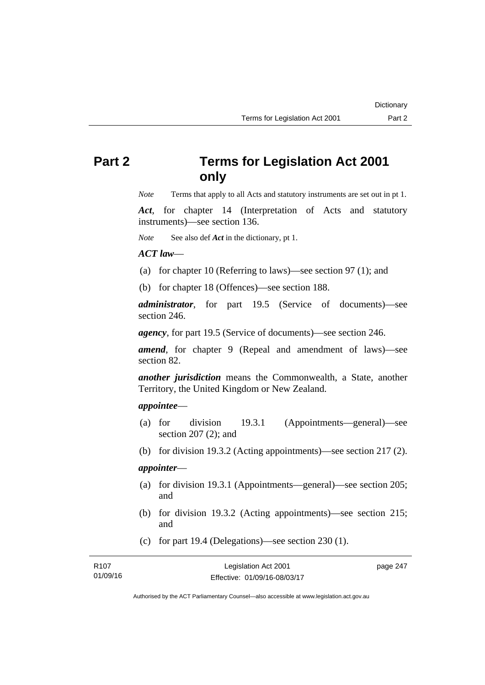# **Part 2 Terms for Legislation Act 2001 only**

*Note* Terms that apply to all Acts and statutory instruments are set out in pt 1.

*Act*, for chapter 14 (Interpretation of Acts and statutory instruments)—see section 136.

*Note* See also def *Act* in the dictionary, pt 1.

### *ACT law*—

- (a) for chapter 10 (Referring to laws)—see section 97 (1); and
- (b) for chapter 18 (Offences)—see section 188.

*administrator*, for part 19.5 (Service of documents)—see section 246.

*agency*, for part 19.5 (Service of documents)—see section 246.

*amend*, for chapter 9 (Repeal and amendment of laws)—see section 82.

*another jurisdiction* means the Commonwealth, a State, another Territory, the United Kingdom or New Zealand.

## *appointee*—

- (a) for division 19.3.1 (Appointments—general)—see section 207 (2); and
- (b) for division 19.3.2 (Acting appointments)—see section 217 (2).

## *appointer*—

- (a) for division 19.3.1 (Appointments—general)—see section 205; and
- (b) for division 19.3.2 (Acting appointments)—see section 215; and
- (c) for part 19.4 (Delegations)—see section 230 (1).

| R107     | Legislation Act 2001         | page 247 |
|----------|------------------------------|----------|
| 01/09/16 | Effective: 01/09/16-08/03/17 |          |

Authorised by the ACT Parliamentary Counsel—also accessible at www.legislation.act.gov.au

**Dictionary**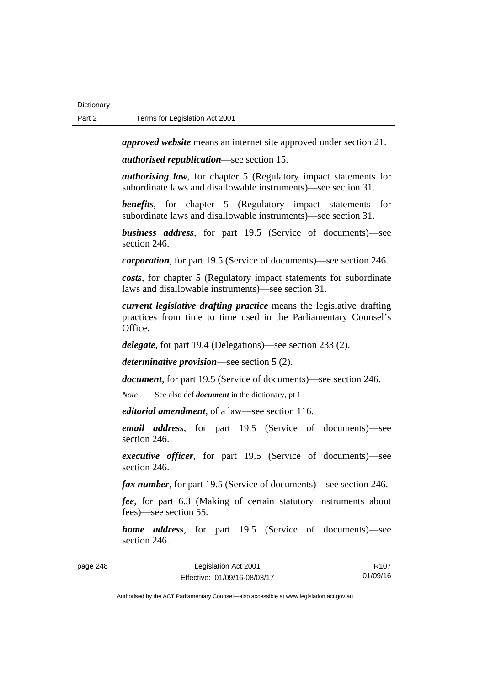*approved website* means an internet site approved under section 21.

*authorised republication*—see section 15.

*authorising law*, for chapter 5 (Regulatory impact statements for subordinate laws and disallowable instruments)—see section 31.

*benefits*, for chapter 5 (Regulatory impact statements for subordinate laws and disallowable instruments)—see section 31.

*business address*, for part 19.5 (Service of documents)—see section 246.

*corporation*, for part 19.5 (Service of documents)—see section 246.

*costs*, for chapter 5 (Regulatory impact statements for subordinate laws and disallowable instruments)—see section 31.

*current legislative drafting practice* means the legislative drafting practices from time to time used in the Parliamentary Counsel's Office.

*delegate*, for part 19.4 (Delegations)—see section 233 (2).

*determinative provision*—see section 5 (2).

*document*, for part 19.5 (Service of documents)—see section 246.

*Note* See also def *document* in the dictionary, pt 1

*editorial amendment*, of a law—see section 116.

*email address*, for part 19.5 (Service of documents)—see section 246.

*executive officer*, for part 19.5 (Service of documents)—see section 246.

*fax number*, for part 19.5 (Service of documents)—see section 246.

*fee*, for part 6.3 (Making of certain statutory instruments about fees)—see section 55.

*home address*, for part 19.5 (Service of documents)—see section 246.

page 248 Legislation Act 2001 Effective: 01/09/16-08/03/17 R107 01/09/16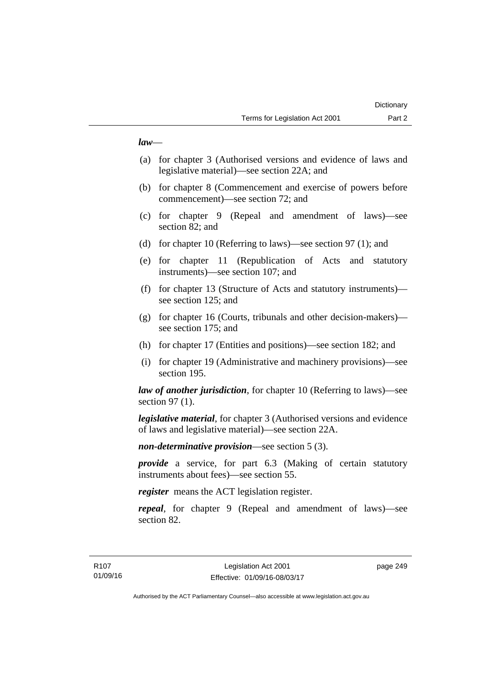## *law*—

- (a) for chapter 3 (Authorised versions and evidence of laws and legislative material)—see section 22A; and
- (b) for chapter 8 (Commencement and exercise of powers before commencement)—see section 72; and
- (c) for chapter 9 (Repeal and amendment of laws)—see section 82; and
- (d) for chapter 10 (Referring to laws)—see section 97 (1); and
- (e) for chapter 11 (Republication of Acts and statutory instruments)—see section 107; and
- (f) for chapter 13 (Structure of Acts and statutory instruments) see section 125; and
- (g) for chapter 16 (Courts, tribunals and other decision-makers) see section 175; and
- (h) for chapter 17 (Entities and positions)—see section 182; and
- (i) for chapter 19 (Administrative and machinery provisions)—see section 195.

*law of another jurisdiction*, for chapter 10 (Referring to laws)—see section 97 (1).

*legislative material*, for chapter 3 (Authorised versions and evidence of laws and legislative material)—see section 22A.

*non-determinative provision*—see section 5 (3).

*provide* a service, for part 6.3 (Making of certain statutory instruments about fees)—see section 55.

*register* means the ACT legislation register.

*repeal*, for chapter 9 (Repeal and amendment of laws)—see section 82.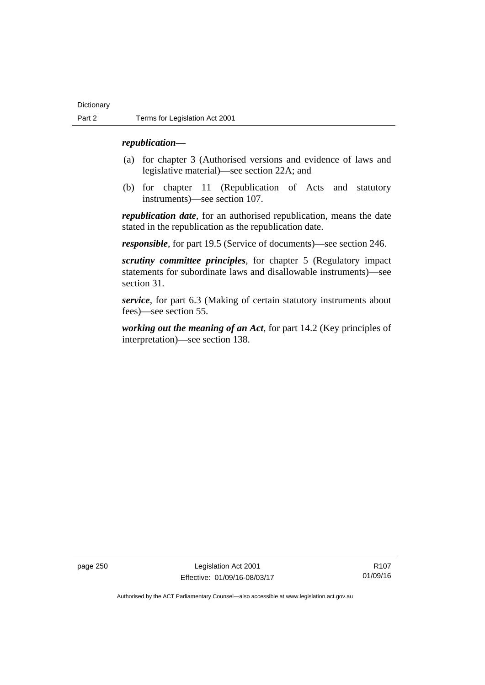### *republication—*

- (a) for chapter 3 (Authorised versions and evidence of laws and legislative material)—see section 22A; and
- (b) for chapter 11 (Republication of Acts and statutory instruments)—see section 107.

*republication date*, for an authorised republication, means the date stated in the republication as the republication date.

*responsible*, for part 19.5 (Service of documents)—see section 246.

*scrutiny committee principles*, for chapter 5 (Regulatory impact statements for subordinate laws and disallowable instruments)—see section 31.

*service*, for part 6.3 (Making of certain statutory instruments about fees)—see section 55.

*working out the meaning of an Act*, for part 14.2 (Key principles of interpretation)—see section 138.

page 250 Legislation Act 2001 Effective: 01/09/16-08/03/17

R107 01/09/16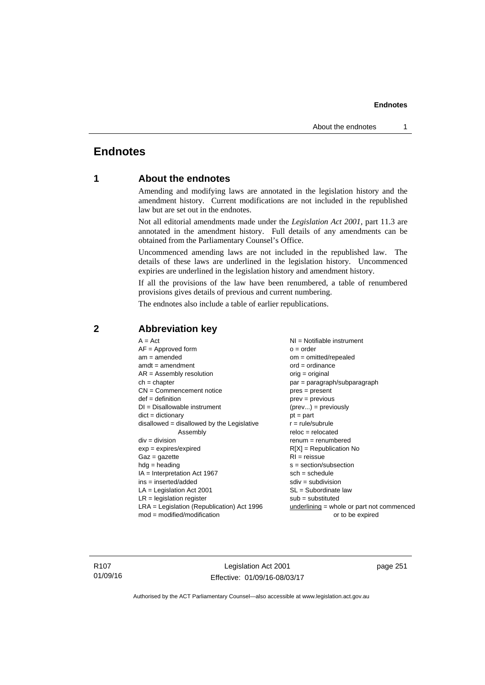## **Endnotes**

## **1 About the endnotes**

Amending and modifying laws are annotated in the legislation history and the amendment history. Current modifications are not included in the republished law but are set out in the endnotes.

Not all editorial amendments made under the *Legislation Act 2001*, part 11.3 are annotated in the amendment history. Full details of any amendments can be obtained from the Parliamentary Counsel's Office.

Uncommenced amending laws are not included in the republished law. The details of these laws are underlined in the legislation history. Uncommenced expiries are underlined in the legislation history and amendment history.

If all the provisions of the law have been renumbered, a table of renumbered provisions gives details of previous and current numbering.

The endnotes also include a table of earlier republications.

| $A = Act$                                    | NI = Notifiable instrument                  |
|----------------------------------------------|---------------------------------------------|
| $AF =$ Approved form                         | $o = order$                                 |
| $am = amended$                               | om = omitted/repealed                       |
| $amdt = amendment$                           | $ord = ordinance$                           |
| $AR = Assembly resolution$                   | $orig = original$                           |
| $ch = chapter$                               | par = paragraph/subparagraph                |
| $CN =$ Commencement notice                   | $pres = present$                            |
| $def = definition$                           | $prev = previous$                           |
| $DI = Disallowable instrument$               | $(\text{prev}) = \text{previously}$         |
| $dict = dictionary$                          | $pt = part$                                 |
| $disallowed = disallowed by the Legislative$ | $r = rule/subrule$                          |
| Assembly                                     | $reloc = relocated$                         |
| $div = division$                             | $renum = renumbered$                        |
| $exp = expires/expired$                      | $R[X]$ = Republication No                   |
| $Gaz = gazette$                              | $RI = reissue$                              |
| $hdg = heading$                              | $s = section/subsection$                    |
| $IA = Interpretation Act 1967$               | $sch = schedule$                            |
| ins = inserted/added                         | $sdiv = subdivision$                        |
| $LA =$ Legislation Act 2001                  | SL = Subordinate law                        |
| $LR =$ legislation register                  | $sub =$ substituted                         |
| $LRA =$ Legislation (Republication) Act 1996 | $underlining = whole or part not commenced$ |
| $mod = modified/modification$                | or to be expired                            |
|                                              |                                             |

## **2 Abbreviation key**

R107 01/09/16

Legislation Act 2001 Effective: 01/09/16-08/03/17 page 251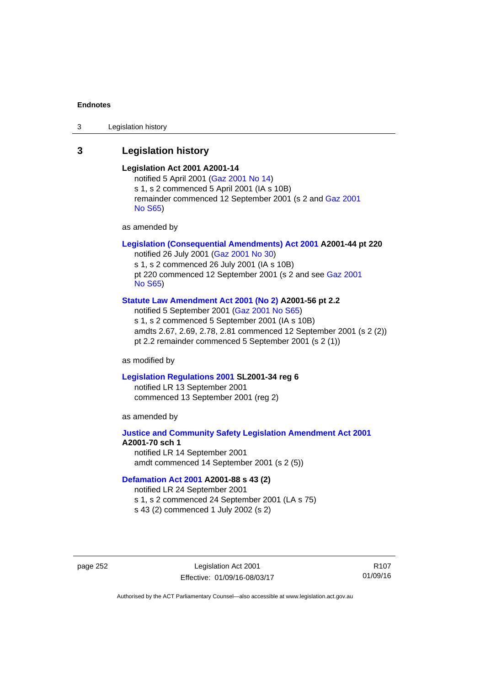3 Legislation history

## **3 Legislation history**

## **Legislation Act 2001 A2001-14**

notified 5 April 2001 ([Gaz 2001 No 14](http://www.legislation.act.gov.au/gaz/2001-14/default.asp)) s 1, s 2 commenced 5 April 2001 (IA s 10B) remainder commenced 12 September 2001 (s 2 and [Gaz 2001](http://www.legislation.act.gov.au/gaz/2001-S65/default.asp)  [No S65](http://www.legislation.act.gov.au/gaz/2001-S65/default.asp))

as amended by

## **[Legislation \(Consequential Amendments\) Act 2001](http://www.legislation.act.gov.au/a/2001-44) A2001-44 pt 220**

notified 26 July 2001 ([Gaz 2001 No 30\)](http://www.legislation.act.gov.au/gaz/2001-30/default.asp) s 1, s 2 commenced 26 July 2001 (IA s 10B) pt 220 commenced 12 September 2001 (s 2 and see [Gaz 2001](http://www.legislation.act.gov.au/gaz/2001-S65/default.asp)  [No S65](http://www.legislation.act.gov.au/gaz/2001-S65/default.asp))

#### **[Statute Law Amendment Act 2001 \(No 2\)](http://www.legislation.act.gov.au/a/2001-56) A2001-56 pt 2.2**

notified 5 September 2001 [\(Gaz 2001 No S65\)](http://www.legislation.act.gov.au/gaz/2001-S65/default.asp) s 1, s 2 commenced 5 September 2001 (IA s 10B) amdts 2.67, 2.69, 2.78, 2.81 commenced 12 September 2001 (s 2 (2)) pt 2.2 remainder commenced 5 September 2001 (s 2 (1))

as modified by

#### **[Legislation Regulations 2001](http://www.legislation.act.gov.au/sl/2001-34) SL2001-34 reg 6**

notified LR 13 September 2001 commenced 13 September 2001 (reg 2)

as amended by

## **[Justice and Community Safety Legislation Amendment Act 2001](http://www.legislation.act.gov.au/a/2001-70) A2001-70 sch 1**  notified LR 14 September 2001

amdt commenced 14 September 2001 (s 2 (5))

#### **[Defamation Act 2001](http://www.legislation.act.gov.au/a/2001-88) A2001-88 s 43 (2)**

notified LR 24 September 2001

s 1, s 2 commenced 24 September 2001 (LA s 75)

s 43 (2) commenced 1 July 2002 (s 2)

page 252 Legislation Act 2001 Effective: 01/09/16-08/03/17

R107 01/09/16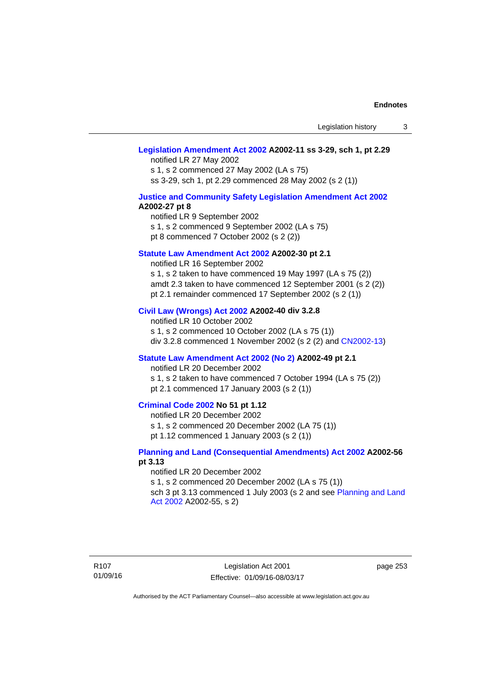#### **[Legislation Amendment Act 2002](http://www.legislation.act.gov.au/a/2002-11) A2002-11 ss 3-29, sch 1, pt 2.29**

notified LR 27 May 2002 s 1, s 2 commenced 27 May 2002 (LA s 75) ss 3-29, sch 1, pt 2.29 commenced 28 May 2002 (s 2 (1))

### **[Justice and Community Safety Legislation Amendment Act 2002](http://www.legislation.act.gov.au/a/2002-27) A2002-27 pt 8**

notified LR 9 September 2002 s 1, s 2 commenced 9 September 2002 (LA s 75) pt 8 commenced 7 October 2002 (s 2 (2))

#### **[Statute Law Amendment Act 2002](http://www.legislation.act.gov.au/a/2002-30) A2002-30 pt 2.1**

notified LR 16 September 2002 s 1, s 2 taken to have commenced 19 May 1997 (LA s 75 (2)) amdt 2.3 taken to have commenced 12 September 2001 (s 2 (2)) pt 2.1 remainder commenced 17 September 2002 (s 2 (1))

### **[Civil Law \(Wrongs\) Act 2002](http://www.legislation.act.gov.au/a/2002-40) A2002-40 div 3.2.8**

notified LR 10 October 2002 s 1, s 2 commenced 10 October 2002 (LA s 75 (1)) div 3.2.8 commenced 1 November 2002 (s 2 (2) and [CN2002-13](http://www.legislation.act.gov.au/cn/2002-13/default.asp))

#### **[Statute Law Amendment Act 2002 \(No 2\)](http://www.legislation.act.gov.au/a/2002-49) A2002-49 pt 2.1**

notified LR 20 December 2002

s 1, s 2 taken to have commenced 7 October 1994 (LA s 75 (2)) pt 2.1 commenced 17 January 2003 (s 2 (1))

## **[Criminal Code 2002](http://www.legislation.act.gov.au/a/2002-51) No 51 pt 1.12**

notified LR 20 December 2002

s 1, s 2 commenced 20 December 2002 (LA 75 (1))

pt 1.12 commenced 1 January 2003 (s 2 (1))

#### **[Planning and Land \(Consequential Amendments\) Act 2002](http://www.legislation.act.gov.au/a/2002-56) A2002-56 pt 3.13**

#### notified LR 20 December 2002

s 1, s 2 commenced 20 December 2002 (LA s 75 (1)) sch 3 pt 3.13 commenced 1 July 2003 (s 2 and see Planning and Land [Act 2002](http://www.legislation.act.gov.au/a/2002-55) A2002-55, s 2)

R107 01/09/16

Legislation Act 2001 Effective: 01/09/16-08/03/17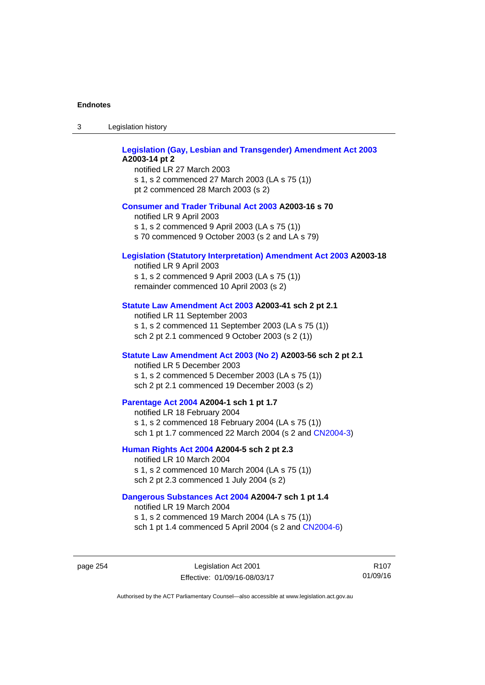| Legislation history<br>-3 |  |
|---------------------------|--|
|---------------------------|--|

| <b>Legislation (Gay, Lesbian and Transgender) Amendment Act 2003</b><br>A2003-14 pt 2<br>notified LR 27 March 2003<br>s 1, s 2 commenced 27 March 2003 (LA s 75 (1))<br>pt 2 commenced 28 March 2003 (s 2) |
|------------------------------------------------------------------------------------------------------------------------------------------------------------------------------------------------------------|
| <b>Consumer and Trader Tribunal Act 2003 A2003-16 s 70</b><br>notified LR 9 April 2003<br>s 1, s 2 commenced 9 April 2003 (LA s 75 (1))<br>s 70 commenced 9 October 2003 (s 2 and LA s 79)                 |
| <b>Legislation (Statutory Interpretation) Amendment Act 2003 A2003-18</b><br>notified LR 9 April 2003<br>s 1, s 2 commenced 9 April 2003 (LA s 75 (1))<br>remainder commenced 10 April 2003 (s 2)          |
| Statute Law Amendment Act 2003 A2003-41 sch 2 pt 2.1<br>notified LR 11 September 2003<br>s 1, s 2 commenced 11 September 2003 (LA s 75 (1))<br>sch 2 pt 2.1 commenced 9 October 2003 (s 2 (1))             |
| Statute Law Amendment Act 2003 (No 2) A2003-56 sch 2 pt 2.1<br>notified LR 5 December 2003<br>s 1, s 2 commenced 5 December 2003 (LA s 75 (1))<br>sch 2 pt 2.1 commenced 19 December 2003 (s 2)            |
| Parentage Act 2004 A2004-1 sch 1 pt 1.7<br>notified LR 18 February 2004<br>s 1, s 2 commenced 18 February 2004 (LA s 75 (1))<br>sch 1 pt 1.7 commenced 22 March 2004 (s 2 and CN2004-3)                    |
| Human Rights Act 2004 A2004-5 sch 2 pt 2.3<br>notified LR 10 March 2004<br>s 1, s 2 commenced 10 March 2004 (LA s 75 (1))<br>sch 2 pt 2.3 commenced 1 July 2004 (s 2)                                      |
| Dangerous Substances Act 2004 A2004-7 sch 1 pt 1.4<br>notified LR 19 March 2004<br>s 1, s 2 commenced 19 March 2004 (LA s 75 (1))                                                                          |

page 254 Legislation Act 2001 Effective: 01/09/16-08/03/17

R107 01/09/16

Authorised by the ACT Parliamentary Counsel—also accessible at www.legislation.act.gov.au

sch 1 pt 1.4 commenced 5 April 2004 (s 2 and [CN2004-6](http://www.legislation.act.gov.au/cn/2004-6/default.asp))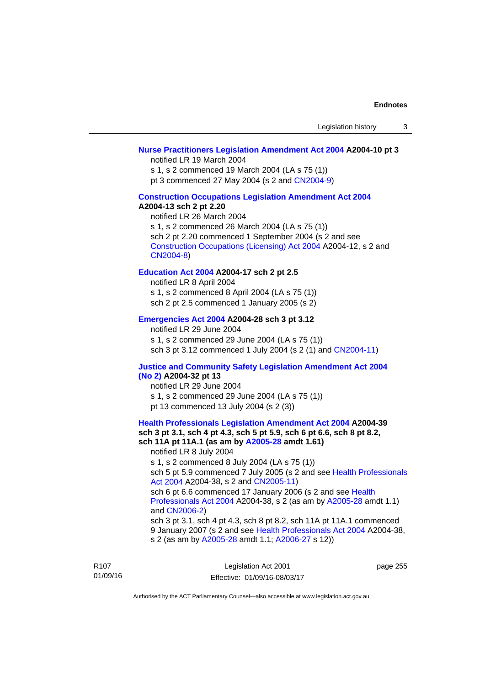### **[Nurse Practitioners Legislation Amendment Act 2004](http://www.legislation.act.gov.au/a/2004-10) A2004-10 pt 3**

notified LR 19 March 2004

s 1, s 2 commenced 19 March 2004 (LA s 75 (1))

pt 3 commenced 27 May 2004 (s 2 and [CN2004-9\)](http://www.legislation.act.gov.au/cn/2004-9/default.asp)

#### **[Construction Occupations Legislation Amendment Act 2004](http://www.legislation.act.gov.au/a/2004-13)  A2004-13 sch 2 pt 2.20**

notified LR 26 March 2004 s 1, s 2 commenced 26 March 2004 (LA s 75 (1)) sch 2 pt 2.20 commenced 1 September 2004 (s 2 and see [Construction Occupations \(Licensing\) Act 2004](http://www.legislation.act.gov.au/a/2004-12) A2004-12, s 2 and [CN2004-8\)](http://www.legislation.act.gov.au/cn/2004-8/default.asp)

## **[Education Act 2004](http://www.legislation.act.gov.au/a/2004-17) A2004-17 sch 2 pt 2.5**

notified LR 8 April 2004 s 1, s 2 commenced 8 April 2004 (LA s 75 (1)) sch 2 pt 2.5 commenced 1 January 2005 (s 2)

### **[Emergencies Act 2004](http://www.legislation.act.gov.au/a/2004-28) A2004-28 sch 3 pt 3.12**

notified LR 29 June 2004 s 1, s 2 commenced 29 June 2004 (LA s 75 (1)) sch 3 pt 3.12 commenced 1 July 2004 (s 2 (1) and [CN2004-11](http://www.legislation.act.gov.au/cn/2004-11/default.asp))

#### **[Justice and Community Safety Legislation Amendment Act 2004](http://www.legislation.act.gov.au/a/2004-32)  [\(No 2\)](http://www.legislation.act.gov.au/a/2004-32) A2004-32 pt 13**

notified LR 29 June 2004 s 1, s 2 commenced 29 June 2004 (LA s 75 (1)) pt 13 commenced 13 July 2004 (s 2 (3))

**[Health Professionals Legislation Amendment Act 2004](http://www.legislation.act.gov.au/a/2004-39) A2004-39 sch 3 pt 3.1, sch 4 pt 4.3, sch 5 pt 5.9, sch 6 pt 6.6, sch 8 pt 8.2, sch 11A pt 11A.1 (as am by [A2005-28](http://www.legislation.act.gov.au/a/2005-28) amdt 1.61)**  notified LR 8 July 2004 s 1, s 2 commenced 8 July 2004 (LA s 75 (1)) sch 5 pt 5.9 commenced 7 July 2005 (s 2 and see [Health Professionals](http://www.legislation.act.gov.au/a/2004-38)  [Act 2004](http://www.legislation.act.gov.au/a/2004-38) A2004-38, s 2 and [CN2005-11\)](http://www.legislation.act.gov.au/cn/2005-11/default.asp) sch 6 pt 6.6 commenced 17 January 2006 (s 2 and see [Health](http://www.legislation.act.gov.au/a/2004-38)  [Professionals Act 2004](http://www.legislation.act.gov.au/a/2004-38) A2004-38, s 2 (as am by [A2005-28](http://www.legislation.act.gov.au/a/2005-28) amdt 1.1) and [CN2006-2](http://www.legislation.act.gov.au/cn/2006-2/default.asp)) sch 3 pt 3.1, sch 4 pt 4.3, sch 8 pt 8.2, sch 11A pt 11A.1 commenced 9 January 2007 (s 2 and see [Health Professionals Act 2004](http://www.legislation.act.gov.au/a/2004-38) A2004-38, s 2 (as am by [A2005-28](http://www.legislation.act.gov.au/a/2005-28) amdt 1.1; [A2006-27](http://www.legislation.act.gov.au/a/2006-27) s 12))

| R <sub>107</sub> | Legislation Act 2001         | page 255 |
|------------------|------------------------------|----------|
| 01/09/16         | Effective: 01/09/16-08/03/17 |          |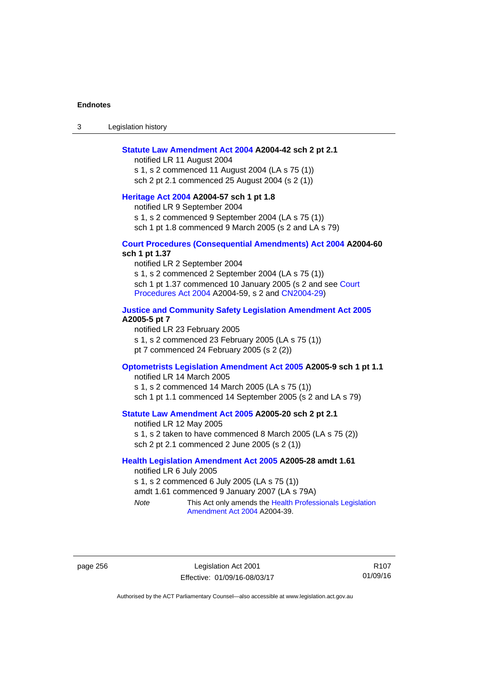3 Legislation history

#### **[Statute Law Amendment Act 2004](http://www.legislation.act.gov.au/a/2004-42) A2004-42 sch 2 pt 2.1**

notified LR 11 August 2004 s 1, s 2 commenced 11 August 2004 (LA s 75 (1)) sch 2 pt 2.1 commenced 25 August 2004 (s 2 (1))

## **[Heritage Act 2004](http://www.legislation.act.gov.au/a/2004-57) A2004-57 sch 1 pt 1.8**

notified LR 9 September 2004

s 1, s 2 commenced 9 September 2004 (LA s 75 (1))

sch 1 pt 1.8 commenced 9 March 2005 (s 2 and LA s 79)

#### **[Court Procedures \(Consequential Amendments\) Act 2004](http://www.legislation.act.gov.au/a/2004-60) A2004-60 sch 1 pt 1.37**

notified LR 2 September 2004 s 1, s 2 commenced 2 September 2004 (LA s 75 (1)) sch 1 pt 1.37 commenced 10 January 2005 (s 2 and see Court [Procedures Act 2004](http://www.legislation.act.gov.au/a/2004-59) A2004-59, s 2 and [CN2004-29\)](http://www.legislation.act.gov.au/cn/2004-29/default.asp)

#### **[Justice and Community Safety Legislation Amendment Act 2005](http://www.legislation.act.gov.au/a/2005-5) A2005-5 pt 7**

notified LR 23 February 2005 s 1, s 2 commenced 23 February 2005 (LA s 75 (1)) pt 7 commenced 24 February 2005 (s 2 (2))

### **[Optometrists Legislation Amendment Act 2005](http://www.legislation.act.gov.au/a/2005-9) A2005-9 sch 1 pt 1.1**

notified LR 14 March 2005 s 1, s 2 commenced 14 March 2005 (LA s 75 (1)) sch 1 pt 1.1 commenced 14 September 2005 (s 2 and LA s 79)

## **[Statute Law Amendment Act 2005](http://www.legislation.act.gov.au/a/2005-20) A2005-20 sch 2 pt 2.1**

notified LR 12 May 2005 s 1, s 2 taken to have commenced 8 March 2005 (LA s 75 (2)) sch 2 pt 2.1 commenced 2 June 2005 (s 2 (1))

### **[Health Legislation Amendment Act 2005](http://www.legislation.act.gov.au/a/2005-28) A2005-28 amdt 1.61**

notified LR 6 July 2005 s 1, s 2 commenced 6 July 2005 (LA s 75 (1)) amdt 1.61 commenced 9 January 2007 (LA s 79A) *Note* This Act only amends the [Health Professionals Legislation](http://www.legislation.act.gov.au/a/2004-39) 

[Amendment Act 2004](http://www.legislation.act.gov.au/a/2004-39) A2004-39.

page 256 Legislation Act 2001 Effective: 01/09/16-08/03/17

R107 01/09/16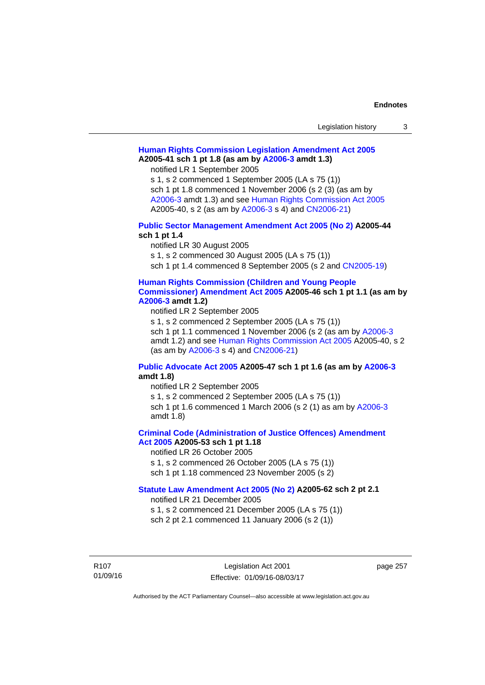| Legislation history |  |
|---------------------|--|
|---------------------|--|

## **[Human Rights Commission Legislation Amendment Act 2005](http://www.legislation.act.gov.au/a/2005-41) A2005-41 sch 1 pt 1.8 (as am by [A2006-3](http://www.legislation.act.gov.au/a/2006-3) amdt 1.3)**

notified LR 1 September 2005

s 1, s 2 commenced 1 September 2005 (LA s 75 (1)) sch 1 pt 1.8 commenced 1 November 2006 (s 2 (3) (as am by [A2006-3](http://www.legislation.act.gov.au/a/2006-3) amdt 1.3) and see [Human Rights Commission Act 2005](http://www.legislation.act.gov.au/a/2005-40) A2005-40, s 2 (as am by [A2006-3](http://www.legislation.act.gov.au/a/2006-3) s 4) and [CN2006-21](http://www.legislation.act.gov.au/cn/2006-21/default.asp))

### **[Public Sector Management Amendment Act 2005 \(No 2\)](http://www.legislation.act.gov.au/a/2005-44) A2005-44 sch 1 pt 1.4**

notified LR 30 August 2005

s 1, s 2 commenced 30 August 2005 (LA s 75 (1))

sch 1 pt 1.4 commenced 8 September 2005 (s 2 and [CN2005-19\)](http://www.legislation.act.gov.au/cn/2005-19/default.asp)

#### **[Human Rights Commission \(Children and Young People](http://www.legislation.act.gov.au/a/2005-46)  [Commissioner\) Amendment Act 2005](http://www.legislation.act.gov.au/a/2005-46) A2005-46 sch 1 pt 1.1 (as am by [A2006-3](http://www.legislation.act.gov.au/a/2006-3) amdt 1.2)**

notified LR 2 September 2005 s 1, s 2 commenced 2 September 2005 (LA s 75 (1)) sch 1 pt 1.1 commenced 1 November 2006 (s 2 (as am by [A2006-3](http://www.legislation.act.gov.au/a/2006-3)

amdt 1.2) and see [Human Rights Commission Act 2005](http://www.legislation.act.gov.au/a/2005-40) A2005-40, s 2 (as am by [A2006-3](http://www.legislation.act.gov.au/a/2006-3) s 4) and [CN2006-21](http://www.legislation.act.gov.au/cn/2006-21/default.asp))

## **[Public Advocate Act 2005](http://www.legislation.act.gov.au/a/2005-47) A2005-47 sch 1 pt 1.6 (as am by [A2006-3](http://www.legislation.act.gov.au/a/2006-3) amdt 1.8)**

notified LR 2 September 2005

s 1, s 2 commenced 2 September 2005 (LA s 75 (1)) sch 1 pt 1.6 commenced 1 March 2006 (s 2 (1) as am by [A2006-3](http://www.legislation.act.gov.au/a/2006-3)

amdt 1.8)

## **[Criminal Code \(Administration of Justice Offences\) Amendment](http://www.legislation.act.gov.au/a/2005-53)**

**[Act 2005](http://www.legislation.act.gov.au/a/2005-53) A2005-53 sch 1 pt 1.18** 

notified LR 26 October 2005

s 1, s 2 commenced 26 October 2005 (LA s 75 (1)) sch 1 pt 1.18 commenced 23 November 2005 (s 2)

### **[Statute Law Amendment Act 2005 \(No 2\)](http://www.legislation.act.gov.au/a/2005-62) A2005-62 sch 2 pt 2.1**

notified LR 21 December 2005

s 1, s 2 commenced 21 December 2005 (LA s 75 (1)) sch 2 pt 2.1 commenced 11 January 2006 (s 2 (1))

R107 01/09/16 page 257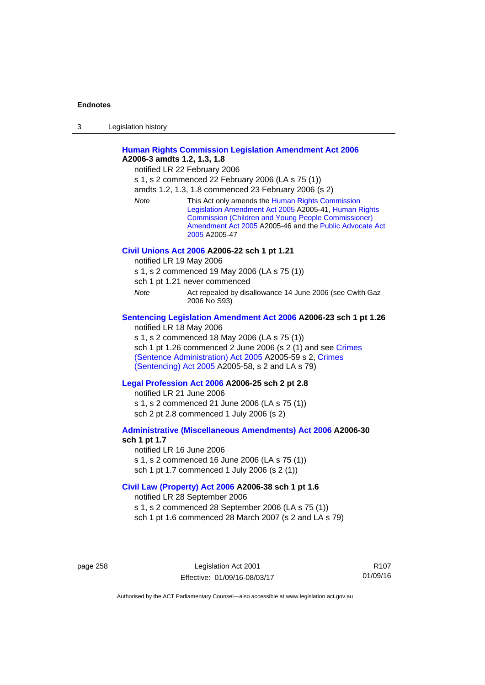| 3 | Legislation history |  |
|---|---------------------|--|
|   |                     |  |

## **[Human Rights Commission Legislation Amendment Act 2006](http://www.legislation.act.gov.au/a/2006-3) A2006-3 amdts 1.2, 1.3, 1.8**

notified LR 22 February 2006

s 1, s 2 commenced 22 February 2006 (LA s 75 (1))

amdts 1.2, 1.3, 1.8 commenced 23 February 2006 (s 2)

*Note* This Act only amends the [Human Rights Commission](http://www.legislation.act.gov.au/a/2005-41)  [Legislation Amendment Act 2005](http://www.legislation.act.gov.au/a/2005-41) A2005-41, [Human Rights](http://www.legislation.act.gov.au/a/2005-46)  [Commission \(Children and Young People Commissioner\)](http://www.legislation.act.gov.au/a/2005-46)  [Amendment Act 2005](http://www.legislation.act.gov.au/a/2005-46) A2005-46 and the [Public Advocate Act](http://www.legislation.act.gov.au/a/2005-47)  [2005](http://www.legislation.act.gov.au/a/2005-47) A2005-47

#### **[Civil Unions Act 2006](http://www.legislation.act.gov.au/a/2006-22) A2006-22 sch 1 pt 1.21**

notified LR 19 May 2006

s 1, s 2 commenced 19 May 2006 (LA s 75 (1))

sch 1 pt 1.21 never commenced

*Note* **Act repealed by disallowance 14 June 2006 (see Cwlth Gaz** 2006 No S93)

#### **[Sentencing Legislation Amendment Act 2006](http://www.legislation.act.gov.au/a/2006-23) A2006-23 sch 1 pt 1.26**

notified LR 18 May 2006

s 1, s 2 commenced 18 May 2006 (LA s 75 (1)) sch 1 pt 1.26 commenced 2 June 2006 (s 2 (1) and see [Crimes](http://www.legislation.act.gov.au/a/2005-59)  [\(Sentence Administration\) Act 2005](http://www.legislation.act.gov.au/a/2005-59) A2005-59 s 2, [Crimes](http://www.legislation.act.gov.au/a/2005-58)  [\(Sentencing\) Act 2005](http://www.legislation.act.gov.au/a/2005-58) A2005-58, s 2 and LA s 79)

#### **[Legal Profession Act 2006](http://www.legislation.act.gov.au/a/2006-25) A2006-25 sch 2 pt 2.8**

notified LR 21 June 2006 s 1, s 2 commenced 21 June 2006 (LA s 75 (1)) sch 2 pt 2.8 commenced 1 July 2006 (s 2)

#### **[Administrative \(Miscellaneous Amendments\) Act 2006](http://www.legislation.act.gov.au/a/2006-30) A2006-30 sch 1 pt 1.7**

notified LR 16 June 2006 s 1, s 2 commenced 16 June 2006 (LA s 75 (1)) sch 1 pt 1.7 commenced 1 July 2006 (s 2 (1))

#### **[Civil Law \(Property\) Act 2006](http://www.legislation.act.gov.au/a/2006-38) A2006-38 sch 1 pt 1.6**

notified LR 28 September 2006

s 1, s 2 commenced 28 September 2006 (LA s 75 (1))

sch 1 pt 1.6 commenced 28 March 2007 (s 2 and LA s 79)

page 258 Legislation Act 2001 Effective: 01/09/16-08/03/17

R107 01/09/16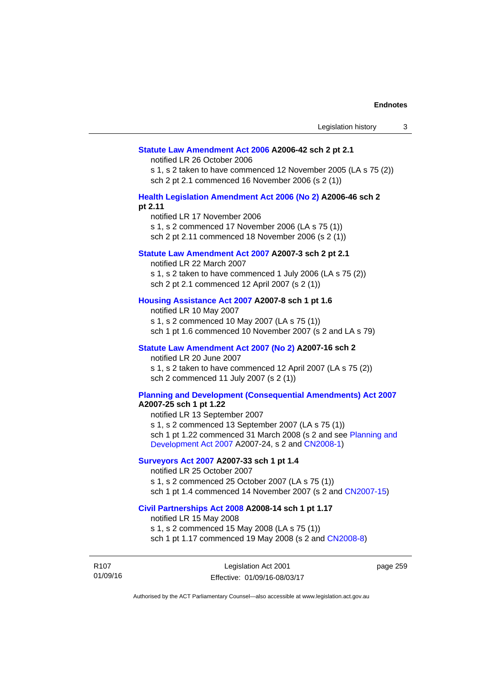#### **[Statute Law Amendment Act 2006](http://www.legislation.act.gov.au/a/2006-42) A2006-42 sch 2 pt 2.1**

notified LR 26 October 2006

s 1, s 2 taken to have commenced 12 November 2005 (LA s 75 (2)) sch 2 pt 2.1 commenced 16 November 2006 (s 2 (1))

#### **[Health Legislation Amendment Act 2006 \(No 2\)](http://www.legislation.act.gov.au/a/2006-46) A2006-46 sch 2 pt 2.11**

notified LR 17 November 2006 s 1, s 2 commenced 17 November 2006 (LA s 75 (1)) sch 2 pt 2.11 commenced 18 November 2006 (s 2 (1))

### **[Statute Law Amendment Act 2007](http://www.legislation.act.gov.au/a/2007-3) A2007-3 sch 2 pt 2.1**

notified LR 22 March 2007 s 1, s 2 taken to have commenced 1 July 2006 (LA s 75 (2)) sch 2 pt 2.1 commenced 12 April 2007 (s 2 (1))

### **[Housing Assistance Act 2007](http://www.legislation.act.gov.au/a/2007-8) A2007-8 sch 1 pt 1.6**

notified LR 10 May 2007 s 1, s 2 commenced 10 May 2007 (LA s 75 (1)) sch 1 pt 1.6 commenced 10 November 2007 (s 2 and LA s 79)

### **[Statute Law Amendment Act 2007 \(No 2\)](http://www.legislation.act.gov.au/a/2007-16) A2007-16 sch 2**

notified LR 20 June 2007 s 1, s 2 taken to have commenced 12 April 2007 (LA s 75 (2)) sch 2 commenced 11 July 2007 (s 2 (1))

## **[Planning and Development \(Consequential Amendments\) Act 2007](http://www.legislation.act.gov.au/a/2007-25)**

**A2007-25 sch 1 pt 1.22** 

notified LR 13 September 2007 s 1, s 2 commenced 13 September 2007 (LA s 75 (1)) sch 1 pt 1.22 commenced 31 March 2008 (s 2 and see [Planning and](http://www.legislation.act.gov.au/a/2007-24)  [Development Act 2007](http://www.legislation.act.gov.au/a/2007-24) A2007-24, s 2 and [CN2008-1](http://www.legislation.act.gov.au/cn/2008-1/default.asp))

## **[Surveyors Act 2007](http://www.legislation.act.gov.au/a/2007-33) A2007-33 sch 1 pt 1.4**

notified LR 25 October 2007 s 1, s 2 commenced 25 October 2007 (LA s 75 (1)) sch 1 pt 1.4 commenced 14 November 2007 (s 2 and [CN2007-15\)](http://www.legislation.act.gov.au/cn/2007-15/default.asp)

#### **[Civil Partnerships Act 2008](http://www.legislation.act.gov.au/a/2008-14) A2008-14 sch 1 pt 1.17**

notified LR 15 May 2008

s 1, s 2 commenced 15 May 2008 (LA s 75 (1)) sch 1 pt 1.17 commenced 19 May 2008 (s 2 and [CN2008-8](http://www.legislation.act.gov.au/cn/2008-8/default.asp))

R107 01/09/16 page 259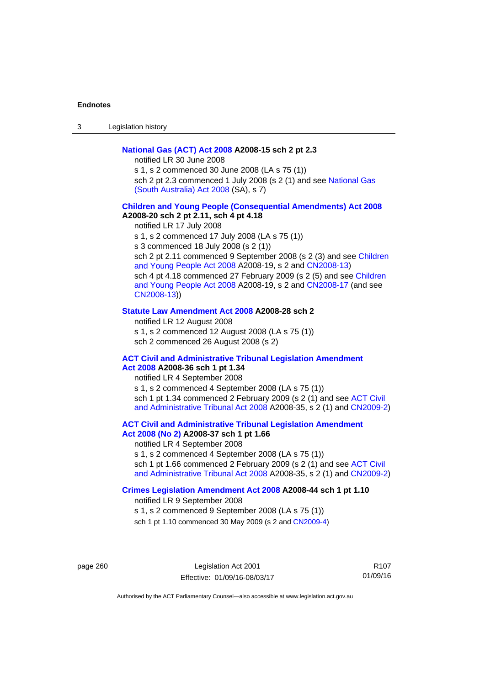3 Legislation history

### **[National Gas \(ACT\) Act 2008](http://www.legislation.act.gov.au/a/2008-15) A2008-15 sch 2 pt 2.3**

notified LR 30 June 2008

s 1, s 2 commenced 30 June 2008 (LA s 75 (1)) sch 2 pt 2.3 commenced 1 July 2008 (s 2 (1) and see National Gas [\(South Australia\) Act 2008](http://www.legislation.sa.gov.au/LZ/C/A/NATIONAL GAS (SOUTH AUSTRALIA) ACT 2008.aspx) (SA), s 7)

## **[Children and Young People \(Consequential Amendments\) Act 2008](http://www.legislation.act.gov.au/a/2008-20) A2008-20 sch 2 pt 2.11, sch 4 pt 4.18**

notified LR 17 July 2008 s 1, s 2 commenced 17 July 2008 (LA s 75 (1)) s 3 commenced 18 July 2008 (s 2 (1)) sch 2 pt 2.11 commenced 9 September 2008 (s 2 (3) and see Children [and Young People Act 2008](http://www.legislation.act.gov.au/a/2008-19) A2008-19, s 2 and [CN2008-13\)](http://www.legislation.act.gov.au/cn/2008-13/default.asp) sch 4 pt 4.18 commenced 27 February 2009 (s 2 (5) and see [Children](http://www.legislation.act.gov.au/a/2008-19)  [and Young People Act 2008](http://www.legislation.act.gov.au/a/2008-19) A2008-19, s 2 and [CN2008-17 \(](http://www.legislation.act.gov.au/cn/2008-17/default.asp)and see [CN2008-13](http://www.legislation.act.gov.au/cn/2008-13/default.asp)))

#### **[Statute Law Amendment Act 2008](http://www.legislation.act.gov.au/a/2008-28) A2008-28 sch 2**

notified LR 12 August 2008 s 1, s 2 commenced 12 August 2008 (LA s 75 (1)) sch 2 commenced 26 August 2008 (s 2)

#### **[ACT Civil and Administrative Tribunal Legislation Amendment](http://www.legislation.act.gov.au/a/2008-36)**

## **[Act 2008](http://www.legislation.act.gov.au/a/2008-36) A2008-36 sch 1 pt 1.34**

notified LR 4 September 2008 s 1, s 2 commenced 4 September 2008 (LA s 75 (1)) sch 1 pt 1.34 commenced 2 February 2009 (s 2 (1) and see [ACT Civil](http://www.legislation.act.gov.au/a/2008-35)  [and Administrative Tribunal Act 2008](http://www.legislation.act.gov.au/a/2008-35) A2008-35, s 2 (1) and [CN2009-2](http://www.legislation.act.gov.au/cn/2009-2/default.asp))

**[ACT Civil and Administrative Tribunal Legislation Amendment](http://www.legislation.act.gov.au/a/2008-37)** 

## **[Act 2008 \(No 2\)](http://www.legislation.act.gov.au/a/2008-37) A2008-37 sch 1 pt 1.66**

notified LR 4 September 2008

s 1, s 2 commenced 4 September 2008 (LA s 75 (1)) sch 1 pt 1.66 commenced 2 February 2009 (s 2 (1) and see [ACT Civil](http://www.legislation.act.gov.au/a/2008-35) 

[and Administrative Tribunal Act 2008](http://www.legislation.act.gov.au/a/2008-35) A2008-35, s 2 (1) and [CN2009-2](http://www.legislation.act.gov.au/cn/2009-2/default.asp))

#### **[Crimes Legislation Amendment Act 2008](http://www.legislation.act.gov.au/a/2008-44) A2008-44 sch 1 pt 1.10**

notified LR 9 September 2008

s 1, s 2 commenced 9 September 2008 (LA s 75 (1))

sch 1 pt 1.10 commenced 30 May 2009 (s 2 and [CN2009-4](http://www.legislation.act.gov.au/cn/2009-4/default.asp))

page 260 Legislation Act 2001 Effective: 01/09/16-08/03/17

R107 01/09/16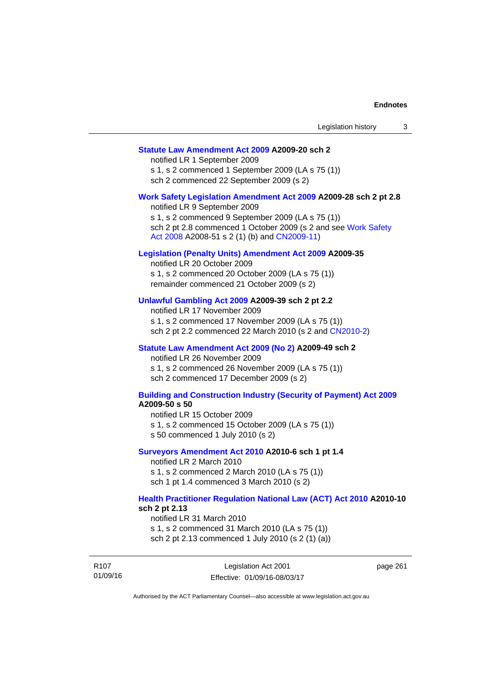page 261

### **[Statute Law Amendment Act 2009](http://www.legislation.act.gov.au/a/2009-20) A2009-20 sch 2**

notified LR 1 September 2009 s 1, s 2 commenced 1 September 2009 (LA s 75 (1)) sch 2 commenced 22 September 2009 (s 2)

#### **[Work Safety Legislation Amendment Act 2009](http://www.legislation.act.gov.au/a/2009-28) A2009-28 sch 2 pt 2.8**

notified LR 9 September 2009 s 1, s 2 commenced 9 September 2009 (LA s 75 (1)) sch 2 pt 2.8 commenced 1 October 2009 (s 2 and see [Work Safety](http://www.legislation.act.gov.au/a/2008-51)  [Act 2008](http://www.legislation.act.gov.au/a/2008-51) A2008-51 s 2 (1) (b) and [CN2009-11](http://www.legislation.act.gov.au/cn/2009-11/default.asp))

#### **[Legislation \(Penalty Units\) Amendment Act 2009](http://www.legislation.act.gov.au/a/2009-35) A2009-35**

notified LR 20 October 2009 s 1, s 2 commenced 20 October 2009 (LA s 75 (1)) remainder commenced 21 October 2009 (s 2)

#### **[Unlawful Gambling Act 2009](http://www.legislation.act.gov.au/a/2009-39) A2009-39 sch 2 pt 2.2**

notified LR 17 November 2009 s 1, s 2 commenced 17 November 2009 (LA s 75 (1)) sch 2 pt 2.2 commenced 22 March 2010 (s 2 and [CN2010-2\)](http://www.legislation.act.gov.au/cn/2010-2/default.asp)

#### **[Statute Law Amendment Act 2009 \(No 2\)](http://www.legislation.act.gov.au/a/2009-49) A2009-49 sch 2**

notified LR 26 November 2009 s 1, s 2 commenced 26 November 2009 (LA s 75 (1)) sch 2 commenced 17 December 2009 (s 2)

#### **[Building and Construction Industry \(Security of Payment\) Act 2009](http://www.legislation.act.gov.au/a/2009-50) A2009-50 s 50**

notified LR 15 October 2009

- s 1, s 2 commenced 15 October 2009 (LA s 75 (1))
- s 50 commenced 1 July 2010 (s 2)

#### **[Surveyors Amendment Act 2010](http://www.legislation.act.gov.au/a/2010-6) A2010-6 sch 1 pt 1.4**

notified LR 2 March 2010 s 1, s 2 commenced 2 March 2010 (LA s 75 (1)) sch 1 pt 1.4 commenced 3 March 2010 (s 2)

#### **[Health Practitioner Regulation National Law \(ACT\) Act 2010](http://www.legislation.act.gov.au/a/2010-10) A2010-10 sch 2 pt 2.13**

notified LR 31 March 2010

s 1, s 2 commenced 31 March 2010 (LA s 75 (1)) sch 2 pt 2.13 commenced 1 July 2010 (s 2 (1) (a))

R107 01/09/16 Legislation Act 2001 Effective: 01/09/16-08/03/17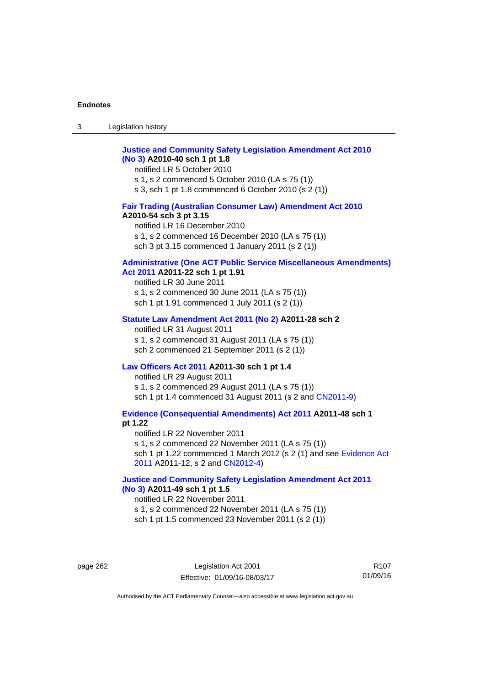| $\sim$<br>- 3 | Legislation history |  |
|---------------|---------------------|--|
|               |                     |  |

## **[Justice and Community Safety Legislation Amendment Act 2010](http://www.legislation.act.gov.au/a/2010-40)  [\(No 3\)](http://www.legislation.act.gov.au/a/2010-40) A2010-40 sch 1 pt 1.8**

notified LR 5 October 2010 s 1, s 2 commenced 5 October 2010 (LA s 75 (1)) s 3, sch 1 pt 1.8 commenced 6 October 2010 (s 2 (1))

### **[Fair Trading \(Australian Consumer Law\) Amendment Act 2010](http://www.legislation.act.gov.au/a/2010-54) A2010-54 sch 3 pt 3.15**

notified LR 16 December 2010 s 1, s 2 commenced 16 December 2010 (LA s 75 (1)) sch 3 pt 3.15 commenced 1 January 2011 (s 2 (1))

## **[Administrative \(One ACT Public Service Miscellaneous Amendments\)](http://www.legislation.act.gov.au/a/2011-22)**

## **[Act 2011](http://www.legislation.act.gov.au/a/2011-22) A2011-22 sch 1 pt 1.91**

notified LR 30 June 2011 s 1, s 2 commenced 30 June 2011 (LA s 75 (1)) sch 1 pt 1.91 commenced 1 July 2011 (s 2 (1))

#### **[Statute Law Amendment Act 2011 \(No 2\)](http://www.legislation.act.gov.au/a/2011-28) A2011-28 sch 2**

notified LR 31 August 2011 s 1, s 2 commenced 31 August 2011 (LA s 75 (1)) sch 2 commenced 21 September 2011 (s 2 (1))

#### **[Law Officers Act 2011](http://www.legislation.act.gov.au/a/2011-30) A2011-30 sch 1 pt 1.4**

notified LR 29 August 2011 s 1, s 2 commenced 29 August 2011 (LA s 75 (1)) sch 1 pt 1.4 commenced 31 August 2011 (s 2 and [CN2011-9](http://www.legislation.act.gov.au/cn/2011-9/default.asp))

**[Evidence \(Consequential Amendments\) Act 2011](http://www.legislation.act.gov.au/a/2011-48) A2011-48 sch 1 pt 1.22** 

notified LR 22 November 2011 s 1, s 2 commenced 22 November 2011 (LA s 75 (1)) sch 1 pt 1.22 commenced 1 March 2012 (s 2 (1) and see [Evidence Act](http://www.legislation.act.gov.au/a/2011-12)  [2011](http://www.legislation.act.gov.au/a/2011-12) A2011-12, s 2 and [CN2012-4](http://www.legislation.act.gov.au/cn/2012-4/default.asp))

### **[Justice and Community Safety Legislation Amendment Act 2011](http://www.legislation.act.gov.au/a/2011-49)  [\(No 3\)](http://www.legislation.act.gov.au/a/2011-49) A2011-49 sch 1 pt 1.5**

notified LR 22 November 2011 s 1, s 2 commenced 22 November 2011 (LA s 75 (1)) sch 1 pt 1.5 commenced 23 November 2011 (s 2 (1))

page 262 Legislation Act 2001 Effective: 01/09/16-08/03/17

R107 01/09/16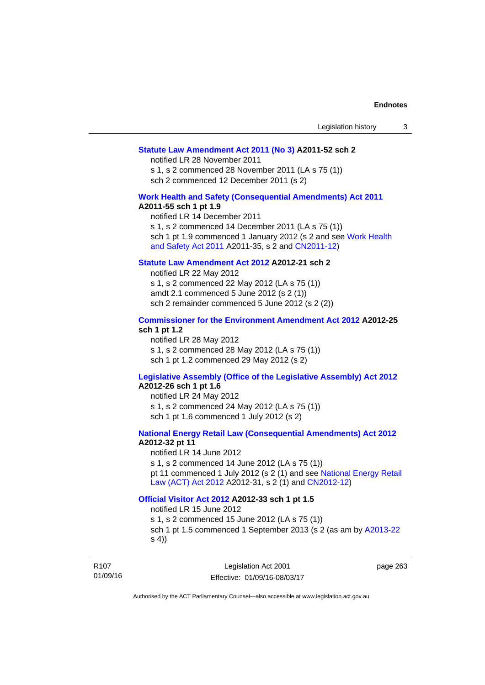#### **[Statute Law Amendment Act 2011 \(No 3\)](http://www.legislation.act.gov.au/a/2011-52) A2011-52 sch 2**

notified LR 28 November 2011

s 1, s 2 commenced 28 November 2011 (LA s 75 (1)) sch 2 commenced 12 December 2011 (s 2)

### **[Work Health and Safety \(Consequential Amendments\) Act 2011](http://www.legislation.act.gov.au/a/2011-55)**

#### **A2011-55 sch 1 pt 1.9**

notified LR 14 December 2011 s 1, s 2 commenced 14 December 2011 (LA s 75 (1)) sch 1 pt 1.9 commenced 1 January 2012 (s 2 and see Work Health [and Safety Act 2011](http://www.legislation.act.gov.au/a/2011-35) A2011-35, s 2 and [CN2011-12\)](http://www.legislation.act.gov.au/cn/2011-12/default.asp)

## **[Statute Law Amendment Act 2012](http://www.legislation.act.gov.au/a/2012-21) A2012-21 sch 2**

notified LR 22 May 2012 s 1, s 2 commenced 22 May 2012 (LA s 75 (1)) amdt 2.1 commenced 5 June 2012 (s 2 (1)) sch 2 remainder commenced 5 June 2012 (s 2 (2))

#### **[Commissioner for the Environment Amendment Act 2012](http://www.legislation.act.gov.au/a/2012-25) A2012-25 sch 1 pt 1.2**

notified LR 28 May 2012 s 1, s 2 commenced 28 May 2012 (LA s 75 (1)) sch 1 pt 1.2 commenced 29 May 2012 (s 2)

## **[Legislative Assembly \(Office of the Legislative Assembly\) Act 2012](http://www.legislation.act.gov.au/a/2012-26)**

## **A2012-26 sch 1 pt 1.6**

notified LR 24 May 2012 s 1, s 2 commenced 24 May 2012 (LA s 75 (1)) sch 1 pt 1.6 commenced 1 July 2012 (s 2)

## **[National Energy Retail Law \(Consequential Amendments\) Act 2012](http://www.legislation.act.gov.au/a/2012-32) A2012-32 pt 11**

notified LR 14 June 2012 s 1, s 2 commenced 14 June 2012 (LA s 75 (1)) pt 11 commenced 1 July 2012 (s 2 (1) and see [National Energy Retail](http://www.legislation.act.gov.au/a/2012-31)  [Law \(ACT\) Act 2012](http://www.legislation.act.gov.au/a/2012-31) A2012-31, s 2 (1) and [CN2012-12\)](http://www.legislation.act.gov.au/cn/2012-12/default.asp)

#### **[Official Visitor Act 2012](http://www.legislation.act.gov.au/a/2012-33) A2012-33 sch 1 pt 1.5**

notified LR 15 June 2012

s 1, s 2 commenced 15 June 2012 (LA s 75 (1)) sch 1 pt 1.5 commenced 1 September 2013 (s 2 (as am by [A2013-22](http://www.legislation.act.gov.au/a/2013-22) s 4))

R107 01/09/16 page 263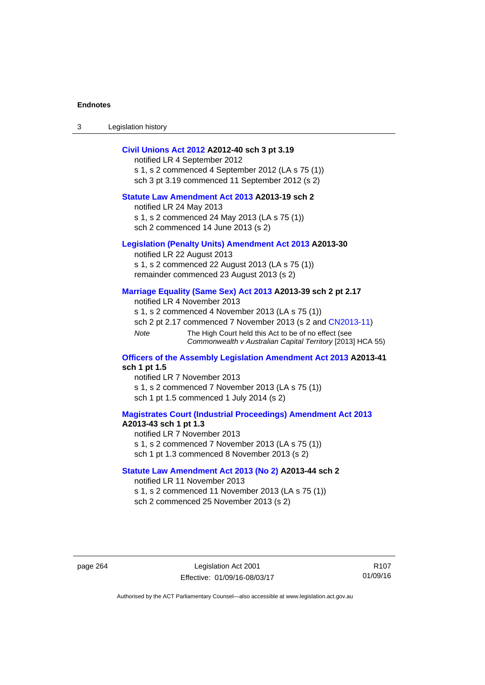3 Legislation history

#### **[Civil Unions Act 2012](http://www.legislation.act.gov.au/a/2012-40) A2012-40 sch 3 pt 3.19**

notified LR 4 September 2012 s 1, s 2 commenced 4 September 2012 (LA s 75 (1)) sch 3 pt 3.19 commenced 11 September 2012 (s 2)

### **[Statute Law Amendment Act 2013](http://www.legislation.act.gov.au/a/2013-19) A2013-19 sch 2**

notified LR 24 May 2013 s 1, s 2 commenced 24 May 2013 (LA s 75 (1)) sch 2 commenced 14 June 2013 (s 2)

#### **[Legislation \(Penalty Units\) Amendment Act 2013](http://www.legislation.act.gov.au/a/2013-30) A2013-30**

notified LR 22 August 2013 s 1, s 2 commenced 22 August 2013 (LA s 75 (1)) remainder commenced 23 August 2013 (s 2)

#### **[Marriage Equality \(Same Sex\) Act 2013](http://www.legislation.act.gov.au/a/2013-39) A2013-39 sch 2 pt 2.17**

notified LR 4 November 2013 s 1, s 2 commenced 4 November 2013 (LA s 75 (1)) sch 2 pt 2.17 commenced 7 November 2013 (s 2 and [CN2013-11\)](http://www.legislation.act.gov.au/cn/2013-11) *Note* The High Court held this Act to be of no effect (see *Commonwealth v Australian Capital Territory* [2013] HCA 55)

#### **[Officers of the Assembly Legislation Amendment Act 2013](http://www.legislation.act.gov.au/a/2013-41) A2013-41 sch 1 pt 1.5**

notified LR 7 November 2013 s 1, s 2 commenced 7 November 2013 (LA s 75 (1)) sch 1 pt 1.5 commenced 1 July 2014 (s 2)

### **[Magistrates Court \(Industrial Proceedings\) Amendment Act 2013](http://www.legislation.act.gov.au/a/2013-43) A2013-43 sch 1 pt 1.3**

notified LR 7 November 2013 s 1, s 2 commenced 7 November 2013 (LA s 75 (1)) sch 1 pt 1.3 commenced 8 November 2013 (s 2)

#### **[Statute Law Amendment Act 2013 \(No 2\)](http://www.legislation.act.gov.au/a/2013-44) A2013-44 sch 2**  notified LR 11 November 2013

s 1, s 2 commenced 11 November 2013 (LA s 75 (1)) sch 2 commenced 25 November 2013 (s 2)

page 264 Legislation Act 2001 Effective: 01/09/16-08/03/17

R107 01/09/16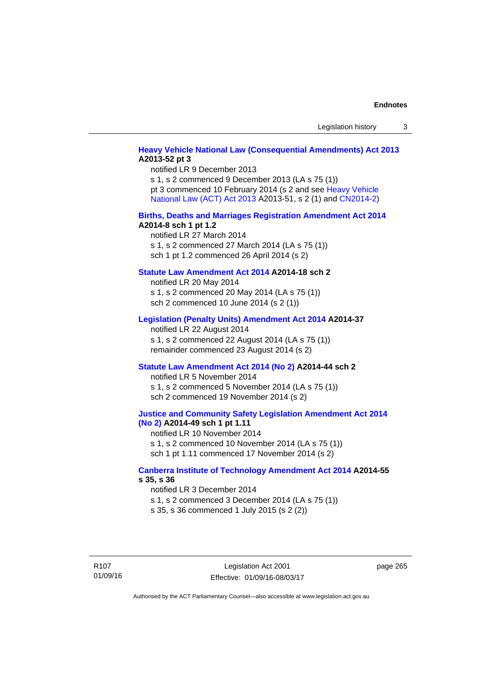## **[Heavy Vehicle National Law \(Consequential Amendments\) Act 2013](http://www.legislation.act.gov.au/a/2013-52) A2013-52 pt 3**

notified LR 9 December 2013 s 1, s 2 commenced 9 December 2013 (LA s 75 (1)) pt 3 commenced 10 February 2014 (s 2 and see [Heavy Vehicle](http://www.legislation.act.gov.au/a/2013-51/default.asp)  [National Law \(ACT\) Act 2013](http://www.legislation.act.gov.au/a/2013-51/default.asp) A2013-51, s 2 (1) and [CN2014-2](http://www.legislation.act.gov.au/cn/2014-2/default.asp))

#### **[Births, Deaths and Marriages Registration Amendment Act 2014](http://www.legislation.act.gov.au/a/2014-8) A2014-8 sch 1 pt 1.2**

notified LR 27 March 2014 s 1, s 2 commenced 27 March 2014 (LA s 75 (1)) sch 1 pt 1.2 commenced 26 April 2014 (s 2)

### **[Statute Law Amendment Act 2014](http://www.legislation.act.gov.au/a/2014-18) A2014-18 sch 2**

notified LR 20 May 2014 s 1, s 2 commenced 20 May 2014 (LA s 75 (1)) sch 2 commenced 10 June 2014 (s 2 (1))

#### **[Legislation \(Penalty Units\) Amendment Act 2014](http://www.legislation.act.gov.au/a/2014-37) A2014-37**

notified LR 22 August 2014 s 1, s 2 commenced 22 August 2014 (LA s 75 (1)) remainder commenced 23 August 2014 (s 2)

#### **[Statute Law Amendment Act 2014 \(No 2\)](http://www.legislation.act.gov.au/a/2014-44) A2014-44 sch 2**

notified LR 5 November 2014 s 1, s 2 commenced 5 November 2014 (LA s 75 (1)) sch 2 commenced 19 November 2014 (s 2)

#### **[Justice and Community Safety Legislation Amendment Act 2014](http://www.legislation.act.gov.au/a/2014-49)  [\(No 2\)](http://www.legislation.act.gov.au/a/2014-49) A2014-49 sch 1 pt 1.11**

notified LR 10 November 2014 s 1, s 2 commenced 10 November 2014 (LA s 75 (1)) sch 1 pt 1.11 commenced 17 November 2014 (s 2)

#### **[Canberra Institute of Technology Amendment Act 2014](http://www.legislation.act.gov.au/a/2014-55/default.asp) A2014-55 s 35, s 36**

notified LR 3 December 2014 s 1, s 2 commenced 3 December 2014 (LA s 75 (1)) s 35, s 36 commenced 1 July 2015 (s 2 (2))

R107 01/09/16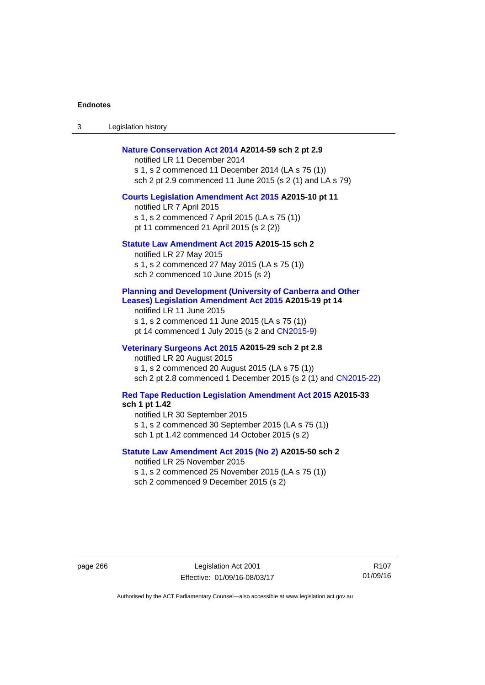3 Legislation history

#### **[Nature Conservation Act 2014](http://www.legislation.act.gov.au/a/2014-59) A2014-59 sch 2 pt 2.9**

notified LR 11 December 2014 s 1, s 2 commenced 11 December 2014 (LA s 75 (1)) sch 2 pt 2.9 commenced 11 June 2015 (s 2 (1) and LA s 79)

#### **[Courts Legislation Amendment Act 2015](http://www.legislation.act.gov.au/a/2015-10) A2015-10 pt 11**

notified LR 7 April 2015 s 1, s 2 commenced 7 April 2015 (LA s 75 (1)) pt 11 commenced 21 April 2015 (s 2 (2))

#### **[Statute Law Amendment Act 2015](http://www.legislation.act.gov.au/a/2015-15) A2015-15 sch 2**

notified LR 27 May 2015 s 1, s 2 commenced 27 May 2015 (LA s 75 (1)) sch 2 commenced 10 June 2015 (s 2)

#### **[Planning and Development \(University of Canberra and Other](http://www.legislation.act.gov.au/a/2015-19)  [Leases\) Legislation Amendment Act 2015](http://www.legislation.act.gov.au/a/2015-19) A2015-19 pt 14**

notified LR 11 June 2015 s 1, s 2 commenced 11 June 2015 (LA s 75 (1)) pt 14 commenced 1 July 2015 (s 2 and [CN2015-9\)](http://www.legislation.act.gov.au/cn/2015-9/default.asp)

### **[Veterinary Surgeons Act 2015](http://www.legislation.act.gov.au/a/2015-29/default.asp) A2015-29 sch 2 pt 2.8**

notified LR 20 August 2015 s 1, s 2 commenced 20 August 2015 (LA s 75 (1)) sch 2 pt 2.8 commenced 1 December 2015 (s 2 (1) and [CN2015-22\)](http://www.legislation.act.gov.au/cn/2015-22/default.asp)

## **[Red Tape Reduction Legislation Amendment Act 2015](http://www.legislation.act.gov.au/a/2015-33/default.asp) A2015-33**

**sch 1 pt 1.42** 

notified LR 30 September 2015

s 1, s 2 commenced 30 September 2015 (LA s 75 (1))

sch 1 pt 1.42 commenced 14 October 2015 (s 2)

### **[Statute Law Amendment Act 2015 \(No 2\)](http://www.legislation.act.gov.au/a/2015-50) A2015-50 sch 2**

notified LR 25 November 2015 s 1, s 2 commenced 25 November 2015 (LA s 75 (1)) sch 2 commenced 9 December 2015 (s 2)

page 266 Legislation Act 2001 Effective: 01/09/16-08/03/17

R107 01/09/16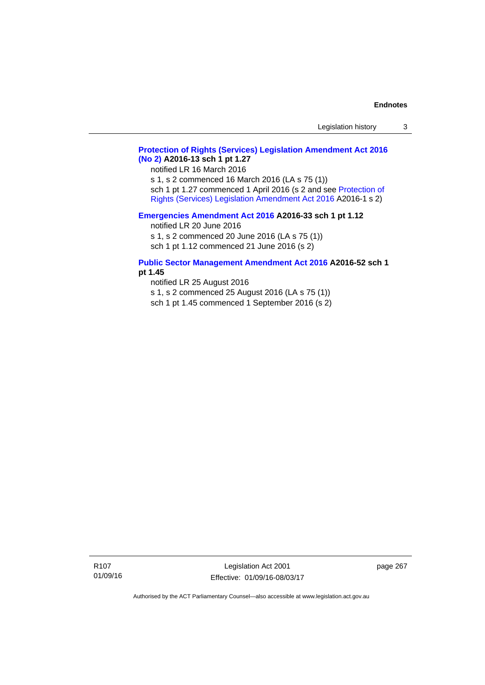## **[Protection of Rights \(Services\) Legislation Amendment Act 2016](http://www.legislation.act.gov.au/a/2016-13)  [\(No 2\)](http://www.legislation.act.gov.au/a/2016-13) A2016-13 sch 1 pt 1.27**

notified LR 16 March 2016

s 1, s 2 commenced 16 March 2016 (LA s 75 (1)) sch 1 pt 1.27 commenced 1 April 2016 (s 2 and see [Protection of](http://www.legislation.act.gov.au/a/2016-1/default.asp)  [Rights \(Services\) Legislation Amendment Act 2016](http://www.legislation.act.gov.au/a/2016-1/default.asp) A2016-1 s 2)

### **[Emergencies Amendment Act 2016](http://www.legislation.act.gov.au/a/2016-33) A2016-33 sch 1 pt 1.12**

notified LR 20 June 2016

s 1, s 2 commenced 20 June 2016 (LA s 75 (1)) sch 1 pt 1.12 commenced 21 June 2016 (s 2)

#### **[Public Sector Management Amendment Act 2016](http://www.legislation.act.gov.au/a/2016-52/default.asp) A2016-52 sch 1 pt 1.45**

notified LR 25 August 2016

s 1, s 2 commenced 25 August 2016 (LA s 75 (1))

sch 1 pt 1.45 commenced 1 September 2016 (s 2)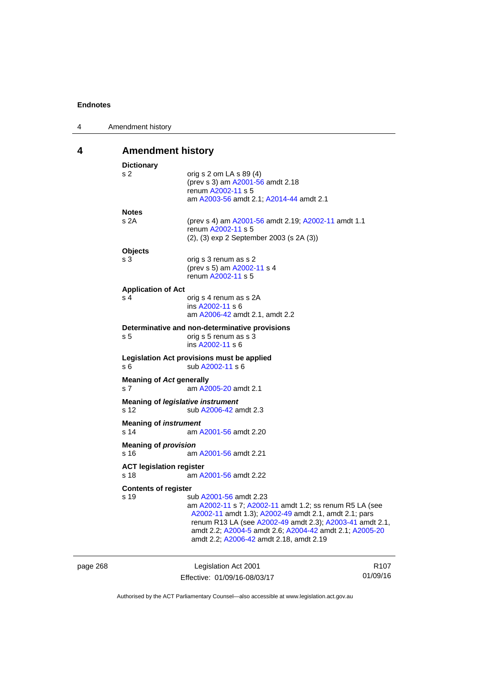| <b>Amendment history</b><br>4<br><b>Dictionary</b><br>s <sub>2</sub><br>orig s 2 om LA s 89 (4)<br>(prev s 3) am A2001-56 amdt 2.18<br>renum A2002-11 s 5<br>am A2003-56 amdt 2.1; A2014-44 amdt 2.1<br><b>Notes</b><br>s 2A<br>(prev s 4) am A2001-56 amdt 2.19; A2002-11 amdt 1.1<br>renum A2002-11 s 5<br>(2), (3) exp 2 September 2003 (s 2A (3))<br><b>Objects</b> |
|-------------------------------------------------------------------------------------------------------------------------------------------------------------------------------------------------------------------------------------------------------------------------------------------------------------------------------------------------------------------------|
|                                                                                                                                                                                                                                                                                                                                                                         |
|                                                                                                                                                                                                                                                                                                                                                                         |
|                                                                                                                                                                                                                                                                                                                                                                         |
|                                                                                                                                                                                                                                                                                                                                                                         |
|                                                                                                                                                                                                                                                                                                                                                                         |
|                                                                                                                                                                                                                                                                                                                                                                         |
|                                                                                                                                                                                                                                                                                                                                                                         |
|                                                                                                                                                                                                                                                                                                                                                                         |
|                                                                                                                                                                                                                                                                                                                                                                         |
|                                                                                                                                                                                                                                                                                                                                                                         |
|                                                                                                                                                                                                                                                                                                                                                                         |
| s 3<br>orig s 3 renum as s 2                                                                                                                                                                                                                                                                                                                                            |
| (prev s 5) am A2002-11 s 4<br>renum A2002-11 s 5                                                                                                                                                                                                                                                                                                                        |
|                                                                                                                                                                                                                                                                                                                                                                         |
| <b>Application of Act</b>                                                                                                                                                                                                                                                                                                                                               |
| s <sub>4</sub><br>orig s 4 renum as s 2A<br>ins A2002-11 s 6                                                                                                                                                                                                                                                                                                            |
| am A2006-42 amdt 2.1, amdt 2.2                                                                                                                                                                                                                                                                                                                                          |
|                                                                                                                                                                                                                                                                                                                                                                         |
| Determinative and non-determinative provisions<br>orig s 5 renum as s 3<br>s 5                                                                                                                                                                                                                                                                                          |
| ins A2002-11 s 6                                                                                                                                                                                                                                                                                                                                                        |
| Legislation Act provisions must be applied                                                                                                                                                                                                                                                                                                                              |
| sub A2002-11 s 6<br>s 6                                                                                                                                                                                                                                                                                                                                                 |
|                                                                                                                                                                                                                                                                                                                                                                         |
| <b>Meaning of Act generally</b><br>s 7<br>am A2005-20 amdt 2.1                                                                                                                                                                                                                                                                                                          |
|                                                                                                                                                                                                                                                                                                                                                                         |
| Meaning of legislative instrument                                                                                                                                                                                                                                                                                                                                       |
| s 12<br>sub A2006-42 amdt 2.3                                                                                                                                                                                                                                                                                                                                           |
| <b>Meaning of instrument</b>                                                                                                                                                                                                                                                                                                                                            |
| s 14<br>am A2001-56 amdt 2.20                                                                                                                                                                                                                                                                                                                                           |
| <b>Meaning of provision</b>                                                                                                                                                                                                                                                                                                                                             |
| s 16<br>am A2001-56 amdt 2.21                                                                                                                                                                                                                                                                                                                                           |
| <b>ACT legislation register</b>                                                                                                                                                                                                                                                                                                                                         |
| s 18<br>am A2001-56 amdt 2.22                                                                                                                                                                                                                                                                                                                                           |
| <b>Contents of register</b>                                                                                                                                                                                                                                                                                                                                             |
| s 19<br>sub A2001-56 amdt 2.23                                                                                                                                                                                                                                                                                                                                          |
| am A2002-11 s 7; A2002-11 amdt 1.2; ss renum R5 LA (see                                                                                                                                                                                                                                                                                                                 |
| A2002-11 amdt 1.3); A2002-49 amdt 2.1, amdt 2.1; pars                                                                                                                                                                                                                                                                                                                   |
| renum R13 LA (see A2002-49 amdt 2.3); A2003-41 amdt 2.1,                                                                                                                                                                                                                                                                                                                |
| amdt 2.2; A2004-5 amdt 2.6; A2004-42 amdt 2.1; A2005-20                                                                                                                                                                                                                                                                                                                 |
| amdt 2.2; A2006-42 amdt 2.18, amdt 2.19                                                                                                                                                                                                                                                                                                                                 |
|                                                                                                                                                                                                                                                                                                                                                                         |

| page 268 | Legislation Act 2001         | R <sub>107</sub> |
|----------|------------------------------|------------------|
|          | Effective: 01/09/16-08/03/17 | 01/09/16         |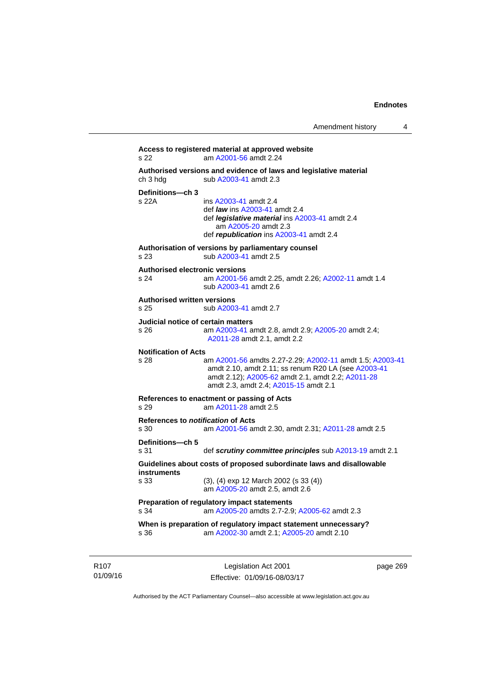```
Access to registered material at approved website 
s 22 am A2001-56 amdt 2.24
Authorised versions and evidence of laws and legislative material 
A2003-41 amdt 2.3
Definitions—ch 3 
                 A2003-41 amdt 2.4
                  def law ins A2003-41 amdt 2.4 
                  def legislative material ins A2003-41 amdt 2.4 
                     am A2005-20 amdt 2.3
                  def republication ins A2003-41 amdt 2.4
Authorisation of versions by parliamentary counsel 
s 23 sub A2003-41 amdt 2.5 
Authorised electronic versions 
s 24 am A2001-56 amdt 2.25, amdt 2.26; A2002-11 amdt 1.4
                  sub A2003-41 amdt 2.6 
Authorised written versions 
s 25 sub A2003-41 amdt 2.7 
Judicial notice of certain matters 
s 26 am A2003-41 amdt 2.8, amdt 2.9; A2005-20 amdt 2.4; 
                 A2011-28 amdt 2.1, amdt 2.2 
Notification of Acts 
s 28 am A2001-56 amdts 2.27-2.29; A2002-11 amdt 1.5; A2003-41
                 amdt 2.10, amdt 2.11; ss renum R20 LA (see A2003-41
                 amdt 2.12); A2005-62 amdt 2.1, amdt 2.2; A2011-28
                 amdt 2.3, amdt 2.4; A2015-15 amdt 2.1 
References to enactment or passing of Acts 
s 29 am A2011-28 amdt 2.5
References to notification of Acts 
s 30 am A2001-56 amdt 2.30, amdt 2.31; A2011-28 amdt 2.5
Definitions—ch 5 
s 31 def scrutiny committee principles sub A2013-19 amdt 2.1
Guidelines about costs of proposed subordinate laws and disallowable 
instruments 
s 33 (3), (4) exp 12 March 2002 (s 33 (4)) 
                  am A2005-20 amdt 2.5, amdt 2.6 
Preparation of regulatory impact statements 
s 34 am A2005-20 amdts 2.7-2.9; A2005-62 amdt 2.3 
When is preparation of regulatory impact statement unnecessary? 
s 36 am A2002-30 amdt 2.1; A2005-20 amdt 2.10
```
R107 01/09/16

Legislation Act 2001 Effective: 01/09/16-08/03/17 page 269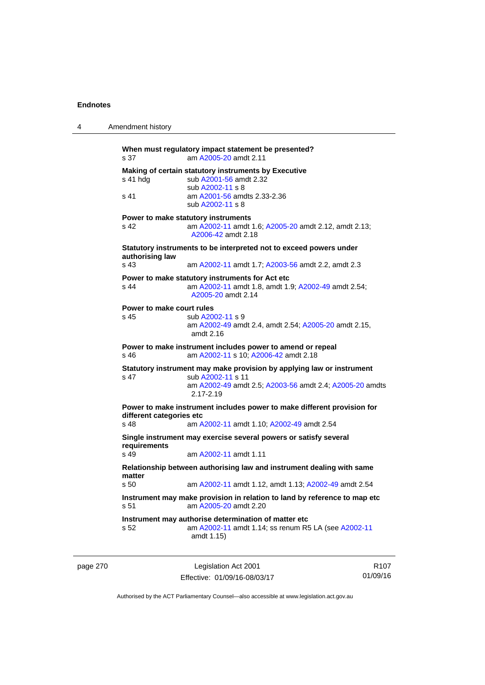| 4 | Amendment history                                                                                                                                                              |
|---|--------------------------------------------------------------------------------------------------------------------------------------------------------------------------------|
|   | When must regulatory impact statement be presented?<br>am A2005-20 amdt 2.11<br>s 37                                                                                           |
|   | Making of certain statutory instruments by Executive<br>sub A2001-56 amdt 2.32<br>s 41 hdg<br>sub A2002-11 s 8<br>s 41<br>am A2001-56 amdts 2.33-2.36                          |
|   | sub A2002-11 s 8                                                                                                                                                               |
|   | Power to make statutory instruments<br>s <sub>42</sub><br>am A2002-11 amdt 1.6; A2005-20 amdt 2.12, amdt 2.13;<br>A2006-42 amdt 2.18                                           |
|   | Statutory instruments to be interpreted not to exceed powers under<br>authorising law                                                                                          |
|   | s 43<br>am A2002-11 amdt 1.7; A2003-56 amdt 2.2, amdt 2.3                                                                                                                      |
|   | Power to make statutory instruments for Act etc.<br>am A2002-11 amdt 1.8, amdt 1.9; A2002-49 amdt 2.54;<br>s 44<br>A2005-20 amdt 2.14                                          |
|   | Power to make court rules<br>s 45<br>sub A2002-11 s 9<br>am A2002-49 amdt 2.4, amdt 2.54; A2005-20 amdt 2.15,<br>amdt $2.16$                                                   |
|   | Power to make instrument includes power to amend or repeal<br>am A2002-11 s 10; A2006-42 amdt 2.18<br>s 46                                                                     |
|   | Statutory instrument may make provision by applying law or instrument<br>s 47<br>sub A2002-11 s 11<br>am A2002-49 amdt 2.5; A2003-56 amdt 2.4; A2005-20 amdts<br>$2.17 - 2.19$ |
|   | Power to make instrument includes power to make different provision for<br>different categories etc<br>s 48<br>am A2002-11 amdt 1.10; A2002-49 amdt 2.54                       |
|   | Single instrument may exercise several powers or satisfy several                                                                                                               |
|   | requirements<br>s 49<br>am A2002-11 amdt 1.11                                                                                                                                  |
|   | Relationship between authorising law and instrument dealing with same<br>matter                                                                                                |
|   | s 50<br>am A2002-11 amdt 1.12, amdt 1.13; A2002-49 amdt 2.54                                                                                                                   |
|   | Instrument may make provision in relation to land by reference to map etc<br>am A2005-20 amdt 2.20<br>s 51                                                                     |
|   | Instrument may authorise determination of matter etc<br>am A2002-11 amdt 1.14; ss renum R5 LA (see A2002-11<br>s 52<br>amdt 1.15)                                              |
|   |                                                                                                                                                                                |

| page 270 | Legislation Act 2001         | R <sub>107</sub> |
|----------|------------------------------|------------------|
|          | Effective: 01/09/16-08/03/17 | 01/09/16         |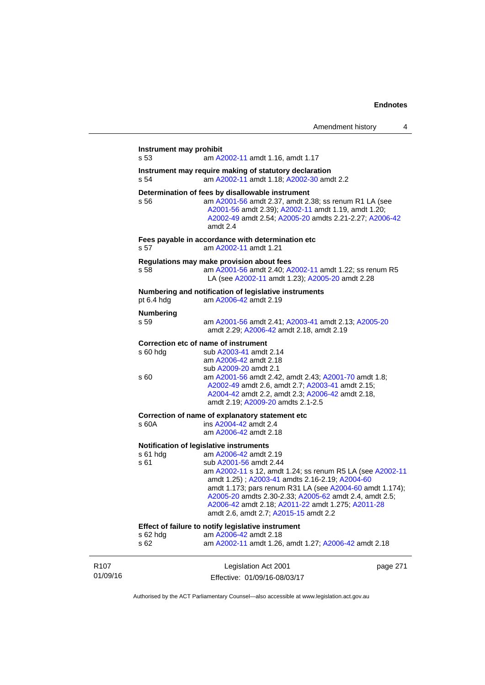|                              | Instrument may prohibit<br>s 53                                                                            | am A2002-11 amdt 1.16, amdt 1.17                                                                                                                                                                                                                                                                                                                                                                                              |          |  |  |
|------------------------------|------------------------------------------------------------------------------------------------------------|-------------------------------------------------------------------------------------------------------------------------------------------------------------------------------------------------------------------------------------------------------------------------------------------------------------------------------------------------------------------------------------------------------------------------------|----------|--|--|
|                              | Instrument may require making of statutory declaration<br>s 54<br>am A2002-11 amdt 1.18; A2002-30 amdt 2.2 |                                                                                                                                                                                                                                                                                                                                                                                                                               |          |  |  |
|                              | s 56                                                                                                       | Determination of fees by disallowable instrument<br>am A2001-56 amdt 2.37, amdt 2.38; ss renum R1 LA (see<br>A2001-56 amdt 2.39); A2002-11 amdt 1.19, amdt 1.20;<br>A2002-49 amdt 2.54; A2005-20 amdts 2.21-2.27; A2006-42<br>amdt 2.4                                                                                                                                                                                        |          |  |  |
|                              | s 57                                                                                                       | Fees payable in accordance with determination etc<br>am A2002-11 amdt 1.21                                                                                                                                                                                                                                                                                                                                                    |          |  |  |
|                              | s 58                                                                                                       | Regulations may make provision about fees<br>am A2001-56 amdt 2.40; A2002-11 amdt 1.22; ss renum R5<br>LA (see A2002-11 amdt 1.23); A2005-20 amdt 2.28                                                                                                                                                                                                                                                                        |          |  |  |
|                              | Numbering and notification of legislative instruments<br>pt 6.4 hdg<br>am A2006-42 amdt 2.19               |                                                                                                                                                                                                                                                                                                                                                                                                                               |          |  |  |
|                              | <b>Numbering</b><br>s 59                                                                                   | am A2001-56 amdt 2.41; A2003-41 amdt 2.13; A2005-20<br>amdt 2.29; A2006-42 amdt 2.18, amdt 2.19                                                                                                                                                                                                                                                                                                                               |          |  |  |
|                              | s 60 hdg<br>s 60                                                                                           | Correction etc of name of instrument<br>sub A2003-41 amdt 2.14<br>am A2006-42 amdt 2.18<br>sub A2009-20 amdt 2.1<br>am A2001-56 amdt 2.42, amdt 2.43; A2001-70 amdt 1.8;<br>A2002-49 amdt 2.6, amdt 2.7; A2003-41 amdt 2.15;                                                                                                                                                                                                  |          |  |  |
|                              |                                                                                                            | A2004-42 amdt 2.2, amdt 2.3; A2006-42 amdt 2.18,<br>amdt 2.19; A2009-20 amdts 2.1-2.5                                                                                                                                                                                                                                                                                                                                         |          |  |  |
|                              | s 60A                                                                                                      | Correction of name of explanatory statement etc<br>ins A2004-42 amdt 2.4<br>am A2006-42 amdt 2.18                                                                                                                                                                                                                                                                                                                             |          |  |  |
|                              | $s61$ hdg<br>s 61                                                                                          | Notification of legislative instruments<br>am A2006-42 amdt 2.19<br>sub A2001-56 amdt 2.44<br>am A2002-11 s 12, amdt 1.24; ss renum R5 LA (see A2002-11<br>amdt 1.25); A2003-41 amdts 2.16-2.19; A2004-60<br>amdt 1.173; pars renum R31 LA (see A2004-60 amdt 1.174);<br>A2005-20 amdts 2.30-2.33; A2005-62 amdt 2.4, amdt 2.5;<br>A2006-42 amdt 2.18; A2011-22 amdt 1.275; A2011-28<br>amdt 2.6, amdt 2.7; A2015-15 amdt 2.2 |          |  |  |
|                              | s 62 hdg<br>s 62                                                                                           | Effect of failure to notify legislative instrument<br>am A2006-42 amdt 2.18<br>am A2002-11 amdt 1.26, amdt 1.27; A2006-42 amdt 2.18                                                                                                                                                                                                                                                                                           |          |  |  |
| R <sub>107</sub><br>01/09/16 |                                                                                                            | Legislation Act 2001<br>Effective: 01/09/16-08/03/17                                                                                                                                                                                                                                                                                                                                                                          | page 271 |  |  |

Authorised by the ACT Parliamentary Counsel—also accessible at www.legislation.act.gov.au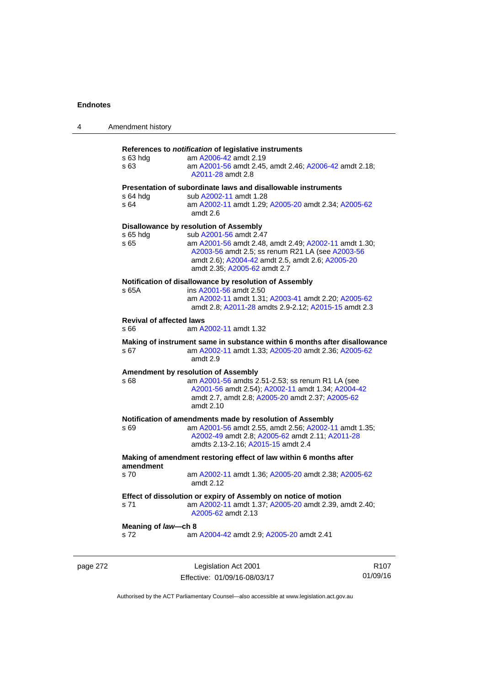| 4        | Amendment history                                                                                                                                    |                                                                                                                                                                                                                                                                   |      |  |  |
|----------|------------------------------------------------------------------------------------------------------------------------------------------------------|-------------------------------------------------------------------------------------------------------------------------------------------------------------------------------------------------------------------------------------------------------------------|------|--|--|
|          | s 63 hdg<br>s 63                                                                                                                                     | References to notification of legislative instruments<br>am A2006-42 amdt 2.19<br>am A2001-56 amdt 2.45, amdt 2.46; A2006-42 amdt 2.18;<br>A2011-28 amdt 2.8                                                                                                      |      |  |  |
|          | s 64 hdg<br>s 64                                                                                                                                     | Presentation of subordinate laws and disallowable instruments<br>sub A2002-11 amdt 1.28<br>am A2002-11 amdt 1.29; A2005-20 amdt 2.34; A2005-62<br>amdt 2.6                                                                                                        |      |  |  |
|          | s 65 hdg<br>s 65                                                                                                                                     | Disallowance by resolution of Assembly<br>sub A2001-56 amdt 2.47<br>am A2001-56 amdt 2.48, amdt 2.49; A2002-11 amdt 1.30;<br>A2003-56 amdt 2.5; ss renum R21 LA (see A2003-56<br>amdt 2.6); A2004-42 amdt 2.5, amdt 2.6; A2005-20<br>amdt 2.35; A2005-62 amdt 2.7 |      |  |  |
|          | s 65A                                                                                                                                                | Notification of disallowance by resolution of Assembly<br>ins A2001-56 amdt 2.50<br>am A2002-11 amdt 1.31; A2003-41 amdt 2.20; A2005-62<br>amdt 2.8; A2011-28 amdts 2.9-2.12; A2015-15 amdt 2.3                                                                   |      |  |  |
|          | <b>Revival of affected laws</b><br>s 66                                                                                                              | am A2002-11 amdt 1.32                                                                                                                                                                                                                                             |      |  |  |
|          | Making of instrument same in substance within 6 months after disallowance<br>s 67<br>am A2002-11 amdt 1.33; A2005-20 amdt 2.36; A2005-62<br>amdt 2.9 |                                                                                                                                                                                                                                                                   |      |  |  |
|          | s 68                                                                                                                                                 | <b>Amendment by resolution of Assembly</b><br>am A2001-56 amdts 2.51-2.53; ss renum R1 LA (see<br>A2001-56 amdt 2.54); A2002-11 amdt 1.34; A2004-42<br>amdt 2.7, amdt 2.8; A2005-20 amdt 2.37; A2005-62<br>amdt 2.10                                              |      |  |  |
|          | s 69                                                                                                                                                 | Notification of amendments made by resolution of Assembly<br>am A2001-56 amdt 2.55, amdt 2.56; A2002-11 amdt 1.35;<br>A2002-49 amdt 2.8; A2005-62 amdt 2.11; A2011-28<br>amdts 2.13-2.16; A2015-15 amdt 2.4                                                       |      |  |  |
|          | amendment                                                                                                                                            | Making of amendment restoring effect of law within 6 months after                                                                                                                                                                                                 |      |  |  |
|          | s 70                                                                                                                                                 | am A2002-11 amdt 1.36; A2005-20 amdt 2.38; A2005-62<br>amdt 2.12                                                                                                                                                                                                  |      |  |  |
|          | s 71                                                                                                                                                 | Effect of dissolution or expiry of Assembly on notice of motion<br>am A2002-11 amdt 1.37; A2005-20 amdt 2.39, amdt 2.40;<br>A2005-62 amdt 2.13                                                                                                                    |      |  |  |
|          | Meaning of law-ch 8<br>s 72                                                                                                                          | am A2004-42 amdt 2.9; A2005-20 amdt 2.41                                                                                                                                                                                                                          |      |  |  |
| page 272 |                                                                                                                                                      | Legislation Act 2001                                                                                                                                                                                                                                              | R107 |  |  |

Authorised by the ACT Parliamentary Counsel—also accessible at www.legislation.act.gov.au

01/09/16

Effective: 01/09/16-08/03/17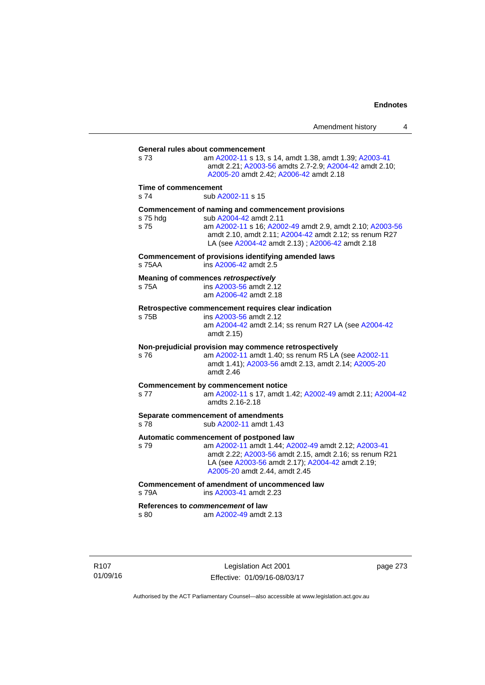**General rules about commencement**  s 73 am [A2002-11](http://www.legislation.act.gov.au/a/2002-11) s 13, s 14, amdt 1.38, amdt 1.39; [A2003-41](http://www.legislation.act.gov.au/a/2003-41) amdt 2.21; [A2003-56](http://www.legislation.act.gov.au/a/2003-56) amdts 2.7-2.9; [A2004-42](http://www.legislation.act.gov.au/a/2004-42) amdt 2.10; [A2005-20](http://www.legislation.act.gov.au/a/2005-20) amdt 2.42; [A2006-42](http://www.legislation.act.gov.au/a/2006-42) amdt 2.18 **Time of commencement**  s 74 sub [A2002-11](http://www.legislation.act.gov.au/a/2002-11) s 15 **Commencement of naming and commencement provisions**  s 75 hdg sub [A2004-42](http://www.legislation.act.gov.au/a/2004-42) amdt 2.11<br>s 75 straam A2002-11 s 16: A200 s 75 am [A2002-11](http://www.legislation.act.gov.au/a/2002-11) s 16; [A2002-49](http://www.legislation.act.gov.au/a/2002-49) amdt 2.9, amdt 2.10; [A2003-56](http://www.legislation.act.gov.au/a/2003-56) amdt 2.10, amdt 2.11; [A2004-42](http://www.legislation.act.gov.au/a/2004-42) amdt 2.12; ss renum R27 LA (see [A2004-42](http://www.legislation.act.gov.au/a/2004-42) amdt 2.13) ; [A2006-42](http://www.legislation.act.gov.au/a/2006-42) amdt 2.18 **Commencement of provisions identifying amended laws**  s 75AA ins [A2006-42](http://www.legislation.act.gov.au/a/2006-42) amdt 2.5 **Meaning of commences** *retrospectively*  s 75A ins [A2003-56](http://www.legislation.act.gov.au/a/2003-56) amdt 2.12 am [A2006-42](http://www.legislation.act.gov.au/a/2006-42) amdt 2.18 **Retrospective commencement requires clear indication**  s 75B ins [A2003-56](http://www.legislation.act.gov.au/a/2003-56) amdt 2.12 am [A2004-42](http://www.legislation.act.gov.au/a/2004-42) amdt 2.14; ss renum R27 LA (see [A2004-42](http://www.legislation.act.gov.au/a/2004-42) amdt 2.15) **Non-prejudicial provision may commence retrospectively**  s 76 am [A2002-11](http://www.legislation.act.gov.au/a/2002-11) amdt 1.40; ss renum R5 LA (see [A2002-11](http://www.legislation.act.gov.au/a/2002-11) amdt 1.41); [A2003-56](http://www.legislation.act.gov.au/a/2003-56) amdt 2.13, amdt 2.14; [A2005-20](http://www.legislation.act.gov.au/a/2005-20) amdt 2.46 **Commencement by commencement notice**  s 77 am [A2002-11](http://www.legislation.act.gov.au/a/2002-11) s 17, amdt 1.42; [A2002-49](http://www.legislation.act.gov.au/a/2002-49) amdt 2.11; [A2004-42](http://www.legislation.act.gov.au/a/2004-42) amdts 2.16-2.18 **Separate commencement of amendments**  s 78 sub [A2002-11](http://www.legislation.act.gov.au/a/2002-11) amdt 1.43 **Automatic commencement of postponed law**  s 79 am [A2002-11](http://www.legislation.act.gov.au/a/2002-11) amdt 1.44; [A2002-49](http://www.legislation.act.gov.au/a/2002-49) amdt 2.12; [A2003-41](http://www.legislation.act.gov.au/a/2003-41) amdt 2.22; [A2003-56](http://www.legislation.act.gov.au/a/2003-56) amdt 2.15, amdt 2.16; ss renum R21 LA (see [A2003-56](http://www.legislation.act.gov.au/a/2003-56) amdt 2.17); [A2004-42](http://www.legislation.act.gov.au/a/2004-42) amdt 2.19; [A2005-20](http://www.legislation.act.gov.au/a/2005-20) amdt 2.44, amdt 2.45 **Commencement of amendment of uncommenced law**  s 79A ins [A2003-41](http://www.legislation.act.gov.au/a/2003-41) amdt 2.23 **References to** *commencement* **of law**  s 80 am [A2002-49](http://www.legislation.act.gov.au/a/2002-49) amdt 2.13

R107 01/09/16

Legislation Act 2001 Effective: 01/09/16-08/03/17 page 273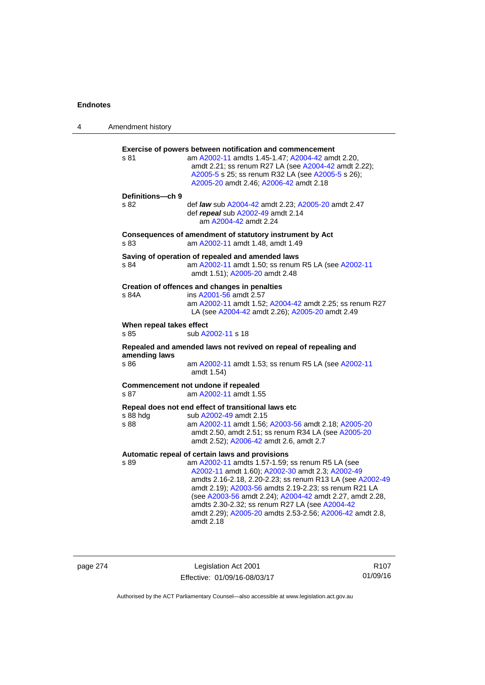| 4 | Amendment history                |                                                                                                                                                                                                                                                                                                                                                                                                                                                                      |
|---|----------------------------------|----------------------------------------------------------------------------------------------------------------------------------------------------------------------------------------------------------------------------------------------------------------------------------------------------------------------------------------------------------------------------------------------------------------------------------------------------------------------|
|   | s 81                             | <b>Exercise of powers between notification and commencement</b><br>am A2002-11 amdts 1.45-1.47; A2004-42 amdt 2.20,<br>amdt 2.21; ss renum R27 LA (see A2004-42 amdt 2.22);<br>A2005-5 s 25; ss renum R32 LA (see A2005-5 s 26);<br>A2005-20 amdt 2.46; A2006-42 amdt 2.18                                                                                                                                                                                           |
|   | Definitions-ch 9<br>s 82         | def <i>law</i> sub A2004-42 amdt 2.23; A2005-20 amdt 2.47<br>def repeal sub A2002-49 amdt 2.14<br>am A2004-42 amdt 2.24                                                                                                                                                                                                                                                                                                                                              |
|   | s 83                             | Consequences of amendment of statutory instrument by Act<br>am A2002-11 amdt 1.48, amdt 1.49                                                                                                                                                                                                                                                                                                                                                                         |
|   | s 84                             | Saving of operation of repealed and amended laws<br>am A2002-11 amdt 1.50; ss renum R5 LA (see A2002-11<br>amdt 1.51); A2005-20 amdt 2.48                                                                                                                                                                                                                                                                                                                            |
|   | s 84A                            | Creation of offences and changes in penalties<br>ins A2001-56 amdt 2.57<br>am A2002-11 amdt 1.52; A2004-42 amdt 2.25; ss renum R27<br>LA (see A2004-42 amdt 2.26); A2005-20 amdt 2.49                                                                                                                                                                                                                                                                                |
|   | When repeal takes effect<br>s 85 | sub A2002-11 s 18                                                                                                                                                                                                                                                                                                                                                                                                                                                    |
|   |                                  | Repealed and amended laws not revived on repeal of repealing and                                                                                                                                                                                                                                                                                                                                                                                                     |
|   | amending laws<br>s 86            | am A2002-11 amdt 1.53; ss renum R5 LA (see A2002-11<br>amdt 1.54)                                                                                                                                                                                                                                                                                                                                                                                                    |
|   | s 87                             | Commencement not undone if repealed<br>am A2002-11 amdt 1.55                                                                                                                                                                                                                                                                                                                                                                                                         |
|   | s 88 hdg<br>s 88                 | Repeal does not end effect of transitional laws etc<br>sub A2002-49 amdt 2.15<br>am A2002-11 amdt 1.56; A2003-56 amdt 2.18; A2005-20<br>amdt 2.50, amdt 2.51; ss renum R34 LA (see A2005-20<br>amdt 2.52); A2006-42 amdt 2.6, amdt 2.7                                                                                                                                                                                                                               |
|   | s 89                             | Automatic repeal of certain laws and provisions<br>am A2002-11 amdts 1.57-1.59; ss renum R5 LA (see<br>A2002-11 amdt 1.60); A2002-30 amdt 2.3; A2002-49<br>amdts 2.16-2.18, 2.20-2.23; ss renum R13 LA (see A2002-49<br>amdt 2.19); A2003-56 amdts 2.19-2.23; ss renum R21 LA<br>(see A2003-56 amdt 2.24); A2004-42 amdt 2.27, amdt 2.28,<br>amdts 2.30-2.32; ss renum R27 LA (see A2004-42<br>amdt 2.29); A2005-20 amdts 2.53-2.56; A2006-42 amdt 2.8,<br>amdt 2.18 |

page 274 Legislation Act 2001 Effective: 01/09/16-08/03/17

R107 01/09/16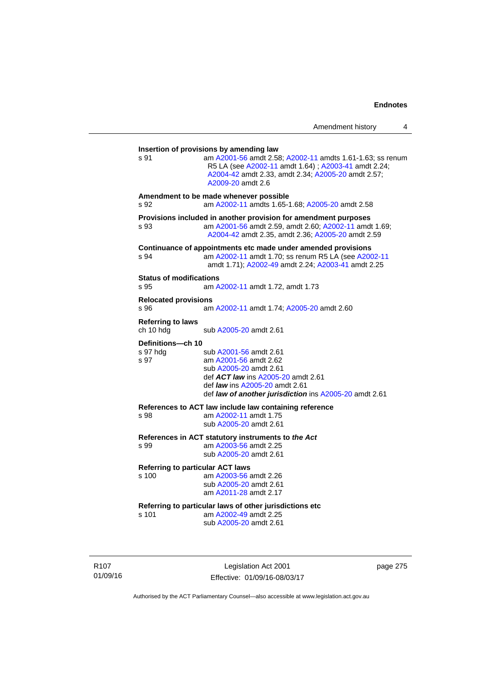| s 91                                   | am A2001-56 amdt 2.58; A2002-11 amdts 1.61-1.63; ss renum<br>R5 LA (see A2002-11 amdt 1.64); A2003-41 amdt 2.24;<br>A2004-42 amdt 2.33, amdt 2.34; A2005-20 amdt 2.57;<br>A2009-20 amdt 2.6                        |
|----------------------------------------|--------------------------------------------------------------------------------------------------------------------------------------------------------------------------------------------------------------------|
| s 92                                   | Amendment to be made whenever possible<br>am A2002-11 amdts 1.65-1.68; A2005-20 amdt 2.58                                                                                                                          |
| s 93                                   | Provisions included in another provision for amendment purposes<br>am A2001-56 amdt 2.59, amdt 2.60; A2002-11 amdt 1.69;<br>A2004-42 amdt 2.35, amdt 2.36; A2005-20 amdt 2.59                                      |
| s.94                                   | Continuance of appointments etc made under amended provisions<br>am A2002-11 amdt 1.70; ss renum R5 LA (see A2002-11<br>amdt 1.71); A2002-49 amdt 2.24; A2003-41 amdt 2.25                                         |
| <b>Status of modifications</b><br>s 95 | am A2002-11 amdt 1.72, amdt 1.73                                                                                                                                                                                   |
| <b>Relocated provisions</b><br>s 96    | am A2002-11 amdt 1.74; A2005-20 amdt 2.60                                                                                                                                                                          |
| <b>Referring to laws</b><br>ch 10 hdg  | sub A2005-20 amdt 2.61                                                                                                                                                                                             |
| Definitions-ch 10<br>s 97 hdg<br>s 97  | sub A2001-56 amdt 2.61<br>am A2001-56 amdt 2.62<br>sub A2005-20 amdt 2.61<br>def ACT law ins A2005-20 amdt 2.61<br>def <i>law</i> ins A2005-20 amdt 2.61<br>def law of another jurisdiction ins A2005-20 amdt 2.61 |
| s 98                                   | References to ACT law include law containing reference<br>am A2002-11 amdt 1.75<br>sub A2005-20 amdt 2.61                                                                                                          |
| s 99                                   | References in ACT statutory instruments to the Act<br>am A2003-56 amdt 2.25<br>sub A2005-20 amdt 2.61                                                                                                              |
| s 100                                  | <b>Referring to particular ACT laws</b><br>am A2003-56 amdt 2.26<br>sub A2005-20 amdt 2.61<br>am A2011-28 amdt 2.17                                                                                                |
| s 101                                  | Referring to particular laws of other jurisdictions etc<br>am A2002-49 amdt 2.25<br>sub A2005-20 amdt 2.61                                                                                                         |

R107 01/09/16

Legislation Act 2001 Effective: 01/09/16-08/03/17 page 275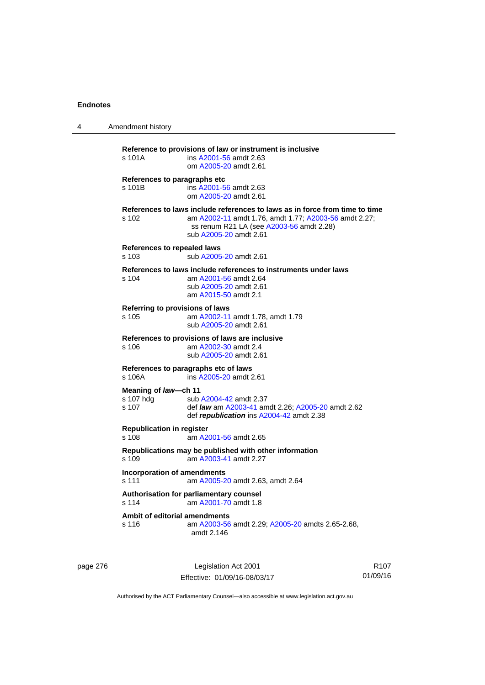| 4 | Amendment history                                                                                                                                                                                                   |  |
|---|---------------------------------------------------------------------------------------------------------------------------------------------------------------------------------------------------------------------|--|
|   | Reference to provisions of law or instrument is inclusive<br>s 101A<br>ins A2001-56 amdt 2.63<br>om A2005-20 amdt 2.61                                                                                              |  |
|   | References to paragraphs etc<br>s 101B<br>ins A2001-56 amdt 2.63<br>om A2005-20 amdt 2.61                                                                                                                           |  |
|   | References to laws include references to laws as in force from time to time<br>s 102<br>am A2002-11 amdt 1.76, amdt 1.77; A2003-56 amdt 2.27;<br>ss renum R21 LA (see A2003-56 amdt 2.28)<br>sub A2005-20 amdt 2.61 |  |
|   | References to repealed laws<br>s 103<br>sub A2005-20 amdt 2.61                                                                                                                                                      |  |
|   | References to laws include references to instruments under laws<br>$s$ 104<br>am A2001-56 amdt 2.64<br>sub A2005-20 amdt 2.61<br>am A2015-50 amdt 2.1                                                               |  |
|   | Referring to provisions of laws<br>s 105<br>am A2002-11 amdt 1.78, amdt 1.79<br>sub A2005-20 amdt 2.61                                                                                                              |  |
|   | References to provisions of laws are inclusive<br>s 106<br>am A2002-30 amdt 2.4<br>sub A2005-20 amdt 2.61                                                                                                           |  |
|   | References to paragraphs etc of laws<br>s 106A<br>ins A2005-20 amdt 2.61                                                                                                                                            |  |
|   | Meaning of law-ch 11<br>s 107 hdg<br>sub A2004-42 amdt 2.37<br>s 107<br>def <i>law</i> am A2003-41 amdt 2.26; A2005-20 amdt 2.62<br>def republication ins A2004-42 amdt 2.38                                        |  |
|   | <b>Republication in register</b><br>s 108<br>am A2001-56 amdt 2.65                                                                                                                                                  |  |
|   | Republications may be published with other information<br>s 109<br>am A2003-41 amdt 2.27                                                                                                                            |  |
|   | Incorporation of amendments<br>s 111<br>am A2005-20 amdt 2.63, amdt 2.64                                                                                                                                            |  |
|   | Authorisation for parliamentary counsel<br>am A2001-70 amdt 1.8<br>s 114                                                                                                                                            |  |
|   | Ambit of editorial amendments<br>s 116<br>am A2003-56 amdt 2.29; A2005-20 amdts 2.65-2.68,<br>amdt 2.146                                                                                                            |  |

page 276 **Legislation Act 2001** Effective: 01/09/16-08/03/17

R107 01/09/16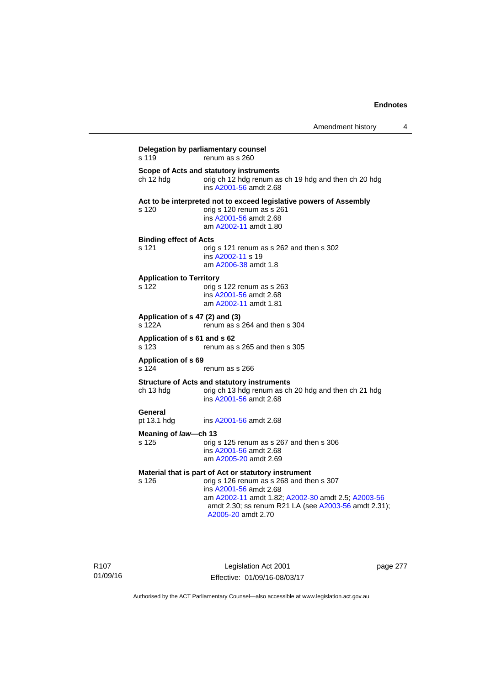| s 119                                    | Delegation by parliamentary counsel<br>renum as s 260                                                                                                                                                                                                          |
|------------------------------------------|----------------------------------------------------------------------------------------------------------------------------------------------------------------------------------------------------------------------------------------------------------------|
| ch 12 hdg                                | Scope of Acts and statutory instruments<br>orig ch 12 hdg renum as ch 19 hdg and then ch 20 hdg<br>ins A2001-56 amdt 2.68                                                                                                                                      |
| s 120                                    | Act to be interpreted not to exceed legislative powers of Assembly<br>orig s 120 renum as s 261<br>ins A2001-56 amdt 2.68<br>am A2002-11 amdt 1.80                                                                                                             |
| <b>Binding effect of Acts</b><br>s 121   | orig s 121 renum as s 262 and then s 302<br>ins A2002-11 s 19<br>am A2006-38 amdt 1.8                                                                                                                                                                          |
| <b>Application to Territory</b><br>s 122 | orig s 122 renum as s 263<br>ins A2001-56 amdt 2.68<br>am A2002-11 amdt 1.81                                                                                                                                                                                   |
| s 122A                                   | Application of s 47 (2) and (3)<br>renum as s 264 and then s 304                                                                                                                                                                                               |
| Application of s 61 and s 62<br>s 123    | renum as s 265 and then s 305                                                                                                                                                                                                                                  |
| <b>Application of s 69</b><br>s 124      | renum as s 266                                                                                                                                                                                                                                                 |
| ch 13 hdg                                | <b>Structure of Acts and statutory instruments</b><br>orig ch 13 hdg renum as ch 20 hdg and then ch 21 hdg<br>ins A2001-56 amdt 2.68                                                                                                                           |
| General<br>pt 13.1 hdg                   | ins A2001-56 amdt 2.68                                                                                                                                                                                                                                         |
| Meaning of law-ch 13                     |                                                                                                                                                                                                                                                                |
| s 125                                    | orig s 125 renum as s 267 and then s 306<br>ins A2001-56 amdt 2.68<br>am A2005-20 amdt 2.69                                                                                                                                                                    |
| s 126                                    | Material that is part of Act or statutory instrument<br>orig s 126 renum as s 268 and then s 307<br>ins A2001-56 amdt 2.68<br>am A2002-11 amdt 1.82; A2002-30 amdt 2.5; A2003-56<br>amdt 2.30; ss renum R21 LA (see A2003-56 amdt 2.31);<br>A2005-20 amdt 2.70 |

Legislation Act 2001 Effective: 01/09/16-08/03/17 page 277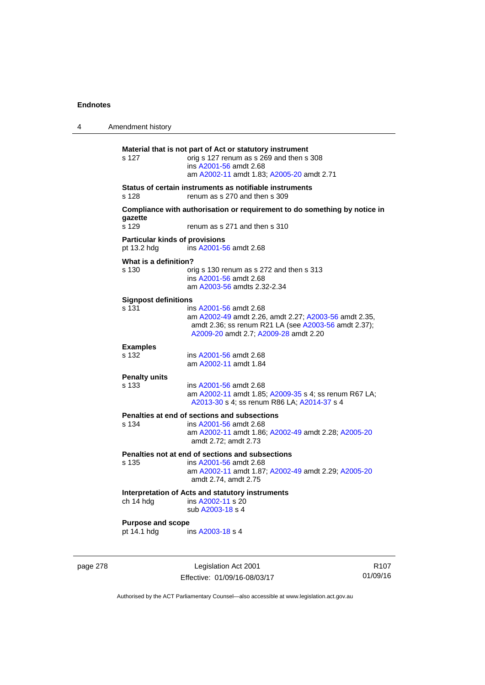| 4                              | Amendment history                                    |                                                                                                                                                                                  |
|--------------------------------|------------------------------------------------------|----------------------------------------------------------------------------------------------------------------------------------------------------------------------------------|
|                                | s 127                                                | Material that is not part of Act or statutory instrument<br>orig s 127 renum as s 269 and then s 308<br>ins A2001-56 amdt 2.68<br>am A2002-11 amdt 1.83; A2005-20 amdt 2.71      |
|                                | s 128                                                | Status of certain instruments as notifiable instruments<br>renum as s 270 and then s 309                                                                                         |
|                                | gazette<br>s 129                                     | Compliance with authorisation or requirement to do something by notice in<br>renum as s 271 and then s 310                                                                       |
|                                | <b>Particular kinds of provisions</b><br>pt 13.2 hdg | ins A2001-56 amdt 2.68                                                                                                                                                           |
| What is a definition?<br>s 130 |                                                      | orig s 130 renum as s 272 and then s 313<br>ins A2001-56 amdt 2.68<br>am A2003-56 amdts 2.32-2.34                                                                                |
|                                | <b>Signpost definitions</b><br>s 131                 | ins A2001-56 amdt 2.68<br>am A2002-49 amdt 2.26, amdt 2.27; A2003-56 amdt 2.35,<br>amdt 2.36; ss renum R21 LA (see A2003-56 amdt 2.37);<br>A2009-20 amdt 2.7; A2009-28 amdt 2.20 |
|                                | <b>Examples</b><br>s 132                             | ins A2001-56 amdt 2.68<br>am A2002-11 amdt 1.84                                                                                                                                  |
|                                | <b>Penalty units</b><br>s 133                        | ins A2001-56 amdt 2.68<br>am A2002-11 amdt 1.85; A2009-35 s 4; ss renum R67 LA;<br>A2013-30 s 4; ss renum R86 LA; A2014-37 s 4                                                   |
|                                | s 134                                                | Penalties at end of sections and subsections<br>ins A2001-56 amdt 2.68<br>am A2002-11 amdt 1.86; A2002-49 amdt 2.28; A2005-20<br>amdt 2.72; amdt 2.73                            |
|                                | s 135                                                | Penalties not at end of sections and subsections<br>ins A2001-56 amdt 2.68<br>am A2002-11 amdt 1.87; A2002-49 amdt 2.29; A2005-20<br>amdt 2.74, amdt 2.75                        |
|                                | ch 14 hdg                                            | Interpretation of Acts and statutory instruments<br>ins A2002-11 s 20<br>sub A2003-18 s 4                                                                                        |
|                                | <b>Purpose and scope</b><br>pt 14.1 hdg              | ins A2003-18 s 4                                                                                                                                                                 |

page 278 Legislation Act 2001 Effective: 01/09/16-08/03/17

R107 01/09/16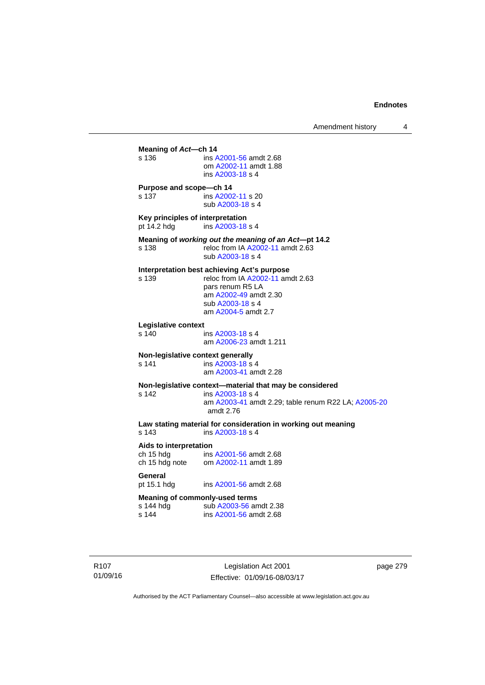**Meaning of** *Act***—ch 14**  s 136 ins [A2001-56](http://www.legislation.act.gov.au/a/2001-56) amdt 2.68 om [A2002-11](http://www.legislation.act.gov.au/a/2002-11) amdt 1.88 ins [A2003-18](http://www.legislation.act.gov.au/a/2003-18) s 4 **Purpose and scope—ch 14**  s 137 ins [A2002-11](http://www.legislation.act.gov.au/a/2002-11) s 20 sub [A2003-18](http://www.legislation.act.gov.au/a/2003-18) s 4 **Key principles of interpretation**<br>pt 14.2 hdg ins A2003-18 ins [A2003-18](http://www.legislation.act.gov.au/a/2003-18) s 4 **Meaning of** *working out the meaning of an Act***—pt 14.2**  s 138 reloc from IA [A2002-11](http://www.legislation.act.gov.au/a/2002-11) amdt 2.63 sub [A2003-18](http://www.legislation.act.gov.au/a/2003-18) s 4 **Interpretation best achieving Act's purpose**  s 139 reloc from IA [A2002-11](http://www.legislation.act.gov.au/a/2002-11) amdt 2.63 pars renum R5 LA am [A2002-49](http://www.legislation.act.gov.au/a/2002-49) amdt 2.30 sub [A2003-18](http://www.legislation.act.gov.au/a/2003-18) s 4 am [A2004-5](http://www.legislation.act.gov.au/a/2004-5) amdt 2.7 **Legislative context**  ins [A2003-18](http://www.legislation.act.gov.au/a/2003-18) s 4 am [A2006-23](http://www.legislation.act.gov.au/a/2006-23) amdt 1.211 **Non-legislative context generally**<br>s 141 **ins A2003-18 s** s 141 **ins [A2003-18](http://www.legislation.act.gov.au/a/2003-18) s** 4 am [A2003-41](http://www.legislation.act.gov.au/a/2003-41) amdt 2.28 **Non-legislative context—material that may be considered**  s 142 ins [A2003-18](http://www.legislation.act.gov.au/a/2003-18) s 4 am [A2003-41](http://www.legislation.act.gov.au/a/2003-41) amdt 2.29; table renum R22 LA; [A2005-20](http://www.legislation.act.gov.au/a/2005-20) amdt 2.76 **Law stating material for consideration in working out meaning**  ins [A2003-18](http://www.legislation.act.gov.au/a/2003-18) s 4 **Aids to interpretation**  ch 15 hdg ins [A2001-56](http://www.legislation.act.gov.au/a/2001-56) amdt 2.68 ch 15 hdg note om [A2002-11](http://www.legislation.act.gov.au/a/2002-11) amdt 1.89 General<br>pt 15.1 hdg ins [A2001-56](http://www.legislation.act.gov.au/a/2001-56) amdt 2.68 **Meaning of commonly-used terms**  s 144 hdg sub [A2003-56](http://www.legislation.act.gov.au/a/2003-56) amdt 2.38<br>s 144 ins A2001-56 amdt 2.68 ins [A2001-56](http://www.legislation.act.gov.au/a/2001-56) amdt 2.68

R107 01/09/16

Legislation Act 2001 Effective: 01/09/16-08/03/17 page 279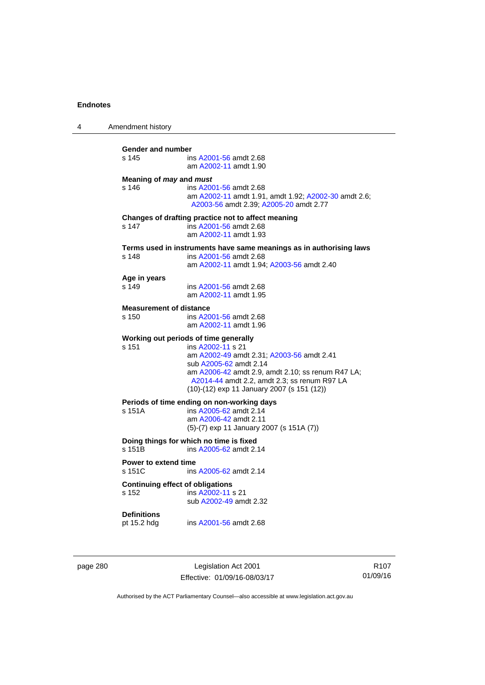| 4 | Amendment history                                                                                                                                                                                                                                                                             |
|---|-----------------------------------------------------------------------------------------------------------------------------------------------------------------------------------------------------------------------------------------------------------------------------------------------|
|   | Gender and number<br>s 145<br>ins A2001-56 amdt 2.68<br>am A2002-11 amdt 1.90                                                                                                                                                                                                                 |
|   | Meaning of may and must<br>s 146<br>ins A2001-56 amdt 2.68<br>am A2002-11 amdt 1.91, amdt 1.92; A2002-30 amdt 2.6;<br>A2003-56 amdt 2.39; A2005-20 amdt 2.77                                                                                                                                  |
|   | Changes of drafting practice not to affect meaning<br>s 147<br>ins A2001-56 amdt 2.68<br>am A2002-11 amdt 1.93                                                                                                                                                                                |
|   | Terms used in instruments have same meanings as in authorising laws<br>s 148<br>ins A2001-56 amdt 2.68<br>am A2002-11 amdt 1.94; A2003-56 amdt 2.40                                                                                                                                           |
|   | Age in years<br>s 149<br>ins A2001-56 amdt 2.68<br>am A2002-11 amdt 1.95                                                                                                                                                                                                                      |
|   | <b>Measurement of distance</b><br>s 150<br>ins A2001-56 amdt 2.68<br>am A2002-11 amdt 1.96                                                                                                                                                                                                    |
|   | Working out periods of time generally<br>s 151<br>ins A2002-11 s 21<br>am A2002-49 amdt 2.31; A2003-56 amdt 2.41<br>sub A2005-62 amdt 2.14<br>am A2006-42 amdt 2.9, amdt 2.10; ss renum R47 LA;<br>A2014-44 amdt 2.2, amdt 2.3; ss renum R97 LA<br>(10)-(12) exp 11 January 2007 (s 151 (12)) |
|   | Periods of time ending on non-working days<br>s 151A<br>ins A2005-62 amdt 2.14<br>am A2006-42 amdt 2.11<br>$(5)-(7)$ exp 11 January 2007 (s 151A $(7)$ )                                                                                                                                      |
|   | Doing things for which no time is fixed<br>s 151B<br>ins A2005-62 amdt 2.14                                                                                                                                                                                                                   |
|   | <b>Power to extend time</b><br>s 151C<br>ins A2005-62 amdt 2.14                                                                                                                                                                                                                               |
|   | <b>Continuing effect of obligations</b><br>s 152<br>ins A2002-11 s 21<br>sub A2002-49 amdt 2.32                                                                                                                                                                                               |
|   | <b>Definitions</b><br>pt 15.2 hdg<br>ins A2001-56 amdt 2.68                                                                                                                                                                                                                                   |
|   |                                                                                                                                                                                                                                                                                               |

page 280 Legislation Act 2001 Effective: 01/09/16-08/03/17

R107 01/09/16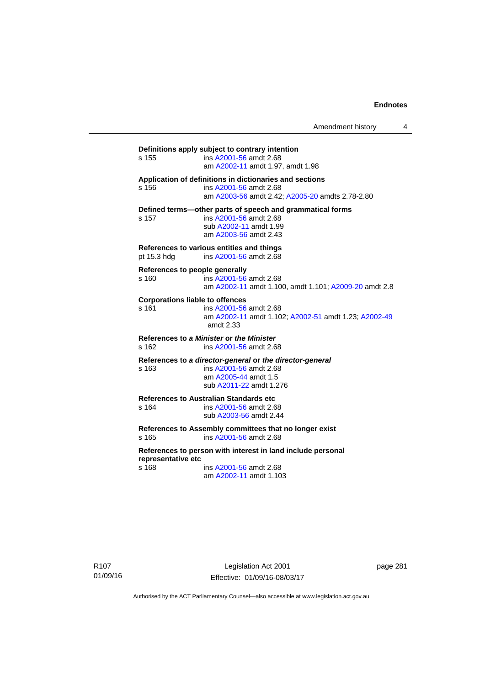Amendment history 4

**Definitions apply subject to contrary intention**  s 155 ins [A2001-56](http://www.legislation.act.gov.au/a/2001-56) amdt 2.68 am [A2002-11](http://www.legislation.act.gov.au/a/2002-11) amdt 1.97, amdt 1.98 **Application of definitions in dictionaries and sections**  s 156 ins [A2001-56](http://www.legislation.act.gov.au/a/2001-56) amdt 2.68 am [A2003-56](http://www.legislation.act.gov.au/a/2003-56) amdt 2.42; [A2005-20](http://www.legislation.act.gov.au/a/2005-20) amdts 2.78-2.80 **Defined terms—other parts of speech and grammatical forms**  s 157 ins [A2001-56](http://www.legislation.act.gov.au/a/2001-56) amdt 2.68 sub [A2002-11](http://www.legislation.act.gov.au/a/2002-11) amdt 1.99 am [A2003-56](http://www.legislation.act.gov.au/a/2003-56) amdt 2.43 **References to various entities and things**  pt 15.3 hdg ins [A2001-56](http://www.legislation.act.gov.au/a/2001-56) amdt 2.68 **References to people generally**  s 160 ins [A2001-56](http://www.legislation.act.gov.au/a/2001-56) amdt 2.68 am [A2002-11](http://www.legislation.act.gov.au/a/2002-11) amdt 1.100, amdt 1.101; [A2009-20](http://www.legislation.act.gov.au/a/2009-20) amdt 2.8 **Corporations liable to offences**  s 161 ins [A2001-56](http://www.legislation.act.gov.au/a/2001-56) amdt 2.68 am [A2002-11](http://www.legislation.act.gov.au/a/2002-11) amdt 1.102; [A2002-51](http://www.legislation.act.gov.au/a/2002-51) amdt 1.23; [A2002-49](http://www.legislation.act.gov.au/a/2002-49) amdt 2.33 **References to** *a Minister* **or** *the Minister* s 162 ins [A2001-56](http://www.legislation.act.gov.au/a/2001-56) amdt 2.68 **References to** *a director-general* **or** *the director-general* s 163 ins [A2001-56](http://www.legislation.act.gov.au/a/2001-56) amdt 2.68 am [A2005-44](http://www.legislation.act.gov.au/a/2005-44) amdt 1.5 sub [A2011-22](http://www.legislation.act.gov.au/a/2011-22) amdt 1.276 **References to Australian Standards etc**  ins [A2001-56](http://www.legislation.act.gov.au/a/2001-56) amdt 2.68 sub [A2003-56](http://www.legislation.act.gov.au/a/2003-56) amdt 2.44 **References to Assembly committees that no longer exist**  s 165 ins [A2001-56](http://www.legislation.act.gov.au/a/2001-56) amdt 2.68 **References to person with interest in land include personal representative etc**  s 168 ins [A2001-56](http://www.legislation.act.gov.au/a/2001-56) amdt 2.68 am [A2002-11](http://www.legislation.act.gov.au/a/2002-11) amdt 1.103

R107 01/09/16

Legislation Act 2001 Effective: 01/09/16-08/03/17 page 281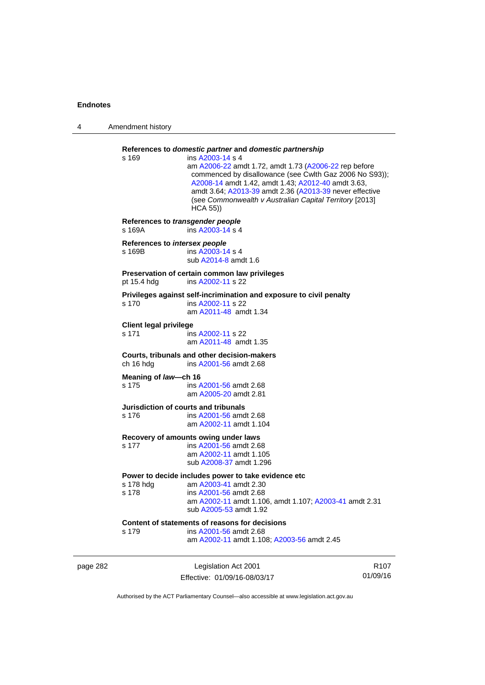| 4        | Amendment history                          |                                                                                                                                                                                                                                                                                                                                                                                        |                  |  |
|----------|--------------------------------------------|----------------------------------------------------------------------------------------------------------------------------------------------------------------------------------------------------------------------------------------------------------------------------------------------------------------------------------------------------------------------------------------|------------------|--|
|          | s 169                                      | References to domestic partner and domestic partnership<br>ins A2003-14 s 4<br>am A2006-22 amdt 1.72, amdt 1.73 (A2006-22 rep before<br>commenced by disallowance (see Cwlth Gaz 2006 No S93));<br>A2008-14 amdt 1.42, amdt 1.43; A2012-40 amdt 3.63,<br>amdt 3.64; A2013-39 amdt 2.36 (A2013-39 never effective<br>(see Commonwealth v Australian Capital Territory [2013]<br>HCA 55) |                  |  |
|          | References to transgender people<br>s 169A | ins A2003-14 s 4                                                                                                                                                                                                                                                                                                                                                                       |                  |  |
|          | References to intersex people<br>s 169B    | ins A2003-14 s 4<br>sub A2014-8 amdt 1.6                                                                                                                                                                                                                                                                                                                                               |                  |  |
|          | pt 15.4 hdg                                | Preservation of certain common law privileges<br>ins A2002-11 s 22                                                                                                                                                                                                                                                                                                                     |                  |  |
|          | s 170                                      | Privileges against self-incrimination and exposure to civil penalty<br>ins A2002-11 s 22<br>am A2011-48 amdt 1.34                                                                                                                                                                                                                                                                      |                  |  |
|          | <b>Client legal privilege</b><br>s 171     | ins A2002-11 s 22<br>am A2011-48 amdt 1.35                                                                                                                                                                                                                                                                                                                                             |                  |  |
|          | ch 16 hdg                                  | Courts, tribunals and other decision-makers<br>ins A2001-56 amdt 2.68                                                                                                                                                                                                                                                                                                                  |                  |  |
|          | Meaning of law-ch 16<br>s 175              | ins A2001-56 amdt 2.68<br>am A2005-20 amdt 2.81                                                                                                                                                                                                                                                                                                                                        |                  |  |
|          | s 176                                      | Jurisdiction of courts and tribunals<br>ins A2001-56 amdt 2.68<br>am A2002-11 amdt 1.104                                                                                                                                                                                                                                                                                               |                  |  |
|          | s 177                                      | Recovery of amounts owing under laws<br>ins A2001-56 amdt 2.68<br>am A2002-11 amdt 1.105<br>sub A2008-37 amdt 1.296                                                                                                                                                                                                                                                                    |                  |  |
|          | s 178 hdg<br>s 178                         | Power to decide includes power to take evidence etc<br>am A2003-41 amdt 2.30<br>ins A2001-56 amdt 2.68<br>am A2002-11 amdt 1.106, amdt 1.107; A2003-41 amdt 2.31<br>sub A2005-53 amdt 1.92                                                                                                                                                                                             |                  |  |
|          | s 179                                      | Content of statements of reasons for decisions<br>ins A2001-56 amdt 2.68<br>am A2002-11 amdt 1.108; A2003-56 amdt 2.45                                                                                                                                                                                                                                                                 |                  |  |
| page 282 |                                            | Legislation Act 2001                                                                                                                                                                                                                                                                                                                                                                   | R <sub>107</sub> |  |

Effective: 01/09/16-08/03/17

R107 01/09/16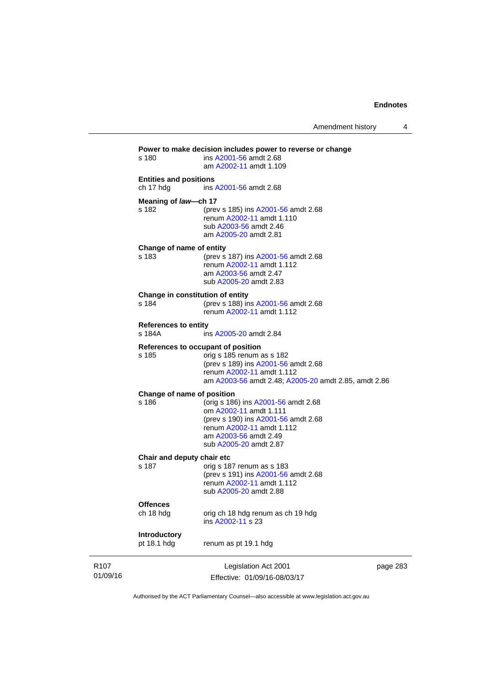Amendment history 4

|                              | s 180                                                           | Power to make decision includes power to reverse or change<br>ins A2001-56 amdt 2.68<br>am A2002-11 amdt 1.109                                                                              |          |
|------------------------------|-----------------------------------------------------------------|---------------------------------------------------------------------------------------------------------------------------------------------------------------------------------------------|----------|
|                              | <b>Entities and positions</b><br>ch 17 hdg                      | ins A2001-56 amdt 2.68                                                                                                                                                                      |          |
|                              | Meaning of law-ch 17<br>s 182                                   | (prev s 185) ins A2001-56 amdt 2.68<br>renum A2002-11 amdt 1.110<br>sub A2003-56 amdt 2.46<br>am A2005-20 amdt 2.81                                                                         |          |
|                              | Change of name of entity<br>s 183                               | (prev s 187) ins A2001-56 amdt 2.68<br>renum A2002-11 amdt 1.112<br>am A2003-56 amdt 2.47<br>sub A2005-20 amdt 2.83                                                                         |          |
|                              | Change in constitution of entity<br>s 184                       | (prev s 188) ins A2001-56 amdt 2.68<br>renum A2002-11 amdt 1.112                                                                                                                            |          |
|                              | <b>References to entity</b><br>s 184A<br>ins A2005-20 amdt 2.84 |                                                                                                                                                                                             |          |
|                              | s 185                                                           | References to occupant of position<br>orig s 185 renum as s 182<br>(prev s 189) ins A2001-56 amdt 2.68<br>renum A2002-11 amdt 1.112<br>am A2003-56 amdt 2.48; A2005-20 amdt 2.85, amdt 2.86 |          |
|                              | Change of name of position<br>s 186                             | (orig s 186) ins A2001-56 amdt 2.68<br>om A2002-11 amdt 1.111<br>(prev s 190) ins A2001-56 amdt 2.68<br>renum A2002-11 amdt 1.112<br>am A2003-56 amdt 2.49<br>sub A2005-20 amdt 2.87        |          |
|                              | Chair and deputy chair etc<br>s 187                             | orig s 187 renum as s 183<br>(prev s 191) ins A2001-56 amdt 2.68<br>renum A2002-11 amdt 1.112<br>sub A2005-20 amdt 2.88                                                                     |          |
|                              | <b>Offences</b><br>ch 18 hdg                                    | orig ch 18 hdg renum as ch 19 hdg<br>ins A2002-11 s 23                                                                                                                                      |          |
|                              | Introductory<br>pt 18.1 hdg                                     | renum as pt 19.1 hdg                                                                                                                                                                        |          |
| R <sub>107</sub><br>01/09/16 |                                                                 | Legislation Act 2001<br>Effective: 01/09/16-08/03/17                                                                                                                                        | page 283 |

Authorised by the ACT Parliamentary Counsel—also accessible at www.legislation.act.gov.au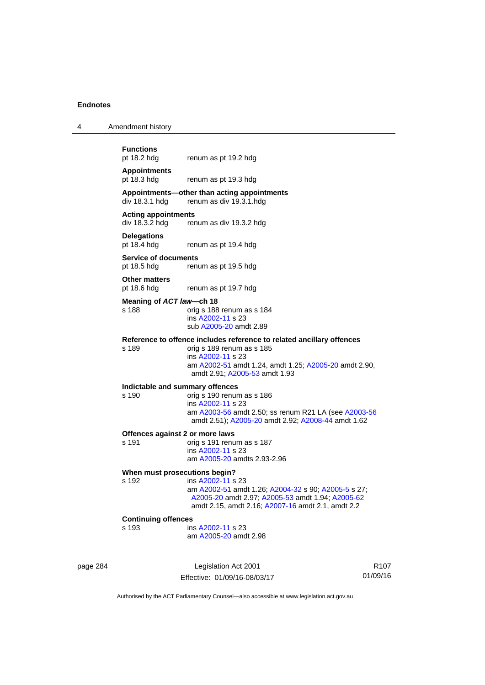4 Amendment history

| <b>Functions</b><br>pt 18.2 hdg              | renum as pt 19.2 hdg                                                                  |
|----------------------------------------------|---------------------------------------------------------------------------------------|
| <b>Appointments</b><br>pt 18.3 hdg           | renum as pt 19.3 hdg                                                                  |
|                                              | Appointments—other than acting appointments<br>div 18.3.1 hdg renum as div 19.3.1.hdg |
| <b>Acting appointments</b><br>div 18.3.2 hdg | renum as div 19.3.2 hdg                                                               |
| <b>Delegations</b><br>pt 18.4 hdg            | renum as pt 19.4 hdg                                                                  |
|                                              |                                                                                       |

**Service of documents**  pt 18.5 hdg renum as pt 19.5 hdg

**Other matters** 

pt 18.6 hdg renum as pt 19.7 hdg

#### **Meaning of** *ACT law***—ch 18**

s 188 orig s 188 renum as s 184 ins [A2002-11](http://www.legislation.act.gov.au/a/2002-11) s 23 sub [A2005-20](http://www.legislation.act.gov.au/a/2005-20) amdt 2.89

#### **Reference to offence includes reference to related ancillary offences**

s 189 orig s 189 renum as s 185 ins [A2002-11](http://www.legislation.act.gov.au/a/2002-11) s 23 am [A2002-51](http://www.legislation.act.gov.au/a/2002-51) amdt 1.24, amdt 1.25; [A2005-20](http://www.legislation.act.gov.au/a/2005-20) amdt 2.90, amdt 2.91; [A2005-53](http://www.legislation.act.gov.au/a/2005-53) amdt 1.93

# **Indictable and summary offences**

#### orig s 190 renum as s 186 ins [A2002-11](http://www.legislation.act.gov.au/a/2002-11) s 23 am [A2003-56](http://www.legislation.act.gov.au/a/2003-56) amdt 2.50; ss renum R21 LA (see [A2003-56](http://www.legislation.act.gov.au/a/2003-56) amdt 2.51); [A2005-20](http://www.legislation.act.gov.au/a/2005-20) amdt 2.92; [A2008-44](http://www.legislation.act.gov.au/a/2008-44) amdt 1.62

#### **Offences against 2 or more laws**

s 191 orig s 191 renum as s 187 ins [A2002-11](http://www.legislation.act.gov.au/a/2002-11) s 23 am [A2005-20](http://www.legislation.act.gov.au/a/2005-20) amdts 2.93-2.96

#### **When must prosecutions begin?**

s 192 ins [A2002-11](http://www.legislation.act.gov.au/a/2002-11) s 23 am [A2002-51](http://www.legislation.act.gov.au/a/2002-51) amdt 1.26; [A2004-32](http://www.legislation.act.gov.au/a/2004-32) s 90; [A2005-5](http://www.legislation.act.gov.au/a/2005-5) s 27; [A2005-20](http://www.legislation.act.gov.au/a/2005-20) amdt 2.97; [A2005-53](http://www.legislation.act.gov.au/a/2005-53) amdt 1.94; [A2005-62](http://www.legislation.act.gov.au/a/2005-62) amdt 2.15, amdt 2.16; [A2007-16](http://www.legislation.act.gov.au/a/2007-16) amdt 2.1, amdt 2.2

#### **Continuing offences**

s 193 ins [A2002-11](http://www.legislation.act.gov.au/a/2002-11) s 23 am [A2005-20](http://www.legislation.act.gov.au/a/2005-20) amdt 2.98

page 284 Legislation Act 2001 Effective: 01/09/16-08/03/17

R107 01/09/16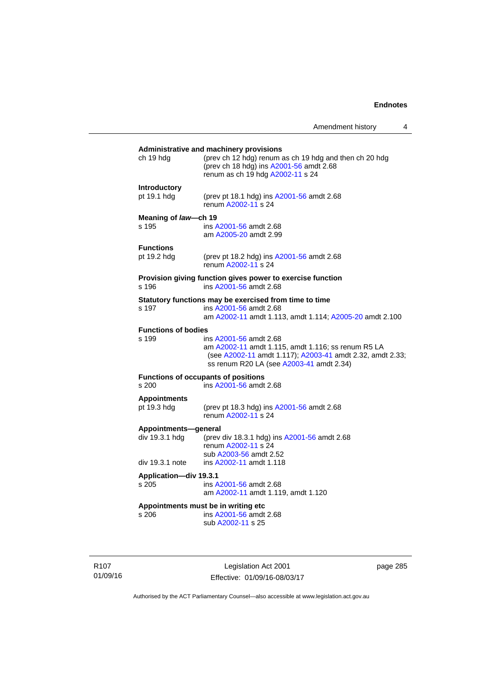## **Administrative and machinery provisions**  ch 19 hdg (prev ch 12 hdg) renum as ch 19 hdg and then ch 20 hdg (prev ch 18 hdg) ins [A2001-56](http://www.legislation.act.gov.au/a/2001-56) amdt 2.68 renum as ch 19 hdg [A2002-11](http://www.legislation.act.gov.au/a/2002-11) s 24 **Introductory**  pt 19.1 hdg (prev pt 18.1 hdg) ins [A2001-56](http://www.legislation.act.gov.au/a/2001-56) amdt 2.68 renum [A2002-11](http://www.legislation.act.gov.au/a/2002-11) s 24 **Meaning of** *law***—ch 19**  s 195 ins [A2001-56](http://www.legislation.act.gov.au/a/2001-56) amdt 2.68 am [A2005-20](http://www.legislation.act.gov.au/a/2005-20) amdt 2.99 **Functions**<br>pt 19.2 hdg (prev pt 18.2 hdg) ins  $A2001-56$  amdt 2.68 renum [A2002-11](http://www.legislation.act.gov.au/a/2002-11) s 24 **Provision giving function gives power to exercise function**  s 196 ins [A2001-56](http://www.legislation.act.gov.au/a/2001-56) amdt 2.68 **Statutory functions may be exercised from time to time**<br>s 197 ins A2001-56 amdt 2.68 ins [A2001-56](http://www.legislation.act.gov.au/a/2001-56) amdt 2.68 am [A2002-11](http://www.legislation.act.gov.au/a/2002-11) amdt 1.113, amdt 1.114; [A2005-20](http://www.legislation.act.gov.au/a/2005-20) amdt 2.100 **Functions of bodies**  s 199 ins [A2001-56](http://www.legislation.act.gov.au/a/2001-56) amdt 2.68 am [A2002-11](http://www.legislation.act.gov.au/a/2002-11) amdt 1.115, amdt 1.116; ss renum R5 LA (see [A2002-11](http://www.legislation.act.gov.au/a/2002-11) amdt 1.117); [A2003-41](http://www.legislation.act.gov.au/a/2003-41) amdt 2.32, amdt 2.33; ss renum R20 LA (see [A2003-41](http://www.legislation.act.gov.au/a/2003-41) amdt 2.34) **Functions of occupants of positions**  s 200 ins [A2001-56](http://www.legislation.act.gov.au/a/2001-56) amdt 2.68 **Appointments**  (prev pt 18.3 hdg) ins [A2001-56](http://www.legislation.act.gov.au/a/2001-56) amdt 2.68 renum [A2002-11](http://www.legislation.act.gov.au/a/2002-11) s 24 **Appointments—general**  div 19.3.1 hdg (prev div 18.3.1 hdg) ins [A2001-56](http://www.legislation.act.gov.au/a/2001-56) amdt 2.68 renum [A2002-11](http://www.legislation.act.gov.au/a/2002-11) s 24 sub [A2003-56](http://www.legislation.act.gov.au/a/2003-56) amdt 2.52 div 19.3.1 note ins [A2002-11](http://www.legislation.act.gov.au/a/2002-11) amdt 1.118 **Application—div 19.3.1**  s 205 ins [A2001-56](http://www.legislation.act.gov.au/a/2001-56) amdt 2.68 am [A2002-11](http://www.legislation.act.gov.au/a/2002-11) amdt 1.119, amdt 1.120 **Appointments must be in writing etc**  s 206 ins [A2001-56](http://www.legislation.act.gov.au/a/2001-56) amdt 2.68 sub [A2002-11](http://www.legislation.act.gov.au/a/2002-11) s 25

R107 01/09/16

Legislation Act 2001 Effective: 01/09/16-08/03/17 page 285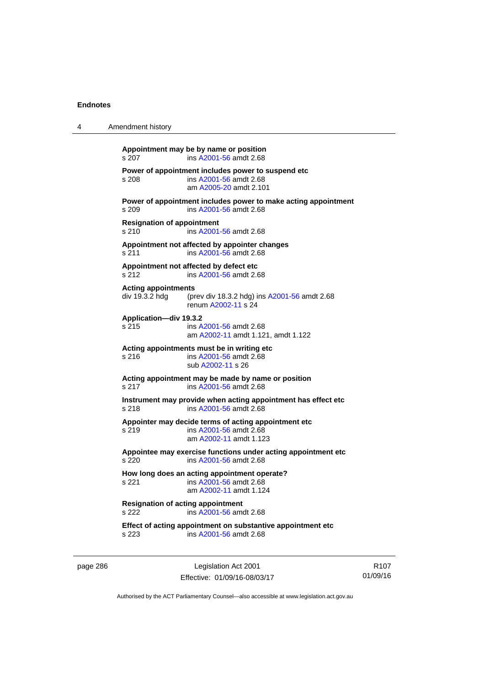| 4                                                                                | Amendment history                                                                                                   |  |  |
|----------------------------------------------------------------------------------|---------------------------------------------------------------------------------------------------------------------|--|--|
|                                                                                  | Appointment may be by name or position<br>ins A2001-56 amdt 2.68<br>s 207                                           |  |  |
|                                                                                  | Power of appointment includes power to suspend etc<br>s 208<br>ins A2001-56 amdt 2.68<br>am A2005-20 amdt 2.101     |  |  |
|                                                                                  | Power of appointment includes power to make acting appointment<br>s 209<br>ins A2001-56 amdt 2.68                   |  |  |
|                                                                                  | <b>Resignation of appointment</b><br>s 210<br>ins A2001-56 amdt 2.68                                                |  |  |
| Appointment not affected by appointer changes<br>s 211<br>ins A2001-56 amdt 2.68 |                                                                                                                     |  |  |
|                                                                                  | Appointment not affected by defect etc<br>ins A2001-56 amdt 2.68<br>s 212                                           |  |  |
|                                                                                  | <b>Acting appointments</b><br>div 19.3.2 hdg<br>(prev div 18.3.2 hdg) ins A2001-56 amdt 2.68<br>renum A2002-11 s 24 |  |  |
|                                                                                  | Application-div 19.3.2<br>s 215<br>ins A2001-56 amdt 2.68<br>am A2002-11 amdt 1.121, amdt 1.122                     |  |  |
|                                                                                  | Acting appointments must be in writing etc<br>ins A2001-56 amdt 2.68<br>s 216<br>sub A2002-11 s 26                  |  |  |
|                                                                                  | Acting appointment may be made by name or position<br>s 217<br>ins A2001-56 amdt 2.68                               |  |  |
|                                                                                  | Instrument may provide when acting appointment has effect etc.<br>s 218<br>ins A2001-56 amdt 2.68                   |  |  |
|                                                                                  | Appointer may decide terms of acting appointment etc<br>s 219<br>ins A2001-56 amdt 2.68<br>am A2002-11 amdt 1.123   |  |  |
|                                                                                  | Appointee may exercise functions under acting appointment etc<br>s 220<br>ins A2001-56 amdt 2.68                    |  |  |
|                                                                                  | How long does an acting appointment operate?<br>s 221<br>ins A2001-56 amdt 2.68<br>am A2002-11 amdt 1.124           |  |  |
|                                                                                  | <b>Resignation of acting appointment</b><br>s 222<br>ins A2001-56 amdt 2.68                                         |  |  |
|                                                                                  | Effect of acting appointment on substantive appointment etc<br>ins A2001-56 amdt 2.68<br>s 223                      |  |  |
|                                                                                  |                                                                                                                     |  |  |

page 286 Legislation Act 2001 Effective: 01/09/16-08/03/17

R107 01/09/16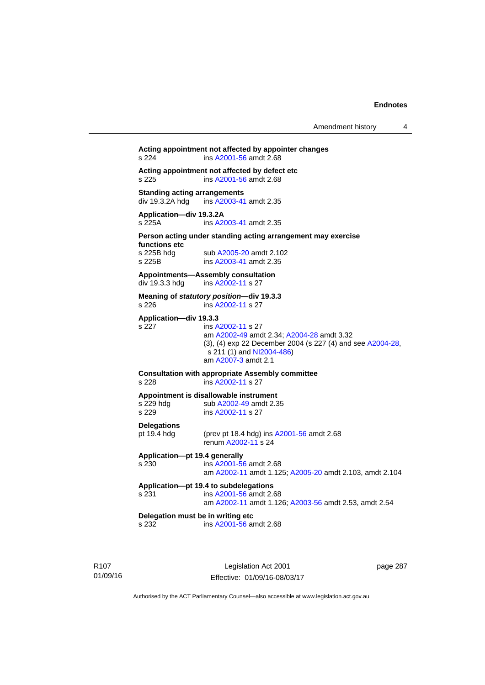## **Acting appointment not affected by appointer changes**  s 224 ins [A2001-56](http://www.legislation.act.gov.au/a/2001-56) amdt 2.68 **Acting appointment not affected by defect etc**  s 225 ins [A2001-56](http://www.legislation.act.gov.au/a/2001-56) amdt 2.68 **Standing acting arrangements**<br>div 19.3.2A hdg ins A2003-41 ins [A2003-41](http://www.legislation.act.gov.au/a/2003-41) amdt 2.35 **Application—div 19.3.2A**  s 225A ins [A2003-41](http://www.legislation.act.gov.au/a/2003-41) amdt 2.35 **Person acting under standing acting arrangement may exercise functions etc**  s 225B hdg sub [A2005-20](http://www.legislation.act.gov.au/a/2005-20) amdt 2.102<br>s 225B ins A2003-41 amdt 2.35 ins [A2003-41](http://www.legislation.act.gov.au/a/2003-41) amdt 2.35 **Appointments—Assembly consultation**  div 19.3.3 hdg ins [A2002-11](http://www.legislation.act.gov.au/a/2002-11) s 27 **Meaning of** *statutory position***—div 19.3.3**  s 226 ins [A2002-11](http://www.legislation.act.gov.au/a/2002-11) s 27 **Application—div 19.3.3**  s 227 ins [A2002-11](http://www.legislation.act.gov.au/a/2002-11) s 27 am [A2002-49](http://www.legislation.act.gov.au/a/2002-49) amdt 2.34; [A2004-28](http://www.legislation.act.gov.au/a/2004-28) amdt 3.32 (3), (4) exp 22 December 2004 (s 227 (4) and see [A2004-28](http://www.legislation.act.gov.au/a/2004-28),  $s$  211 (1) and [NI2004-486\)](http://www.legislation.act.gov.au/ni/2004-486/default.asp) am [A2007-3](http://www.legislation.act.gov.au/a/2007-3) amdt 2.1 **Consultation with appropriate Assembly committee**  s 228 ins [A2002-11](http://www.legislation.act.gov.au/a/2002-11) s 27 **Appointment is disallowable instrument**  s 229 hdg sub [A2002-49](http://www.legislation.act.gov.au/a/2002-49) amdt 2.35 s 229 ins [A2002-11](http://www.legislation.act.gov.au/a/2002-11) s 27 **Delegations**  pt 19.4 hdg (prev pt 18.4 hdg) ins [A2001-56](http://www.legislation.act.gov.au/a/2001-56) amdt 2.68 renum [A2002-11](http://www.legislation.act.gov.au/a/2002-11) s 24 **Application—pt 19.4 generally**  s 230 ins [A2001-56](http://www.legislation.act.gov.au/a/2001-56) amdt 2.68 am [A2002-11](http://www.legislation.act.gov.au/a/2002-11) amdt 1.125; [A2005-20](http://www.legislation.act.gov.au/a/2005-20) amdt 2.103, amdt 2.104 **Application—pt 19.4 to subdelegations**  s 231 ins [A2001-56](http://www.legislation.act.gov.au/a/2001-56) amdt 2.68 am [A2002-11](http://www.legislation.act.gov.au/a/2002-11) amdt 1.126; [A2003-56](http://www.legislation.act.gov.au/a/2003-56) amdt 2.53, amdt 2.54 **Delegation must be in writing etc**  s 232 ins [A2001-56](http://www.legislation.act.gov.au/a/2001-56) amdt 2.68

R107 01/09/16

Legislation Act 2001 Effective: 01/09/16-08/03/17 page 287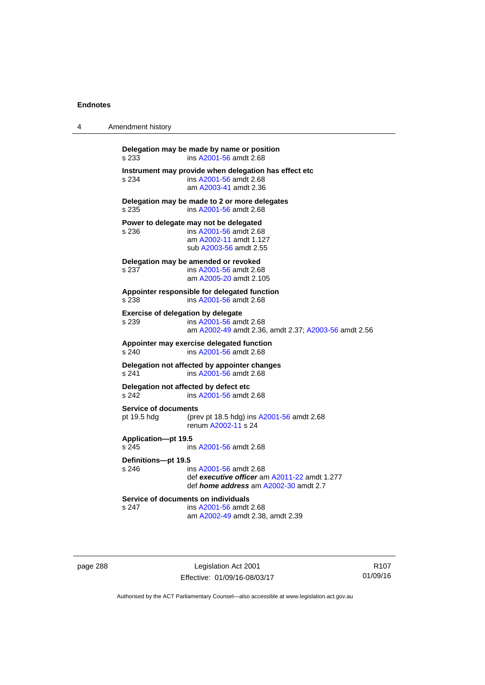| 4 | Amendment history                                      |                                                                                                                        |  |
|---|--------------------------------------------------------|------------------------------------------------------------------------------------------------------------------------|--|
|   | Delegation may be made by name or position<br>s 233    | ins A2001-56 amdt 2.68                                                                                                 |  |
|   | s 234                                                  | Instrument may provide when delegation has effect etc<br>ins A2001-56 amdt 2.68<br>am A2003-41 amdt 2.36               |  |
|   | Delegation may be made to 2 or more delegates<br>s 235 | ins A2001-56 amdt 2.68                                                                                                 |  |
|   | Power to delegate may not be delegated<br>s 236        | ins A2001-56 amdt 2.68<br>am A2002-11 amdt 1.127<br>sub A2003-56 amdt 2.55                                             |  |
|   | Delegation may be amended or revoked<br>s 237          | ins A2001-56 amdt 2.68<br>am A2005-20 amdt 2.105                                                                       |  |
|   | Appointer responsible for delegated function<br>s 238  | ins A2001-56 amdt 2.68                                                                                                 |  |
|   | <b>Exercise of delegation by delegate</b><br>s 239     | ins A2001-56 amdt 2.68<br>am A2002-49 amdt 2.36, amdt 2.37; A2003-56 amdt 2.56                                         |  |
|   | Appointer may exercise delegated function<br>s 240     | ins A2001-56 amdt 2.68                                                                                                 |  |
|   | Delegation not affected by appointer changes<br>s 241  | ins A2001-56 amdt 2.68                                                                                                 |  |
|   | Delegation not affected by defect etc<br>s 242         | ins A2001-56 amdt 2.68                                                                                                 |  |
|   | <b>Service of documents</b><br>pt 19.5 hdg             | (prev pt 18.5 hdg) ins A2001-56 amdt 2.68<br>renum A2002-11 s 24                                                       |  |
|   | Application-pt 19.5<br>s 245                           | ins A2001-56 amdt 2.68                                                                                                 |  |
|   | Definitions-pt 19.5<br>s 246                           | ins A2001-56 amdt 2.68<br>def executive officer am A2011-22 amdt 1.277<br>def <i>home address</i> am A2002-30 amdt 2.7 |  |
|   | Service of documents on individuals<br>s 247           | ins A2001-56 amdt 2.68<br>am A2002-49 amdt 2.38, amdt 2.39                                                             |  |

page 288 Legislation Act 2001 Effective: 01/09/16-08/03/17

R107 01/09/16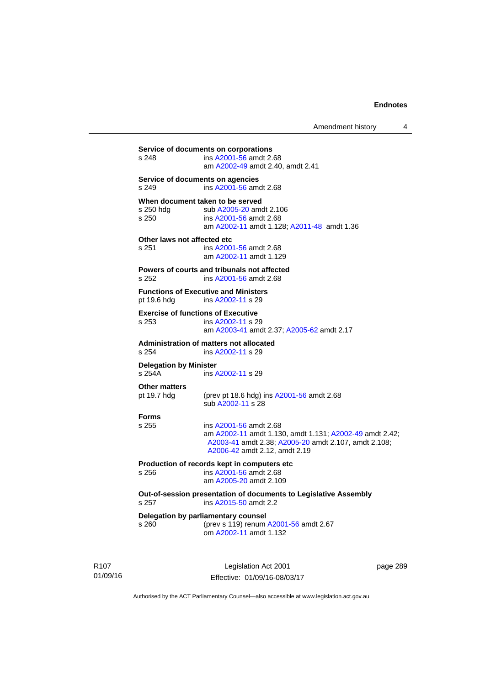**Service of documents on corporations**  s 248 ins [A2001-56](http://www.legislation.act.gov.au/a/2001-56) amdt 2.68 am [A2002-49](http://www.legislation.act.gov.au/a/2002-49) amdt 2.40, amdt 2.41 **Service of documents on agencies**  s 249 ins [A2001-56](http://www.legislation.act.gov.au/a/2001-56) amdt 2.68 **When document taken to be served**  s 250 hdg sub [A2005-20](http://www.legislation.act.gov.au/a/2005-20) amdt 2.106<br>s 250 s ins A2001-56 amdt 2.68 s 250 ins [A2001-56](http://www.legislation.act.gov.au/a/2001-56) amdt 2.68 am [A2002-11](http://www.legislation.act.gov.au/a/2002-11) amdt 1.128; [A2011-48](http://www.legislation.act.gov.au/a/2011-48) amdt 1.36 **Other laws not affected etc**  s 251 ins [A2001-56](http://www.legislation.act.gov.au/a/2001-56) amdt 2.68 am [A2002-11](http://www.legislation.act.gov.au/a/2002-11) amdt 1.129 **Powers of courts and tribunals not affected**  s 252 ins [A2001-56](http://www.legislation.act.gov.au/a/2001-56) amdt 2.68 **Functions of Executive and Ministers**  pt 19.6 hdg ins [A2002-11](http://www.legislation.act.gov.au/a/2002-11) s 29 **Exercise of functions of Executive**  s 253 ins [A2002-11](http://www.legislation.act.gov.au/a/2002-11) s 29 am [A2003-41](http://www.legislation.act.gov.au/a/2003-41) amdt 2.37; [A2005-62](http://www.legislation.act.gov.au/a/2005-62) amdt 2.17 **Administration of matters not allocated**  ins [A2002-11](http://www.legislation.act.gov.au/a/2002-11) s 29 **Delegation by Minister**  s 254A ins [A2002-11](http://www.legislation.act.gov.au/a/2002-11) s 29 **Other matters**<br>pt 19.7 hdg (prev pt 18.6 hdg) ins  $A2001-56$  amdt 2.68 sub [A2002-11](http://www.legislation.act.gov.au/a/2002-11) s 28 **Forms**  s 255 ins [A2001-56](http://www.legislation.act.gov.au/a/2001-56) amdt 2.68 am [A2002-11](http://www.legislation.act.gov.au/a/2002-11) amdt 1.130, amdt 1.131; [A2002-49](http://www.legislation.act.gov.au/a/2002-49) amdt 2.42; [A2003-41](http://www.legislation.act.gov.au/a/2003-41) amdt 2.38; [A2005-20](http://www.legislation.act.gov.au/a/2005-20) amdt 2.107, amdt 2.108; [A2006-42](http://www.legislation.act.gov.au/a/2006-42) amdt 2.12, amdt 2.19 **Production of records kept in computers etc**  s 256 ins [A2001-56](http://www.legislation.act.gov.au/a/2001-56) amdt 2.68 am [A2005-20](http://www.legislation.act.gov.au/a/2005-20) amdt 2.109 **Out-of-session presentation of documents to Legislative Assembly**  s 257 ins [A2015-50](http://www.legislation.act.gov.au/a/2015-50) amdt 2.2 **Delegation by parliamentary counsel**  s 260 (prev s 119) renum [A2001-56](http://www.legislation.act.gov.au/a/2001-56) amdt 2.67 om [A2002-11](http://www.legislation.act.gov.au/a/2002-11) amdt 1.132

R107 01/09/16

Legislation Act 2001 Effective: 01/09/16-08/03/17 page 289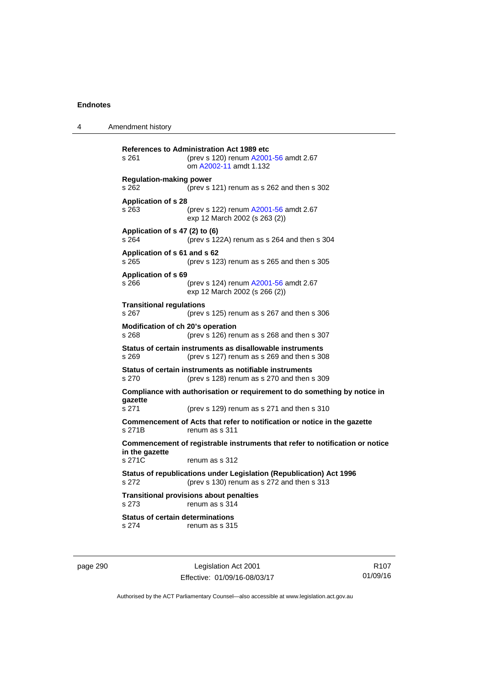4 Amendment history

**References to Administration Act 1989 etc**  s 261 (prev s 120) renum [A2001-56](http://www.legislation.act.gov.au/a/2001-56) amdt 2.67 om [A2002-11](http://www.legislation.act.gov.au/a/2002-11) amdt 1.132 **Regulation-making power**  s 262 (prev s 121) renum as s 262 and then s 302 **Application of s 28**  s 263 (prev s 122) renum [A2001-56](http://www.legislation.act.gov.au/a/2001-56) amdt 2.67 exp 12 March 2002 (s 263 (2)) **Application of s 47 (2) to (6)**  s 264 (prev s 122A) renum as s 264 and then s 304 **Application of s 61 and s 62**  s 265 (prev s 123) renum as s 265 and then s 305 **Application of s 69**  s 266 (prev s 124) renum [A2001-56](http://www.legislation.act.gov.au/a/2001-56) amdt 2.67 exp 12 March 2002 (s 266 (2)) **Transitional regulations**  s 267 (prev s 125) renum as s 267 and then s 306 **Modification of ch 20's operation**  s 268 (prev s 126) renum as s 268 and then s 307 **Status of certain instruments as disallowable instruments**  s 269 (prev s 127) renum as s 269 and then s 308 **Status of certain instruments as notifiable instruments**  s 270 (prev s 128) renum as s 270 and then s 309 **Compliance with authorisation or requirement to do something by notice in gazette**  s 271 (prev s 129) renum as s 271 and then s 310 **Commencement of Acts that refer to notification or notice in the gazette**  s 271B renum as s 311 **Commencement of registrable instruments that refer to notification or notice in the gazette**  renum as s 312 **Status of republications under Legislation (Republication) Act 1996**  s 272 (prev s 130) renum as s 272 and then s 313 **Transitional provisions about penalties** s 273 renum as s 314 **Status of certain determinations**  s 274 renum as s 315

page 290 Legislation Act 2001 Effective: 01/09/16-08/03/17

R107 01/09/16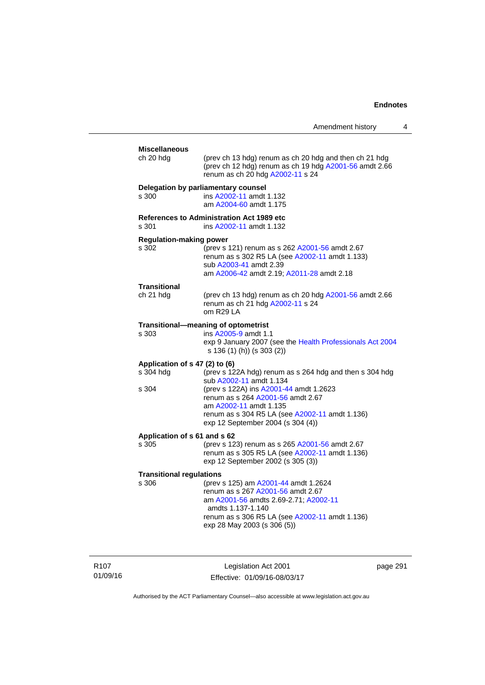| Amendment history |  |
|-------------------|--|
|-------------------|--|

| <b>Miscellaneous</b><br>ch 20 hdg                    | (prev ch 13 hdg) renum as ch 20 hdg and then ch 21 hdg<br>(prev ch 12 hdg) renum as ch 19 hdg A2001-56 amdt 2.66<br>renum as ch 20 hdg A2002-11 s 24                                                                                                                               |
|------------------------------------------------------|------------------------------------------------------------------------------------------------------------------------------------------------------------------------------------------------------------------------------------------------------------------------------------|
| s 300                                                | Delegation by parliamentary counsel<br>ins A2002-11 amdt 1.132<br>am A2004-60 amdt 1.175                                                                                                                                                                                           |
| s 301                                                | <b>References to Administration Act 1989 etc</b><br>ins A2002-11 amdt 1.132                                                                                                                                                                                                        |
| <b>Regulation-making power</b><br>s 302              | (prev s 121) renum as s 262 A2001-56 amdt 2.67<br>renum as s 302 R5 LA (see A2002-11 amdt 1.133)<br>sub A2003-41 amdt 2.39<br>am A2006-42 amdt 2.19; A2011-28 amdt 2.18                                                                                                            |
| Transitional<br>ch 21 hdg                            | (prev ch 13 hdg) renum as ch 20 hdg A2001-56 amdt 2.66<br>renum as ch 21 hdg A2002-11 s 24<br>om R29 LA                                                                                                                                                                            |
| s 303                                                | Transitional-meaning of optometrist<br>ins A2005-9 amdt 1.1<br>exp 9 January 2007 (see the Health Professionals Act 2004<br>s 136 (1) (h)) (s 303 (2))                                                                                                                             |
| Application of s 47 (2) to (6)<br>s 304 hdg<br>s 304 | (prev s 122A hdg) renum as s 264 hdg and then s 304 hdg<br>sub A2002-11 amdt 1.134<br>(prev s 122A) ins A2001-44 amdt 1.2623<br>renum as s 264 A2001-56 amdt 2.67<br>am A2002-11 amdt 1.135<br>renum as s 304 R5 LA (see A2002-11 amdt 1.136)<br>exp 12 September 2004 (s 304 (4)) |
| Application of s 61 and s 62<br>s 305                | (prev s 123) renum as s 265 A2001-56 amdt 2.67<br>renum as s 305 R5 LA (see A2002-11 amdt 1.136)<br>exp 12 September 2002 (s 305 (3))                                                                                                                                              |
| <b>Transitional regulations</b><br>s 306             | (prev s 125) am A2001-44 amdt 1.2624<br>renum as s 267 A2001-56 amdt 2.67<br>am A2001-56 amdts 2.69-2.71; A2002-11<br>amdts 1.137-1.140<br>renum as s 306 R5 LA (see A2002-11 amdt 1.136)<br>exp 28 May 2003 (s 306 (5))                                                           |

R107 01/09/16

Legislation Act 2001 Effective: 01/09/16-08/03/17 page 291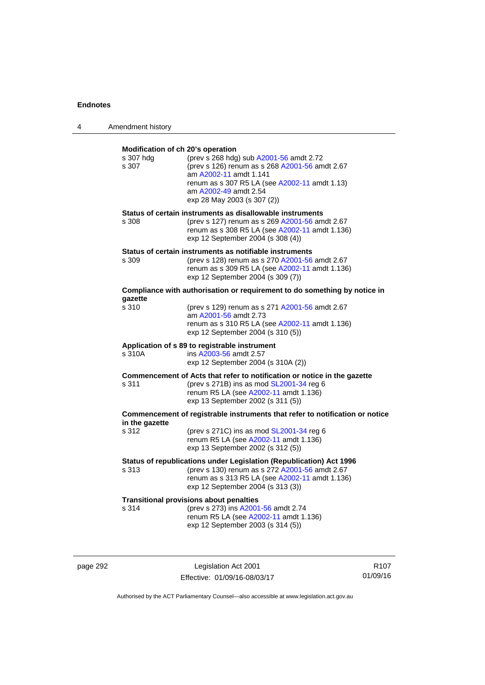| 4 | Amendment history                                                         |                                                                                                                                                                                                                              |
|---|---------------------------------------------------------------------------|------------------------------------------------------------------------------------------------------------------------------------------------------------------------------------------------------------------------------|
|   | Modification of ch 20's operation<br>s 307 hdg<br>s 307                   | (prev s 268 hdg) sub A2001-56 amdt 2.72<br>(prev s 126) renum as s 268 A2001-56 amdt 2.67<br>am A2002-11 amdt 1.141<br>renum as s 307 R5 LA (see A2002-11 amdt 1.13)<br>am A2002-49 amdt 2.54<br>exp 28 May 2003 (s 307 (2)) |
|   | s 308                                                                     | Status of certain instruments as disallowable instruments<br>(prev s 127) renum as s 269 A2001-56 amdt 2.67<br>renum as s 308 R5 LA (see A2002-11 amdt 1.136)<br>exp 12 September 2004 (s 308 (4))                           |
|   | s 309                                                                     | Status of certain instruments as notifiable instruments<br>(prev s 128) renum as s 270 A2001-56 amdt 2.67<br>renum as s 309 R5 LA (see A2002-11 amdt 1.136)<br>exp 12 September 2004 (s 309 (7))                             |
|   | Compliance with authorisation or requirement to do something by notice in |                                                                                                                                                                                                                              |
|   | qazette<br>s 310                                                          | (prev s 129) renum as s 271 A2001-56 amdt 2.67<br>am A2001-56 amdt 2.73<br>renum as s 310 R5 LA (see A2002-11 amdt 1.136)<br>exp 12 September 2004 (s 310 (5))                                                               |
|   | s 310A                                                                    | Application of s 89 to registrable instrument<br>ins A2003-56 amdt 2.57<br>exp 12 September 2004 (s 310A (2))                                                                                                                |
|   | s 311                                                                     | Commencement of Acts that refer to notification or notice in the gazette<br>(prev s 271B) ins as mod SL2001-34 reg 6<br>renum R5 LA (see A2002-11 amdt 1.136)<br>exp 13 September 2002 (s 311 (5))                           |
|   | in the gazette                                                            | Commencement of registrable instruments that refer to notification or notice                                                                                                                                                 |
|   | s 312                                                                     | (prev s $271C$ ) ins as mod $SL2001-34$ reg 6<br>renum R5 LA (see A2002-11 amdt 1.136)<br>exp 13 September 2002 (s 312 (5))                                                                                                  |
|   | s 313                                                                     | Status of republications under Legislation (Republication) Act 1996<br>(prev s 130) renum as s 272 A2001-56 amdt 2.67<br>renum as s 313 R5 LA (see A2002-11 amdt 1.136)<br>exp 12 September 2004 (s 313 (3))                 |
|   | s 314                                                                     | <b>Transitional provisions about penalties</b><br>(prev s 273) ins A2001-56 amdt 2.74<br>renum R5 LA (see A2002-11 amdt 1.136)<br>exp 12 September 2003 (s 314 (5))                                                          |

page 292 **Legislation Act 2001** Effective: 01/09/16-08/03/17

R107 01/09/16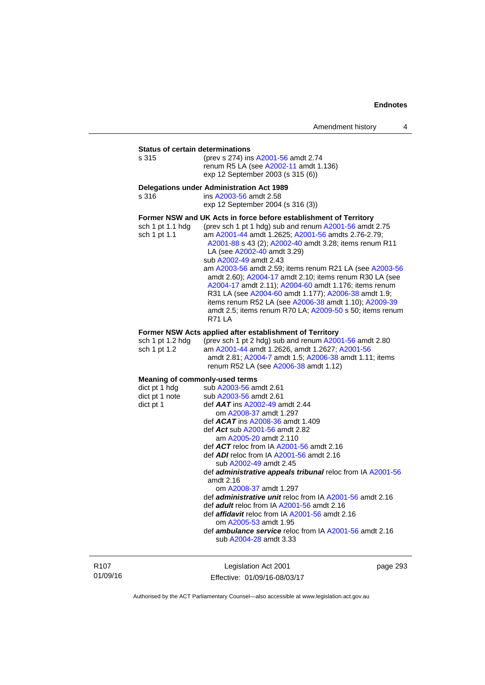**Status of certain determinations**<br>s 315 (prev s 274) ins (prev s 274) ins [A2001-56](http://www.legislation.act.gov.au/a/2001-56) amdt 2.74 renum R5 LA (see [A2002-11](http://www.legislation.act.gov.au/a/2002-11) amdt 1.136) exp 12 September 2003 (s 315 (6))

#### **Delegations under Administration Act 1989**

s 316 ins [A2003-56](http://www.legislation.act.gov.au/a/2003-56) amdt 2.58 exp 12 September 2004 (s 316 (3))

#### **Former NSW and UK Acts in force before establishment of Territory**

| sch 1 pt 1.1 hdg | (prev sch 1 pt 1 hdg) sub and renum A2001-56 amdt 2.75   |
|------------------|----------------------------------------------------------|
| sch 1 pt 1.1     | am A2001-44 amdt 1.2625; A2001-56 amdts 2.76-2.79;       |
|                  | A2001-88 s 43 (2); A2002-40 amdt 3.28; items renum R11   |
|                  | LA (see A2002-40 amdt 3.29)                              |
|                  | sub A2002-49 amdt 2.43                                   |
|                  | am A2003-56 amdt 2.59; items renum R21 LA (see A2003-56  |
|                  | amdt 2.60); A2004-17 amdt 2.10; items renum R30 LA (see  |
|                  | A2004-17 amdt 2.11); A2004-60 amdt 1.176; items renum    |
|                  | R31 LA (see A2004-60 amdt 1.177); A2006-38 amdt 1.9;     |
|                  | items renum R52 LA (see A2006-38 amdt 1.10); A2009-39    |
|                  | amdt 2.5; items renum R70 LA; A2009-50 s 50; items renum |
|                  | <b>R71 LA</b>                                            |
|                  |                                                          |

#### **Former NSW Acts applied after establishment of Territory**

| sch 1 pt 1.2 hda | (prev sch 1 pt 2 hdg) sub and renum $A2001-56$ amdt 2.80 |
|------------------|----------------------------------------------------------|
| sch 1 pt 1.2     | am A2001-44 amdt 1.2626. amdt 1.2627: A2001-56           |
|                  | amdt 2.81; A2004-7 amdt 1.5; A2006-38 amdt 1.11; items   |
|                  | renum R52 LA (see A2006-38 amdt 1.12)                    |

### **Meaning of commonly-used terms**

| dict pt 1 hdg  | sub A2003-56 amdt 2.61                                            |
|----------------|-------------------------------------------------------------------|
| dict pt 1 note | sub A2003-56 amdt 2.61                                            |
| dict pt 1      | def $AAT$ ins $A2002-49$ amdt 2.44                                |
|                | om A2008-37 amdt 1.297                                            |
|                | def $ACAT$ ins $A2008-36$ amdt 1.409                              |
|                | def Act sub A2001-56 amdt 2.82                                    |
|                | am A2005-20 amdt 2.110                                            |
|                | def $ACT$ reloc from IA $A2001-56$ amdt 2.16                      |
|                | def ADI reloc from IA A2001-56 amdt 2.16                          |
|                | sub A2002-49 amdt 2.45                                            |
|                | def <b>administrative appeals tribunal</b> reloc from IA A2001-56 |
|                | amdt $2.16$                                                       |
|                | om A2008-37 amdt 1.297                                            |
|                | def <i>administrative unit</i> reloc from IA A2001-56 amdt 2.16   |
|                | def adult reloc from IA A2001-56 amdt 2.16                        |
|                | def <i>affidavit</i> reloc from IA A2001-56 amdt 2.16             |
|                | om A2005-53 amdt 1.95                                             |
|                | def <b>ambulance service</b> reloc from IA A2001-56 amdt 2.16     |
|                | sub A2004-28 amdt 3.33                                            |
|                |                                                                   |

R107 01/09/16

Legislation Act 2001 Effective: 01/09/16-08/03/17 page 293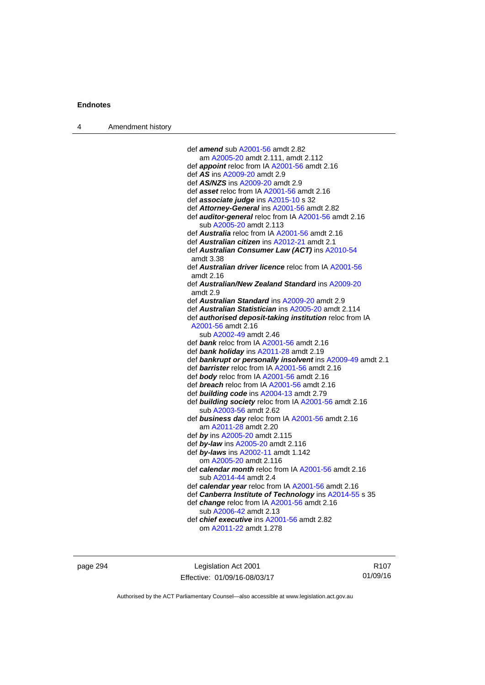| Amendment history<br>$\overline{4}$ |  |
|-------------------------------------|--|
|-------------------------------------|--|

| def amend sub A2001-56 amdt 2.82                            |
|-------------------------------------------------------------|
| am A2005-20 amdt 2.111, amdt 2.112                          |
| def <i>appoint</i> reloc from IA A2001-56 amdt 2.16         |
| def <i>AS</i> ins A2009-20 amdt 2.9                         |
| def AS/NZS ins A2009-20 amdt 2.9                            |
| def <i>asset</i> reloc from IA A2001-56 amdt 2.16           |
| def associate judge ins A2015-10 s 32                       |
| def Attorney-General ins A2001-56 amdt 2.82                 |
| def <b>auditor-general</b> reloc from IA A2001-56 amdt 2.16 |
| sub A2005-20 amdt 2.113                                     |
| def Australia reloc from IA A2001-56 amdt 2.16              |
| def Australian citizen ins A2012-21 amdt 2.1                |
| def Australian Consumer Law (ACT) ins A2010-54              |
| amdt 3.38                                                   |
| def <b>Australian driver licence</b> reloc from IA A2001-56 |
| amdt 2.16                                                   |
| def Australian/New Zealand Standard ins A2009-20            |
| amdt 2.9                                                    |
| def Australian Standard ins A2009-20 amdt 2.9               |
| def Australian Statistician ins A2005-20 amdt 2.114         |
| def authorised deposit-taking institution reloc from IA     |
| A2001-56 amdt 2.16                                          |
| sub A2002-49 amdt 2.46                                      |
| def <i>bank</i> reloc from IA A2001-56 amdt 2.16            |
| def bank holiday ins A2011-28 amdt 2.19                     |
| def bankrupt or personally insolvent ins A2009-49 amdt 2.1  |
| def barrister reloc from IA A2001-56 amdt 2.16              |
| def body reloc from IA A2001-56 amdt 2.16                   |
| def <b>breach</b> reloc from IA A2001-56 amdt 2.16          |
| def building code ins A2004-13 amdt 2.79                    |
| def building society reloc from IA A2001-56 amdt 2.16       |
| sub A2003-56 amdt 2.62                                      |
| def business day reloc from IA A2001-56 amdt 2.16           |
| am A2011-28 amdt 2.20                                       |
| def by ins A2005-20 amdt 2.115                              |
| def by-law ins A2005-20 amdt 2.116                          |
| def by-laws ins A2002-11 amdt 1.142                         |
| om A2005-20 amdt 2.116                                      |
| def calendar month reloc from IA A2001-56 amdt 2.16         |
| sub A2014-44 amdt 2.4                                       |
| def calendar year reloc from IA A2001-56 amdt 2.16          |
| def Canberra Institute of Technology ins A2014-55 s 35      |
| def change reloc from IA A2001-56 amdt 2.16                 |
| sub A2006-42 amdt 2.13                                      |
| def <i>chief executive</i> ins A2001-56 amdt 2.82           |
| om A2011-22 amdt 1.278                                      |
|                                                             |

page 294 **Legislation Act 2001** Effective: 01/09/16-08/03/17

R107 01/09/16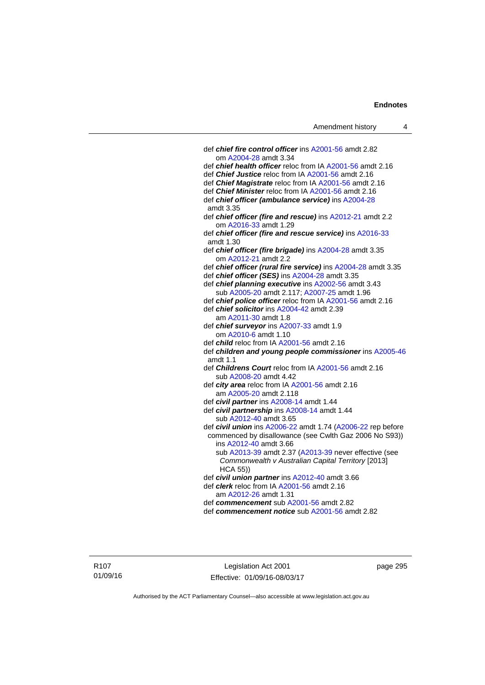| Amendment history                                                                                           | 4 |
|-------------------------------------------------------------------------------------------------------------|---|
|                                                                                                             |   |
| def chief fire control officer ins A2001-56 amdt 2.82                                                       |   |
| om A2004-28 amdt 3.34                                                                                       |   |
| def chief health officer reloc from IA A2001-56 amdt 2.16                                                   |   |
| def Chief Justice reloc from IA A2001-56 amdt 2.16                                                          |   |
| def Chief Magistrate reloc from IA A2001-56 amdt 2.16                                                       |   |
| def Chief Minister reloc from IA A2001-56 amdt 2.16                                                         |   |
| def chief officer (ambulance service) ins A2004-28                                                          |   |
| amdt 3.35                                                                                                   |   |
| def chief officer (fire and rescue) ins A2012-21 amdt 2.2<br>om A2016-33 amdt 1.29                          |   |
| def chief officer (fire and rescue service) ins A2016-33                                                    |   |
| amdt 1.30                                                                                                   |   |
| def chief officer (fire brigade) ins A2004-28 amdt 3.35                                                     |   |
| om A2012-21 amdt 2.2                                                                                        |   |
| def chief officer (rural fire service) ins A2004-28 amdt 3.35                                               |   |
| def chief officer (SES) ins A2004-28 amdt 3.35                                                              |   |
| def chief planning executive ins A2002-56 amdt 3.43                                                         |   |
| sub A2005-20 amdt 2.117; A2007-25 amdt 1.96                                                                 |   |
| def chief police officer reloc from IA A2001-56 amdt 2.16                                                   |   |
| def chief solicitor ins A2004-42 amdt 2.39                                                                  |   |
| am A2011-30 amdt 1.8                                                                                        |   |
| def chief surveyor ins A2007-33 amdt 1.9                                                                    |   |
| om A2010-6 amdt 1.10                                                                                        |   |
| def <i>child</i> reloc from IA A2001-56 amdt 2.16                                                           |   |
| def children and young people commissioner ins A2005-46<br>amdt $1.1$                                       |   |
| def Childrens Court reloc from IA A2001-56 amdt 2.16                                                        |   |
| sub A2008-20 amdt 4.42                                                                                      |   |
| def city area reloc from IA A2001-56 amdt 2.16                                                              |   |
| am A2005-20 amdt 2.118                                                                                      |   |
| def civil partner ins A2008-14 amdt 1.44                                                                    |   |
| def civil partnership ins A2008-14 amdt 1.44                                                                |   |
| sub A2012-40 amdt 3.65                                                                                      |   |
| def civil union ins A2006-22 amdt 1.74 (A2006-22 rep before                                                 |   |
| commenced by disallowance (see Cwlth Gaz 2006 No S93))                                                      |   |
| ins A2012-40 amdt 3.66                                                                                      |   |
| sub A2013-39 amdt 2.37 (A2013-39 never effective (see<br>Commonwealth v Australian Capital Territory [2013] |   |
| HCA 55))                                                                                                    |   |
| def civil union partner ins A2012-40 amdt 3.66                                                              |   |
| def <i>clerk</i> reloc from IA A2001-56 amdt 2.16                                                           |   |
| am A2012-26 amdt 1.31                                                                                       |   |
| def commencement sub A2001-56 amdt 2.82                                                                     |   |
| def commencement notice sub A2001-56 amdt 2.82                                                              |   |
|                                                                                                             |   |

Legislation Act 2001 Effective: 01/09/16-08/03/17 page 295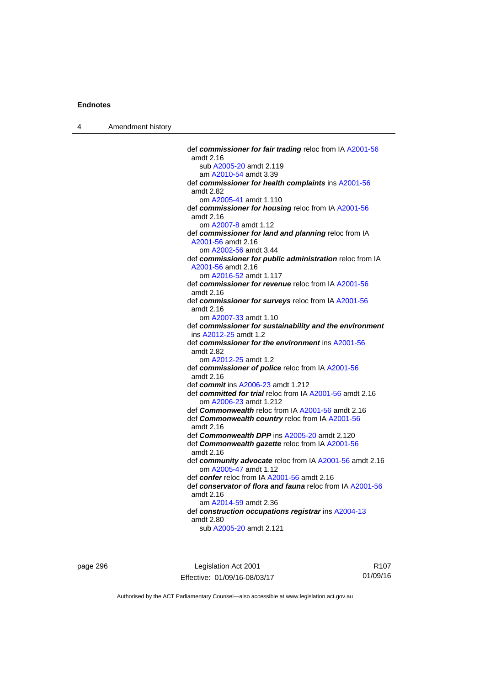4 Amendment history

 def *commissioner for fair trading* reloc from IA [A2001-56](http://www.legislation.act.gov.au/a/2001-56) amdt 2.16 sub [A2005-20](http://www.legislation.act.gov.au/a/2005-20) amdt 2.119 am [A2010-54](http://www.legislation.act.gov.au/a/2010-54) amdt 3.39 def *commissioner for health complaints* ins [A2001-56](http://www.legislation.act.gov.au/a/2001-56) amdt 2.82 om [A2005-41](http://www.legislation.act.gov.au/a/2005-41) amdt 1.110 def *commissioner for housing* reloc from IA [A2001-56](http://www.legislation.act.gov.au/a/2001-56) amdt 2.16 om [A2007-8](http://www.legislation.act.gov.au/a/2007-8) amdt 1.12 def *commissioner for land and planning* reloc from IA [A2001-56](http://www.legislation.act.gov.au/a/2001-56) amdt 2.16 om [A2002-56](http://www.legislation.act.gov.au/a/2002-56) amdt 3.44 def *commissioner for public administration* reloc from IA [A2001-56](http://www.legislation.act.gov.au/a/2001-56) amdt 2.16 om [A2016-52](http://www.legislation.act.gov.au/a/2016-52/default.asp) amdt 1.117 def *commissioner for revenue* reloc from IA [A2001-56](http://www.legislation.act.gov.au/a/2001-56) amdt 2.16 def *commissioner for surveys* reloc from IA [A2001-56](http://www.legislation.act.gov.au/a/2001-56) amdt 2.16 om [A2007-33](http://www.legislation.act.gov.au/a/2007-33) amdt 1.10 def *commissioner for sustainability and the environment* ins [A2012-25](http://www.legislation.act.gov.au/a/2012-25) amdt 1.2 def *commissioner for the environment* ins [A2001-56](http://www.legislation.act.gov.au/a/2001-56) amdt 2.82 om [A2012-25](http://www.legislation.act.gov.au/a/2012-25) amdt 1.2 def *commissioner of police* reloc from IA [A2001-56](http://www.legislation.act.gov.au/a/2001-56) amdt 2.16 def *commit* ins [A2006-23](http://www.legislation.act.gov.au/a/2006-23) amdt 1.212 def *committed for trial* reloc from IA [A2001-56](http://www.legislation.act.gov.au/a/2001-56) amdt 2.16 om [A2006-23](http://www.legislation.act.gov.au/a/2006-23) amdt 1.212 def *Commonwealth* reloc from IA [A2001-56](http://www.legislation.act.gov.au/a/2001-56) amdt 2.16 def *Commonwealth country* reloc from IA [A2001-56](http://www.legislation.act.gov.au/a/2001-56) amdt 2.16 def *Commonwealth DPP* ins [A2005-20](http://www.legislation.act.gov.au/a/2005-20) amdt 2.120 def *Commonwealth gazette* reloc from IA [A2001-56](http://www.legislation.act.gov.au/a/2001-56) amdt 2.16 def *community advocate* reloc from IA [A2001-56](http://www.legislation.act.gov.au/a/2001-56) amdt 2.16 om [A2005-47](http://www.legislation.act.gov.au/a/2005-47) amdt 1.12 def *confer* reloc from IA [A2001-56](http://www.legislation.act.gov.au/a/2001-56) amdt 2.16 def *conservator of flora and fauna* reloc from IA [A2001-56](http://www.legislation.act.gov.au/a/2001-56) amdt 2.16 am [A2014-59](http://www.legislation.act.gov.au/a/2014-59) amdt 2.36 def *construction occupations registrar* ins [A2004-13](http://www.legislation.act.gov.au/a/2004-13) amdt 2.80 sub [A2005-20](http://www.legislation.act.gov.au/a/2005-20) amdt 2.121

page 296 Legislation Act 2001 Effective: 01/09/16-08/03/17

R107 01/09/16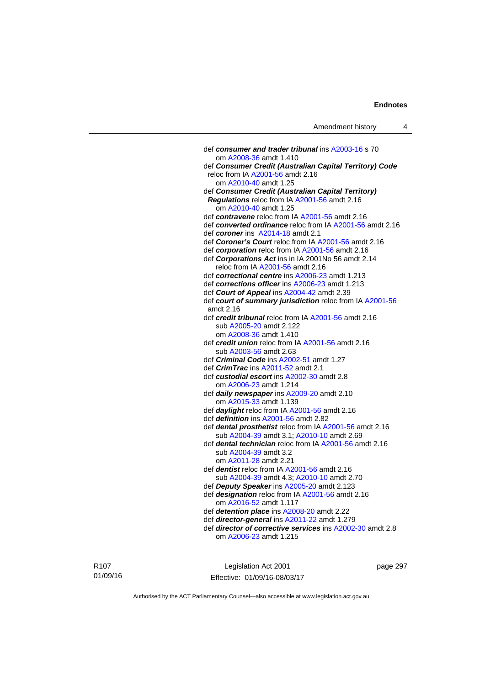def *consumer and trader tribunal* ins [A2003-16](http://www.legislation.act.gov.au/a/2003-16) s 70 om [A2008-36](http://www.legislation.act.gov.au/a/2008-36) amdt 1.410 def *Consumer Credit (Australian Capital Territory) Code* reloc from IA [A2001-56](http://www.legislation.act.gov.au/a/2001-56) amdt 2.16 om [A2010-40](http://www.legislation.act.gov.au/a/2010-40) amdt 1.25 def *Consumer Credit (Australian Capital Territory) Regulations* reloc from IA [A2001-56](http://www.legislation.act.gov.au/a/2001-56) amdt 2.16 om [A2010-40](http://www.legislation.act.gov.au/a/2010-40) amdt 1.25 def *contravene* reloc from IA [A2001-56](http://www.legislation.act.gov.au/a/2001-56) amdt 2.16 def *converted ordinance* reloc from IA [A2001-56](http://www.legislation.act.gov.au/a/2001-56) amdt 2.16 def *coroner* ins [A2014-18](http://www.legislation.act.gov.au/a/2014-18) amdt 2.1 def *Coroner's Court* reloc from IA [A2001-56](http://www.legislation.act.gov.au/a/2001-56) amdt 2.16 def *corporation* reloc from IA [A2001-56](http://www.legislation.act.gov.au/a/2001-56) amdt 2.16 def *Corporations Act* ins in IA 2001No 56 amdt 2.14 reloc from IA [A2001-56](http://www.legislation.act.gov.au/a/2001-56) amdt 2.16 def *correctional centre* ins [A2006-23](http://www.legislation.act.gov.au/a/2006-23) amdt 1.213 def *corrections officer* ins [A2006-23](http://www.legislation.act.gov.au/a/2006-23) amdt 1.213 def *Court of Appeal* ins [A2004-42](http://www.legislation.act.gov.au/a/2004-42) amdt 2.39 def *court of summary jurisdiction* reloc from IA [A2001-56](http://www.legislation.act.gov.au/a/2001-56) amdt 2.16 def *credit tribunal* reloc from IA [A2001-56](http://www.legislation.act.gov.au/a/2001-56) amdt 2.16 sub [A2005-20](http://www.legislation.act.gov.au/a/2005-20) amdt 2.122 om [A2008-36](http://www.legislation.act.gov.au/a/2008-36) amdt 1.410 def *credit union* reloc from IA [A2001-56](http://www.legislation.act.gov.au/a/2001-56) amdt 2.16 sub [A2003-56](http://www.legislation.act.gov.au/a/2003-56) amdt 2.63 def *Criminal Code* ins [A2002-51](http://www.legislation.act.gov.au/a/2002-51) amdt 1.27 def *CrimTrac* ins [A2011-52](http://www.legislation.act.gov.au/a/2011-52) amdt 2.1 def *custodial escort* ins [A2002-30](http://www.legislation.act.gov.au/a/2002-30) amdt 2.8 om [A2006-23](http://www.legislation.act.gov.au/a/2006-23) amdt 1.214 def *daily newspaper* ins [A2009-20](http://www.legislation.act.gov.au/a/2009-20) amdt 2.10 om [A2015-33](http://www.legislation.act.gov.au/a/2015-33) amdt 1.139 def *daylight* reloc from IA [A2001-56](http://www.legislation.act.gov.au/a/2001-56) amdt 2.16 def *definition* ins [A2001-56](http://www.legislation.act.gov.au/a/2001-56) amdt 2.82 def *dental prosthetist* reloc from IA [A2001-56](http://www.legislation.act.gov.au/a/2001-56) amdt 2.16 sub [A2004-39](http://www.legislation.act.gov.au/a/2004-39) amdt 3.1; [A2010-10](http://www.legislation.act.gov.au/a/2010-10) amdt 2.69 def *dental technician* reloc from IA [A2001-56](http://www.legislation.act.gov.au/a/2001-56) amdt 2.16 sub [A2004-39](http://www.legislation.act.gov.au/a/2004-39) amdt 3.2 om [A2011-28](http://www.legislation.act.gov.au/a/2011-28) amdt 2.21 def *dentist* reloc from IA [A2001-56](http://www.legislation.act.gov.au/a/2001-56) amdt 2.16 sub [A2004-39](http://www.legislation.act.gov.au/a/2004-39) amdt 4.3; [A2010-10](http://www.legislation.act.gov.au/a/2010-10) amdt 2.70 def *Deputy Speaker* ins [A2005-20](http://www.legislation.act.gov.au/a/2005-20) amdt 2.123 def *designation* reloc from IA [A2001-56](http://www.legislation.act.gov.au/a/2001-56) amdt 2.16 om [A2016-52](http://www.legislation.act.gov.au/a/2016-52/default.asp) amdt 1.117 def *detention place* ins [A2008-20](http://www.legislation.act.gov.au/a/2008-20) amdt 2.22 def *director-general* ins [A2011-22](http://www.legislation.act.gov.au/a/2011-22) amdt 1.279 def *director of corrective services* ins [A2002-30](http://www.legislation.act.gov.au/a/2002-30) amdt 2.8 om [A2006-23](http://www.legislation.act.gov.au/a/2006-23) amdt 1.215

R107 01/09/16

Legislation Act 2001 Effective: 01/09/16-08/03/17 page 297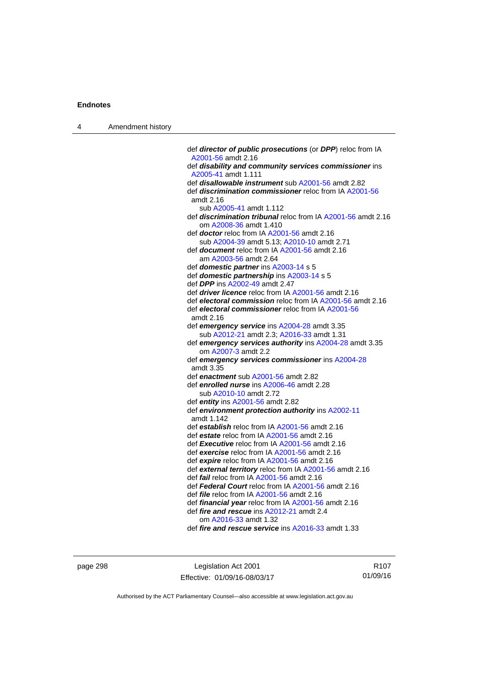| 4 | Amendment history |                                                                                               |
|---|-------------------|-----------------------------------------------------------------------------------------------|
|   |                   |                                                                                               |
|   |                   | def director of public prosecutions (or DPP) reloc from IA<br>A2001-56 amdt 2.16              |
|   |                   | def disability and community services commissioner ins                                        |
|   |                   | A2005-41 amdt 1.111                                                                           |
|   |                   | def <i>disallowable instrument</i> sub A2001-56 amdt 2.82                                     |
|   |                   | def <b>discrimination commissioner</b> reloc from IA A2001-56<br>amdt 2.16                    |
|   |                   | sub A2005-41 amdt 1.112                                                                       |
|   |                   | def <b>discrimination tribunal</b> reloc from IA A2001-56 amdt 2.16<br>om A2008-36 amdt 1.410 |
|   |                   | def <b>doctor</b> reloc from IA A2001-56 amdt 2.16                                            |
|   |                   | sub A2004-39 amdt 5.13; A2010-10 amdt 2.71                                                    |
|   |                   | def <b>document</b> reloc from IA A2001-56 amdt 2.16                                          |
|   |                   | am A2003-56 amdt 2.64                                                                         |
|   |                   | def <b>domestic partner</b> ins A2003-14 s 5                                                  |
|   |                   | def domestic partnership ins A2003-14 s 5                                                     |
|   |                   | def DPP ins A2002-49 amdt 2.47<br>def <i>driver licence</i> reloc from IA A2001-56 amdt 2.16  |
|   |                   | def electoral commission reloc from IA A2001-56 amdt 2.16                                     |
|   |                   | def electoral commissioner reloc from IA A2001-56                                             |
|   |                   | amdt 2.16                                                                                     |
|   |                   | def emergency service ins A2004-28 amdt 3.35                                                  |
|   |                   | sub A2012-21 amdt 2.3; A2016-33 amdt 1.31                                                     |
|   |                   | def emergency services authority ins A2004-28 amdt 3.35<br>om A2007-3 amdt 2.2                |
|   |                   | def emergency services commissioner ins A2004-28                                              |
|   |                   | amdt 3.35                                                                                     |
|   |                   | def enactment sub A2001-56 amdt 2.82                                                          |
|   |                   | def enrolled nurse ins A2006-46 amdt 2.28                                                     |
|   |                   | sub A2010-10 amdt 2.72                                                                        |
|   |                   | def entity ins $A2001-56$ amdt 2.82                                                           |
|   |                   | def environment protection authority ins A2002-11<br>amdt 1.142                               |
|   |                   | def establish reloc from IA A2001-56 amdt 2.16                                                |
|   |                   | def estate reloc from IA A2001-56 amdt 2.16                                                   |
|   |                   | def <b>Executive</b> reloc from IA A2001-56 amdt 2.16                                         |
|   |                   | def exercise reloc from IA A2001-56 amdt 2.16<br>def expire reloc from IA A2001-56 amdt 2.16  |
|   |                   | def external territory reloc from IA A2001-56 amdt 2.16                                       |
|   |                   | def <i>fail</i> reloc from IA A2001-56 amdt 2.16                                              |
|   |                   | def Federal Court reloc from IA A2001-56 amdt 2.16                                            |
|   |                   | def <i>file</i> reloc from IA A2001-56 amdt 2.16                                              |
|   |                   | def <i>financial year</i> reloc from IA A2001-56 amdt 2.16                                    |
|   |                   | def fire and rescue ins A2012-21 amdt 2.4                                                     |
|   |                   | om A2016-33 amdt 1.32                                                                         |
|   |                   | def fire and rescue service ins A2016-33 amdt 1.33                                            |

page 298 Legislation Act 2001 Effective: 01/09/16-08/03/17

R107 01/09/16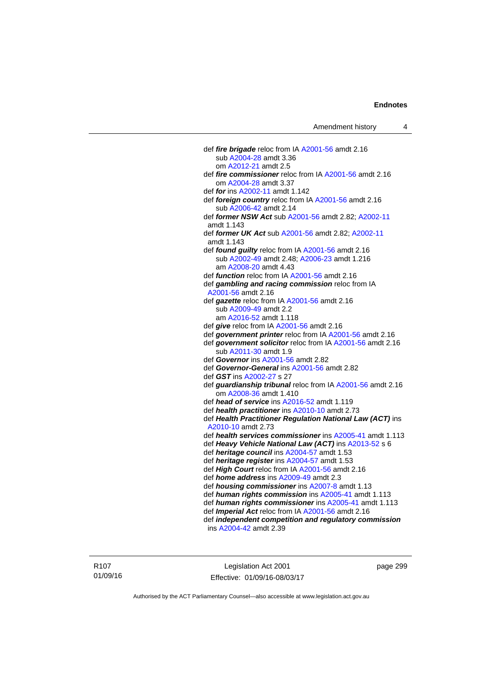| def fire brigade reloc from IA A2001-56 amdt 2.16                                                    |
|------------------------------------------------------------------------------------------------------|
| sub A2004-28 amdt 3.36                                                                               |
| om A2012-21 amdt 2.5                                                                                 |
| def fire commissioner reloc from IA A2001-56 amdt 2.16                                               |
| om A2004-28 amdt 3.37                                                                                |
| def for ins A2002-11 amdt 1.142                                                                      |
| def foreign country reloc from IA A2001-56 amdt 2.16                                                 |
| sub A2006-42 amdt 2.14                                                                               |
| def former NSW Act sub A2001-56 amdt 2.82; A2002-11                                                  |
| amdt 1.143                                                                                           |
| def former UK Act sub A2001-56 amdt 2.82; A2002-11                                                   |
| amdt 1.143                                                                                           |
| def found guilty reloc from IA A2001-56 amdt 2.16                                                    |
| sub A2002-49 amdt 2.48; A2006-23 amdt 1.216                                                          |
| am A2008-20 amdt 4.43                                                                                |
| def <i>function</i> reloc from IA A2001-56 amdt 2.16                                                 |
| def gambling and racing commission reloc from IA                                                     |
| A2001-56 amdt 2.16                                                                                   |
| def gazette reloc from IA A2001-56 amdt 2.16                                                         |
| sub A2009-49 amdt 2.2                                                                                |
| am A2016-52 amdt 1.118                                                                               |
| def give reloc from IA A2001-56 amdt 2.16                                                            |
| def government printer reloc from IA A2001-56 amdt 2.16                                              |
| def government solicitor reloc from IA A2001-56 amdt 2.16                                            |
| sub A2011-30 amdt 1.9                                                                                |
| def Governor ins A2001-56 amdt 2.82                                                                  |
| def Governor-General ins A2001-56 amdt 2.82                                                          |
| def GST ins A2002-27 s 27                                                                            |
| def guardianship tribunal reloc from IA A2001-56 amdt 2.16                                           |
| om A2008-36 amdt 1.410                                                                               |
| def head of service ins A2016-52 amdt 1.119                                                          |
| def health practitioner ins A2010-10 amdt 2.73                                                       |
| def Health Practitioner Regulation National Law (ACT) ins                                            |
| A2010-10 amdt 2.73                                                                                   |
| def health services commissioner ins A2005-41 amdt 1.113                                             |
| def Heavy Vehicle National Law (ACT) ins A2013-52 s 6<br>def heritage council ins A2004-57 amdt 1.53 |
| def heritage register ins A2004-57 amdt 1.53                                                         |
| def High Court reloc from IA A2001-56 amdt 2.16                                                      |
| def <i>home address</i> ins A2009-49 amdt 2.3                                                        |
| def housing commissioner ins A2007-8 amdt 1.13                                                       |
| def human rights commission ins A2005-41 amdt 1.113                                                  |
| def human rights commissioner ins A2005-41 amdt 1.113                                                |
| def Imperial Act reloc from IA A2001-56 amdt 2.16                                                    |
| def independent competition and regulatory commission                                                |
| ins A2004-42 amdt 2.39                                                                               |
|                                                                                                      |

R107 01/09/16

Legislation Act 2001 Effective: 01/09/16-08/03/17 page 299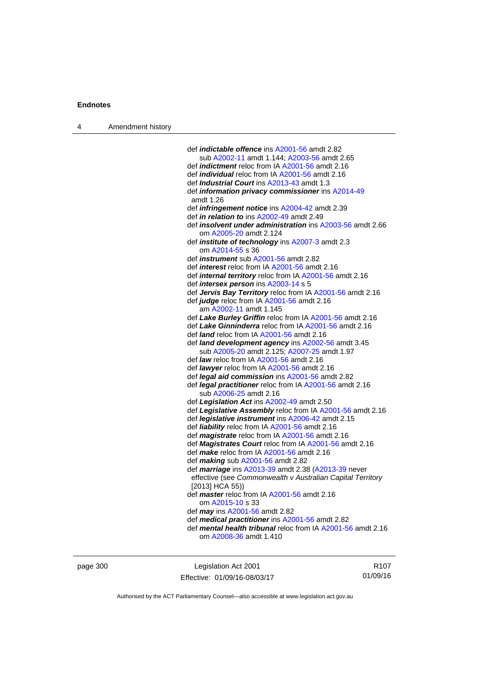| Amendment history<br>$\overline{4}$ |  |
|-------------------------------------|--|
|-------------------------------------|--|

| def <i>indictable</i> offence ins A2001-56 amdt 2.82                                     |
|------------------------------------------------------------------------------------------|
| sub A2002-11 amdt 1.144; A2003-56 amdt 2.65                                              |
| def <i>indictment</i> reloc from IA A2001-56 amdt 2.16                                   |
| def <i>individual</i> reloc from IA A2001-56 amdt 2.16                                   |
| def <i>Industrial Court</i> ins A2013-43 amdt 1.3                                        |
| def <i>information privacy commissioner</i> ins A2014-49                                 |
| amdt 1.26                                                                                |
| def <i>infringement notice</i> ins A2004-42 amdt 2.39                                    |
| def in relation to ins A2002-49 amdt 2.49                                                |
| def insolvent under administration ins A2003-56 amdt 2.66                                |
| om A2005-20 amdt 2.124                                                                   |
| def <i>institute</i> of <i>technology</i> ins A2007-3 amdt 2.3                           |
| om A2014-55 s 36                                                                         |
| def <i>instrument</i> sub A2001-56 amdt 2.82                                             |
| def <i>interest</i> reloc from IA A2001-56 amdt 2.16                                     |
| def <i>internal territory</i> reloc from IA A2001-56 amdt 2.16                           |
| def <i>intersex person</i> ins A2003-14 s 5                                              |
| def Jervis Bay Territory reloc from IA A2001-56 amdt 2.16                                |
| def judge reloc from IA A2001-56 amdt 2.16                                               |
| am A2002-11 amdt 1.145                                                                   |
| def Lake Burley Griffin reloc from IA A2001-56 amdt 2.16                                 |
| def Lake Ginninderra reloc from IA A2001-56 amdt 2.16                                    |
| def land reloc from IA A2001-56 amdt 2.16                                                |
| def land development agency ins A2002-56 amdt 3.45                                       |
| sub A2005-20 amdt 2.125; A2007-25 amdt 1.97                                              |
| def <i>law</i> reloc from IA A2001-56 amdt 2.16                                          |
| def lawyer reloc from IA A2001-56 amdt 2.16                                              |
| def legal aid commission ins A2001-56 amdt 2.82                                          |
| def legal practitioner reloc from IA A2001-56 amdt 2.16                                  |
| sub A2006-25 amdt 2.16                                                                   |
| def Legislation Act ins A2002-49 amdt 2.50                                               |
| def Legislative Assembly reloc from IA A2001-56 amdt 2.16                                |
| def <i>legislative instrument</i> ins A2006-42 amdt 2.15                                 |
| def liability reloc from IA A2001-56 amdt 2.16                                           |
| def <i>magistrate</i> reloc from IA A2001-56 amdt 2.16                                   |
| def Magistrates Court reloc from IA A2001-56 amdt 2.16                                   |
| def make reloc from IA A2001-56 amdt 2.16                                                |
| def making sub A2001-56 amdt 2.82<br>def marriage ins A2013-39 amdt 2.38 (A2013-39 never |
| effective (see Commonwealth v Australian Capital Territory                               |
| [2013] HCA 55))                                                                          |
| def master reloc from IA A2001-56 amdt 2.16                                              |
| om A2015-10 s 33                                                                         |
| def may ins A2001-56 amdt 2.82                                                           |
| def medical practitioner ins A2001-56 amdt 2.82                                          |
| def mental health tribunal reloc from IA A2001-56 amdt 2.16                              |
| om A2008-36 amdt 1.410                                                                   |
|                                                                                          |

page 300 **Legislation Act 2001** Effective: 01/09/16-08/03/17

R107 01/09/16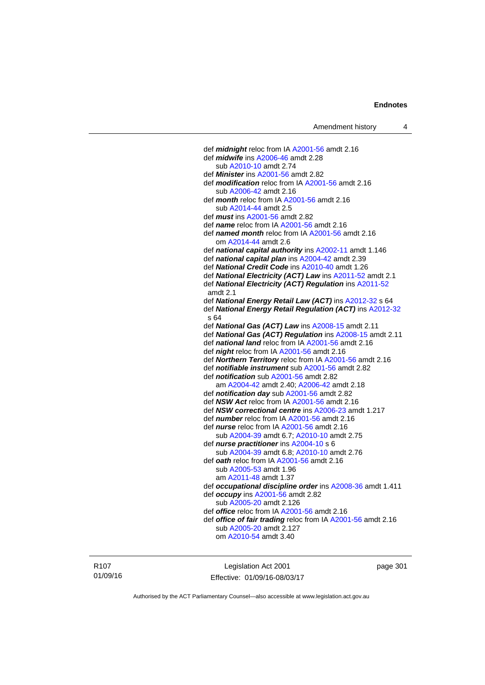def *midnight* reloc from IA [A2001-56](http://www.legislation.act.gov.au/a/2001-56) amdt 2.16 def *midwife* ins [A2006-46](http://www.legislation.act.gov.au/a/2006-46) amdt 2.28 sub [A2010-10](http://www.legislation.act.gov.au/a/2010-10) amdt 2.74 def *Minister* ins [A2001-56](http://www.legislation.act.gov.au/a/2001-56) amdt 2.82 def *modification* reloc from IA [A2001-56](http://www.legislation.act.gov.au/a/2001-56) amdt 2.16 sub [A2006-42](http://www.legislation.act.gov.au/a/2006-42) amdt 2.16 def *month* reloc from IA [A2001-56](http://www.legislation.act.gov.au/a/2001-56) amdt 2.16 sub [A2014-44](http://www.legislation.act.gov.au/a/2014-44) amdt 2.5 def *must* ins [A2001-56](http://www.legislation.act.gov.au/a/2001-56) amdt 2.82 def *name* reloc from IA [A2001-56](http://www.legislation.act.gov.au/a/2001-56) amdt 2.16 def *named month* reloc from IA [A2001-56](http://www.legislation.act.gov.au/a/2001-56) amdt 2.16 om [A2014-44](http://www.legislation.act.gov.au/a/2014-44) amdt 2.6 def *national capital authority* ins [A2002-11](http://www.legislation.act.gov.au/a/2002-11) amdt 1.146 def *national capital plan* ins [A2004-42](http://www.legislation.act.gov.au/a/2004-42) amdt 2.39 def *National Credit Code* ins [A2010-40](http://www.legislation.act.gov.au/a/2010-40) amdt 1.26 def *National Electricity (ACT) Law* ins [A2011-52](http://www.legislation.act.gov.au/a/2011-52) amdt 2.1 def *National Electricity (ACT) Regulation* ins [A2011-52](http://www.legislation.act.gov.au/a/2011-52) amdt 2.1 def *National Energy Retail Law (ACT)* ins [A2012-32](http://www.legislation.act.gov.au/a/2012-32) s 64 def *National Energy Retail Regulation (ACT)* ins [A2012-32](http://www.legislation.act.gov.au/a/2012-32) s 64 def *National Gas (ACT) Law* ins [A2008-15](http://www.legislation.act.gov.au/a/2008-15) amdt 2.11 def *National Gas (ACT) Regulation* ins [A2008-15](http://www.legislation.act.gov.au/a/2008-15) amdt 2.11 def *national land* reloc from IA [A2001-56](http://www.legislation.act.gov.au/a/2001-56) amdt 2.16 def *night* reloc from IA [A2001-56](http://www.legislation.act.gov.au/a/2001-56) amdt 2.16 def *Northern Territory* reloc from IA [A2001-56](http://www.legislation.act.gov.au/a/2001-56) amdt 2.16 def *notifiable instrument* sub [A2001-56](http://www.legislation.act.gov.au/a/2001-56) amdt 2.82 def *notification* sub [A2001-56](http://www.legislation.act.gov.au/a/2001-56) amdt 2.82 am [A2004-42](http://www.legislation.act.gov.au/a/2004-42) amdt 2.40; [A2006-42](http://www.legislation.act.gov.au/a/2006-42) amdt 2.18 def *notification day* sub [A2001-56](http://www.legislation.act.gov.au/a/2001-56) amdt 2.82 def *NSW Act* reloc from IA [A2001-56](http://www.legislation.act.gov.au/a/2001-56) amdt 2.16 def *NSW correctional centre* ins [A2006-23](http://www.legislation.act.gov.au/a/2006-23) amdt 1.217 def *number* reloc from IA [A2001-56](http://www.legislation.act.gov.au/a/2001-56) amdt 2.16 def *nurse* reloc from IA [A2001-56](http://www.legislation.act.gov.au/a/2001-56) amdt 2.16 sub [A2004-39](http://www.legislation.act.gov.au/a/2004-39) amdt 6.7; [A2010-10](http://www.legislation.act.gov.au/a/2010-10) amdt 2.75 def *nurse practitioner* ins [A2004-10](http://www.legislation.act.gov.au/a/2004-10) s 6 sub [A2004-39](http://www.legislation.act.gov.au/a/2004-39) amdt 6.8; [A2010-10](http://www.legislation.act.gov.au/a/2010-10) amdt 2.76 def *oath* reloc from IA [A2001-56](http://www.legislation.act.gov.au/a/2001-56) amdt 2.16 sub [A2005-53](http://www.legislation.act.gov.au/a/2005-53) amdt 1.96 am [A2011-48](http://www.legislation.act.gov.au/a/2011-48) amdt 1.37 def *occupational discipline order* ins [A2008-36](http://www.legislation.act.gov.au/a/2008-36) amdt 1.411 def *occupy* ins [A2001-56](http://www.legislation.act.gov.au/a/2001-56) amdt 2.82 sub [A2005-20](http://www.legislation.act.gov.au/a/2005-20) amdt 2.126 def *office* reloc from IA [A2001-56](http://www.legislation.act.gov.au/a/2001-56) amdt 2.16 def *office of fair trading* reloc from IA [A2001-56](http://www.legislation.act.gov.au/a/2001-56) amdt 2.16 sub [A2005-20](http://www.legislation.act.gov.au/a/2005-20) amdt 2.127 om [A2010-54](http://www.legislation.act.gov.au/a/2010-54) amdt 3.40

R107 01/09/16

Legislation Act 2001 Effective: 01/09/16-08/03/17 page 301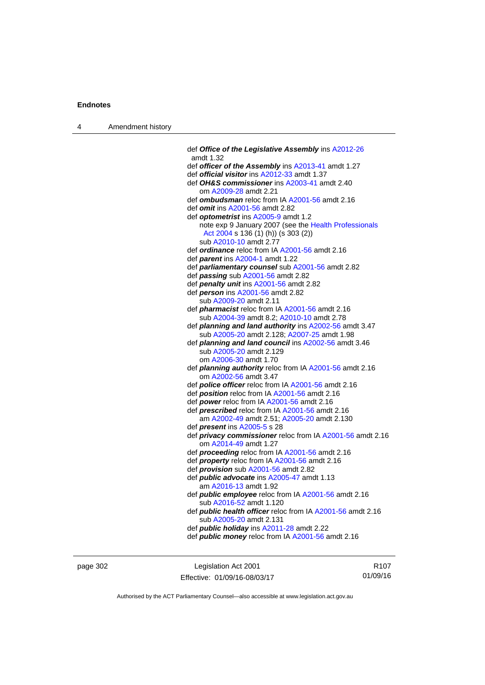| $\boldsymbol{\Lambda}$ | Amendment history |
|------------------------|-------------------|
|------------------------|-------------------|

| def Office of the Legislative Assembly ins A2012-26<br>amdt 1.32             |
|------------------------------------------------------------------------------|
| def officer of the Assembly ins A2013-41 amdt 1.27                           |
| def official visitor ins A2012-33 amdt 1.37                                  |
| def OH&S commissioner ins A2003-41 amdt 2.40                                 |
| om A2009-28 amdt 2.21                                                        |
| def ombudsman reloc from IA A2001-56 amdt 2.16                               |
| def omit ins A2001-56 amdt 2.82                                              |
| def optometrist ins A2005-9 amdt 1.2                                         |
| note exp 9 January 2007 (see the Health Professionals                        |
| Act 2004 s 136 (1) (h)) (s 303 (2))                                          |
| sub A2010-10 amdt 2.77                                                       |
| def ordinance reloc from IA A2001-56 amdt 2.16                               |
| def parent ins A2004-1 amdt 1.22                                             |
| def parliamentary counsel sub A2001-56 amdt 2.82                             |
| def passing sub A2001-56 amdt 2.82                                           |
| def penalty unit ins A2001-56 amdt 2.82<br>def person ins A2001-56 amdt 2.82 |
| sub A2009-20 amdt 2.11                                                       |
| def <i>pharmacist</i> reloc from IA A2001-56 amdt 2.16                       |
| sub A2004-39 amdt 8.2; A2010-10 amdt 2.78                                    |
| def planning and land authority ins A2002-56 amdt 3.47                       |
| sub A2005-20 amdt 2.128; A2007-25 amdt 1.98                                  |
| def planning and land council ins A2002-56 amdt 3.46                         |
| sub A2005-20 amdt 2.129                                                      |
| om A2006-30 amdt 1.70                                                        |
| def <i>planning authority</i> reloc from IA A2001-56 amdt 2.16               |
| om A2002-56 amdt 3.47                                                        |
| def <i>police officer</i> reloc from IA A2001-56 amdt 2.16                   |
| def <b>position</b> reloc from IA A2001-56 amdt 2.16                         |
| def power reloc from IA A2001-56 amdt 2.16                                   |
| def <b>prescribed</b> reloc from IA A2001-56 amdt 2.16                       |
| am A2002-49 amdt 2.51; A2005-20 amdt 2.130                                   |
| def <i>present</i> ins A2005-5 s 28                                          |
| def privacy commissioner reloc from IA A2001-56 amdt 2.16                    |
| om A2014-49 amdt 1.27<br>def proceeding reloc from IA A2001-56 amdt 2.16     |
| def <i>property</i> reloc from IA A2001-56 amdt 2.16                         |
| def <i>provision</i> sub A2001-56 amdt 2.82                                  |
| def <i>public</i> advocate ins A2005-47 amdt 1.13                            |
| am A2016-13 amdt 1.92                                                        |
| def public employee reloc from IA A2001-56 amdt 2.16                         |
| sub A2016-52 amdt 1.120                                                      |
| def <i>public health officer</i> reloc from IA A2001-56 amdt 2.16            |
| sub A2005-20 amdt 2.131                                                      |
| def <b>public holiday</b> ins A2011-28 amdt 2.22                             |
| def <i>public money</i> reloc from IA A2001-56 amdt 2.16                     |
|                                                                              |

page 302 Legislation Act 2001 Effective: 01/09/16-08/03/17

R107 01/09/16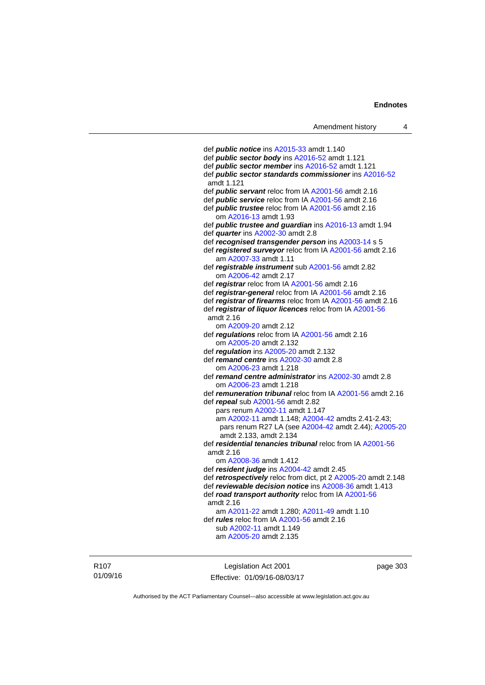def *public notice* ins [A2015-33](http://www.legislation.act.gov.au/a/2015-33) amdt 1.140 def *public sector body* ins [A2016-52](http://www.legislation.act.gov.au/a/2016-52/default.asp) amdt 1.121 def *public sector member* ins [A2016-52](http://www.legislation.act.gov.au/a/2016-52/default.asp) amdt 1.121 def *public sector standards commissioner* ins [A2016-52](http://www.legislation.act.gov.au/a/2016-52/default.asp) amdt 1.121 def *public servant* reloc from IA [A2001-56](http://www.legislation.act.gov.au/a/2001-56) amdt 2.16 def *public service* reloc from IA [A2001-56](http://www.legislation.act.gov.au/a/2001-56) amdt 2.16 def *public trustee* reloc from IA [A2001-56](http://www.legislation.act.gov.au/a/2001-56) amdt 2.16 om [A2016-13](http://www.legislation.act.gov.au/a/2016-13) amdt 1.93 def *public trustee and guardian* ins [A2016-13](http://www.legislation.act.gov.au/a/2016-13) amdt 1.94 def *quarter* ins [A2002-30](http://www.legislation.act.gov.au/a/2002-30) amdt 2.8 def *recognised transgender person* ins [A2003-14](http://www.legislation.act.gov.au/a/2003-14) s 5 def *registered surveyor* reloc from IA [A2001-56](http://www.legislation.act.gov.au/a/2001-56) amdt 2.16 am [A2007-33](http://www.legislation.act.gov.au/a/2007-33) amdt 1.11 def *registrable instrument* sub [A2001-56](http://www.legislation.act.gov.au/a/2001-56) amdt 2.82 om [A2006-42](http://www.legislation.act.gov.au/a/2006-42) amdt 2.17 def *registrar* reloc from IA [A2001-56](http://www.legislation.act.gov.au/a/2001-56) amdt 2.16 def *registrar-general* reloc from IA [A2001-56](http://www.legislation.act.gov.au/a/2001-56) amdt 2.16 def *registrar of firearms* reloc from IA [A2001-56](http://www.legislation.act.gov.au/a/2001-56) amdt 2.16 def *registrar of liquor licences* reloc from IA [A2001-56](http://www.legislation.act.gov.au/a/2001-56) amdt 2.16 om [A2009-20](http://www.legislation.act.gov.au/a/2009-20) amdt 2.12 def *regulations* reloc from IA [A2001-56](http://www.legislation.act.gov.au/a/2001-56) amdt 2.16 om [A2005-20](http://www.legislation.act.gov.au/a/2005-20) amdt 2.132 def *regulation* ins [A2005-20](http://www.legislation.act.gov.au/a/2005-20) amdt 2.132 def *remand centre* ins [A2002-30](http://www.legislation.act.gov.au/a/2002-30) amdt 2.8 om [A2006-23](http://www.legislation.act.gov.au/a/2006-23) amdt 1.218 def *remand centre administrator* ins [A2002-30](http://www.legislation.act.gov.au/a/2002-30) amdt 2.8 om [A2006-23](http://www.legislation.act.gov.au/a/2006-23) amdt 1.218 def *remuneration tribunal* reloc from IA [A2001-56](http://www.legislation.act.gov.au/a/2001-56) amdt 2.16 def *repeal* sub [A2001-56](http://www.legislation.act.gov.au/a/2001-56) amdt 2.82 pars renum [A2002-11](http://www.legislation.act.gov.au/a/2002-11) amdt 1.147 am [A2002-11](http://www.legislation.act.gov.au/a/2002-11) amdt 1.148; [A2004-42](http://www.legislation.act.gov.au/a/2004-42) amdts 2.41-2.43; pars renum R27 LA (see [A2004-42](http://www.legislation.act.gov.au/a/2004-42) amdt 2.44); [A2005-20](http://www.legislation.act.gov.au/a/2005-20) amdt 2.133, amdt 2.134 def *residential tenancies tribunal* reloc from IA [A2001-56](http://www.legislation.act.gov.au/a/2001-56) amdt 2.16 om [A2008-36](http://www.legislation.act.gov.au/a/2008-36) amdt 1.412 def *resident judge* ins [A2004-42](http://www.legislation.act.gov.au/a/2004-42) amdt 2.45 def *retrospectively* reloc from dict, pt 2 [A2005-20](http://www.legislation.act.gov.au/a/2005-20) amdt 2.148 def *reviewable decision notice* ins [A2008-36](http://www.legislation.act.gov.au/a/2008-36) amdt 1.413 def *road transport authority* reloc from IA [A2001-56](http://www.legislation.act.gov.au/a/2001-56) amdt 2.16 am [A2011-22](http://www.legislation.act.gov.au/a/2011-22) amdt 1.280; [A2011-49](http://www.legislation.act.gov.au/a/2011-49) amdt 1.10 def *rules* reloc from IA [A2001-56](http://www.legislation.act.gov.au/a/2001-56) amdt 2.16 sub [A2002-11](http://www.legislation.act.gov.au/a/2002-11) amdt 1.149 am [A2005-20](http://www.legislation.act.gov.au/a/2005-20) amdt 2.135

R107 01/09/16

Legislation Act 2001 Effective: 01/09/16-08/03/17 page 303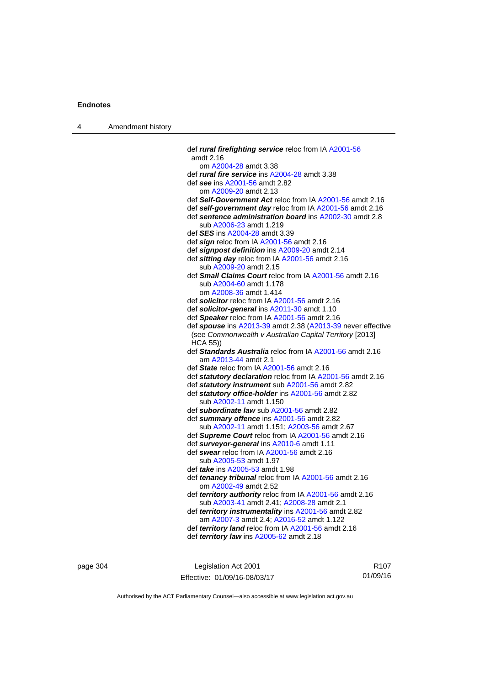| 4 | Amendment history |                                                                                                                                                |
|---|-------------------|------------------------------------------------------------------------------------------------------------------------------------------------|
|   |                   | def rural firefighting service reloc from IA A2001-56<br>amdt 2.16                                                                             |
|   |                   | om A2004-28 amdt 3.38                                                                                                                          |
|   |                   | def <i>rural fire service</i> ins A2004-28 amdt 3.38                                                                                           |
|   |                   | def see ins A2001-56 amdt 2.82                                                                                                                 |
|   |                   | om A2009-20 amdt 2.13                                                                                                                          |
|   |                   | def Self-Government Act reloc from IA A2001-56 amdt 2.16                                                                                       |
|   |                   | def self-government day reloc from IA A2001-56 amdt 2.16<br>def sentence administration board ins A2002-30 amdt 2.8<br>sub A2006-23 amdt 1.219 |
|   |                   | def <b>SES</b> ins A2004-28 amdt 3.39                                                                                                          |
|   |                   | def sign reloc from IA A2001-56 amdt 2.16                                                                                                      |
|   |                   | def signpost definition ins A2009-20 amdt 2.14                                                                                                 |
|   |                   | def sitting day reloc from IA A2001-56 amdt 2.16                                                                                               |
|   |                   | sub A2009-20 amdt 2.15                                                                                                                         |
|   |                   | def Small Claims Court reloc from IA A2001-56 amdt 2.16                                                                                        |
|   |                   | sub A2004-60 amdt 1.178                                                                                                                        |
|   |                   | om A2008-36 amdt 1.414                                                                                                                         |
|   |                   | def solicitor reloc from IA A2001-56 amdt 2.16                                                                                                 |
|   |                   | def solicitor-general ins A2011-30 amdt 1.10                                                                                                   |
|   |                   | def Speaker reloc from IA A2001-56 amdt 2.16                                                                                                   |
|   |                   | def spouse ins A2013-39 amdt 2.38 (A2013-39 never effective<br>(see Commonwealth v Australian Capital Territory [2013]<br>$HCA$ 55))           |
|   |                   | def Standards Australia reloc from IA A2001-56 amdt 2.16<br>am A2013-44 amdt 2.1                                                               |
|   |                   | def State reloc from IA A2001-56 amdt 2.16                                                                                                     |
|   |                   | def statutory declaration reloc from IA A2001-56 amdt 2.16                                                                                     |
|   |                   | def statutory instrument sub A2001-56 amdt 2.82                                                                                                |
|   |                   | def statutory office-holder ins A2001-56 amdt 2.82                                                                                             |
|   |                   | sub A2002-11 amdt 1.150                                                                                                                        |
|   |                   | def subordinate law sub A2001-56 amdt 2.82<br>def summary offence ins A2001-56 amdt 2.82                                                       |
|   |                   | sub A2002-11 amdt 1.151; A2003-56 amdt 2.67                                                                                                    |
|   |                   | def Supreme Court reloc from IA A2001-56 amdt 2.16                                                                                             |
|   |                   | def surveyor-general ins A2010-6 amdt 1.11                                                                                                     |
|   |                   | def swear reloc from IA A2001-56 amdt 2.16<br>sub A2005-53 amdt 1.97                                                                           |
|   |                   | def <i>take</i> ins A2005-53 amdt 1.98                                                                                                         |
|   |                   | def tenancy tribunal reloc from IA A2001-56 amdt 2.16<br>om A2002-49 amdt 2.52                                                                 |
|   |                   | def territory authority reloc from IA A2001-56 amdt 2.16<br>sub A2003-41 amdt 2.41; A2008-28 amdt 2.1                                          |
|   |                   | def territory instrumentality ins A2001-56 amdt 2.82<br>am A2007-3 amdt 2.4; A2016-52 amdt 1.122                                               |
|   |                   | def territory land reloc from IA A2001-56 amdt 2.16                                                                                            |
|   |                   | def territory law ins A2005-62 amdt 2.18                                                                                                       |
|   |                   |                                                                                                                                                |

page 304 Legislation Act 2001 Effective: 01/09/16-08/03/17

R107 01/09/16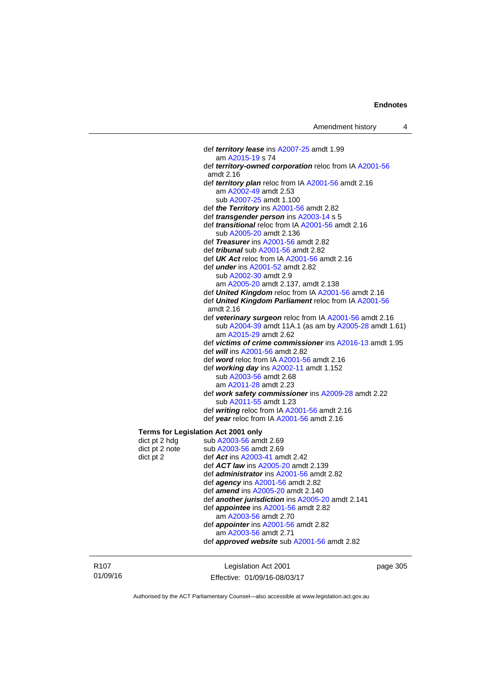def *territory lease* ins [A2007-25](http://www.legislation.act.gov.au/a/2007-25) amdt 1.99 am [A2015-19](http://www.legislation.act.gov.au/a/2015-19) s 74 def *territory-owned corporation* reloc from IA [A2001-56](http://www.legislation.act.gov.au/a/2001-56) amdt 2.16 def *territory plan* reloc from IA [A2001-56](http://www.legislation.act.gov.au/a/2001-56) amdt 2.16 am [A2002-49](http://www.legislation.act.gov.au/a/2002-49) amdt 2.53 sub [A2007-25](http://www.legislation.act.gov.au/a/2007-25) amdt 1.100 def *the Territory* ins [A2001-56](http://www.legislation.act.gov.au/a/2001-56) amdt 2.82 def *transgender person* ins [A2003-14](http://www.legislation.act.gov.au/a/2003-14) s 5 def *transitional* reloc from IA [A2001-56](http://www.legislation.act.gov.au/a/2001-56) amdt 2.16 sub [A2005-20](http://www.legislation.act.gov.au/a/2005-20) amdt 2.136 def *Treasurer* ins [A2001-56](http://www.legislation.act.gov.au/a/2001-56) amdt 2.82 def *tribunal* sub [A2001-56](http://www.legislation.act.gov.au/a/2001-56) amdt 2.82 def *UK Act* reloc from IA [A2001-56](http://www.legislation.act.gov.au/a/2001-56) amdt 2.16 def *under* ins [A2001-52](http://www.legislation.act.gov.au/a/2001-52) amdt 2.82 sub [A2002-30](http://www.legislation.act.gov.au/a/2002-30) amdt 2.9 am [A2005-20](http://www.legislation.act.gov.au/a/2005-20) amdt 2.137, amdt 2.138 def *United Kingdom* reloc from IA [A2001-56](http://www.legislation.act.gov.au/a/2001-56) amdt 2.16 def *United Kingdom Parliament* reloc from IA [A2001-56](http://www.legislation.act.gov.au/a/2001-56) amdt 2.16 def *veterinary surgeon* reloc from IA [A2001-56](http://www.legislation.act.gov.au/a/2001-56) amdt 2.16 sub [A2004-39](http://www.legislation.act.gov.au/a/2004-39) amdt 11A.1 (as am by [A2005-28](http://www.legislation.act.gov.au/a/2005-28) amdt 1.61) am [A2015-29](http://www.legislation.act.gov.au/a/2015-29) amdt 2.62 def *victims of crime commissioner* ins [A2016-13](http://www.legislation.act.gov.au/a/2016-13) amdt 1.95 def *will* ins [A2001-56](http://www.legislation.act.gov.au/a/2001-56) amdt 2.82 def *word* reloc from IA [A2001-56](http://www.legislation.act.gov.au/a/2001-56) amdt 2.16 def *working day* ins [A2002-11](http://www.legislation.act.gov.au/a/2002-11) amdt 1.152 sub [A2003-56](http://www.legislation.act.gov.au/a/2003-56) amdt 2.68 am [A2011-28](http://www.legislation.act.gov.au/a/2011-28) amdt 2.23 def *work safety commissioner* ins [A2009-28](http://www.legislation.act.gov.au/a/2009-28) amdt 2.22 sub [A2011-55](http://www.legislation.act.gov.au/a/2011-55) amdt 1.23 def *writing* reloc from IA [A2001-56](http://www.legislation.act.gov.au/a/2001-56) amdt 2.16 def *year* reloc from IA [A2001-56](http://www.legislation.act.gov.au/a/2001-56) amdt 2.16 **Terms for Legislation Act 2001 only** 

| dict pt 2 hdg  | sub A2003-56 amdt 2.69                             |
|----------------|----------------------------------------------------|
| dict pt 2 note | sub A2003-56 amdt 2.69                             |
| dict pt 2      | def $Act$ ins $A2003-41$ amdt 2.42                 |
|                | def <b>ACT law</b> ins A2005-20 amdt 2.139         |
|                | def <i>administrator</i> ins A2001-56 amdt 2.82    |
|                | def <i>agency</i> ins $A2001-56$ amdt 2.82         |
|                | def <i>amend</i> ins A2005-20 amdt 2.140           |
|                | def another jurisdiction ins A2005-20 amdt 2.141   |
|                | def <i>appointee</i> ins A2001-56 amdt 2.82        |
|                | am A2003-56 amdt 2.70                              |
|                | def <i>appointer</i> ins A2001-56 amdt 2.82        |
|                | am A2003-56 amdt 2.71                              |
|                | def <b>approved website</b> sub A2001-56 amdt 2.82 |
|                |                                                    |

R107 01/09/16

Legislation Act 2001 Effective: 01/09/16-08/03/17 page 305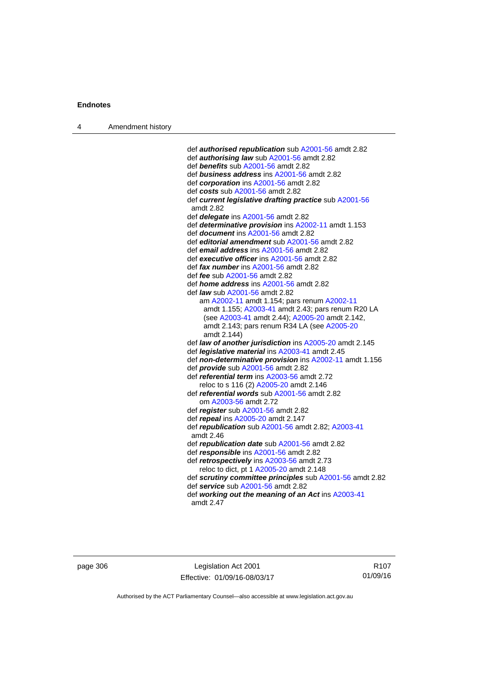4 Amendment history

 def *authorised republication* sub [A2001-56](http://www.legislation.act.gov.au/a/2001-56) amdt 2.82 def *authorising law* sub [A2001-56](http://www.legislation.act.gov.au/a/2001-56) amdt 2.82 def *benefits* sub [A2001-56](http://www.legislation.act.gov.au/a/2001-56) amdt 2.82 def *business address* ins [A2001-56](http://www.legislation.act.gov.au/a/2001-56) amdt 2.82 def *corporation* ins [A2001-56](http://www.legislation.act.gov.au/a/2001-56) amdt 2.82 def *costs* sub [A2001-56](http://www.legislation.act.gov.au/a/2001-56) amdt 2.82 def *current legislative drafting practice* sub [A2001-56](http://www.legislation.act.gov.au/a/2001-56) amdt 2.82 def *delegate* ins [A2001-56](http://www.legislation.act.gov.au/a/2001-56) amdt 2.82 def *determinative provision* ins [A2002-11](http://www.legislation.act.gov.au/a/2002-11) amdt 1.153 def *document* ins [A2001-56](http://www.legislation.act.gov.au/a/2001-56) amdt 2.82 def *editorial amendment* sub [A2001-56](http://www.legislation.act.gov.au/a/2001-56) amdt 2.82 def *email address* ins [A2001-56](http://www.legislation.act.gov.au/a/2001-56) amdt 2.82 def *executive officer* ins [A2001-56](http://www.legislation.act.gov.au/a/2001-56) amdt 2.82 def *fax number* ins [A2001-56](http://www.legislation.act.gov.au/a/2001-56) amdt 2.82 def *fee* sub [A2001-56](http://www.legislation.act.gov.au/a/2001-56) amdt 2.82 def *home address* ins [A2001-56](http://www.legislation.act.gov.au/a/2001-56) amdt 2.82 def *law* sub [A2001-56](http://www.legislation.act.gov.au/a/2001-56) amdt 2.82 am [A2002-11](http://www.legislation.act.gov.au/a/2002-11) amdt 1.154; pars renum [A2002-11](http://www.legislation.act.gov.au/a/2002-11) amdt 1.155; [A2003-41](http://www.legislation.act.gov.au/a/2003-41) amdt 2.43; pars renum R20 LA (see [A2003-41](http://www.legislation.act.gov.au/a/2003-41) amdt 2.44); [A2005-20](http://www.legislation.act.gov.au/a/2005-20) amdt 2.142, amdt 2.143; pars renum R34 LA (see [A2005-20](http://www.legislation.act.gov.au/a/2005-20) amdt 2.144) def *law of another jurisdiction* ins [A2005-20](http://www.legislation.act.gov.au/a/2005-20) amdt 2.145 def *legislative material* ins [A2003-41](http://www.legislation.act.gov.au/a/2003-41) amdt 2.45 def *non-determinative provision* ins [A2002-11](http://www.legislation.act.gov.au/a/2002-11) amdt 1.156 def *provide* sub [A2001-56](http://www.legislation.act.gov.au/a/2001-56) amdt 2.82 def *referential term* ins [A2003-56](http://www.legislation.act.gov.au/a/2003-56) amdt 2.72 reloc to s 116 (2) [A2005-20](http://www.legislation.act.gov.au/a/2005-20) amdt 2.146 def *referential words* sub [A2001-56](http://www.legislation.act.gov.au/a/2001-56) amdt 2.82 om [A2003-56](http://www.legislation.act.gov.au/a/2003-56) amdt 2.72 def *register* sub [A2001-56](http://www.legislation.act.gov.au/a/2001-56) amdt 2.82 def *repeal* ins [A2005-20](http://www.legislation.act.gov.au/a/2005-20) amdt 2.147 def *republication* sub [A2001-56](http://www.legislation.act.gov.au/a/2001-56) amdt 2.82; [A2003-41](http://www.legislation.act.gov.au/a/2003-41) amdt 2.46 def *republication date* sub [A2001-56](http://www.legislation.act.gov.au/a/2001-56) amdt 2.82 def *responsible* ins [A2001-56](http://www.legislation.act.gov.au/a/2001-56) amdt 2.82 def *retrospectively* ins [A2003-56](http://www.legislation.act.gov.au/a/2003-56) amdt 2.73 reloc to dict, pt 1 [A2005-20](http://www.legislation.act.gov.au/a/2005-20) amdt 2.148 def *scrutiny committee principles* sub [A2001-56](http://www.legislation.act.gov.au/a/2001-56) amdt 2.82 def *service* sub [A2001-56](http://www.legislation.act.gov.au/a/2001-56) amdt 2.82 def *working out the meaning of an Act* ins [A2003-41](http://www.legislation.act.gov.au/a/2003-41) amdt 2.47

page 306 Legislation Act 2001 Effective: 01/09/16-08/03/17

R107 01/09/16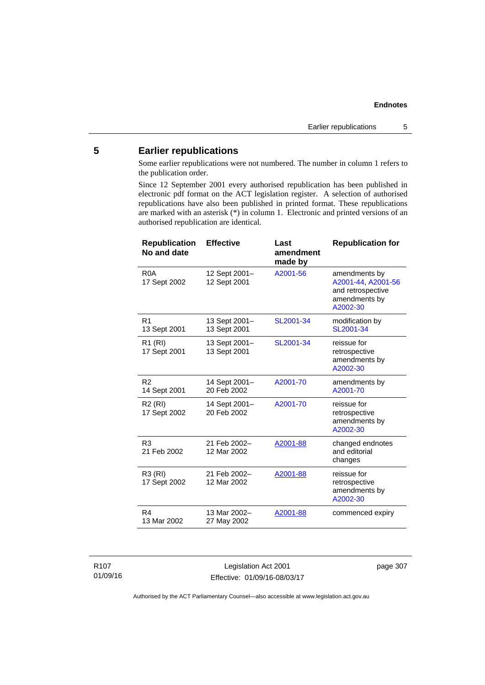## **5 Earlier republications**

Some earlier republications were not numbered. The number in column 1 refers to the publication order.

Since 12 September 2001 every authorised republication has been published in electronic pdf format on the ACT legislation register. A selection of authorised republications have also been published in printed format. These republications are marked with an asterisk (\*) in column 1. Electronic and printed versions of an authorised republication are identical.

| <b>Republication</b><br>No and date | <b>Effective</b>              | Last<br>amendment<br>made by | <b>Republication for</b>                                                              |
|-------------------------------------|-------------------------------|------------------------------|---------------------------------------------------------------------------------------|
| R <sub>0</sub> A<br>17 Sept 2002    | 12 Sept 2001-<br>12 Sept 2001 | A2001-56                     | amendments by<br>A2001-44, A2001-56<br>and retrospective<br>amendments by<br>A2002-30 |
| R <sub>1</sub><br>13 Sept 2001      | 13 Sept 2001-<br>13 Sept 2001 | SL2001-34                    | modification by<br>SL2001-34                                                          |
| R1 (RI)<br>17 Sept 2001             | 13 Sept 2001-<br>13 Sept 2001 | SL2001-34                    | reissue for<br>retrospective<br>amendments by<br>A2002-30                             |
| R <sub>2</sub><br>14 Sept 2001      | 14 Sept 2001-<br>20 Feb 2002  | A2001-70                     | amendments by<br>A2001-70                                                             |
| R <sub>2</sub> (RI)<br>17 Sept 2002 | 14 Sept 2001-<br>20 Feb 2002  | A2001-70                     | reissue for<br>retrospective<br>amendments by<br>A2002-30                             |
| R <sub>3</sub><br>21 Feb 2002       | 21 Feb 2002-<br>12 Mar 2002   | A2001-88                     | changed endnotes<br>and editorial<br>changes                                          |
| R3 (RI)<br>17 Sept 2002             | 21 Feb 2002-<br>12 Mar 2002   | A2001-88                     | reissue for<br>retrospective<br>amendments by<br>A2002-30                             |
| R <sub>4</sub><br>13 Mar 2002       | 13 Mar 2002-<br>27 May 2002   | A2001-88                     | commenced expiry                                                                      |

R107 01/09/16

Legislation Act 2001 Effective: 01/09/16-08/03/17 page 307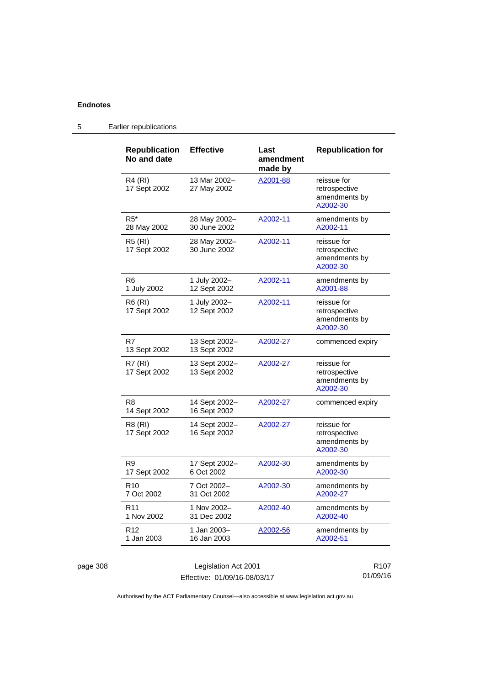5 Earlier republications

| <b>Republication</b><br>No and date | <b>Effective</b>              | Last<br>amendment<br>made by | <b>Republication for</b>                                  |
|-------------------------------------|-------------------------------|------------------------------|-----------------------------------------------------------|
| R4 (RI)<br>17 Sept 2002             | 13 Mar 2002-<br>27 May 2002   | A2001-88                     | reissue for<br>retrospective<br>amendments by<br>A2002-30 |
| $R5*$<br>28 May 2002                | 28 May 2002-<br>30 June 2002  | A2002-11                     | amendments by<br>A2002-11                                 |
| R5 (RI)<br>17 Sept 2002             | 28 May 2002-<br>30 June 2002  | A2002-11                     | reissue for<br>retrospective<br>amendments by<br>A2002-30 |
| R <sub>6</sub><br>1 July 2002       | 1 July 2002-<br>12 Sept 2002  | A2002-11                     | amendments by<br>A2001-88                                 |
| R6 (RI)<br>17 Sept 2002             | 1 July 2002-<br>12 Sept 2002  | A2002-11                     | reissue for<br>retrospective<br>amendments by<br>A2002-30 |
| R7<br>13 Sept 2002                  | 13 Sept 2002-<br>13 Sept 2002 | A2002-27                     | commenced expiry                                          |
| R7 (RI)<br>17 Sept 2002             | 13 Sept 2002-<br>13 Sept 2002 | A2002-27                     | reissue for<br>retrospective<br>amendments by<br>A2002-30 |
| R <sub>8</sub><br>14 Sept 2002      | 14 Sept 2002-<br>16 Sept 2002 | A2002-27                     | commenced expiry                                          |
| R8 (RI)<br>17 Sept 2002             | 14 Sept 2002-<br>16 Sept 2002 | A2002-27                     | reissue for<br>retrospective<br>amendments by<br>A2002-30 |
| R9<br>17 Sept 2002                  | 17 Sept 2002-<br>6 Oct 2002   | A2002-30                     | amendments by<br>A2002-30                                 |
| R <sub>10</sub><br>7 Oct 2002       | 7 Oct 2002-<br>31 Oct 2002    | A2002-30                     | amendments by<br>A2002-27                                 |
| R <sub>11</sub><br>1 Nov 2002       | 1 Nov 2002-<br>31 Dec 2002    | A2002-40                     | amendments by<br>A2002-40                                 |
| R <sub>12</sub><br>1 Jan 2003       | 1 Jan 2003-<br>16 Jan 2003    | A2002-56                     | amendments by<br>A2002-51                                 |

Authorised by the ACT Parliamentary Counsel—also accessible at www.legislation.act.gov.au

01/09/16

Effective: 01/09/16-08/03/17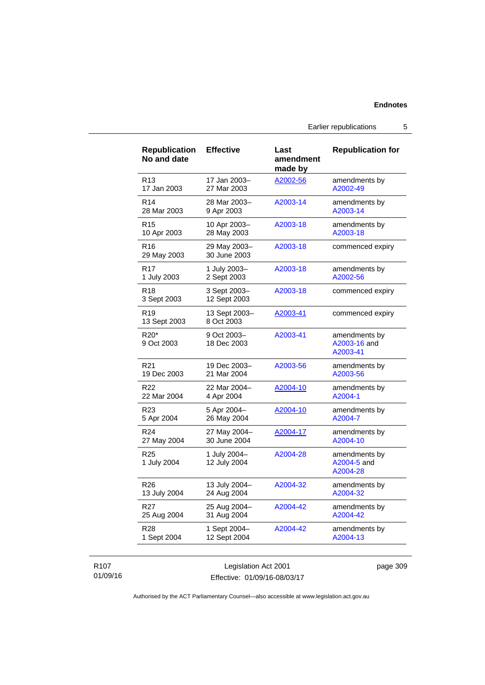Earlier republications 5

| <b>Republication</b><br>No and date | <b>Effective</b>             | Last<br>amendment<br>made by | <b>Republication for</b>                  |
|-------------------------------------|------------------------------|------------------------------|-------------------------------------------|
| R <sub>13</sub>                     | 17 Jan 2003-                 | A2002-56                     | amendments by                             |
| 17 Jan 2003                         | 27 Mar 2003                  |                              | A2002-49                                  |
| R <sub>14</sub>                     | 28 Mar 2003-                 | A2003-14                     | amendments by                             |
| 28 Mar 2003                         | 9 Apr 2003                   |                              | A2003-14                                  |
| R <sub>15</sub>                     | 10 Apr 2003-                 | A2003-18                     | amendments by                             |
| 10 Apr 2003                         | 28 May 2003                  |                              | A2003-18                                  |
| R16<br>29 May 2003                  | 29 May 2003-<br>30 June 2003 | A2003-18                     | commenced expiry                          |
| R <sub>17</sub>                     | 1 July 2003-                 | A2003-18                     | amendments by                             |
| 1 July 2003                         | 2 Sept 2003                  |                              | A2002-56                                  |
| R <sub>18</sub><br>3 Sept 2003      | 3 Sept 2003-<br>12 Sept 2003 | A2003-18                     | commenced expiry                          |
| R <sub>19</sub><br>13 Sept 2003     | 13 Sept 2003-<br>8 Oct 2003  | A2003-41                     | commenced expiry                          |
| R20*<br>9 Oct 2003                  | 9 Oct 2003-<br>18 Dec 2003   | A2003-41                     | amendments by<br>A2003-16 and<br>A2003-41 |
| R <sub>21</sub>                     | 19 Dec 2003-                 | A2003-56                     | amendments by                             |
| 19 Dec 2003                         | 21 Mar 2004                  |                              | A2003-56                                  |
| R <sub>22</sub>                     | 22 Mar 2004-                 | A2004-10                     | amendments by                             |
| 22 Mar 2004                         | 4 Apr 2004                   |                              | A2004-1                                   |
| R <sub>23</sub>                     | 5 Apr 2004-                  | A2004-10                     | amendments by                             |
| 5 Apr 2004                          | 26 May 2004                  |                              | A2004-7                                   |
| R <sub>24</sub>                     | 27 May 2004-                 | A2004-17                     | amendments by                             |
| 27 May 2004                         | 30 June 2004                 |                              | A2004-10                                  |
| R <sub>25</sub><br>1 July 2004      | 1 July 2004-<br>12 July 2004 | A2004-28                     | amendments by<br>A2004-5 and<br>A2004-28  |
| R26                                 | 13 July 2004-                | A2004-32                     | amendments by                             |
| 13 July 2004                        | 24 Aug 2004                  |                              | A2004-32                                  |
| R <sub>27</sub>                     | 25 Aug 2004-                 | A2004-42                     | amendments by                             |
| 25 Aug 2004                         | 31 Aug 2004                  |                              | A2004-42                                  |
| R28                                 | 1 Sept 2004-                 | A2004-42                     | amendments by                             |
| 1 Sept 2004                         | 12 Sept 2004                 |                              | A2004-13                                  |

### R107 01/09/16

Legislation Act 2001 Effective: 01/09/16-08/03/17 page 309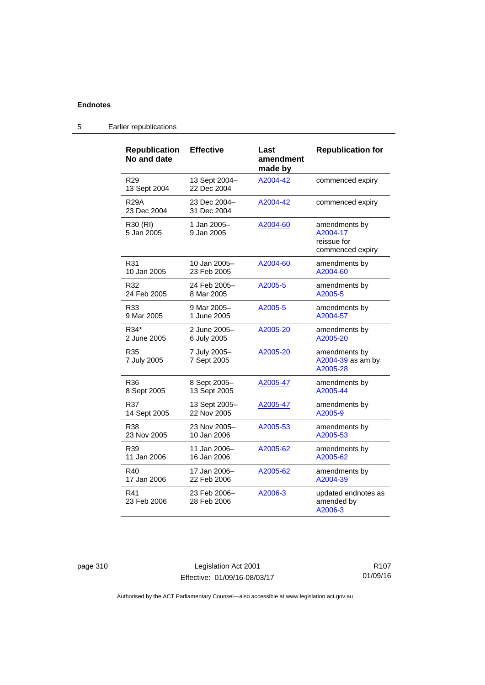| <b>Republication</b><br>No and date | <b>Effective</b>             | Last<br>amendment<br>made by | <b>Republication for</b>                                     |
|-------------------------------------|------------------------------|------------------------------|--------------------------------------------------------------|
| R <sub>29</sub><br>13 Sept 2004     | 13 Sept 2004-<br>22 Dec 2004 | A2004-42                     | commenced expiry                                             |
| R29A<br>23 Dec 2004                 | 23 Dec 2004–<br>31 Dec 2004  | A2004-42                     | commenced expiry                                             |
| R30 (RI)<br>5 Jan 2005              | 1 Jan 2005-<br>9 Jan 2005    | A2004-60                     | amendments by<br>A2004-17<br>reissue for<br>commenced expiry |
| R31                                 | 10 Jan 2005-                 | A2004-60                     | amendments by                                                |
| 10 Jan 2005                         | 23 Feb 2005                  |                              | A2004-60                                                     |
| R32                                 | 24 Feb 2005–                 | A2005-5                      | amendments by                                                |
| 24 Feb 2005                         | 8 Mar 2005                   |                              | A2005-5                                                      |
| R33                                 | 9 Mar 2005-                  | A2005-5                      | amendments by                                                |
| 9 Mar 2005                          | 1 June 2005                  |                              | A2004-57                                                     |
| R34*                                | 2 June 2005-                 | A2005-20                     | amendments by                                                |
| 2 June 2005                         | 6 July 2005                  |                              | A2005-20                                                     |
| R35<br>7 July 2005                  | 7 July 2005-<br>7 Sept 2005  | A2005-20                     | amendments by<br>A2004-39 as am by<br>A2005-28               |
| R36                                 | 8 Sept 2005-                 | A2005-47                     | amendments by                                                |
| 8 Sept 2005                         | 13 Sept 2005                 |                              | A2005-44                                                     |
| R37                                 | 13 Sept 2005-                | A2005-47                     | amendments by                                                |
| 14 Sept 2005                        | 22 Nov 2005                  |                              | A2005-9                                                      |
| R38                                 | 23 Nov 2005-                 | A2005-53                     | amendments by                                                |
| 23 Nov 2005                         | 10 Jan 2006                  |                              | A2005-53                                                     |
| R39                                 | 11 Jan 2006–                 | A2005-62                     | amendments by                                                |
| 11 Jan 2006                         | 16 Jan 2006                  |                              | A2005-62                                                     |
| R40                                 | 17 Jan 2006-                 | A2005-62                     | amendments by                                                |
| 17 Jan 2006                         | 22 Feb 2006                  |                              | A2004-39                                                     |
| R41<br>23 Feb 2006                  | 23 Feb 2006-<br>28 Feb 2006  | A2006-3                      | updated endnotes as<br>amended by<br>A2006-3                 |

# 5 Earlier republications

page 310 Legislation Act 2001 Effective: 01/09/16-08/03/17

R107 01/09/16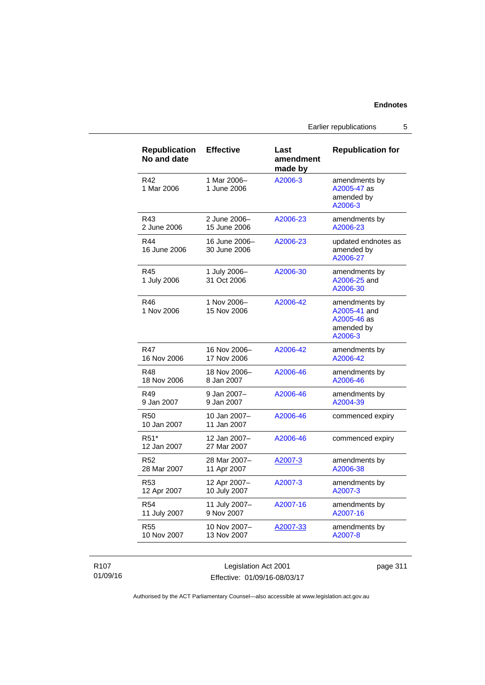Earlier republications 5

| <b>Republication</b><br>No and date | <b>Effective</b>              | Last<br>amendment<br>made by | <b>Republication for</b>                                              |
|-------------------------------------|-------------------------------|------------------------------|-----------------------------------------------------------------------|
| R42<br>1 Mar 2006                   | 1 Mar 2006-<br>1 June 2006    | A2006-3                      | amendments by<br>A2005-47 as<br>amended by<br>A2006-3                 |
| R43                                 | 2 June 2006-                  | A2006-23                     | amendments by                                                         |
| 2 June 2006                         | 15 June 2006                  |                              | A2006-23                                                              |
| R44<br>16 June 2006                 | 16 June 2006-<br>30 June 2006 | A2006-23                     | updated endnotes as<br>amended by<br>A2006-27                         |
| R45<br>1 July 2006                  | 1 July 2006-<br>31 Oct 2006   | A2006-30                     | amendments by<br>A2006-25 and<br>A2006-30                             |
| R46<br>1 Nov 2006                   | 1 Nov 2006-<br>15 Nov 2006    | A2006-42                     | amendments by<br>A2005-41 and<br>A2005-46 as<br>amended by<br>A2006-3 |
| R47                                 | 16 Nov 2006-                  | A2006-42                     | amendments by                                                         |
| 16 Nov 2006                         | 17 Nov 2006                   |                              | A2006-42                                                              |
| R48                                 | 18 Nov 2006-                  | A2006-46                     | amendments by                                                         |
| 18 Nov 2006                         | 8 Jan 2007                    |                              | A2006-46                                                              |
| R49                                 | 9 Jan 2007-                   | A2006-46                     | amendments by                                                         |
| 9 Jan 2007                          | 9 Jan 2007                    |                              | A2004-39                                                              |
| <b>R50</b><br>10 Jan 2007           | 10 Jan 2007-<br>11 Jan 2007   | A2006-46                     | commenced expiry                                                      |
| R51*<br>12 Jan 2007                 | 12 Jan 2007-<br>27 Mar 2007   | A2006-46                     | commenced expiry                                                      |
| R52                                 | 28 Mar 2007-                  | A2007-3                      | amendments by                                                         |
| 28 Mar 2007                         | 11 Apr 2007                   |                              | A2006-38                                                              |
| R <sub>53</sub>                     | 12 Apr 2007-                  | A2007-3                      | amendments by                                                         |
| 12 Apr 2007                         | 10 July 2007                  |                              | A2007-3                                                               |
| R54                                 | 11 July 2007-                 | A2007-16                     | amendments by                                                         |
| 11 July 2007                        | 9 Nov 2007                    |                              | A2007-16                                                              |
| <b>R55</b>                          | 10 Nov 2007-                  | A2007-33                     | amendments by                                                         |
| 10 Nov 2007                         | 13 Nov 2007                   |                              | A2007-8                                                               |

R107 01/09/16

Legislation Act 2001 Effective: 01/09/16-08/03/17 page 311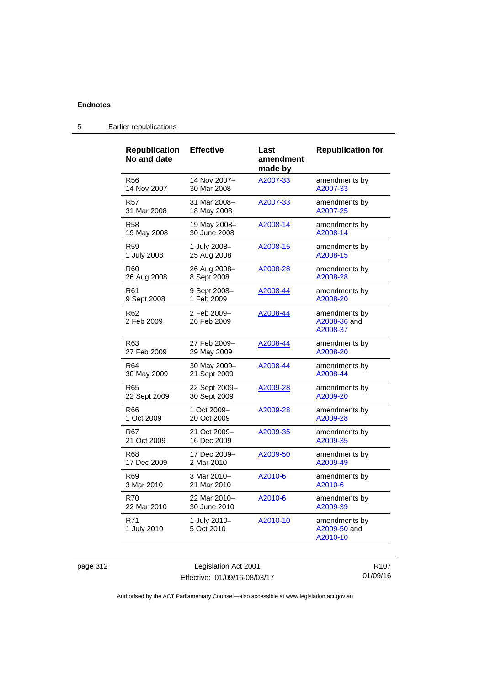| <b>Republication</b><br>No and date | <b>Effective</b>           | Last<br>amendment<br>made by | <b>Republication for</b>                  |
|-------------------------------------|----------------------------|------------------------------|-------------------------------------------|
| <b>R56</b>                          | 14 Nov 2007-               | A2007-33                     | amendments by                             |
| 14 Nov 2007                         | 30 Mar 2008                |                              | A2007-33                                  |
| R57                                 | 31 Mar 2008-               | A2007-33                     | amendments by                             |
| 31 Mar 2008                         | 18 May 2008                |                              | A2007-25                                  |
| R58                                 | 19 May 2008-               | A2008-14                     | amendments by                             |
| 19 May 2008                         | 30 June 2008               |                              | A2008-14                                  |
| R59                                 | 1 July 2008-               | A2008-15                     | amendments by                             |
| 1 July 2008                         | 25 Aug 2008                |                              | A2008-15                                  |
| R60                                 | 26 Aug 2008-               | A2008-28                     | amendments by                             |
| 26 Aug 2008                         | 8 Sept 2008                |                              | A2008-28                                  |
| R61                                 | 9 Sept 2008-               | A2008-44                     | amendments by                             |
| 9 Sept 2008                         | 1 Feb 2009                 |                              | A2008-20                                  |
| R62<br>2 Feb 2009                   | 2 Feb 2009-<br>26 Feb 2009 | A2008-44                     | amendments by<br>A2008-36 and<br>A2008-37 |
| R63                                 | 27 Feb 2009–               | A2008-44                     | amendments by                             |
| 27 Feb 2009                         | 29 May 2009                |                              | A2008-20                                  |
| R64                                 | 30 May 2009-               | A2008-44                     | amendments by                             |
| 30 May 2009                         | 21 Sept 2009               |                              | A2008-44                                  |
| R65                                 | 22 Sept 2009-              | A2009-28                     | amendments by                             |
| 22 Sept 2009                        | 30 Sept 2009               |                              | A2009-20                                  |
| R66                                 | 1 Oct 2009-                | A2009-28                     | amendments by                             |
| 1 Oct 2009                          | 20 Oct 2009                |                              | A2009-28                                  |
| R67                                 | 21 Oct 2009-               | A2009-35                     | amendments by                             |
| 21 Oct 2009                         | 16 Dec 2009                |                              | A2009-35                                  |
| R68                                 | 17 Dec 2009-               | A2009-50                     | amendments by                             |
| 17 Dec 2009                         | 2 Mar 2010                 |                              | A2009-49                                  |
| R69                                 | 3 Mar 2010-                | A2010-6                      | amendments by                             |
| 3 Mar 2010                          | 21 Mar 2010                |                              | A2010-6                                   |
| <b>R70</b>                          | 22 Mar 2010-               | A2010-6                      | amendments by                             |
| 22 Mar 2010                         | 30 June 2010               |                              | A2009-39                                  |
| R71<br>1 July 2010                  | 1 July 2010-<br>5 Oct 2010 | A2010-10                     | amendments by<br>A2009-50 and<br>A2010-10 |

# 5 Earlier republications

page 312 Legislation Act 2001 Effective: 01/09/16-08/03/17

R107 01/09/16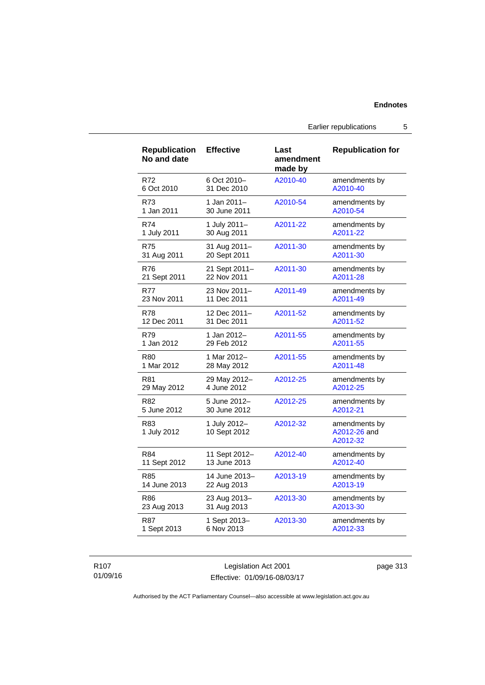Earlier republications 5

| <b>Republication</b><br>No and date | <b>Effective</b>             | Last<br>amendment<br>made by | <b>Republication for</b>                  |
|-------------------------------------|------------------------------|------------------------------|-------------------------------------------|
| R72                                 | 6 Oct 2010-                  | A2010-40                     | amendments by                             |
| 6 Oct 2010                          | 31 Dec 2010                  |                              | A2010-40                                  |
| R73                                 | 1 Jan 2011-                  | A2010-54                     | amendments by                             |
| 1 Jan 2011                          | 30 June 2011                 |                              | A2010-54                                  |
| R74                                 | 1 July 2011-                 | A2011-22                     | amendments by                             |
| 1 July 2011                         | 30 Aug 2011                  |                              | A2011-22                                  |
| <b>R75</b>                          | 31 Aug 2011-                 | A2011-30                     | amendments by                             |
| 31 Aug 2011                         | 20 Sept 2011                 |                              | A2011-30                                  |
| <b>R76</b>                          | 21 Sept 2011-                | A2011-30                     | amendments by                             |
| 21 Sept 2011                        | 22 Nov 2011                  |                              | A2011-28                                  |
| <b>R77</b>                          | 23 Nov 2011-                 | A2011-49                     | amendments by                             |
| 23 Nov 2011                         | 11 Dec 2011                  |                              | A2011-49                                  |
| R78                                 | 12 Dec 2011-                 | A2011-52                     | amendments by                             |
| 12 Dec 2011                         | 31 Dec 2011                  |                              | A2011-52                                  |
| R79                                 | 1 Jan 2012–                  | A2011-55                     | amendments by                             |
| 1 Jan 2012                          | 29 Feb 2012                  |                              | A2011-55                                  |
| R80                                 | 1 Mar 2012-                  | A2011-55                     | amendments by                             |
| 1 Mar 2012                          | 28 May 2012                  |                              | A2011-48                                  |
| R81                                 | 29 May 2012-                 | A2012-25                     | amendments by                             |
| 29 May 2012                         | 4 June 2012                  |                              | A2012-25                                  |
| R82                                 | 5 June 2012-                 | A2012-25                     | amendments by                             |
| 5 June 2012                         | 30 June 2012                 |                              | A2012-21                                  |
| R83<br>1 July 2012                  | 1 July 2012-<br>10 Sept 2012 | A2012-32                     | amendments by<br>A2012-26 and<br>A2012-32 |
| R84                                 | 11 Sept 2012-                | A2012-40                     | amendments by                             |
| 11 Sept 2012                        | 13 June 2013                 |                              | A2012-40                                  |
| R85                                 | 14 June 2013-                | A2013-19                     | amendments by                             |
| 14 June 2013                        | 22 Aug 2013                  |                              | A2013-19                                  |
| R86                                 | 23 Aug 2013-                 | A2013-30                     | amendments by                             |
| 23 Aug 2013                         | 31 Aug 2013                  |                              | A2013-30                                  |
| <b>R87</b>                          | 1 Sept 2013-                 | A2013-30                     | amendments by                             |
| 1 Sept 2013                         | 6 Nov 2013                   |                              | A2012-33                                  |

R107 01/09/16

Legislation Act 2001 Effective: 01/09/16-08/03/17 page 313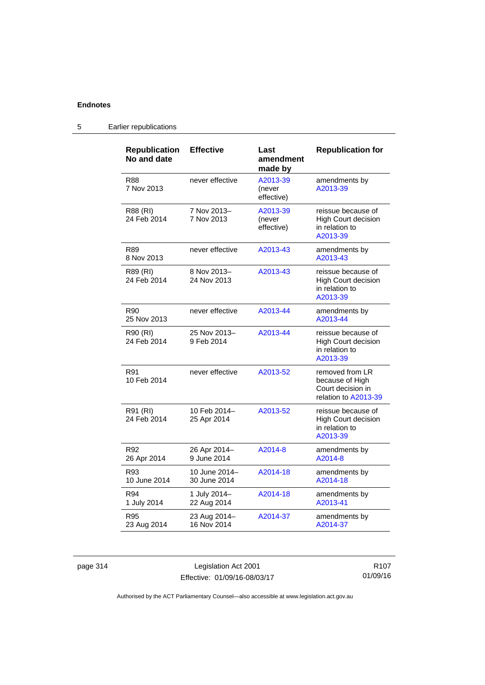| <b>Republication</b><br>No and date | <b>Effective</b>              | Last<br>amendment<br>made by     | <b>Republication for</b>                                                        |
|-------------------------------------|-------------------------------|----------------------------------|---------------------------------------------------------------------------------|
| R88<br>7 Nov 2013                   | never effective               | A2013-39<br>(never<br>effective) | amendments by<br>A2013-39                                                       |
| R88 (RI)<br>24 Feb 2014             | 7 Nov 2013-<br>7 Nov 2013     | A2013-39<br>(never<br>effective) | reissue because of<br><b>High Court decision</b><br>in relation to<br>A2013-39  |
| R89<br>8 Nov 2013                   | never effective               | A2013-43                         | amendments by<br>A2013-43                                                       |
| R89 (RI)<br>24 Feb 2014             | 8 Nov 2013-<br>24 Nov 2013    | A2013-43                         | reissue because of<br><b>High Court decision</b><br>in relation to<br>A2013-39  |
| R90<br>25 Nov 2013                  | never effective               | A2013-44                         | amendments by<br>A2013-44                                                       |
| R90 (RI)<br>24 Feb 2014             | 25 Nov 2013-<br>9 Feb 2014    | A2013-44                         | reissue because of<br><b>High Court decision</b><br>in relation to<br>A2013-39  |
| R91<br>10 Feb 2014                  | never effective               | A2013-52                         | removed from LR<br>because of High<br>Court decision in<br>relation to A2013-39 |
| R91 (RI)<br>24 Feb 2014             | 10 Feb 2014-<br>25 Apr 2014   | A2013-52                         | reissue because of<br>High Court decision<br>in relation to<br>A2013-39         |
| R92<br>26 Apr 2014                  | 26 Apr 2014-<br>9 June 2014   | A2014-8                          | amendments by<br>A2014-8                                                        |
| R93<br>10 June 2014                 | 10 June 2014-<br>30 June 2014 | A2014-18                         | amendments by<br>A2014-18                                                       |
| R94<br>1 July 2014                  | 1 July 2014-<br>22 Aug 2014   | A2014-18                         | amendments by<br>A2013-41                                                       |
| R95<br>23 Aug 2014                  | 23 Aug 2014-<br>16 Nov 2014   | A2014-37                         | amendments by<br>A2014-37                                                       |

# 5 Earlier republications

page 314 Legislation Act 2001 Effective: 01/09/16-08/03/17

R107 01/09/16